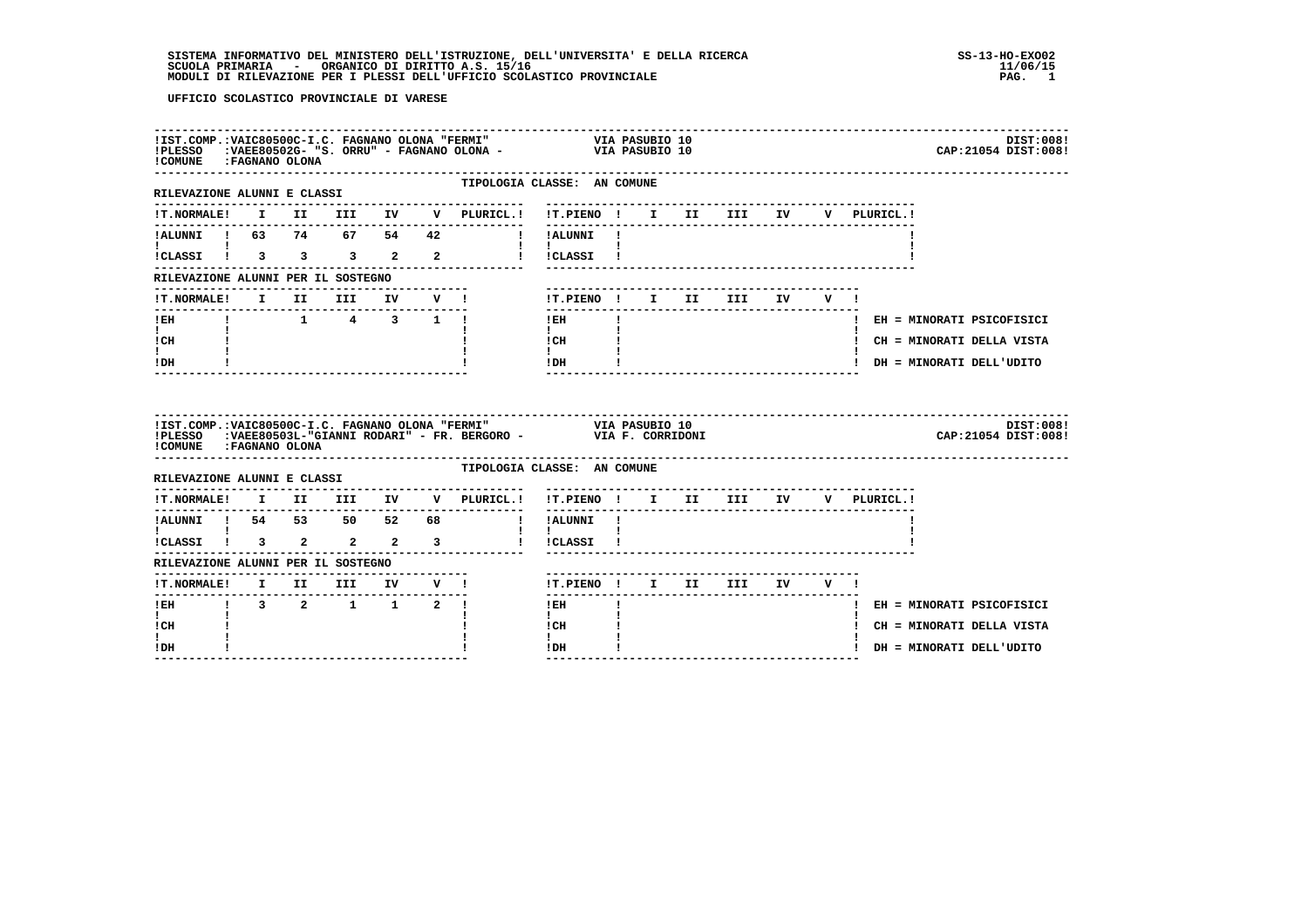| !IST.COMP.:VAIC80500C-I.C. FAGNANO OLONA "FERMI"<br>!PLESSO<br>!COMUNE : FAGNANO OLONA |  |      |                              |                               | P.:VAIC80500C-I.C. FAGNANO OLONA "FERMI" VIA PASUBIO 10<br>1.VAEE80502G-1.S. ORRU" - FAGNANO OLONA - VIA PASUBIO 10                     |                                          |              |  |     |    |         |              | DIST:008!<br>CAP: 21054 DIST: 008! |
|----------------------------------------------------------------------------------------|--|------|------------------------------|-------------------------------|-----------------------------------------------------------------------------------------------------------------------------------------|------------------------------------------|--------------|--|-----|----|---------|--------------|------------------------------------|
| RILEVAZIONE ALUNNI E CLASSI                                                            |  |      |                              |                               | TIPOLOGIA CLASSE: AN COMUNE                                                                                                             |                                          |              |  |     |    |         |              |                                    |
| <b>!T.NORMALE!</b>                                                                     |  |      |                              |                               | I II III IV V PLURICL.! !T.PIENO ! I II III IV                                                                                          |                                          |              |  |     |    |         | V PLURICL.!  |                                    |
| !ALUNNI ! 63 74 67 54                                                                  |  |      |                              | 42                            |                                                                                                                                         | ! !ALUNNI !                              |              |  |     |    |         |              |                                    |
| I.<br>!CLASSI ! 3 3 3 2 2                                                              |  |      |                              |                               |                                                                                                                                         | $\mathbf{1}$ $\mathbf{1}$<br>! !CLASSI ! |              |  |     |    |         |              |                                    |
| RILEVAZIONE ALUNNI PER IL SOSTEGNO                                                     |  |      |                              |                               |                                                                                                                                         |                                          |              |  |     |    |         |              |                                    |
| <b>!T.NORMALE!</b>                                                                     |  | I II | III                          | IV V !                        |                                                                                                                                         | !T.PIENO ! I II                          |              |  | III | IV | $V = 1$ |              |                                    |
| ! EH                                                                                   |  |      | $1 \t 1 \t 4 \t 3 \t 1 \t 1$ | . _ _ _ _ _ _ _ _ _ _ _ _ _ _ |                                                                                                                                         | ! EH                                     | $\mathbf{I}$ |  |     |    |         |              | ! EH = MINORATI PSICOFISICI        |
| $\mathbf{I}$<br>! CH                                                                   |  |      |                              |                               |                                                                                                                                         | $\mathbf{I}$<br>! CH                     |              |  |     |    |         |              | ! CH = MINORATI DELLA VISTA        |
| $\mathbf{I}$<br>! DH                                                                   |  |      |                              |                               |                                                                                                                                         | $\mathbf{I}$<br>! DH                     |              |  |     |    |         |              | ! DH = MINORATI DELL'UDITO         |
|                                                                                        |  |      |                              |                               |                                                                                                                                         |                                          |              |  |     |    |         |              |                                    |
| ! COMUNE : FAGNANO OLONA                                                               |  |      |                              |                               | !IST.COMP.:VAIC80500C-I.C. FAGNANO OLONA "FERMI" VIA PASUBIO 10<br>!PLESSO :VAEE80503L-"GIANNI RODARI" - FR. BERGORO - VIA F. CORRIDONI |                                          |              |  |     |    |         |              | DIST:008!<br>CAP: 21054 DIST: 008! |
| RILEVAZIONE ALUNNI E CLASSI                                                            |  |      |                              |                               | TIPOLOGIA CLASSE: AN COMUNE                                                                                                             |                                          |              |  |     |    |         |              |                                    |
| <b>!T.NORMALE!</b>                                                                     |  |      | I II III IV                  |                               | ----------<br>V PLURICL.!                                                                                                               | !T.PIENO ! I II III                      |              |  |     | IV |         | V PLURICL. ! |                                    |
| !ALUNNI ! 54 53 50 52 68                                                               |  |      |                              |                               | $\blacksquare$                                                                                                                          | !ALUNNI !                                |              |  |     |    |         |              |                                    |
| $\mathbf{I}$ and $\mathbf{I}$ and $\mathbf{I}$<br>!CLASSI ! 3 2 2 2 3                  |  |      |                              |                               | $\mathbf{I}$                                                                                                                            | $\mathbf{I}$ $\mathbf{I}$<br>!CLASSI !   |              |  |     |    |         |              |                                    |
| RILEVAZIONE ALUNNI PER IL SOSTEGNO                                                     |  |      |                              |                               |                                                                                                                                         |                                          |              |  |     |    |         |              |                                    |
| !T.NORMALE! I II III IV V !                                                            |  |      |                              |                               |                                                                                                                                         | !T.PIENO ! I II III IV                   |              |  |     |    | V I     |              |                                    |
| ---------------<br>$!$ EH                                                              |  |      | $1 \t3 \t2 \t1 \t1 \t2 \t1$  |                               |                                                                                                                                         | ! EH                                     | $\mathbf{I}$ |  |     |    |         |              | ! EH = MINORATI PSICOFISICI        |
| $\mathbf{I}$<br>! CH                                                                   |  |      |                              |                               |                                                                                                                                         | $\mathbf{I}$<br>! CH                     |              |  |     |    |         |              | ! CH = MINORATI DELLA VISTA        |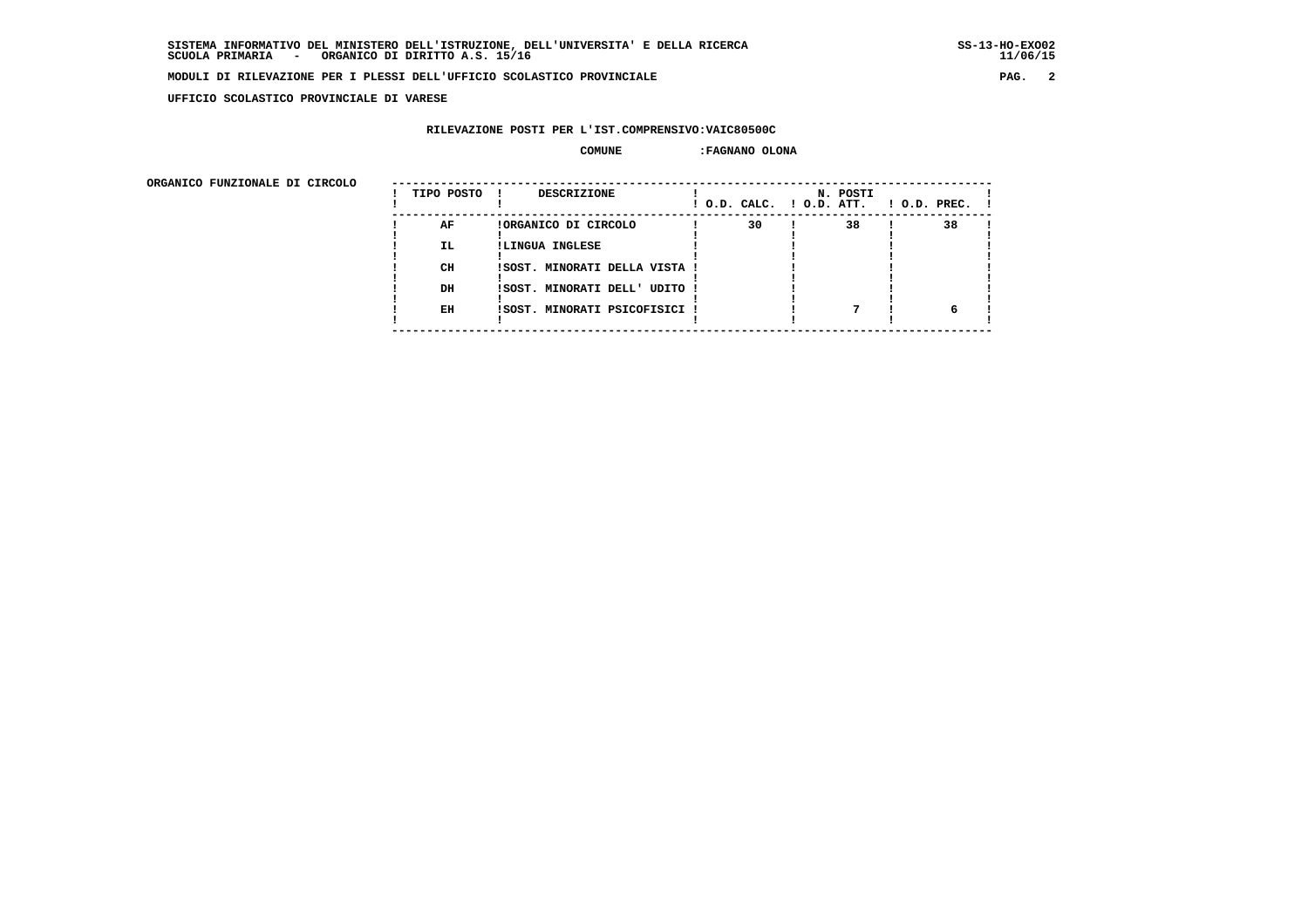**UFFICIO SCOLASTICO PROVINCIALE DI VARESE**

# **RILEVAZIONE POSTI PER L'IST.COMPRENSIVO:VAIC80500C**

#### **COMUNE :FAGNANO OLONA**

| ORGANICO FUNZIONALE DI CIRCOLO |            |                               |                          |          |              |
|--------------------------------|------------|-------------------------------|--------------------------|----------|--------------|
|                                | TIPO POSTO | <b>DESCRIZIONE</b>            | ! O.D. CALC. ! O.D. ATT. | N. POSTI | ! O.D. PREC. |
|                                | AF         | !ORGANICO DI CIRCOLO          | 30                       | 38       | 38           |
|                                | IL.        | !LINGUA INGLESE               |                          |          |              |
|                                | CH         | ISOST. MINORATI DELLA VISTA ! |                          |          |              |
|                                | DH         | !SOST. MINORATI DELL' UDITO ! |                          |          |              |
|                                | EH         | ISOST. MINORATI PSICOFISICI   |                          |          |              |
|                                |            |                               |                          |          |              |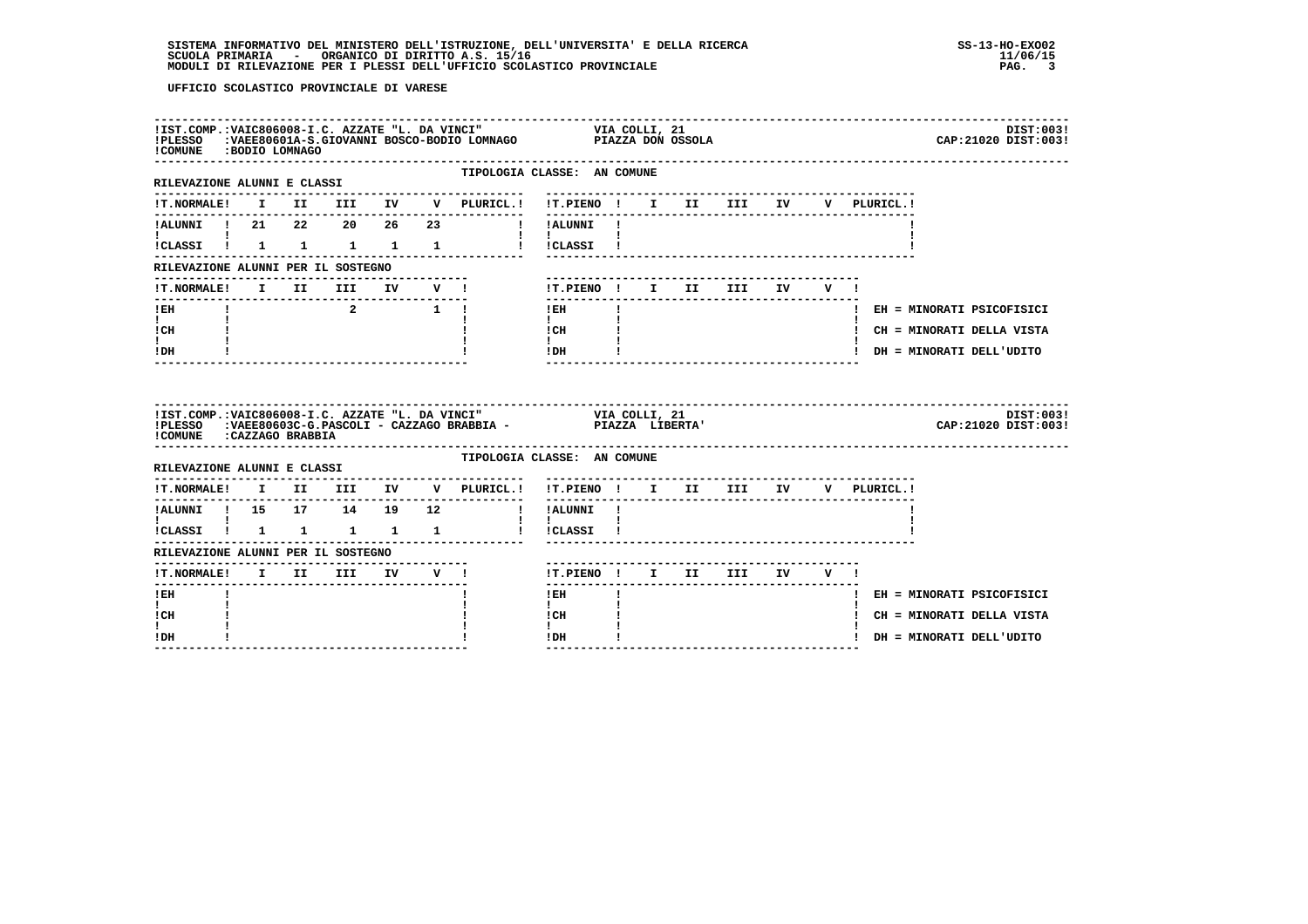| !COMUNE : BODIO LOMNAGO                        |  |  | IIST.COMP.:VAIC806008-I.C. AZZATE "L. DA VINCI" VIA COLLI, 21<br>IPLESSO :VAEE80601A-S.GIOVANNI BOSCO-BODIO LOMNAGO PIAZZA DON OSSOLA |                                                                                                                                                                                                                                                                                                                                            |              |  |                           |  |             |                            | DIST:003!<br>CAP: 21020 DIST: 003! |
|------------------------------------------------|--|--|---------------------------------------------------------------------------------------------------------------------------------------|--------------------------------------------------------------------------------------------------------------------------------------------------------------------------------------------------------------------------------------------------------------------------------------------------------------------------------------------|--------------|--|---------------------------|--|-------------|----------------------------|------------------------------------|
| RILEVAZIONE ALUNNI E CLASSI                    |  |  | TIPOLOGIA CLASSE: AN COMUNE                                                                                                           |                                                                                                                                                                                                                                                                                                                                            |              |  |                           |  |             |                            |                                    |
|                                                |  |  | ---------------                                                                                                                       | -------------------------------                                                                                                                                                                                                                                                                                                            |              |  |                           |  | V PLURICL.! |                            |                                    |
|                                                |  |  | !ALUNNI ! 21  22  20  26  23  !!!ALUNNI !                                                                                             |                                                                                                                                                                                                                                                                                                                                            |              |  |                           |  |             |                            |                                    |
| $\mathbf{I}$ and $\mathbf{I}$ and $\mathbf{I}$ |  |  | !CLASSI ! 1 1 1 1 1 1 ! !CLASSI !                                                                                                     | $\mathbf{1}$ $\mathbf{1}$                                                                                                                                                                                                                                                                                                                  |              |  |                           |  |             |                            |                                    |
| RILEVAZIONE ALUNNI PER IL SOSTEGNO             |  |  |                                                                                                                                       |                                                                                                                                                                                                                                                                                                                                            |              |  |                           |  |             |                            |                                    |
|                                                |  |  | !T.NORMALE! I II III IV V !                                                                                                           | !T.PIENO! I II III IV V!                                                                                                                                                                                                                                                                                                                   |              |  |                           |  |             |                            |                                    |
| ------------------------------<br>$!$ EH       |  |  | $\begin{array}{ccc} & 2 & \quad & 1 & \vdots \end{array}$                                                                             | ---------------<br>$!$ EH                                                                                                                                                                                                                                                                                                                  | $\mathbf{I}$ |  | ------------------------- |  |             |                            | ! EH = MINORATI PSICOFISICI        |
| $\mathbf{I}$ and $\mathbf{I}$<br>ICH           |  |  |                                                                                                                                       | $\mathbf{I}$ and $\mathbf{I}$<br>$\frac{1}{1}$ $\frac{1}{1}$                                                                                                                                                                                                                                                                               |              |  |                           |  |             |                            | ! CH = MINORATI DELLA VISTA        |
| $\mathbf{I}$<br>! DH                           |  |  |                                                                                                                                       | $!$ DH $\qquad$ $\qquad$ $\qquad$ $\qquad$ $\qquad$ $\qquad$ $\qquad$ $\qquad$ $\qquad$ $\qquad$ $\qquad$ $\qquad$ $\qquad$ $\qquad$ $\qquad$ $\qquad$ $\qquad$ $\qquad$ $\qquad$ $\qquad$ $\qquad$ $\qquad$ $\qquad$ $\qquad$ $\qquad$ $\qquad$ $\qquad$ $\qquad$ $\qquad$ $\qquad$ $\qquad$ $\qquad$ $\qquad$ $\qquad$ $\qquad$ $\qquad$ |              |  |                           |  |             | ! DH = MINORATI DELL'UDITO |                                    |
|                                                |  |  |                                                                                                                                       |                                                                                                                                                                                                                                                                                                                                            |              |  |                           |  |             |                            |                                    |
| !COMUNE : CAZZAGO BRABBIA                      |  |  | IIST.COMP.:VAIC806008-I.C. AZZATE "L. DA VINCI" VIA COLLI, 21<br>IPLESSO :VAEE80603C-G.PASCOLI - CAZZAGO BRABBIA - PIAZZA LIBERTA'    |                                                                                                                                                                                                                                                                                                                                            |              |  |                           |  |             |                            | DIST:003!<br>CAP: 21020 DIST: 003! |
|                                                |  |  | TIPOLOGIA CLASSE: AN COMUNE                                                                                                           |                                                                                                                                                                                                                                                                                                                                            |              |  |                           |  |             |                            |                                    |
|                                                |  |  | --------------<br>!T.NORMALE! I II III IV V PLURICL.! !T.PIENO ! I II III IV V PLURICL.!                                              |                                                                                                                                                                                                                                                                                                                                            |              |  |                           |  |             |                            |                                    |
| ----------                                     |  |  | !ALUNNI ! 15 17 14 19 12   !ALUNNI !                                                                                                  |                                                                                                                                                                                                                                                                                                                                            |              |  |                           |  |             |                            |                                    |
| $\mathbf{I}$ and $\mathbf{I}$ and $\mathbf{I}$ |  |  |                                                                                                                                       | $\mathbf{I}$ $\mathbf{I}$                                                                                                                                                                                                                                                                                                                  |              |  |                           |  |             |                            |                                    |
| RILEVAZIONE ALUNNI PER IL SOSTEGNO             |  |  |                                                                                                                                       |                                                                                                                                                                                                                                                                                                                                            |              |  |                           |  |             |                            |                                    |
|                                                |  |  | !T.NORMALE! I II III IV V !                                                                                                           | !T.PIENO ! I II III IV V !                                                                                                                                                                                                                                                                                                                 |              |  |                           |  |             |                            |                                    |
| ! EH                                           |  |  |                                                                                                                                       | $!$ EH                                                                                                                                                                                                                                                                                                                                     |              |  |                           |  |             |                            | ! EH = MINORATI PSICOFISICI        |
| I.<br>! CH<br>$\mathbf{I}$                     |  |  |                                                                                                                                       | $\mathbf{I}$<br>! CH<br>$\mathbf{I}$                                                                                                                                                                                                                                                                                                       |              |  |                           |  |             |                            | ! CH = MINORATI DELLA VISTA        |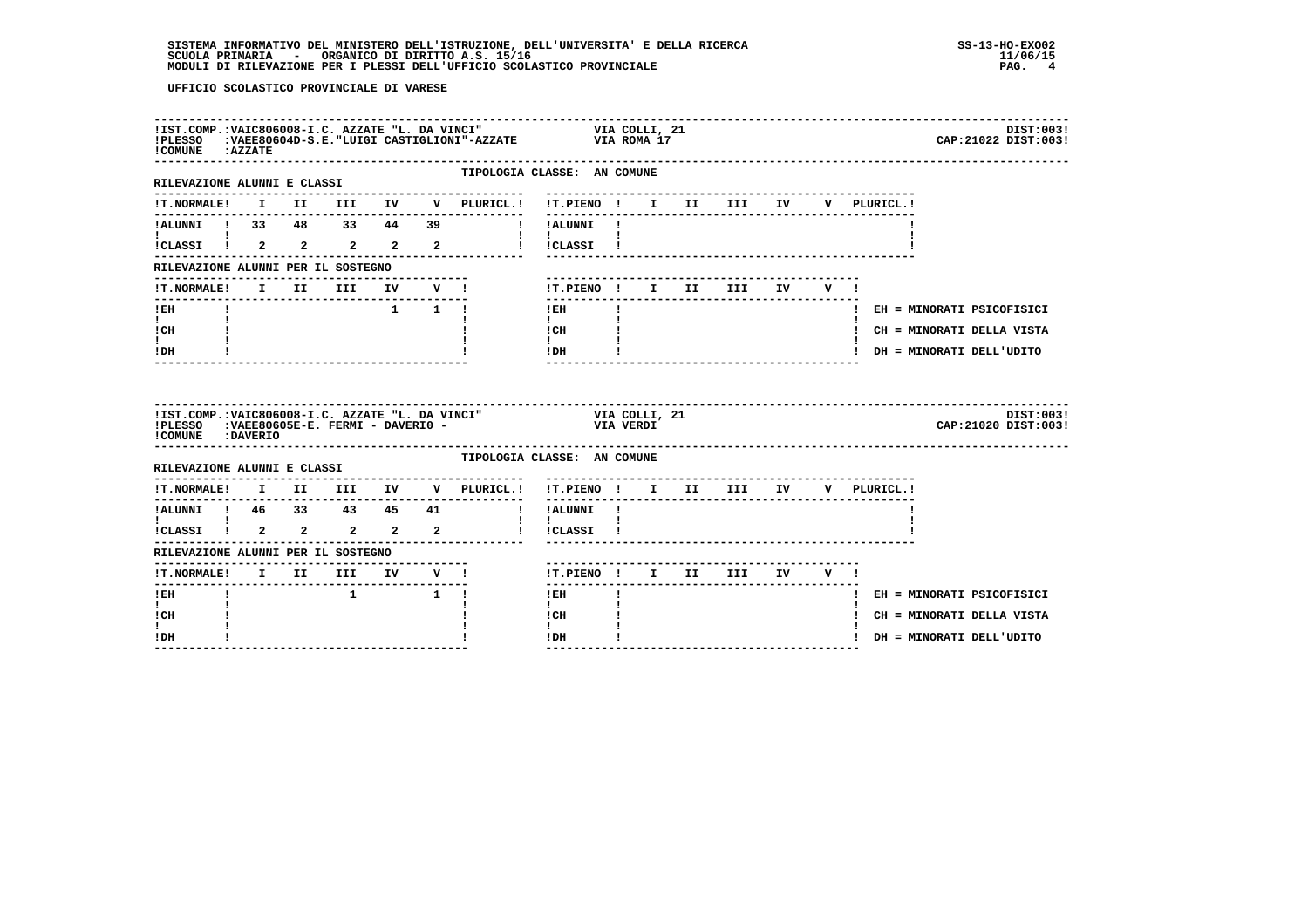| ! COMUNE : AZZATE                                    |  |                                                                                    |  |                                        | !IST.COMP.:VAIC806008-I.C. AZZATE "L. DA VINCI"                         VIA COLLI, 21<br>!PLESSO     :VAEE80604D-S.E. "LUIGI CASTIGLIONI"-AZZATE                   VIA ROMA 17 |  |             | DIST:003!<br>CAP: 21022 DIST: 003! |
|------------------------------------------------------|--|------------------------------------------------------------------------------------|--|----------------------------------------|--------------------------------------------------------------------------------------------------------------------------------------------------------------------------------|--|-------------|------------------------------------|
| ---------------------<br>RILEVAZIONE ALUNNI E CLASSI |  |                                                                                    |  | --------------                         | TIPOLOGIA CLASSE: AN COMUNE<br>--------------------------------                                                                                                                |  |             |                                    |
|                                                      |  |                                                                                    |  | !T.NORMALE! I II III IV V PLURICL.!    | !T.PIENO ! I II III IV                                                                                                                                                         |  | V PLURICL.! |                                    |
|                                                      |  |                                                                                    |  | --------------                         |                                                                                                                                                                                |  |             |                                    |
| $\mathbf{I}$ and $\mathbf{I}$                        |  |                                                                                    |  |                                        | $\mathbf{1}$ $\mathbf{1}$<br>iCLASSI I 2 2 2 2 2 1 ICLASSI I                                                                                                                   |  |             |                                    |
| RILEVAZIONE ALUNNI PER IL SOSTEGNO                   |  |                                                                                    |  |                                        |                                                                                                                                                                                |  |             |                                    |
| ---------------------------------                    |  |                                                                                    |  | !T.NORMALE! I II III IV V !            | !T.PIENO! I II III IV V!<br>$- - - - - - - -$                                                                                                                                  |  |             |                                    |
| $!$ EH                                               |  |                                                                                    |  | $1 \quad 1 \quad 1$                    | $\mathbf{I}$<br>$1$ EH                                                                                                                                                         |  |             | ! EH = MINORATI PSICOFISICI        |
| $\mathbf{I}$ and $\mathbf{I}$<br>ICH                 |  |                                                                                    |  |                                        | $\mathbf{I}$<br>$\frac{1}{1}$ CH                                                                                                                                               |  |             | ! CH = MINORATI DELLA VISTA        |
| $\mathbf{I}$<br>! DH                                 |  |                                                                                    |  |                                        | $\mathbf{I}$<br>$!$ DH                                                                                                                                                         |  |             | ! DH = MINORATI DELL'UDITO         |
|                                                      |  |                                                                                    |  |                                        |                                                                                                                                                                                |  |             |                                    |
| !COMUNE : DAVERIO                                    |  |                                                                                    |  |                                        | IIST.COMP.:VAIC806008-I.C. AZZATE "L. DA VINCI" VIA COLLI, 21<br>IPLESSO :VAEE80605E-E. FERMI - DAVERIO - VIA VERDI                                                            |  |             | DIST:003!<br>CAP: 21020 DIST: 003! |
| RILEVAZIONE ALUNNI E CLASSI                          |  |                                                                                    |  | -------------------------------------- | TIPOLOGIA CLASSE: AN COMUNE                                                                                                                                                    |  |             |                                    |
|                                                      |  |                                                                                    |  |                                        | !T.NORMALE! I II III IV V PLURICL.! !T.PIENO ! I II III IV V PLURICL.!                                                                                                         |  |             |                                    |
| --------------                                       |  |                                                                                    |  | --------------                         | ---------                                                                                                                                                                      |  |             |                                    |
|                                                      |  |                                                                                    |  |                                        | 1<br>ALUNNI ! 46 33 43 45 41 ! !ALUNNI !<br>$\mathbf{I}$<br>! !CLASSI !                                                                                                        |  |             |                                    |
| RILEVAZIONE ALUNNI PER IL SOSTEGNO                   |  |                                                                                    |  |                                        |                                                                                                                                                                                |  |             |                                    |
|                                                      |  |                                                                                    |  |                                        | !T.PIENO ! I II III IV V !                                                                                                                                                     |  |             |                                    |
| $1$ EH                                               |  | $\begin{array}{ccccccccccccccccc} & & & & & & 1 & & & & & & 1 & & & 1 \end{array}$ |  |                                        | $1$ EH                                                                                                                                                                         |  |             | ! EH = MINORATI PSICOFISICI        |
| I.<br>! CH                                           |  |                                                                                    |  |                                        | $\mathbf{I}$<br>! CH                                                                                                                                                           |  |             | ! CH = MINORATI DELLA VISTA        |
| I.<br>! DH                                           |  |                                                                                    |  |                                        | $\mathbf{I}$<br>! DH                                                                                                                                                           |  |             | ! DH = MINORATI DELL'UDITO         |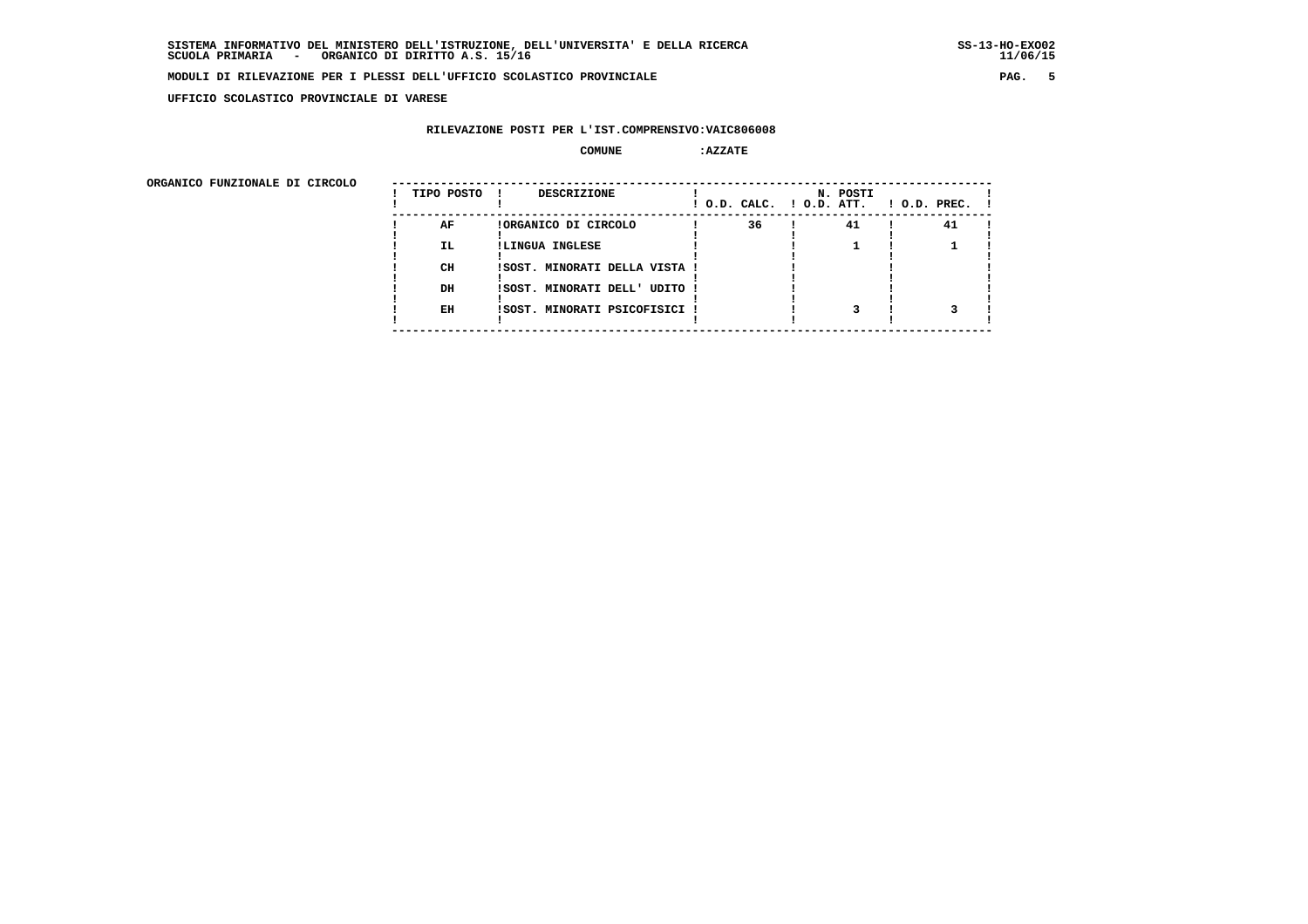**UFFICIO SCOLASTICO PROVINCIALE DI VARESE**

# **RILEVAZIONE POSTI PER L'IST.COMPRENSIVO:VAIC806008**

#### **COMUNE :AZZATE**

| ORGANICO FUNZIONALE DI CIRCOLO |            |                               |                          |          |                    |
|--------------------------------|------------|-------------------------------|--------------------------|----------|--------------------|
|                                | TIPO POSTO | DESCRIZIONE                   | ! O.D. CALC. ! O.D. ATT. | N. POSTI | $1$ O.D. PREC. $1$ |
|                                | AF         | !ORGANICO DI CIRCOLO          | 36                       | 41       | 41                 |
|                                | IL.        | !LINGUA INGLESE               |                          |          |                    |
|                                | CH         | !SOST. MINORATI DELLA VISTA ! |                          |          |                    |
|                                | DH         | !SOST. MINORATI DELL' UDITO ! |                          |          |                    |
|                                | EH         | !SOST. MINORATI PSICOFISICI ! |                          |          |                    |
|                                |            |                               |                          |          |                    |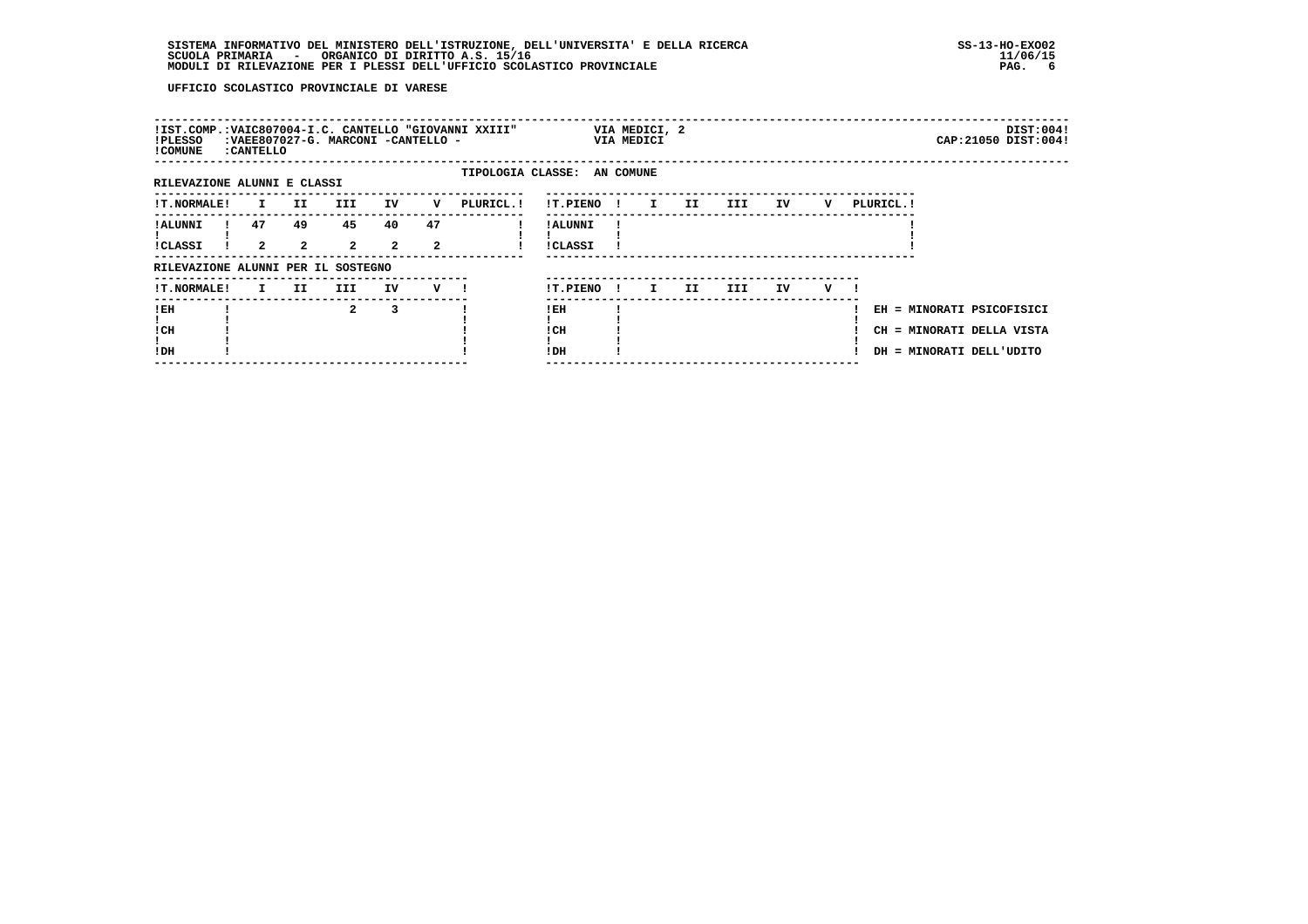# **SISTEMA INFORMATIVO DEL MINISTERO DELL'ISTRUZIONE, DELL'UNIVERSITA' E DELLA RICERCA SS-13-HO-EXO02**SCUOLA PRIMARIA ORGANICO DI DIRITTO A.S. 15/16<br>MODULI DI RILEVAZIONE PER I PLESSI DELL'UFFICIO SCOLASTICO PROVINCIALE **provinciale page anticolastico antico**r

| !IST.COMP.:VAIC807004-I.C. CANTELLO "GIOVANNI XXIII"<br>VIA MEDICI, 2<br>:VAEE807027-G. MARCONI -CANTELLO -<br>!PLESSO<br>VIA MEDICI<br>! COMUNE<br>: CANTELLO<br>TIPOLOGIA CLASSE: AN COMUNE<br>RILEVAZIONE ALUNNI E CLASSI<br>IV<br><b>!T.NORMALE!</b><br>II.<br>III<br>PLURICL.!<br>!T.PIENO!<br>IV<br>PLURICL. !<br>v<br>$\mathbf{I}$<br>II.<br>III<br>v<br>$\mathbf{I}$ | DIST:004!             |
|------------------------------------------------------------------------------------------------------------------------------------------------------------------------------------------------------------------------------------------------------------------------------------------------------------------------------------------------------------------------------|-----------------------|
|                                                                                                                                                                                                                                                                                                                                                                              | CAP: 21050 DIST: 004! |
|                                                                                                                                                                                                                                                                                                                                                                              |                       |
|                                                                                                                                                                                                                                                                                                                                                                              |                       |
| 45<br>47<br>47<br>49<br>40<br>! ALUNNI<br>! ALUNNI<br>$\overline{2}$<br>$\overline{2}$<br>$\overline{2}$<br>$\overline{a}$<br>$\mathbf{2}$<br><b>!CLASSI</b><br><b>!CLASSI</b>                                                                                                                                                                                               |                       |
| RILEVAZIONE ALUNNI PER IL SOSTEGNO                                                                                                                                                                                                                                                                                                                                           |                       |
| <b>!T.NORMALE!</b><br>II.<br>III<br>IV<br>!T.PIENO<br>II.<br>III.<br>IV.<br>v<br>v<br>$\mathbf{I}$<br>I.<br>$\mathbf{I}$                                                                                                                                                                                                                                                     |                       |
| !EH<br>$\mathbf{2}$<br>3<br>! EH<br>EH = MINORATI PSICOFISICI<br>! CH<br>! CH<br>CH = MINORATI DELLA VISTA<br>!DH<br>! DH<br>DH = MINORATI DELL'UDITO                                                                                                                                                                                                                        |                       |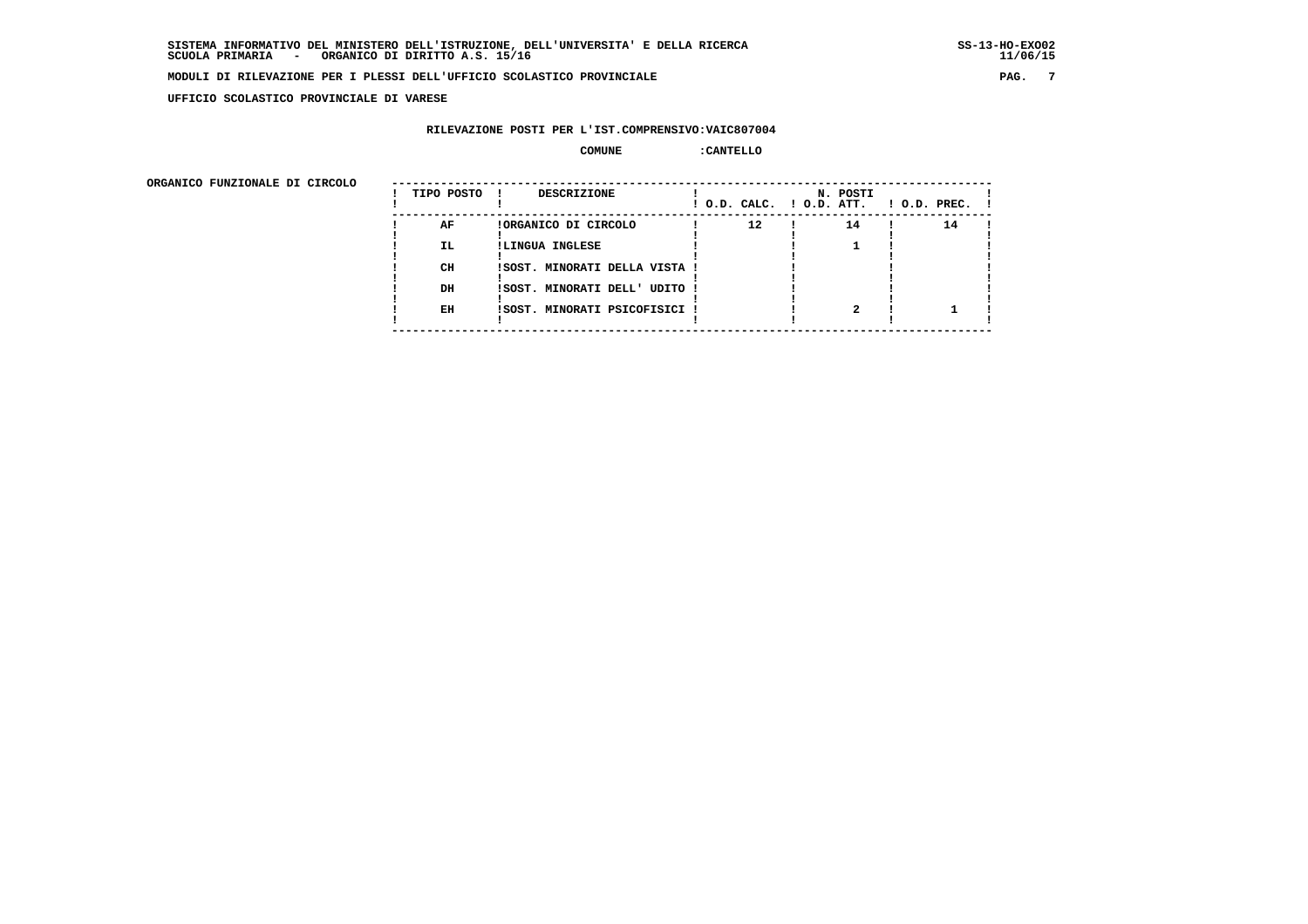**UFFICIO SCOLASTICO PROVINCIALE DI VARESE**

# **RILEVAZIONE POSTI PER L'IST.COMPRENSIVO:VAIC807004**

## **COMUNE :CANTELLO**

| ORGANICO FUNZIONALE DI CIRCOLO |            |                               |                          |          |              |
|--------------------------------|------------|-------------------------------|--------------------------|----------|--------------|
|                                | TIPO POSTO | <b>DESCRIZIONE</b>            | ! O.D. CALC. ! O.D. ATT. | N. POSTI | ! O.D. PREC. |
|                                | AF         | !ORGANICO DI CIRCOLO          | $12 \overline{ }$        | 14       | 14           |
|                                | IL.        | !LINGUA INGLESE               |                          |          |              |
|                                | CH         | !SOST. MINORATI DELLA VISTA ! |                          |          |              |
|                                | DH         | ISOST. MINORATI DELL' UDITO ! |                          |          |              |
|                                | EH         | ISOST. MINORATI PSICOFISICI ! |                          |          |              |
|                                |            |                               |                          |          |              |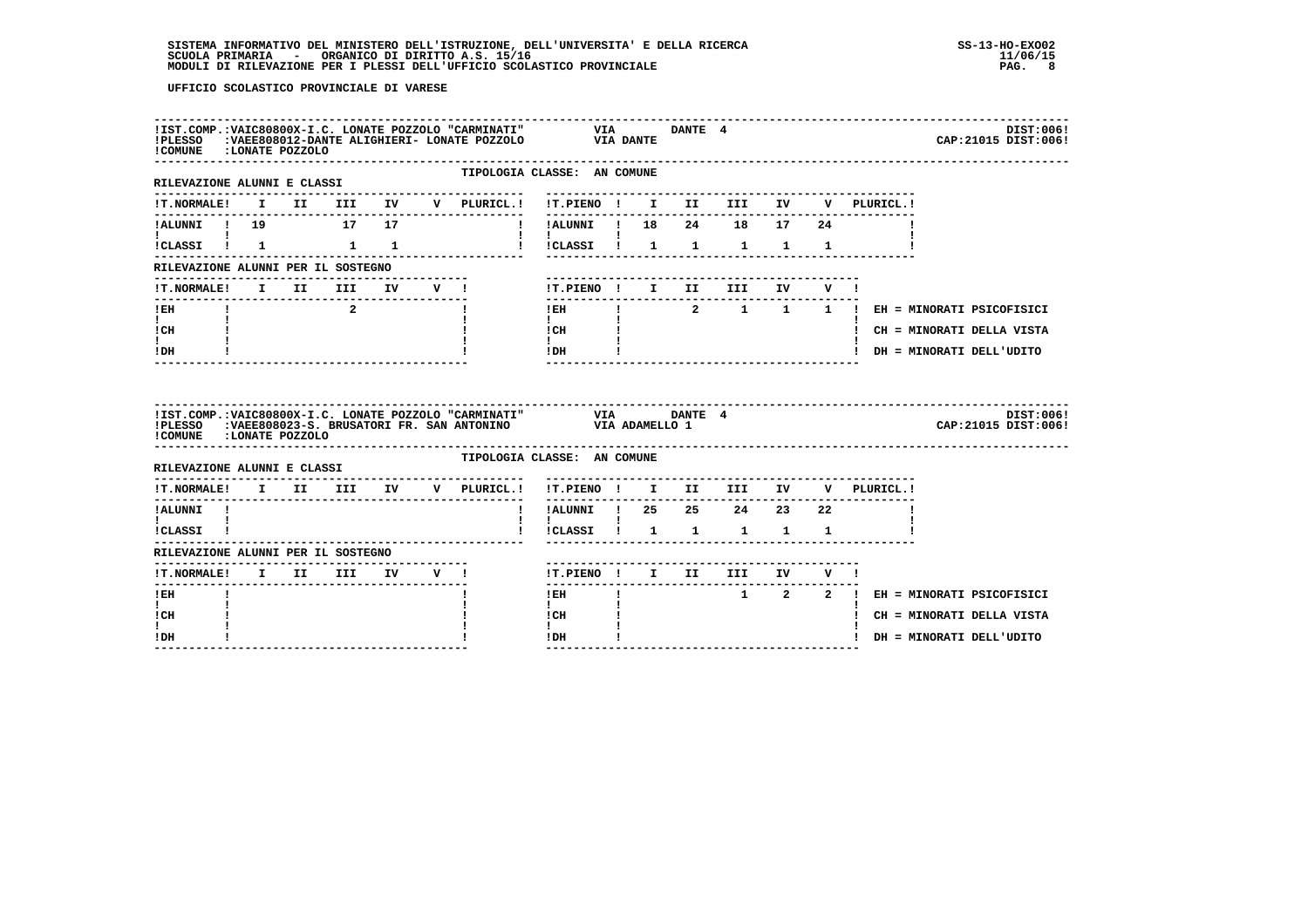| !COMUNE :LONATE POZZOLO                                      |  |                         |  | !IST.COMP.:VAIC80800X-I.C. LONATE POZZOLO "CARMINATI"<br>!PLESSO :VAEE808012-DANTE ALIGHIERI- LONATE POZZOLO VIA DANTE |                                                                                                        |              | VIA DANTE 4 |                                     |         |             |                                       | DIST:006!<br>CAP: 21015 DIST: 006! |
|--------------------------------------------------------------|--|-------------------------|--|------------------------------------------------------------------------------------------------------------------------|--------------------------------------------------------------------------------------------------------|--------------|-------------|-------------------------------------|---------|-------------|---------------------------------------|------------------------------------|
| -----------------------------<br>RILEVAZIONE ALUNNI E CLASSI |  |                         |  | TIPOLOGIA CLASSE: AN COMUNE                                                                                            |                                                                                                        |              |             |                                     |         |             |                                       |                                    |
|                                                              |  |                         |  | !T.NORMALE! I II III IV V PLURICL.! !T.PIENO ! I II III IV                                                             |                                                                                                        |              |             |                                     |         |             | V PLURICL.!                           |                                    |
| !ALUNNI ! 19 17 17                                           |  |                         |  |                                                                                                                        | !!ALUNNI ! 18                                                                                          |              |             | 24 18 17 24                         |         |             |                                       |                                    |
| !CLASSI ! 1 1 1                                              |  |                         |  |                                                                                                                        | !!CLASSI! 1 1 1                                                                                        |              |             |                                     |         | $1 \quad 1$ |                                       |                                    |
| RILEVAZIONE ALUNNI PER IL SOSTEGNO                           |  |                         |  |                                                                                                                        |                                                                                                        |              |             |                                     |         |             |                                       |                                    |
| <b>!T.NORMALE!</b>                                           |  | I II III IV V !         |  |                                                                                                                        | !T.PIENO ! I II                                                                                        |              |             | III                                 | IV DOM: | V !         |                                       |                                    |
| !EH                                                          |  | $\overline{\mathbf{2}}$ |  |                                                                                                                        | $!$ EH                                                                                                 |              |             |                                     |         |             | ! 2 1 1 1 ! EH = MINORATI PSICOFISICI |                                    |
| $\mathbf{I}$ and $\mathbf{I}$<br>ICH                         |  |                         |  |                                                                                                                        | $\mathbf{I}$ and $\mathbf{I}$<br>$\begin{array}{ccc}\n1 & \text{CH} & & & 1 \\ 1 & & & 1\n\end{array}$ |              |             |                                     |         |             |                                       | ! CH = MINORATI DELLA VISTA        |
| I.                                                           |  |                         |  |                                                                                                                        | $IDH$ $I$                                                                                              |              |             |                                     |         |             | ! DH = MINORATI DELL'UDITO            |                                    |
| $!$ DH                                                       |  |                         |  |                                                                                                                        |                                                                                                        |              |             |                                     |         |             |                                       |                                    |
| !COMUNE :LONATE POZZOLO                                      |  |                         |  | !PLESSO :VAEE808023-S. BRUSATORI FR. SAN ANTONINO VIA ADAMELLO 1                                                       |                                                                                                        |              |             |                                     |         |             |                                       | DIST:006!<br>CAP: 21015 DIST: 006! |
| RILEVAZIONE ALUNNI E CLASSI                                  |  |                         |  | TIPOLOGIA CLASSE: AN COMUNE                                                                                            |                                                                                                        |              |             |                                     |         |             |                                       |                                    |
|                                                              |  |                         |  | !T.NORMALE! I II III IV V PLURICL.!                                                                                    | !T.PIENO ! I II III IV                                                                                 |              |             |                                     |         |             | V PLURICL.!                           |                                    |
| !ALUNNI !                                                    |  |                         |  |                                                                                                                        | !ALUNNI ! 25  25  24  23  22                                                                           |              |             |                                     |         |             |                                       |                                    |
| $\mathbf{I}$ and $\mathbf{I}$ and $\mathbf{I}$<br>ICLASSI !  |  |                         |  |                                                                                                                        | $\mathbf{I}$                                                                                           |              |             | !CLASSI ! 1 1 1 1 1                 |         |             |                                       |                                    |
| RILEVAZIONE ALUNNI PER IL SOSTEGNO                           |  |                         |  |                                                                                                                        |                                                                                                        |              |             |                                     |         |             |                                       |                                    |
| <b>!T.NORMALE!</b>                                           |  | I II III                |  | IV V !                                                                                                                 |                                                                                                        |              |             | !T.PIENO ! I II III IV V !          |         |             |                                       |                                    |
| ----------------<br>! EH                                     |  |                         |  |                                                                                                                        | $!$ EH                                                                                                 | $\mathbf{I}$ |             | ----------------------------------- |         |             | 1 2 2 ! EH = MINORATI PSICOFISICI     |                                    |
| I.<br>! CH<br>I.                                             |  |                         |  |                                                                                                                        | $\mathbf{I}$<br>! CH<br>$\mathbf{I}$                                                                   |              |             |                                     |         |             |                                       | ! CH = MINORATI DELLA VISTA        |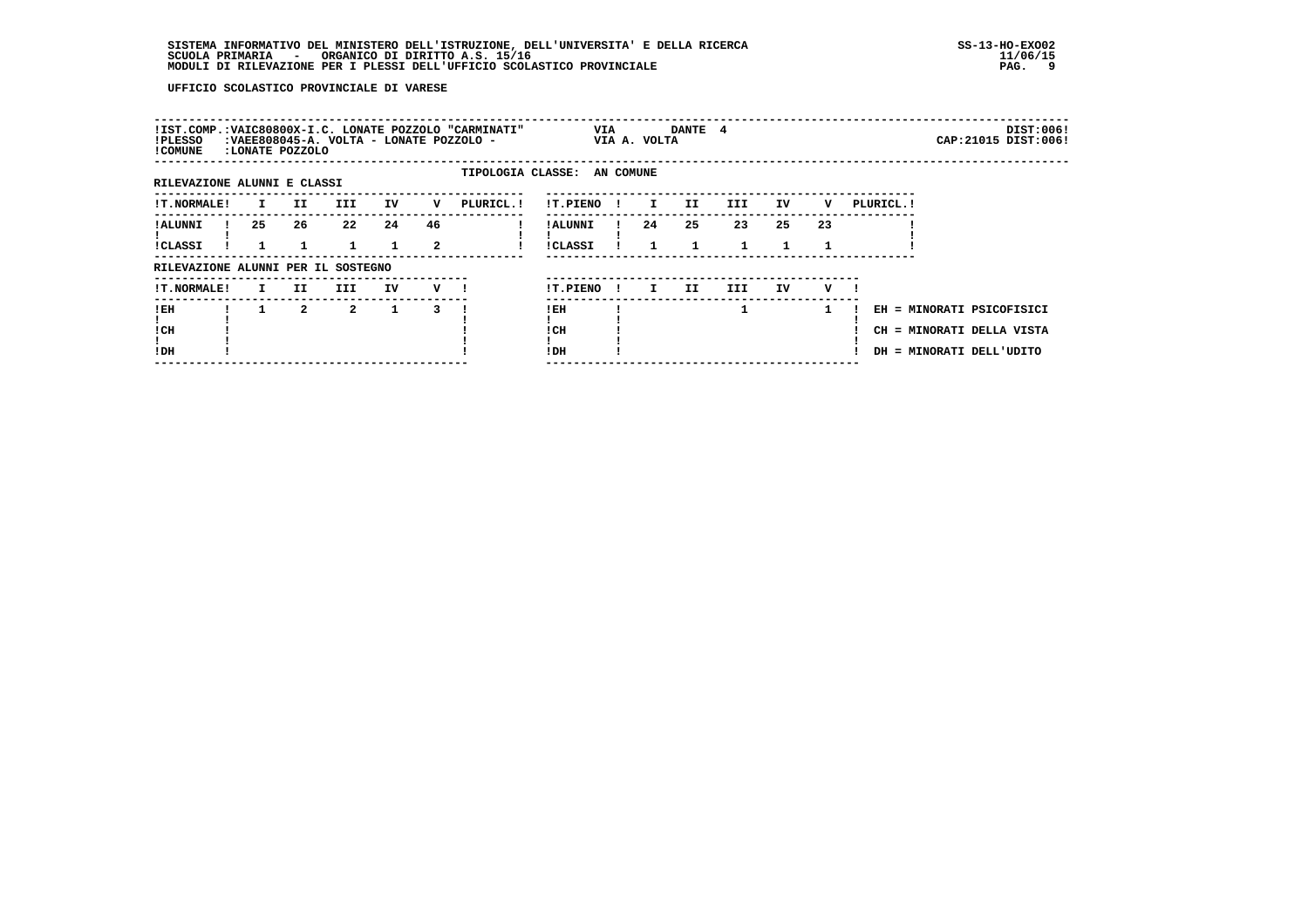| !IST.COMP.:VAIC80800X-I.C. LONATE POZZOLO "CARMINATI"<br>!PLESSO<br>! COMUNE | :LONATE POZZOLO |                | :VAEE808045-A. VOLTA - LONATE POZZOLO - |    |         |                             | VIA                 |              | VIA A. VOLTA | DANTE 4 |     |    |    |            |                          | DIST:006!<br>CAP: 21015 DIST: 006!                     |
|------------------------------------------------------------------------------|-----------------|----------------|-----------------------------------------|----|---------|-----------------------------|---------------------|--------------|--------------|---------|-----|----|----|------------|--------------------------|--------------------------------------------------------|
| RILEVAZIONE ALUNNI E CLASSI                                                  |                 |                |                                         |    |         | TIPOLOGIA CLASSE: AN COMUNE |                     |              |              |         |     |    |    |            |                          |                                                        |
| <b>!T.NORMALE!</b>                                                           | I.              | II.            | III.                                    | IV | v       | PLURICL. !                  | !T.PIENO            |              | I.           | II.     | III | IV | v  | PLURICL. ! |                          |                                                        |
| ! ALUNNI<br><b>!CLASSI</b>                                                   | 25              | 26             | $22^{\circ}$                            | 24 | 46<br>2 |                             | ! ALUNNI<br>!CLASSI |              | 24           | 25      | 23  | 25 | 23 |            |                          |                                                        |
| RILEVAZIONE ALUNNI PER IL SOSTEGNO                                           |                 |                |                                         |    |         |                             |                     |              |              |         |     |    |    |            |                          |                                                        |
| <b>!T.NORMALE!</b>                                                           | I.              | II.            | III                                     | IV | v —     |                             | !T.PIENO            | $\mathbf{I}$ | I.           | II.     | III | IV | v  |            |                          |                                                        |
| ! EH<br>! CH<br>!DH                                                          |                 | $\overline{a}$ | $\overline{2}$                          | 1  | 3       |                             | !EH<br>! CH<br>!DH  |              |              |         | 1   |    |    |            | DH = MINORATI DELL'UDITO | EH = MINORATI PSICOFISICI<br>CH = MINORATI DELLA VISTA |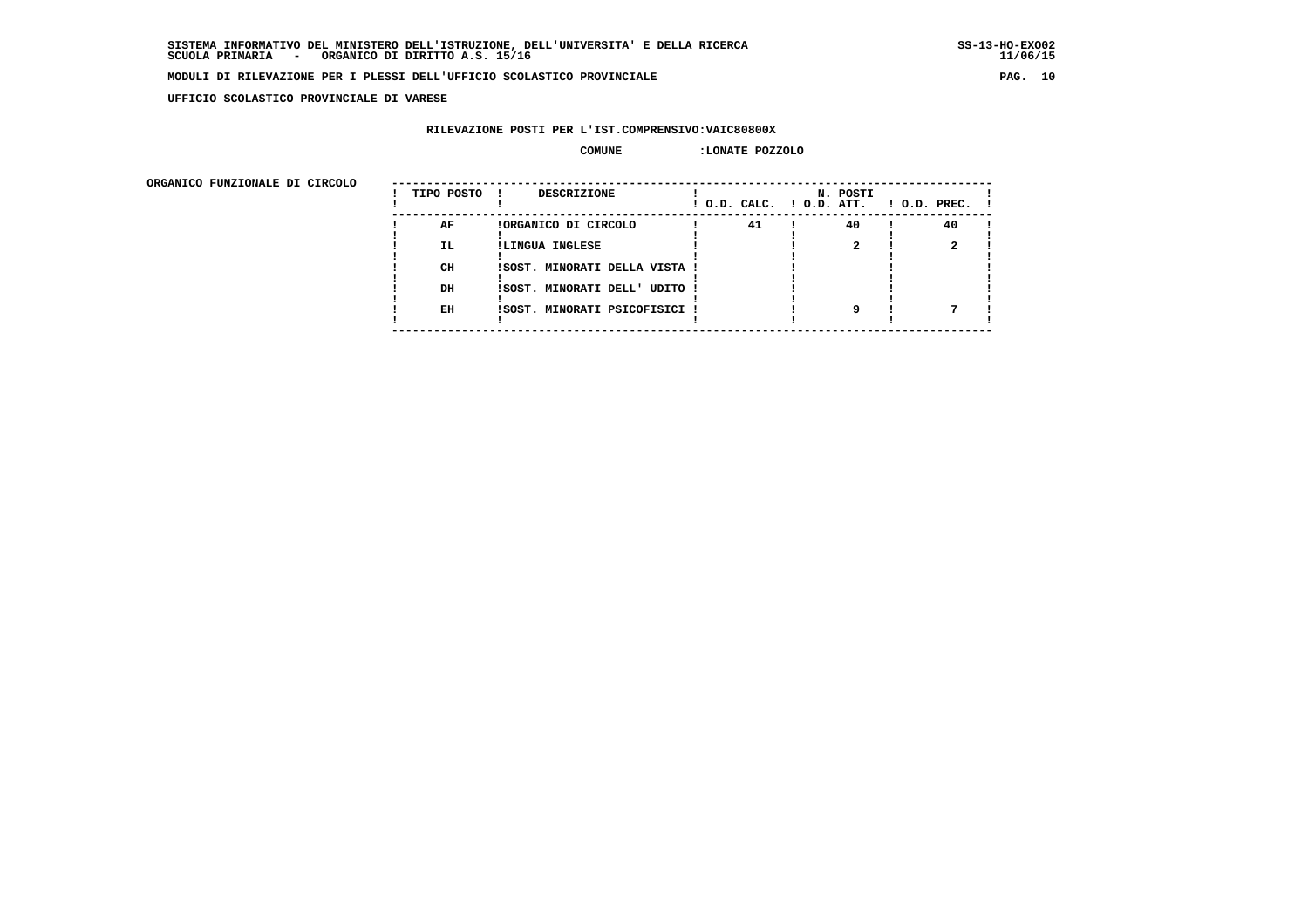**UFFICIO SCOLASTICO PROVINCIALE DI VARESE**

# **RILEVAZIONE POSTI PER L'IST.COMPRENSIVO:VAIC80800X**

### **COMUNE :LONATE POZZOLO**

 **ORGANICO FUNZIONALE DI CIRCOLO --------------------------------------------------------------------------------------**

| URGANICO FUNZIONALE DI CIRCOLO | TIPO POSTO | DESCRIZIONE                   | ! O.D. CALC. ! O.D. ATT. | N. POSTI | $!$ $0.D.$ $PREC.$ $!$ |
|--------------------------------|------------|-------------------------------|--------------------------|----------|------------------------|
|                                | AF         | !ORGANICO DI CIRCOLO          | 41                       | 40       | 40                     |
|                                | <b>IL</b>  | !LINGUA INGLESE               |                          |          |                        |
|                                | CH         | !SOST. MINORATI DELLA VISTA ! |                          |          |                        |
|                                | DH         | !SOST. MINORATI DELL' UDITO ! |                          |          |                        |
|                                | EH         | !SOST. MINORATI PSICOFISICI ! |                          |          |                        |
|                                |            |                               |                          |          |                        |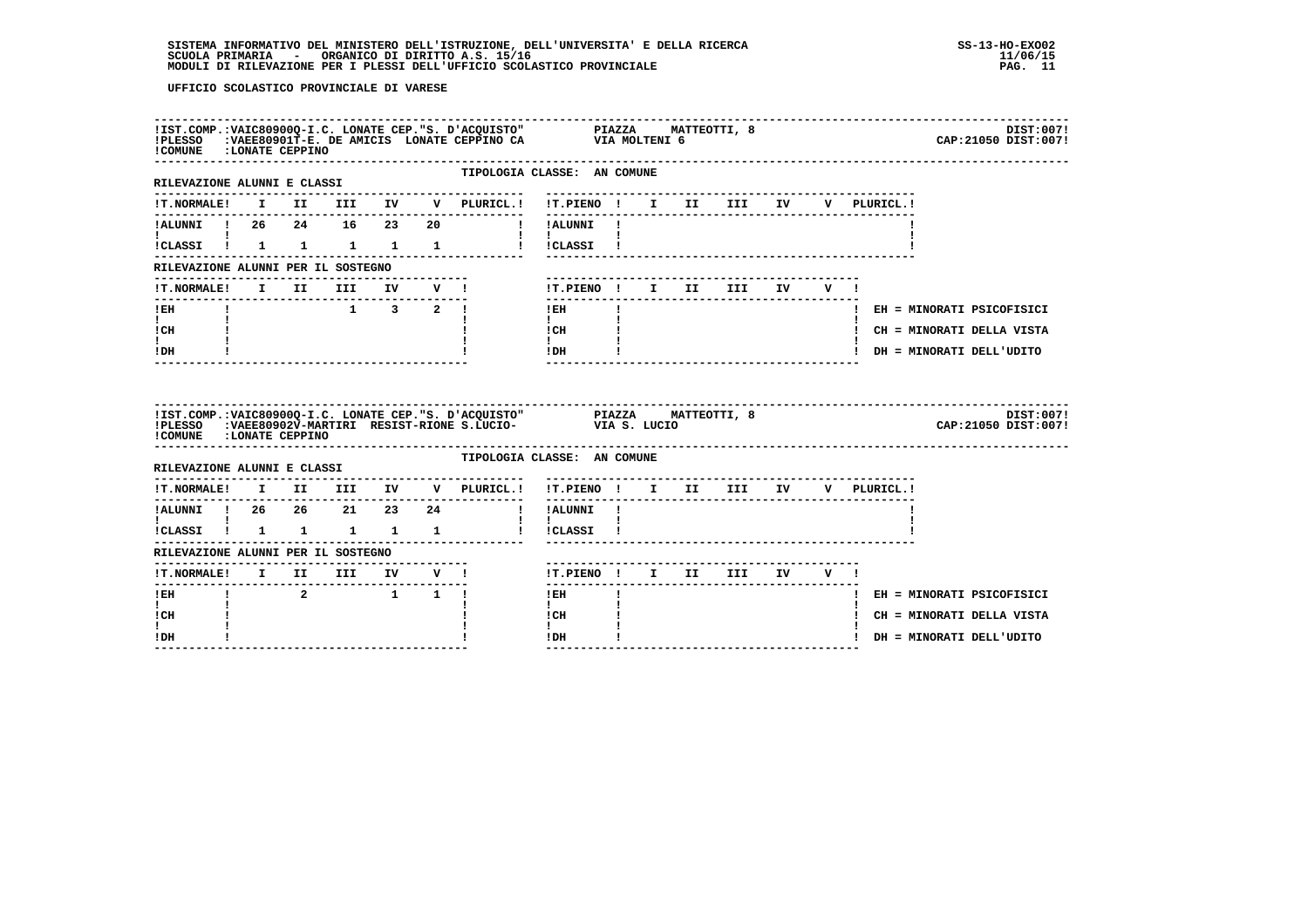| ! COMUNE : LONATE CEPPINO                                             |              |          |                                        |  | IIST.COMP.:VAIC80900Q-I.C. LONATE CEP."S. D'ACQUISTO" PIAZZA MATTEOTTI, 8<br>IPLESSO :VAEE80901T-E. DE AMICIS LONATE CEPPINO CA VIA MOLTENI 6 |                                          |              |  |                                  |     |             | DIST:007!<br>CAP: 21050 DIST: 007! |  |
|-----------------------------------------------------------------------|--------------|----------|----------------------------------------|--|-----------------------------------------------------------------------------------------------------------------------------------------------|------------------------------------------|--------------|--|----------------------------------|-----|-------------|------------------------------------|--|
| RILEVAZIONE ALUNNI E CLASSI                                           |              |          |                                        |  | TIPOLOGIA CLASSE: AN COMUNE<br>-------------                                                                                                  |                                          |              |  |                                  |     |             |                                    |  |
| <b>!T.NORMALE!</b>                                                    |              |          |                                        |  | I II III IV V PLURICL.! !T.PIENO ! I II III IV V PLURICL.!                                                                                    | ---------------------------------        |              |  |                                  |     |             |                                    |  |
| !ALUNNI ! 26  24  16  23  20                                          |              |          |                                        |  | I IALUNNI !                                                                                                                                   |                                          |              |  |                                  |     |             |                                    |  |
| !CLASSI ! 1 1 1 1 1                                                   |              |          |                                        |  |                                                                                                                                               | $\mathbf{I}$<br>I ICLASSI I              |              |  |                                  |     |             |                                    |  |
| RILEVAZIONE ALUNNI PER IL SOSTEGNO                                    |              |          |                                        |  |                                                                                                                                               |                                          |              |  |                                  |     |             |                                    |  |
| !T.NORMALE! I II III IV V !                                           |              |          |                                        |  |                                                                                                                                               | ! T.PIENO! I II III IV V!                |              |  |                                  |     |             |                                    |  |
| -----------------------------<br>! EH                                 | $\mathbf{I}$ |          | $1 \quad 3 \quad 2 \quad 1$            |  |                                                                                                                                               | ! EH                                     | $\mathbf{I}$ |  |                                  |     |             | ! EH = MINORATI PSICOFISICI        |  |
| $\mathbf{I}$<br>! CH                                                  |              |          |                                        |  |                                                                                                                                               | $\mathbf{I}$<br>! CH                     |              |  |                                  |     |             | ! CH = MINORATI DELLA VISTA        |  |
| $\mathbf{I}$<br>! DH                                                  |              |          |                                        |  |                                                                                                                                               | $\mathbf{I}$<br>! DH                     |              |  |                                  |     |             | ! DH = MINORATI DELL'UDITO         |  |
|                                                                       |              |          |                                        |  |                                                                                                                                               |                                          |              |  |                                  |     |             |                                    |  |
| ! COMUNE : LONATE CEPPINO                                             |              |          |                                        |  | IIST.COMP.:VAIC80900Q-I.C. LONATE CEP."S. D'ACQUISTO" PIAZZA MATTEOTTI, 8<br>IPLESSO :VAEE80902V-MARTIRI RESIST-RIONE S.LUCIO- VIA S. LUCIO   |                                          |              |  |                                  |     |             | DIST:007!<br>CAP: 21050 DIST: 007! |  |
| RILEVAZIONE ALUNNI E CLASSI                                           |              |          |                                        |  | TIPOLOGIA CLASSE: AN COMUNE                                                                                                                   |                                          |              |  |                                  |     |             |                                    |  |
| <b>!T.NORMALE!</b>                                                    |              |          | -----------------------<br>I II III IV |  | --------------<br>V PLURICL.!                                                                                                                 | !T.PIENO ! I II III IV                   |              |  |                                  |     | V PLURICL.! |                                    |  |
| !ALUNNI ! 26  26  21  23  24                                          |              |          |                                        |  |                                                                                                                                               | -----------<br>! !ALUNNI !               |              |  | -------------------------------- |     |             |                                    |  |
| $\mathbf{I}$ and $\mathbf{I}$ and $\mathbf{I}$<br>!CLASSI ! 1 1 1 1 1 |              |          |                                        |  |                                                                                                                                               | $\mathbf{I}$ $\mathbf{I}$<br>! !CLASSI ! |              |  |                                  |     |             |                                    |  |
| RILEVAZIONE ALUNNI PER IL SOSTEGNO                                    |              |          |                                        |  |                                                                                                                                               |                                          |              |  |                                  |     |             |                                    |  |
|                                                                       |              |          |                                        |  |                                                                                                                                               | !T.PIENO ! I II III IV                   |              |  |                                  | V ! |             |                                    |  |
| !T.NORMALE! I II III IV V !<br>! EH                                   |              | $\sim$ 2 | $1 \quad 1 \quad 1$                    |  |                                                                                                                                               | $!$ EH                                   |              |  |                                  |     |             | ! EH = MINORATI PSICOFISICI        |  |
| $\mathbf{I}$<br>! CH                                                  |              |          |                                        |  |                                                                                                                                               | $\mathbf{I}$<br>! CH                     |              |  |                                  |     |             | ! CH = MINORATI DELLA VISTA        |  |
| ! DH                                                                  |              |          |                                        |  |                                                                                                                                               | $\mathbf{I}$<br>! DH                     |              |  |                                  |     |             | ! DH = MINORATI DELL'UDITO         |  |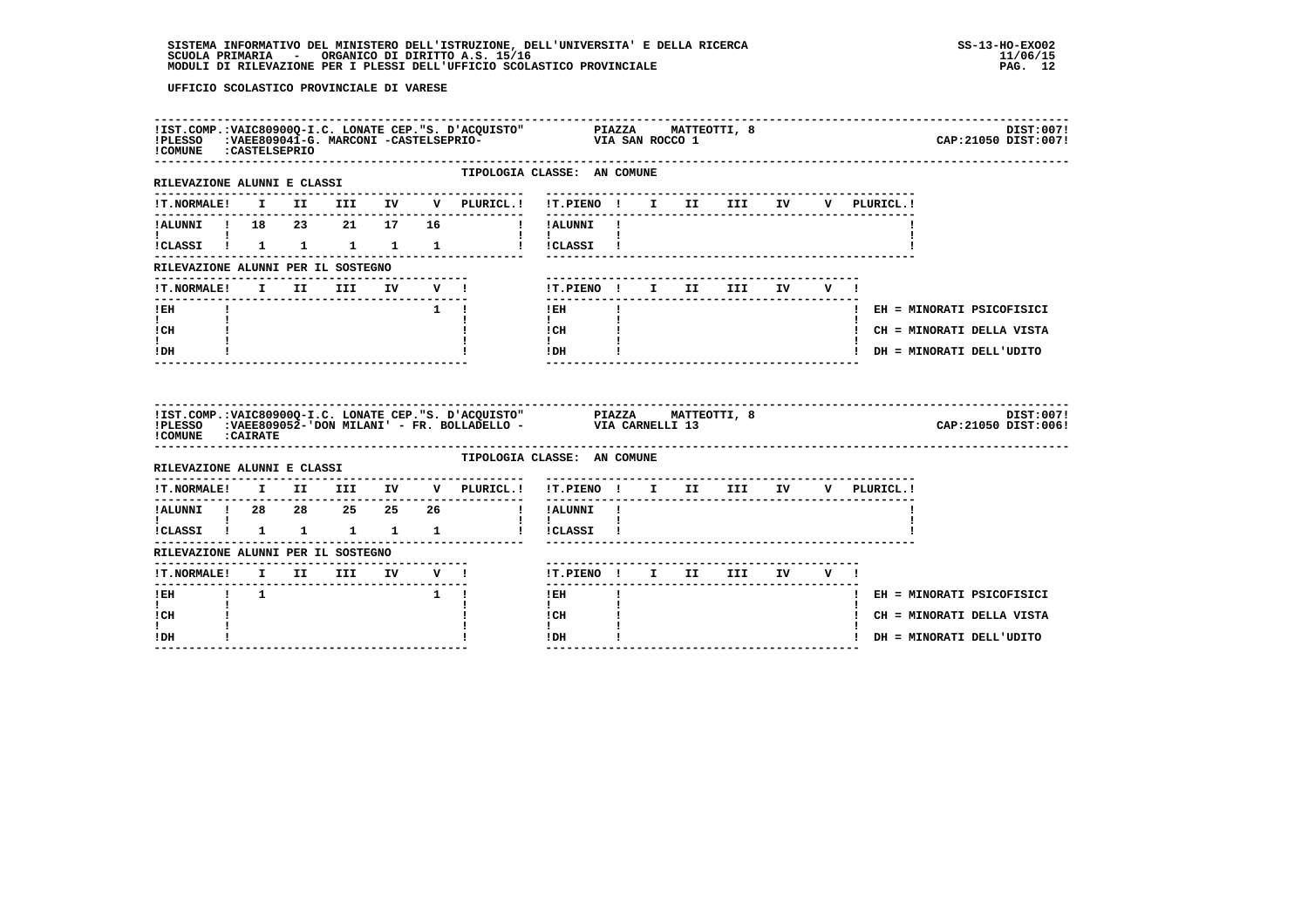| !COMUNE : CASTELSEPRIO                                       |  |  |                                          | IIST.COMP.:VAIC80900Q-I.C. LONATE CEP."S. D'ACQUISTO" PIAZZA MATTEOTTI, 8<br>IPLESSO :VAEE809041-G. MARCONI -CASTELSEPRIO- VIA SAN ROCCO 1<br>ICOMINE :CASTELSEPRIO |                                          |                                  |                        |        |  |                             | DIST:007!<br>CAP: 21050 DIST: 007! |
|--------------------------------------------------------------|--|--|------------------------------------------|---------------------------------------------------------------------------------------------------------------------------------------------------------------------|------------------------------------------|----------------------------------|------------------------|--------|--|-----------------------------|------------------------------------|
| -----------------------------<br>RILEVAZIONE ALUNNI E CLASSI |  |  |                                          | TIPOLOGIA CLASSE: AN COMUNE                                                                                                                                         |                                          |                                  |                        |        |  |                             |                                    |
|                                                              |  |  |                                          | !T.NORMALE! I II III IV V PLURICL.! !T.PIENO ! I II III IV V PLURICL.!                                                                                              |                                          |                                  |                        |        |  |                             |                                    |
| !ALUNNI ! 18  23  21  17                                     |  |  | 16                                       | I IALUNNI I                                                                                                                                                         | ---------                                |                                  |                        |        |  |                             |                                    |
| !CLASSI ! 1 1 1 1 1                                          |  |  |                                          |                                                                                                                                                                     | $\mathbf{I}$ $\mathbf{I}$<br>! !CLASSI ! |                                  |                        |        |  |                             |                                    |
| RILEVAZIONE ALUNNI PER IL SOSTEGNO                           |  |  |                                          |                                                                                                                                                                     |                                          |                                  |                        |        |  |                             |                                    |
|                                                              |  |  |                                          |                                                                                                                                                                     | !T.PIENO ! I II                          |                                  | <b>III</b>             | IV V ! |  |                             |                                    |
| ! EH                                                         |  |  |                                          | $1 \quad 1$                                                                                                                                                         | ---------------<br>! EH                  |                                  |                        |        |  | ! EH = MINORATI PSICOFISICI |                                    |
| $\mathbf{I}$ and $\mathbf{I}$<br>! CH                        |  |  |                                          |                                                                                                                                                                     | $\mathbf{I}$<br>$ICH$ $\qquad$           |                                  |                        |        |  | ! CH = MINORATI DELLA VISTA |                                    |
| I.<br>! DH                                                   |  |  |                                          |                                                                                                                                                                     | $\mathbf{I}$<br>IDH                      |                                  |                        |        |  | ! DH = MINORATI DELL'UDITO  |                                    |
|                                                              |  |  |                                          |                                                                                                                                                                     |                                          | -------------------------------- |                        |        |  |                             |                                    |
| ! COMUNE : CAIRATE                                           |  |  |                                          | !IST.COMP.:VAIC80900Q-I.C. LONATE CEP."S. D'ACQUISTO" PIAZZA MATTEOTTI, 8<br>!PLESSO :VAEE809052-'DON_MILANI' - FR. BOLLADELLO -         VIA_CARNELLI_ 13           |                                          |                                  |                        |        |  |                             | DIST:007!<br>CAP: 21050 DIST: 006! |
| RILEVAZIONE ALUNNI E CLASSI                                  |  |  |                                          | TIPOLOGIA CLASSE: AN COMUNE                                                                                                                                         |                                          |                                  |                        |        |  |                             |                                    |
|                                                              |  |  |                                          | $\verb !T.NORMALE! \quad I \quad II \quad III \quad IV \quad V \quad \verb PLURICL. !$                                                                              | !T.PIENO ! I II III IV V PLURICL.!       |                                  |                        |        |  |                             |                                    |
| !ALUNNI ! 28  28  25  25  26                                 |  |  |                                          | . <u>.</u> .                                                                                                                                                        | ---------------<br>! !ALUNNI !           |                                  |                        |        |  |                             |                                    |
| <b>The Community</b><br>!CLASSI ! 1 1 1 1 1                  |  |  |                                          |                                                                                                                                                                     | $\mathbf{I}$<br>! !CLASSI !              |                                  |                        |        |  |                             |                                    |
| RILEVAZIONE ALUNNI PER IL SOSTEGNO                           |  |  |                                          |                                                                                                                                                                     |                                          |                                  |                        |        |  |                             |                                    |
|                                                              |  |  |                                          |                                                                                                                                                                     | !T.PIENO ! I II III IV V !               |                                  | ---------------------- |        |  |                             |                                    |
| !EH ! 1                                                      |  |  | $\begin{array}{ccc} & 1 & 1 \end{array}$ |                                                                                                                                                                     | $!$ EH                                   |                                  |                        |        |  | ! EH = MINORATI PSICOFISICI |                                    |
| $\mathbf{I}$<br>! CH                                         |  |  |                                          |                                                                                                                                                                     | $\mathbf{I}$<br>! CH                     |                                  |                        |        |  | ! CH = MINORATI DELLA VISTA |                                    |
| I.<br>! DH                                                   |  |  |                                          |                                                                                                                                                                     | $\mathbf{I}$<br>! DH                     |                                  |                        |        |  | ! DH = MINORATI DELL'UDITO  |                                    |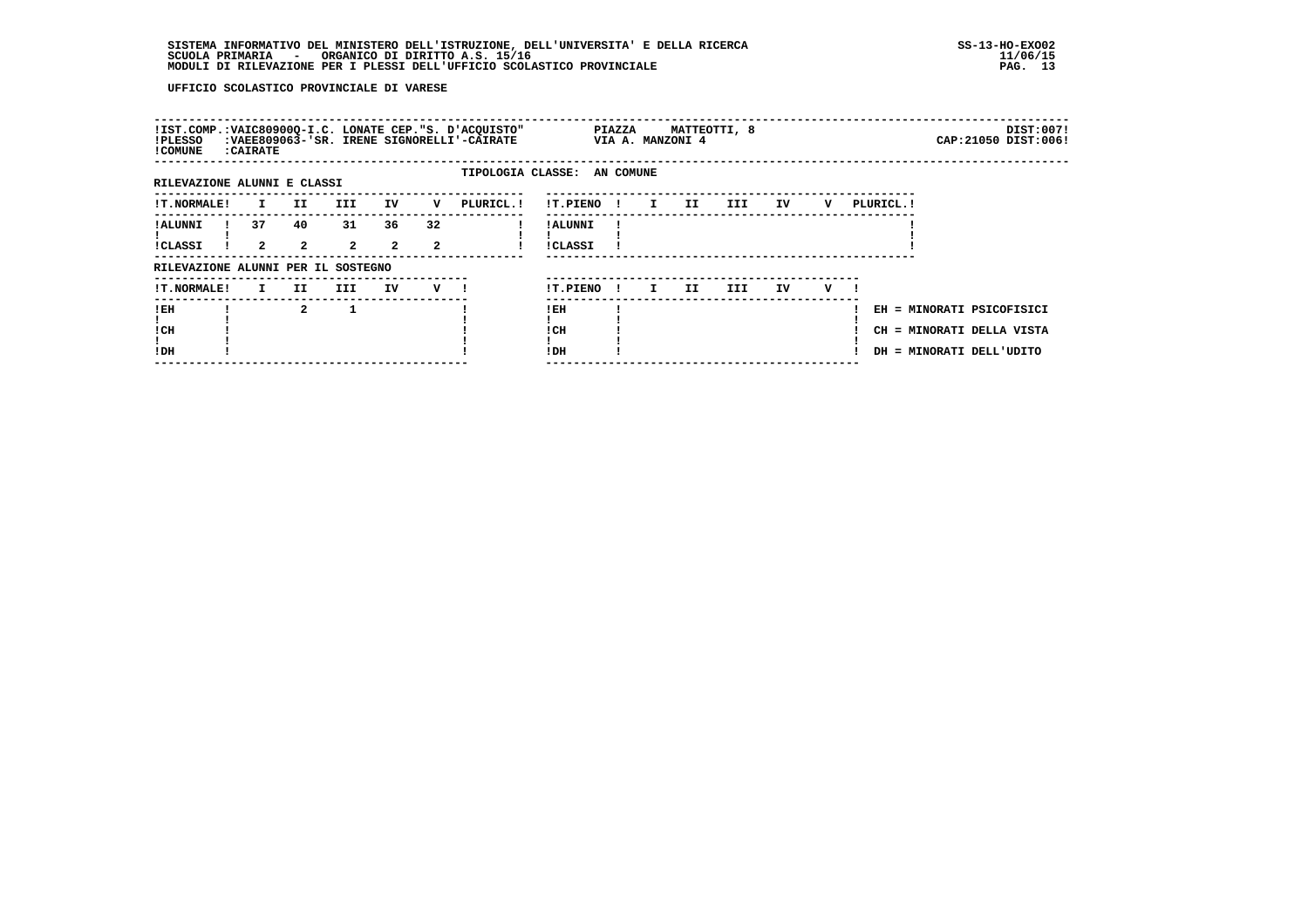| !IST.COMP.: VAIC80900Q-I.C. LONATE CEP. "S. D'ACQUISTO"<br>!PLESSO<br>! COMUNE | : CAIRATE         |                      |                               |                      |                      | :VAEE809063-'SR. IRENE SIGNORELLI'-CAIRATE | <b>PIAZZA</b>              |              | VIA A. MANZONI 4 | MATTEOTTI, 8 |     |    |   |            |                                                                                    | DIST:007!<br>CAP: 21050 DIST: 006! |
|--------------------------------------------------------------------------------|-------------------|----------------------|-------------------------------|----------------------|----------------------|--------------------------------------------|----------------------------|--------------|------------------|--------------|-----|----|---|------------|------------------------------------------------------------------------------------|------------------------------------|
| RILEVAZIONE ALUNNI E CLASSI                                                    |                   |                      |                               |                      |                      | TIPOLOGIA CLASSE: AN COMUNE                |                            |              |                  |              |     |    |   |            |                                                                                    |                                    |
| <b>!T.NORMALE!</b>                                                             | $\mathbf{I}$      | II D                 | III                           | IV                   | v                    | PLURICL. !                                 | !T.PIENO !                 |              | $\mathbf{I}$     | II           | III | IV | v | PLURICL. ! |                                                                                    |                                    |
| ! ALUNNI<br><b>!CLASSI</b>                                                     | 37<br>$2^{\circ}$ | 40<br>$\overline{2}$ | 31<br>$\overline{\mathbf{2}}$ | 36<br>$\overline{2}$ | 32<br>$\overline{2}$ |                                            | ! ALUNNI<br><b>!CLASSI</b> |              |                  |              |     |    |   |            |                                                                                    |                                    |
| RILEVAZIONE ALUNNI PER IL SOSTEGNO                                             |                   |                      |                               |                      |                      |                                            |                            |              |                  |              |     |    |   |            |                                                                                    |                                    |
| !T.NORMALE!                                                                    | $\mathbf{I}$      | II.                  | III                           | IV                   | $V$ $l$              |                                            | !T.PIENO                   | $\mathbf{I}$ | $\mathbf{I}$     | II           | III | IV | v |            |                                                                                    |                                    |
| !EH<br>! CH<br>!DH                                                             |                   | $\mathbf{2}$         |                               |                      |                      |                                            | ! EH<br>! CH<br>!DH        |              |                  |              |     |    |   |            | EH = MINORATI PSICOFISICI<br>CH = MINORATI DELLA VISTA<br>DH = MINORATI DELL'UDITO |                                    |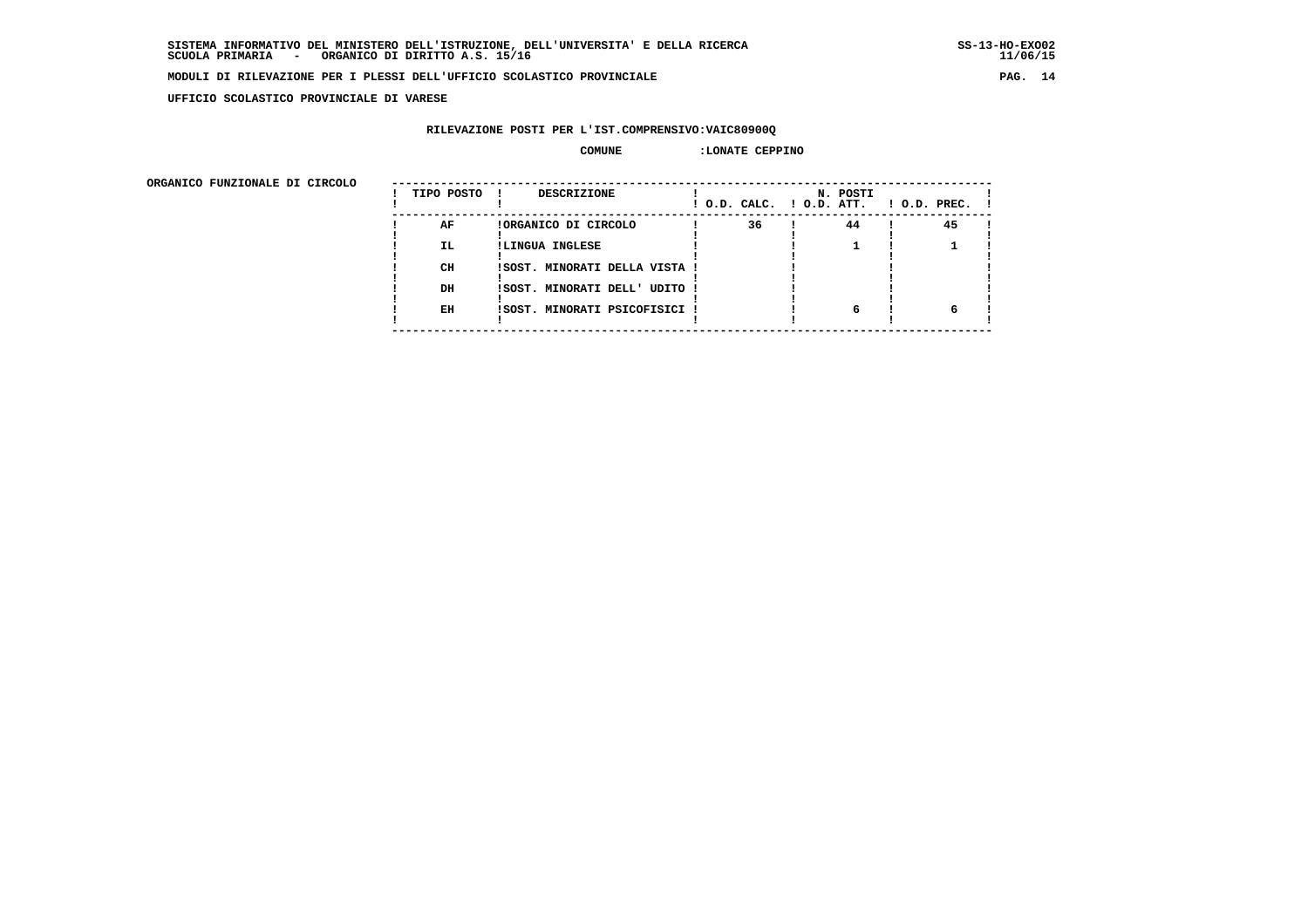**UFFICIO SCOLASTICO PROVINCIALE DI VARESE**

# **RILEVAZIONE POSTI PER L'IST.COMPRENSIVO:VAIC80900Q**

#### **COMUNE :LONATE CEPPINO**

 **ORGANICO FUNZIONALE DI CIRCOLO --------------------------------------------------------------------------------------**

| URGANICO FUNZIONALE DI CIRCOLO | TIPO POSTO | DESCRIZIONE                   | ! O.D. CALC. ! O.D. ATT. | N. POSTI | $1$ O.D. PREC. $1$ |
|--------------------------------|------------|-------------------------------|--------------------------|----------|--------------------|
|                                | AF         | !ORGANICO DI CIRCOLO          | 36                       | 44       | 45                 |
|                                | <b>IL</b>  | !LINGUA INGLESE               |                          |          |                    |
|                                | CH         | !SOST. MINORATI DELLA VISTA ! |                          |          |                    |
|                                | DH         | !SOST. MINORATI DELL' UDITO ! |                          |          |                    |
|                                | EH         | !SOST. MINORATI PSICOFISICI ! |                          | 6        |                    |
|                                |            |                               |                          |          |                    |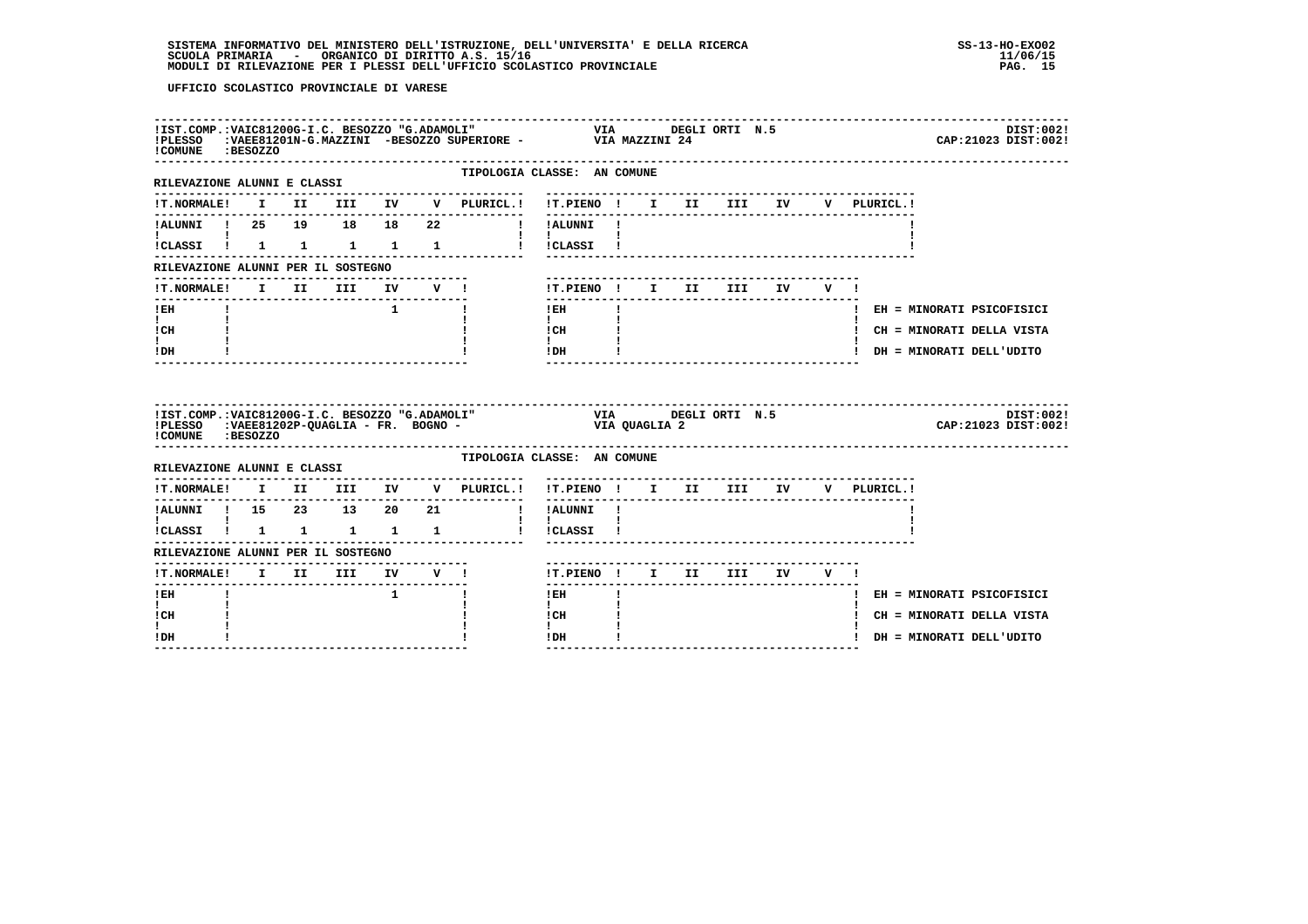| !COMUNE :BESOZZO                                                      |  |  |              | !IST.COMP.:VAIC81200G-I.C. BESOZZO "G.ADAMOLI" VIA DEGLI ORTI N.5<br>!PLESSO :VAEE81201N-G.MAZZINI -BESOZZO SUPERIORE - VIA MAZZINI 24 |                                    |              |  |                                   |  |             | DIST:002!<br>CAP: 21023 DIST: 002! |
|-----------------------------------------------------------------------|--|--|--------------|----------------------------------------------------------------------------------------------------------------------------------------|------------------------------------|--------------|--|-----------------------------------|--|-------------|------------------------------------|
| -------------------------<br>RILEVAZIONE ALUNNI E CLASSI              |  |  |              | TIPOLOGIA CLASSE: AN COMUNE                                                                                                            |                                    |              |  |                                   |  |             |                                    |
|                                                                       |  |  |              | IT. NORMALE! I II III IV V PLURICL.! IT. PIENO ! I II III IV                                                                           |                                    |              |  |                                   |  | V PLURICL.! |                                    |
|                                                                       |  |  |              | I IALUNNI !                                                                                                                            |                                    |              |  |                                   |  |             |                                    |
|                                                                       |  |  |              | !CLASSI ! 1 1 1 1 1 1 ! !CLASSI !                                                                                                      |                                    |              |  |                                   |  |             |                                    |
| RILEVAZIONE ALUNNI PER IL SOSTEGNO                                    |  |  |              |                                                                                                                                        |                                    |              |  |                                   |  |             |                                    |
| !T.NORMALE! I II III IV V !                                           |  |  |              |                                                                                                                                        | !T.PIENO ! I II III IV V !         |              |  |                                   |  |             |                                    |
| ! EH                                                                  |  |  | $1 \quad 1$  |                                                                                                                                        | $!$ EH                             | $\mathbf{I}$ |  |                                   |  |             | ! EH = MINORATI PSICOFISICI        |
| $\mathbf{I}$<br>! CH                                                  |  |  |              |                                                                                                                                        | $\mathbf{I}$<br>! CH               |              |  |                                   |  |             | ! CH = MINORATI DELLA VISTA        |
|                                                                       |  |  |              |                                                                                                                                        | $\mathbf{I}$<br>! DH               |              |  |                                   |  |             | ! DH = MINORATI DELL'UDITO         |
| ! DH                                                                  |  |  |              |                                                                                                                                        |                                    |              |  |                                   |  |             |                                    |
| !COMUNE : BESOZZO                                                     |  |  |              | IIST.COMP.:VAIC81200G-I.C. BESOZZO "G.ADAMOLI" VIA UTA DEGLI ORTI N.5<br>IPLESSO :VAEE81202P-QUAGLIA - FR. BOGNO - VIA QUAGLIA 2       |                                    |              |  |                                   |  |             | DIST:002!<br>CAP: 21023 DIST: 002! |
| RILEVAZIONE ALUNNI E CLASSI                                           |  |  |              | TIPOLOGIA CLASSE: AN COMUNE                                                                                                            |                                    |              |  |                                   |  |             |                                    |
|                                                                       |  |  |              | $\verb !T.NORMALE! \quad I \quad II \quad III \quad IV \quad V \quad \verb PLURICL. !$                                                 | !T.PIENO ! I II III IV V PLURICL.! |              |  |                                   |  |             |                                    |
| !ALUNNI ! 15 23 13 20 21                                              |  |  |              |                                                                                                                                        | --------<br>! !ALUNNI !            |              |  | --------------------------------- |  |             |                                    |
| $\mathbf{I}$ and $\mathbf{I}$ and $\mathbf{I}$<br>!CLASSI ! 1 1 1 1 1 |  |  |              |                                                                                                                                        | $\mathbf{I}$<br>! !CLASSI !        |              |  |                                   |  |             |                                    |
| RILEVAZIONE ALUNNI PER IL SOSTEGNO                                    |  |  |              |                                                                                                                                        |                                    |              |  |                                   |  |             |                                    |
| !T.NORMALE! I II III IV V !                                           |  |  |              |                                                                                                                                        | !T.PIENO ! I II III IV V !         |              |  |                                   |  |             |                                    |
| $1$ EH                                                                |  |  | $\mathbf{1}$ | $\mathbf{I}$                                                                                                                           | ------<br>! EH                     |              |  |                                   |  |             | ! EH = MINORATI PSICOFISICI        |
| I.<br>! CH                                                            |  |  |              |                                                                                                                                        | $\mathbf{I}$<br>! CH               |              |  |                                   |  |             | ! CH = MINORATI DELLA VISTA        |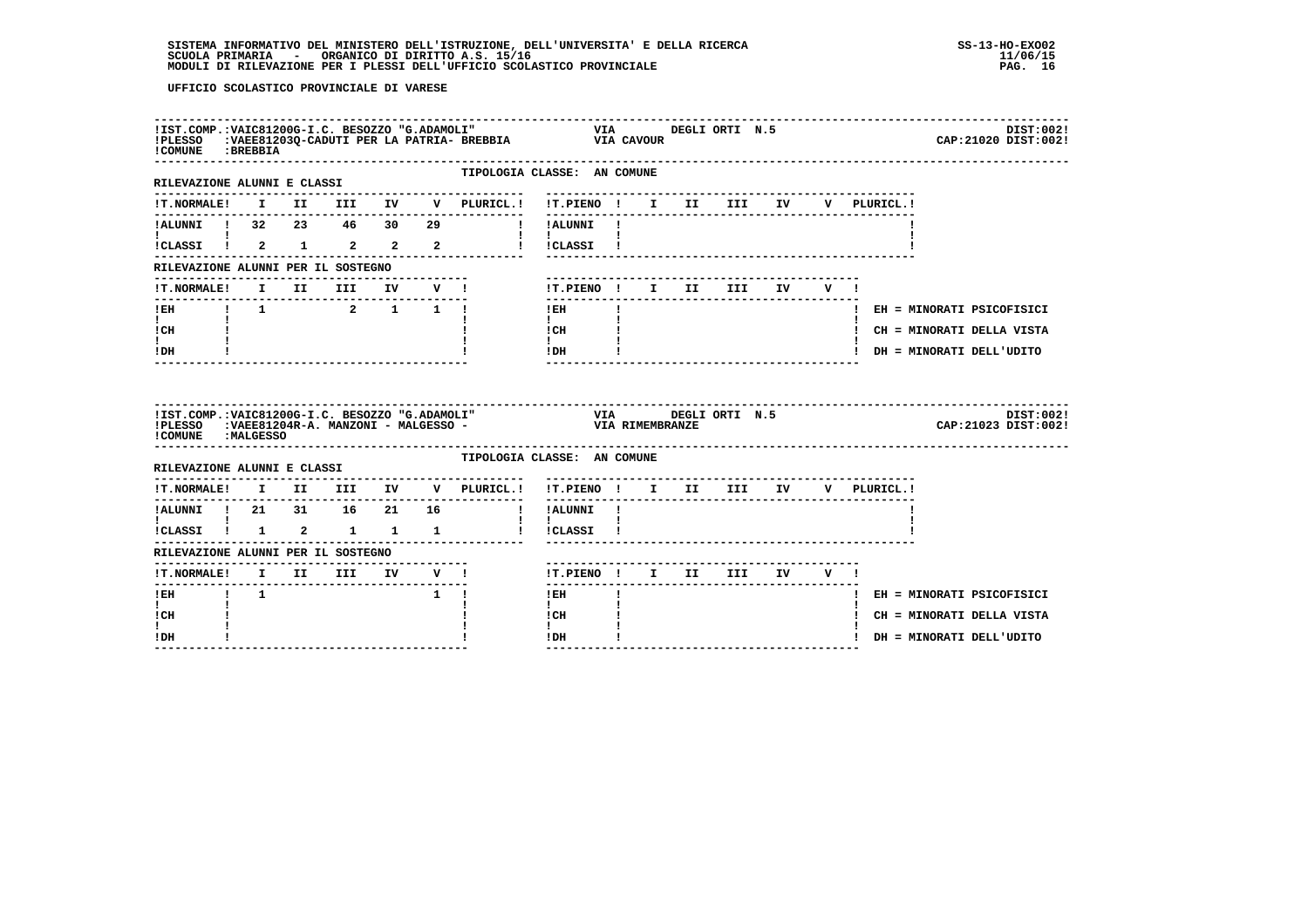| !COMUNE : BREBBIA                      |  |             |              | ILST.COMP.:VAIC81200G-I.C. BESOZZO "G.ADAMOLI" VIA DEGLI ORTI N.5<br>IPLESSO :VAEE81203Q-CADUTI PER LA PATRIA- BREBBIA VIA CAVOUR<br>ICOMENE :PREPRIN  |                                                  |              |  |                                     |     |             | DIST:002!<br>CAP: 21020 DIST: 002! |
|----------------------------------------|--|-------------|--------------|--------------------------------------------------------------------------------------------------------------------------------------------------------|--------------------------------------------------|--------------|--|-------------------------------------|-----|-------------|------------------------------------|
| RILEVAZIONE ALUNNI E CLASSI            |  |             |              | TIPOLOGIA CLASSE: AN COMUNE                                                                                                                            |                                                  |              |  |                                     |     |             |                                    |
|                                        |  |             |              | !T.NORMALE! I II III IV V PLURICL.! !T.PIENO ! I II III IV                                                                                             |                                                  |              |  | --------------------------------    |     | V PLURICL.! |                                    |
|                                        |  |             |              |                                                                                                                                                        | ---------<br>! !ALUNNI !                         |              |  |                                     |     |             |                                    |
| !CLASSI ! 2 1 2 2 2                    |  |             |              |                                                                                                                                                        | <b>Contract Contract Contract</b><br>! !CLASSI ! |              |  |                                     |     |             |                                    |
| RILEVAZIONE ALUNNI PER IL SOSTEGNO     |  |             |              |                                                                                                                                                        |                                                  |              |  |                                     |     |             |                                    |
| <b>!T.NORMALE!</b>                     |  | I II III    | IV V !       |                                                                                                                                                        |                                                  |              |  | !T.PIENO ! I II III IV              | V I |             |                                    |
| ------------------------------<br>! EH |  | 1 1 2 1 1 1 | ------------ |                                                                                                                                                        | $!$ EH                                           | $\mathbf{I}$ |  |                                     |     |             | ! EH = MINORATI PSICOFISICI        |
| $\mathbf{I}$<br>! CH                   |  |             |              |                                                                                                                                                        | $\mathbf{I}$<br>! CH                             |              |  |                                     |     |             | ! CH = MINORATI DELLA VISTA        |
|                                        |  |             |              |                                                                                                                                                        | $\mathbf{I}$<br>!DH                              |              |  |                                     |     |             | ! DH = MINORATI DELL'UDITO         |
| $\mathbf{I}$<br>!DH                    |  |             |              |                                                                                                                                                        |                                                  |              |  |                                     |     |             |                                    |
| COMUNE : MALGESSO                      |  |             |              | !IST.COMP.:VAIC81200G-I.C. BESOZZO "G.ADAMOLI" VIA UEGLI ORTI N.5<br>!PLESSO :VAEE81204R-A. MANZONI - MALGESSO -                       VIA RIMEMBRANZE |                                                  |              |  |                                     |     |             | DIST:002!<br>CAP: 21023 DIST: 002! |
| RILEVAZIONE ALUNNI E CLASSI            |  |             |              | TIPOLOGIA CLASSE: AN COMUNE                                                                                                                            |                                                  |              |  |                                     |     |             |                                    |
| <b>!T.NORMALE!</b>                     |  |             |              | I II III IV V PLURICL.!                                                                                                                                | !T.PIENO ! I II III IV V PLURICL.!               |              |  | ----------------------------------- |     |             |                                    |
| !ALUNNI ! 21 31 16 21 16               |  |             |              |                                                                                                                                                        | ! !ALUNNI !                                      |              |  | -----------------------------       |     |             |                                    |
| !CLASSI ! 1 2 1 1 1                    |  |             |              |                                                                                                                                                        | $\mathbf{1}$ $\mathbf{1}$<br>! !CLASSI !         |              |  |                                     |     |             |                                    |
| RILEVAZIONE ALUNNI PER IL SOSTEGNO     |  |             |              |                                                                                                                                                        |                                                  |              |  |                                     |     |             |                                    |
| !T.NORMALE! I II III IV V !            |  |             |              |                                                                                                                                                        |                                                  |              |  | !T.PIENO! I II III IV V!            |     |             |                                    |
| !EH ! 1                                |  |             | $1 \quad 1$  |                                                                                                                                                        | -------<br>$1$ EH                                |              |  | -----------------------             |     |             | ! EH = MINORATI PSICOFISICI        |
| $\mathbf{I}$<br>! CH                   |  |             |              |                                                                                                                                                        | $\mathbf{I}$<br>l CH                             |              |  |                                     |     |             | ! CH = MINORATI DELLA VISTA        |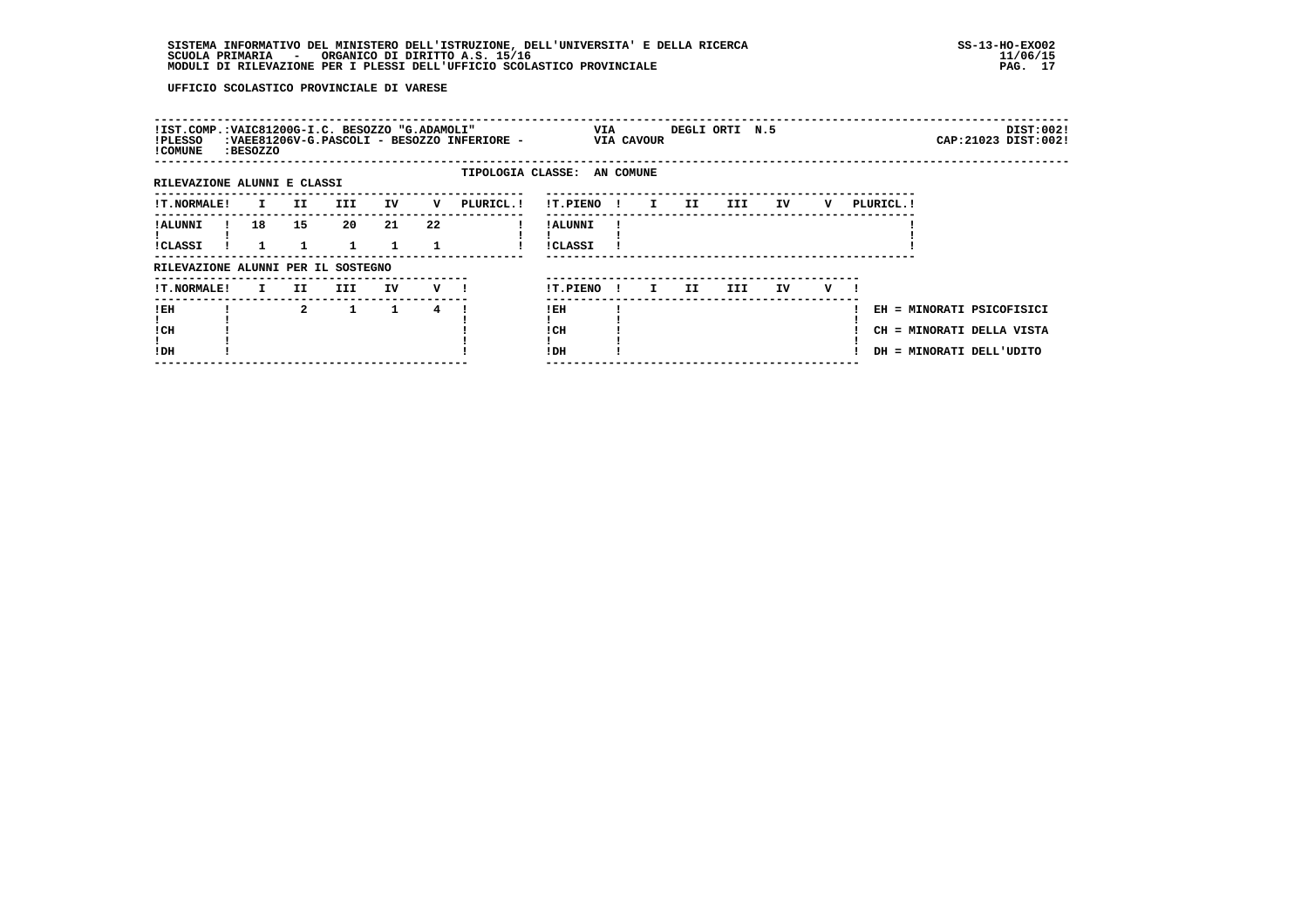| !PLESSO<br>! COMUNE         | :BESOZZO |                | !IST.COMP.:VAIC81200G-I.C. BESOZZO "G.ADAMOLI" |         |    | :VAEE81206V-G.PASCOLI - BESOZZO INFERIORE - |                            | VIA | <b>VIA CAVOUR</b>            |     | DEGLI ORTI N.5 |    |   |                                                                                    |  | DIST:002!<br>CAP: 21023 DIST: 002! |
|-----------------------------|----------|----------------|------------------------------------------------|---------|----|---------------------------------------------|----------------------------|-----|------------------------------|-----|----------------|----|---|------------------------------------------------------------------------------------|--|------------------------------------|
| RILEVAZIONE ALUNNI E CLASSI |          |                |                                                |         |    | TIPOLOGIA CLASSE: AN COMUNE                 |                            |     |                              |     |                |    |   |                                                                                    |  |                                    |
| <b>!T.NORMALE!</b>          | I.       | II.            | III.                                           | IV      | v  | PLURICL. !                                  | !T.PIENO                   |     | $\mathbf{I}$<br>$\mathbf{I}$ | II. | III            | IV | v | PLURICL. !                                                                         |  |                                    |
| ! ALUNNI<br>!CLASSI         | 18       | 15             | 20                                             | 21<br>1 | 22 |                                             | ! ALUNNI<br><b>!CLASSI</b> |     |                              |     |                |    |   |                                                                                    |  |                                    |
|                             |          |                | RILEVAZIONE ALUNNI PER IL SOSTEGNO             |         |    |                                             |                            |     |                              |     |                |    |   |                                                                                    |  |                                    |
| <b>!T.NORMALE!</b>          | I.       | II.            | III.                                           | IV      | v  |                                             | !T.PIENO                   |     | I.<br>$\mathbf{I}$           | II. | III            | IV | v |                                                                                    |  |                                    |
| !EH<br>! CH<br>!DH          |          | $\overline{2}$ | $\mathbf{1}$                                   | 1       | 4  |                                             | ! EH<br>! CH<br>!DH        |     |                              |     |                |    |   | EH = MINORATI PSICOFISICI<br>CH = MINORATI DELLA VISTA<br>DH = MINORATI DELL'UDITO |  |                                    |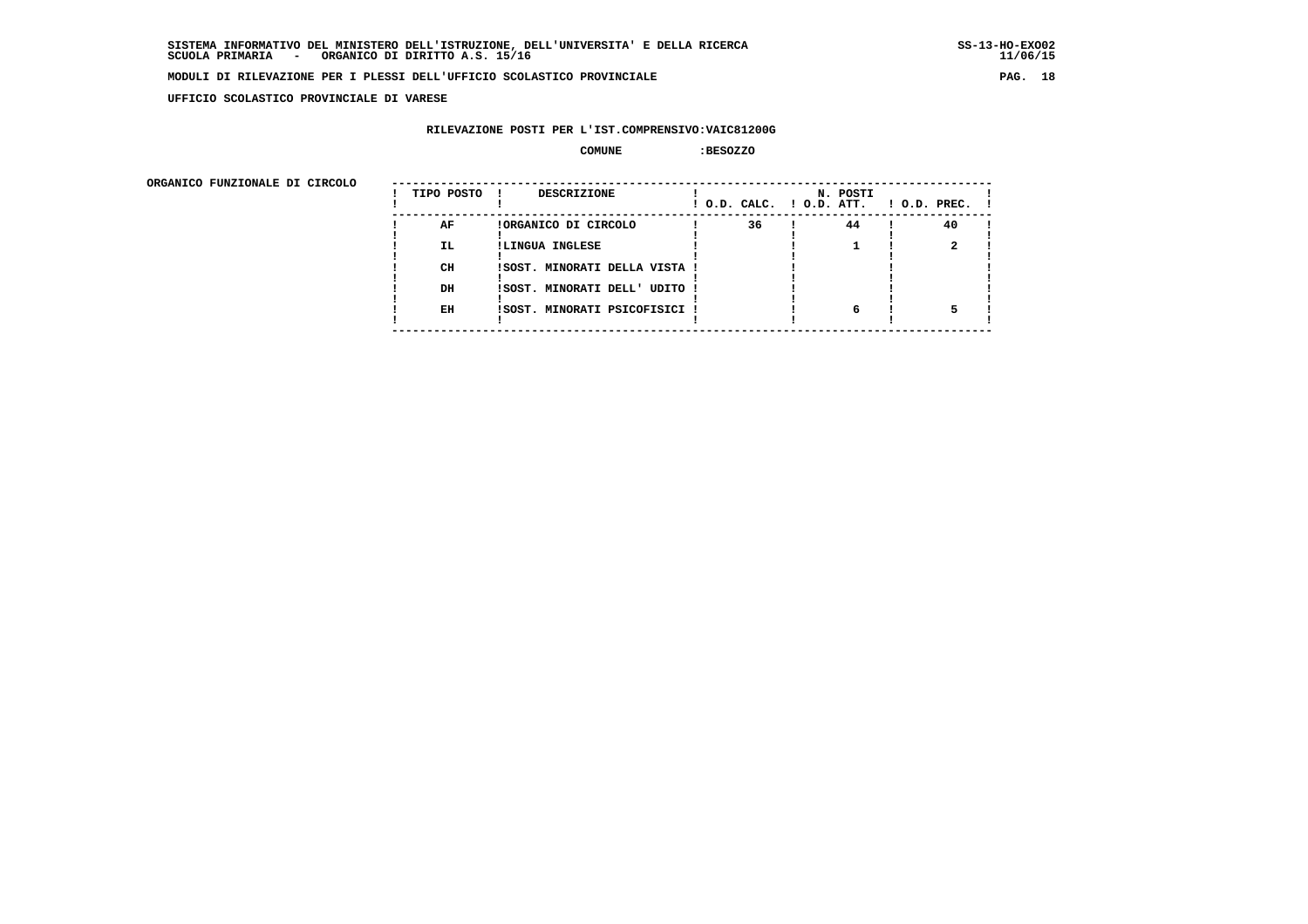**UFFICIO SCOLASTICO PROVINCIALE DI VARESE**

# **RILEVAZIONE POSTI PER L'IST.COMPRENSIVO:VAIC81200G**

#### **COMUNE :BESOZZO**

| ORGANICO FUNZIONALE DI CIRCOLO |            |                               |                          |          |                    |
|--------------------------------|------------|-------------------------------|--------------------------|----------|--------------------|
|                                | TIPO POSTO | DESCRIZIONE                   | ! O.D. CALC. ! O.D. ATT. | N. POSTI | $1$ O.D. PREC. $1$ |
|                                | AF         | !ORGANICO DI CIRCOLO          | 36                       | 44       | 40                 |
|                                | IL.        | !LINGUA INGLESE               |                          |          |                    |
|                                | CH         | !SOST. MINORATI DELLA VISTA ! |                          |          |                    |
|                                | DH         | !SOST. MINORATI DELL' UDITO ! |                          |          |                    |
|                                | EH         | !SOST. MINORATI PSICOFISICI ! |                          | 6        |                    |
|                                |            |                               |                          |          |                    |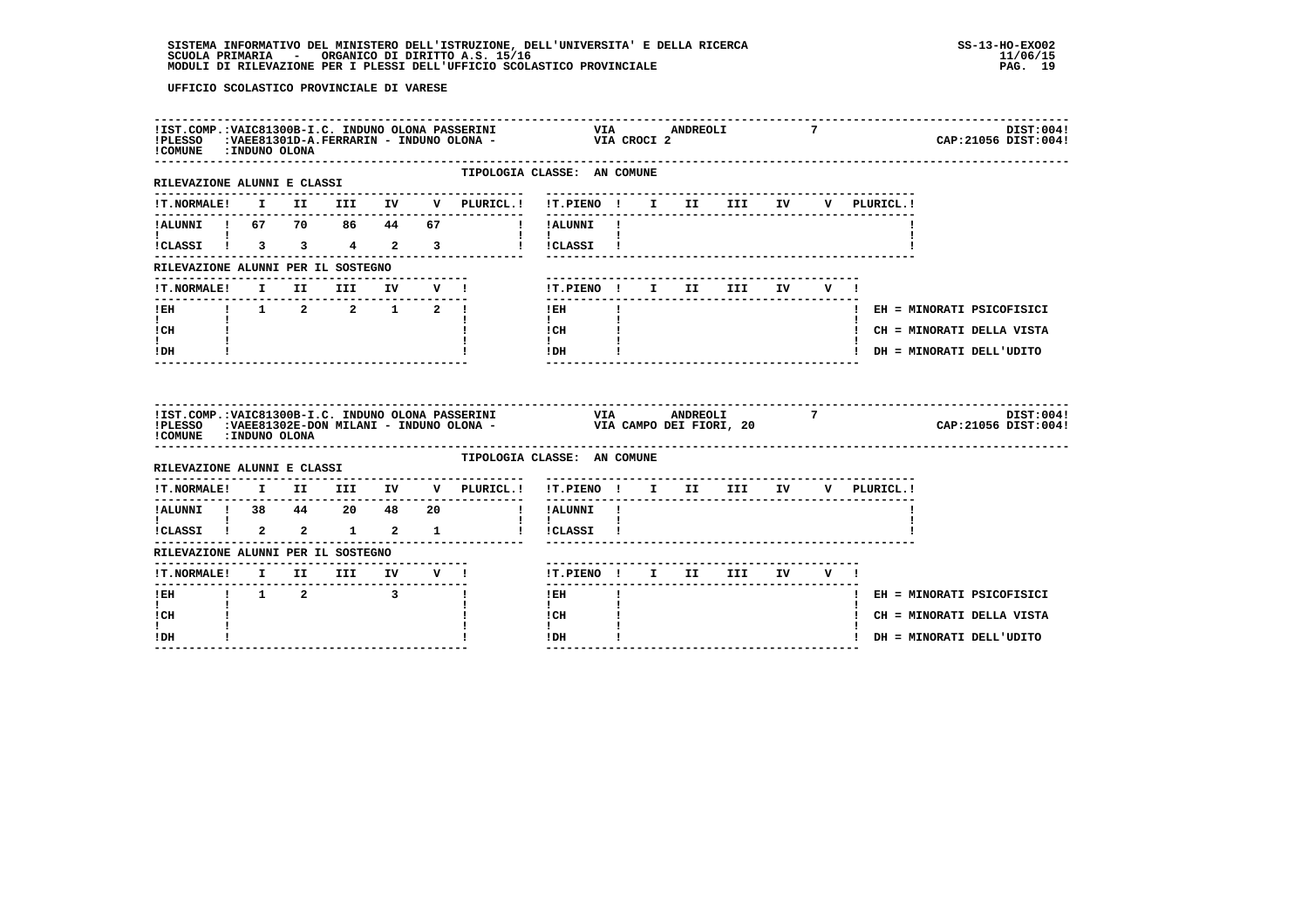| !COMUNE : INDUNO OLONA                                                |  |          |        | : LST.COMP.: VAIC81300B-I.C. INDUNO OLONA PASSERINI VIA VIA ANDREOLI PLESSO (19828)<br>IPLESSO (198281301D-A.FERRARIN - INDUNO OLONA - VIA CROCI 2 |                                                                                                                                                                                                                                                                                                                                            |              |  |                                     |    | 7     |              | DIST:004!<br>CAP: 21056 DIST: 004! |
|-----------------------------------------------------------------------|--|----------|--------|----------------------------------------------------------------------------------------------------------------------------------------------------|--------------------------------------------------------------------------------------------------------------------------------------------------------------------------------------------------------------------------------------------------------------------------------------------------------------------------------------------|--------------|--|-------------------------------------|----|-------|--------------|------------------------------------|
| ------------------------<br>RILEVAZIONE ALUNNI E CLASSI               |  |          |        |                                                                                                                                                    | TIPOLOGIA CLASSE: AN COMUNE                                                                                                                                                                                                                                                                                                                |              |  |                                     |    |       |              |                                    |
|                                                                       |  |          |        | !T.NORMALE! I II III IV V PLURICL.! !T.PIENO ! I II III IV                                                                                         | __________                                                                                                                                                                                                                                                                                                                                 |              |  |                                     |    |       | V PLURICL. ! |                                    |
|                                                                       |  |          |        | !ALUNNI ! 67 70 86 44 67 ! !ALUNNI !                                                                                                               |                                                                                                                                                                                                                                                                                                                                            |              |  |                                     |    |       |              |                                    |
|                                                                       |  |          |        | ICLASSI ! 3 3 4 2 3 1 ICLASSI !                                                                                                                    |                                                                                                                                                                                                                                                                                                                                            |              |  |                                     |    |       |              |                                    |
| RILEVAZIONE ALUNNI PER IL SOSTEGNO                                    |  |          |        |                                                                                                                                                    |                                                                                                                                                                                                                                                                                                                                            |              |  |                                     |    |       |              |                                    |
| <b>!T.NORMALE!</b>                                                    |  | I II III | IV V ! |                                                                                                                                                    | !T.PIENO ! I II III                                                                                                                                                                                                                                                                                                                        |              |  |                                     | IV | V I   |              |                                    |
| --------------------------<br>!EH    !    1    2   2   1   2   !      |  |          | .      |                                                                                                                                                    | $!$ EH                                                                                                                                                                                                                                                                                                                                     | $\mathbf{I}$ |  |                                     |    |       |              | ! EH = MINORATI PSICOFISICI        |
| $\mathbf{I}$ and $\mathbf{I}$<br>! CH                                 |  |          |        |                                                                                                                                                    | $\mathbf{I}$<br>! CH                                                                                                                                                                                                                                                                                                                       |              |  |                                     |    |       |              | ! CH = MINORATI DELLA VISTA        |
| ! DH                                                                  |  |          |        |                                                                                                                                                    | $\mathbf{I}$<br>! DH                                                                                                                                                                                                                                                                                                                       |              |  | ------------------------            |    |       |              | ! DH = MINORATI DELL'UDITO         |
| !COMUNE : INDUNO OLONA                                                |  |          |        | IIST.COMP.:VAIC81300B-I.C. INDUNO OLONA PASSERINI VIA VIA ANDREOLI 7<br>IPLESSO :VAEE81302E-DON MILANI - INDUNO OLONA - VIA CAMPO DEI FIORI, 20    |                                                                                                                                                                                                                                                                                                                                            |              |  |                                     |    |       |              | DIST:004!<br>CAP:21056 DIST:004!   |
| RILEVAZIONE ALUNNI E CLASSI                                           |  |          |        |                                                                                                                                                    |                                                                                                                                                                                                                                                                                                                                            |              |  |                                     |    |       |              |                                    |
|                                                                       |  |          |        |                                                                                                                                                    | TIPOLOGIA CLASSE: AN COMUNE                                                                                                                                                                                                                                                                                                                |              |  |                                     |    |       |              |                                    |
| <b>!T.NORMALE!</b>                                                    |  |          |        | I II III IV V PLURICL.!                                                                                                                            | !T.PIENO! I II III IV V PLURICL.!                                                                                                                                                                                                                                                                                                          |              |  | ----------------------------------- |    |       |              |                                    |
|                                                                       |  |          |        |                                                                                                                                                    | ! !ALUNNI !                                                                                                                                                                                                                                                                                                                                |              |  |                                     |    |       |              |                                    |
| $\mathbf{I}$ and $\mathbf{I}$ and $\mathbf{I}$<br>!CLASSI ! 2 2 1 2 1 |  |          |        |                                                                                                                                                    | $\mathbf{I}$ $\mathbf{I}$<br>! !CLASSI !                                                                                                                                                                                                                                                                                                   |              |  |                                     |    |       |              |                                    |
| RILEVAZIONE ALUNNI PER IL SOSTEGNO                                    |  |          |        |                                                                                                                                                    |                                                                                                                                                                                                                                                                                                                                            |              |  |                                     |    |       |              |                                    |
| !T.NORMALE! I II III IV V !                                           |  |          |        |                                                                                                                                                    | !T.PIENO ! I II III                                                                                                                                                                                                                                                                                                                        |              |  |                                     |    | IV V! |              |                                    |
| -------<br>!EH ! 1 2 3 !                                              |  |          |        |                                                                                                                                                    | $!$ EH $\qquad$ $\qquad$ $\qquad$ $\qquad$ $\qquad$ $\qquad$ $\qquad$ $\qquad$ $\qquad$ $\qquad$ $\qquad$ $\qquad$ $\qquad$ $\qquad$ $\qquad$ $\qquad$ $\qquad$ $\qquad$ $\qquad$ $\qquad$ $\qquad$ $\qquad$ $\qquad$ $\qquad$ $\qquad$ $\qquad$ $\qquad$ $\qquad$ $\qquad$ $\qquad$ $\qquad$ $\qquad$ $\qquad$ $\qquad$ $\qquad$ $\qquad$ |              |  |                                     |    |       |              | ! EH = MINORATI PSICOFISICI        |
| $\mathbf{I}$<br>! CH                                                  |  |          |        |                                                                                                                                                    | $\mathbf{I}$<br>! CH<br>$\mathbf{I}$                                                                                                                                                                                                                                                                                                       |              |  |                                     |    |       |              | ! CH = MINORATI DELLA VISTA        |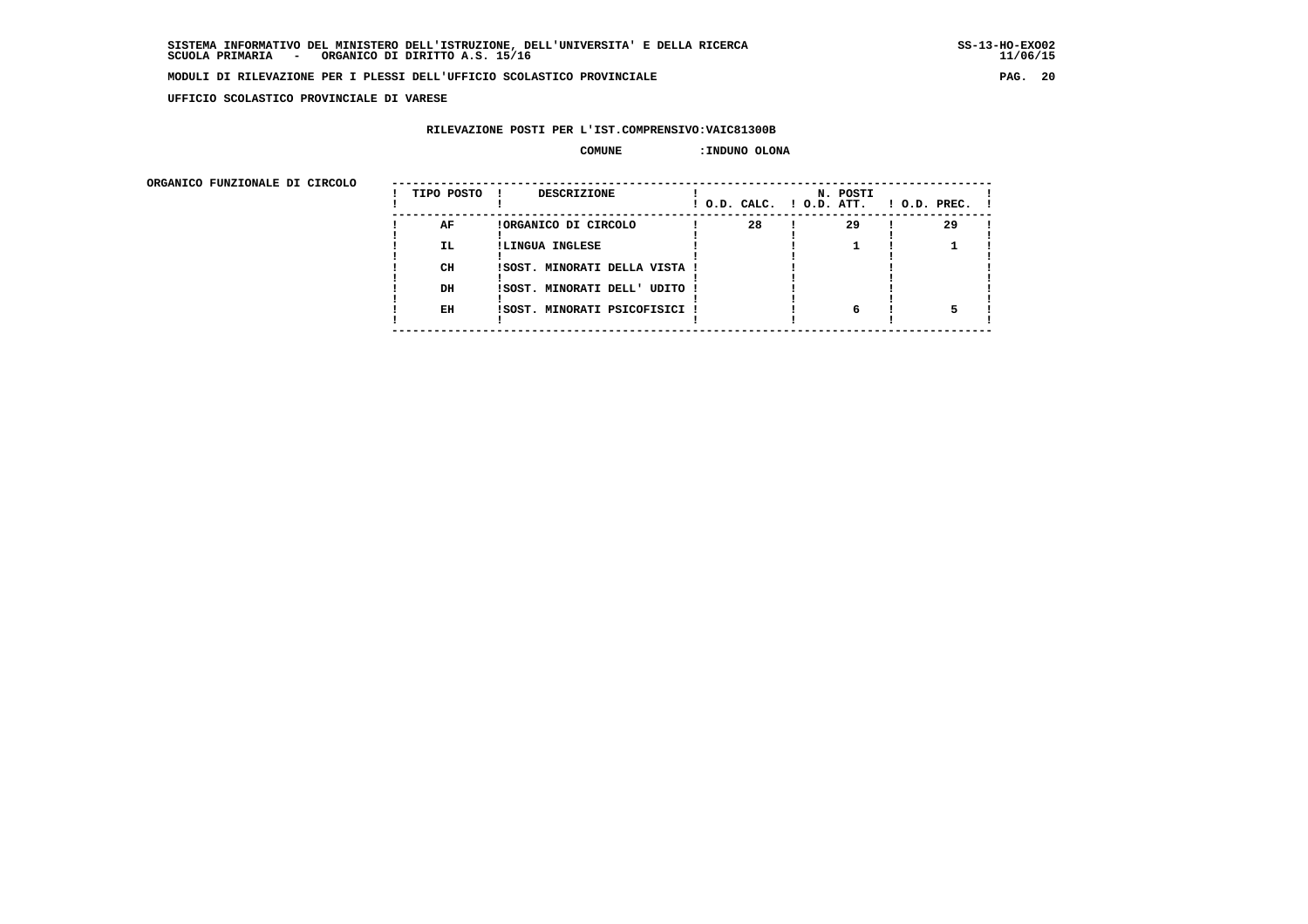**UFFICIO SCOLASTICO PROVINCIALE DI VARESE**

# **RILEVAZIONE POSTI PER L'IST.COMPRENSIVO:VAIC81300B**

#### **COMUNE :INDUNO OLONA**

 **ORGANICO FUNZIONALE DI CIRCOLO --------------------------------------------------------------------------------------**

| URGANICO FUNZIONALE DI CIRCOLO | TIPO POSTO | DESCRIZIONE                   | ! O.D. CALC. ! O.D. ATT. | N. POSTI | $1$ O.D. PREC. $1$ |
|--------------------------------|------------|-------------------------------|--------------------------|----------|--------------------|
|                                | AF         | !ORGANICO DI CIRCOLO          | 28                       | 29       | 29                 |
|                                | <b>IL</b>  | !LINGUA INGLESE               |                          |          |                    |
|                                | CH         | !SOST. MINORATI DELLA VISTA ! |                          |          |                    |
|                                | DH         | !SOST. MINORATI DELL' UDITO ! |                          |          |                    |
|                                | EH         | !SOST. MINORATI PSICOFISICI ! |                          | 6        |                    |
|                                |            |                               |                          |          |                    |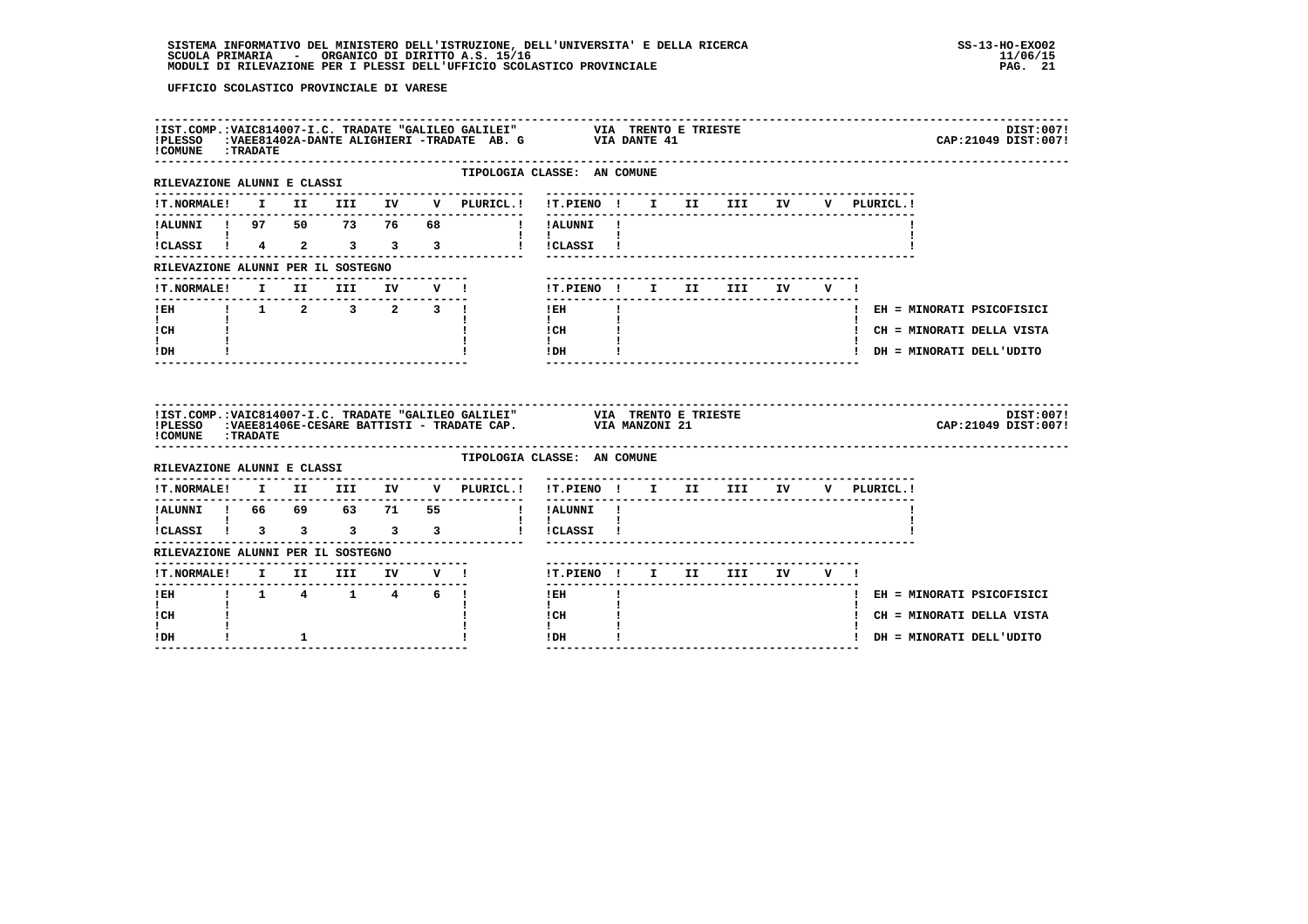| ! COMUNE : TRADATE                                              |  |  |                             | !IST.COMP.:VAIC814007-I.C. TRADATE "GALILEO GALILEI" VIA TRENTO E TRIESTE !PLESSO :VAEE81402A-DANTE ALIGHIERI -TRADATE AB. G VIA DANTE 41                                                                                                                                                                                                  |  |  |                                       | DIST:007!<br>CAP: 21049 DIST: 007! |
|-----------------------------------------------------------------|--|--|-----------------------------|--------------------------------------------------------------------------------------------------------------------------------------------------------------------------------------------------------------------------------------------------------------------------------------------------------------------------------------------|--|--|---------------------------------------|------------------------------------|
| RILEVAZIONE ALUNNI E CLASSI                                     |  |  | --------------              | TIPOLOGIA CLASSE: AN COMUNE<br>-------------------------------                                                                                                                                                                                                                                                                             |  |  |                                       |                                    |
|                                                                 |  |  |                             | !T.NORMALE! I II III IV V PLURICL.! !T.PIENO ! I II III IV V PLURICL.!                                                                                                                                                                                                                                                                     |  |  |                                       |                                    |
|                                                                 |  |  |                             | IALUNNI I 97 50 73 76 68 1 IALUNNI I                                                                                                                                                                                                                                                                                                       |  |  |                                       |                                    |
| $\mathbf{1}$ and $\mathbf{1}$ and $\mathbf{1}$ and $\mathbf{1}$ |  |  |                             | $\mathbf{I}$ and $\mathbf{I}$ and $\mathbf{I}$<br>iCLASSI ! 4 2 3 3 3 1 ICLASSI !                                                                                                                                                                                                                                                          |  |  |                                       |                                    |
| RILEVAZIONE ALUNNI PER IL SOSTEGNO                              |  |  |                             |                                                                                                                                                                                                                                                                                                                                            |  |  |                                       |                                    |
|                                                                 |  |  | !T.NORMALE! I II III IV V ! | !T.PIENO! I II III IV V!                                                                                                                                                                                                                                                                                                                   |  |  |                                       |                                    |
| ---------------                                                 |  |  |                             | $I$ EH $\qquad$ $I$                                                                                                                                                                                                                                                                                                                        |  |  |                                       | ! EH = MINORATI PSICOFISICI        |
| $\mathbf{I}$ and $\mathbf{I}$<br>ICH                            |  |  |                             | $\mathbf{I}$ and $\mathbf{I}$<br>$\frac{1}{1}$ $\frac{1}{1}$                                                                                                                                                                                                                                                                               |  |  |                                       | ! CH = MINORATI DELLA VISTA        |
| $\mathbf{I}$<br>! DH                                            |  |  |                             | $!$ DH $\qquad$ $\qquad$ $\qquad$ $\qquad$ $\qquad$ $\qquad$ $\qquad$ $\qquad$ $\qquad$ $\qquad$ $\qquad$ $\qquad$ $\qquad$ $\qquad$ $\qquad$ $\qquad$ $\qquad$ $\qquad$ $\qquad$ $\qquad$ $\qquad$ $\qquad$ $\qquad$ $\qquad$ $\qquad$ $\qquad$ $\qquad$ $\qquad$ $\qquad$ $\qquad$ $\qquad$ $\qquad$ $\qquad$ $\qquad$ $\qquad$ $\qquad$ |  |  |                                       | ! DH = MINORATI DELL'UDITO         |
|                                                                 |  |  |                             |                                                                                                                                                                                                                                                                                                                                            |  |  |                                       |                                    |
| <b>! COMUNE : TRADATE</b>                                       |  |  |                             | !IST.COMP.:VAIC814007-I.C. TRADATE "GALILEO GALILEI" VIA TRENTO E TRIESTE !PLESSO :VAEE81406E-CESARE BATTISTI - TRADATE CAP. VIA MANZONI 21                                                                                                                                                                                                |  |  |                                       | DIST:007!<br>CAP: 21049 DIST: 007! |
| RILEVAZIONE ALUNNI E CLASSI                                     |  |  |                             | TIPOLOGIA CLASSE: AN COMUNE                                                                                                                                                                                                                                                                                                                |  |  |                                       |                                    |
|                                                                 |  |  |                             |                                                                                                                                                                                                                                                                                                                                            |  |  |                                       |                                    |
|                                                                 |  |  |                             | !T.NORMALE! I II III IV V PLURICL.! !T.PIENO ! I II III IV V PLURICL.!                                                                                                                                                                                                                                                                     |  |  | ------------------------------------- |                                    |
|                                                                 |  |  |                             | $\mathbf{1}$ $\mathbf{1}$<br>iCLASSI i 3 3 3 3 3 i iCLASSI i                                                                                                                                                                                                                                                                               |  |  |                                       |                                    |
| RILEVAZIONE ALUNNI PER IL SOSTEGNO                              |  |  |                             |                                                                                                                                                                                                                                                                                                                                            |  |  |                                       |                                    |
|                                                                 |  |  |                             | !T.PIENO ! I II III IV V !                                                                                                                                                                                                                                                                                                                 |  |  |                                       |                                    |
| ----------------<br>!EH ! 1 4 1 4 6 !                           |  |  |                             | $1$ EH $\qquad$ $1$                                                                                                                                                                                                                                                                                                                        |  |  |                                       | ! EH = MINORATI PSICOFISICI        |
| $\mathbf{I}$<br>! CH                                            |  |  |                             | $\mathbf{I}$<br>ICH<br>$\mathbf{I}$                                                                                                                                                                                                                                                                                                        |  |  |                                       | ! CH = MINORATI DELLA VISTA        |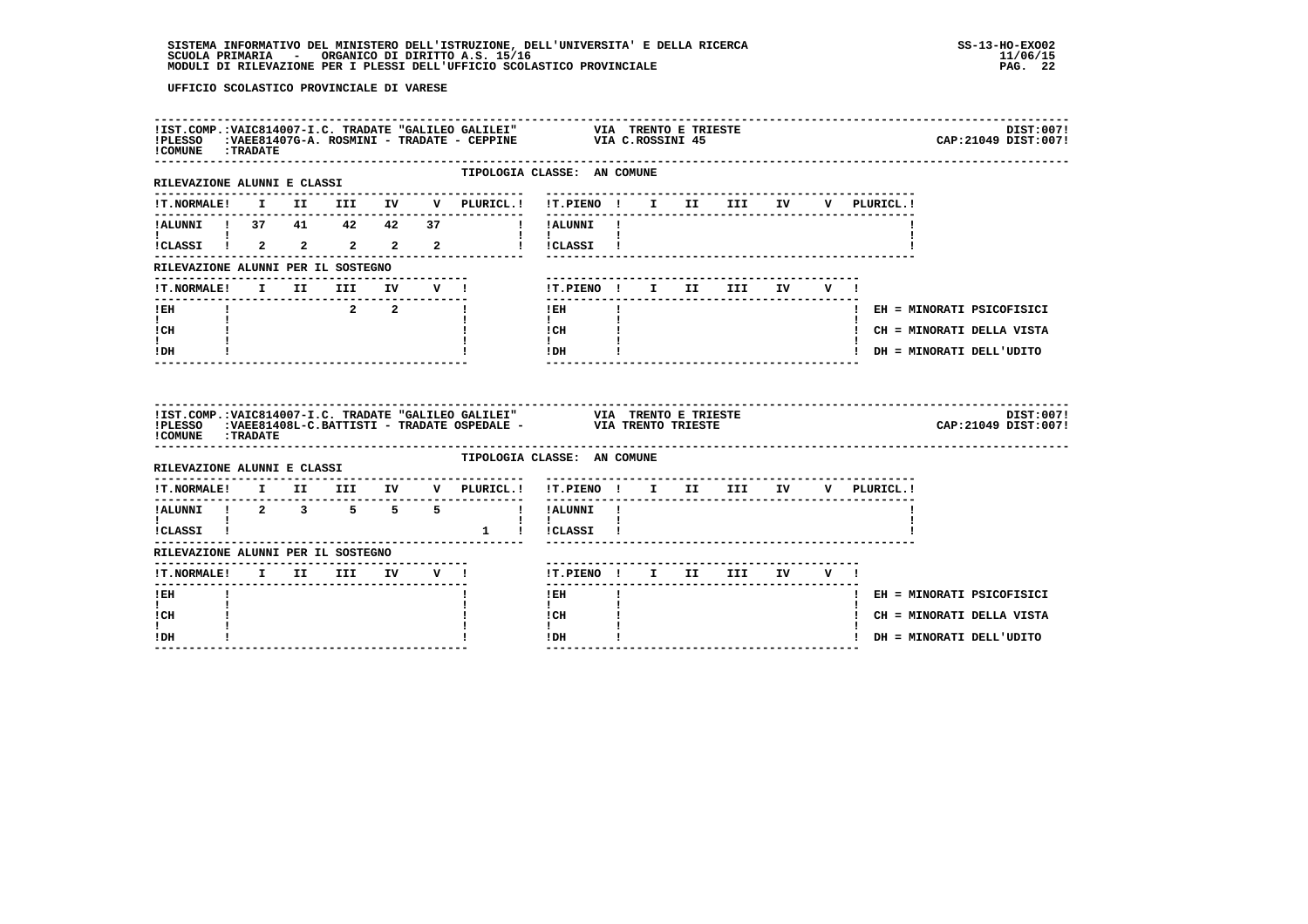| ! COMUNE : TRADATE                                          |  |             |  | !IST.COMP.:VAIC814007-I.C. TRADATE "GALILEO GALILEI" VIA TRENTO E TRIESTE !PLESSO :VAEE81407G-A. ROSMINI - TRADATE - CEPPINE VIA C.ROSSINI 45        |                                                                                                                       |              |  |  |  | DIST:007!<br>CAP: 21049 DIST: 007! |
|-------------------------------------------------------------|--|-------------|--|------------------------------------------------------------------------------------------------------------------------------------------------------|-----------------------------------------------------------------------------------------------------------------------|--------------|--|--|--|------------------------------------|
| RILEVAZIONE ALUNNI E CLASSI                                 |  |             |  | ---------------                                                                                                                                      | TIPOLOGIA CLASSE: AN COMUNE                                                                                           |              |  |  |  |                                    |
|                                                             |  |             |  | !T.NORMALE! I II III IV V PLURICL.! !T.PIENO ! I II III IV V PLURICL.!                                                                               | ---------------------------                                                                                           |              |  |  |  |                                    |
|                                                             |  |             |  | !ALUNNI ! 37 41 42 42 37 ! !ALUNNI !                                                                                                                 |                                                                                                                       |              |  |  |  |                                    |
| $\mathbf{I}$ and $\mathbf{I}$ and $\mathbf{I}$              |  |             |  |                                                                                                                                                      | $\mathbf{1}$ $\mathbf{1}$ $\mathbf{1}$                                                                                |              |  |  |  |                                    |
| RILEVAZIONE ALUNNI PER IL SOSTEGNO                          |  |             |  |                                                                                                                                                      |                                                                                                                       |              |  |  |  |                                    |
| !T.NORMALE! I II III IV V !                                 |  |             |  |                                                                                                                                                      | ! T.PIENO! I II III IV V!                                                                                             |              |  |  |  |                                    |
| $I$ EH                                                      |  | $2\qquad 2$ |  | п.                                                                                                                                                   | $!$ EH                                                                                                                | $\mathbf{I}$ |  |  |  | ! EH = MINORATI PSICOFISICI        |
| $\mathbf{I}$ and $\mathbf{I}$<br>ICH                        |  |             |  |                                                                                                                                                      | $\mathbf{1}$ and $\mathbf{1}$<br>$\begin{array}{ccc} \text{ICH} & & \text{!} \\ \text{!} & & \text{!} \\ \end{array}$ |              |  |  |  | ! CH = MINORATI DELLA VISTA        |
| $\mathbf{I}$<br>IDH                                         |  |             |  |                                                                                                                                                      | $!$ DH                                                                                                                |              |  |  |  | ! DH = MINORATI DELL'UDITO         |
|                                                             |  |             |  |                                                                                                                                                      |                                                                                                                       |              |  |  |  |                                    |
| ! COMUNE : TRADATE                                          |  |             |  | !IST.COMP.:VAIC814007-I.C. TRADATE "GALILEO GALILEI" VIA TRENTO E TRIESTE<br>TELESSO : VAEE81408L-C.BATTISTI - TRADATE OSPEDALE - VIA TRENTO TRIESTE |                                                                                                                       |              |  |  |  | DIST:007!<br>CAP: 21049 DIST: 007! |
| RILEVAZIONE ALUNNI E CLASSI                                 |  |             |  |                                                                                                                                                      | TIPOLOGIA CLASSE: AN COMUNE                                                                                           |              |  |  |  |                                    |
|                                                             |  |             |  | !T.NORMALE! I II III IV V PLURICL.! !T.PIENO ! I II III IV V PLURICL.!                                                                               |                                                                                                                       |              |  |  |  |                                    |
| ----------                                                  |  |             |  | IALUNNI ! 2 3 5 5 5 ! IALUNNI !                                                                                                                      |                                                                                                                       |              |  |  |  |                                    |
| $\mathbf{I}$ and $\mathbf{I}$ and $\mathbf{I}$<br>!CLASSI ! |  |             |  | 1 ! ! CLASSI !                                                                                                                                       | $\mathbf{1}$ $\mathbf{1}$                                                                                             |              |  |  |  |                                    |
| RILEVAZIONE ALUNNI PER IL SOSTEGNO                          |  |             |  |                                                                                                                                                      |                                                                                                                       |              |  |  |  |                                    |
| !T.NORMALE! I II III IV V !                                 |  |             |  |                                                                                                                                                      | !T.PIENO ! I II III IV V !                                                                                            |              |  |  |  |                                    |
| $1$ EH                                                      |  |             |  |                                                                                                                                                      | $!$ EH                                                                                                                |              |  |  |  | ! EH = MINORATI PSICOFISICI        |
| $\mathbf{I}$<br>! CH<br>I.                                  |  |             |  |                                                                                                                                                      | $\mathbf{I}$<br>! CH<br>$\mathbf{I}$                                                                                  |              |  |  |  | ! CH = MINORATI DELLA VISTA        |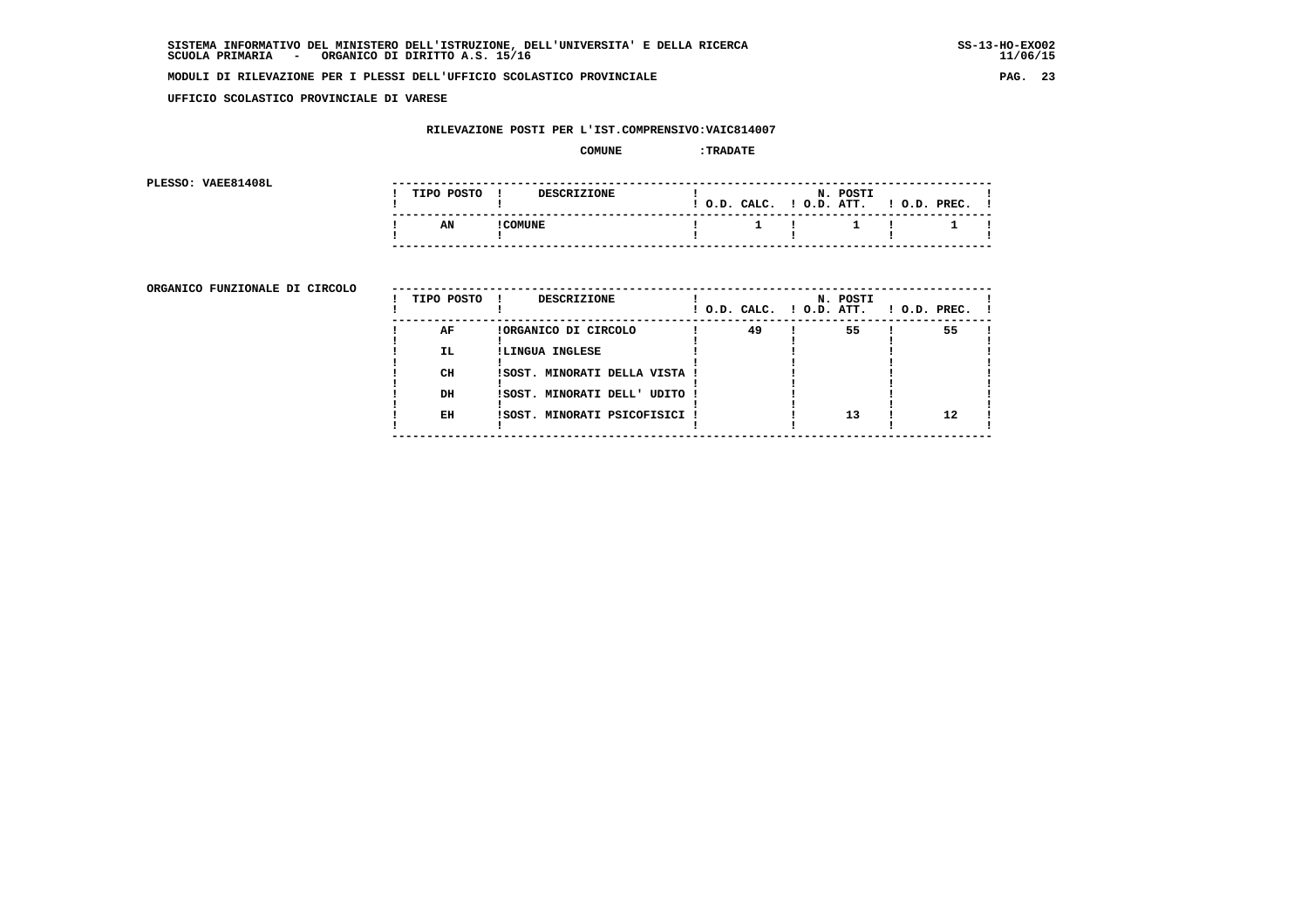**UFFICIO SCOLASTICO PROVINCIALE DI VARESE**

# **RILEVAZIONE POSTI PER L'IST.COMPRENSIVO:VAIC814007**

#### **COMUNE :TRADATE**

**PLESSO: VAEE81408L** 

| PLESSO: VAEE81408L |            |          |                    |  |                        |                       |                                             |  |
|--------------------|------------|----------|--------------------|--|------------------------|-----------------------|---------------------------------------------|--|
|                    | TIPO POSTO |          | <b>DESCRIZIONE</b> |  | $!$ $0.D.$ $CALC.$ $!$ | N. POSTI<br>O.D. ATT. | $!$ $0.D.$ $PREC.$                          |  |
|                    | AN         | ! COMUNE |                    |  |                        |                       | $1 \quad 1 \quad 1 \quad 1 \quad 1 \quad 1$ |  |
|                    |            |          |                    |  |                        |                       |                                             |  |

ORGANICO FUNZIONALE DI CIRCOLO

| ORGANICO FUNZIONALE DI CIRCOLO | TIPO POSTO ! | DESCRIZIONE                   | $!$ $0.D.$ $CALC.$ $!$ $0.D.$ $ATT.$ | N. POSTI | $1$ O.D. PREC. |    |  |
|--------------------------------|--------------|-------------------------------|--------------------------------------|----------|----------------|----|--|
|                                | AF           | !ORGANICO DI CIRCOLO          | 49                                   | 55       |                | 55 |  |
|                                | IL.          | !LINGUA INGLESE               |                                      |          |                |    |  |
|                                | CH           | !SOST. MINORATI DELLA VISTA ! |                                      |          |                |    |  |
|                                | DH           | !SOST. MINORATI DELL' UDITO ! |                                      |          |                |    |  |
|                                | EH           | !SOST. MINORATI PSICOFISICI ! |                                      | 13       |                | 12 |  |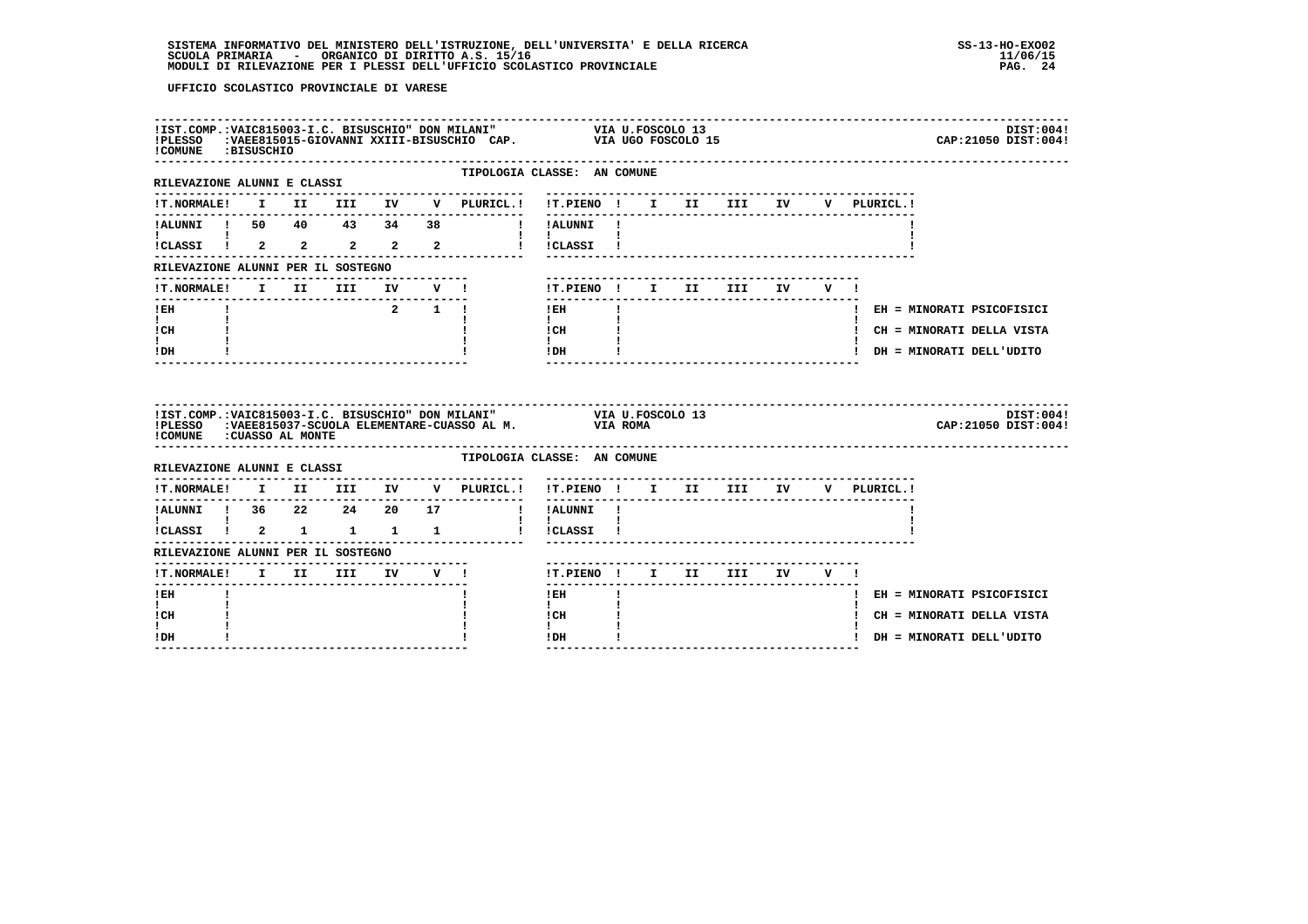| !COMUNE :BISUSCHIO                    |  |                     |              | IIST.COMP.:VAIC815003-I.C. BISUSCHIO" DON MILANI" VIA U.FOSCOLO 13<br>IPLESSO :VAEE815015-GIOVANNI XXIII-BISUSCHIO CAP. VIA UGO FOSCOLO 15 |  | DIST:004!<br>CAP: 21050 DIST: 004! |
|---------------------------------------|--|---------------------|--------------|--------------------------------------------------------------------------------------------------------------------------------------------|--|------------------------------------|
| RILEVAZIONE ALUNNI E CLASSI           |  |                     | . <u>.</u> . | TIPOLOGIA CLASSE: AN COMUNE                                                                                                                |  |                                    |
|                                       |  |                     |              | !T.NORMALE! I II III IV V PLURICL.! !T.PIENO ! I II III IV V PLURICL.!                                                                     |  |                                    |
|                                       |  |                     |              | !ALUNNI ! 50 40 43 34 38   !ALUNNI !                                                                                                       |  |                                    |
|                                       |  |                     |              | $\mathbf{1}$ $\mathbf{1}$<br>! !CLASSI !                                                                                                   |  |                                    |
| RILEVAZIONE ALUNNI PER IL SOSTEGNO    |  |                     |              |                                                                                                                                            |  |                                    |
| !T.NORMALE! I II III IV V !           |  |                     |              | !T.PIENO! I II III IV V!                                                                                                                   |  |                                    |
| $I$ EH                                |  | $2 \quad 1 \quad 1$ |              | $\mathbf{I}$<br>$!$ EH                                                                                                                     |  | ! EH = MINORATI PSICOFISICI        |
| $\mathbf{I}$ and $\mathbf{I}$<br>! CH |  |                     |              | $\mathbf{I}$<br>! CH                                                                                                                       |  | ! CH = MINORATI DELLA VISTA        |
| $\mathbf{I}$<br>! DH                  |  |                     |              | $\mathbf{I}$<br>! DH                                                                                                                       |  | ! DH = MINORATI DELL'UDITO         |
|                                       |  |                     |              |                                                                                                                                            |  |                                    |
| !COMUNE : CUASSO AL MONTE             |  |                     |              | !IST.COMP.: VAIC815003-I.C. BISUSCHIO" DON MILANI" VIA U.FOSCOLO 13<br>!PLESSO :VAEE815037-SCUOLA ELEMENTARE-CUASSO AL M. VIA ROMA         |  | DIST:004!<br>CAP: 21050 DIST: 004! |
| RILEVAZIONE ALUNNI E CLASSI           |  |                     |              | TIPOLOGIA CLASSE: AN COMUNE                                                                                                                |  |                                    |
|                                       |  |                     |              | IT.NORMALE! I II III IV V PLURICL.! IT.PIENO ! I II III IV V PLURICL.!                                                                     |  |                                    |
|                                       |  |                     |              | ! !ALUNNI !                                                                                                                                |  |                                    |
|                                       |  |                     |              |                                                                                                                                            |  |                                    |
| RILEVAZIONE ALUNNI PER IL SOSTEGNO    |  |                     |              |                                                                                                                                            |  |                                    |
|                                       |  |                     |              | !T.PIENO ! I II III IV V !                                                                                                                 |  |                                    |
| -------<br>$!$ EH                     |  |                     |              | $!$ EH                                                                                                                                     |  | ! EH = MINORATI PSICOFISICI        |
| $\mathbf{I}$<br>! CH<br>I.            |  |                     |              | $\mathbf{I}$<br>! CH<br>$\mathbf{I}$                                                                                                       |  | ! CH = MINORATI DELLA VISTA        |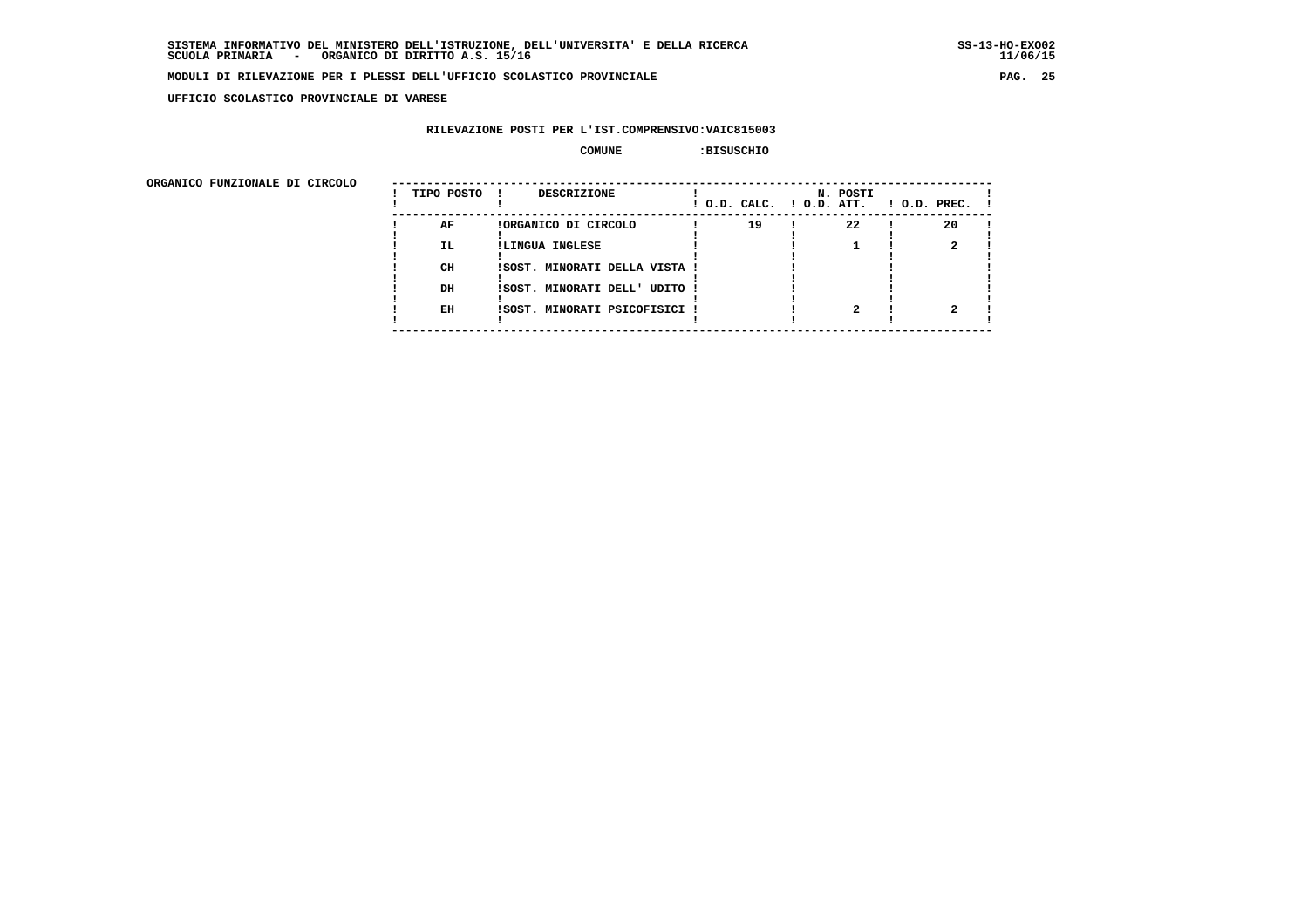**UFFICIO SCOLASTICO PROVINCIALE DI VARESE**

# **RILEVAZIONE POSTI PER L'IST.COMPRENSIVO:VAIC815003**

## **COMUNE :BISUSCHIO**

| ORGANICO FUNZIONALE DI CIRCOLO |            |                               |                          |          |                    |
|--------------------------------|------------|-------------------------------|--------------------------|----------|--------------------|
|                                | TIPO POSTO | DESCRIZIONE                   | ! O.D. CALC. ! O.D. ATT. | N. POSTI | $1$ O.D. PREC. $1$ |
|                                | AF         | !ORGANICO DI CIRCOLO          | 19                       | 22       | 20                 |
|                                | IL.        | !LINGUA INGLESE               |                          |          |                    |
|                                | CH         | ISOST. MINORATI DELLA VISTA ! |                          |          |                    |
|                                | DH         | !SOST. MINORATI DELL' UDITO ! |                          |          |                    |
|                                | EH         | !SOST. MINORATI PSICOFISICI ! |                          |          |                    |
|                                |            |                               |                          |          |                    |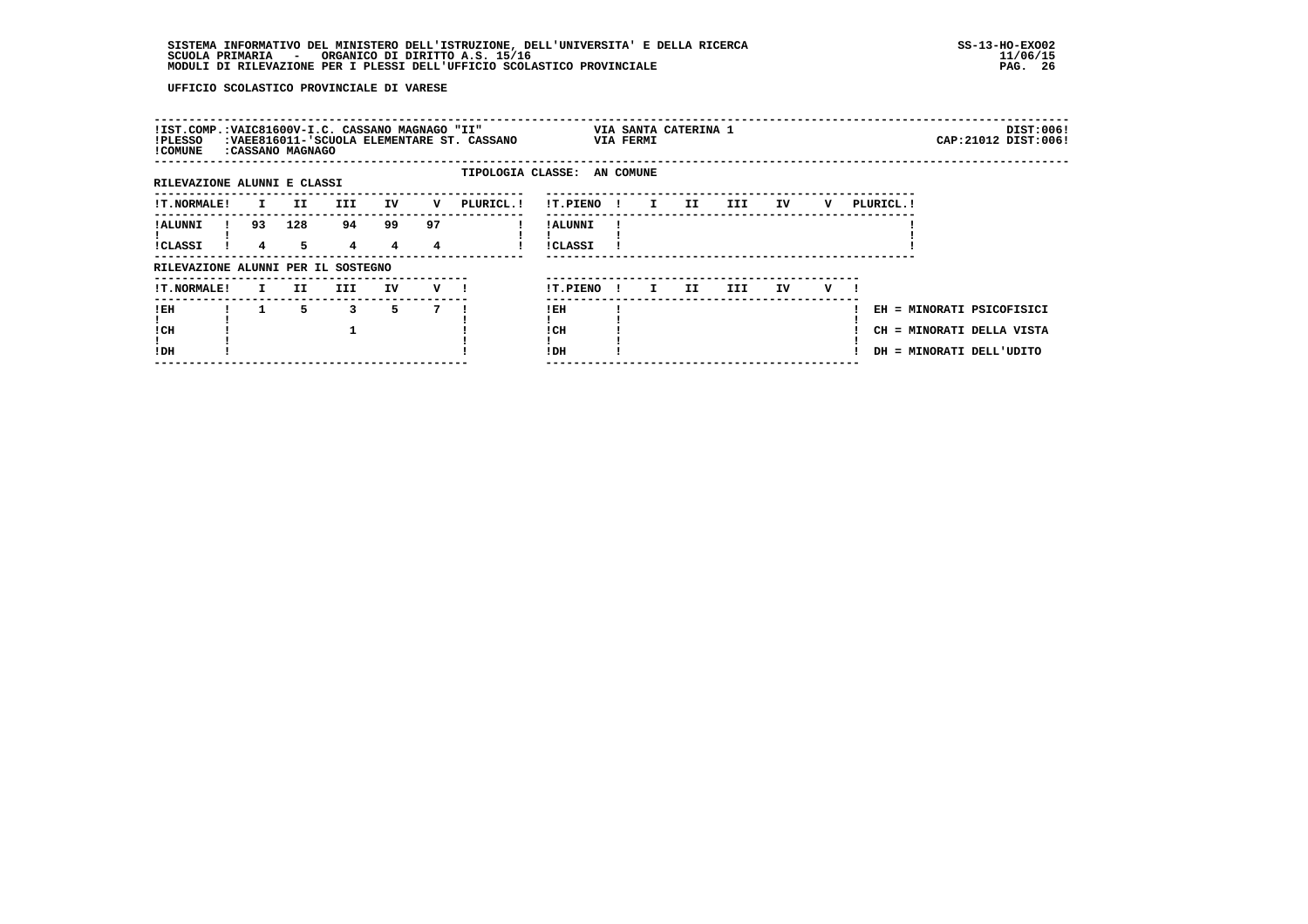| !IST.COMP.:VAIC81600V-I.C. CASSANO MAGNAGO "II"<br>VIA SANTA CATERINA 1<br>CAP: 21012 DIST: 006!<br>:VAEE816011-'SCUOLA ELEMENTARE ST. CASSANO<br>VIA FERMI<br>!PLESSO<br>! COMUNE<br>:CASSANO MAGNAGO<br>TIPOLOGIA CLASSE: AN COMUNE<br>RILEVAZIONE ALUNNI E CLASSI<br>III.<br>IV<br>PLURICL. !<br>IV<br>PLURICL. !<br><b>!T.NORMALE!</b><br>II.<br>!T.PIENO<br>III<br>v<br>$\mathbf{I}$<br>II<br>v<br>I.<br>. .<br>99<br>128<br>94<br>97<br>93<br>! ALUNNI<br>! ALUNNI<br>5.<br>4<br>4<br><b>!CLASSI</b><br>!CLASSI<br>4<br>4<br>RILEVAZIONE ALUNNI PER IL SOSTEGNO<br>!T.PIENO<br><b>!T.NORMALE!</b><br>II.<br>III.<br>IV<br>III.<br>IV.<br>$V$ $\blacksquare$<br>IJ<br>v<br>I.<br>I.<br>$\mathbf{I}$<br>5.<br>5.<br>! EH<br>3<br>7<br>! EH<br>EH = MINORATI PSICOFISICI<br>! CH<br>! CH<br>CH = MINORATI DELLA VISTA<br>!DH<br>!DH<br>DH = MINORATI DELL'UDITO |  |  |  |  |  |  |  |  |  |           |
|--------------------------------------------------------------------------------------------------------------------------------------------------------------------------------------------------------------------------------------------------------------------------------------------------------------------------------------------------------------------------------------------------------------------------------------------------------------------------------------------------------------------------------------------------------------------------------------------------------------------------------------------------------------------------------------------------------------------------------------------------------------------------------------------------------------------------------------------------------------------|--|--|--|--|--|--|--|--|--|-----------|
|                                                                                                                                                                                                                                                                                                                                                                                                                                                                                                                                                                                                                                                                                                                                                                                                                                                                    |  |  |  |  |  |  |  |  |  | DIST:006! |
|                                                                                                                                                                                                                                                                                                                                                                                                                                                                                                                                                                                                                                                                                                                                                                                                                                                                    |  |  |  |  |  |  |  |  |  |           |
|                                                                                                                                                                                                                                                                                                                                                                                                                                                                                                                                                                                                                                                                                                                                                                                                                                                                    |  |  |  |  |  |  |  |  |  |           |
|                                                                                                                                                                                                                                                                                                                                                                                                                                                                                                                                                                                                                                                                                                                                                                                                                                                                    |  |  |  |  |  |  |  |  |  |           |
|                                                                                                                                                                                                                                                                                                                                                                                                                                                                                                                                                                                                                                                                                                                                                                                                                                                                    |  |  |  |  |  |  |  |  |  |           |
|                                                                                                                                                                                                                                                                                                                                                                                                                                                                                                                                                                                                                                                                                                                                                                                                                                                                    |  |  |  |  |  |  |  |  |  |           |
|                                                                                                                                                                                                                                                                                                                                                                                                                                                                                                                                                                                                                                                                                                                                                                                                                                                                    |  |  |  |  |  |  |  |  |  |           |
|                                                                                                                                                                                                                                                                                                                                                                                                                                                                                                                                                                                                                                                                                                                                                                                                                                                                    |  |  |  |  |  |  |  |  |  |           |
|                                                                                                                                                                                                                                                                                                                                                                                                                                                                                                                                                                                                                                                                                                                                                                                                                                                                    |  |  |  |  |  |  |  |  |  |           |
|                                                                                                                                                                                                                                                                                                                                                                                                                                                                                                                                                                                                                                                                                                                                                                                                                                                                    |  |  |  |  |  |  |  |  |  |           |
|                                                                                                                                                                                                                                                                                                                                                                                                                                                                                                                                                                                                                                                                                                                                                                                                                                                                    |  |  |  |  |  |  |  |  |  |           |
|                                                                                                                                                                                                                                                                                                                                                                                                                                                                                                                                                                                                                                                                                                                                                                                                                                                                    |  |  |  |  |  |  |  |  |  |           |
|                                                                                                                                                                                                                                                                                                                                                                                                                                                                                                                                                                                                                                                                                                                                                                                                                                                                    |  |  |  |  |  |  |  |  |  |           |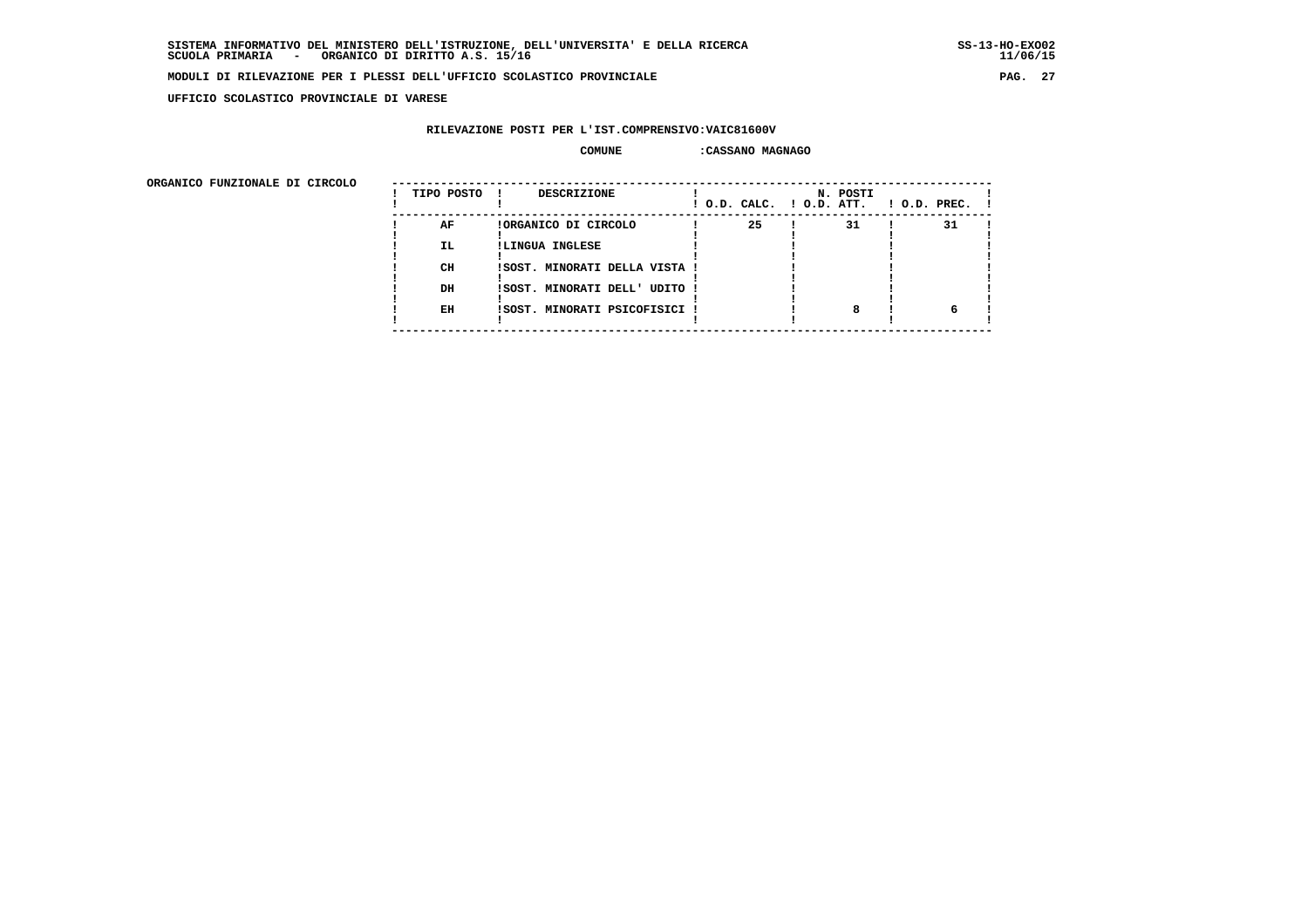**UFFICIO SCOLASTICO PROVINCIALE DI VARESE**

# **RILEVAZIONE POSTI PER L'IST.COMPRENSIVO:VAIC81600V**

#### **COMUNE :CASSANO MAGNAGO**

 **ORGANICO FUNZIONALE DI CIRCOLO --------------------------------------------------------------------------------------**

| onghnico rongionale pi cincolo | TIPO POSTO | <b>DESCRIZIONE</b><br>$\mathbf{I}$ | ! O.D. CALC. ! O.D. ATT. | N. POSTI | $1$ O.D. PREC. $1$ |
|--------------------------------|------------|------------------------------------|--------------------------|----------|--------------------|
|                                | AF         | !ORGANICO DI CIRCOLO               | 25                       | 31       | 31                 |
|                                | IL.        | !LINGUA INGLESE                    |                          |          |                    |
|                                | CH         | !SOST. MINORATI DELLA VISTA !      |                          |          |                    |
|                                | DH         | !SOST. MINORATI DELL' UDITO !      |                          |          |                    |
|                                | EH         | !SOST. MINORATI PSICOFISICI !      |                          |          |                    |
|                                |            |                                    |                          |          |                    |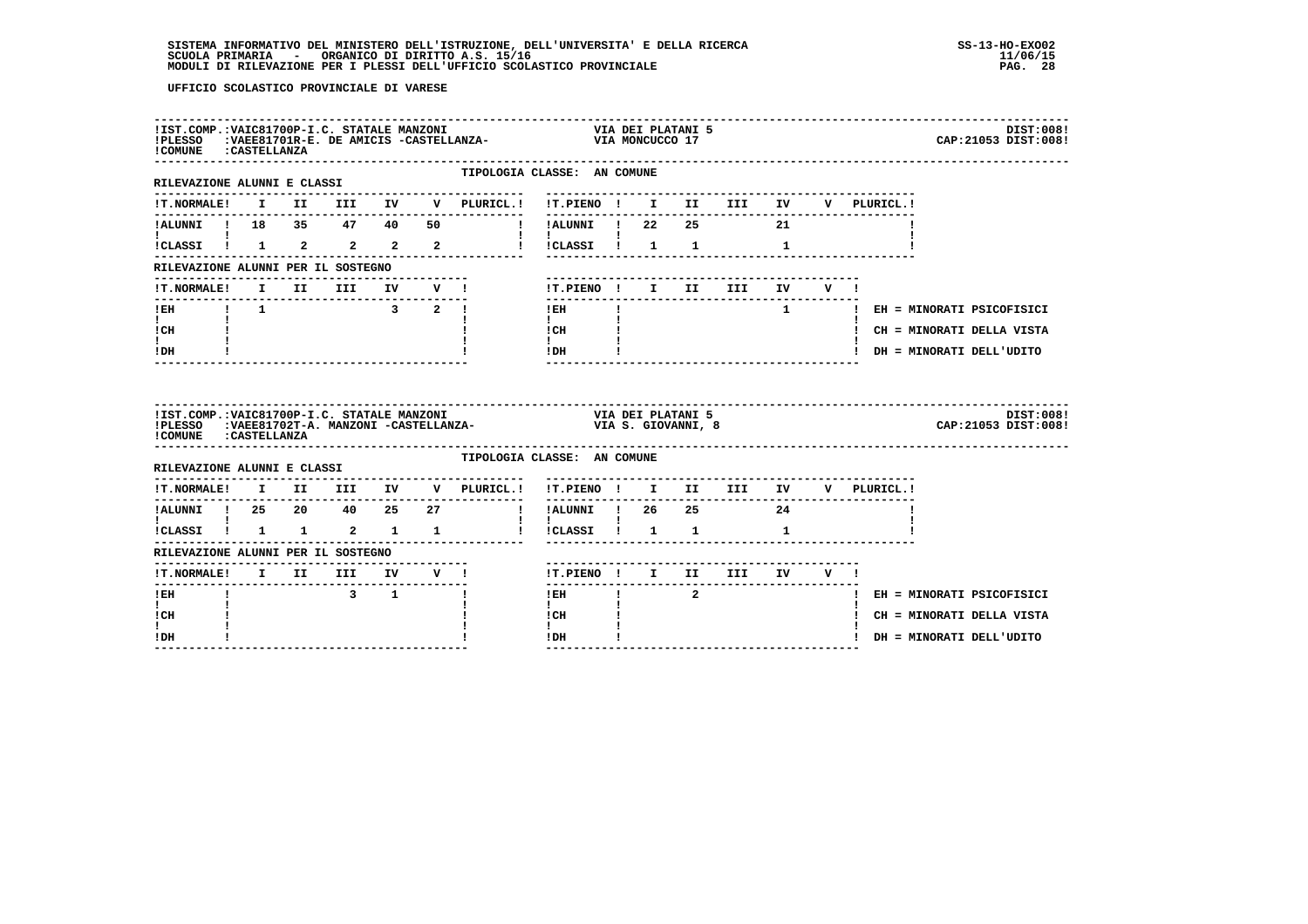| ! COMUNE : CASTELLANZA                                                                         |  |                                                 |  |                                 | IIST.COMP.:VAIC81700P-I.C. STATALE MANZONI                               VIA DEI PLATANI 5 !PLESSO   :VAEE81701R-E. DE AMICIS -CASTELLANZA-                       VIA MONCUCCO 17         |                         |              |  | DIST:008!<br>CAP: 21053 DIST: 008! |
|------------------------------------------------------------------------------------------------|--|-------------------------------------------------|--|---------------------------------|-------------------------------------------------------------------------------------------------------------------------------------------------------------------------------------------|-------------------------|--------------|--|------------------------------------|
| RILEVAZIONE ALUNNI E CLASSI                                                                    |  |                                                 |  | ---------------------           | TIPOLOGIA CLASSE: AN COMUNE<br>---------------------------------                                                                                                                          |                         |              |  |                                    |
|                                                                                                |  |                                                 |  |                                 | !T.NORMALE! I II III IV V PLURICL.! !T.PIENO ! I II III IV V PLURICL.!                                                                                                                    |                         |              |  |                                    |
|                                                                                                |  |                                                 |  |                                 | !ALUNNI ! 18 35 47 40 50 ! !ALUNNI ! 22 25 21                                                                                                                                             |                         |              |  |                                    |
| <b>Experience</b>                                                                              |  |                                                 |  |                                 | $\mathbf{1}$ $\mathbf{1}$<br>iCLASSI 1 1 2 2 2 2 2 1 ICLASSI 1 1 1 1 1                                                                                                                    |                         |              |  |                                    |
| RILEVAZIONE ALUNNI PER IL SOSTEGNO                                                             |  |                                                 |  |                                 |                                                                                                                                                                                           |                         |              |  |                                    |
| <b>!T.NORMALE!</b>                                                                             |  |                                                 |  | I II III IV V !                 | !T.PIENO! I II III IV V!                                                                                                                                                                  |                         |              |  |                                    |
| <b>IEH I</b> 1 3 2 <b>I</b>                                                                    |  |                                                 |  |                                 | ----------------------------------<br>$\mathbf{I}$<br>$!$ EH                                                                                                                              |                         |              |  | 1   EH = MINORATI PSICOFISICI      |
| $\mathbf{I}$ and $\mathbf{I}$<br>ICH                                                           |  |                                                 |  |                                 | $\mathbf{I}$ and $\mathbf{I}$<br>ICH                                                                                                                                                      |                         |              |  | ! CH = MINORATI DELLA VISTA        |
| $\mathbf{I}$<br>$!$ DH                                                                         |  |                                                 |  |                                 | $\mathbf{I}$<br>$!$ DH                                                                                                                                                                    |                         |              |  | ! DH = MINORATI DELL'UDITO         |
| ! COMUNE : CASTELLANZA                                                                         |  |                                                 |  |                                 |                                                                                                                                                                                           |                         |              |  |                                    |
|                                                                                                |  |                                                 |  |                                 | IIST.COMP.:VAIC81700P-I.C. STATALE MANZONI                                 VIA DEI PLATANI 5<br>IPLESSO   :VAEE81702T-A. MANZONI -CASTELLANZA-                         VIA S. GIOVANNI, 8 |                         |              |  | DIST:008!<br>CAP: 21053 DIST: 008! |
|                                                                                                |  |                                                 |  |                                 | TIPOLOGIA CLASSE: AN COMUNE                                                                                                                                                               |                         |              |  |                                    |
| RILEVAZIONE ALUNNI E CLASSI                                                                    |  |                                                 |  | . _ _ _ _ _ _ _ _ _ _ _ _ _ _ _ | !T.NORMALE! I II III IV V PLURICL.! !T.PIENO ! I II III IV V PLURICL.!                                                                                                                    |                         |              |  |                                    |
|                                                                                                |  |                                                 |  |                                 |                                                                                                                                                                                           |                         | ------------ |  |                                    |
| $\mathbf{I}$ and $\mathbf{I}$ and $\mathbf{I}$<br>$\frac{1}{2}$ CLASSI $\frac{1}{2}$ 1 1 2 1 1 |  |                                                 |  |                                 | $\mathbf{I}$<br>!!CLASSI! 1 1 1                                                                                                                                                           |                         |              |  |                                    |
| RILEVAZIONE ALUNNI PER IL SOSTEGNO                                                             |  |                                                 |  |                                 |                                                                                                                                                                                           |                         |              |  |                                    |
|                                                                                                |  |                                                 |  |                                 | !T.PIENO ! I II III IV V !                                                                                                                                                                |                         |              |  |                                    |
| ----------------------------<br>$!$ EH                                                         |  | $\overline{\textbf{3}}$ $\overline{\textbf{1}}$ |  | $\mathbf{I}$                    | $- - - - - - -$<br>$1$ EH                                                                                                                                                                 | $\overline{\mathbf{a}}$ |              |  | ! EH = MINORATI PSICOFISICI        |
| $\mathbf{I}$<br>! CH<br>L                                                                      |  |                                                 |  |                                 | $\mathbf{I}$<br>! CH<br>$\mathbf{I}$                                                                                                                                                      |                         |              |  | ! CH = MINORATI DELLA VISTA        |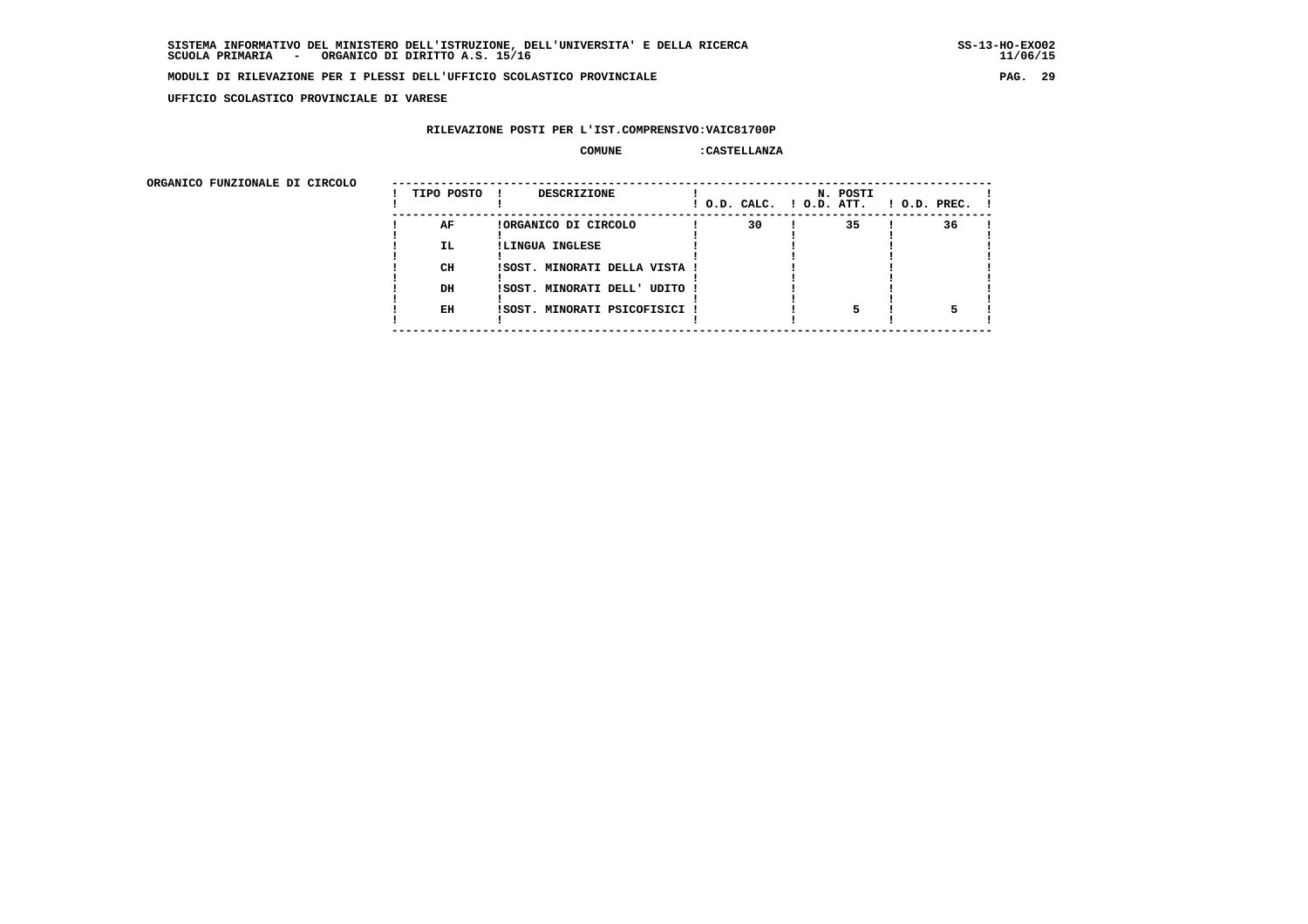**UFFICIO SCOLASTICO PROVINCIALE DI VARESE**

# **RILEVAZIONE POSTI PER L'IST.COMPRENSIVO:VAIC81700P**

#### **COMUNE :CASTELLANZA**

| ORGANICO FUNZIONALE DI CIRCOLO |            |                               |    |                                      |                    |
|--------------------------------|------------|-------------------------------|----|--------------------------------------|--------------------|
|                                | TIPO POSTO | DESCRIZIONE                   |    | N. POSTI<br>! O.D. CALC. ! O.D. ATT. | $1$ O.D. PREC. $1$ |
|                                | AF         | !ORGANICO DI CIRCOLO          | 30 | 35                                   | 36                 |
|                                | IL.        | !LINGUA INGLESE               |    |                                      |                    |
|                                | CH         | ISOST. MINORATI DELLA VISTA ! |    |                                      |                    |
|                                | DH         | !SOST. MINORATI DELL' UDITO ! |    |                                      |                    |
|                                | EH         | !SOST. MINORATI PSICOFISICI ! |    |                                      |                    |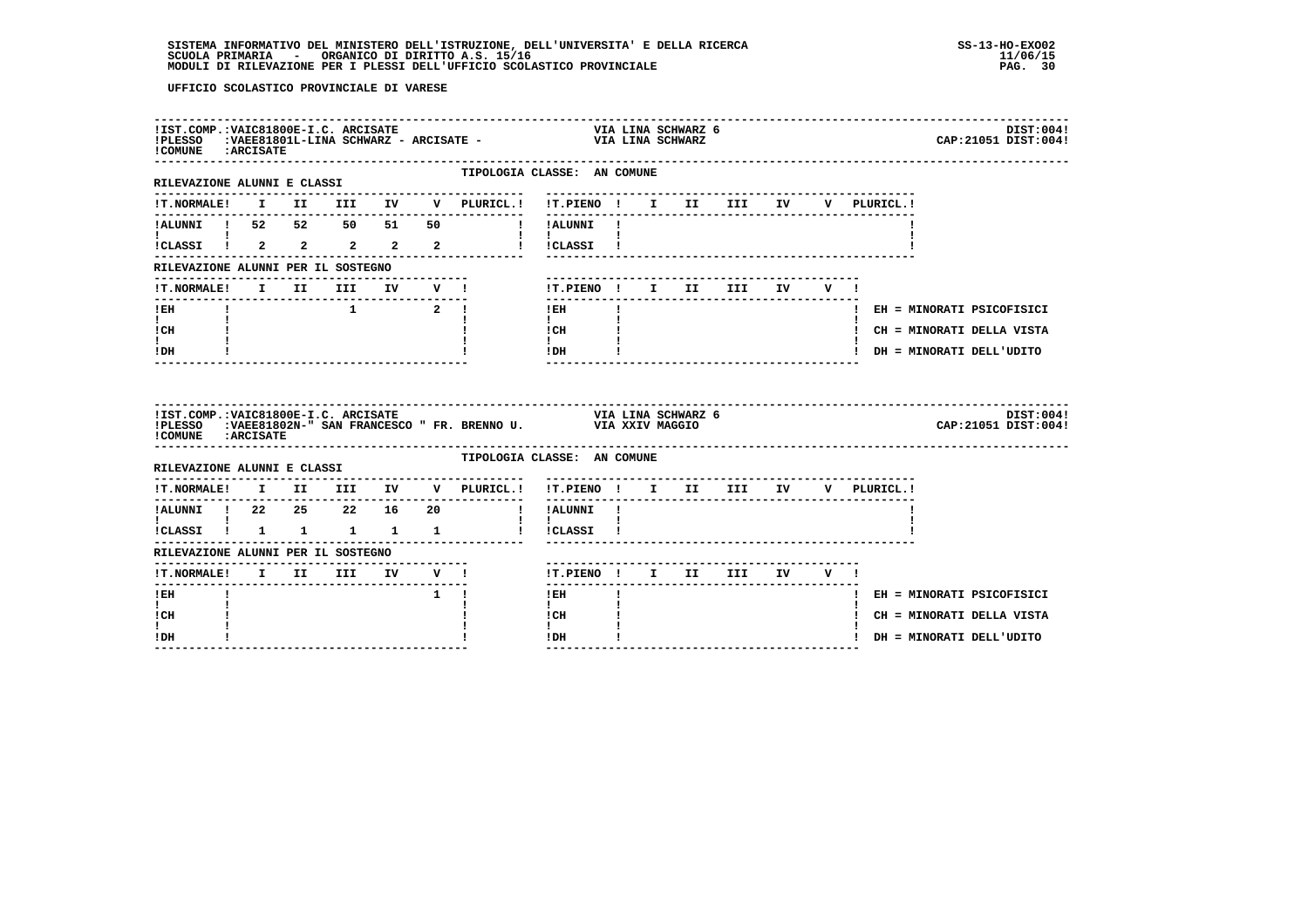| !COMUNE : ARCISATE                                           |  | !IST.COMP.:VAIC81800E-I.C. ARCISATE |  |             |                                                                                                                                                                                         |                                                                            |              | VIA LINA SCHWARZ 6 |            |  |             |  | CAP: 21051 DIST: 004!       | DIST:004! |
|--------------------------------------------------------------|--|-------------------------------------|--|-------------|-----------------------------------------------------------------------------------------------------------------------------------------------------------------------------------------|----------------------------------------------------------------------------|--------------|--------------------|------------|--|-------------|--|-----------------------------|-----------|
| RILEVAZIONE ALUNNI E CLASSI                                  |  |                                     |  |             | TIPOLOGIA CLASSE: AN COMUNE                                                                                                                                                             |                                                                            |              |                    |            |  |             |  |                             |           |
|                                                              |  |                                     |  |             | --------------                                                                                                                                                                          |                                                                            |              |                    |            |  | V PLURICL.! |  |                             |           |
|                                                              |  |                                     |  |             |                                                                                                                                                                                         |                                                                            |              |                    |            |  |             |  |                             |           |
|                                                              |  |                                     |  |             |                                                                                                                                                                                         |                                                                            |              |                    |            |  |             |  |                             |           |
| RILEVAZIONE ALUNNI PER IL SOSTEGNO                           |  |                                     |  |             |                                                                                                                                                                                         |                                                                            |              |                    |            |  |             |  |                             |           |
| !T.NORMALE! I II III IV V !                                  |  |                                     |  |             |                                                                                                                                                                                         | !T.PIENO ! I II                                                            |              |                    | III IV V ! |  |             |  |                             |           |
| $!$ EH                                                       |  |                                     |  |             |                                                                                                                                                                                         | $!$ EH                                                                     | $\mathbf{I}$ |                    |            |  |             |  | ! EH = MINORATI PSICOFISICI |           |
| $\mathbf{I}$ and $\mathbf{I}$<br>ICH                         |  |                                     |  |             |                                                                                                                                                                                         | $\mathbf{I}$ and $\mathbf{I}$<br>$\frac{1}{1}$ $\frac{1}{1}$ $\frac{1}{1}$ |              |                    |            |  |             |  | ! CH = MINORATI DELLA VISTA |           |
| $\mathbf{I}$<br>! DH                                         |  |                                     |  |             |                                                                                                                                                                                         | $!$ DH $\overline{ }$                                                      |              |                    |            |  |             |  | ! DH = MINORATI DELL'UDITO  |           |
|                                                              |  |                                     |  |             |                                                                                                                                                                                         |                                                                            |              |                    |            |  |             |  |                             |           |
| !IST.COMP.:VAIC81800E-I.C. ARCISATE<br>!COMUNE : ARCISATE    |  |                                     |  |             | !PLESSO :VAEE81802N-" SAN FRANCESCO " FR. BRENNO U. VIA XXIV MAGGIO                                                                                                                     | VIA LINA SCHWARZ 6                                                         |              |                    |            |  |             |  | CAP: 21051 DIST: 004!       | DIST:004! |
| RILEVAZIONE ALUNNI E CLASSI                                  |  |                                     |  |             | TIPOLOGIA CLASSE: AN COMUNE                                                                                                                                                             |                                                                            |              |                    |            |  |             |  |                             |           |
|                                                              |  |                                     |  |             | $\verb !T.NORMALE  \hspace{2.5cm} \text{I} \hspace{2.5cm} \text{II} \hspace{2.5cm} \text{III} \hspace{2.5cm} \text{IV} \hspace{2.5cm} \text{V} \hspace{2.5cm} \text{PLURICL.} \text{!}$ | !T.PIENO ! I II III IV V PLURICL.!                                         |              |                    |            |  |             |  |                             |           |
| ---------                                                    |  |                                     |  |             |                                                                                                                                                                                         | ----------<br>! !ALUNNI !                                                  |              |                    |            |  |             |  |                             |           |
| <b>The Community of the Community</b><br>ICLASSI ! 1 1 1 1 1 |  |                                     |  |             |                                                                                                                                                                                         | $\mathbf{I}$ and $\mathbf{I}$<br>! !CLASSI !                               |              |                    |            |  |             |  |                             |           |
| RILEVAZIONE ALUNNI PER IL SOSTEGNO                           |  |                                     |  |             |                                                                                                                                                                                         |                                                                            |              |                    |            |  |             |  |                             |           |
| !T.NORMALE! I II III IV V !                                  |  |                                     |  |             |                                                                                                                                                                                         | !T.PIENO ! I II III IV V !                                                 |              |                    |            |  |             |  |                             |           |
| -------<br>$!$ EH                                            |  |                                     |  | $1 \quad 1$ |                                                                                                                                                                                         | $- - - - - -$<br>! EH                                                      |              |                    |            |  |             |  | ! EH = MINORATI PSICOFISICI |           |
| $\mathbf{I}$<br>! CH<br>I.                                   |  |                                     |  |             |                                                                                                                                                                                         | $\mathbf{I}$<br>! CH<br>$\mathbf{I}$                                       |              |                    |            |  |             |  | ! CH = MINORATI DELLA VISTA |           |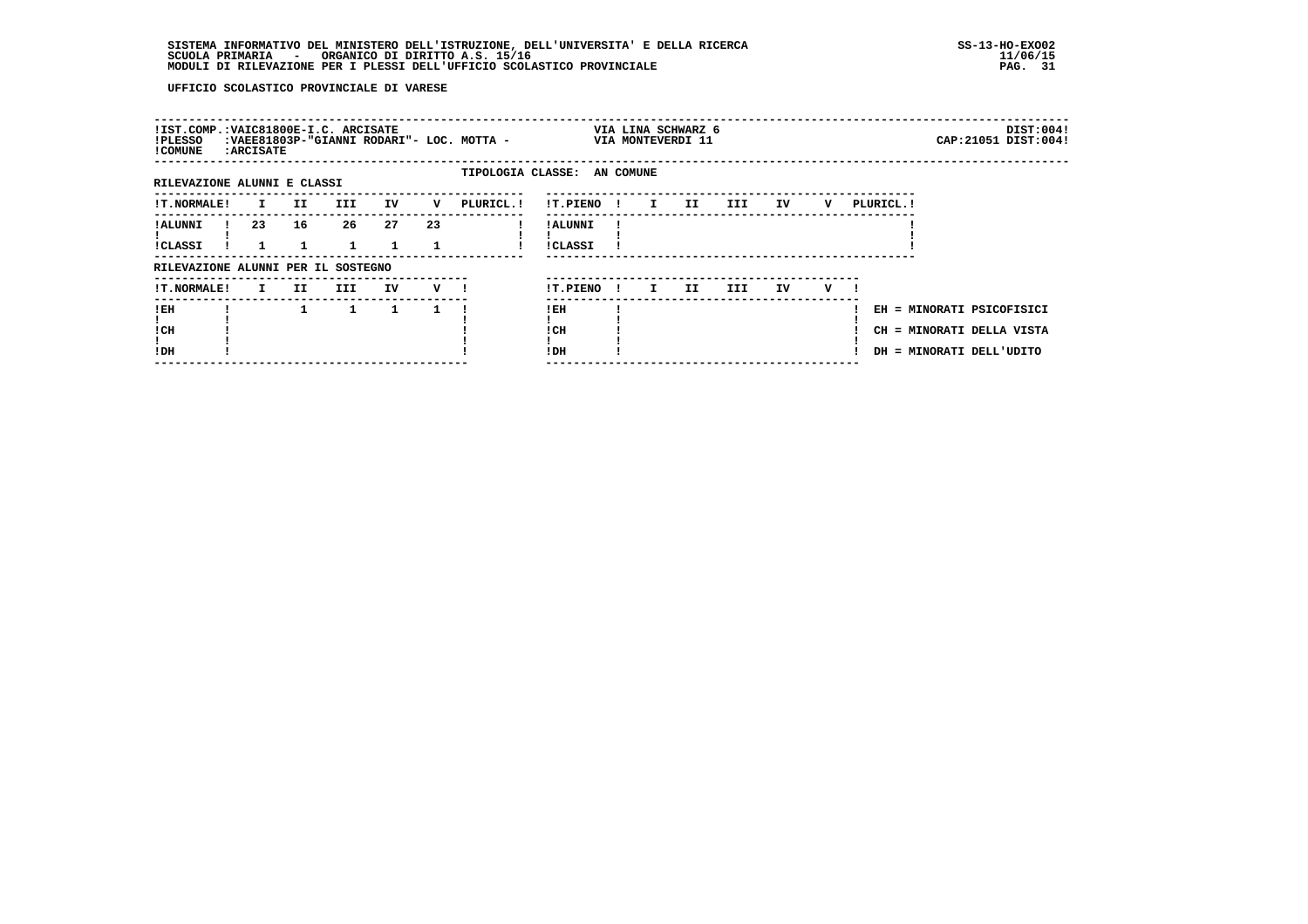| !IST.COMP.:VAIC81800E-I.C. ARCISATE<br>!PLESSO<br>! COMUNE | <b>: ARCISATE</b> |     |     |    |         | :VAEE81803P-"GIANNI RODARI"- LOC. MOTTA - |                            |              |              | VIA LINA SCHWARZ 6<br>VIA MONTEVERDI 11 |      |    |   |            |                                                                                    | DIST:004!<br>CAP: 21051 DIST: 004! |
|------------------------------------------------------------|-------------------|-----|-----|----|---------|-------------------------------------------|----------------------------|--------------|--------------|-----------------------------------------|------|----|---|------------|------------------------------------------------------------------------------------|------------------------------------|
| RILEVAZIONE ALUNNI E CLASSI                                |                   |     |     |    |         | TIPOLOGIA CLASSE: AN COMUNE               |                            |              |              |                                         |      |    |   |            |                                                                                    |                                    |
| !T.NORMALE!                                                | I.                | II. | III | IV | v       | PLURICL.!                                 | !T.PIENO!                  |              | $\mathbf{I}$ | II.                                     | III  | IV | v | PLURICL. ! |                                                                                    |                                    |
| ! ALUNNI<br>!CLASSI                                        | 23                | 16  | 26  | 27 | 23      |                                           | ! ALUNNI<br><b>!CLASSI</b> |              |              |                                         |      |    |   |            |                                                                                    |                                    |
| RILEVAZIONE ALUNNI PER IL SOSTEGNO                         |                   |     |     |    |         |                                           |                            |              |              |                                         |      |    |   |            |                                                                                    |                                    |
| <b>!T.NORMALE!</b>                                         | I.                | II. | III | IV | $V$ $l$ |                                           | !T.PIENO                   | $\mathbf{I}$ | I.           | II.                                     | III. | IV | v |            |                                                                                    |                                    |
| ! EH<br>! CH<br>!DH                                        |                   |     | 1   | 1  |         |                                           | ! EH<br>! CH<br>! DH       |              |              |                                         |      |    |   |            | EH = MINORATI PSICOFISICI<br>CH = MINORATI DELLA VISTA<br>DH = MINORATI DELL'UDITO |                                    |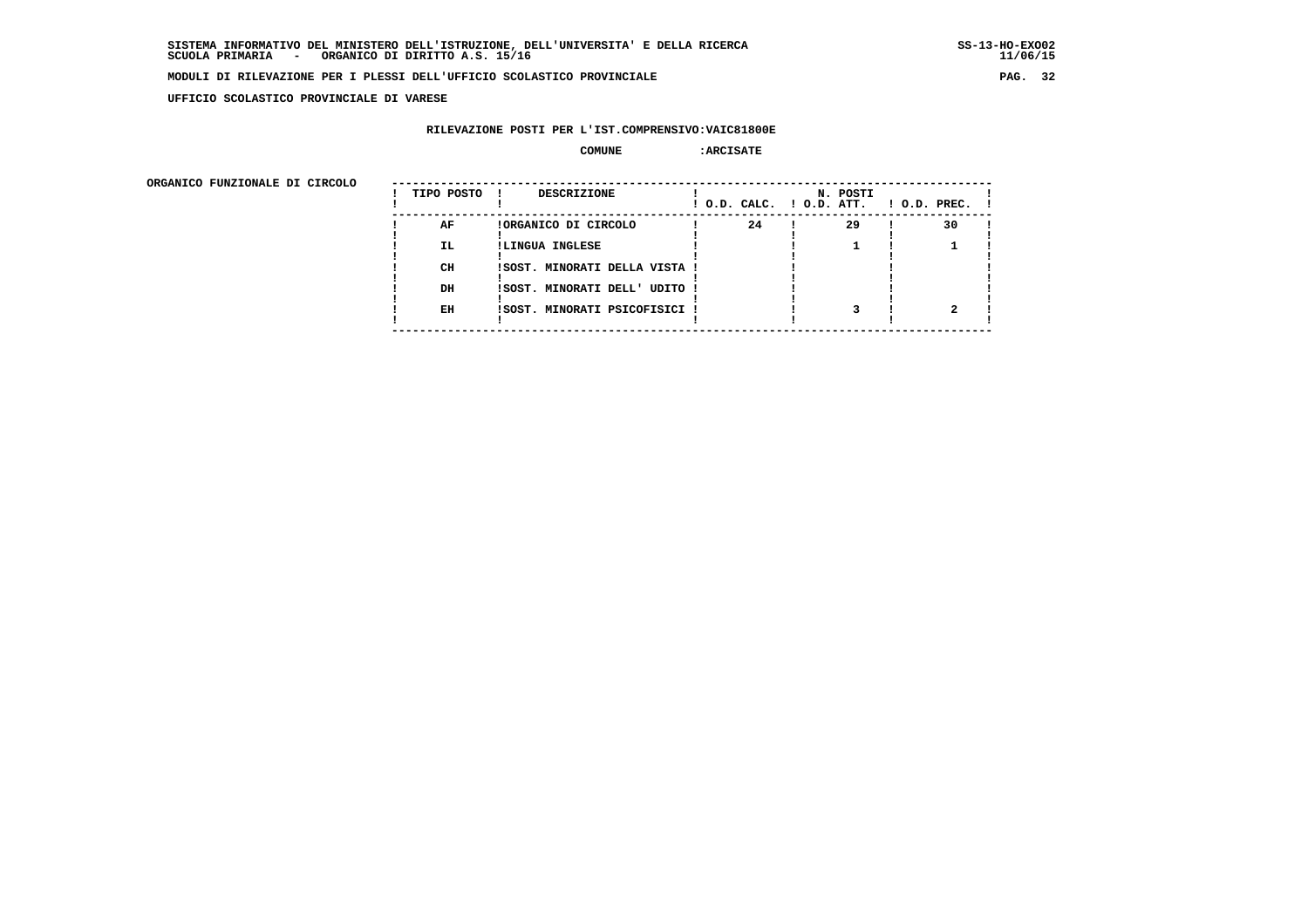**UFFICIO SCOLASTICO PROVINCIALE DI VARESE**

# **RILEVAZIONE POSTI PER L'IST.COMPRENSIVO:VAIC81800E**

## **COMUNE :ARCISATE**

| ORGANICO FUNZIONALE DI CIRCOLO |            |                               |                          |          |                    |
|--------------------------------|------------|-------------------------------|--------------------------|----------|--------------------|
|                                | TIPO POSTO | DESCRIZIONE                   | ! O.D. CALC. ! O.D. ATT. | N. POSTI | $1$ O.D. PREC. $1$ |
|                                | AF         | !ORGANICO DI CIRCOLO          | 24                       | 29       | 30                 |
|                                | IL.        | !LINGUA INGLESE               |                          |          |                    |
|                                | CH         | !SOST. MINORATI DELLA VISTA ! |                          |          |                    |
|                                | DH         | !SOST. MINORATI DELL' UDITO ! |                          |          |                    |
|                                | EH         | !SOST. MINORATI PSICOFISICI ! |                          |          |                    |
|                                |            |                               |                          |          |                    |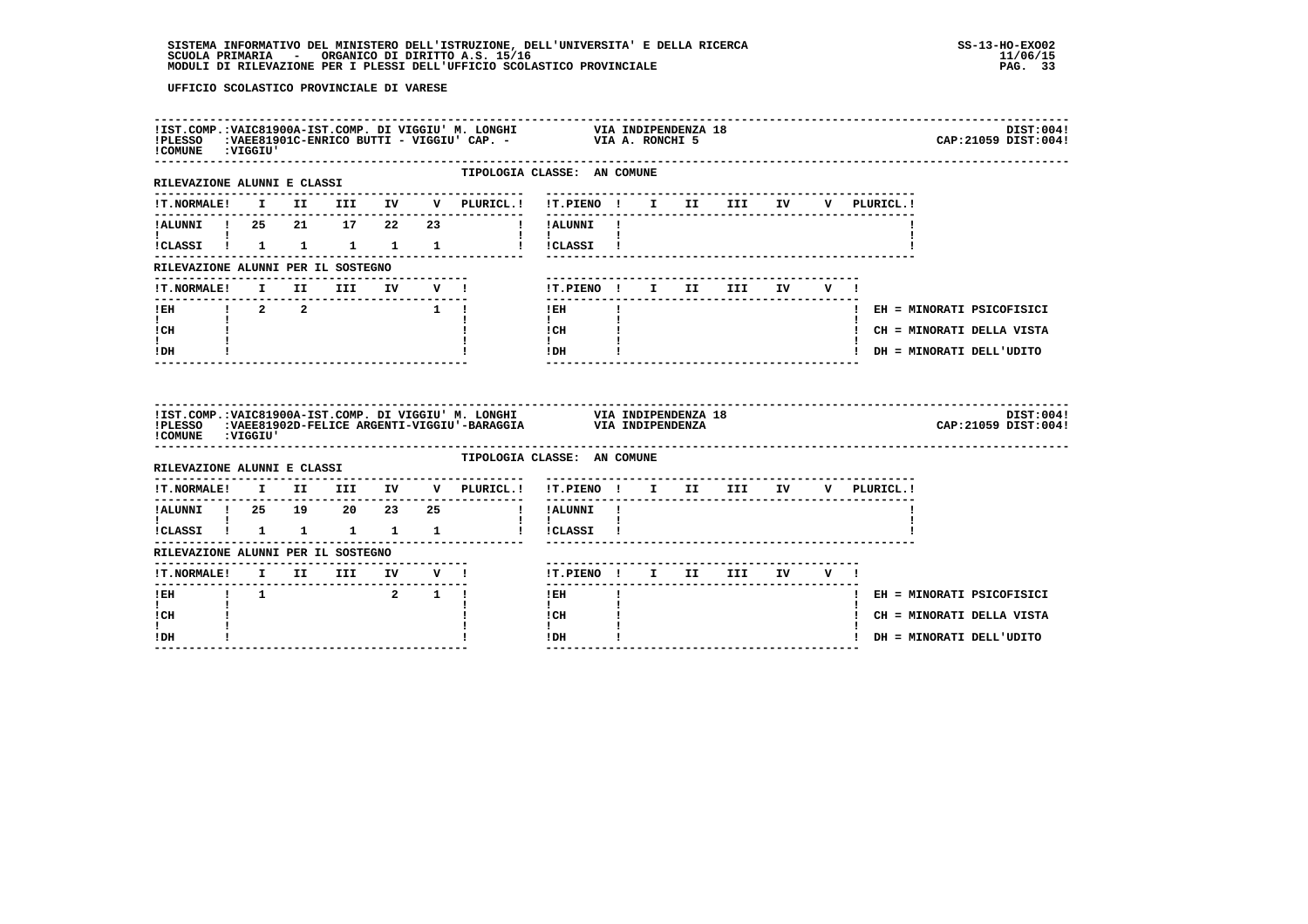| !COMUNE : VIGGIU'                                                                                                                                                                                                                                                                                                                                                          |  |  |               | DIST:004!<br>CAP: 21059 DIST: 004!                                                                                                                                                                                                                                                                                                                                        |
|----------------------------------------------------------------------------------------------------------------------------------------------------------------------------------------------------------------------------------------------------------------------------------------------------------------------------------------------------------------------------|--|--|---------------|---------------------------------------------------------------------------------------------------------------------------------------------------------------------------------------------------------------------------------------------------------------------------------------------------------------------------------------------------------------------------|
| RILEVAZIONE ALUNNI E CLASSI                                                                                                                                                                                                                                                                                                                                                |  |  |               | TIPOLOGIA CLASSE: AN COMUNE<br>-------------------------------------                                                                                                                                                                                                                                                                                                      |
|                                                                                                                                                                                                                                                                                                                                                                            |  |  |               | IT.NORMALE! I II III IV V PLURICL.! IT.PIENO ! I II III IV<br>V PLURICL.!                                                                                                                                                                                                                                                                                                 |
|                                                                                                                                                                                                                                                                                                                                                                            |  |  |               |                                                                                                                                                                                                                                                                                                                                                                           |
| $\mathbf{I}$ and $\mathbf{I}$ are all $\mathbf{I}$                                                                                                                                                                                                                                                                                                                         |  |  |               | $\mathbf{1}$ $\mathbf{1}$ $\mathbf{1}$<br>!CLASSI ! 1 1 1 1 1 1 ! !CLASSI !                                                                                                                                                                                                                                                                                               |
| RILEVAZIONE ALUNNI PER IL SOSTEGNO                                                                                                                                                                                                                                                                                                                                         |  |  |               |                                                                                                                                                                                                                                                                                                                                                                           |
|                                                                                                                                                                                                                                                                                                                                                                            |  |  |               | ---------------------------------<br>IT.NORMALE! I II III IV V ! IT.PIENO ! I II III IV V !                                                                                                                                                                                                                                                                               |
| ----------------                                                                                                                                                                                                                                                                                                                                                           |  |  |               | $!$ EH $\qquad$ $\qquad$ $\qquad$ $\qquad$ $\qquad$ $\qquad$ $\qquad$ $\qquad$ $\qquad$ $\qquad$ $\qquad$ $\qquad$ $\qquad$ $\qquad$ $\qquad$ $\qquad$ $\qquad$ $\qquad$ $\qquad$ $\qquad$ $\qquad$ $\qquad$ $\qquad$ $\qquad$ $\qquad$ $\qquad$ $\qquad$ $\qquad$ $\qquad$ $\qquad$ $\qquad$ $\qquad$ $\qquad$ $\qquad$ $\qquad$ $\qquad$<br>! EH = MINORATI PSICOFISICI |
| $\mathbf{I}$ and $\mathbf{I}$<br>$ICH$ $\qquad$ $\qquad$ $\qquad$ $\qquad$ $\qquad$ $\qquad$ $\qquad$ $\qquad$ $\qquad$ $\qquad$ $\qquad$ $\qquad$ $\qquad$ $\qquad$ $\qquad$ $\qquad$ $\qquad$ $\qquad$ $\qquad$ $\qquad$ $\qquad$ $\qquad$ $\qquad$ $\qquad$ $\qquad$ $\qquad$ $\qquad$ $\qquad$ $\qquad$ $\qquad$ $\qquad$ $\qquad$ $\qquad$ $\qquad$ $\qquad$ $\qquad$ |  |  |               | <b>I</b> and the state<br>! CH = MINORATI DELLA VISTA                                                                                                                                                                                                                                                                                                                     |
| $\mathbf{I}$<br>$!$ DH                                                                                                                                                                                                                                                                                                                                                     |  |  | $\frac{1}{2}$ | ! DH = MINORATI DELL'UDITO                                                                                                                                                                                                                                                                                                                                                |
| !COMUNE : VIGGIU'                                                                                                                                                                                                                                                                                                                                                          |  |  |               | DIST:004!<br>CAP: 21059 DIST: 004!                                                                                                                                                                                                                                                                                                                                        |
| RILEVAZIONE ALUNNI E CLASSI                                                                                                                                                                                                                                                                                                                                                |  |  |               | TIPOLOGIA CLASSE: AN COMUNE                                                                                                                                                                                                                                                                                                                                               |
|                                                                                                                                                                                                                                                                                                                                                                            |  |  |               | !T.NORMALE! I II III IV V PLURICL.! !T.PIENO ! I II III IV V PLURICL.!                                                                                                                                                                                                                                                                                                    |
|                                                                                                                                                                                                                                                                                                                                                                            |  |  |               | !ALUNNI ! 25 19 20 23 25 ! !ALUNNI !                                                                                                                                                                                                                                                                                                                                      |
|                                                                                                                                                                                                                                                                                                                                                                            |  |  |               | $\mathbf{1}$ $\mathbf{1}$                                                                                                                                                                                                                                                                                                                                                 |
| RILEVAZIONE ALUNNI PER IL SOSTEGNO                                                                                                                                                                                                                                                                                                                                         |  |  |               |                                                                                                                                                                                                                                                                                                                                                                           |
|                                                                                                                                                                                                                                                                                                                                                                            |  |  |               |                                                                                                                                                                                                                                                                                                                                                                           |
|                                                                                                                                                                                                                                                                                                                                                                            |  |  |               | $\mathbf{I}$<br>$!$ EH<br>! EH = MINORATI PSICOFISICI                                                                                                                                                                                                                                                                                                                     |
| $\mathbf{I}$<br>! CH                                                                                                                                                                                                                                                                                                                                                       |  |  |               | $\mathbf{I}$<br>! CH<br>! CH = MINORATI DELLA VISTA                                                                                                                                                                                                                                                                                                                       |
| $\mathbf{I}$<br>! DH                                                                                                                                                                                                                                                                                                                                                       |  |  |               | $\mathbf{I}$<br>! DH<br>! DH = MINORATI DELL'UDITO                                                                                                                                                                                                                                                                                                                        |
|                                                                                                                                                                                                                                                                                                                                                                            |  |  |               |                                                                                                                                                                                                                                                                                                                                                                           |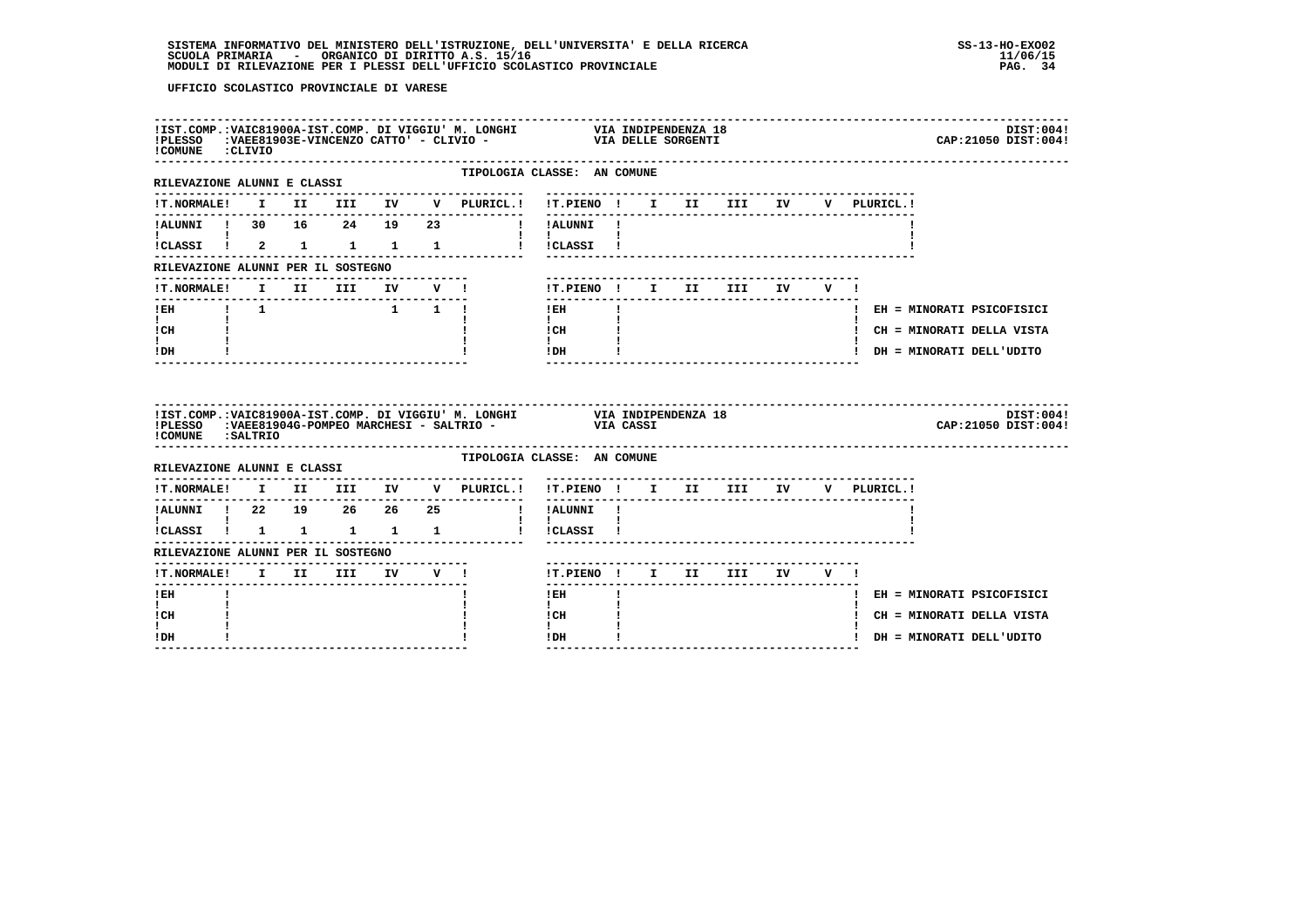| COMUNE : CLIVIO                                |  |  |  |                                                                        |                                                |              |  |  |             | DIST:004!<br>CAP: 21050 DIST: 004! |
|------------------------------------------------|--|--|--|------------------------------------------------------------------------|------------------------------------------------|--------------|--|--|-------------|------------------------------------|
| RILEVAZIONE ALUNNI E CLASSI                    |  |  |  | ---------------------                                                  | TIPOLOGIA CLASSE: AN COMUNE                    |              |  |  |             |                                    |
|                                                |  |  |  |                                                                        |                                                |              |  |  | V PLURICL.! |                                    |
|                                                |  |  |  | !ALUNNI ! 30 16 24 19 23   ! !ALUNNI !                                 |                                                |              |  |  |             |                                    |
| $\mathbf{I}$ and $\mathbf{I}$ and $\mathbf{I}$ |  |  |  | !CLASSI ! 2 1 1 1 1 ! !CLASSI !                                        | $\mathbf{I}$ and $\mathbf{I}$ and $\mathbf{I}$ |              |  |  |             |                                    |
| RILEVAZIONE ALUNNI PER IL SOSTEGNO             |  |  |  |                                                                        |                                                |              |  |  |             |                                    |
| <b>!T.NORMALE!</b>                             |  |  |  | I II III IV V!                                                         | !T.PIENO ! I II III IV V !                     |              |  |  |             |                                    |
|                                                |  |  |  |                                                                        | $!$ EH                                         | $\mathbf{I}$ |  |  |             | ! EH = MINORATI PSICOFISICI        |
| $\mathbf{I}$ and $\mathbf{I}$<br>! CH          |  |  |  |                                                                        | $\mathbf{I}$<br>$\frac{1}{1}$ $\frac{1}{1}$    |              |  |  |             | ! CH = MINORATI DELLA VISTA        |
| t i<br>! DH                                    |  |  |  |                                                                        | IDH                                            |              |  |  |             | ! DH = MINORATI DELL'UDITO         |
|                                                |  |  |  |                                                                        |                                                |              |  |  |             |                                    |
| !COMUNE : SALTRIO                              |  |  |  |                                                                        |                                                |              |  |  |             | DIST:004!<br>CAP: 21050 DIST: 004! |
| RILEVAZIONE ALUNNI E CLASSI                    |  |  |  | TIPOLOGIA CLASSE: AN COMUNE                                            |                                                |              |  |  |             |                                    |
|                                                |  |  |  | !T.NORMALE! I II III IV V PLURICL.! !T.PIENO ! I II III IV V PLURICL.! |                                                |              |  |  |             |                                    |
| ----------                                     |  |  |  |                                                                        |                                                |              |  |  |             |                                    |
| <b>I</b> and the state of the state of         |  |  |  |                                                                        | $\mathbf{I}$ $\mathbf{I}$                      |              |  |  |             |                                    |
| RILEVAZIONE ALUNNI PER IL SOSTEGNO             |  |  |  | .                                                                      |                                                |              |  |  |             |                                    |
|                                                |  |  |  |                                                                        |                                                |              |  |  |             |                                    |
| $I$ EH                                         |  |  |  |                                                                        | $1$ EH                                         |              |  |  |             | ! EH = MINORATI PSICOFISICI        |
| $\mathbf{I}$<br>! CH<br>$\mathbf{I}$           |  |  |  |                                                                        | $\mathbf{I}$<br>! CH<br>$\mathbf{I}$           |              |  |  |             | ! CH = MINORATI DELLA VISTA        |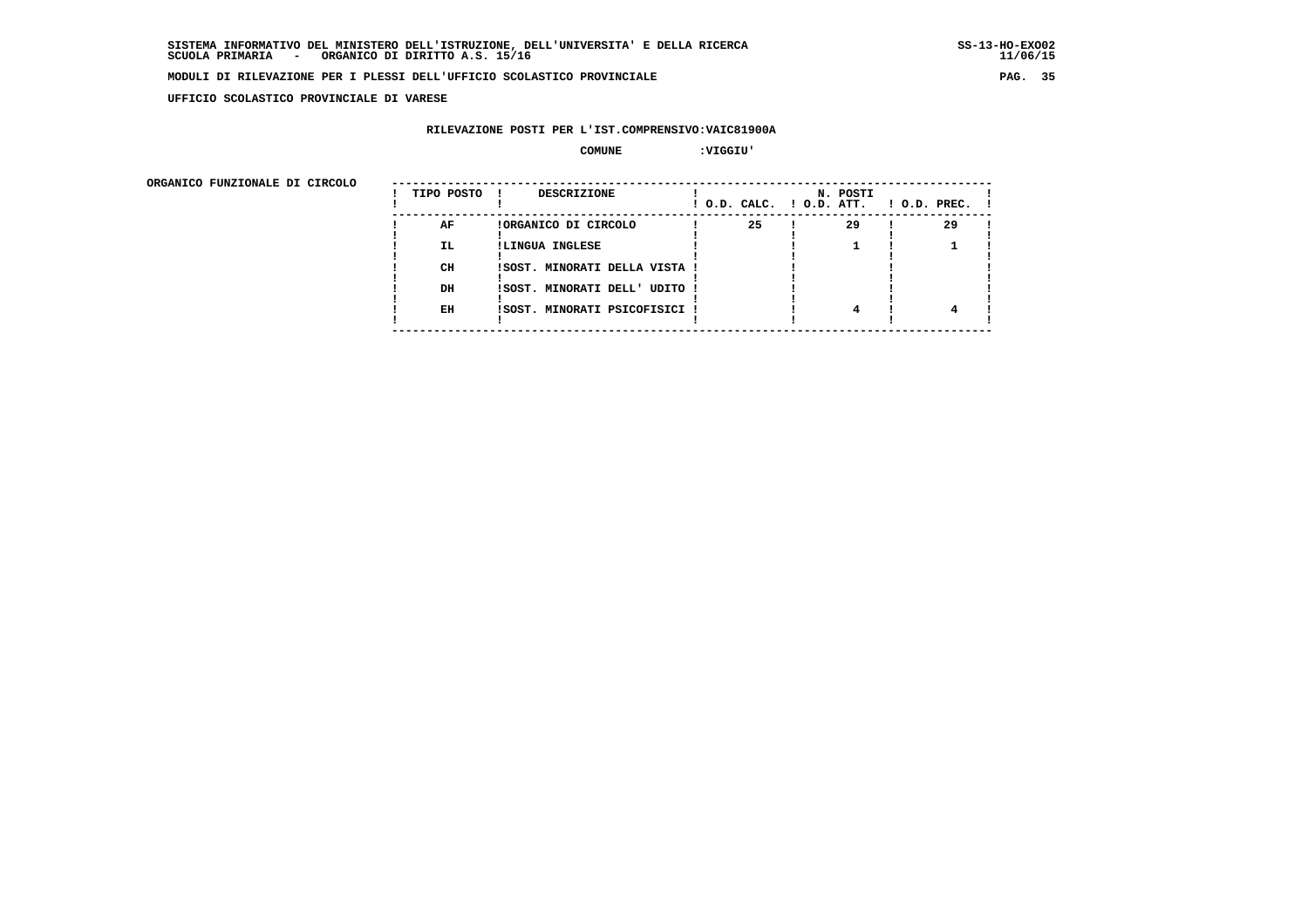**UFFICIO SCOLASTICO PROVINCIALE DI VARESE**

# **RILEVAZIONE POSTI PER L'IST.COMPRENSIVO:VAIC81900A**

 **COMUNE :VIGGIU'**

| ORGANICO FUNZIONALE DI CIRCOLO |            |                               |                          |          |                    |
|--------------------------------|------------|-------------------------------|--------------------------|----------|--------------------|
|                                | TIPO POSTO | DESCRIZIONE                   | ! O.D. CALC. ! O.D. ATT. | N. POSTI | $1$ O.D. PREC. $1$ |
|                                | AF         | !ORGANICO DI CIRCOLO          | 25                       | 29       | 29                 |
|                                | IL.        | !LINGUA INGLESE               |                          |          |                    |
|                                | CH         | ISOST. MINORATI DELLA VISTA ! |                          |          |                    |
|                                | DH         | !SOST. MINORATI DELL' UDITO ! |                          |          |                    |
|                                | EH         | !SOST. MINORATI PSICOFISICI ! |                          | 4        |                    |
|                                |            |                               |                          |          |                    |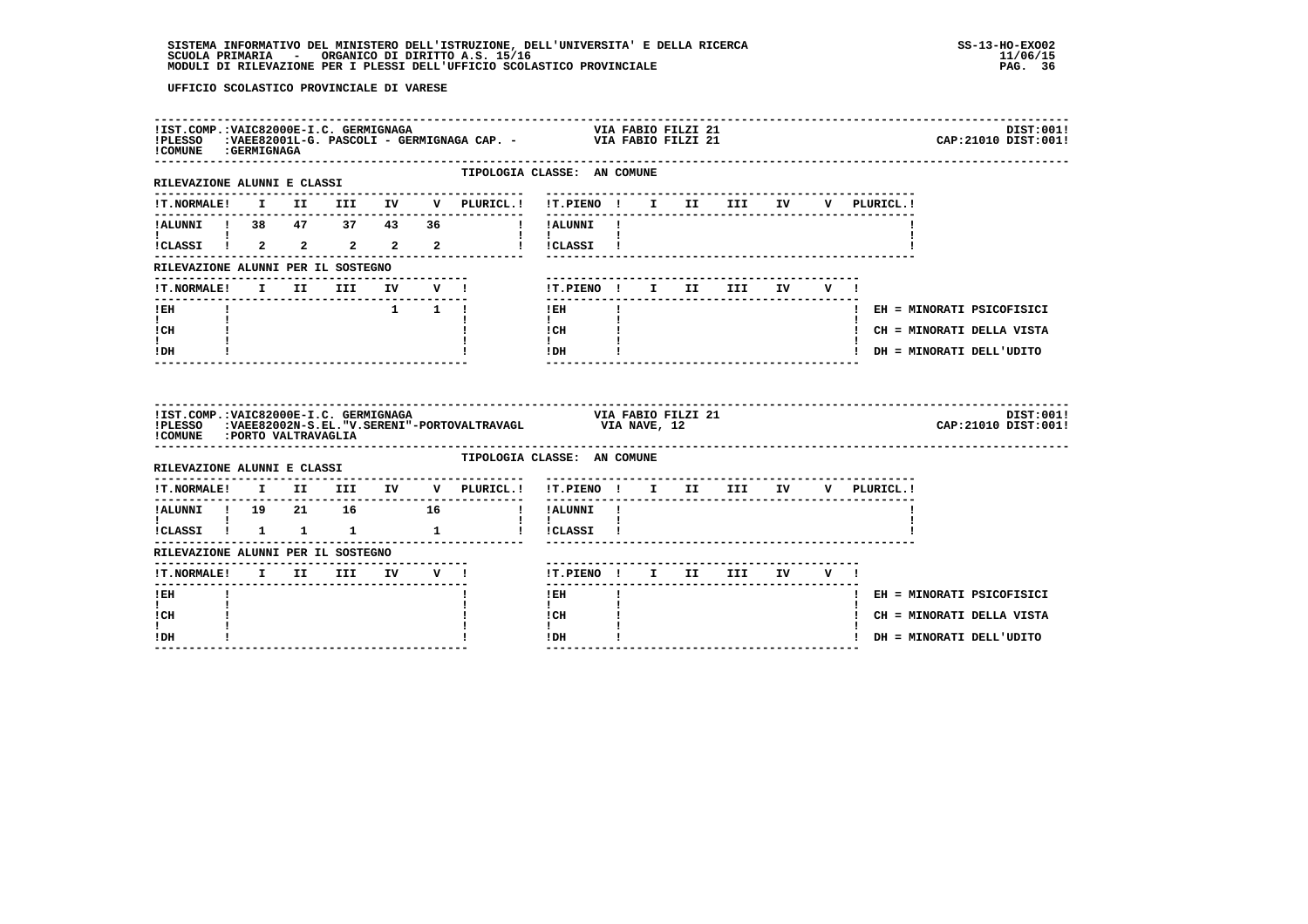| ! COMUNE : GERMIGNAGA                                                  |  |  |  |                                            | IIST.COMP.:VAIC82000E-I.C. GERMIGNAGA (AP. - ) VIA FABIO FILZI 21<br>IPLESSO :VAEE82001L-G. PASCOLI - GERMIGNAGA CAP. - ) VIA FABIO FILZI 21<br>DIST:001!<br>CAP: 21010 DIST: 001! |
|------------------------------------------------------------------------|--|--|--|--------------------------------------------|------------------------------------------------------------------------------------------------------------------------------------------------------------------------------------|
| RILEVAZIONE ALUNNI E CLASSI<br>----------------------------------      |  |  |  |                                            | TIPOLOGIA CLASSE: AN COMUNE                                                                                                                                                        |
| <b>!T.NORMALE!</b>                                                     |  |  |  | ---------------<br>I II III IV V PLURICL.! | !T.PIENO ! I II III IV<br>V PLURICL.!                                                                                                                                              |
|                                                                        |  |  |  |                                            | 1 ALUNNI 1 38 47 37 43 36 1 IALUNNI 1                                                                                                                                              |
|                                                                        |  |  |  |                                            |                                                                                                                                                                                    |
| RILEVAZIONE ALUNNI PER IL SOSTEGNO                                     |  |  |  |                                            |                                                                                                                                                                                    |
|                                                                        |  |  |  | !T.NORMALE! I II III IV V !                | !T.PIENO! I II III IV V!                                                                                                                                                           |
| -------------------------------<br>$I$ EH                              |  |  |  | $1 \quad 1 \quad 1$                        | --------<br>$1$ EH<br>$\mathbf{I}$<br>! EH = MINORATI PSICOFISICI                                                                                                                  |
| $\mathbf{I}$ and $\mathbf{I}$<br>! CH                                  |  |  |  |                                            | $\mathbf{I}$ and $\mathbf{I}$<br>$\begin{array}{ccc}\n\text{ICH} & & \text{!} \\ \text{!} & & \text{!} \\ \end{array}$<br>! CH = MINORATI DELLA VISTA                              |
| $\mathbf{I}$<br>! DH                                                   |  |  |  |                                            | $!$ DH<br>! DH = MINORATI DELL'UDITO                                                                                                                                               |
| !IST.COMP.:VAIC82000E-I.C. GERMIGNAGA<br>! COMUNE : PORTO VALTRAVAGLIA |  |  |  |                                            | VIA FABIO FILZI 21<br>DIST:001!<br>!PLESSO :VAEE82002N-S.EL. "V. SERENI"-PORTOVALTRAVAGL VIA NAVE, 12<br>CAP: 21010 DIST: 001!                                                     |
| RILEVAZIONE ALUNNI E CLASSI                                            |  |  |  |                                            | TIPOLOGIA CLASSE: AN COMUNE                                                                                                                                                        |
|                                                                        |  |  |  |                                            |                                                                                                                                                                                    |
|                                                                        |  |  |  |                                            |                                                                                                                                                                                    |
|                                                                        |  |  |  |                                            |                                                                                                                                                                                    |
| RILEVAZIONE ALUNNI PER IL SOSTEGNO                                     |  |  |  |                                            |                                                                                                                                                                                    |
| !T.NORMALE! I II III IV V !                                            |  |  |  |                                            | !T.PIENO ! I II III IV V !                                                                                                                                                         |
| ! EH                                                                   |  |  |  |                                            | $\frac{1}{2}$<br>$1$ EH<br>! EH = MINORATI PSICOFISICI                                                                                                                             |
| $\mathbf{I}$<br>! CH                                                   |  |  |  |                                            | $\mathbf{I}$                                                                                                                                                                       |
| I.                                                                     |  |  |  |                                            | ! CH<br>! CH = MINORATI DELLA VISTA<br>$\mathbf{I}$<br>$\mathbf{I}$ and $\mathbf{I}$                                                                                               |
| ! DH                                                                   |  |  |  |                                            | ! DH<br>! DH = MINORATI DELL'UDITO                                                                                                                                                 |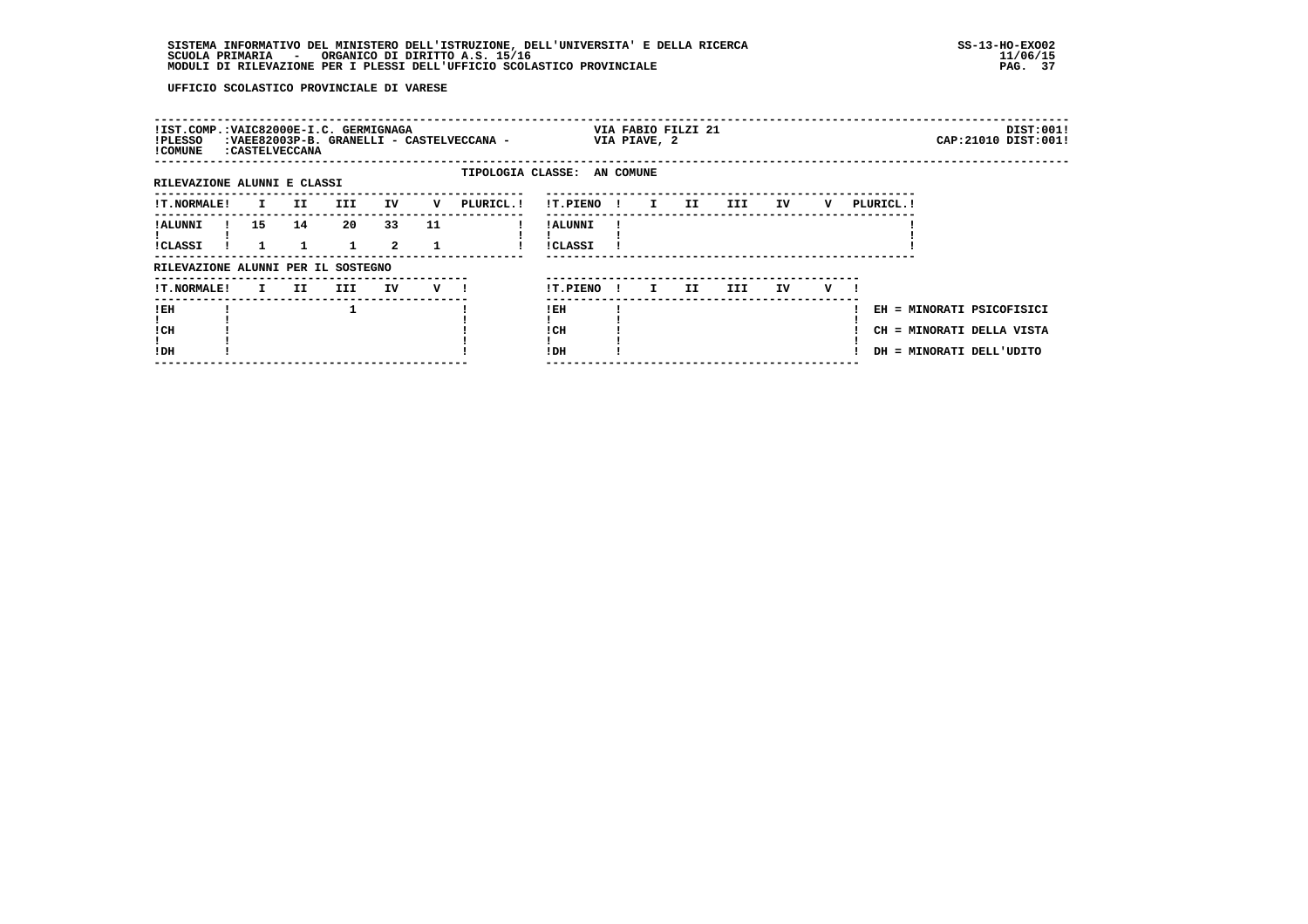| !IST.COMP.:VAIC82000E-I.C. GERMIGNAGA<br>!PLESSO<br>! COMUNE |    | : CASTELVECCANA     |                    |                      |     | :VAEE82003P-B. GRANELLI - CASTELVECCANA - |                             |              | VIA PIAVE, 2 | VIA FABIO FILZI 21 |         |    |     |                                                                                    | CAP: 21010 DIST: 001! | DIST:001! |
|--------------------------------------------------------------|----|---------------------|--------------------|----------------------|-----|-------------------------------------------|-----------------------------|--------------|--------------|--------------------|---------|----|-----|------------------------------------------------------------------------------------|-----------------------|-----------|
| RILEVAZIONE ALUNNI E CLASSI                                  |    |                     |                    |                      |     |                                           | TIPOLOGIA CLASSE: AN COMUNE |              |              |                    |         |    |     |                                                                                    |                       |           |
| !T.NORMALE!                                                  |    | II<br>$\mathbf{I}$  | <b>III</b>         | IV                   | v   | PLURICL.!                                 | !T.PIENO !                  |              | 1 II         |                    | III TIT | IV | v   | PLURICL. !                                                                         |                       |           |
| ! ALUNNI<br>!CLASSI                                          | 15 | 14                  | 20<br>$\mathbf{1}$ | 33<br>$\overline{a}$ | 11  |                                           | ! ALUNNI<br><b>!CLASSI</b>  |              |              |                    |         |    |     |                                                                                    |                       |           |
| RILEVAZIONE ALUNNI PER IL SOSTEGNO                           |    |                     |                    |                      |     |                                           |                             |              |              |                    |         |    |     |                                                                                    |                       |           |
| <b>!T.NORMALE!</b>                                           |    | II.<br>$\mathbf{I}$ | III                | IV                   | V I |                                           | !T.PIENO                    | $\mathbf{I}$ | $\mathbf{I}$ | II.                | III.    | IV | v — |                                                                                    |                       |           |
| ! EH<br>! CH<br>!DH                                          |    |                     |                    |                      |     |                                           | ! EH<br>! CH<br>! DH        |              |              |                    |         |    |     | EH = MINORATI PSICOFISICI<br>CH = MINORATI DELLA VISTA<br>DH = MINORATI DELL'UDITO |                       |           |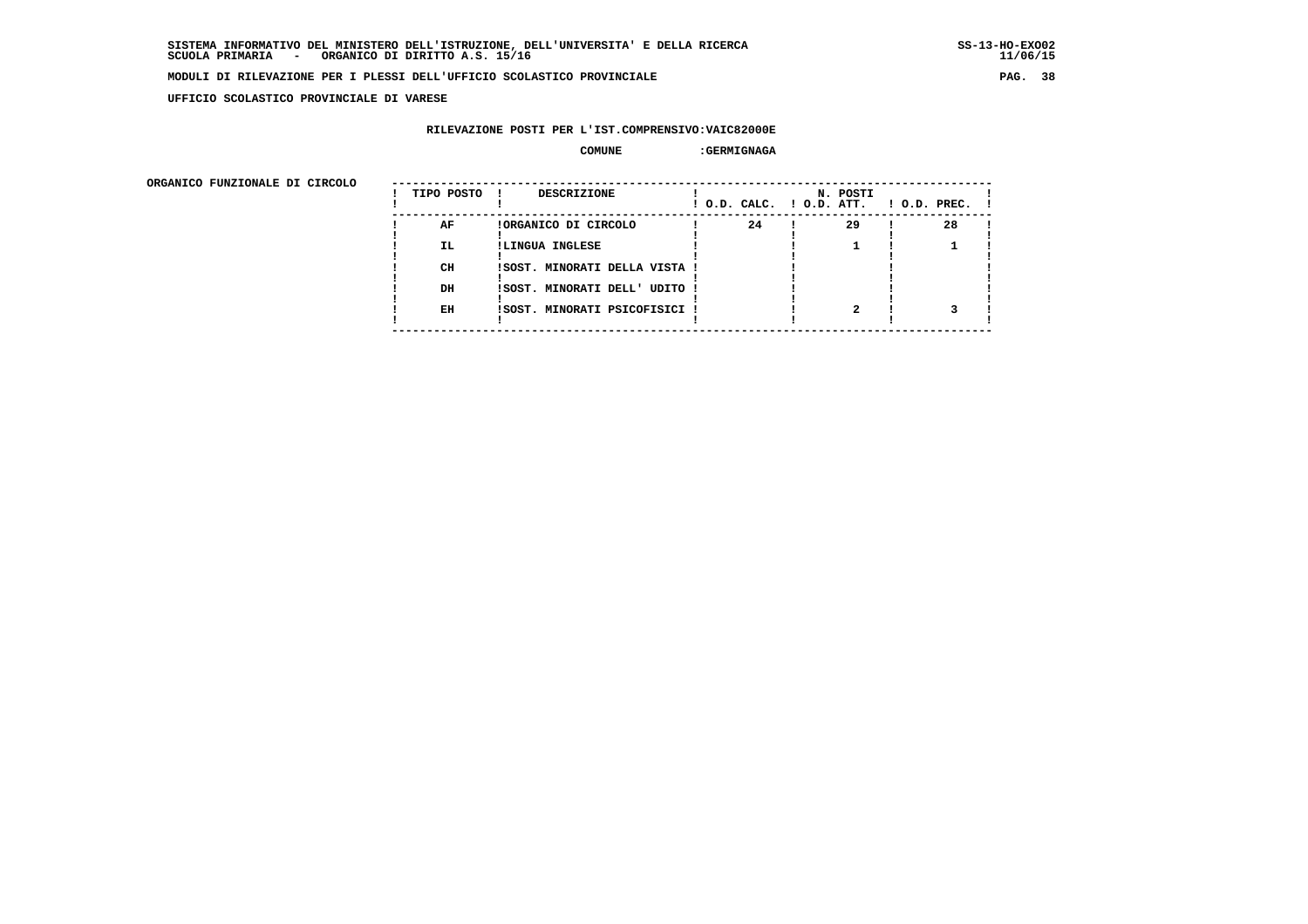**UFFICIO SCOLASTICO PROVINCIALE DI VARESE**

## **RILEVAZIONE POSTI PER L'IST.COMPRENSIVO:VAIC82000E**

#### **COMUNE :GERMIGNAGA**

 **ORGANICO FUNZIONALE DI CIRCOLO --------------------------------------------------------------------------------------**

| ORGANICO FUNZIONALE DI CIRCOLO | TIPO POSTO | <b>DESCRIZIONE</b><br>$\mathbf{I}$ |  |    | N. POSTI<br>! O.D. CALC. ! O.D. ATT. | $1$ O.D. PREC. $1$ |  |
|--------------------------------|------------|------------------------------------|--|----|--------------------------------------|--------------------|--|
|                                | AF         | !ORGANICO DI CIRCOLO               |  | 24 | 29                                   | 28                 |  |
|                                | <b>IL</b>  | !LINGUA INGLESE                    |  |    |                                      |                    |  |
|                                | CH         | !SOST. MINORATI DELLA VISTA !      |  |    |                                      |                    |  |
|                                | DH         | ISOST. MINORATI DELL' UDITO !      |  |    |                                      |                    |  |
|                                | EH         | ISOST. MINORATI PSICOFISICI !      |  |    |                                      |                    |  |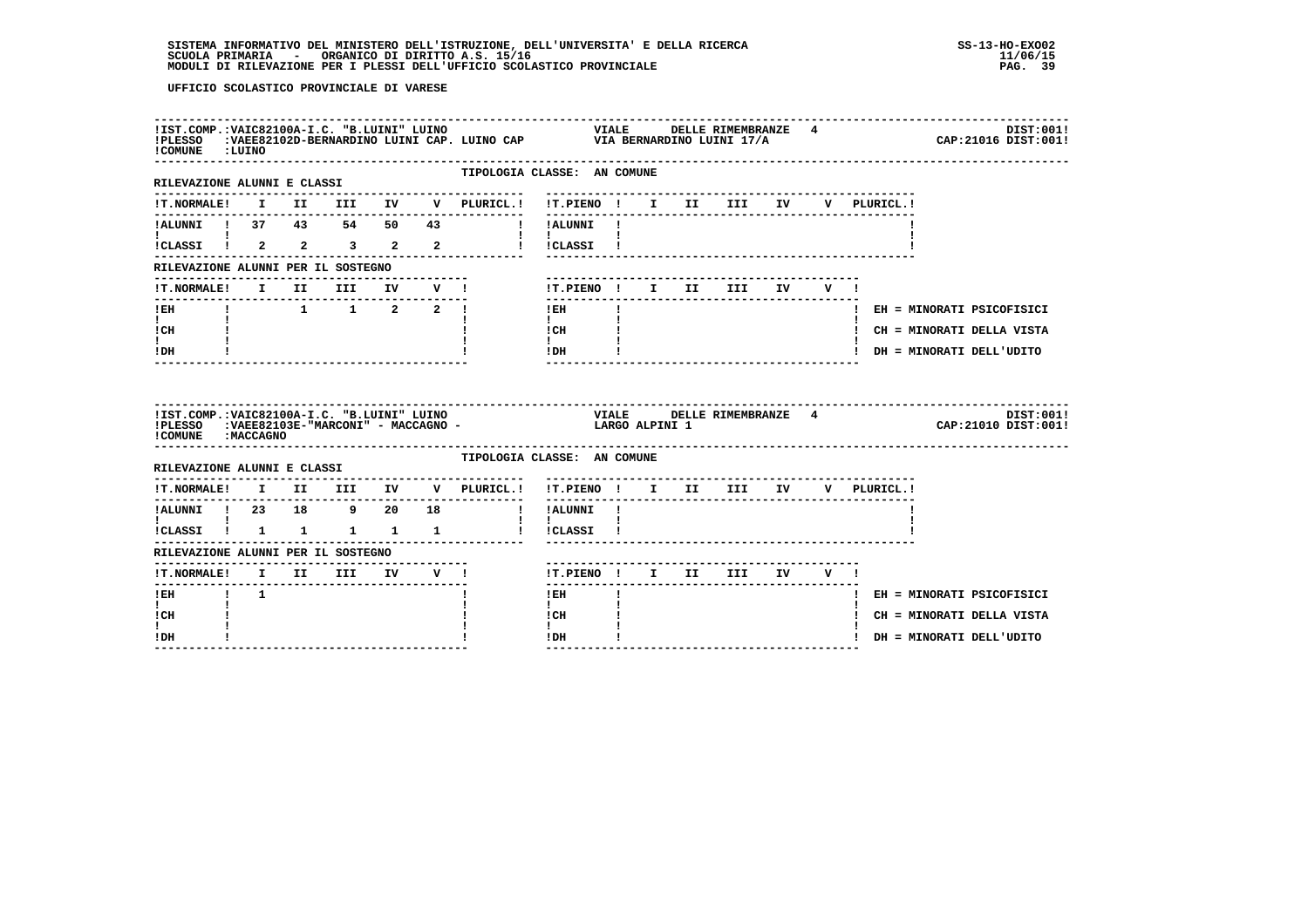| !COMUNE : LUINO                                      |             |                                                  |  |                                                                                                                                                                                         |                             |  |                     |        |        |             | DIST:001!<br>CAP: 21016 DIST: 001! |
|------------------------------------------------------|-------------|--------------------------------------------------|--|-----------------------------------------------------------------------------------------------------------------------------------------------------------------------------------------|-----------------------------|--|---------------------|--------|--------|-------------|------------------------------------|
| ---------------------<br>RILEVAZIONE ALUNNI E CLASSI |             |                                                  |  | TIPOLOGIA CLASSE: AN COMUNE                                                                                                                                                             |                             |  |                     |        |        |             |                                    |
|                                                      |             |                                                  |  | . <u>.</u> .<br>!T.NORMALE! I II III IV V PLURICL.!                                                                                                                                     | !T.PIENO ! I II III IV      |  |                     |        |        | V PLURICL.! |                                    |
|                                                      |             |                                                  |  | !ALUNNI ! 37 43 54 50 43 ! !ALUNNI !                                                                                                                                                    |                             |  |                     |        |        |             |                                    |
| !CLASSI ! 2 2 3 2 2                                  |             |                                                  |  |                                                                                                                                                                                         | ! !CLASSI !                 |  |                     |        |        |             |                                    |
| RILEVAZIONE ALUNNI PER IL SOSTEGNO                   |             |                                                  |  |                                                                                                                                                                                         |                             |  |                     |        |        |             |                                    |
| <b>!T.NORMALE!</b>                                   |             | I II III IV V !                                  |  |                                                                                                                                                                                         |                             |  | !T.PIENO ! I II III | IV DOM | v I    |             |                                    |
| ! EH                                                 |             | $1 \qquad 1 \qquad 1 \qquad 2 \qquad 2 \qquad 1$ |  |                                                                                                                                                                                         | ! EH                        |  |                     |        |        |             | ! EH = MINORATI PSICOFISICI        |
| $\mathbf{I}$<br>! CH                                 |             |                                                  |  |                                                                                                                                                                                         | $\mathbf{I}$<br>! CH        |  |                     |        |        |             | ! CH = MINORATI DELLA VISTA        |
| $\mathbf{I}$                                         |             |                                                  |  |                                                                                                                                                                                         | $\mathbf{I}$<br>! DH        |  |                     |        |        |             | ! DH = MINORATI DELL'UDITO         |
| ! DH                                                 |             |                                                  |  |                                                                                                                                                                                         |                             |  |                     |        |        |             |                                    |
| ! COMUNE : MACCAGNO                                  |             |                                                  |  | IIST.COMP.:VAIC82100A-I.C. "B.LUINI" LUINO                                   VIALE               DELI<br>IPLESSO    :VAEE82103E-"MARCONI" - MACCAGNO -                   LARGO ALPINI 1 |                             |  | DELLE RIMEMBRANZE 4 |        |        |             | DIST:001!<br>CAP: 21010 DIST: 001! |
| RILEVAZIONE ALUNNI E CLASSI                          |             |                                                  |  | TIPOLOGIA CLASSE: AN COMUNE                                                                                                                                                             |                             |  |                     |        |        |             |                                    |
|                                                      |             |                                                  |  | !T.NORMALE! I II III IV V PLURICL.! !T.PIENO ! I II III IV V PLURICL.!                                                                                                                  |                             |  |                     |        |        |             |                                    |
| !ALUNNI ! 23 18 9 20 18                              |             |                                                  |  |                                                                                                                                                                                         | ------<br>! !ALUNNI !       |  |                     |        |        |             |                                    |
| <b>The Community</b><br>!CLASSI ! 1 1 1 1 1 1        |             |                                                  |  |                                                                                                                                                                                         | $\mathbf{I}$<br>! !CLASSI ! |  |                     |        |        |             |                                    |
| RILEVAZIONE ALUNNI PER IL SOSTEGNO                   |             |                                                  |  |                                                                                                                                                                                         |                             |  |                     |        |        |             |                                    |
| !T.NORMALE! I II III IV V !                          |             |                                                  |  |                                                                                                                                                                                         | !T.PIENO ! I II III         |  |                     |        | IV V ! |             |                                    |
| $1$ EH                                               | $1 \quad 1$ |                                                  |  |                                                                                                                                                                                         | ! EH                        |  |                     |        |        |             | ! EH = MINORATI PSICOFISICI        |
| I.<br>! CH<br>L                                      |             |                                                  |  |                                                                                                                                                                                         | $\mathbf{I}$<br>! CH        |  |                     |        |        |             | ! CH = MINORATI DELLA VISTA        |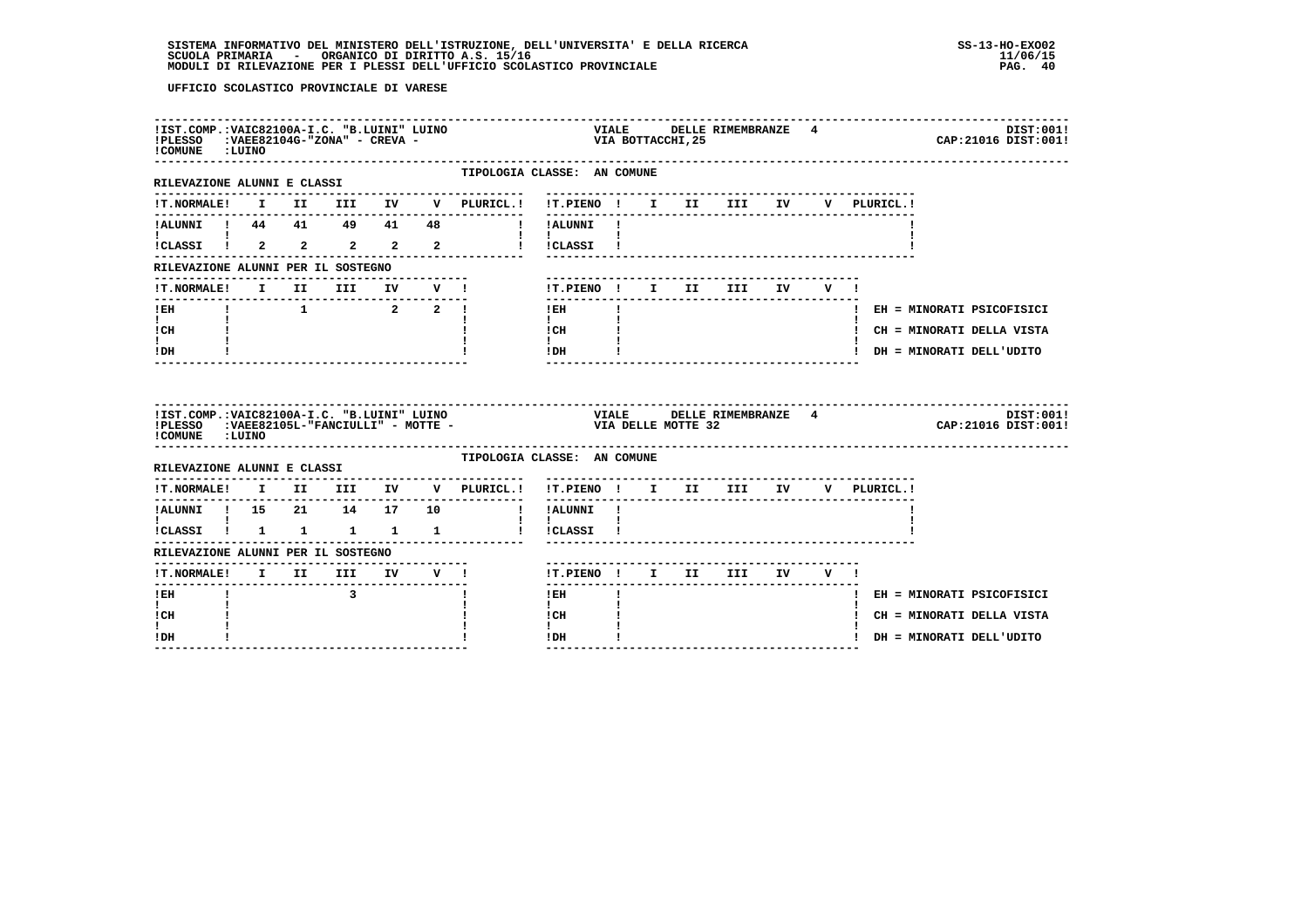| !IST.COMP.: VAIC82100A-I.C. "B.LUINI" LUINO<br>!PLESSO : VAEE82104G-"ZONA" - CREVA -<br>!COMUNE : LUINO |  |                         |                                 |  |                                                                                                                                                                                                          |                                      |                   | VIALD<br>VIA BOTTACCHI, 25 | VIALE DELLE RIMEMBRANZE 4  |  |  | DIST:001!<br>CAP: 21016 DIST: 001! |  |
|---------------------------------------------------------------------------------------------------------|--|-------------------------|---------------------------------|--|----------------------------------------------------------------------------------------------------------------------------------------------------------------------------------------------------------|--------------------------------------|-------------------|----------------------------|----------------------------|--|--|------------------------------------|--|
| ---------------------<br>RILEVAZIONE ALUNNI E CLASSI                                                    |  |                         |                                 |  | TIPOLOGIA CLASSE: AN COMUNE                                                                                                                                                                              |                                      |                   |                            |                            |  |  |                                    |  |
|                                                                                                         |  |                         |                                 |  | !T.NORMALE! I II III IV V PLURICL.! !T.PIENO ! I II III IV V PLURICL.!                                                                                                                                   |                                      |                   |                            |                            |  |  |                                    |  |
| !ALUNNI ! 44  41  49  41  48                                                                            |  |                         |                                 |  | I !ALUNNI !                                                                                                                                                                                              |                                      |                   |                            |                            |  |  |                                    |  |
| !CLASSI ! 2 2 2 2 2                                                                                     |  |                         |                                 |  |                                                                                                                                                                                                          | ! !CLASSI !                          |                   |                            |                            |  |  |                                    |  |
| RILEVAZIONE ALUNNI PER IL SOSTEGNO                                                                      |  |                         |                                 |  |                                                                                                                                                                                                          |                                      |                   |                            |                            |  |  |                                    |  |
| !T.NORMALE! I II III IV V !                                                                             |  |                         |                                 |  |                                                                                                                                                                                                          |                                      |                   |                            | !T.PIENO ! I II III IV V ! |  |  |                                    |  |
| $!$ EH<br>$\mathbf{I}$ and $\mathbf{I}$                                                                 |  |                         | $1$ 1 2 2 1                     |  |                                                                                                                                                                                                          | ! EH<br>$\mathbf{I}$                 | $\mathbf{I}$      |                            |                            |  |  | ! EH = MINORATI PSICOFISICI        |  |
| ! CH                                                                                                    |  |                         |                                 |  |                                                                                                                                                                                                          | ! CH<br>$\mathbf{I}$                 | $\sim 10^{-10}$ . |                            |                            |  |  | ! CH = MINORATI DELLA VISTA        |  |
| ! DH                                                                                                    |  |                         |                                 |  |                                                                                                                                                                                                          | IDH                                  |                   |                            | ---------------------      |  |  | ! DH = MINORATI DELL'UDITO         |  |
|                                                                                                         |  |                         |                                 |  |                                                                                                                                                                                                          |                                      |                   |                            |                            |  |  |                                    |  |
| !COMUNE : LUINO                                                                                         |  |                         |                                 |  | !IST.COMP.:VAIC82100A-I.C. "B.LUINI" LUINO                           VIALE     DELLE RIMEMBRANZE   4<br>!PLESSO     :VAEE82105L-"FANCIULLI" - MOTTE -                                 VIA DELLE MOTTE 32 |                                      |                   |                            |                            |  |  | DIST:001!<br>CAP: 21016 DIST: 001! |  |
| RILEVAZIONE ALUNNI E CLASSI                                                                             |  |                         |                                 |  | TIPOLOGIA CLASSE: AN COMUNE                                                                                                                                                                              |                                      |                   |                            |                            |  |  |                                    |  |
|                                                                                                         |  |                         |                                 |  | !T.NORMALE! I II III IV V PLURICL.!                                                                                                                                                                      | !T.PIENO! I II III IV V PLURICL.!    |                   |                            |                            |  |  |                                    |  |
| !ALUNNI ! 15  21  14  17  10                                                                            |  |                         |                                 |  |                                                                                                                                                                                                          | ! !ALUNNI !                          |                   |                            |                            |  |  |                                    |  |
| $\mathbf{I}$ and $\mathbf{I}$ and $\mathbf{I}$<br>!CLASSI ! 1 1 1 1 1                                   |  |                         |                                 |  | l ICLASSI I                                                                                                                                                                                              | $\mathbf{I}$ $\mathbf{I}$            |                   |                            |                            |  |  |                                    |  |
| RILEVAZIONE ALUNNI PER IL SOSTEGNO                                                                      |  |                         |                                 |  |                                                                                                                                                                                                          |                                      |                   |                            |                            |  |  |                                    |  |
| !T.NORMALE! I II III IV V !                                                                             |  |                         | ------------------------------- |  |                                                                                                                                                                                                          | !T.PIENO ! I II III IV V !           |                   |                            |                            |  |  |                                    |  |
| -------------------------------<br>$!$ EH                                                               |  | $\overline{\mathbf{3}}$ |                                 |  |                                                                                                                                                                                                          | $!$ EH                               | $\mathbf{I}$      |                            |                            |  |  | ! EH = MINORATI PSICOFISICI        |  |
| $\mathbf{I}$<br>! CH                                                                                    |  |                         |                                 |  |                                                                                                                                                                                                          | $\mathbf{I}$<br>! CH<br>$\mathbf{I}$ |                   |                            |                            |  |  | ! CH = MINORATI DELLA VISTA        |  |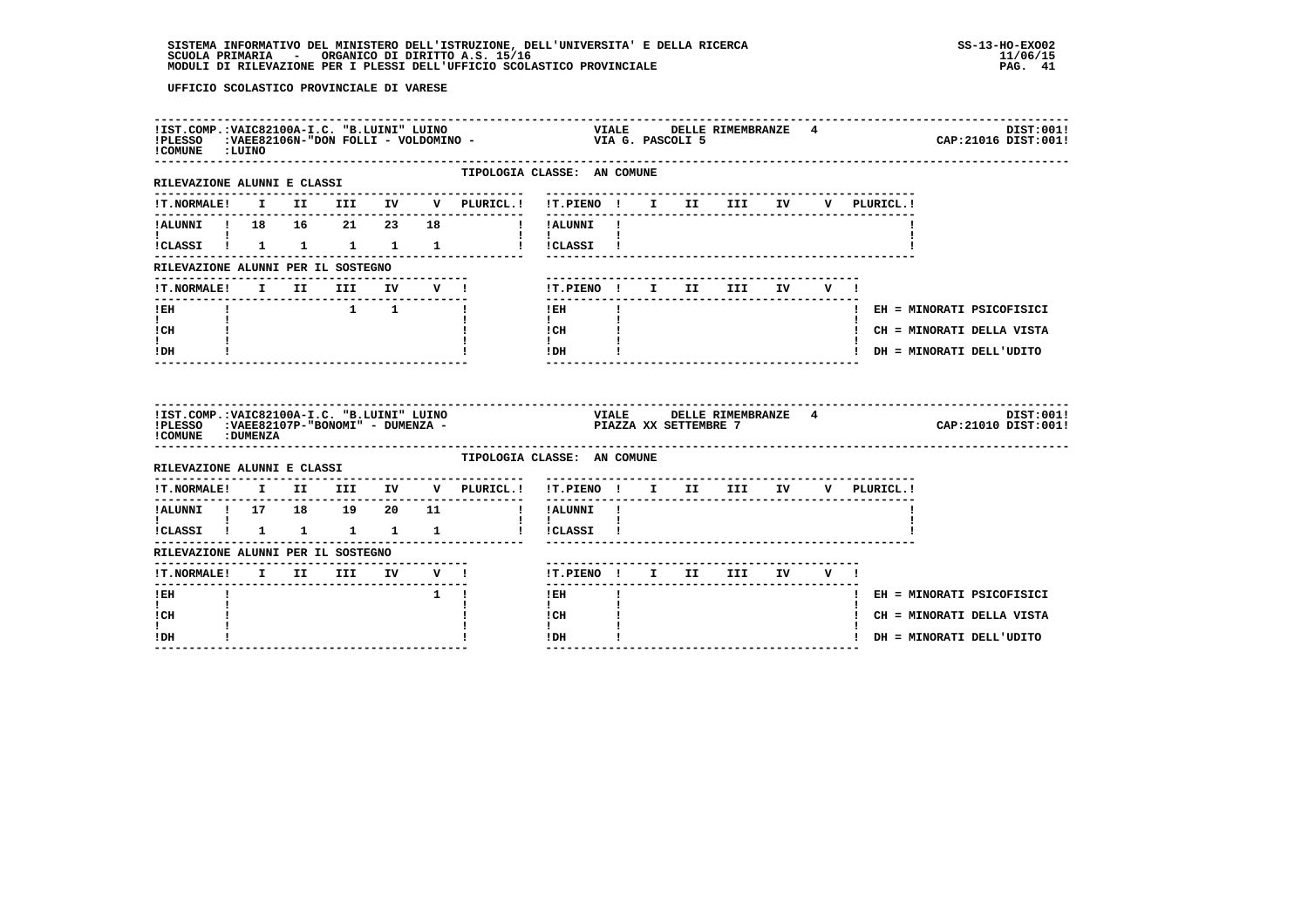| !COMUNE : LUINO                                                                                               |  |                     |              |                                                    |                                                               |    |  |                                  |  |             | DIST:001!<br>CAP: 21016 DIST: 001!   |
|---------------------------------------------------------------------------------------------------------------|--|---------------------|--------------|----------------------------------------------------|---------------------------------------------------------------|----|--|----------------------------------|--|-------------|--------------------------------------|
| -------------------<br>RILEVAZIONE ALUNNI E CLASSI                                                            |  |                     |              | TIPOLOGIA CLASSE: AN COMUNE                        |                                                               |    |  |                                  |  |             |                                      |
| <b>!T.NORMALE!</b>                                                                                            |  |                     |              | I II III IV V PLURICL.! !T.PIENO ! I II III IV     | ---------                                                     |    |  |                                  |  | V PLURICL.! |                                      |
| !ALUNNI ! 18  16  21  23  18                                                                                  |  |                     |              |                                                    | ! !ALUNNI !                                                   |    |  |                                  |  |             |                                      |
|                                                                                                               |  |                     |              | !CLASSI ! 1 1 1 1 1 1 ! !CLASSI !                  | and the state of the state of the                             |    |  |                                  |  |             |                                      |
| RILEVAZIONE ALUNNI PER IL SOSTEGNO                                                                            |  |                     |              |                                                    |                                                               |    |  |                                  |  |             |                                      |
| <b>!T.NORMALE!</b>                                                                                            |  | I II III IV V !     |              |                                                    |                                                               |    |  | ! T.PIENO! I II III IV V!        |  |             |                                      |
| --------------------------------<br>! EH                                                                      |  | $1 \quad 1 \quad 1$ | ------------ |                                                    | $!$ EH                                                        |    |  |                                  |  |             | ! EH = MINORATI PSICOFISICI          |
| $\mathbf{I}$<br>! CH                                                                                          |  |                     |              |                                                    | $\mathbf{I}$<br>! CH                                          |    |  |                                  |  |             | ! CH = MINORATI DELLA VISTA          |
|                                                                                                               |  |                     |              |                                                    | $\mathbf{I}$<br>! DH                                          |    |  |                                  |  |             | ! DH = MINORATI DELL'UDITO           |
| $\mathbf{I}$<br>! DH                                                                                          |  |                     |              |                                                    |                                                               |    |  |                                  |  |             | ------------------------------------ |
| !IST.COMP.:VAIC82100A-I.C. "B.LUINI" LUINO<br>!PLESSO : VAEE82107P-"BONOMI" - DUMENZA -<br>! COMUNE : DUMENZA |  |                     |              | VIALE DELLE RIMEMBRANZE 4<br>PIAZZA XX SETTEMBRE 7 |                                                               |    |  |                                  |  |             | DIST:001!<br>CAP: 21010 DIST: 001!   |
| RILEVAZIONE ALUNNI E CLASSI                                                                                   |  |                     |              | TIPOLOGIA CLASSE: AN COMUNE                        |                                                               |    |  |                                  |  |             |                                      |
| <b>!T.NORMALE!</b>                                                                                            |  | I II III IV         |              | V PLURICL.!                                        | !T.PIENO ! I II III IV                                        |    |  | -------------------------------- |  | V PLURICL.! |                                      |
| !ALUNNI ! 17 18 19 20 11                                                                                      |  |                     |              | $\sim$ 1.                                          | ----------<br>!ALUNNI !                                       |    |  |                                  |  |             |                                      |
| !CLASSI ! 1 1 1 1                                                                                             |  |                     | $\mathbf{1}$ |                                                    | $\mathbf{I}$ and $\mathbf{I}$ and $\mathbf{I}$<br>! !CLASSI ! |    |  |                                  |  |             |                                      |
| RILEVAZIONE ALUNNI PER IL SOSTEGNO                                                                            |  |                     |              |                                                    |                                                               |    |  |                                  |  |             |                                      |
| <b>!T.NORMALE!</b>                                                                                            |  |                     |              | I II III IV V !                                    |                                                               |    |  | !T.PIENO! I II III IV V!         |  |             |                                      |
| -------<br>$!$ EH                                                                                             |  |                     | $1 \quad 1$  |                                                    | $!$ EH                                                        | п. |  |                                  |  |             | ! EH = MINORATI PSICOFISICI          |
| $\mathbf{I}$<br>! CH                                                                                          |  |                     |              |                                                    | $\mathbf{I}$<br>! CH                                          |    |  |                                  |  |             | ! CH = MINORATI DELLA VISTA          |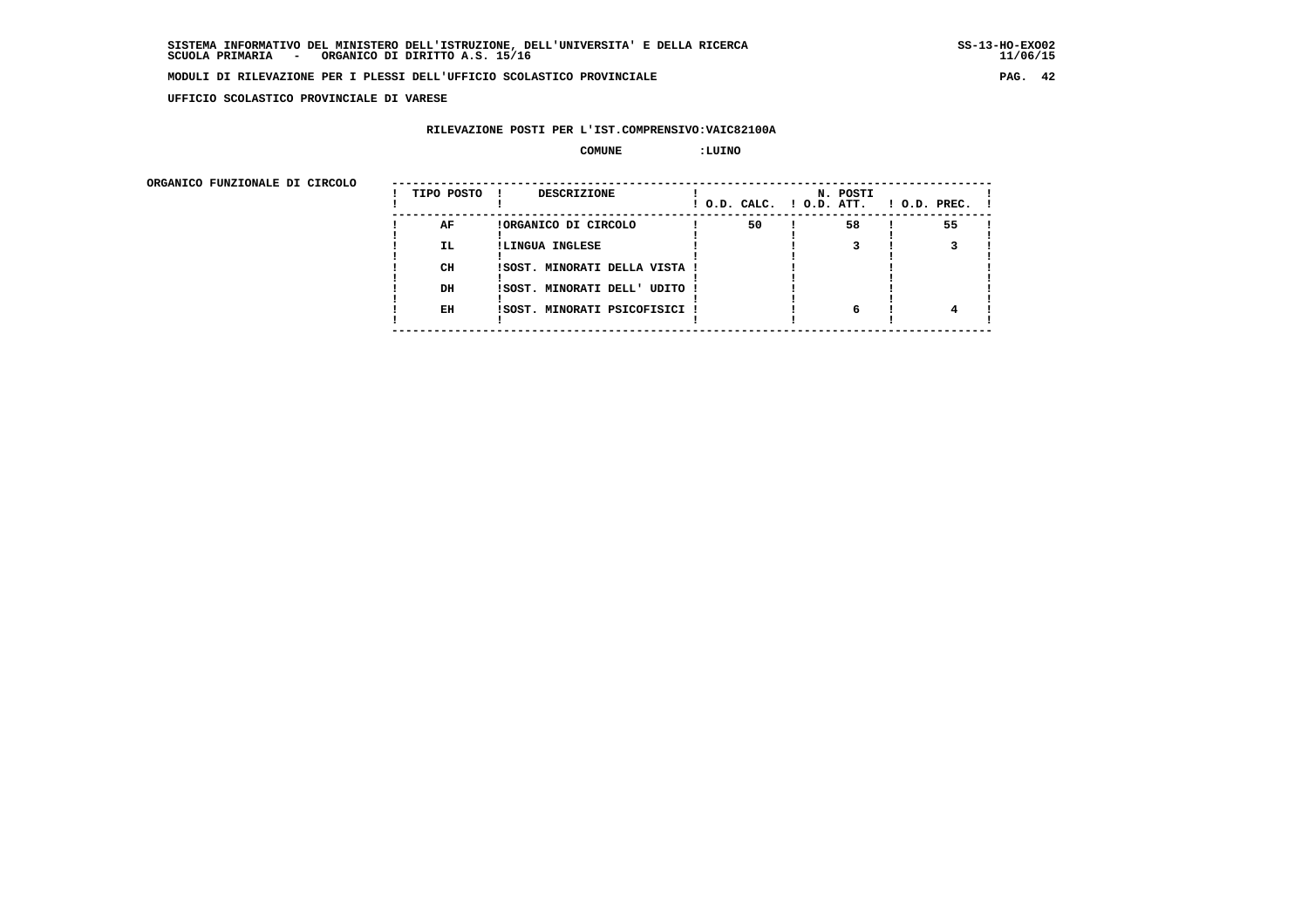**UFFICIO SCOLASTICO PROVINCIALE DI VARESE**

## **RILEVAZIONE POSTI PER L'IST.COMPRENSIVO:VAIC82100A**

 **COMUNE :LUINO**

ORGANICO FUNZIONALE DI CIRCOLO

| ORGANICO FUNZIONALE DI CIRCOLO | TIPO POSTO ! | <b>DESCRIZIONE</b>            |    | N. POSTI | $!$ O.D. CALC. $!$ O.D. ATT. $!$ O.D. PREC. $!$ |  |
|--------------------------------|--------------|-------------------------------|----|----------|-------------------------------------------------|--|
|                                | AF           | !ORGANICO DI CIRCOLO          | 50 | 58       | 55                                              |  |
|                                | IL.          | !LINGUA INGLESE               |    |          |                                                 |  |
|                                |              |                               |    |          |                                                 |  |
|                                | CH           | !SOST. MINORATI DELLA VISTA ! |    |          |                                                 |  |
|                                |              |                               |    |          |                                                 |  |
|                                | DH           | ISOST. MINORATI DELL' UDITO ! |    |          |                                                 |  |
|                                |              |                               |    |          |                                                 |  |
|                                | EH           | !SOST. MINORATI PSICOFISICI ! |    | 6        |                                                 |  |
|                                |              |                               |    |          |                                                 |  |
|                                |              |                               |    |          |                                                 |  |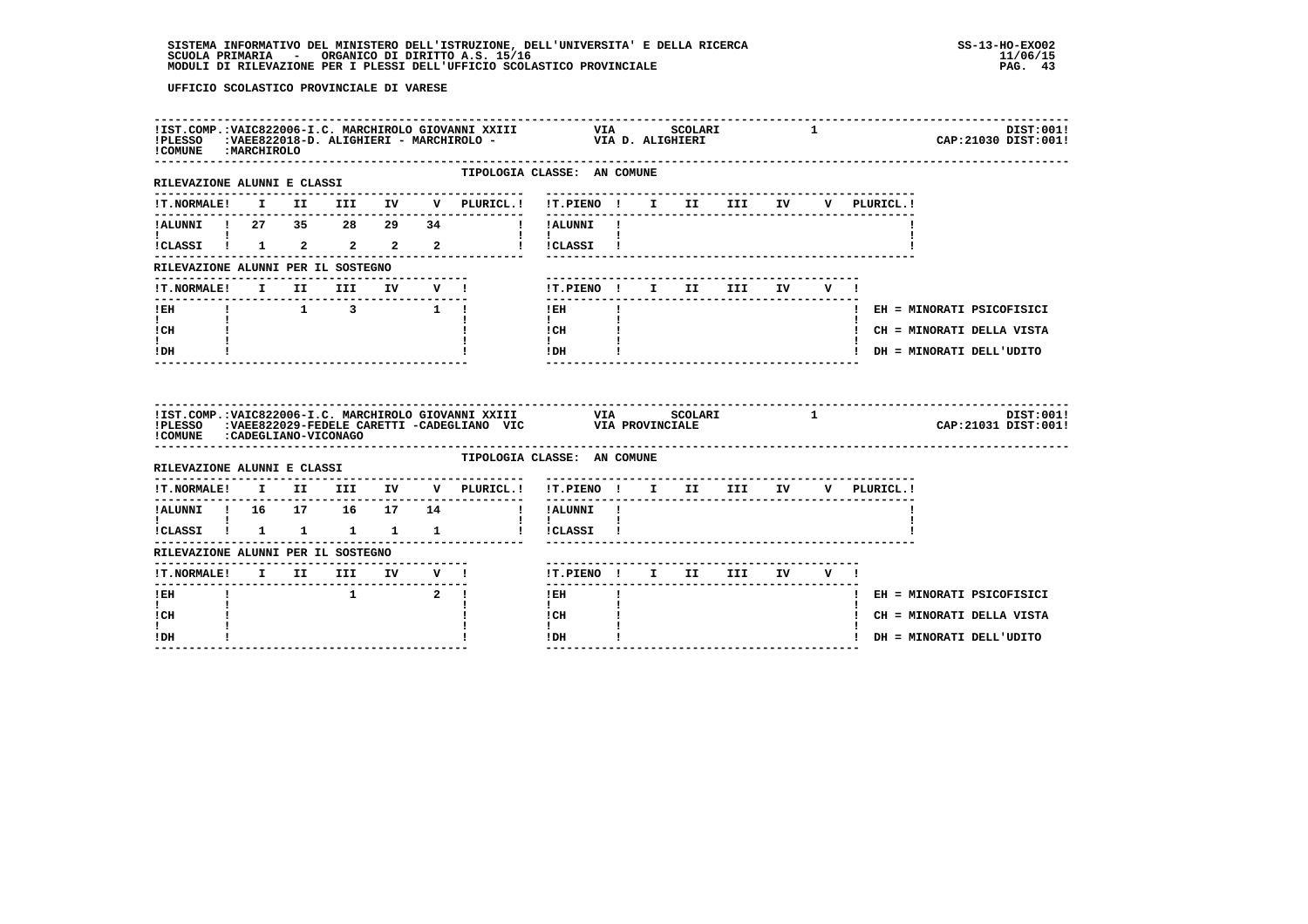| ! COMUNE : MARCHIROLO                                                 |  |                                                                         |       |                                                                                                                                          |                                          |              |  |                                      | $\mathbf{1}$ |             |  | CAP: 21030 DIST: 001!       | DIST:001! |
|-----------------------------------------------------------------------|--|-------------------------------------------------------------------------|-------|------------------------------------------------------------------------------------------------------------------------------------------|------------------------------------------|--------------|--|--------------------------------------|--------------|-------------|--|-----------------------------|-----------|
| RILEVAZIONE ALUNNI E CLASSI                                           |  |                                                                         |       | TIPOLOGIA CLASSE: AN COMUNE<br>---------------                                                                                           | -------------------------------          |              |  |                                      |              |             |  |                             |           |
| <b>!T.NORMALE!</b>                                                    |  |                                                                         |       | I II III IV V PLURICL.!                                                                                                                  | !T.PIENO ! I II III IV                   |              |  |                                      |              | V PLURICL.! |  |                             |           |
|                                                                       |  |                                                                         |       | !ALUNNI ! 27 35 28 29 34 ! !ALUNNI !                                                                                                     |                                          |              |  |                                      |              |             |  |                             |           |
| <b>Experience</b><br>$ICLASSI$ $1$ $2$ $2$ $2$ $2$                    |  |                                                                         |       |                                                                                                                                          | $\mathbf{1}$ $\mathbf{1}$<br>! !CLASSI ! |              |  |                                      |              |             |  |                             |           |
| RILEVAZIONE ALUNNI PER IL SOSTEGNO                                    |  |                                                                         |       |                                                                                                                                          |                                          |              |  |                                      |              |             |  |                             |           |
| !T.NORMALE! I II III IV V !                                           |  |                                                                         |       |                                                                                                                                          | !T.PIENO ! I II III IV                   |              |  |                                      | V I          |             |  |                             |           |
| ---------------<br>$!$ EH                                             |  | $\begin{array}{cccccccccccccc} 1 & & & 1 & & 3 & & & 1 & 1 \end{array}$ |       |                                                                                                                                          | $\frac{1}{2}$<br>$!$ EH                  | $\mathbf{I}$ |  |                                      |              |             |  | ! EH = MINORATI PSICOFISICI |           |
| $\mathbf{I}$ and $\mathbf{I}$<br>ICH                                  |  |                                                                         |       |                                                                                                                                          | $\mathbf{I}$<br>$\frac{1}{1}$ CH         |              |  |                                      |              |             |  | ! CH = MINORATI DELLA VISTA |           |
| I.<br>! DH                                                            |  |                                                                         |       |                                                                                                                                          | $\mathbf{I}$<br>$!$ DH                   |              |  |                                      |              |             |  | ! DH = MINORATI DELL'UDITO  |           |
|                                                                       |  |                                                                         |       |                                                                                                                                          |                                          |              |  |                                      |              |             |  |                             |           |
|                                                                       |  |                                                                         |       | !IST.COMP.:VAIC822006-I.C. MARCHIROLO GIOVANNI XXIII VIA SCOLARI 1<br>!PLESSO :VAEE822029-FEDELE CARETTI -CADEGLIANO VIC VIA PROVINCIALE |                                          |              |  |                                      |              |             |  | CAP: 21031 DIST: 001!       | DIST:001! |
| !COMUNE : CADEGLIANO-VICONAGO<br>RILEVAZIONE ALUNNI E CLASSI          |  |                                                                         |       | TIPOLOGIA CLASSE: AN COMUNE                                                                                                              |                                          |              |  |                                      |              |             |  |                             |           |
|                                                                       |  |                                                                         |       | $\verb !T.NORMALE! \quad I \quad II \quad III \quad IV \quad V \quad \verb PLURICL. !$                                                   | !T.PIENO ! I II III IV V PLURICL.!       |              |  |                                      |              |             |  |                             |           |
|                                                                       |  |                                                                         |       | !ALUNNI ! 16  17  16  17  14  !! !ALUNNI !                                                                                               |                                          |              |  | ------------------------------------ |              |             |  |                             |           |
| $\mathbf{I}$ and $\mathbf{I}$ and $\mathbf{I}$<br>!CLASSI ! 1 1 1 1 1 |  |                                                                         |       |                                                                                                                                          | $\mathbf{I}$<br>! !CLASSI !              |              |  |                                      |              |             |  |                             |           |
| RILEVAZIONE ALUNNI PER IL SOSTEGNO                                    |  |                                                                         |       |                                                                                                                                          |                                          |              |  |                                      |              |             |  |                             |           |
|                                                                       |  | ------------------------------                                          |       |                                                                                                                                          | !T.PIENO ! I II III IV V !               |              |  |                                      |              |             |  |                             |           |
| $1$ EH                                                                |  |                                                                         | 1 2 1 |                                                                                                                                          | $!$ EH                                   |              |  |                                      |              |             |  | ! EH = MINORATI PSICOFISICI |           |
| $\mathbf{I}$<br>! CH<br>L                                             |  |                                                                         |       |                                                                                                                                          | $\mathbf{I}$<br>! CH<br>$\mathbf{I}$     |              |  |                                      |              |             |  | ! CH = MINORATI DELLA VISTA |           |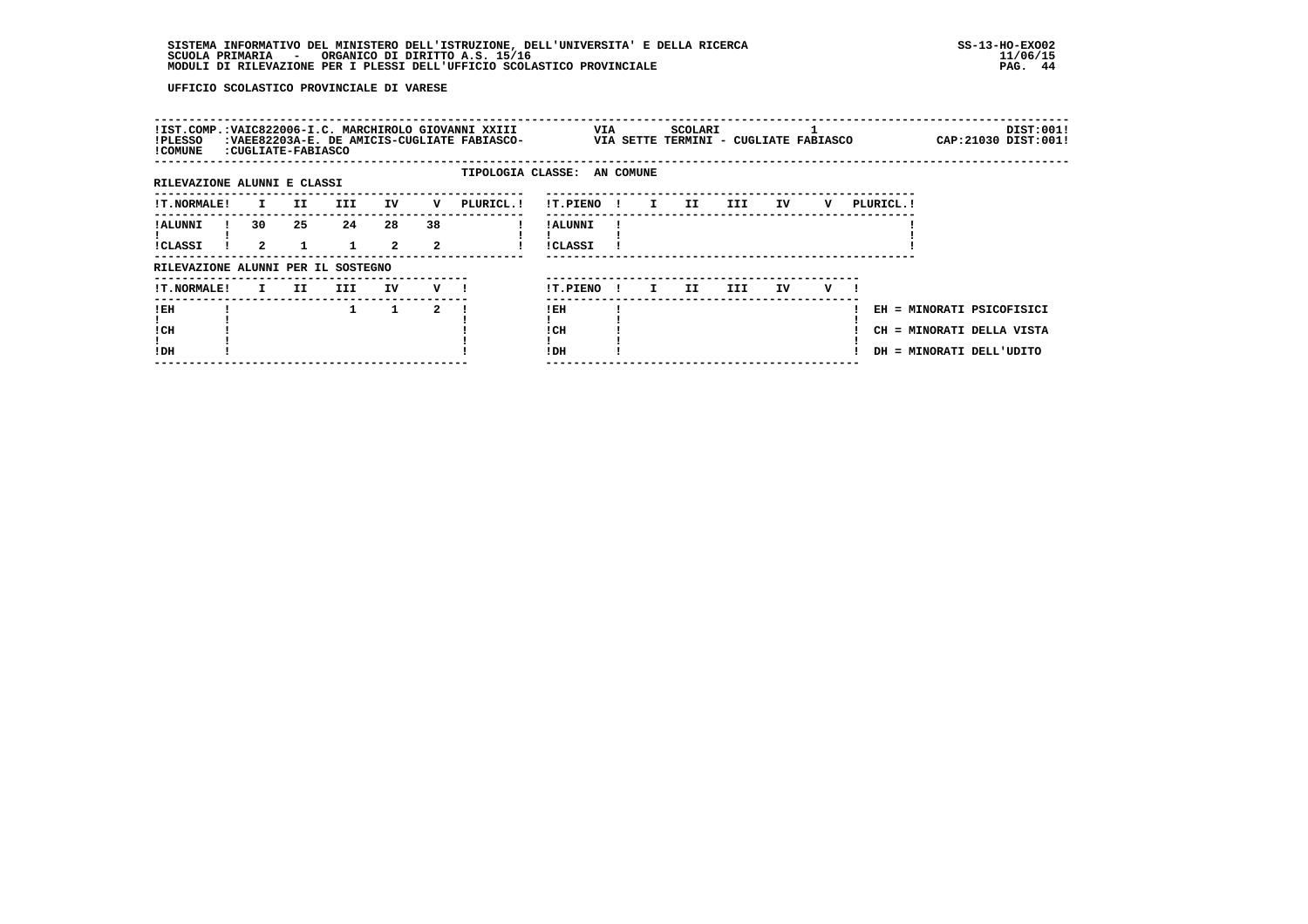| !PLESSO<br>! COMUNE                | : CUGLIATE-FABIASCO        |     |            |                      |                            | !IST.COMP.:VAIC822006-I.C. MARCHIROLO GIOVANNI XXIII<br>:VAEE82203A-E. DE AMICIS-CUGLIATE FABIASCO- |                            | VIA |              |    | SCOLARI<br>VIA SETTE TERMINI - CUGLIATE FABIASCO |      |     |   |            |                          | DIST:001!<br>CAP: 21030 DIST: 001!                     |
|------------------------------------|----------------------------|-----|------------|----------------------|----------------------------|-----------------------------------------------------------------------------------------------------|----------------------------|-----|--------------|----|--------------------------------------------------|------|-----|---|------------|--------------------------|--------------------------------------------------------|
| RILEVAZIONE ALUNNI E CLASSI        |                            |     |            |                      |                            | TIPOLOGIA CLASSE: AN COMUNE                                                                         |                            |     |              |    |                                                  |      |     |   |            |                          |                                                        |
| !T.NORMALE!                        | I.                         | II. | III        | IV                   | v                          | PLURICL. !                                                                                          | !T.PIENO                   |     | $\mathbf{I}$ | I. | II.                                              | III. | ΙV  | v | PLURICL. ! |                          |                                                        |
| ! ALUNNI<br>!CLASSI                | 30<br>$\mathbf{2}^{\circ}$ | 25  | 24         | 28<br>$\overline{2}$ | 38<br>$\mathbf{2}^{\circ}$ |                                                                                                     | ! ALUNNI<br><b>!CLASSI</b> |     |              |    |                                                  |      |     |   |            |                          |                                                        |
| RILEVAZIONE ALUNNI PER IL SOSTEGNO |                            |     |            |                      |                            |                                                                                                     |                            |     |              |    |                                                  |      |     |   |            |                          |                                                        |
| !T.NORMALE!                        | I.                         | II. | <b>III</b> | IV                   | v                          |                                                                                                     | !T.PIENO                   |     |              | I. | II.                                              | III  | IV. | v |            |                          |                                                        |
| !EH<br>! CH<br>!DH                 |                            |     |            | 1                    | 2                          |                                                                                                     | ! EH<br>! CH<br>!DH        |     |              |    |                                                  |      |     |   |            | DH = MINORATI DELL'UDITO | EH = MINORATI PSICOFISICI<br>CH = MINORATI DELLA VISTA |
|                                    |                            |     |            |                      |                            |                                                                                                     |                            |     |              |    |                                                  |      |     |   |            |                          |                                                        |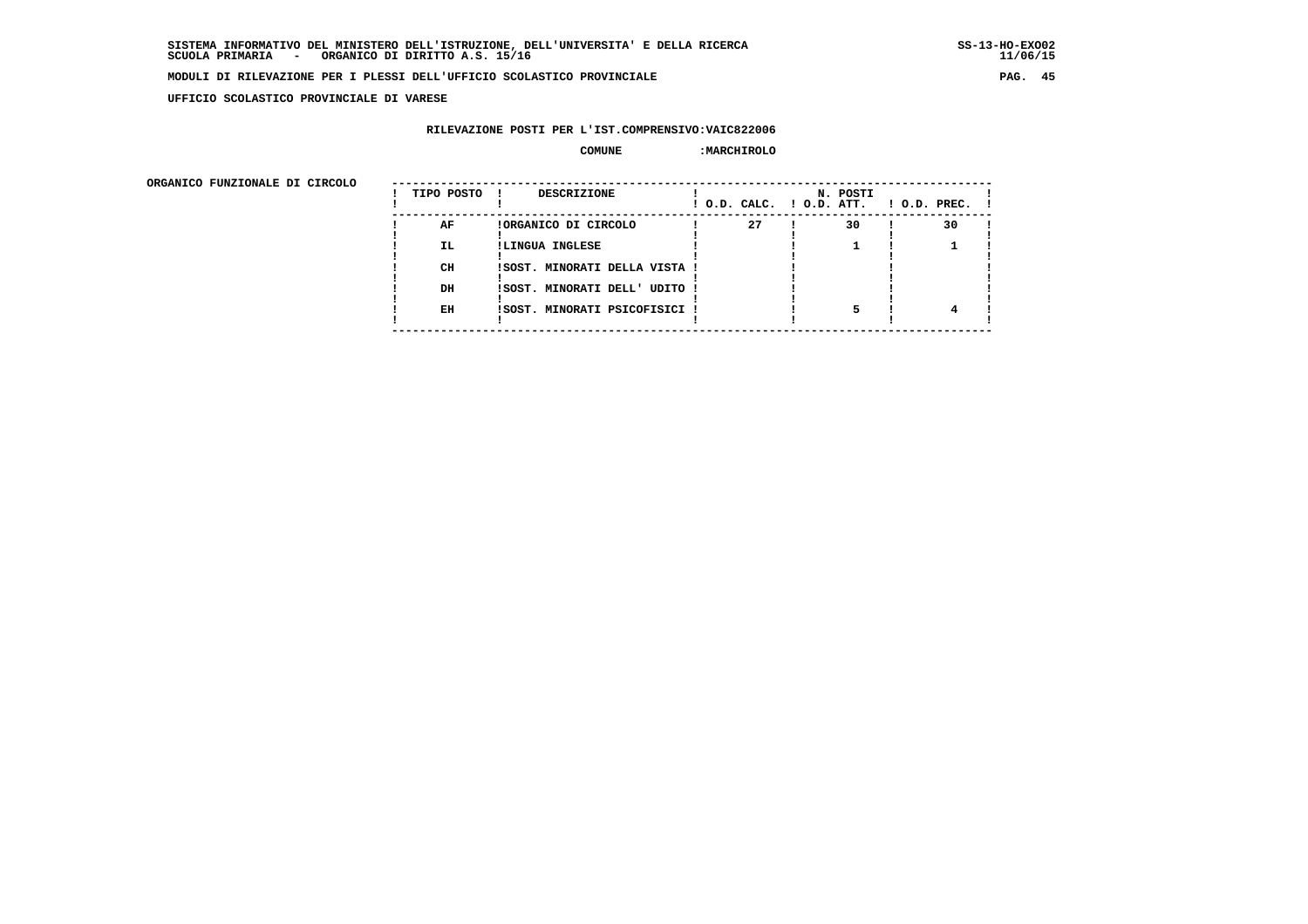**UFFICIO SCOLASTICO PROVINCIALE DI VARESE**

## **RILEVAZIONE POSTI PER L'IST.COMPRENSIVO:VAIC822006**

#### **COMUNE :MARCHIROLO**

 **ORGANICO FUNZIONALE DI CIRCOLO --------------------------------------------------------------------------------------**

| ORGANICO FUNZIONALE DI CIRCOLO | TIPO POSTO | DESCRIZIONE                   | ! O.D. CALC. ! O.D. ATT. | N. POSTI | $1$ O.D. PREC. $1$ |
|--------------------------------|------------|-------------------------------|--------------------------|----------|--------------------|
|                                | AF         | !ORGANICO DI CIRCOLO          | 27                       | 30       | 30                 |
|                                | <b>IL</b>  | !LINGUA INGLESE               |                          |          |                    |
|                                | CH         | !SOST. MINORATI DELLA VISTA ! |                          |          |                    |
|                                | DH         | !SOST. MINORATI DELL' UDITO ! |                          |          |                    |
|                                | EH         | !SOST. MINORATI PSICOFISICI ! |                          |          |                    |
|                                |            |                               |                          |          |                    |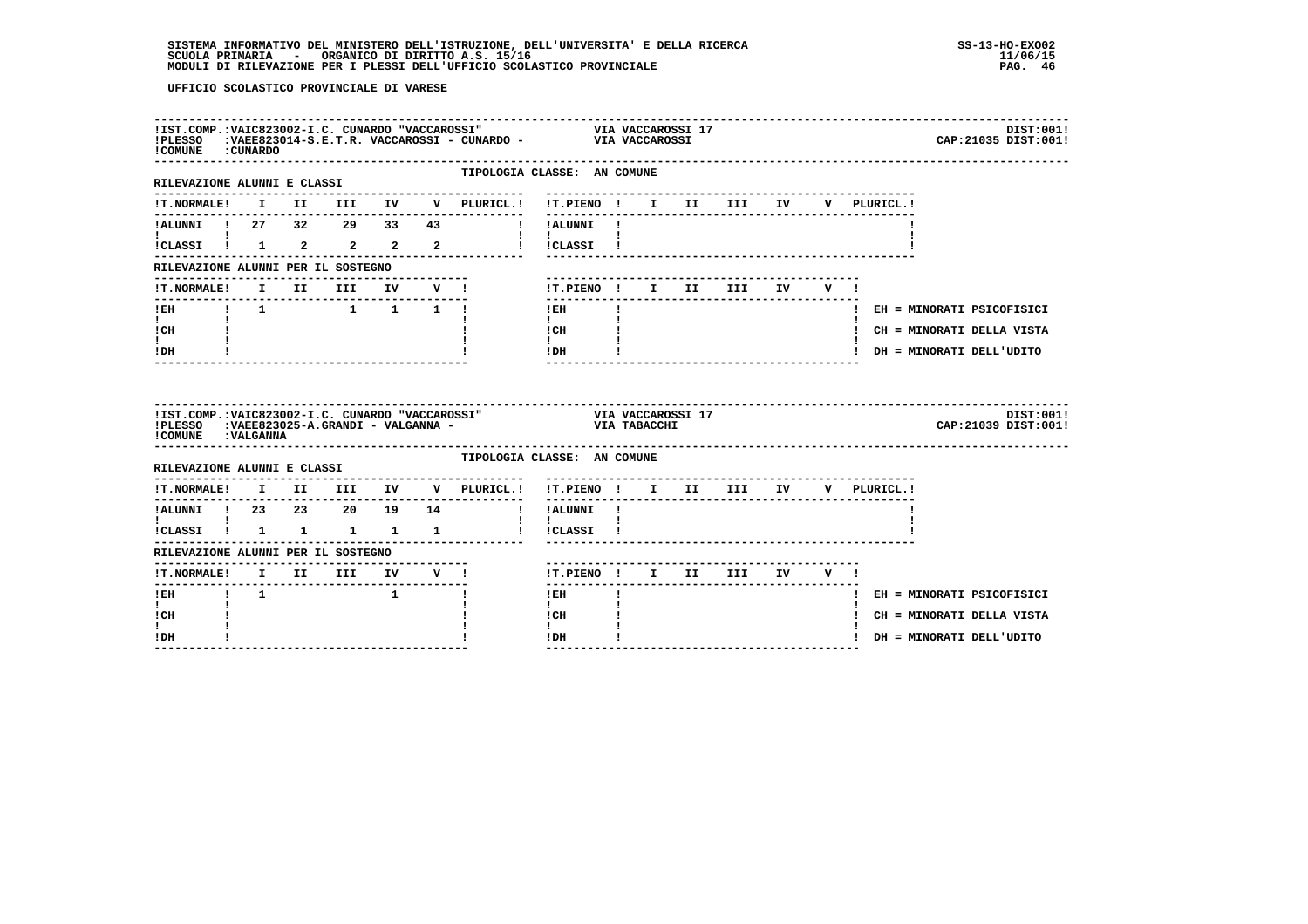| ! COMUNE : CUNARDO                        |             |                                           |  | !IST.COMP.:VAIC823002-I.C. CUNARDO "VACCAROSSI" VIA VACCAROSSI 17<br>!PLESSO :VAEE823014-S.E.T.R. VACCAROSSI - CUNARDO - VIA VACCAROSSI |                                          |              |  |  |                                        | DIST:001!<br>CAP: 21035 DIST: 001! |
|-------------------------------------------|-------------|-------------------------------------------|--|-----------------------------------------------------------------------------------------------------------------------------------------|------------------------------------------|--------------|--|--|----------------------------------------|------------------------------------|
| RILEVAZIONE ALUNNI E CLASSI               |             |                                           |  | TIPOLOGIA CLASSE: AN COMUNE<br>--------------                                                                                           | ------------------------------           |              |  |  |                                        |                                    |
|                                           |             |                                           |  |                                                                                                                                         |                                          |              |  |  | V PLURICL.!                            |                                    |
| -------------<br>!ALUNNI ! 27 32 29 33 43 |             |                                           |  | <b>Example 1</b> Participant 1                                                                                                          |                                          |              |  |  |                                        |                                    |
|                                           |             |                                           |  |                                                                                                                                         |                                          |              |  |  |                                        |                                    |
| RILEVAZIONE ALUNNI PER IL SOSTEGNO        |             |                                           |  |                                                                                                                                         |                                          |              |  |  |                                        |                                    |
| !T.NORMALE!                               |             | I II III IV V!                            |  |                                                                                                                                         | !T.PIENO! I II III IV V!                 |              |  |  |                                        |                                    |
| ------------------------------            |             |                                           |  |                                                                                                                                         | I EH                                     | $\mathbf{I}$ |  |  |                                        | ! EH = MINORATI PSICOFISICI        |
| $\mathbf{I}$ and $\mathbf{I}$<br>! CH     |             |                                           |  |                                                                                                                                         | $\mathbf{I}$<br>! CH                     |              |  |  |                                        | ! CH = MINORATI DELLA VISTA        |
| $\mathbf{I}$<br>! DH                      |             |                                           |  |                                                                                                                                         | $\mathbf{I}$<br>$!$ DH                   |              |  |  |                                        | ! DH = MINORATI DELL'UDITO         |
|                                           |             |                                           |  |                                                                                                                                         |                                          |              |  |  |                                        |                                    |
| ! COMUNE : VALGANNA                       |             |                                           |  | !IST.COMP.:VAIC823002-I.C. CUNARDO "VACCAROSSI" VIA VACCAROSSI 17<br>!PLESSO :VAEE823025-A.GRANDI - VALGANNA - VIA TABACCHI             |                                          |              |  |  |                                        | DIST:001!<br>CAP: 21039 DIST: 001! |
| RILEVAZIONE ALUNNI E CLASSI               |             |                                           |  | TIPOLOGIA CLASSE: AN COMUNE                                                                                                             |                                          |              |  |  |                                        |                                    |
|                                           |             |                                           |  | !T.NORMALE! I II III IV V PLURICL.! !T.PIENO ! I II III IV V PLURICL.!                                                                  |                                          |              |  |  |                                        |                                    |
|                                           |             |                                           |  |                                                                                                                                         |                                          |              |  |  | -------------------------------------- |                                    |
| 1<br>1 CLASSI 1 1 1 1 1 1 1               |             |                                           |  |                                                                                                                                         | $\mathbf{I}$ $\mathbf{I}$<br>! !CLASSI ! |              |  |  |                                        |                                    |
| RILEVAZIONE ALUNNI PER IL SOSTEGNO        |             |                                           |  |                                                                                                                                         |                                          |              |  |  |                                        |                                    |
|                                           |             |                                           |  |                                                                                                                                         | !T.PIENO! I II III IV V!                 |              |  |  |                                        |                                    |
| $!$ EH                                    | $1 \quad 1$ | $\frac{1}{1}$ $\frac{1}{1}$ $\frac{1}{1}$ |  |                                                                                                                                         | $!$ EH                                   |              |  |  |                                        | ! EH = MINORATI PSICOFISICI        |
| $\mathbf{I}$<br>! CH<br>L                 |             |                                           |  |                                                                                                                                         | $\mathbf{I}$<br>! CH<br>$\mathbf{I}$     |              |  |  |                                        | ! CH = MINORATI DELLA VISTA        |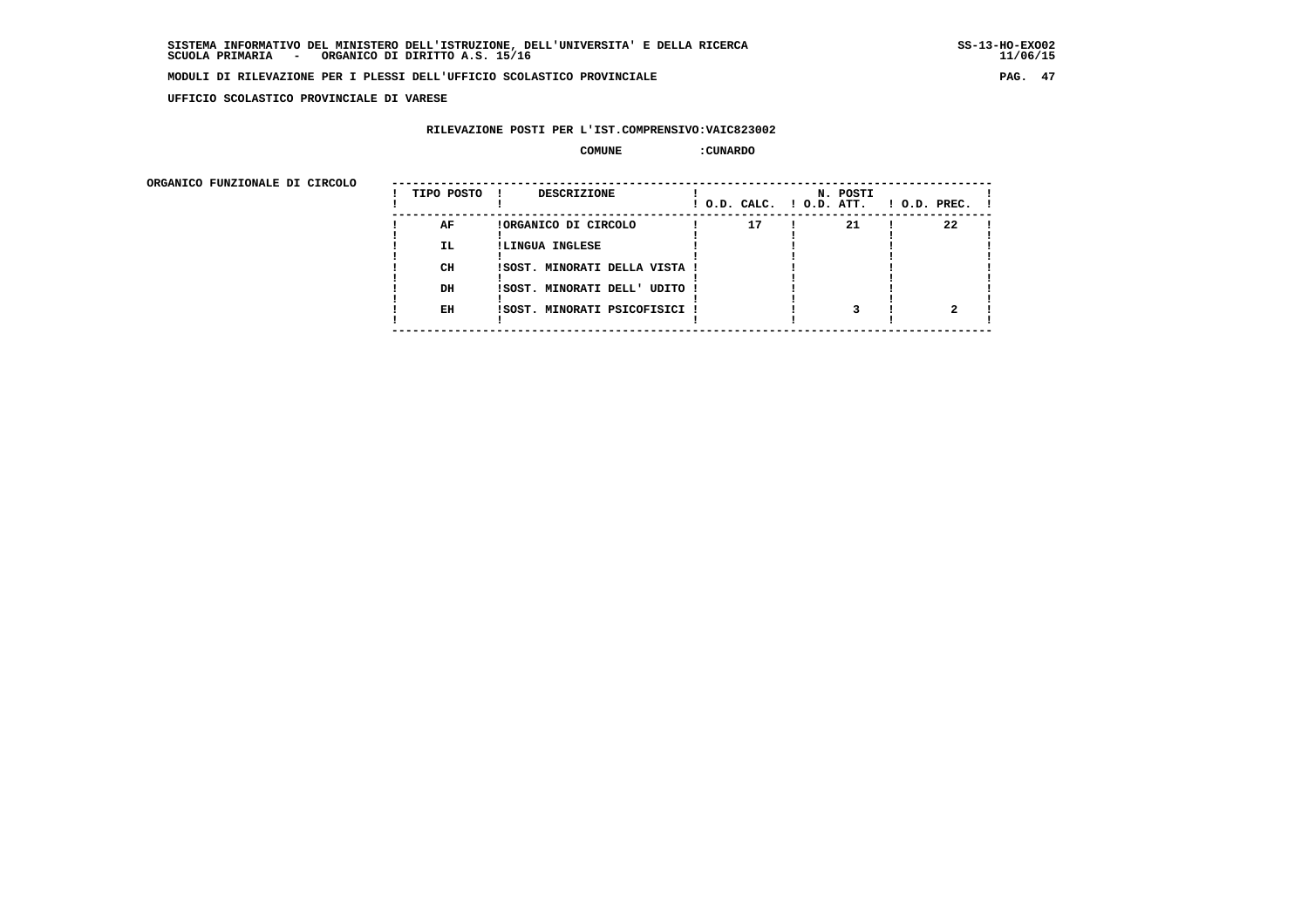**UFFICIO SCOLASTICO PROVINCIALE DI VARESE**

## **RILEVAZIONE POSTI PER L'IST.COMPRENSIVO:VAIC823002**

#### **COMUNE :CUNARDO**

| ORGANICO FUNZIONALE DI CIRCOLO |            |                               |                          |          |                |
|--------------------------------|------------|-------------------------------|--------------------------|----------|----------------|
|                                | TIPO POSTO | <b>DESCRIZIONE</b>            | ! O.D. CALC. ! O.D. ATT. | N. POSTI | $!$ O.D. PREC. |
|                                | AF         | !ORGANICO DI CIRCOLO          | 17                       | 21       | 22             |
|                                | IL.        | !LINGUA INGLESE               |                          |          |                |
|                                | CH         | !SOST. MINORATI DELLA VISTA ! |                          |          |                |
|                                | DH         | ISOST. MINORATI DELL' UDITO ! |                          |          |                |
|                                | EH         | ISOST. MINORATI PSICOFISICI ! |                          |          |                |
|                                |            |                               |                          |          |                |
|                                |            |                               |                          |          |                |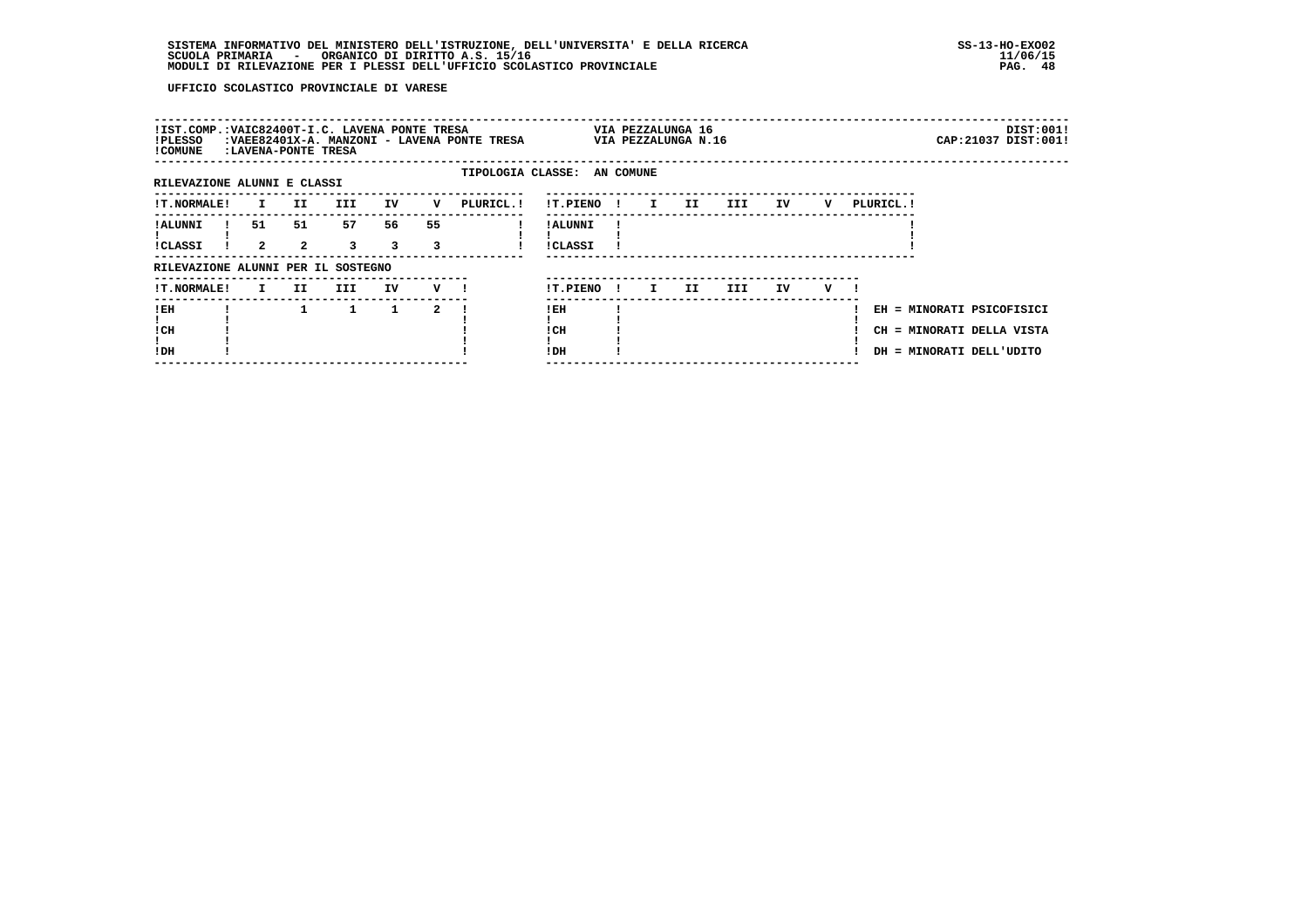|                      |                      |                      |                                                    |                                    |            |                                                                                                         |              |              |                             |      |                                          |   |  |            | DIST:001!                                                                                                   |
|----------------------|----------------------|----------------------|----------------------------------------------------|------------------------------------|------------|---------------------------------------------------------------------------------------------------------|--------------|--------------|-----------------------------|------|------------------------------------------|---|--|------------|-------------------------------------------------------------------------------------------------------------|
|                      |                      |                      |                                                    |                                    |            |                                                                                                         |              |              |                             |      |                                          |   |  |            |                                                                                                             |
| I.                   | II.                  | III.                 | IV                                                 | v                                  | PLURICL. ! | !T.PIENO                                                                                                |              | $\mathbf{I}$ | II.                         | III  | IV                                       | v |  |            |                                                                                                             |
| 51<br>$\overline{2}$ | 51<br>$\overline{a}$ | 57<br>$\overline{3}$ | 56<br>3                                            | 55<br>3                            |            | ! ALUNNI<br><b>!CLASSI</b>                                                                              |              |              |                             |      |                                          |   |  |            |                                                                                                             |
|                      |                      |                      |                                                    |                                    |            |                                                                                                         |              |              |                             |      |                                          |   |  |            |                                                                                                             |
| I.                   | II.                  | III                  | IV                                                 |                                    |            | !T.PIENO                                                                                                | $\mathbf{I}$ | I.           | II.                         | III. | IV.                                      | v |  |            |                                                                                                             |
|                      |                      | $\mathbf{1}$         | $\mathbf{1}$                                       | 2                                  |            | ! EH<br>! CH<br>!DH                                                                                     |              |              |                             |      |                                          |   |  |            |                                                                                                             |
|                      |                      |                      | :LAVENA-PONTE TRESA<br>RILEVAZIONE ALUNNI E CLASSI | RILEVAZIONE ALUNNI PER IL SOSTEGNO |            | !IST.COMP.:VAIC82400T-I.C. LAVENA PONTE TRESA<br>:VAEE82401X-A. MANZONI - LAVENA PONTE TRESA<br>$V$ $l$ |              | $\mathbf{I}$ | TIPOLOGIA CLASSE: AN COMUNE |      | VIA PEZZALUNGA 16<br>VIA PEZZALUNGA N.16 |   |  | PLURICL. ! | CAP: 21037 DIST: 001!<br>EH = MINORATI PSICOFISICI<br>CH = MINORATI DELLA VISTA<br>DH = MINORATI DELL'UDITO |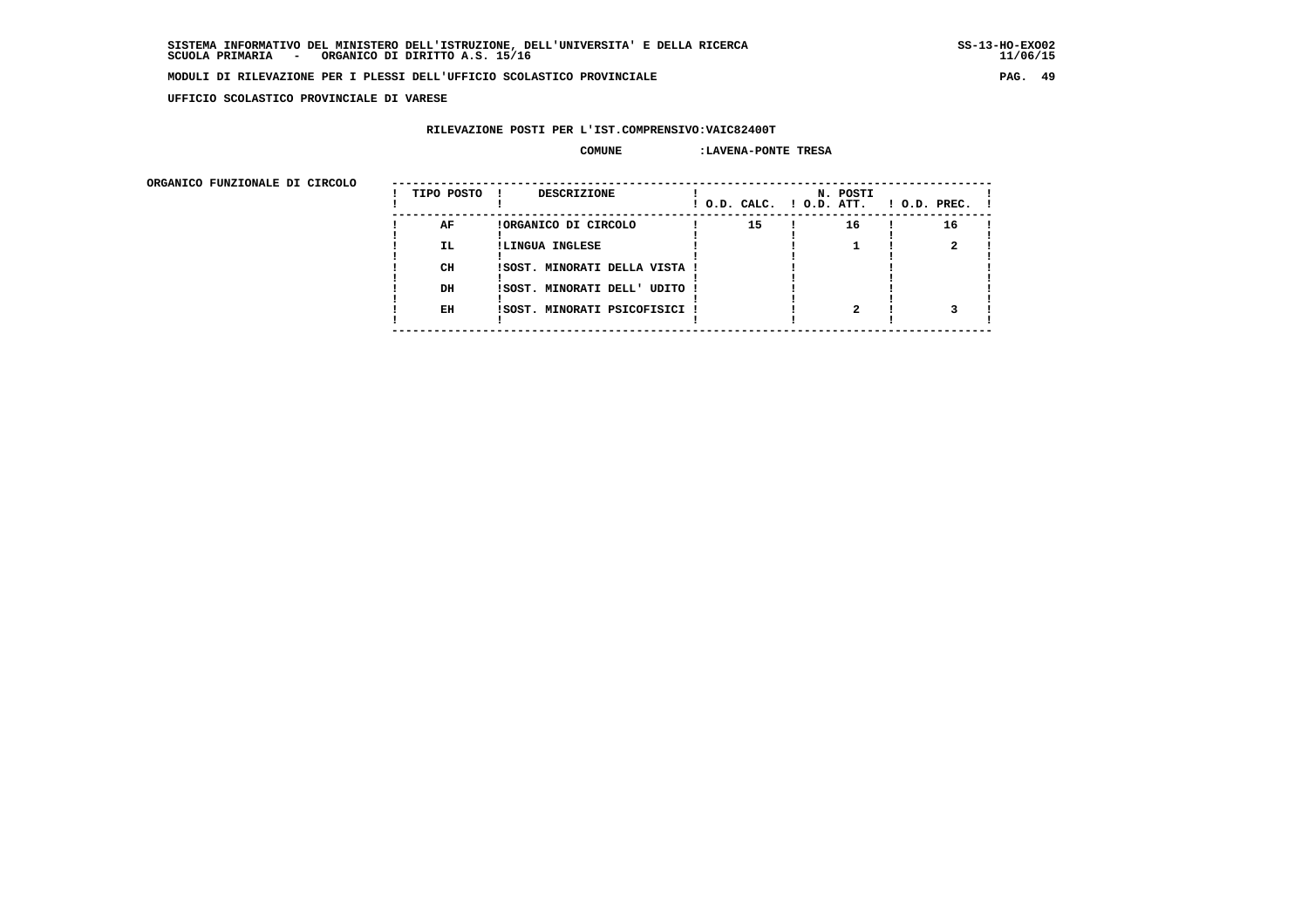**UFFICIO SCOLASTICO PROVINCIALE DI VARESE**

## **RILEVAZIONE POSTI PER L'IST.COMPRENSIVO:VAIC82400T**

#### **COMUNE :LAVENA-PONTE TRESA**

 **ORGANICO FUNZIONALE DI CIRCOLO --------------------------------------------------------------------------------------**

| onghnico rongionale pi cincolo | TIPO POSTO | <b>DESCRIZIONE</b><br>$\mathbf{I}$ | ! O.D. CALC. ! O.D. ATT. | N. POSTI | $1$ O.D. PREC. $1$ |  |
|--------------------------------|------------|------------------------------------|--------------------------|----------|--------------------|--|
|                                | AF         | !ORGANICO DI CIRCOLO               | 15                       | 16       | 16                 |  |
|                                | IL.        | !LINGUA INGLESE                    |                          |          |                    |  |
|                                | CH         | !SOST. MINORATI DELLA VISTA !      |                          |          |                    |  |
|                                | DH         | !SOST. MINORATI DELL' UDITO !      |                          |          |                    |  |
|                                | EH         | !SOST. MINORATI PSICOFISICI !      |                          |          |                    |  |
|                                |            |                                    |                          |          |                    |  |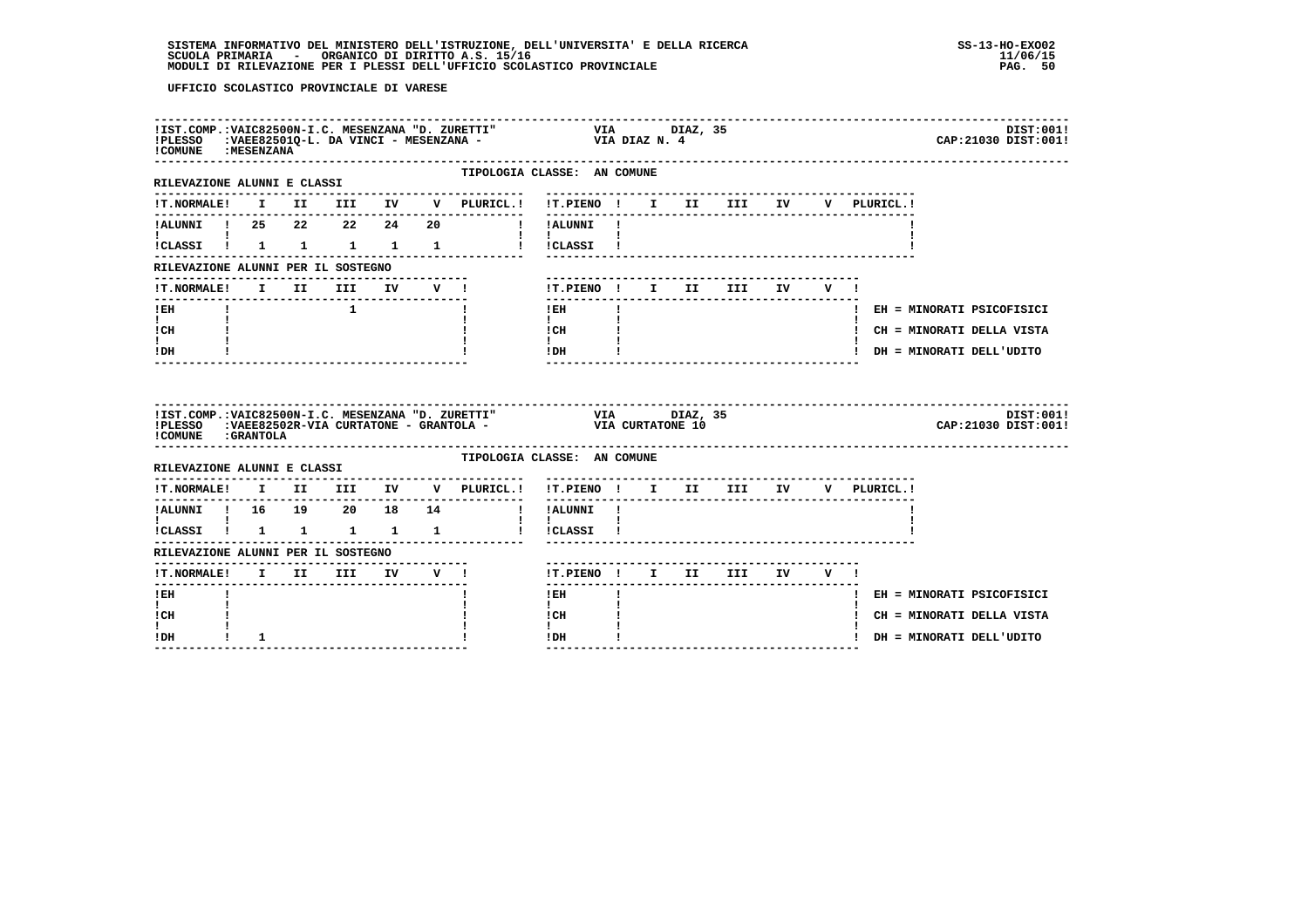| ! COMUNE : MESENZANA                  |              |              |                                                 |  | IIST.COMP.:VAIC82500N-I.C. MESENZANA "D. ZURETTI" VIA DIAZ, 35<br>IPLESSO :VAEE82501Q-L. DA VINCI - MESENZANA - VIA DIAZ N. 4         |                                          |              |  |                                        |  |              | DIST:001!<br>CAP: 21030 DIST: 001! |
|---------------------------------------|--------------|--------------|-------------------------------------------------|--|---------------------------------------------------------------------------------------------------------------------------------------|------------------------------------------|--------------|--|----------------------------------------|--|--------------|------------------------------------|
| RILEVAZIONE ALUNNI E CLASSI           |              |              |                                                 |  | TIPOLOGIA CLASSE: AN COMUNE                                                                                                           |                                          |              |  |                                        |  |              |                                    |
|                                       |              |              |                                                 |  | !T.NORMALE! I II III IV V PLURICL.! !T.PIENO ! I II III IV V PLURICL.!                                                                |                                          |              |  |                                        |  |              |                                    |
| !ALUNNI ! 25  22  22  24  20          |              |              |                                                 |  | ! !ALUNNI !                                                                                                                           |                                          |              |  |                                        |  |              |                                    |
|                                       |              |              |                                                 |  | !CLASSI ! 1 1 1 1 1 1 ! !CLASSI !                                                                                                     | $\mathbf{I}$ and $\mathbf{I}$            |              |  |                                        |  |              |                                    |
| RILEVAZIONE ALUNNI PER IL SOSTEGNO    |              |              |                                                 |  |                                                                                                                                       |                                          |              |  |                                        |  |              |                                    |
| !T.NORMALE! I II III IV V !           |              |              |                                                 |  |                                                                                                                                       | !T.PIENO! I II III IV V!                 |              |  |                                        |  |              |                                    |
| $!$ EH                                | $\mathbf{I}$ |              | . The contract of $\mathbf{1}$ and $\mathbf{1}$ |  | $\mathbf{I}$                                                                                                                          | $!$ EH                                   | $\mathbf{I}$ |  |                                        |  |              | ! EH = MINORATI PSICOFISICI        |
| $\mathbf{I}$ and $\mathbf{I}$<br>! CH |              |              |                                                 |  |                                                                                                                                       | $\mathbf{I}$<br>! CH                     |              |  |                                        |  |              | ! CH = MINORATI DELLA VISTA        |
| I.<br>! DH                            |              |              |                                                 |  |                                                                                                                                       | $\mathbf{I}$<br>$!$ DH                   |              |  |                                        |  |              | ! DH = MINORATI DELL'UDITO         |
|                                       |              |              |                                                 |  |                                                                                                                                       |                                          |              |  |                                        |  |              |                                    |
| COMUNE : GRANTOLA                     |              |              |                                                 |  | IIST.COMP.:VAIC82500N-I.C. MESENZANA "D. ZURETTI" VIA UTA DIAZ, 35<br>IPLESSO :VAEE82502R-VIA CURTATONE - GRANTOLA - VIA CURTATONE 10 |                                          |              |  |                                        |  |              | DIST:001!<br>CAP: 21030 DIST: 001! |
| RILEVAZIONE ALUNNI E CLASSI           |              |              |                                                 |  | TIPOLOGIA CLASSE: AN COMUNE                                                                                                           |                                          |              |  |                                        |  |              |                                    |
|                                       |              |              |                                                 |  | $\verb !T.NORMALE! \quad I \quad II \quad III \quad IV \quad V \quad \verb PLURICL. !$                                                | !T.PIENO ! I II III IV                   |              |  | -------------------------------------- |  | V PLURICL. ! |                                    |
| !ALUNNI ! 16  19  20  18  14          |              |              |                                                 |  |                                                                                                                                       | I IALUNNI !                              |              |  |                                        |  |              |                                    |
| !CLASSI ! 1 1 1 1 1                   |              |              |                                                 |  |                                                                                                                                       | $\mathbf{1}$ $\mathbf{1}$<br>! !CLASSI ! |              |  |                                        |  |              |                                    |
| RILEVAZIONE ALUNNI PER IL SOSTEGNO    |              |              |                                                 |  |                                                                                                                                       |                                          |              |  |                                        |  |              |                                    |
| !T.NORMALE! I II III IV V !           |              |              |                                                 |  |                                                                                                                                       | !T.PIENO! I II III IV V!                 |              |  |                                        |  |              |                                    |
| -------<br>$!$ EH                     |              |              |                                                 |  |                                                                                                                                       | -------<br>$1$ EH                        | $\mathbf{I}$ |  |                                        |  |              | ! EH = MINORATI PSICOFISICI        |
| $\mathbf{I}$<br>! CH                  |              |              |                                                 |  |                                                                                                                                       | $\mathbf{I}$<br>! CH                     |              |  |                                        |  |              | ! CH = MINORATI DELLA VISTA        |
| L<br>! DH                             |              | $\mathbf{1}$ |                                                 |  |                                                                                                                                       | ! DH                                     |              |  |                                        |  |              | ! DH = MINORATI DELL'UDITO         |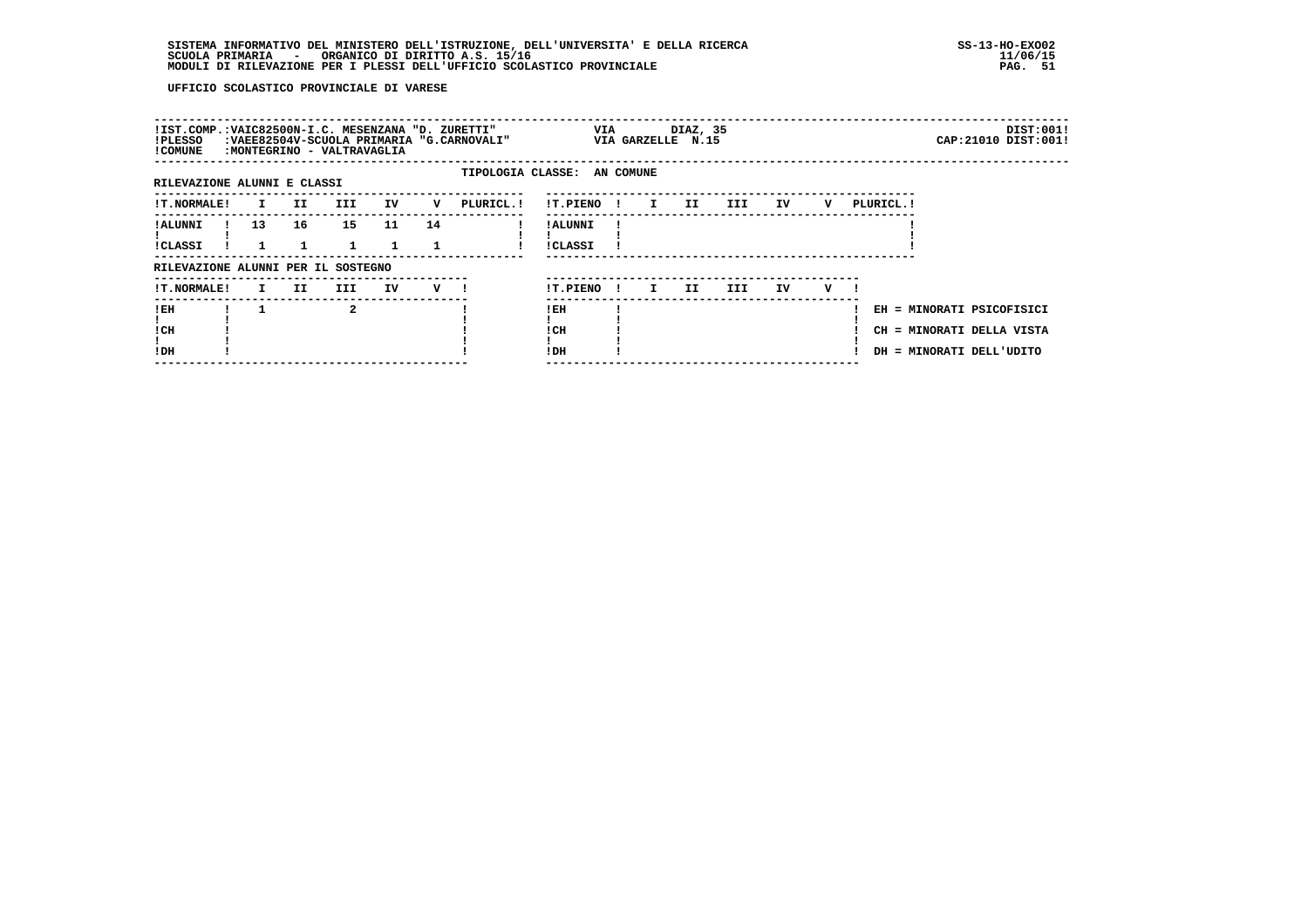| !IST.COMP.:VAIC82500N-I.C. MESENZANA "D. ZURETTI"<br>!PLESSO<br>! COMUNE |                 |                      | :MONTEGRINO - VALTRAVAGLIA |                    |                    | :VAEE82504V-SCUOLA PRIMARIA "G.CARNOVALI" |                             |              | <b>VIA</b>   | DIAZ, 35<br>VIA GARZELLE N.15 |     |    |   |           |                                                                                    | DIST:001!<br>CAP: 21010 DIST: 001! |
|--------------------------------------------------------------------------|-----------------|----------------------|----------------------------|--------------------|--------------------|-------------------------------------------|-----------------------------|--------------|--------------|-------------------------------|-----|----|---|-----------|------------------------------------------------------------------------------------|------------------------------------|
| RILEVAZIONE ALUNNI E CLASSI                                              |                 |                      |                            |                    |                    |                                           | TIPOLOGIA CLASSE: AN COMUNE |              |              |                               |     |    |   |           |                                                                                    |                                    |
| <b>!T.NORMALE!</b>                                                       |                 | II D<br>$\mathbf{I}$ | III                        | IV                 | v                  | PLURICL. !                                | !T.PIENO !                  |              | $\mathbf{I}$ | II                            | III | IV | v | PLURICL.! |                                                                                    |                                    |
| ! ALUNNI<br><b>!CLASSI</b>                                               | 13 <sup>1</sup> | 16                   | 15<br>$\mathbf{1}$         | 11<br>$\mathbf{1}$ | 14                 |                                           | ! ALUNNI<br><b>!CLASSI</b>  |              |              |                               |     |    |   |           |                                                                                    |                                    |
| RILEVAZIONE ALUNNI PER IL SOSTEGNO                                       |                 |                      |                            |                    |                    |                                           |                             |              |              |                               |     |    |   |           |                                                                                    |                                    |
| <b>!T.NORMALE!</b>                                                       |                 | II.<br>$\mathbf{I}$  | III                        | IV                 | $V$ $\blacksquare$ |                                           | !T.PIENO                    | $\mathbf{I}$ | $\mathbf{I}$ | II                            | III | IV | v |           |                                                                                    |                                    |
| ! EH<br>! CH<br>!DH                                                      |                 |                      | $\mathbf{2}$               |                    |                    |                                           | ! EH<br>! CH<br>!DH         |              |              |                               |     |    |   |           | EH = MINORATI PSICOFISICI<br>CH = MINORATI DELLA VISTA<br>DH = MINORATI DELL'UDITO |                                    |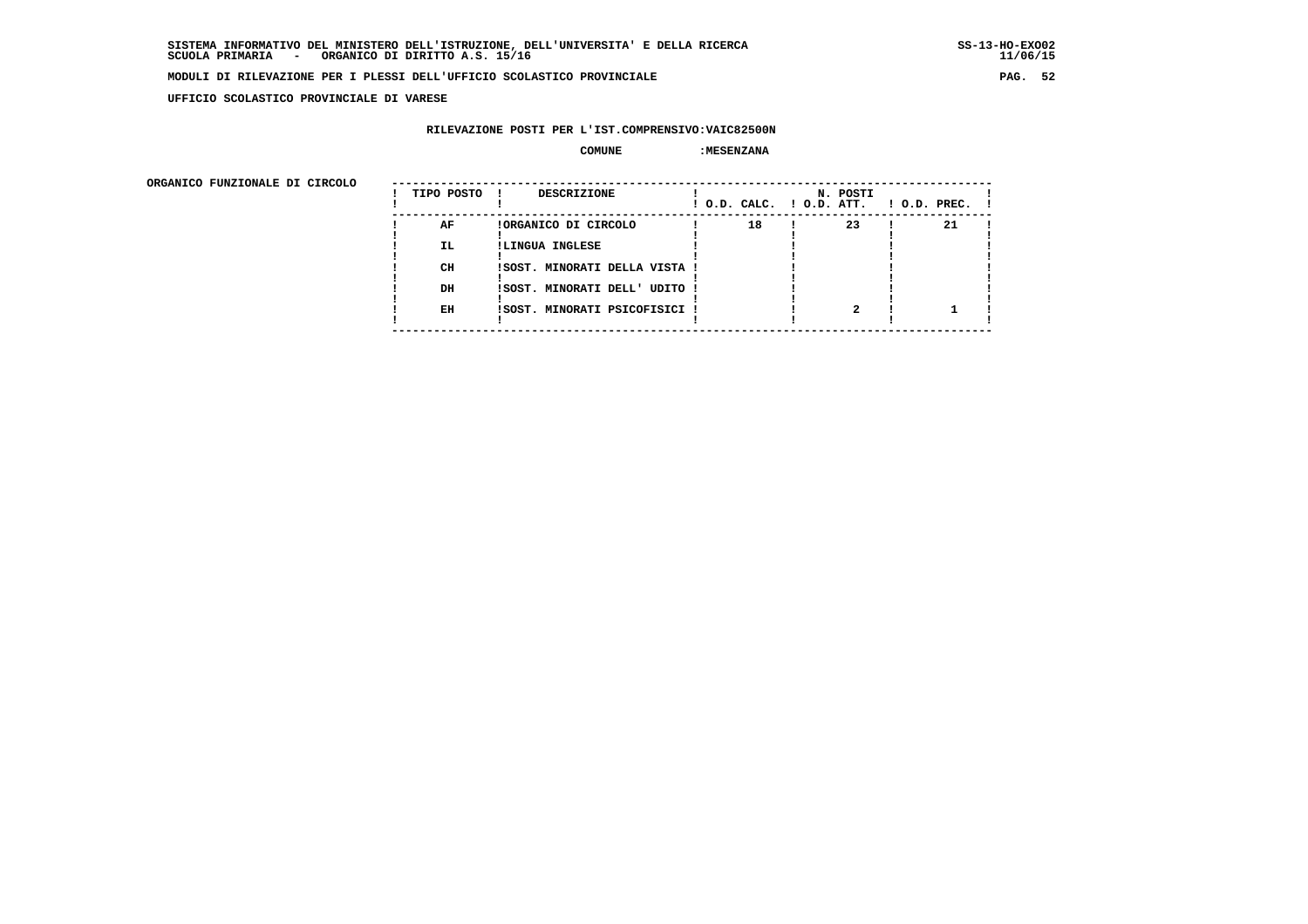**UFFICIO SCOLASTICO PROVINCIALE DI VARESE**

## **RILEVAZIONE POSTI PER L'IST.COMPRENSIVO:VAIC82500N**

### COMUNE : MESENZANA

| ORGANICO FUNZIONALE DI CIRCOLO |            |                               |                          |          |                    |
|--------------------------------|------------|-------------------------------|--------------------------|----------|--------------------|
|                                | TIPO POSTO | DESCRIZIONE                   | ! O.D. CALC. ! O.D. ATT. | N. POSTI | $1$ O.D. PREC. $1$ |
|                                | AF         | !ORGANICO DI CIRCOLO          | 18                       | 23       | 21                 |
|                                | IL.        | !LINGUA INGLESE               |                          |          |                    |
|                                | CH         | ISOST. MINORATI DELLA VISTA ! |                          |          |                    |
|                                | DH         | !SOST. MINORATI DELL' UDITO ! |                          |          |                    |
|                                |            |                               |                          |          |                    |
|                                | EH         | !SOST. MINORATI PSICOFISICI ! |                          |          |                    |
|                                |            |                               |                          |          |                    |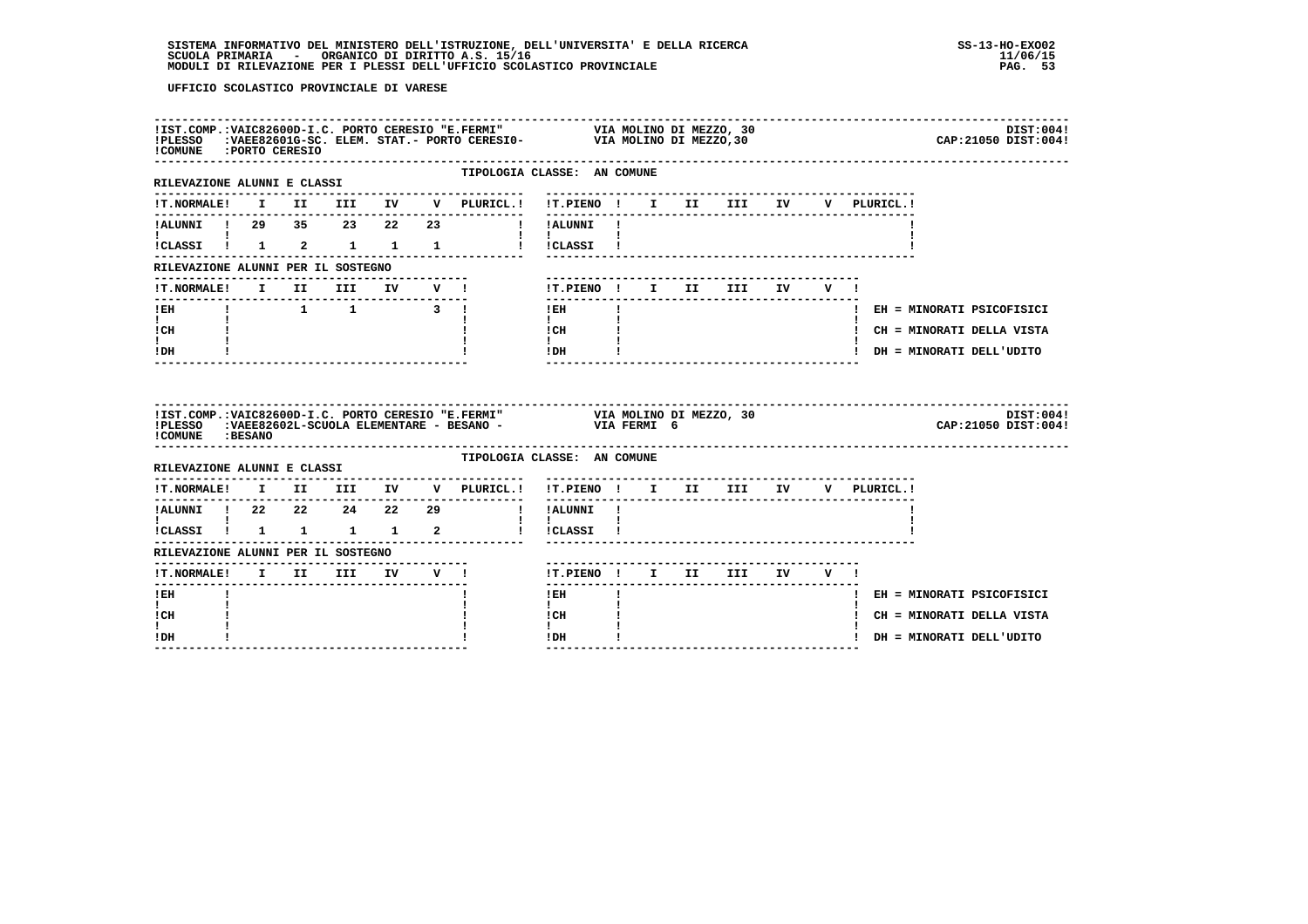| !COMUNE : PORTO CERESIO                                        |  |  |  | IIST.COMP.:VAIC82600D-I.C. PORTO CERESIO "E.FERMI" VIA MOLINO DI MEZZO, 30<br>IPLESSO :VAEE82601G-SC. ELEM. STAT.- PORTO CERESIO- VIA MOLINO DI MEZZO,30 |                                    |              |  |                                 |  |             | DIST:004!<br>CAP: 21050 DIST: 004! |
|----------------------------------------------------------------|--|--|--|----------------------------------------------------------------------------------------------------------------------------------------------------------|------------------------------------|--------------|--|---------------------------------|--|-------------|------------------------------------|
| -------------------------------<br>RILEVAZIONE ALUNNI E CLASSI |  |  |  | TIPOLOGIA CLASSE: AN COMUNE                                                                                                                              |                                    |              |  |                                 |  |             |                                    |
|                                                                |  |  |  | !T.NORMALE! I II III IV V PLURICL.! !T.PIENO ! I II III IV V PLURICL                                                                                     |                                    |              |  |                                 |  | V PLURICL.! |                                    |
|                                                                |  |  |  | !ALUNNI ! 29 35 23 22 23   !!ALUNNI !                                                                                                                    |                                    |              |  |                                 |  |             |                                    |
| $\mathbf{I}$ and $\mathbf{I}$ and $\mathbf{I}$                 |  |  |  | !CLASSI ! 1 2 1 1 1 ! !CLASSI !                                                                                                                          | $\mathbf{I}$ and $\mathbf{I}$      |              |  |                                 |  |             |                                    |
| RILEVAZIONE ALUNNI PER IL SOSTEGNO                             |  |  |  |                                                                                                                                                          |                                    |              |  |                                 |  |             |                                    |
|                                                                |  |  |  |                                                                                                                                                          |                                    |              |  | !T.PIENO! I II III IV V!        |  |             |                                    |
| $I$ EH                                                         |  |  |  | $\begin{array}{cccccccccccccc} 1 & 1 & 1 & 3 & 1 \end{array}$                                                                                            | $!$ EH                             |              |  |                                 |  |             | ! EH = MINORATI PSICOFISICI        |
| $\mathbf{I}$ and $\mathbf{I}$<br>! CH                          |  |  |  |                                                                                                                                                          | $\mathbf{I}$<br>$ICH$ $\qquad$     |              |  |                                 |  |             | ! CH = MINORATI DELLA VISTA        |
|                                                                |  |  |  |                                                                                                                                                          | $\mathbf{I}$<br>! DH               |              |  |                                 |  |             | ! DH = MINORATI DELL'UDITO         |
| ! DH                                                           |  |  |  |                                                                                                                                                          |                                    |              |  |                                 |  |             |                                    |
| ! COMUNE : BESANO                                              |  |  |  | !IST.COMP.:VAIC82600D-I.C. PORTO CERESIO "E.FERMI" VIA MOLINO DI MEZZO, 30<br>!PLESSO :VAEE82602L-SCUOLA ELEMENTARE - BESANO - VIA FERMI 6               |                                    |              |  |                                 |  |             | DIST:004!<br>CAP: 21050 DIST: 004! |
| RILEVAZIONE ALUNNI E CLASSI                                    |  |  |  | TIPOLOGIA CLASSE: AN COMUNE                                                                                                                              |                                    |              |  |                                 |  |             |                                    |
|                                                                |  |  |  |                                                                                                                                                          | !T.PIENO ! I II III IV V PLURICL.! |              |  | ------------------------------- |  |             |                                    |
|                                                                |  |  |  |                                                                                                                                                          | ! !ALUNNI !                        |              |  |                                 |  |             |                                    |
| $\mathbf{I}$ and $\mathbf{I}$ and $\mathbf{I}$                 |  |  |  | !CLASSI ! 1 1 1 1 2 ! !CLASSI !                                                                                                                          | $\mathbf{I}$ $\mathbf{I}$          |              |  |                                 |  |             |                                    |
| RILEVAZIONE ALUNNI PER IL SOSTEGNO                             |  |  |  |                                                                                                                                                          |                                    |              |  |                                 |  |             |                                    |
|                                                                |  |  |  | .-------------------------------<br>!T.NORMALE! I II III IV V !                                                                                          | !T.PIENO! I II III IV V!           |              |  |                                 |  |             |                                    |
| $1$ EH                                                         |  |  |  |                                                                                                                                                          | $1$ EH $\sim$                      | $\mathbf{I}$ |  |                                 |  |             | ! EH = MINORATI PSICOFISICI        |
| $\mathbf{I}$<br>! CH                                           |  |  |  |                                                                                                                                                          | $\mathbf{I}$<br>! CH               |              |  |                                 |  |             | ! CH = MINORATI DELLA VISTA        |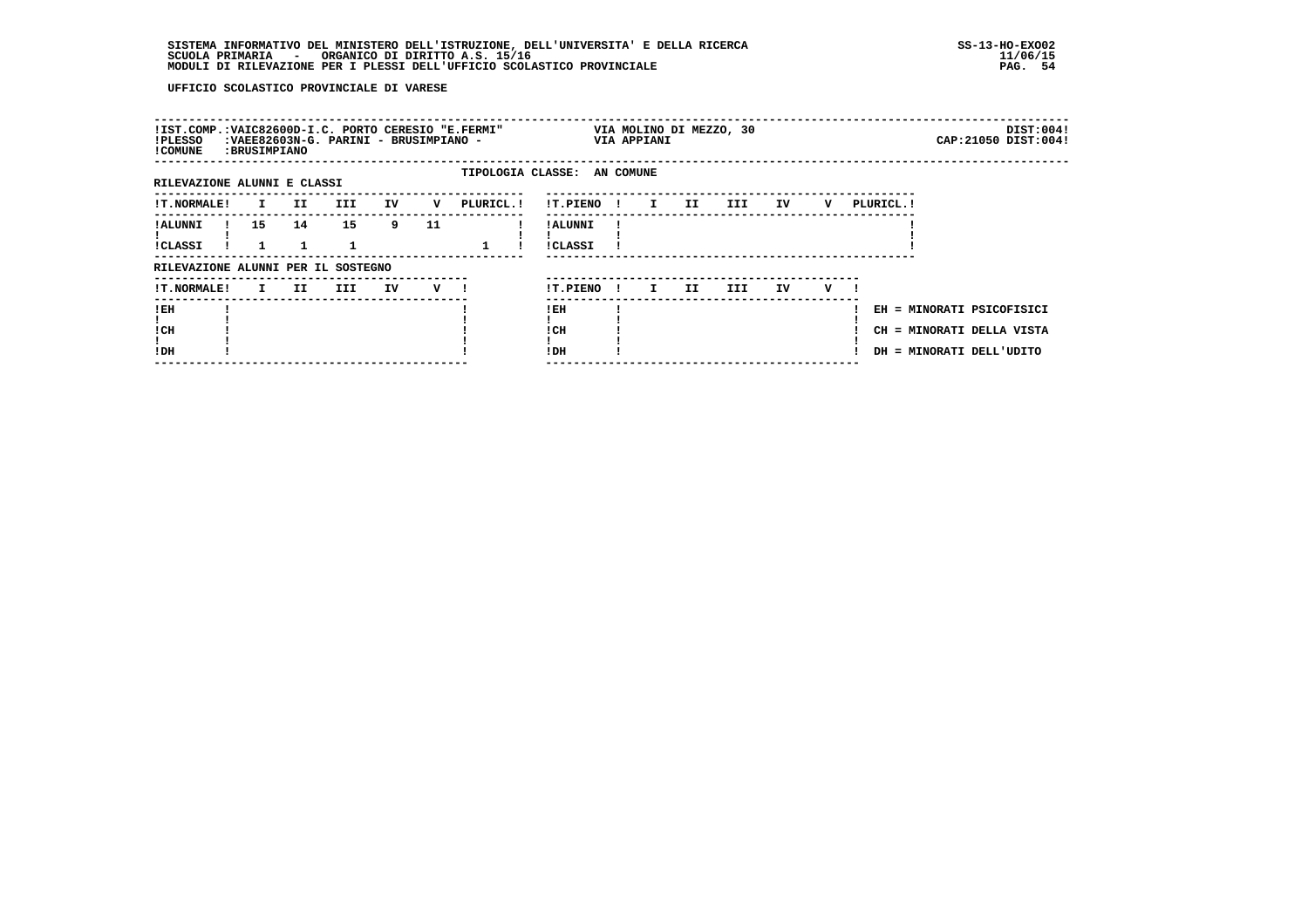| EH = MINORATI PSICOFISICI<br>CH = MINORATI DELLA VISTA<br>DH = MINORATI DELL'UDITO |
|------------------------------------------------------------------------------------|
|                                                                                    |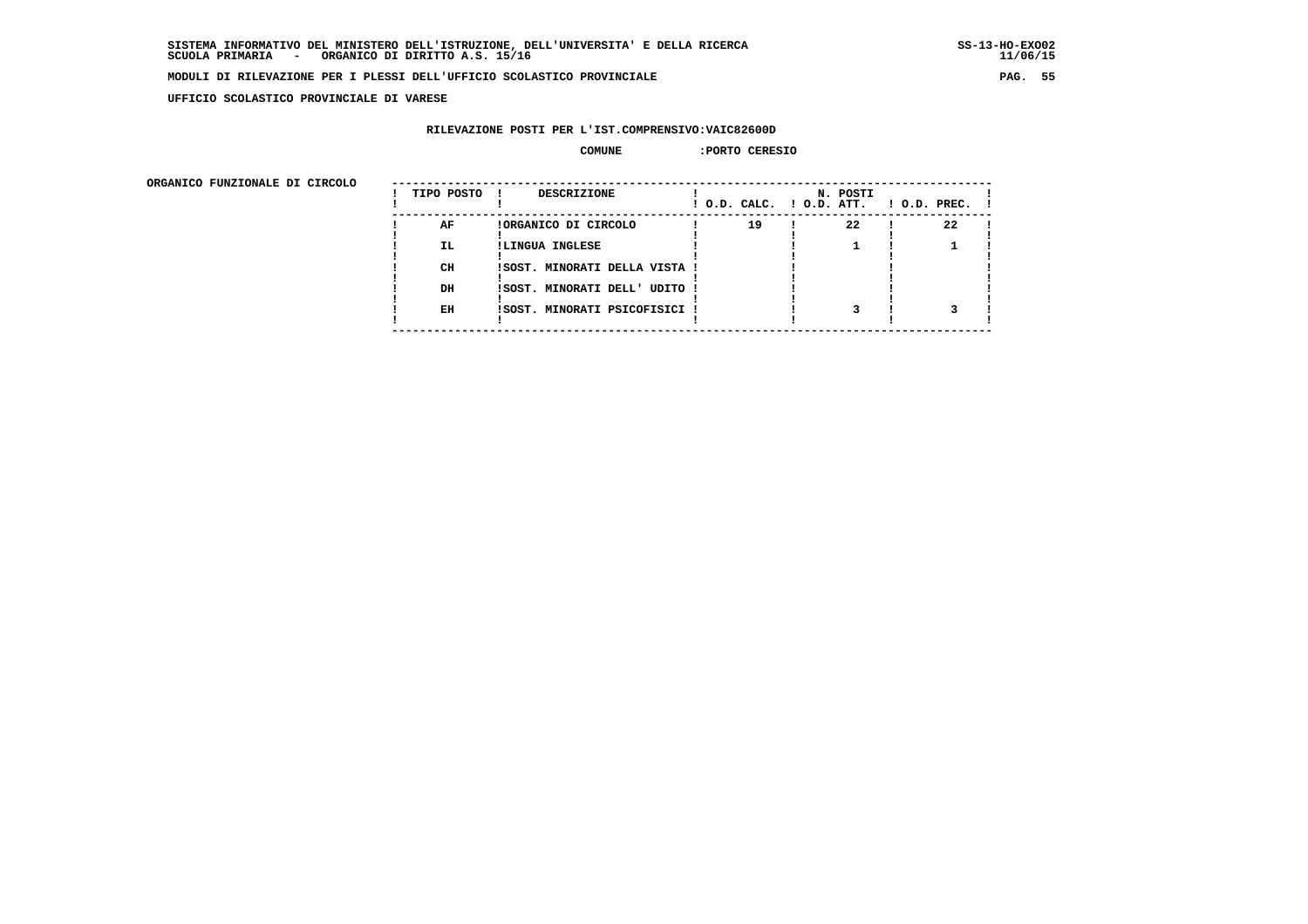**UFFICIO SCOLASTICO PROVINCIALE DI VARESE**

## **RILEVAZIONE POSTI PER L'IST.COMPRENSIVO:VAIC82600D**

#### **COMUNE :PORTO CERESIO**

 **ORGANICO FUNZIONALE DI CIRCOLO --------------------------------------------------------------------------------------**

| URGANICO FUNZIONALE DI CIRCOLO | TIPO POSTO | <b>DESCRIZIONE</b>            | ! O.D. CALC. ! O.D. ATT. | N. POSTI | $1$ O.D. PREC. $1$ |
|--------------------------------|------------|-------------------------------|--------------------------|----------|--------------------|
|                                | AF         | !ORGANICO DI CIRCOLO          | 19                       | 22       | 22                 |
|                                | IL.        | !LINGUA INGLESE               |                          |          |                    |
|                                | CH         | !SOST. MINORATI DELLA VISTA ! |                          |          |                    |
|                                | DH         | ISOST. MINORATI DELL' UDITO ! |                          |          |                    |
|                                | EH         | ISOST. MINORATI PSICOFISICI ! |                          |          |                    |
|                                |            |                               |                          |          |                    |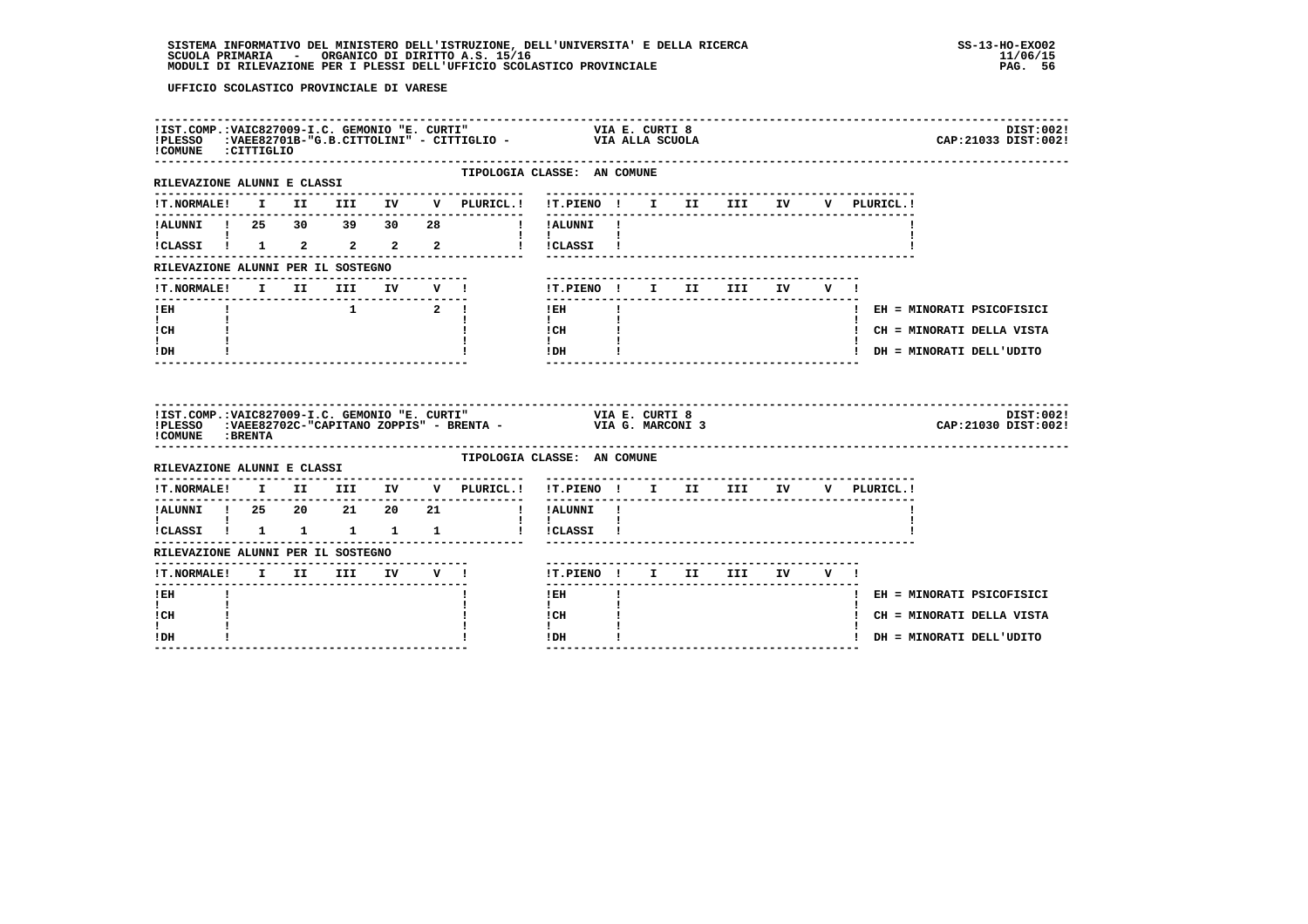| COMUNE : CITTIGLIO                            |  |                                                                    |  |                                  | IIST.COMP.:VAIC827009-I.C. GEMONIO "E. CURTI" VIA E. CURTI 8<br>IPLESSO :VAEE82701B-"G.B.CITTOLINI" - CITTIGLIO - VIA ALLA SCUOLA |  |                             | DIST:002!<br>CAP: 21033 DIST: 002! |
|-----------------------------------------------|--|--------------------------------------------------------------------|--|----------------------------------|-----------------------------------------------------------------------------------------------------------------------------------|--|-----------------------------|------------------------------------|
| RILEVAZIONE ALUNNI E CLASSI                   |  |                                                                    |  | ----------------<br>. <u>.</u> . | TIPOLOGIA CLASSE: AN COMUNE                                                                                                       |  |                             |                                    |
|                                               |  |                                                                    |  |                                  | !T.NORMALE! I II III IV V PLURICL.! !T.PIENO ! I II III IV V PLURICL.!                                                            |  |                             |                                    |
|                                               |  |                                                                    |  |                                  | 1 ALUNNI 1 25 30 39 30 28 1 IALUNNI 1                                                                                             |  |                             |                                    |
| <b>Experience</b><br>!<br>!CLASSI ! 1 2 2 2 2 |  |                                                                    |  |                                  | $\mathbf{1}$ $\mathbf{1}$<br>! !CLASSI !                                                                                          |  |                             |                                    |
| RILEVAZIONE ALUNNI PER IL SOSTEGNO            |  |                                                                    |  |                                  |                                                                                                                                   |  |                             |                                    |
| !T.NORMALE! I II III IV V !                   |  |                                                                    |  |                                  | !T.PIENO! I II III IV V!                                                                                                          |  |                             |                                    |
| $I$ EH                                        |  | $\begin{array}{ccc} & 1 & \hspace{1.5cm} & 2 & \vdots \end{array}$ |  |                                  | $\mathbf{I}$<br>$!$ EH                                                                                                            |  | ! EH = MINORATI PSICOFISICI |                                    |
| $\mathbf{I}$ and $\mathbf{I}$<br>! CH         |  |                                                                    |  |                                  | $\mathbf{I}$ and $\mathbf{I}$<br>! CH                                                                                             |  |                             | ! CH = MINORATI DELLA VISTA        |
| $\mathbf{I}$<br>! DH                          |  |                                                                    |  |                                  | $\mathbf{I}$<br>$!$ DH                                                                                                            |  | ! DH = MINORATI DELL'UDITO  |                                    |
|                                               |  |                                                                    |  |                                  |                                                                                                                                   |  |                             |                                    |
| ! COMUNE : BRENTA                             |  |                                                                    |  |                                  |                                                                                                                                   |  |                             | DIST:002!<br>CAP: 21030 DIST: 002! |
| RILEVAZIONE ALUNNI E CLASSI                   |  |                                                                    |  |                                  | TIPOLOGIA CLASSE: AN COMUNE                                                                                                       |  |                             |                                    |
|                                               |  |                                                                    |  |                                  | !T.NORMALE! I II III IV V PLURICL.! !T.PIENO ! I II III IV V PLURICL.!                                                            |  |                             |                                    |
|                                               |  |                                                                    |  |                                  |                                                                                                                                   |  |                             |                                    |
| $\mathbf{1}$ $\mathbf{1}$                     |  |                                                                    |  |                                  | $\mathbf{1}$ $\mathbf{1}$<br>iCLASSI i 1 1 1 1 1 i iCLASSI i                                                                      |  |                             |                                    |
| RILEVAZIONE ALUNNI PER IL SOSTEGNO            |  |                                                                    |  |                                  |                                                                                                                                   |  |                             |                                    |
|                                               |  |                                                                    |  |                                  | !T.PIENO ! I II III IV V !                                                                                                        |  |                             |                                    |
| -------<br>$!$ EH                             |  |                                                                    |  |                                  | $1$ EH                                                                                                                            |  |                             | ! EH = MINORATI PSICOFISICI        |
| I.<br>! CH<br>I.                              |  |                                                                    |  |                                  | $\mathbf{I}$<br>! CH<br>$\mathbf{I}$                                                                                              |  | ! CH = MINORATI DELLA VISTA |                                    |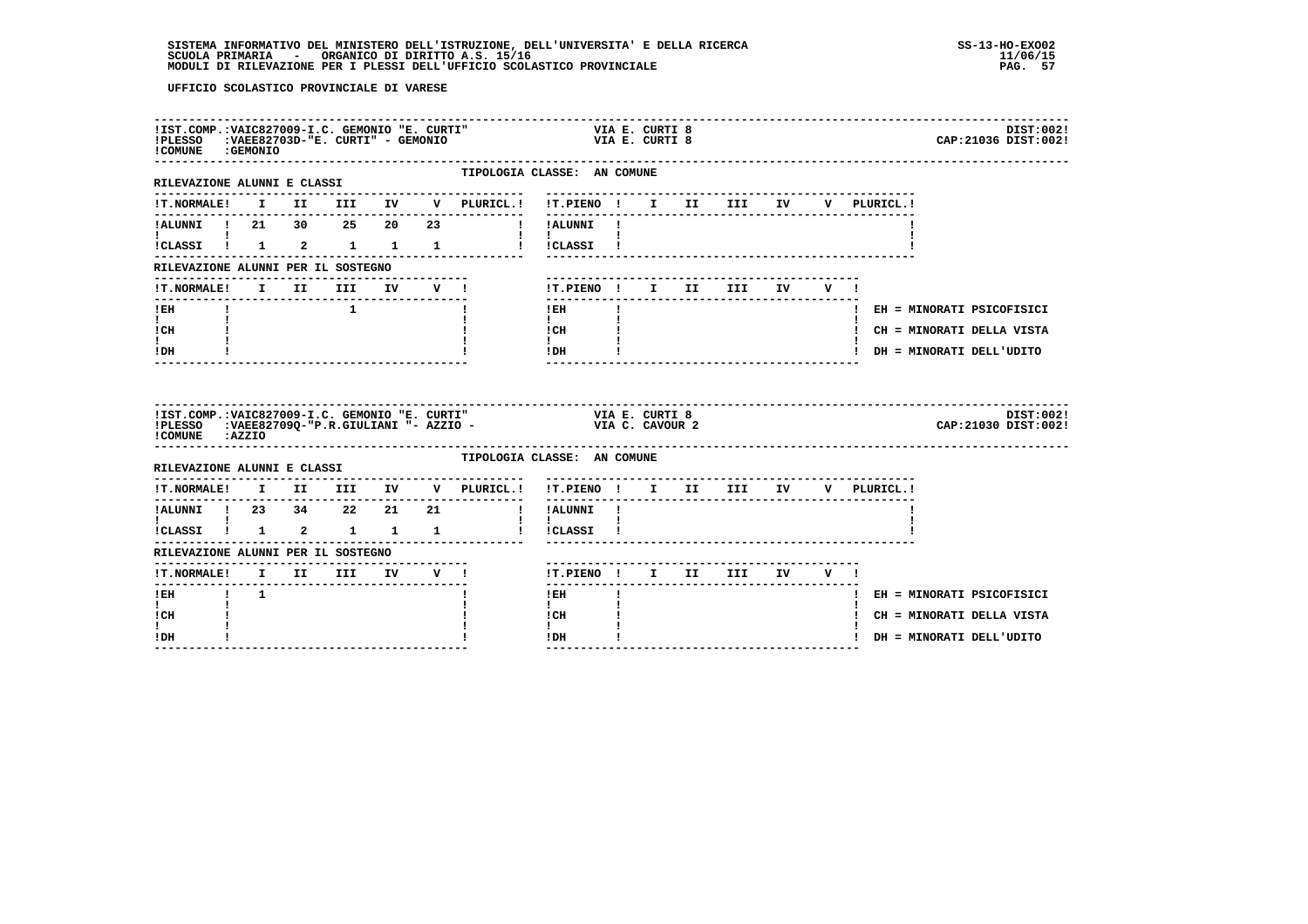# **SISTEMA INFORMATIVO DEL MINISTERO DELL'ISTRUZIONE, DELL'UNIVERSITA' E DELLA RICERCA SS-13-HO-EXO02**SCUOLA PRIMARIA ORGANICO DI DIRITTO A.S. 15/16<br>MODULI DI RILEVAZIONE PER I PLESSI DELL'UFFICIO SCOLASTICO PROVINCIALE **provinciale page all'università dell'U**FAG

| !IST.COMP.:VAIC827009-I.C. GEMONIO "E. CURTI"<br>!PLESSO :VAEE82703D-"E. CURTI" - GEMONIO<br>!COMUNE : GEMONIO |  |                |  |                                                                                                                              | VIA E. CURTI 8<br>VIA E. CURTI 8                              |              |  |                                                                    |  |                                    | DIST:002!<br>CAP: 21036 DIST: 002! |
|----------------------------------------------------------------------------------------------------------------|--|----------------|--|------------------------------------------------------------------------------------------------------------------------------|---------------------------------------------------------------|--------------|--|--------------------------------------------------------------------|--|------------------------------------|------------------------------------|
| RILEVAZIONE ALUNNI E CLASSI                                                                                    |  |                |  | TIPOLOGIA CLASSE: AN COMUNE<br>-------------                                                                                 | --------------------------                                    |              |  |                                                                    |  |                                    |                                    |
|                                                                                                                |  |                |  | IT.NORMALE! I II III IV V PLURICL.! IT.PIENO ! I II III IV                                                                   |                                                               |              |  |                                                                    |  | V PLURICL.!                        |                                    |
| !ALUNNI ! 21 30 25 20 23                                                                                       |  |                |  | ! !ALUNNI !                                                                                                                  |                                                               |              |  |                                                                    |  |                                    |                                    |
| <b>I</b> and the state of the state of<br>!CLASSI ! 1 2 1 1 1                                                  |  |                |  |                                                                                                                              | $\mathbf{I}$ and $\mathbf{I}$ and $\mathbf{I}$<br>! !CLASSI ! |              |  |                                                                    |  |                                    |                                    |
| RILEVAZIONE ALUNNI PER IL SOSTEGNO                                                                             |  |                |  |                                                                                                                              |                                                               |              |  |                                                                    |  |                                    |                                    |
| !T.NORMALE! I II III IV V !                                                                                    |  |                |  |                                                                                                                              | !T.PIENO! I II III IV V!                                      |              |  |                                                                    |  |                                    |                                    |
| $!$ EH                                                                                                         |  | $\blacksquare$ |  |                                                                                                                              | $1$ EH                                                        | $\mathbf{I}$ |  |                                                                    |  |                                    | ! EH = MINORATI PSICOFISICI        |
| $\mathbf{I}$ and $\mathbf{I}$<br>! CH                                                                          |  |                |  |                                                                                                                              | $\mathbf{I}$<br>! CH                                          |              |  |                                                                    |  |                                    | ! CH = MINORATI DELLA VISTA        |
| ! DH                                                                                                           |  |                |  |                                                                                                                              | $\mathbf{I}$<br>! DH                                          |              |  |                                                                    |  |                                    | ! DH = MINORATI DELL'UDITO         |
| !COMUNE : AZZIO                                                                                                |  |                |  | IIST.COMP.:VAIC827009-I.C. GEMONIO "E. CURTI" VIA E. CURTI 8<br>IPLESSO :VAEE82709Q-"P.R.GIULIANI "- AZZIO - VIA C. CAVOUR 2 |                                                               |              |  |                                                                    |  |                                    | DIST:002!<br>CAP: 21030 DIST: 002! |
| RILEVAZIONE ALUNNI E CLASSI                                                                                    |  |                |  | TIPOLOGIA CLASSE: AN COMUNE                                                                                                  |                                                               |              |  |                                                                    |  |                                    |                                    |
|                                                                                                                |  |                |  | $\verb !T.NORMALE! \quad I \quad II \quad III \quad IV \quad V \quad \verb PLURICL. !$                                       |                                                               |              |  | ----------------------------<br>---------------------------------- |  | !T.PIENO ! I II III IV V PLURICL.! |                                    |
| !ALUNNI ! 23 34 22 21 21<br>$\mathbf{I}$ and $\mathbf{I}$ and $\mathbf{I}$                                     |  |                |  |                                                                                                                              | ! !ALUNNI !                                                   |              |  |                                                                    |  |                                    |                                    |
| !CLASSI ! 1 2 1 1 1                                                                                            |  |                |  |                                                                                                                              | $\mathbf{1}$ $\mathbf{1}$<br>l ICLASSI I                      |              |  |                                                                    |  |                                    |                                    |
| RILEVAZIONE ALUNNI PER IL SOSTEGNO                                                                             |  |                |  |                                                                                                                              |                                                               |              |  |                                                                    |  |                                    |                                    |
| !T.NORMALE! I II III IV V !                                                                                    |  |                |  |                                                                                                                              | !T.PIENO! I II III IV V!<br>-------                           |              |  |                                                                    |  |                                    |                                    |
| $I$ EH $I$ 1<br>$\mathbf{I}$                                                                                   |  |                |  |                                                                                                                              | $1$ EH and $\overline{a}$                                     | $\mathbf{I}$ |  |                                                                    |  |                                    | ! EH = MINORATI PSICOFISICI        |
| ! CH                                                                                                           |  |                |  |                                                                                                                              | $\mathbf{I}$<br>! CH                                          |              |  |                                                                    |  |                                    | ! CH = MINORATI DELLA VISTA        |
| ! DH                                                                                                           |  |                |  |                                                                                                                              | ! DH<br>--------------                                        |              |  |                                                                    |  |                                    | ! DH = MINORATI DELL'UDITO         |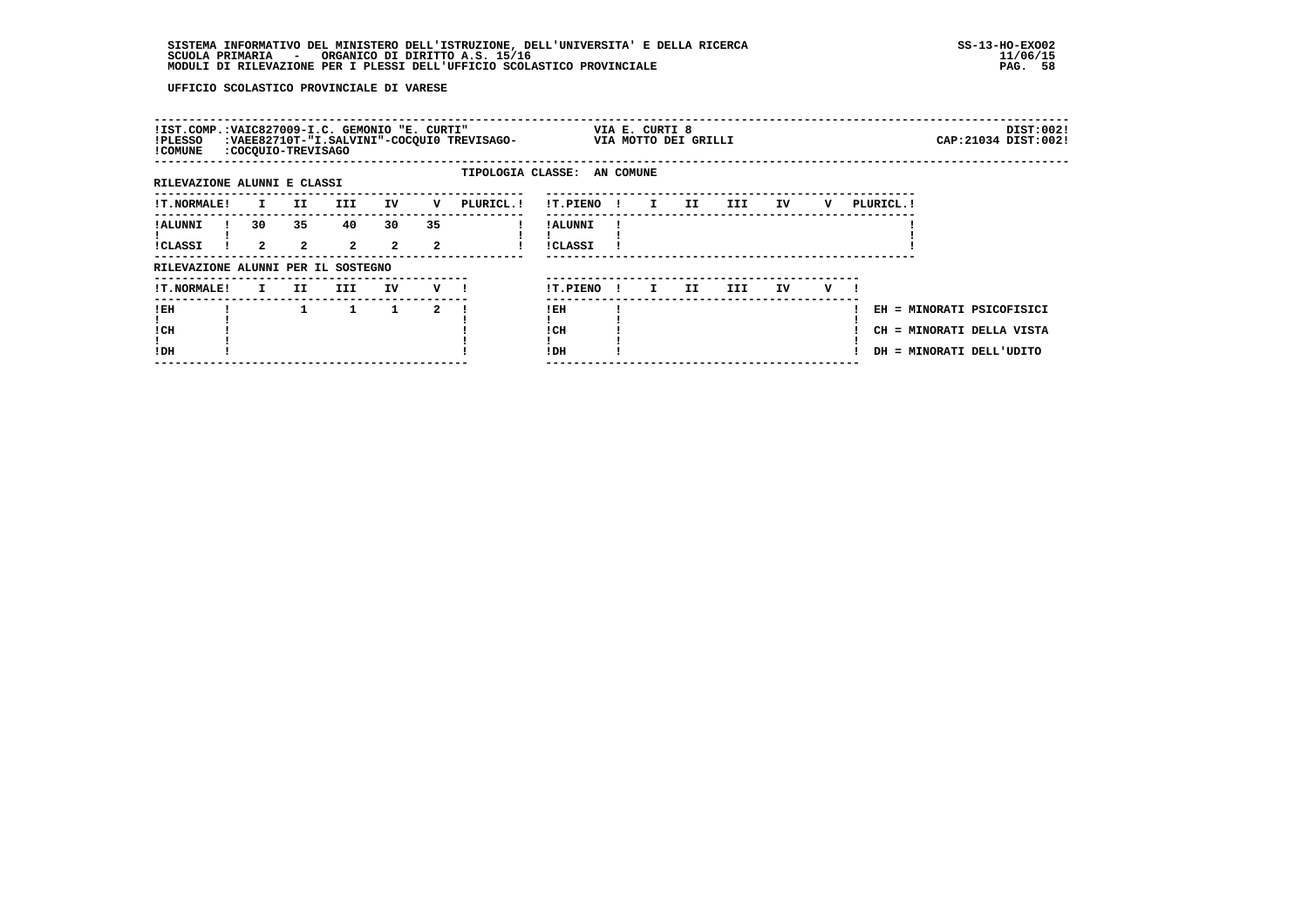| !IST.COMP.:VAIC827009-I.C. GEMONIO "E. CURTI"<br>!PLESSO<br>! COMUNE | :COCQUIO-TREVISAGO |                    |                      |                    |                    | :VAEE82710T-"I.SALVINI"-COCQUI0 TREVISAGO- |                            |              | VIA E. CURTI 8 | VIA MOTTO DEI GRILLI |      |    |   |            |                          | DIST:002!<br>CAP: 21034 DIST: 002!                     |
|----------------------------------------------------------------------|--------------------|--------------------|----------------------|--------------------|--------------------|--------------------------------------------|----------------------------|--------------|----------------|----------------------|------|----|---|------------|--------------------------|--------------------------------------------------------|
| RILEVAZIONE ALUNNI E CLASSI                                          |                    |                    |                      |                    |                    | TIPOLOGIA CLASSE: AN COMUNE                |                            |              |                |                      |      |    |   |            |                          |                                                        |
| <b>!T.NORMALE!</b>                                                   | I.                 | II.                | III.                 | IV                 | v                  | PLURICL. !                                 | !T.PIENO                   | $\mathbf{I}$ | $\mathbf{I}$   | II                   | III  | IV | v | PLURICL. ! |                          |                                                        |
| ! ALUNNI<br><b>!CLASSI</b>                                           | 30<br>$\mathbf{2}$ | 35<br>$\mathbf{2}$ | 40<br>$\overline{2}$ | 30<br>$\mathbf{2}$ | 35<br>$\mathbf{2}$ |                                            | ! ALUNNI<br><b>!CLASSI</b> |              |                |                      |      |    |   |            |                          |                                                        |
| RILEVAZIONE ALUNNI PER IL SOSTEGNO                                   |                    |                    |                      |                    |                    |                                            |                            |              |                |                      |      |    |   |            |                          |                                                        |
| !T.NORMALE!                                                          | I.                 | II.                | III                  | IV                 | $V$ $\blacksquare$ |                                            | !T.PIENO                   | -11          | I.             | II                   | III. | IV | v |            |                          |                                                        |
| ! EH<br>! CH<br>!DH                                                  |                    |                    | 1                    | $\mathbf{1}$       | $\mathbf{2}$       |                                            | !EH<br>! CH<br>!DH         |              |                |                      |      |    |   |            | DH = MINORATI DELL'UDITO | EH = MINORATI PSICOFISICI<br>CH = MINORATI DELLA VISTA |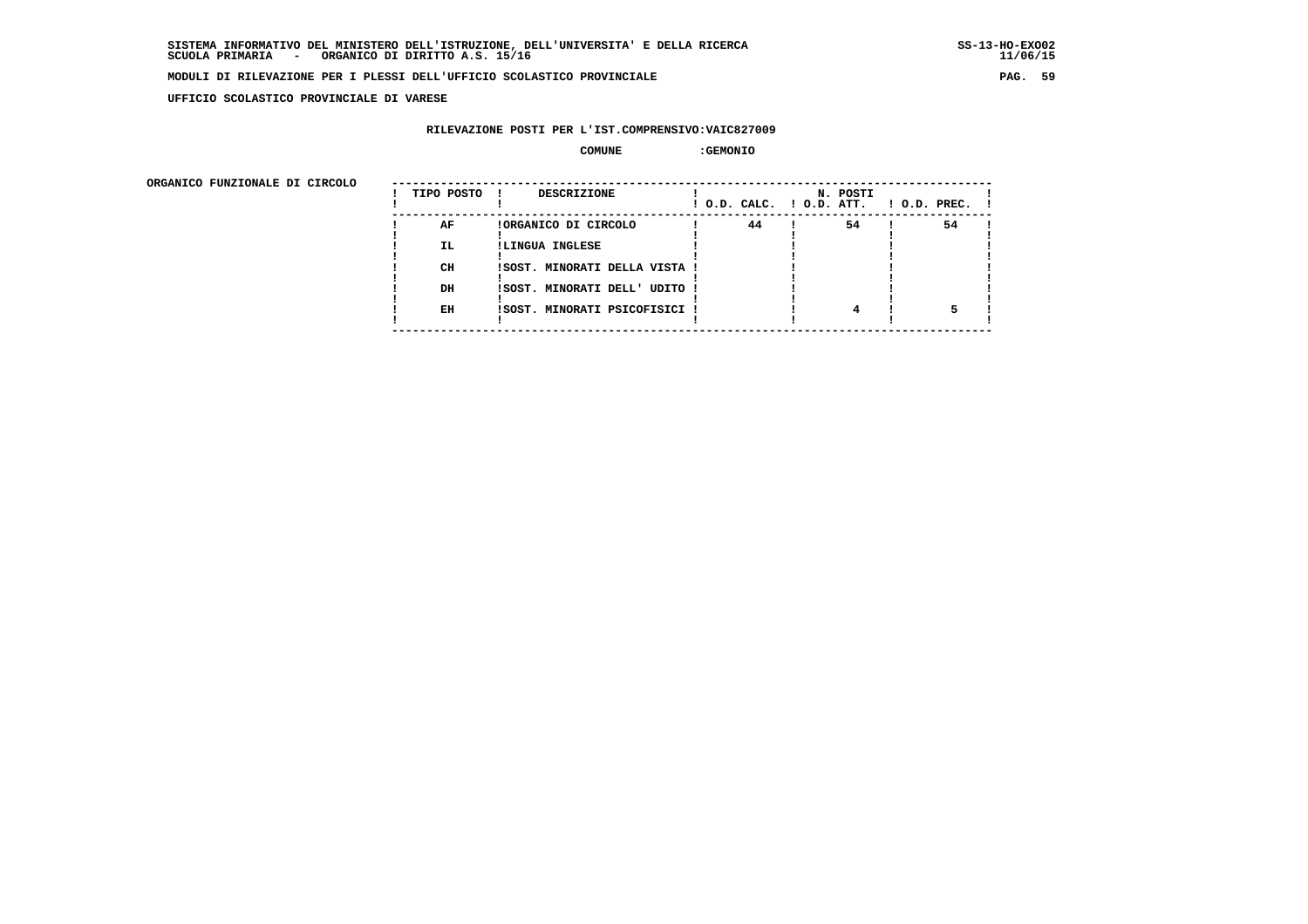**UFFICIO SCOLASTICO PROVINCIALE DI VARESE**

## **RILEVAZIONE POSTI PER L'IST.COMPRENSIVO:VAIC827009**

 **COMUNE :GEMONIO**

ORGANICO FUNZIONALE DI CIRCOLO

| ORGANICO FUNZIONALE DI CIRCOLO |            |                               |                          |          |                    |
|--------------------------------|------------|-------------------------------|--------------------------|----------|--------------------|
|                                | TIPO POSTO | DESCRIZIONE<br>$\mathbf{I}$   | ! O.D. CALC. ! O.D. ATT. | N. POSTI | $!$ 0.D. PREC. $!$ |
|                                | AF         | !ORGANICO DI CIRCOLO          | 44                       | 54       | 54                 |
|                                | IL.        | !LINGUA INGLESE               |                          |          |                    |
|                                |            |                               |                          |          |                    |
|                                | CH         | !SOST. MINORATI DELLA VISTA ! |                          |          |                    |
|                                |            |                               |                          |          |                    |
|                                | DH         | !SOST. MINORATI DELL' UDITO ! |                          |          |                    |
|                                |            |                               |                          |          |                    |
|                                | EH         | !SOST. MINORATI PSICOFISICI ! |                          |          |                    |
|                                |            |                               |                          |          |                    |
|                                |            |                               |                          |          |                    |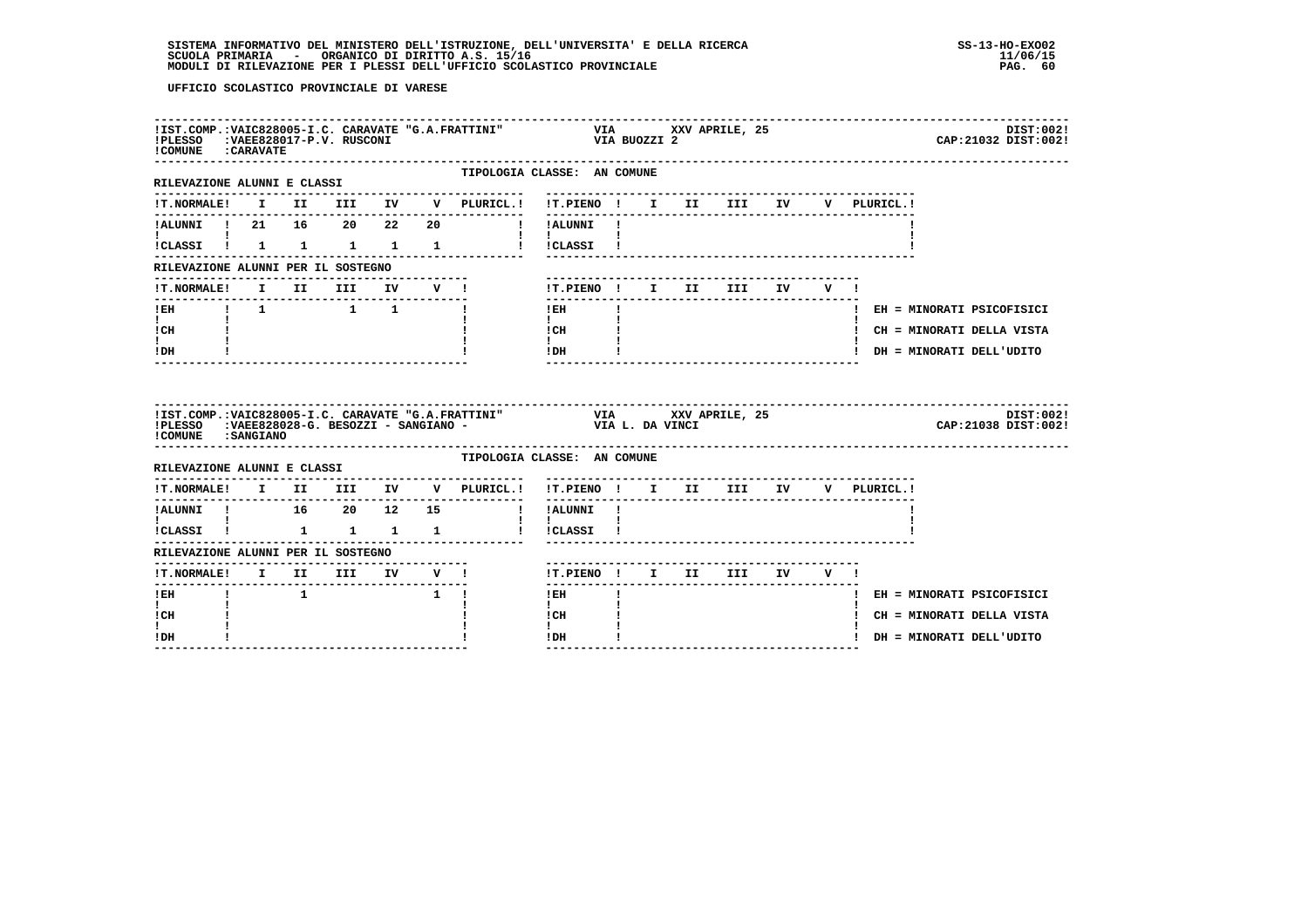| !IST.COMP.:VAIC828005-I.C. CARAVATE "G.A.FRATTINI"<br>!PLESSO : VAEE828017-P.V. RUSCONI<br>COMUNE : CARAVATE |              |                |                                 |                           |                                                                                                                                      | VIA XXV APRILE, 25<br>VIA BUOZZI 2                            |              |                                 |                               |  | DIST:002!<br>CAP: 21032 DIST: 002! |  |
|--------------------------------------------------------------------------------------------------------------|--------------|----------------|---------------------------------|---------------------------|--------------------------------------------------------------------------------------------------------------------------------------|---------------------------------------------------------------|--------------|---------------------------------|-------------------------------|--|------------------------------------|--|
| RILEVAZIONE ALUNNI E CLASSI                                                                                  |              |                |                                 |                           | TIPOLOGIA CLASSE: AN COMUNE<br>---------------                                                                                       |                                                               |              | ------------------------------- |                               |  |                                    |  |
|                                                                                                              |              |                |                                 |                           | !T.NORMALE! I II III IV V PLURICL.! !T.PIENO ! I II III IV V PLURICL.!                                                               |                                                               |              |                                 |                               |  |                                    |  |
| !ALUNNI ! 21 16 20 22 20                                                                                     |              |                |                                 |                           | !!ALUNNI!                                                                                                                            |                                                               |              |                                 |                               |  |                                    |  |
| <b>Line Common</b><br>!CLASSI ! 1 1 1 1 1                                                                    |              |                |                                 |                           |                                                                                                                                      | $\mathbf{I}$ and $\mathbf{I}$ and $\mathbf{I}$<br>! !CLASSI ! |              |                                 |                               |  |                                    |  |
| RILEVAZIONE ALUNNI PER IL SOSTEGNO                                                                           |              |                |                                 |                           |                                                                                                                                      |                                                               |              |                                 |                               |  |                                    |  |
| <b>!T.NORMALE!</b>                                                                                           |              |                |                                 |                           | I II III IV V !                                                                                                                      |                                                               |              |                                 | !T.PIENO! I II III IV V !     |  |                                    |  |
| ------------------------------                                                                               |              |                |                                 | ------------              |                                                                                                                                      | ---------------<br>$!$ EH                                     | $\mathbf{I}$ |                                 |                               |  | ! EH = MINORATI PSICOFISICI        |  |
| $\mathbf{I}$ and $\mathbf{I}$<br>! CH                                                                        |              |                |                                 |                           |                                                                                                                                      | $\mathbf{I}$<br>! CH                                          |              |                                 |                               |  | ! CH = MINORATI DELLA VISTA        |  |
| I.<br>! DH                                                                                                   |              |                |                                 |                           |                                                                                                                                      | $\mathbf{I}$<br>! DH                                          |              |                                 |                               |  | ! DH = MINORATI DELL'UDITO         |  |
| ! COMUNE : SANGIANO                                                                                          |              |                |                                 |                           | IIST.COMP.:VAIC828005-I.C. CARAVATE "G.A.FRATTINI" VIA XXV APRILE, 25<br>IPLESSO :VAEE828028-G. BESOZZI - SANGIANO - VIA L. DA VINCI |                                                               |              |                                 |                               |  | DIST:002!<br>CAP: 21038 DIST: 002! |  |
| RILEVAZIONE ALUNNI E CLASSI                                                                                  |              |                |                                 |                           | TIPOLOGIA CLASSE: AN COMUNE                                                                                                          |                                                               |              |                                 |                               |  |                                    |  |
|                                                                                                              |              |                |                                 |                           | !T.NORMALE! I II III IV V PLURICL.! !T.PIENO ! I II III IV V PLURICL.!                                                               |                                                               |              |                                 |                               |  |                                    |  |
| $\mathbf{I}$ and $\mathbf{I}$ and $\mathbf{I}$                                                               |              |                |                                 |                           |                                                                                                                                      | ! !ALUNNI !<br>$\mathbf{I}$ $\mathbf{I}$                      |              |                                 |                               |  |                                    |  |
|                                                                                                              |              |                |                                 |                           | !CLASSI ! 1 1 1 1 1 ! !CLASSI !                                                                                                      |                                                               |              |                                 |                               |  |                                    |  |
| RILEVAZIONE ALUNNI PER IL SOSTEGNO                                                                           |              |                |                                 |                           |                                                                                                                                      |                                                               |              |                                 |                               |  |                                    |  |
|                                                                                                              |              |                |                                 |                           |                                                                                                                                      | !T.PIENO ! I II III IV V !                                    |              |                                 |                               |  |                                    |  |
| $I$ EH<br>$\mathbf{I}$                                                                                       | $\mathbf{I}$ | $\overline{1}$ |                                 | $\mathbf{1}$ $\mathbf{1}$ |                                                                                                                                      | $1$ EH and $2$<br>$\mathbf{I}$                                | $\mathbf{I}$ |                                 |                               |  | ! EH = MINORATI PSICOFISICI        |  |
| ! CH                                                                                                         |              |                |                                 |                           |                                                                                                                                      | ICH<br>$\mathbf{I}$                                           |              |                                 |                               |  | ! CH = MINORATI DELLA VISTA        |  |
| ! DH                                                                                                         |              |                | ------------------------------- |                           |                                                                                                                                      | ! DH                                                          |              |                                 | ----------------------------- |  | ! DH = MINORATI DELL'UDITO         |  |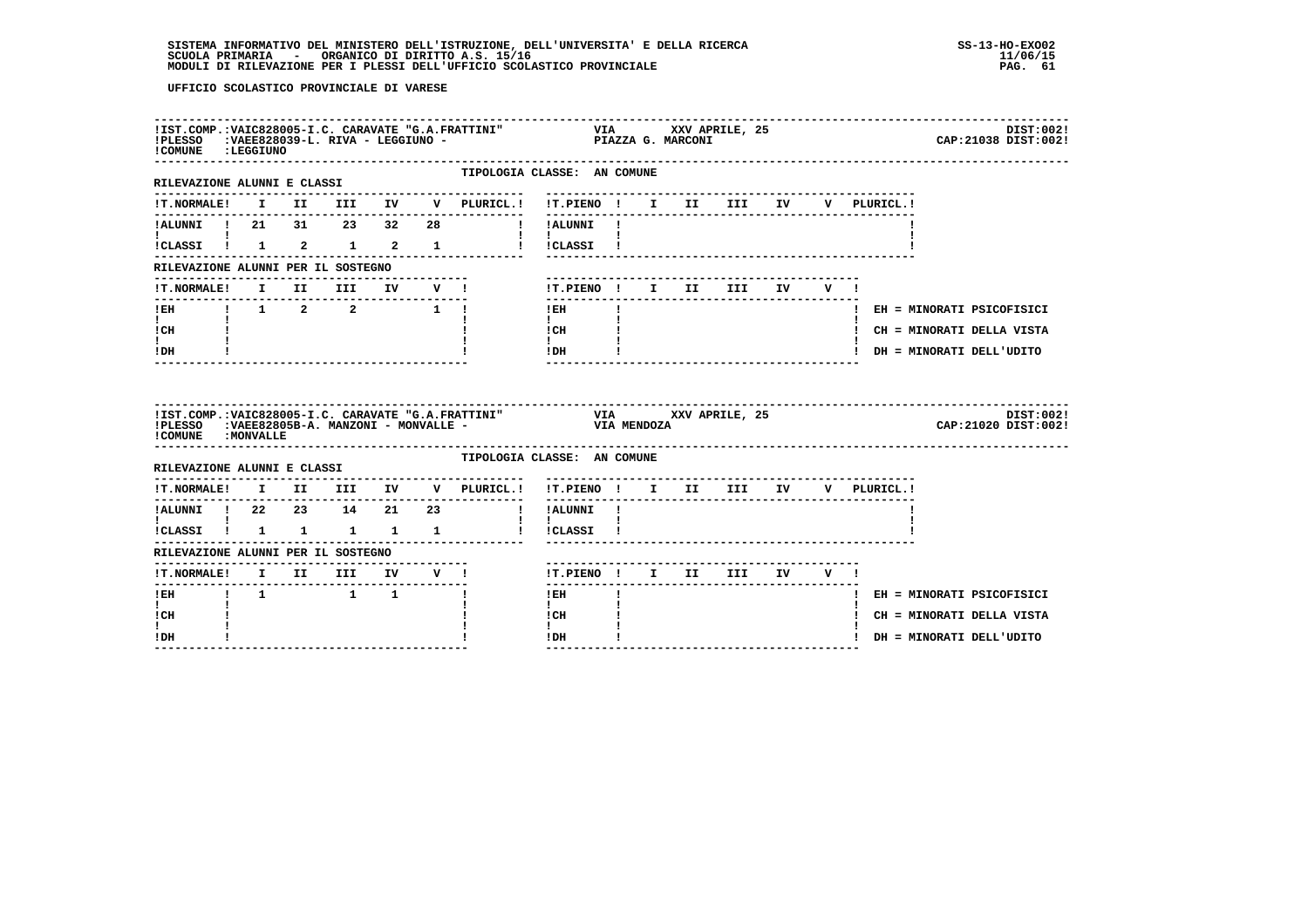| ! COMUNE : LEGGIUNO                                                   |  |  |  | IIST.COMP.:VAIC828005-I.C. CARAVATE "G.A.FRATTINI" VIA XXV APRILE, 25<br>IPLESSO :VAEE828039-L. RIVA - LEGGIUNO - PIAZZA G. MARCONI<br>$!$ PLESSO : VAEE828039-L. RIVA - LEGGIUNO - |                                                                                                                                                                                                                                                                                                                                                            |    |  |                                   |            |  |             | DIST:002!<br>CAP: 21038 DIST: 002! |  |
|-----------------------------------------------------------------------|--|--|--|-------------------------------------------------------------------------------------------------------------------------------------------------------------------------------------|------------------------------------------------------------------------------------------------------------------------------------------------------------------------------------------------------------------------------------------------------------------------------------------------------------------------------------------------------------|----|--|-----------------------------------|------------|--|-------------|------------------------------------|--|
| RILEVAZIONE ALUNNI E CLASSI                                           |  |  |  | TIPOLOGIA CLASSE: AN COMUNE                                                                                                                                                         |                                                                                                                                                                                                                                                                                                                                                            |    |  |                                   |            |  |             |                                    |  |
| <b>!T.NORMALE!</b>                                                    |  |  |  | I II III IV V PLURICL.! !T.PIENO ! I II III IV                                                                                                                                      |                                                                                                                                                                                                                                                                                                                                                            |    |  |                                   |            |  | V PLURICL.! |                                    |  |
| !ALUNNI ! 21 31 23 32 28                                              |  |  |  | I !ALUNNI !                                                                                                                                                                         | _________                                                                                                                                                                                                                                                                                                                                                  |    |  |                                   |            |  |             |                                    |  |
| !CLASSI ! 1 2 1 2 1                                                   |  |  |  |                                                                                                                                                                                     | $\mathbf{I}$ $\mathbf{I}$<br>!!CLASSI!                                                                                                                                                                                                                                                                                                                     |    |  |                                   |            |  |             |                                    |  |
| RILEVAZIONE ALUNNI PER IL SOSTEGNO                                    |  |  |  |                                                                                                                                                                                     |                                                                                                                                                                                                                                                                                                                                                            |    |  |                                   |            |  |             |                                    |  |
| <b>!T.NORMALE!</b>                                                    |  |  |  | I II III IV V !                                                                                                                                                                     | !T.PIENO ! I II                                                                                                                                                                                                                                                                                                                                            |    |  |                                   | III IV V ! |  |             |                                    |  |
| !EH    !    1    2   2   1   !                                        |  |  |  |                                                                                                                                                                                     | ! EH                                                                                                                                                                                                                                                                                                                                                       | Ι. |  |                                   |            |  |             | ! EH = MINORATI PSICOFISICI        |  |
| $\mathbf{I}$ and $\mathbf{I}$<br>! CH                                 |  |  |  |                                                                                                                                                                                     | $\mathbf{I}$<br>$\mathbf{C}$ $\mathbf{H}$ $\mathbf{I}$                                                                                                                                                                                                                                                                                                     |    |  |                                   |            |  |             | ! CH = MINORATI DELLA VISTA        |  |
| $\mathbf{I}$<br>! DH                                                  |  |  |  |                                                                                                                                                                                     | $\mathbf{I}$<br>$!$ DH $\qquad$ $\qquad$ $\qquad$ $\qquad$ $\qquad$ $\qquad$ $\qquad$ $\qquad$ $\qquad$ $\qquad$ $\qquad$ $\qquad$ $\qquad$ $\qquad$ $\qquad$ $\qquad$ $\qquad$ $\qquad$ $\qquad$ $\qquad$ $\qquad$ $\qquad$ $\qquad$ $\qquad$ $\qquad$ $\qquad$ $\qquad$ $\qquad$ $\qquad$ $\qquad$ $\qquad$ $\qquad$ $\qquad$ $\qquad$ $\qquad$ $\qquad$ |    |  |                                   |            |  |             | ! DH = MINORATI DELL'UDITO         |  |
|                                                                       |  |  |  |                                                                                                                                                                                     |                                                                                                                                                                                                                                                                                                                                                            |    |  |                                   |            |  |             |                                    |  |
| ! COMUNE : MONVALLE                                                   |  |  |  | !IST.COMP.:VAIC828005-I.C. CARAVATE "G.A.FRATTINI" VIA XXV APRILE, 25<br>!PLESSO :VAEE82805B-A. MANZONI - MONVALLE - VIA MENDOZA                                                    |                                                                                                                                                                                                                                                                                                                                                            |    |  |                                   |            |  |             | DIST:002!<br>CAP: 21020 DIST: 002! |  |
| RILEVAZIONE ALUNNI E CLASSI                                           |  |  |  | TIPOLOGIA CLASSE: AN COMUNE                                                                                                                                                         |                                                                                                                                                                                                                                                                                                                                                            |    |  |                                   |            |  |             |                                    |  |
|                                                                       |  |  |  | !T.NORMALE! I II III IV V PLURICL.! !T.PIENO ! I II III IV V PLURICL.!                                                                                                              |                                                                                                                                                                                                                                                                                                                                                            |    |  |                                   |            |  |             |                                    |  |
|                                                                       |  |  |  |                                                                                                                                                                                     | $- - - - - - -$                                                                                                                                                                                                                                                                                                                                            |    |  | --------------------------------- |            |  |             |                                    |  |
| $\mathbf{I}$ and $\mathbf{I}$ and $\mathbf{I}$<br>!CLASSI ! 1 1 1 1 1 |  |  |  |                                                                                                                                                                                     | $\mathbf{I}$<br>! !CLASSI !                                                                                                                                                                                                                                                                                                                                |    |  |                                   |            |  |             |                                    |  |
| RILEVAZIONE ALUNNI PER IL SOSTEGNO                                    |  |  |  |                                                                                                                                                                                     |                                                                                                                                                                                                                                                                                                                                                            |    |  |                                   |            |  |             |                                    |  |
| !T.NORMALE! I II III IV V !                                           |  |  |  |                                                                                                                                                                                     | !T.PIENO ! I II III IV V !                                                                                                                                                                                                                                                                                                                                 |    |  |                                   |            |  |             |                                    |  |
|                                                                       |  |  |  |                                                                                                                                                                                     | ------<br>! EH                                                                                                                                                                                                                                                                                                                                             |    |  |                                   |            |  |             | ! EH = MINORATI PSICOFISICI        |  |
| $\mathbf{I}$<br>! CH<br>$\mathbf{I}$                                  |  |  |  |                                                                                                                                                                                     | $\mathbf{I}$<br>! CH                                                                                                                                                                                                                                                                                                                                       |    |  |                                   |            |  |             | ! CH = MINORATI DELLA VISTA        |  |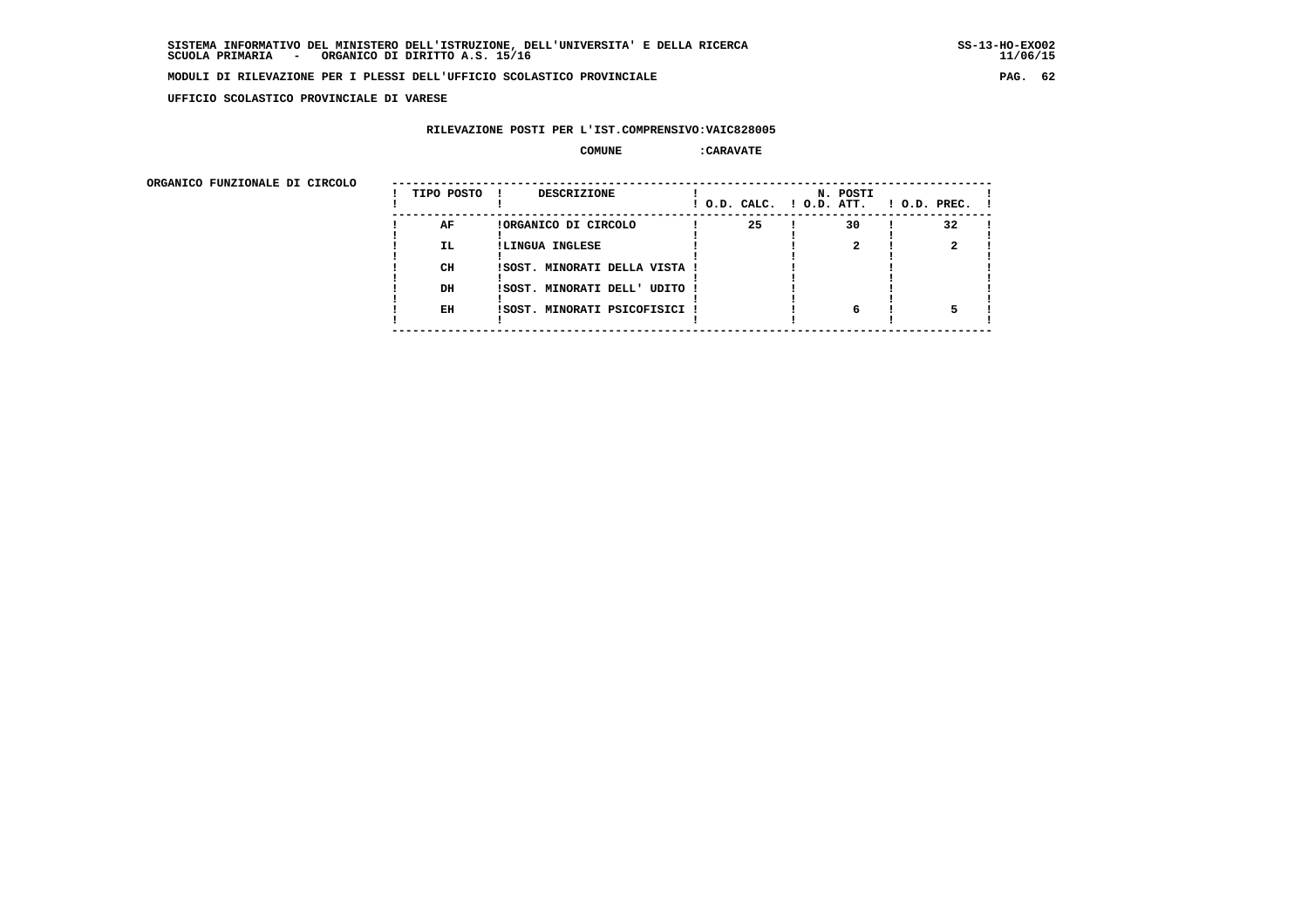**UFFICIO SCOLASTICO PROVINCIALE DI VARESE**

## **RILEVAZIONE POSTI PER L'IST.COMPRENSIVO:VAIC828005**

### **COMUNE :CARAVATE**

ORGANICO FUNZIONALE DI CIRCOLO

| ORGANICO FUNZIONALE DI CIRCOLO |            |                               |    |                                      |                    |
|--------------------------------|------------|-------------------------------|----|--------------------------------------|--------------------|
|                                | TIPO POSTO | DESCRIZIONE                   |    | N. POSTI<br>! O.D. CALC. ! O.D. ATT. | $!$ 0.D. PREC. $!$ |
|                                | AF         | !ORGANICO DI CIRCOLO          | 25 | 30                                   | 32                 |
|                                | IL.        | !LINGUA INGLESE               |    |                                      |                    |
|                                |            |                               |    |                                      |                    |
|                                | CH         | !SOST. MINORATI DELLA VISTA ! |    |                                      |                    |
|                                |            |                               |    |                                      |                    |
|                                | DH         | !SOST. MINORATI DELL' UDITO ! |    |                                      |                    |
|                                |            |                               |    |                                      |                    |
|                                | EH         | !SOST. MINORATI PSICOFISICI ! |    | 6                                    |                    |
|                                |            |                               |    |                                      |                    |
|                                |            |                               |    |                                      |                    |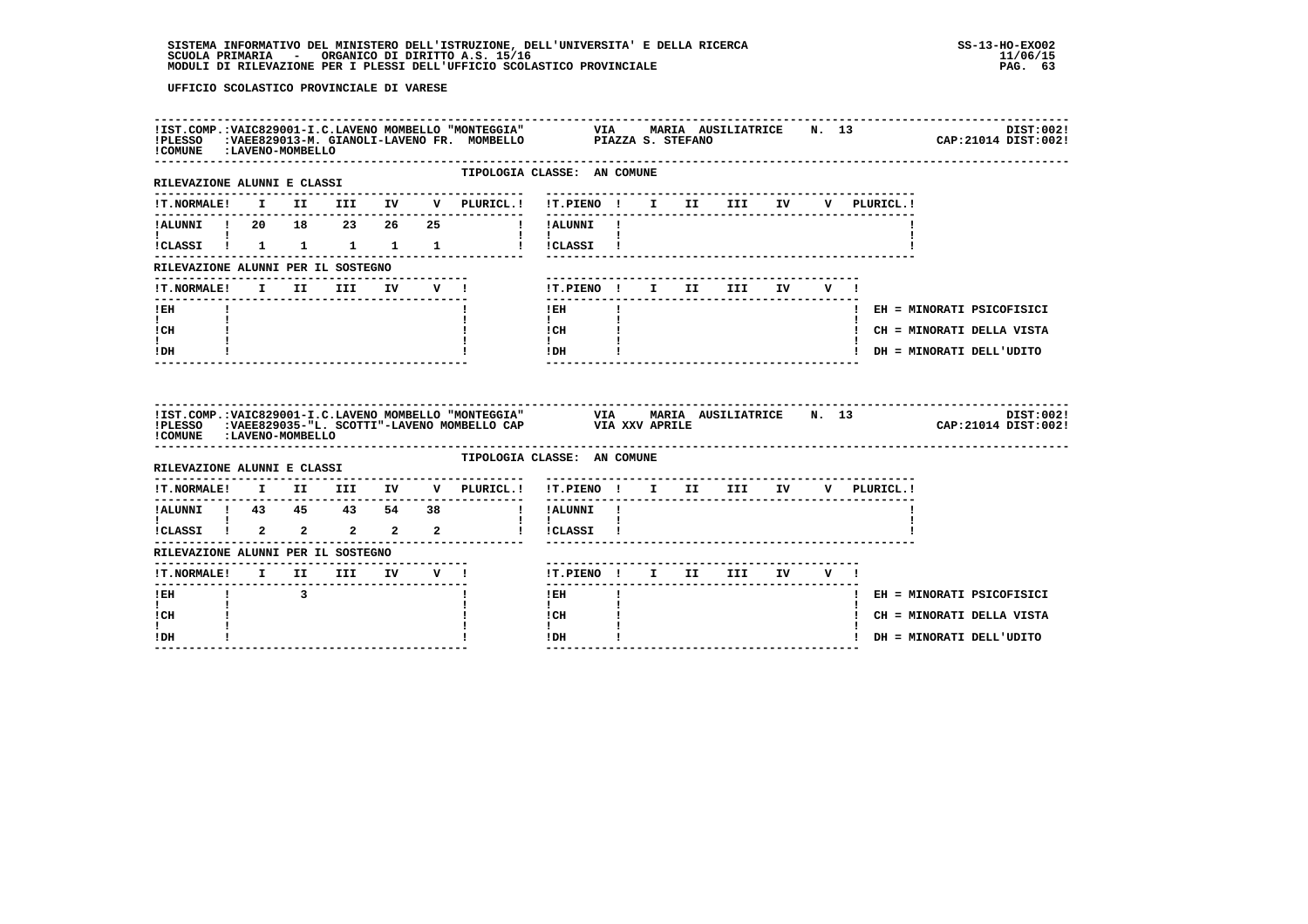| ! COMUNE : LAVENO-MOMBELLO                                                 |              |                         |      |                                  |        | IIST.COMP.:VAIC829001-I.C.LAVENO MOMBELLO "MONTEGGIA" VIA MARIA AUSILIATRICE N. 13<br>IPLESSO :VAEE829013-M. GIANOLI-LAVENO FR. MOMBELLO PIAZZA S. STEFANO |                                          |    |  |                                  |  |     |             | DIST:002!<br>CAP: 21014 DIST: 002! |
|----------------------------------------------------------------------------|--------------|-------------------------|------|----------------------------------|--------|------------------------------------------------------------------------------------------------------------------------------------------------------------|------------------------------------------|----|--|----------------------------------|--|-----|-------------|------------------------------------|
| -------------------------------<br>RILEVAZIONE ALUNNI E CLASSI             |              |                         |      |                                  |        | TIPOLOGIA CLASSE: AN COMUNE                                                                                                                                |                                          |    |  |                                  |  |     |             |                                    |
|                                                                            |              |                         |      |                                  |        | !T.NORMALE! I II III IV V PLURICL.! !T.PIENO ! I II III IV                                                                                                 |                                          |    |  |                                  |  |     | V PLURICL.! |                                    |
| !ALUNNI ! 20 18 23 26 25                                                   |              |                         |      |                                  |        |                                                                                                                                                            | ---------<br>! !ALUNNI !                 |    |  |                                  |  |     |             |                                    |
| !CLASSI ! 1 1 1 1 1                                                        |              |                         |      |                                  |        |                                                                                                                                                            | <b>Contract Contract</b><br>! !CLASSI !  |    |  |                                  |  |     |             |                                    |
| RILEVAZIONE ALUNNI PER IL SOSTEGNO                                         |              |                         |      |                                  |        |                                                                                                                                                            |                                          |    |  |                                  |  |     |             |                                    |
| !T.NORMALE!                                                                |              |                         | I II | <b>III</b>                       | IV V ! |                                                                                                                                                            |                                          |    |  | !T.PIENO ! I II III IV           |  | V I |             |                                    |
| ! EH                                                                       |              |                         |      |                                  |        |                                                                                                                                                            | $!$ EH                                   | Τ. |  | -----------------------          |  |     |             | ! EH = MINORATI PSICOFISICI        |
| $\mathbf{I}$<br>! CH                                                       |              |                         |      |                                  |        |                                                                                                                                                            | $\mathbf{I}$<br>! CH                     |    |  |                                  |  |     |             | ! CH = MINORATI DELLA VISTA        |
|                                                                            |              |                         |      |                                  |        |                                                                                                                                                            | $\mathbf{I}$<br>!DH                      |    |  |                                  |  |     |             | ! DH = MINORATI DELL'UDITO         |
| $\mathbf{I}$<br>! DH                                                       |              |                         |      |                                  |        |                                                                                                                                                            |                                          |    |  |                                  |  |     |             |                                    |
| ! COMUNE : LAVENO-MOMBELLO                                                 |              |                         |      |                                  |        | !IST.COMP.:VAIC829001-I.C.LAVENO MOMBELLO "MONTEGGIA" VIA MARIA AUSILIATRICE N. 13<br>!PLESSO :VAEE829035-"L. SCOTTI"-LAVENO MOMBELLO CAP VIA XXV APRILE   |                                          |    |  |                                  |  |     |             | DIST:002!<br>CAP: 21014 DIST: 002! |
| RILEVAZIONE ALUNNI E CLASSI                                                |              |                         |      |                                  |        | TIPOLOGIA CLASSE: AN COMUNE                                                                                                                                |                                          |    |  |                                  |  |     |             |                                    |
| <b>!T.NORMALE!</b>                                                         |              |                         |      |                                  |        | I II III IV V PLURICL.!                                                                                                                                    | !T.PIENO ! I II III IV V PLURICL.!       |    |  | -------------------------------- |  |     |             |                                    |
| !ALUNNI ! 43  45  43  54  38                                               |              |                         |      |                                  |        |                                                                                                                                                            | ! !ALUNNI !                              |    |  |                                  |  |     |             |                                    |
| $\mathbf{I}$ and $\mathbf{I}$ and $\mathbf{I}$<br>.<br>!CLASSI ! 2 2 2 2 2 |              |                         |      |                                  |        |                                                                                                                                                            | $\mathbf{I}$ $\mathbf{I}$<br>! !CLASSI ! |    |  |                                  |  |     |             |                                    |
| RILEVAZIONE ALUNNI PER IL SOSTEGNO                                         |              |                         |      |                                  |        |                                                                                                                                                            |                                          |    |  |                                  |  |     |             |                                    |
| !T.NORMALE! I II III IV V !                                                |              |                         |      | -------------------------------- |        |                                                                                                                                                            | !T.PIENO! I II III IV V!                 |    |  |                                  |  |     |             |                                    |
| ! EH                                                                       | $\mathbf{I}$ | $\overline{\mathbf{3}}$ |      |                                  |        |                                                                                                                                                            | -------<br>$!$ EH                        |    |  | -----------------------          |  |     |             | ! EH = MINORATI PSICOFISICI        |
| $\mathbf{I}$<br>! CH                                                       |              |                         |      |                                  |        |                                                                                                                                                            | $\mathbf{I}$<br>l CH<br>$\mathbf{I}$     |    |  |                                  |  |     |             | ! CH = MINORATI DELLA VISTA        |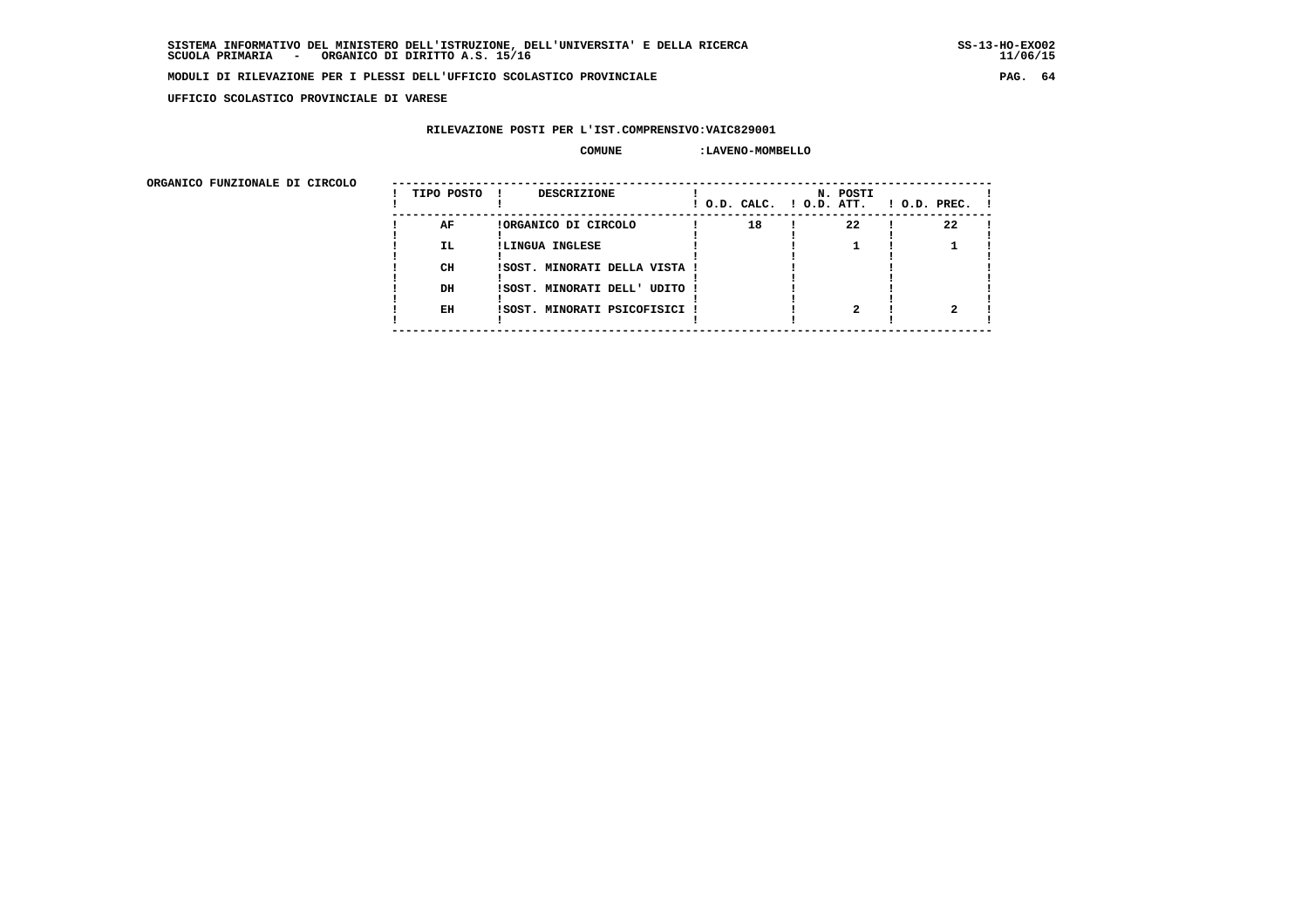**UFFICIO SCOLASTICO PROVINCIALE DI VARESE**

## **RILEVAZIONE POSTI PER L'IST.COMPRENSIVO:VAIC829001**

#### **COMUNE :LAVENO-MOMBELLO**

 **ORGANICO FUNZIONALE DI CIRCOLO --------------------------------------------------------------------------------------**

| URGANICO FUNZIONALE DI CIRCOLO | TIPO POSTO | <b>DESCRIZIONE</b>            | ! O.D. CALC. ! O.D. ATT. | N. POSTI | $1$ O.D. PREC. $1$ |
|--------------------------------|------------|-------------------------------|--------------------------|----------|--------------------|
|                                | AF         | !ORGANICO DI CIRCOLO          | 18                       | 22       | 22                 |
|                                | IL.        | !LINGUA INGLESE               |                          |          |                    |
|                                | CH         | !SOST. MINORATI DELLA VISTA ! |                          |          |                    |
|                                | DH         | ISOST. MINORATI DELL' UDITO ! |                          |          |                    |
|                                | EH         | ISOST. MINORATI PSICOFISICI ! |                          |          |                    |
|                                |            |                               |                          |          |                    |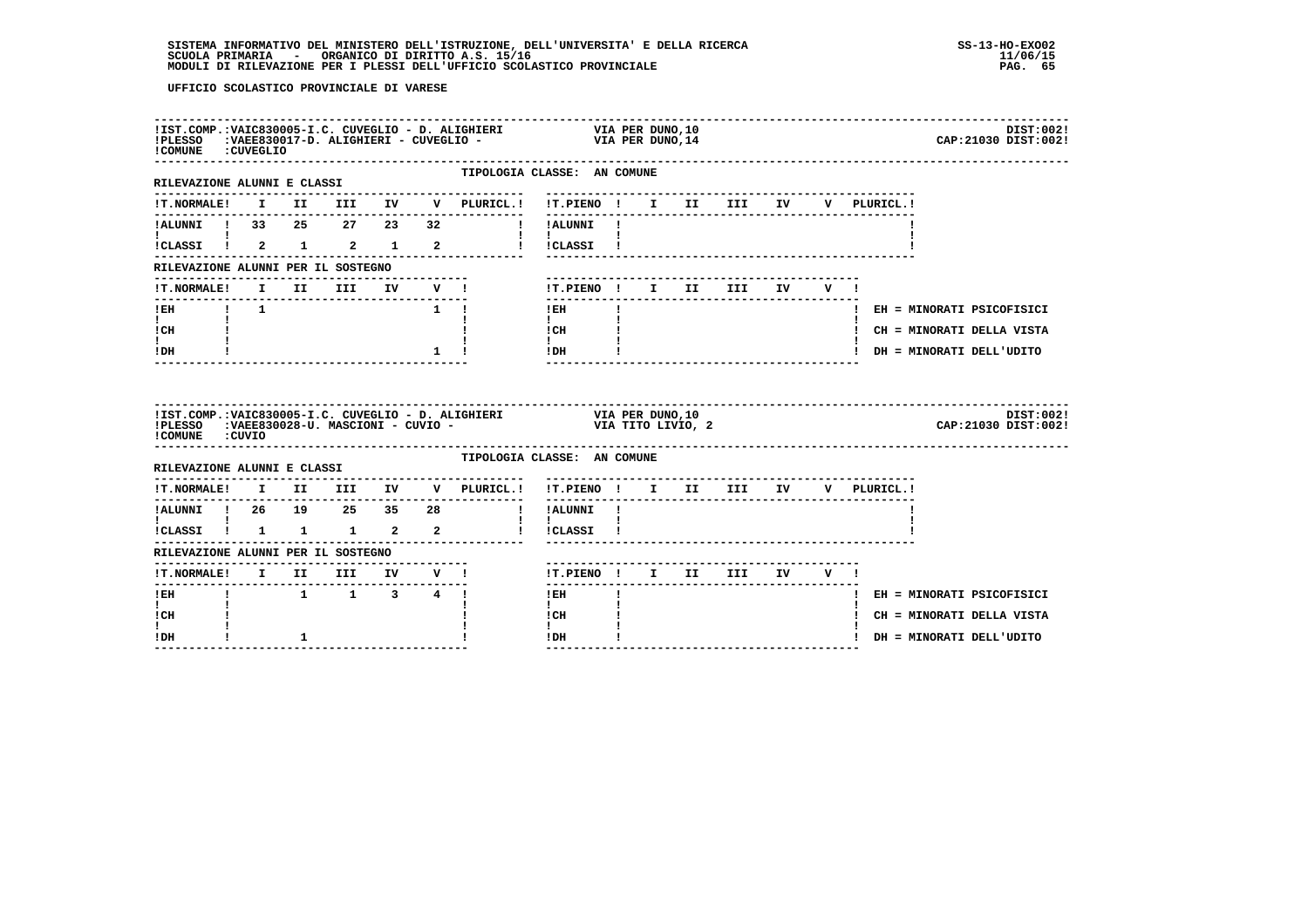| COMUNE : CUVEGLIO                                  |  |           |               |                                     | IIST.COMP.:VAIC830005-I.C. CUVEGLIO - D. ALIGHIERI VIA PER DUNO,10<br>IPLESSO :VAEE830017-D. ALIGHIERI - CUVEGLIO - VIA PER DUNO,14<br>DIST:002!<br>CAP: 21030 DIST: 002!                                                                                                                                                                                                |
|----------------------------------------------------|--|-----------|---------------|-------------------------------------|--------------------------------------------------------------------------------------------------------------------------------------------------------------------------------------------------------------------------------------------------------------------------------------------------------------------------------------------------------------------------|
| RILEVAZIONE ALUNNI E CLASSI                        |  |           |               | --------------                      | -----------------------<br>TIPOLOGIA CLASSE: AN COMUNE<br>---------------------------------                                                                                                                                                                                                                                                                              |
|                                                    |  |           |               | !T.NORMALE! I II III IV V PLURICL.! | !T.PIENO ! I II III IV V PLURICL.!                                                                                                                                                                                                                                                                                                                                       |
|                                                    |  |           |               |                                     | !ALUNNI ! 33  25  27  23  32  !!!ALUNNI !                                                                                                                                                                                                                                                                                                                                |
| $\mathbf{I}$ and $\mathbf{I}$ are all $\mathbf{I}$ |  |           |               |                                     | $\mathbf{1}$ $\mathbf{1}$<br>ICLASSI ! 2 1 2 1 2 1 ICLASSI !                                                                                                                                                                                                                                                                                                             |
| RILEVAZIONE ALUNNI PER IL SOSTEGNO                 |  |           |               |                                     |                                                                                                                                                                                                                                                                                                                                                                          |
|                                                    |  |           |               | -------------------------           | IT.NORMALE! I II III IV V ! IT.PIENO ! I II III IV V !                                                                                                                                                                                                                                                                                                                   |
| $1$ EH $1$ $1$                                     |  |           |               | $1 \t!$ 1                           | $\mathbf{I}$<br>! EH = MINORATI PSICOFISICI                                                                                                                                                                                                                                                                                                                              |
| $\mathbf{I}$ and $\mathbf{I}$<br>ICH               |  |           |               |                                     | $\mathbf{I}$ and $\mathbf{I}$<br>$\frac{1}{1}$ $\frac{1}{1}$ $\frac{1}{1}$<br>! CH = MINORATI DELLA VISTA                                                                                                                                                                                                                                                                |
| $\mathbf{I}$<br>! DH                               |  |           | $\frac{1}{1}$ |                                     | $!$ DH $\qquad$ $\qquad$ $\qquad$ $\qquad$ $\qquad$ $\qquad$ $\qquad$ $\qquad$ $\qquad$ $\qquad$ $\qquad$ $\qquad$ $\qquad$ $\qquad$ $\qquad$ $\qquad$ $\qquad$ $\qquad$ $\qquad$ $\qquad$ $\qquad$ $\qquad$ $\qquad$ $\qquad$ $\qquad$ $\qquad$ $\qquad$ $\qquad$ $\qquad$ $\qquad$ $\qquad$ $\qquad$ $\qquad$ $\qquad$ $\qquad$ $\qquad$<br>! DH = MINORATI DELL'UDITO |
|                                                    |  |           |               |                                     |                                                                                                                                                                                                                                                                                                                                                                          |
|                                                    |  |           |               |                                     | IIST.COMP.:VAIC830005-I.C. CUVEGLIO - D. ALIGHIERI VIA PER DUNO,10<br>IPLESSO :VAEE830028-U. MASCIONI - CUVIO - VIA TITO LIVIO, 2<br>DIST:002!<br>CAP:21030 DIST:002!                                                                                                                                                                                                    |
| COMUNE : CUVIO                                     |  |           |               |                                     | TIPOLOGIA CLASSE: AN COMUNE                                                                                                                                                                                                                                                                                                                                              |
| RILEVAZIONE ALUNNI E CLASSI                        |  |           |               |                                     |                                                                                                                                                                                                                                                                                                                                                                          |
|                                                    |  |           |               |                                     | !T.NORMALE! I II III IV V PLURICL.! !T.PIENO ! I II III IV V PLURICL.!                                                                                                                                                                                                                                                                                                   |
|                                                    |  |           |               |                                     |                                                                                                                                                                                                                                                                                                                                                                          |
|                                                    |  |           |               |                                     | .<br>ICLASSI I 1 1 1 2 2 1 ICLASSI I                                                                                                                                                                                                                                                                                                                                     |
| RILEVAZIONE ALUNNI PER IL SOSTEGNO                 |  |           |               |                                     |                                                                                                                                                                                                                                                                                                                                                                          |
|                                                    |  |           |               |                                     | !T.PIENO! I II III IV V!<br>$\frac{1}{2}$                                                                                                                                                                                                                                                                                                                                |
| ! EH                                               |  | 1 1 3 4 ! |               |                                     | $1$ EH $-$<br>! EH = MINORATI PSICOFISICI                                                                                                                                                                                                                                                                                                                                |
| I.<br>! CH                                         |  |           |               |                                     | $\mathbf{I}$<br>! CH<br>! CH = MINORATI DELLA VISTA<br>$\mathbf{I}$                                                                                                                                                                                                                                                                                                      |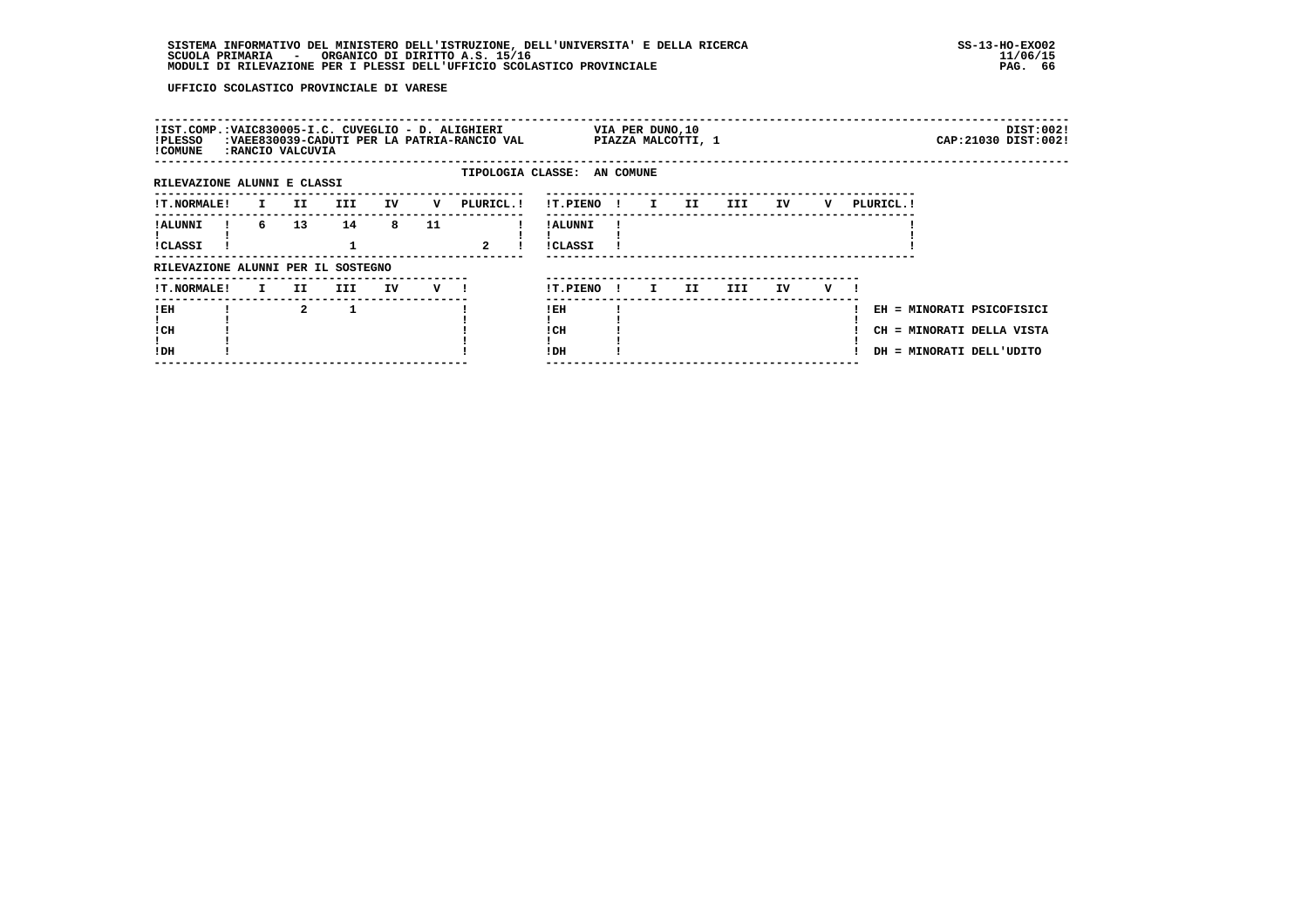| !IST.COMP.:VAIC830005-I.C. CUVEGLIO - D. ALIGHIERI<br>!PLESSO<br>! COMUNE |              | RANCIO VALCUVIA: | :VAEE830039-CADUTI PER LA PATRIA-RANCIO VAL |    |         |                |                             |              | VIA PER DUNO, 10              | PIAZZA MALCOTTI, 1 |        |    |   |                                                                                    |  | DIST:002!<br>CAP: 21030 DIST: 002! |
|---------------------------------------------------------------------------|--------------|------------------|---------------------------------------------|----|---------|----------------|-----------------------------|--------------|-------------------------------|--------------------|--------|----|---|------------------------------------------------------------------------------------|--|------------------------------------|
| RILEVAZIONE ALUNNI E CLASSI                                               |              |                  |                                             |    |         |                | TIPOLOGIA CLASSE: AN COMUNE |              |                               |                    |        |    |   |                                                                                    |  |                                    |
| <b>!T.NORMALE!</b>                                                        | $\mathbf{I}$ | II               | III                                         | IV | v       | PLURICL.!      | !T.PIENO!                   |              | $\mathbf{I}$ and $\mathbf{I}$ | II                 | III DE | IV | v | PLURICL. !                                                                         |  |                                    |
| ! ALUNNI<br>!CLASSI                                                       | 6            | 13               | 14                                          | 8  | 11      | $\overline{a}$ | ! ALUNNI<br>!CLASSI         |              |                               |                    |        |    |   |                                                                                    |  |                                    |
| RILEVAZIONE ALUNNI PER IL SOSTEGNO                                        |              |                  |                                             |    |         |                |                             |              |                               |                    |        |    |   |                                                                                    |  |                                    |
| <b>!T.NORMALE!</b>                                                        | $\mathbf{I}$ | II.              | III                                         | IV | $V$ $l$ |                | !T.PIENO                    | $\mathbf{I}$ | $\mathbf{I}$                  | II                 | III.   | IV | v |                                                                                    |  |                                    |
| !EH<br>! CH<br>!DH                                                        |              | $\mathbf{2}$     |                                             |    |         |                | ! EH<br>! CH<br>!DH         |              |                               |                    |        |    |   | EH = MINORATI PSICOFISICI<br>CH = MINORATI DELLA VISTA<br>DH = MINORATI DELL'UDITO |  |                                    |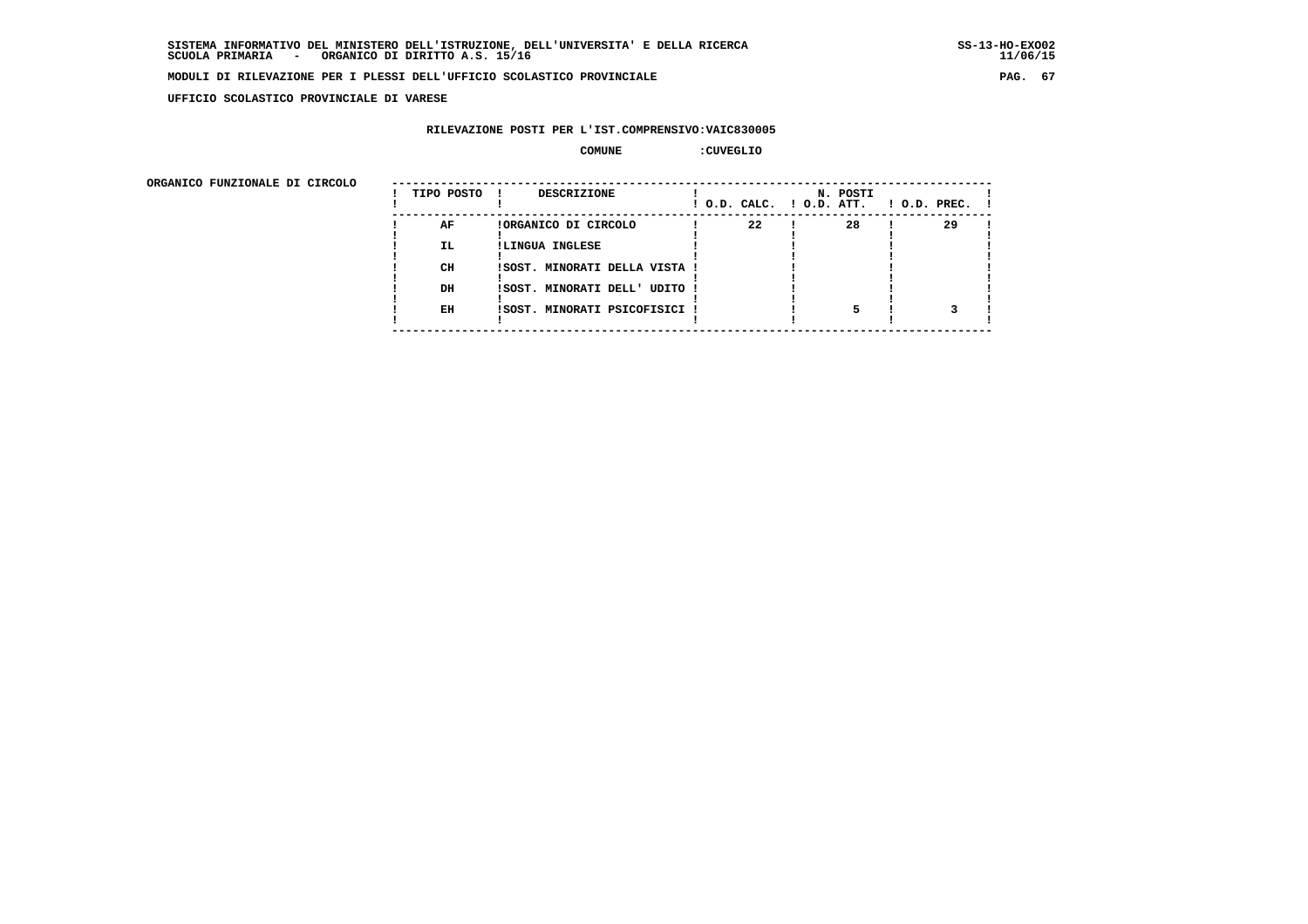**UFFICIO SCOLASTICO PROVINCIALE DI VARESE**

## **RILEVAZIONE POSTI PER L'IST.COMPRENSIVO:VAIC830005**

 **COMUNE :CUVEGLIO**

ORGANICO FUNZIONALE DI CIRCOLO

| ORGANICO FUNZIONALE DI CIRCOLO |            |                                    |    |                                      |                    |
|--------------------------------|------------|------------------------------------|----|--------------------------------------|--------------------|
|                                | TIPO POSTO | <b>DESCRIZIONE</b><br>$\mathbf{I}$ |    | N. POSTI<br>! O.D. CALC. ! O.D. ATT. | $1$ O.D. PREC. $1$ |
|                                | AF         | !ORGANICO DI CIRCOLO               | 22 | 28                                   | 29                 |
|                                | IL.        | !LINGUA INGLESE                    |    |                                      |                    |
|                                |            |                                    |    |                                      |                    |
|                                | CH         | !SOST. MINORATI DELLA VISTA !      |    |                                      |                    |
|                                |            |                                    |    |                                      |                    |
|                                | DH         | ISOST. MINORATI DELL' UDITO !      |    |                                      |                    |
|                                |            |                                    |    |                                      |                    |
|                                | EH         | ISOST. MINORATI PSICOFISICI !      |    |                                      |                    |
|                                |            |                                    |    |                                      |                    |
|                                |            |                                    |    |                                      |                    |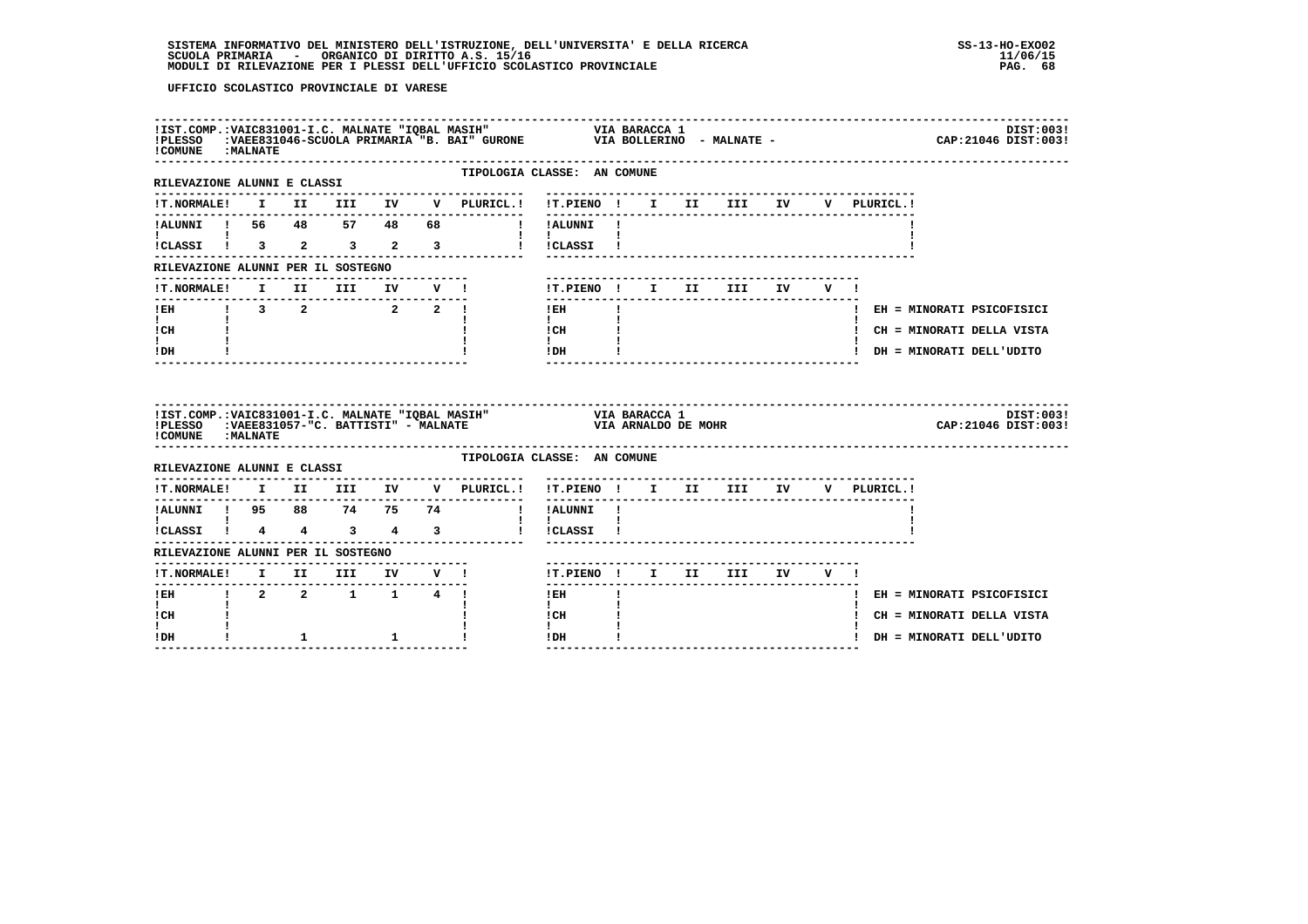| ! COMUNE : MALNATE                                                                  |  |                             |  | IIST.COMP.:VAIC831001-I.C. MALNATE "IQBAL MASIH"                             VIA BARACCA 1<br>IPLESSO    :VAEE831046-SCUOLA PRIMARIA "B. BAI" GURONE               VIA BOLLERINO  - MALNATE - |                                                                  |              |  |                                   |  |                                        | DIST:003!<br>CAP: 21046 DIST: 003! |
|-------------------------------------------------------------------------------------|--|-----------------------------|--|-----------------------------------------------------------------------------------------------------------------------------------------------------------------------------------------------|------------------------------------------------------------------|--------------|--|-----------------------------------|--|----------------------------------------|------------------------------------|
| -----------------------------<br>RILEVAZIONE ALUNNI E CLASSI                        |  |                             |  | ---------------                                                                                                                                                                               | TIPOLOGIA CLASSE: AN COMUNE<br>--------------------------------- |              |  |                                   |  |                                        |                                    |
|                                                                                     |  |                             |  | !T.NORMALE! I II III IV V PLURICL.! !T.PIENO ! I II III IV                                                                                                                                    |                                                                  |              |  |                                   |  | V PLURICL. !                           |                                    |
| IALUNNI ! 56 48 57 48                                                               |  |                             |  | 68 !!! ALUNNI!                                                                                                                                                                                |                                                                  |              |  |                                   |  |                                        |                                    |
| $\mathbf{I}$ and $\mathbf{I}$ and $\mathbf{I}$<br>$ICLASSI$ $1$ $3$ $2$ $3$ $2$ $3$ |  |                             |  |                                                                                                                                                                                               | $\mathbf{1}$ $\mathbf{1}$<br>! !CLASSI !                         |              |  |                                   |  |                                        |                                    |
| RILEVAZIONE ALUNNI PER IL SOSTEGNO                                                  |  |                             |  |                                                                                                                                                                                               |                                                                  |              |  |                                   |  |                                        |                                    |
|                                                                                     |  |                             |  | !T.NORMALE! I II III IV V !                                                                                                                                                                   | !T.PIENO! I II III IV V!                                         |              |  |                                   |  |                                        |                                    |
| ---------------------<br>IEH 1 3 2 2 2 1                                            |  |                             |  |                                                                                                                                                                                               | --------<br>$!$ EH                                               | $\mathbf{I}$ |  | -------------------------         |  |                                        | ! EH = MINORATI PSICOFISICI        |
| $\mathbf{I}$ and $\mathbf{I}$<br>! CH                                               |  |                             |  |                                                                                                                                                                                               | $\mathbf{I}$ and $\mathbf{I}$<br>ICH                             |              |  |                                   |  |                                        | ! CH = MINORATI DELLA VISTA        |
| I.<br>! DH                                                                          |  |                             |  |                                                                                                                                                                                               | $\mathbf{I}$<br>$!$ DH                                           |              |  | _________________________________ |  |                                        | ! DH = MINORATI DELL'UDITO         |
|                                                                                     |  |                             |  |                                                                                                                                                                                               |                                                                  |              |  |                                   |  |                                        |                                    |
| ! COMUNE : MALNATE                                                                  |  |                             |  | IIST.COMP.:VAIC831001-I.C. MALNATE "IQBAL MASIH" VIA BARACCA 1<br>IPLESSO :VAEE831057-"C. BATTISTI" - MALNATE VIA ARNALDO DE MOHR                                                             |                                                                  |              |  |                                   |  |                                        | DIST:003!<br>CAP: 21046 DIST: 003! |
|                                                                                     |  |                             |  |                                                                                                                                                                                               | TIPOLOGIA CLASSE: AN COMUNE                                      |              |  |                                   |  |                                        |                                    |
| RILEVAZIONE ALUNNI E CLASSI                                                         |  |                             |  | !T.NORMALE! I II III IV V PLURICL.! !T.PIENO ! I II III IV V PLURICL.!                                                                                                                        |                                                                  |              |  |                                   |  |                                        |                                    |
|                                                                                     |  |                             |  |                                                                                                                                                                                               |                                                                  |              |  |                                   |  | -------------------------------------- |                                    |
| $\overline{\text{i}}$ CLASSI $\overline{\text{i}}$ 4 4 3 4 3                        |  |                             |  | !ALUNNI ! 95 88 74 75 74 ! !ALUNNI !<br>! ! ! ! !                                                                                                                                             | $\mathbf{I}$<br>! !CLASSI !                                      |              |  |                                   |  |                                        |                                    |
| RILEVAZIONE ALUNNI PER IL SOSTEGNO                                                  |  |                             |  |                                                                                                                                                                                               |                                                                  |              |  |                                   |  |                                        |                                    |
|                                                                                     |  |                             |  |                                                                                                                                                                                               | !T.PIENO ! I II III IV V !                                       |              |  |                                   |  |                                        |                                    |
| ---------------<br>$!$ EH                                                           |  | $1 \t2 \t2 \t1 \t1 \t4 \t1$ |  |                                                                                                                                                                                               | $!$ EH                                                           |              |  |                                   |  |                                        | ! EH = MINORATI PSICOFISICI        |
| $\mathbf{I}$<br>! CH<br>I.                                                          |  |                             |  |                                                                                                                                                                                               | $\mathbf{I}$<br>! CH<br>$\mathbf{I}$                             |              |  |                                   |  |                                        | ! CH = MINORATI DELLA VISTA        |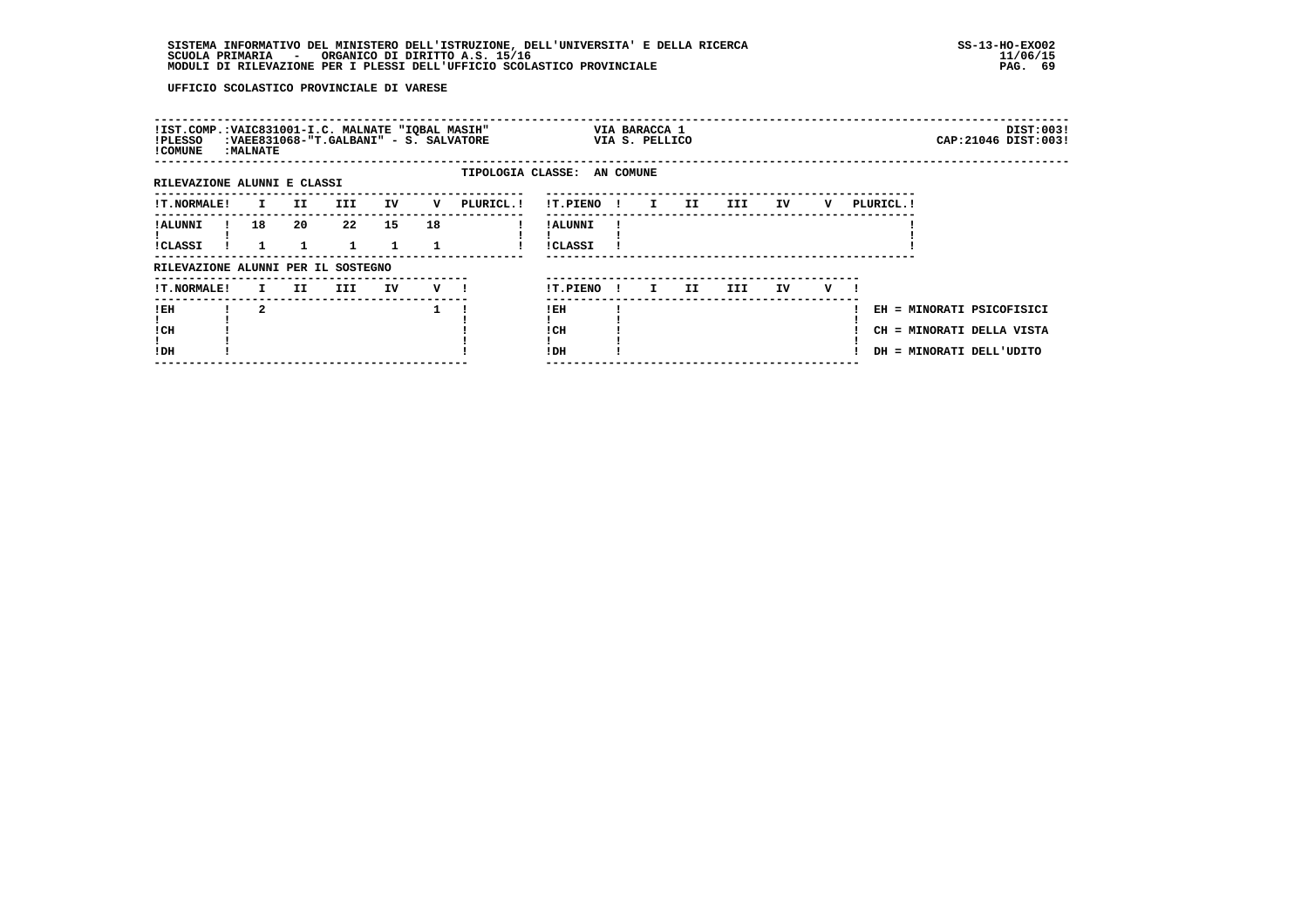| !IST.COMP.:VAIC831001-I.C. MALNATE "IQBAL MASIH"<br>!PLESSO<br>! COMUNE | <b>: MALNATE</b>        |     | :VAEE831068-"T.GALBANI" - S. SALVATORE |    |         |                             |                            |              | VIA BARACCA 1<br>VIA S. PELLICO |     |     |    |   |            |                                                                                    | DIST:003!<br>CAP: 21046 DIST: 003! |
|-------------------------------------------------------------------------|-------------------------|-----|----------------------------------------|----|---------|-----------------------------|----------------------------|--------------|---------------------------------|-----|-----|----|---|------------|------------------------------------------------------------------------------------|------------------------------------|
| RILEVAZIONE ALUNNI E CLASSI                                             |                         |     |                                        |    |         | TIPOLOGIA CLASSE: AN COMUNE |                            |              |                                 |     |     |    |   |            |                                                                                    |                                    |
| <b>!T.NORMALE!</b>                                                      | $\mathbf{I}$            | II  | III                                    | IV | v       | PLURICL. !                  | !T.PIENO !                 |              | $\mathbf{I}$                    | II  | III | IV | v | PLURICL. ! |                                                                                    |                                    |
| ! ALUNNI<br><b>!CLASSI</b>                                              | 18                      | 20  | 22                                     | 15 | 18      |                             | ! ALUNNI<br><b>!CLASSI</b> |              |                                 |     |     |    |   |            |                                                                                    |                                    |
| RILEVAZIONE ALUNNI PER IL SOSTEGNO                                      |                         |     |                                        |    |         |                             |                            |              |                                 |     |     |    |   |            |                                                                                    |                                    |
| <b>!T.NORMALE!</b>                                                      | I.                      | II. | III                                    | IV | $V = 1$ |                             | !T.PIENO                   | $\mathbf{I}$ | I                               | II. | III | IV | v |            |                                                                                    |                                    |
| !EH<br>! CH<br>!DH                                                      | $\overline{\mathbf{2}}$ |     |                                        |    |         |                             | ! EH<br>! CH<br>!DH        |              |                                 |     |     |    |   |            | EH = MINORATI PSICOFISICI<br>CH = MINORATI DELLA VISTA<br>DH = MINORATI DELL'UDITO |                                    |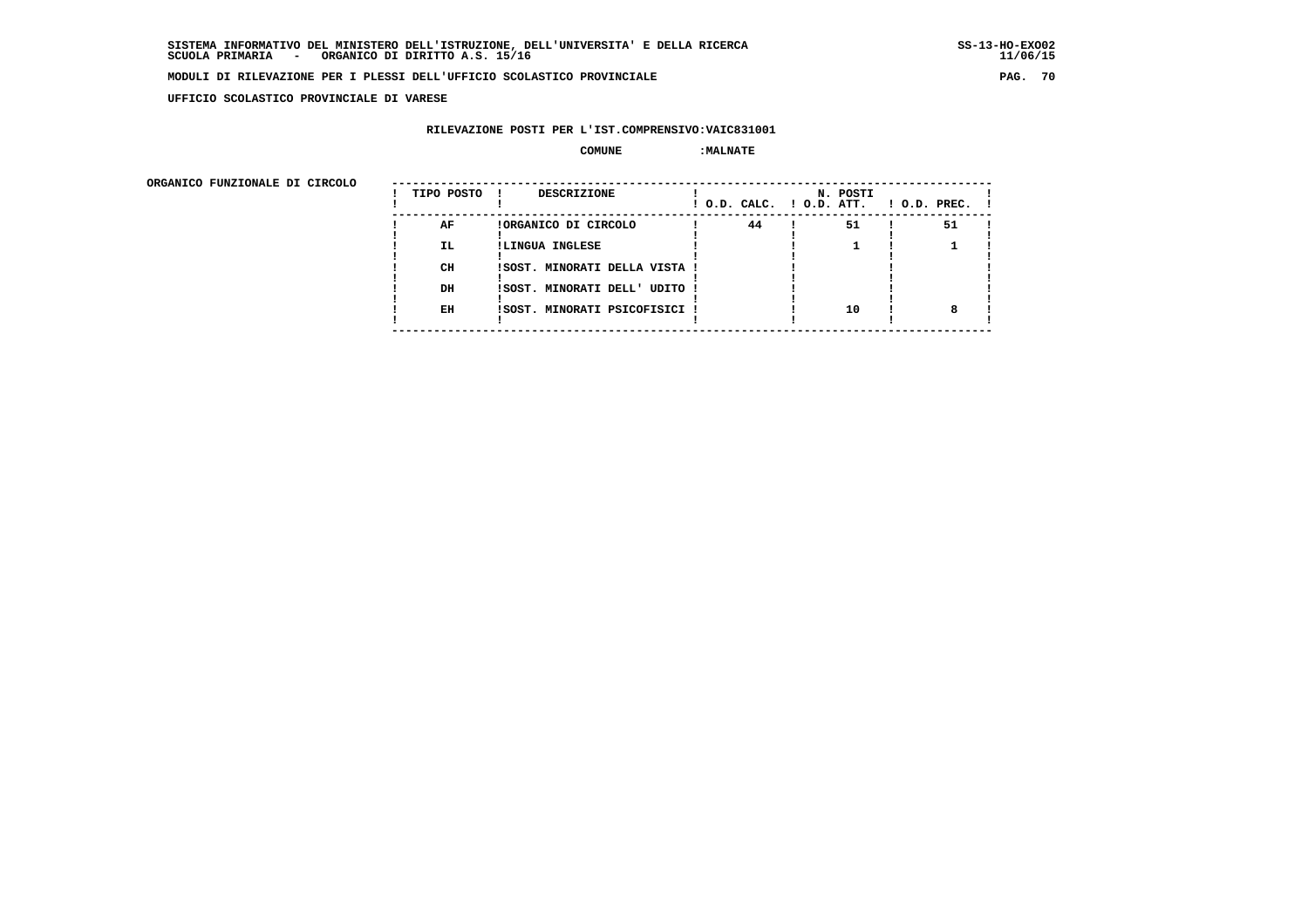**UFFICIO SCOLASTICO PROVINCIALE DI VARESE**

## **RILEVAZIONE POSTI PER L'IST.COMPRENSIVO:VAIC831001**

#### $\begin{array}{ccc} \text{COMUNE} & \text{?} \end{array}$

ORGANICO FUNZIONALE DI CIRCOLO

| ORGANICO FUNZIONALE DI CIRCOLO |            |                               |    |                                      |                    |
|--------------------------------|------------|-------------------------------|----|--------------------------------------|--------------------|
|                                | TIPO POSTO | DESCRIZIONE                   |    | N. POSTI<br>! O.D. CALC. ! O.D. ATT. | $!$ 0.D. PREC. $!$ |
|                                | AF         | !ORGANICO DI CIRCOLO          | 44 | 51                                   | 51                 |
|                                | IL.        | !LINGUA INGLESE               |    |                                      |                    |
|                                |            |                               |    |                                      |                    |
|                                | CH         | !SOST. MINORATI DELLA VISTA ! |    |                                      |                    |
|                                |            |                               |    |                                      |                    |
|                                | DH         | !SOST. MINORATI DELL' UDITO ! |    |                                      |                    |
|                                |            |                               |    |                                      |                    |
|                                | EH         | !SOST. MINORATI PSICOFISICI ! |    | 10                                   |                    |
|                                |            |                               |    |                                      |                    |
|                                |            |                               |    |                                      |                    |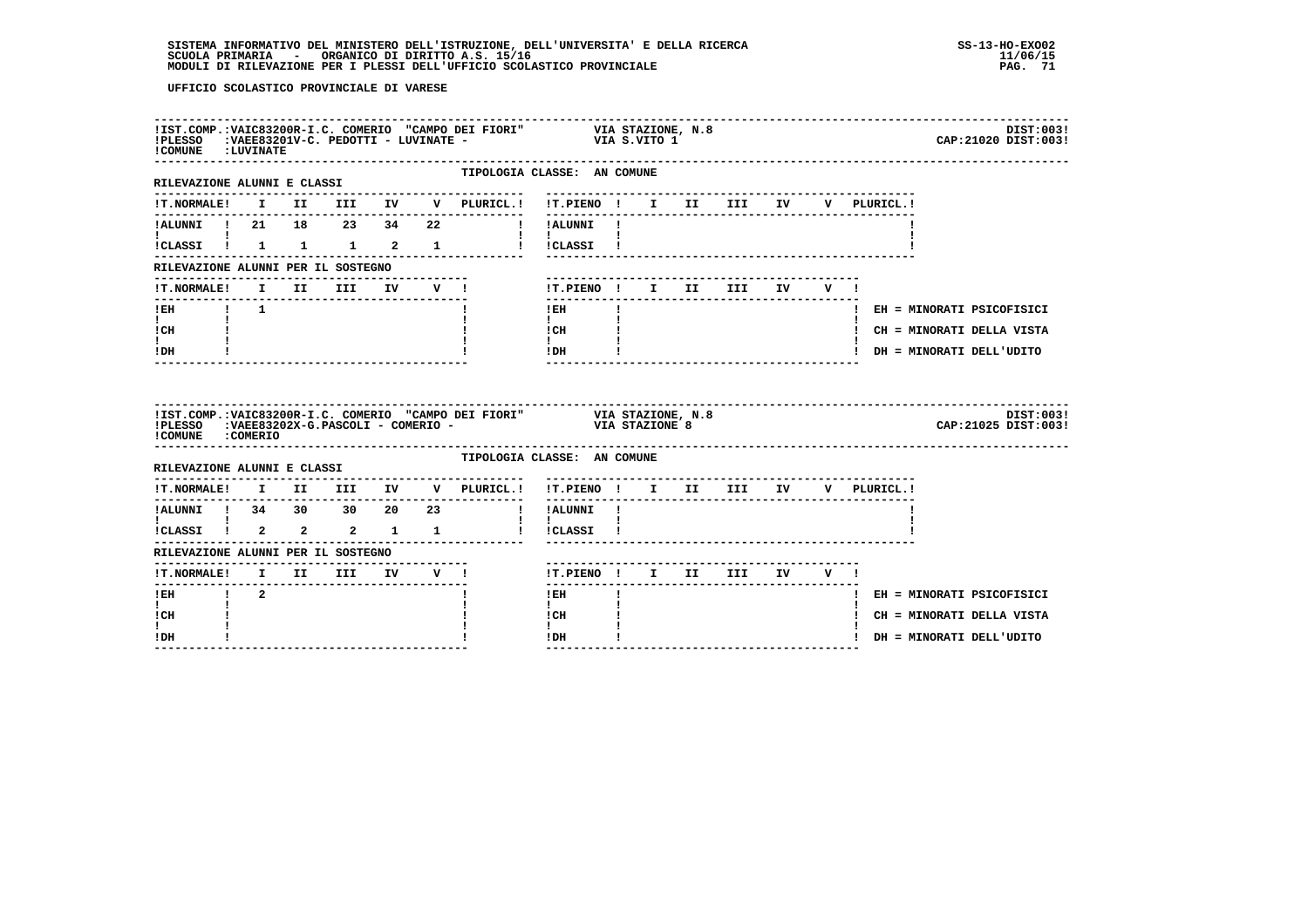# **SISTEMA INFORMATIVO DEL MINISTERO DELL'ISTRUZIONE, DELL'UNIVERSITA' E DELLA RICERCA SS-13-HO-EXO02**SCUOLA PRIMARIA - ORGANICO DI DIRITTO A.S. 15/16<br>MODULI DI RILEVAZIONE PER I PLESSI DELL'UFFICIO SCOLASTICO PROVINCIALE **provinciale page all'aliat dell'USA del**

| ! COMUNE : LUVINATE                                             |  |  |  |                                                                                        | !IST.COMP.:VAIC83200R-I.C. COMERIO "CAMPO DEI FIORI" VIA STAZIONE, N.8<br>!PLESSO :VAEE83201V-C. PEDOTTI - LUVINATE - VIA S.VITO 1<br>DIST:003!<br>CAP: 21020 DIST: 003! |
|-----------------------------------------------------------------|--|--|--|----------------------------------------------------------------------------------------|--------------------------------------------------------------------------------------------------------------------------------------------------------------------------|
| RILEVAZIONE ALUNNI E CLASSI                                     |  |  |  | --------------                                                                         | TIPOLOGIA CLASSE: AN COMUNE<br>---------------------------                                                                                                               |
|                                                                 |  |  |  |                                                                                        | !T.NORMALE! I II III IV V PLURICL.! !T.PIENO ! I II III IV V PLURICL.!                                                                                                   |
|                                                                 |  |  |  |                                                                                        | !ALUNNI ! 21 18 23 34 22   !!ALUNNI !                                                                                                                                    |
| $\mathbf{I}$ and $\mathbf{I}$ and $\mathbf{I}$ and $\mathbf{I}$ |  |  |  |                                                                                        | $\mathbf{I}$ and $\mathbf{I}$ and $\mathbf{I}$<br>!CLASSI ! 1 1 1 2 1 1 : !CLASSI !                                                                                      |
| RILEVAZIONE ALUNNI PER IL SOSTEGNO                              |  |  |  | -------------------------                                                              |                                                                                                                                                                          |
|                                                                 |  |  |  | !T.NORMALE! I II III IV V !                                                            | !T.PIENO! I II III IV V!                                                                                                                                                 |
| !EH ! 1                                                         |  |  |  |                                                                                        | $\mathbf{I}$<br>$!$ EH<br>! EH = MINORATI PSICOFISICI                                                                                                                    |
| $\mathbf{I}$ and $\mathbf{I}$<br>! CH                           |  |  |  |                                                                                        | $\mathbf{I}$<br>! CH<br>! CH = MINORATI DELLA VISTA                                                                                                                      |
| I.<br>! DH                                                      |  |  |  |                                                                                        | $\mathbf{I}$<br>IDH<br>! DH = MINORATI DELL'UDITO<br>____________________________________<br>$- - - - - - -$                                                             |
| ! COMUNE : COMERIO                                              |  |  |  |                                                                                        | IIST.COMP.:VAIC83200R-I.C. COMERIO "CAMPO DEI FIORI" VIA STAZIONE, N.8<br>IPLESSO :VAEE83202X-G.PASCOLI - COMERIO - VIA STAZIONE 8<br>DIST:003!<br>CAP: 21025 DIST: 003! |
| RILEVAZIONE ALUNNI E CLASSI                                     |  |  |  |                                                                                        | TIPOLOGIA CLASSE: AN COMUNE                                                                                                                                              |
|                                                                 |  |  |  | $\verb !T.NORMALE! \quad I \quad II \quad III \quad IV \quad V \quad \verb PLURICL. !$ | !T.PIENO ! I II III IV V PLURICL.!                                                                                                                                       |
|                                                                 |  |  |  |                                                                                        |                                                                                                                                                                          |
|                                                                 |  |  |  |                                                                                        |                                                                                                                                                                          |
| RILEVAZIONE ALUNNI PER IL SOSTEGNO                              |  |  |  |                                                                                        |                                                                                                                                                                          |
| !T.NORMALE! I II III IV V !                                     |  |  |  |                                                                                        | !T.PIENO! I II III IV V!                                                                                                                                                 |
| !EH ! 2<br>$\mathbf{I}$                                         |  |  |  |                                                                                        | $I$ EH $I$<br>! EH = MINORATI PSICOFISICI<br>$\mathbf{I}$                                                                                                                |
| ! CH                                                            |  |  |  |                                                                                        | ! CH<br>! CH = MINORATI DELLA VISTA                                                                                                                                      |
|                                                                 |  |  |  |                                                                                        |                                                                                                                                                                          |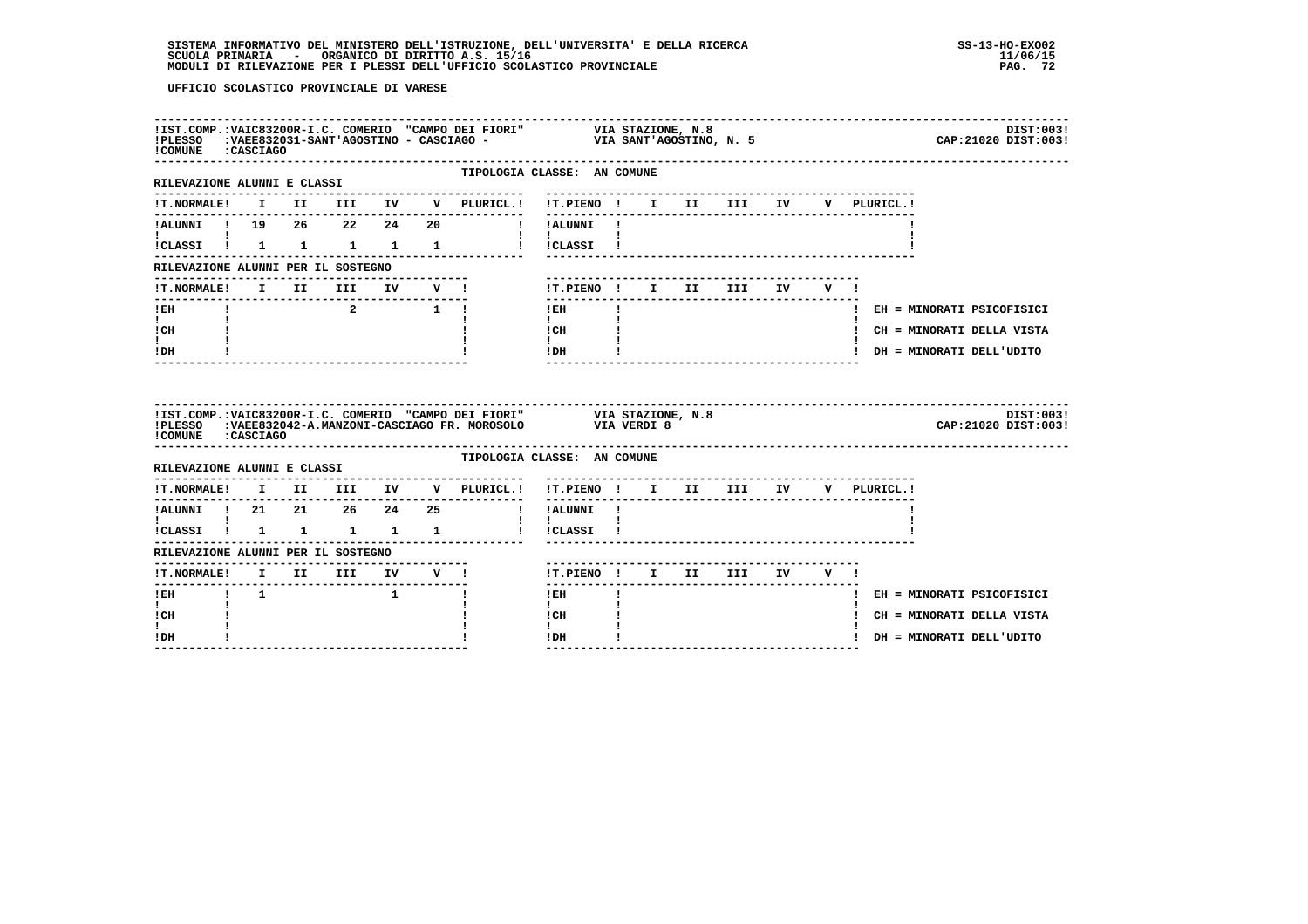| !COMUNE : CASCIAGO                                                      |             |                                                |  |                                                                 | !IST.COMP.:VAIC83200R-I.C. COMERIO "CAMPO DEI FIORI" VIA STAZIONE, N.8<br>!PLESSO :VAEE832031-SANT'AGOSTINO - CASCIAGO -                         VIA SANT'AGOSTINO, N. 5 |              |                           |  |                                      | DIST:003!<br>CAP: 21020 DIST: 003! |
|-------------------------------------------------------------------------|-------------|------------------------------------------------|--|-----------------------------------------------------------------|--------------------------------------------------------------------------------------------------------------------------------------------------------------------------|--------------|---------------------------|--|--------------------------------------|------------------------------------|
| ----------------------------<br>RILEVAZIONE ALUNNI E CLASSI             |             |                                                |  |                                                                 | TIPOLOGIA CLASSE: AN COMUNE<br>--------------------------------                                                                                                          |              |                           |  |                                      |                                    |
|                                                                         |             |                                                |  |                                                                 | !T.NORMALE! I II III IV V PLURICL.! !T.PIENO ! I II III IV                                                                                                               |              |                           |  | V PLURICL.!                          |                                    |
|                                                                         |             |                                                |  |                                                                 | !ALUNNI ! 19  26  22  24  20  ! !ALUNNI !                                                                                                                                |              |                           |  |                                      |                                    |
| $\mathbf{I}$ and $\mathbf{I}$ and $\mathbf{I}$<br>!CLASSI ! 1 1 1 1 1 1 |             |                                                |  |                                                                 | $\mathbf{1}$ $\mathbf{1}$<br>! !CLASSI !                                                                                                                                 |              |                           |  |                                      |                                    |
| RILEVAZIONE ALUNNI PER IL SOSTEGNO                                      |             |                                                |  |                                                                 |                                                                                                                                                                          |              |                           |  |                                      |                                    |
|                                                                         |             |                                                |  | !T.NORMALE! I II III IV V !                                     | !T.PIENO! I II III IV V!                                                                                                                                                 |              |                           |  |                                      |                                    |
| $!$ EH                                                                  |             |                                                |  | $\begin{array}{ccc} & 2 & \quad & 1 & \quad \vdots \end{array}$ | ---------------<br>$!$ EH                                                                                                                                                | $\mathbf{I}$ | ------------------------- |  |                                      | ! EH = MINORATI PSICOFISICI        |
| $\mathbf{I}$ and $\mathbf{I}$<br>ICH                                    |             |                                                |  |                                                                 | $\mathbf{I}$ and $\mathbf{I}$<br>I CH                                                                                                                                    |              |                           |  |                                      | ! CH = MINORATI DELLA VISTA        |
| $\mathbf{I}$<br>! DH                                                    |             |                                                |  |                                                                 | $\mathbf{I}$<br>$!$ DH                                                                                                                                                   |              |                           |  |                                      | ! DH = MINORATI DELL'UDITO         |
|                                                                         |             |                                                |  |                                                                 |                                                                                                                                                                          |              |                           |  |                                      |                                    |
| !PLESSO<br>!COMUNE : CASCIAGO                                           |             |                                                |  |                                                                 | !IST.COMP.: VAIC83200R-I.C. COMERIO "CAMPO DEI FIORI" VIA STAZIONE, N.8<br>:VAEE832042-A.MANZONI-CASCIAGO FR. MOROSOLO VIA VERDI 8                                       |              |                           |  |                                      | DIST:003!<br>CAP: 21020 DIST: 003! |
| RILEVAZIONE ALUNNI E CLASSI                                             |             |                                                |  |                                                                 | TIPOLOGIA CLASSE: AN COMUNE                                                                                                                                              |              |                           |  |                                      |                                    |
|                                                                         |             |                                                |  |                                                                 | !T.NORMALE! I II III IV V PLURICL.! !T.PIENO ! I II III IV V PLURICL.!                                                                                                   |              |                           |  |                                      |                                    |
|                                                                         |             |                                                |  |                                                                 |                                                                                                                                                                          |              |                           |  | ------------------------------------ |                                    |
| $\mathbf{I}$ and $\mathbf{I}$ and $\mathbf{I}$<br>ICLASSI ! 1 1 1 1 1   |             |                                                |  |                                                                 | and the state of the state<br>! !CLASSI !                                                                                                                                |              |                           |  |                                      |                                    |
| RILEVAZIONE ALUNNI PER IL SOSTEGNO                                      |             |                                                |  |                                                                 |                                                                                                                                                                          |              |                           |  |                                      |                                    |
|                                                                         |             |                                                |  |                                                                 | !T.PIENO ! I II III IV V !                                                                                                                                               |              |                           |  |                                      |                                    |
| $!$ EH                                                                  | $1 \quad 1$ | $\mathbf{1}$ and $\mathbf{1}$ and $\mathbf{1}$ |  |                                                                 | $!$ EH                                                                                                                                                                   |              |                           |  |                                      | ! EH = MINORATI PSICOFISICI        |
| $\mathbf{I}$<br>! CH<br>L                                               |             |                                                |  |                                                                 | $\mathbf{I}$<br>! CH<br>$\mathbf{I}$                                                                                                                                     |              |                           |  |                                      | ! CH = MINORATI DELLA VISTA        |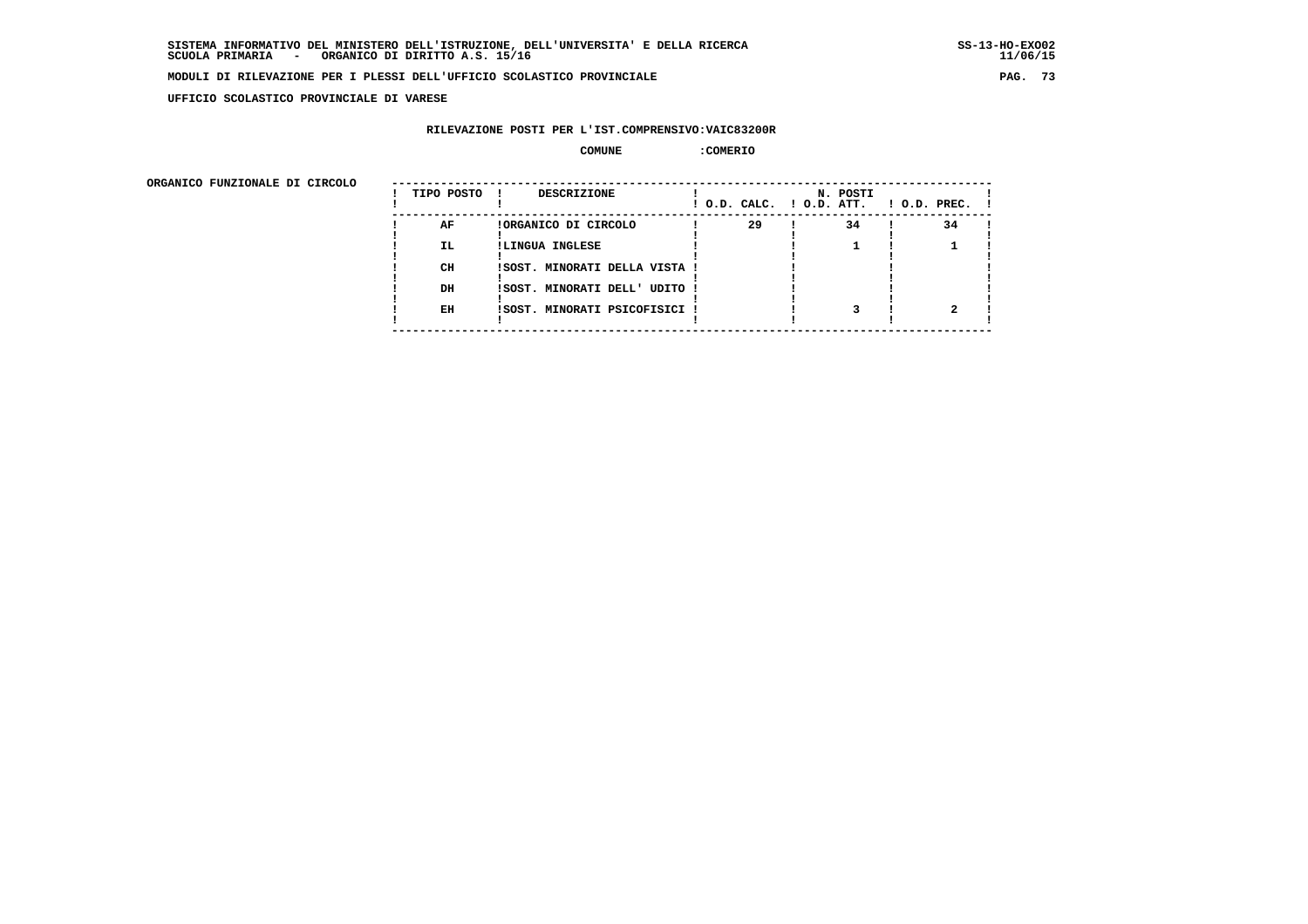**UFFICIO SCOLASTICO PROVINCIALE DI VARESE**

#### **RILEVAZIONE POSTI PER L'IST.COMPRENSIVO:VAIC83200R**

#### **COMUNE :COMERIO**

ORGANICO FUNZIONALE DI CIRCOLO

| ORGANICO FUNZIONALE DI CIRCOLO | TIPO POSTO | DESCRIZIONE                   |    | N. POSTI<br>! O.D. CALC. ! O.D. ATT. | $1$ O.D. PREC. $1$ |
|--------------------------------|------------|-------------------------------|----|--------------------------------------|--------------------|
|                                | AF         | !ORGANICO DI CIRCOLO          | 29 | 34                                   | 34                 |
|                                | IL.        | !LINGUA INGLESE               |    |                                      |                    |
|                                |            |                               |    |                                      |                    |
|                                | CH         | !SOST. MINORATI DELLA VISTA ! |    |                                      |                    |
|                                |            |                               |    |                                      |                    |
|                                | DH         | !SOST. MINORATI DELL' UDITO ! |    |                                      |                    |
|                                |            |                               |    |                                      |                    |
|                                | EH         | !SOST. MINORATI PSICOFISICI ! |    |                                      |                    |
|                                |            |                               |    |                                      |                    |
|                                |            |                               |    |                                      |                    |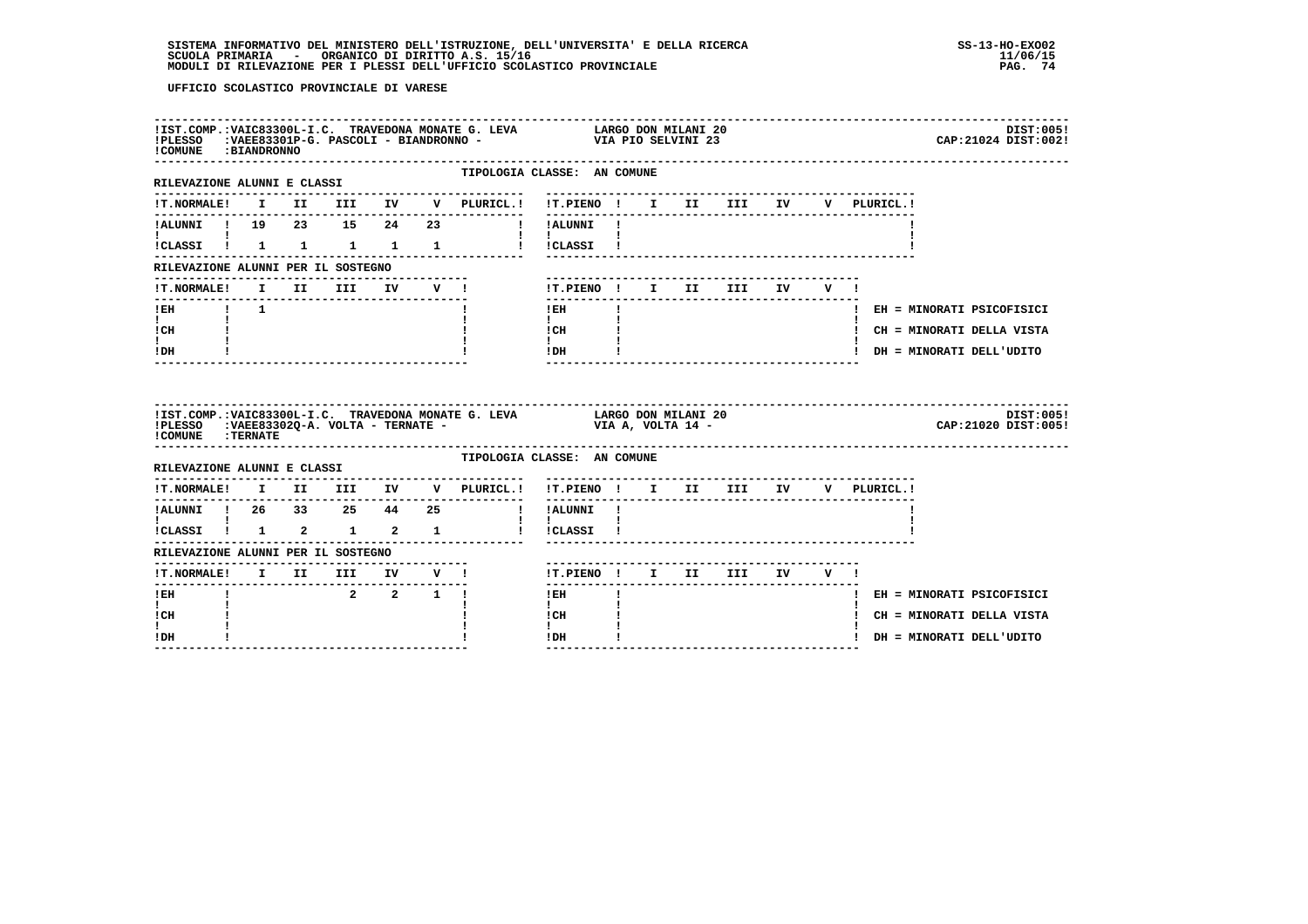| ! COMUNE : BIANDRONNO                          |  |         |  | $!$ PLESSO $:$ VAEE83301P-G. PASCOLI - BIANDRONNO - |                                                                                                                                                                                                                                                                                                                                                                                                                          |  |  |  | DIST:005!<br>CAP: 21024 DIST: 002! |
|------------------------------------------------|--|---------|--|-----------------------------------------------------|--------------------------------------------------------------------------------------------------------------------------------------------------------------------------------------------------------------------------------------------------------------------------------------------------------------------------------------------------------------------------------------------------------------------------|--|--|--|------------------------------------|
| RILEVAZIONE ALUNNI E CLASSI                    |  |         |  | --------------                                      | TIPOLOGIA CLASSE: AN COMUNE                                                                                                                                                                                                                                                                                                                                                                                              |  |  |  |                                    |
|                                                |  |         |  |                                                     |                                                                                                                                                                                                                                                                                                                                                                                                                          |  |  |  |                                    |
|                                                |  |         |  |                                                     |                                                                                                                                                                                                                                                                                                                                                                                                                          |  |  |  |                                    |
| $\mathbf{I}$ and $\mathbf{I}$ and $\mathbf{I}$ |  |         |  |                                                     | $1 - 1$ and $1 - 1$<br>!CLASSI ! 1 1 1 1 1 1 ! !CLASSI !                                                                                                                                                                                                                                                                                                                                                                 |  |  |  |                                    |
| RILEVAZIONE ALUNNI PER IL SOSTEGNO             |  |         |  |                                                     |                                                                                                                                                                                                                                                                                                                                                                                                                          |  |  |  |                                    |
|                                                |  |         |  | !T.NORMALE! I II III IV V !                         | !T.PIENO! I II III IV V!                                                                                                                                                                                                                                                                                                                                                                                                 |  |  |  |                                    |
| !EH ! 1                                        |  |         |  |                                                     | <b>Contract Contract</b><br>$!$ EH                                                                                                                                                                                                                                                                                                                                                                                       |  |  |  | ! EH = MINORATI PSICOFISICI        |
| $\mathbf{I}$ and $\mathbf{I}$<br>ICH           |  |         |  |                                                     | $\mathbf{I}$<br>! CH                                                                                                                                                                                                                                                                                                                                                                                                     |  |  |  | ! CH = MINORATI DELLA VISTA        |
| t i<br>! DH                                    |  |         |  |                                                     | $\mathbf{I}$ and $\mathbf{I}$<br>! DH                                                                                                                                                                                                                                                                                                                                                                                    |  |  |  | ! DH = MINORATI DELL'UDITO         |
|                                                |  |         |  |                                                     |                                                                                                                                                                                                                                                                                                                                                                                                                          |  |  |  |                                    |
| ! COMUNE : TERNATE                             |  |         |  |                                                     | ${\tt IIST.COMP.:VATC83300L-I.C. TRAVEDONA MONATE G. LEVA} {\tt LARGO DON MILANI 20} {\tt IERSSO} :{\tt VAEES3302Q-A. VOLTA - TERNATE -} {\tt VIA A, VOLTA 14 -} {\tt VIA A} {\tt VOLTA 14 -} {\tt VIA A} {\tt VOLTA 14 -} {\tt VIA A} {\tt VOLTA 14 -} {\tt VIA A} {\tt VOLTA 14 -} {\tt VIA A} {\tt VOLTA 14 -} {\tt VIA A} {\tt VOLTA 14 -} {\tt VIA A} {\tt VOLTA 14 -} {\tt VIA A} {\tt VOLTA 14 -} {\tt VIA A} {\$ |  |  |  | DIST:005!<br>CAP: 21020 DIST: 005! |
| RILEVAZIONE ALUNNI E CLASSI                    |  |         |  |                                                     | TIPOLOGIA CLASSE: AN COMUNE                                                                                                                                                                                                                                                                                                                                                                                              |  |  |  |                                    |
|                                                |  |         |  |                                                     | !T.NORMALE! I II III IV V PLURICL.! !T.PIENO ! I II III IV V PLURICL.!                                                                                                                                                                                                                                                                                                                                                   |  |  |  |                                    |
|                                                |  |         |  |                                                     |                                                                                                                                                                                                                                                                                                                                                                                                                          |  |  |  |                                    |
| $\mathbf{I}$ and $\mathbf{I}$ and $\mathbf{I}$ |  |         |  |                                                     | $\mathbf{I}$                                                                                                                                                                                                                                                                                                                                                                                                             |  |  |  |                                    |
| RILEVAZIONE ALUNNI PER IL SOSTEGNO             |  |         |  |                                                     | !<br>ICLASSI ! 1 2 1 2 1 ! ICLASSI !                                                                                                                                                                                                                                                                                                                                                                                     |  |  |  |                                    |
|                                                |  |         |  |                                                     | !T.PIENO ! I II III IV V !                                                                                                                                                                                                                                                                                                                                                                                               |  |  |  |                                    |
| $!$ EH                                         |  | 2 2 1 1 |  |                                                     | $1$ EH $\sim$                                                                                                                                                                                                                                                                                                                                                                                                            |  |  |  | ! EH = MINORATI PSICOFISICI        |
| $\mathbf{I}$<br>! CH<br>I.                     |  |         |  |                                                     | $\mathbf{I}$<br>! CH<br>$\mathbf{I}$                                                                                                                                                                                                                                                                                                                                                                                     |  |  |  | ! CH = MINORATI DELLA VISTA        |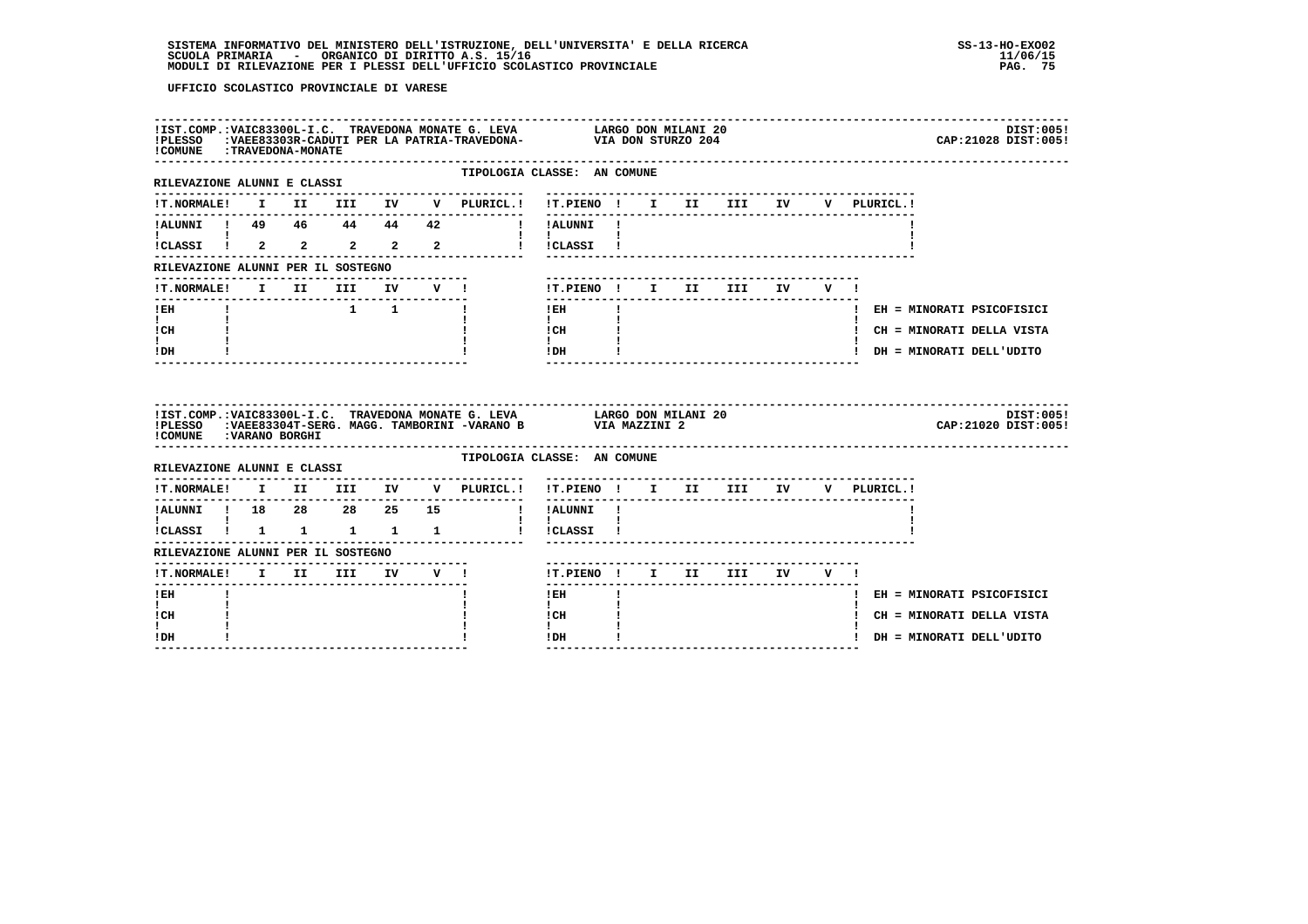| ! COMUNE : TRAVEDONA-MONATE                    |  |                     |              | IIST.COMP.:VAIC83300L-I.C. TRAVEDONA MONATE G. LEVA LARGO DON MILANI 20<br>IPLESSO :VAEE83303R-CADUTI PER LA PATRIA-TRAVEDONA- VIA DON STURZO 204 |                                      |              |  |  |  | DIST:005!<br>CAP: 21028 DIST: 005! |
|------------------------------------------------|--|---------------------|--------------|---------------------------------------------------------------------------------------------------------------------------------------------------|--------------------------------------|--------------|--|--|--|------------------------------------|
| RILEVAZIONE ALUNNI E CLASSI                    |  |                     |              |                                                                                                                                                   | TIPOLOGIA CLASSE: AN COMUNE          |              |  |  |  |                                    |
|                                                |  |                     |              |                                                                                                                                                   |                                      |              |  |  |  |                                    |
|                                                |  |                     |              |                                                                                                                                                   |                                      |              |  |  |  |                                    |
|                                                |  |                     |              |                                                                                                                                                   |                                      |              |  |  |  |                                    |
| RILEVAZIONE ALUNNI PER IL SOSTEGNO             |  |                     |              |                                                                                                                                                   |                                      |              |  |  |  |                                    |
|                                                |  |                     |              | !T.NORMALE! I II III IV V !                                                                                                                       | !T.PIENO ! I II III IV V !           |              |  |  |  |                                    |
| -------------------------------<br>$!$ EH      |  | $1 \quad 1 \quad 1$ | ------------ |                                                                                                                                                   | $!$ EH                               | $\mathbf{I}$ |  |  |  | ! EH = MINORATI PSICOFISICI        |
| $\mathbf{I}$ and $\mathbf{I}$<br>ICH           |  |                     |              |                                                                                                                                                   | $\mathbf{I}$<br>ICH                  |              |  |  |  | ! CH = MINORATI DELLA VISTA        |
| t i<br>! DH                                    |  |                     |              |                                                                                                                                                   | $\mathbf{I}$<br>IDH                  |              |  |  |  | ! DH = MINORATI DELL'UDITO         |
|                                                |  |                     |              |                                                                                                                                                   |                                      |              |  |  |  |                                    |
| !COMUNE : VARANO BORGHI                        |  |                     |              | !IST.COMP.: VAIC83300L-I.C. TRAVEDONA MONATE G. LEVA LARGO DON MILANI 20<br>!PLESSO :VAEE83304T-SERG. MAGG. TAMBORINI -VARANO B VIA MAZZINI 2     |                                      |              |  |  |  | DIST:005!<br>CAP: 21020 DIST: 005! |
| RILEVAZIONE ALUNNI E CLASSI                    |  |                     |              |                                                                                                                                                   | TIPOLOGIA CLASSE: AN COMUNE          |              |  |  |  |                                    |
|                                                |  |                     |              | !T.NORMALE! I II III IV V PLURICL.! !T.PIENO ! I II III IV V PLURICL.!                                                                            |                                      |              |  |  |  |                                    |
|                                                |  |                     |              |                                                                                                                                                   |                                      |              |  |  |  |                                    |
| $\mathbf{I}$ and $\mathbf{I}$ and $\mathbf{I}$ |  |                     |              | :<br>!CLASSI ! 1 1 1 1 1 ! !CLASSI !                                                                                                              | $\mathbf{I}$ $\mathbf{I}$            |              |  |  |  |                                    |
| RILEVAZIONE ALUNNI PER IL SOSTEGNO             |  |                     |              |                                                                                                                                                   |                                      |              |  |  |  |                                    |
|                                                |  |                     |              |                                                                                                                                                   | !T.PIENO ! I II III IV V !           |              |  |  |  |                                    |
| $I$ EH                                         |  |                     |              |                                                                                                                                                   | $1$ EH                               |              |  |  |  | ! EH = MINORATI PSICOFISICI        |
| $\mathbf{I}$<br>! CH<br>$\mathbf{I}$           |  |                     |              |                                                                                                                                                   | $\mathbf{I}$<br>! CH<br>$\mathbf{I}$ |              |  |  |  | ! CH = MINORATI DELLA VISTA        |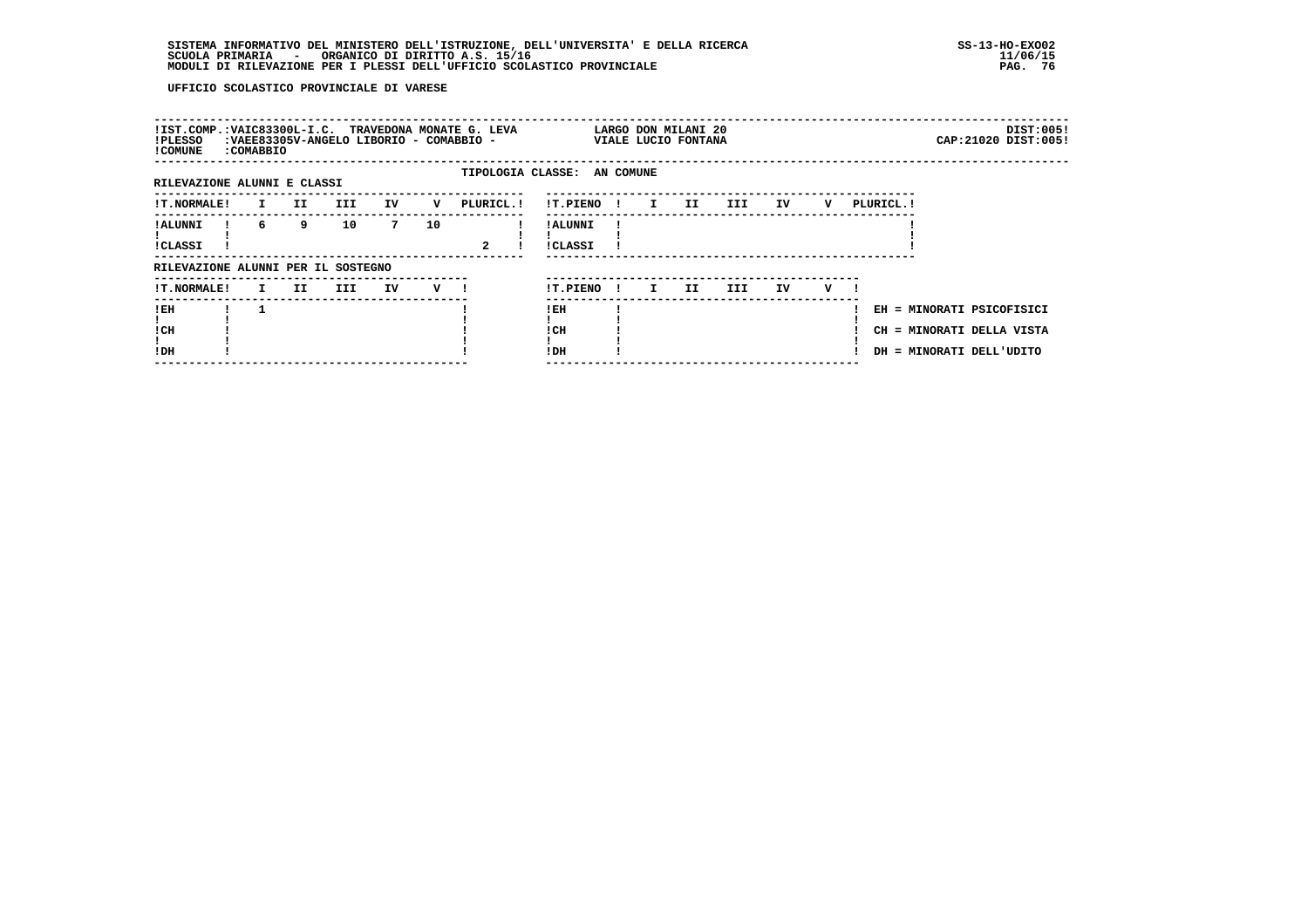| !IST.COMP.:VAIC83300L-I.C. TRAVEDONA MONATE G. LEVA<br>!PLESSO<br>! COMUNE | <b>:COMABBIO</b> |     | :VAEE83305V-ANGELO LIBORIO - COMABBIO - |    |    |              |                             |              |              | LARGO DON MILANI 20<br>VIALE LUCIO FONTANA |     |    |   |            |                                                                                    | DIST:005!<br>CAP: 21020 DIST: 005! |
|----------------------------------------------------------------------------|------------------|-----|-----------------------------------------|----|----|--------------|-----------------------------|--------------|--------------|--------------------------------------------|-----|----|---|------------|------------------------------------------------------------------------------------|------------------------------------|
| RILEVAZIONE ALUNNI E CLASSI                                                |                  |     |                                         |    |    |              | TIPOLOGIA CLASSE: AN COMUNE |              |              |                                            |     |    |   |            |                                                                                    |                                    |
| <b>!T.NORMALE!</b>                                                         | $\mathbf{I}$     | II. | III                                     | IV | v  | PLURICL. !   | !T.PIENO                    | $\mathbf{I}$ | $\mathbf{I}$ | II.                                        | III | IV | v | PLURICL. ! |                                                                                    |                                    |
| ! ALUNNI<br><b>!CLASSI</b>                                                 | 6                | 9   | 10                                      | 7  | 10 | $\mathbf{2}$ | ! ALUNNI<br>!CLASSI         |              |              |                                            |     |    |   |            |                                                                                    |                                    |
| RILEVAZIONE ALUNNI PER IL SOSTEGNO                                         |                  |     |                                         |    |    |              |                             |              |              |                                            |     |    |   |            |                                                                                    |                                    |
| <b>!T.NORMALE!</b>                                                         | $\mathbf{I}$     | II. | III                                     | IV | v  |              | !T.PIENO                    | - 1          | $\mathbf{I}$ | II.                                        | III | ΙV | v |            |                                                                                    |                                    |
| ! EH<br>! CH<br>!DH                                                        |                  |     |                                         |    |    |              | ! EH<br>!CH<br>!DH          |              |              |                                            |     |    |   |            | EH = MINORATI PSICOFISICI<br>CH = MINORATI DELLA VISTA<br>DH = MINORATI DELL'UDITO |                                    |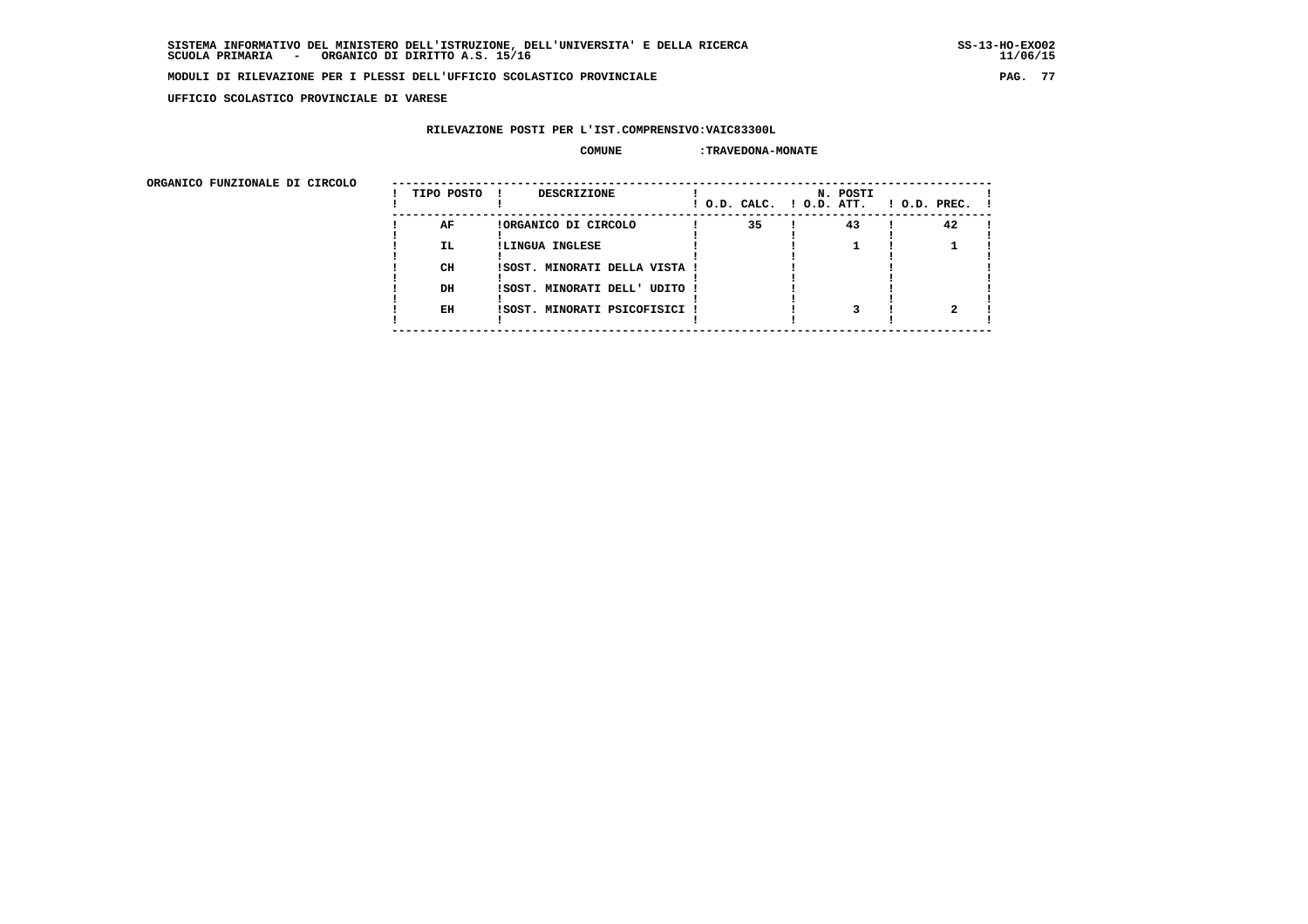**UFFICIO SCOLASTICO PROVINCIALE DI VARESE**

#### **RILEVAZIONE POSTI PER L'IST.COMPRENSIVO:VAIC83300L**

#### **COMUNE :TRAVEDONA-MONATE**

| ORGANICO FUNZIONALE DI CIRCOLO | TIPO POSTO | <b>DESCRIZIONE</b><br>$\mathbf{I}$ | ! O.D. CALC. ! O.D. ATT. | N. POSTI | $!$ 0.D. PREC. $!$ |  |
|--------------------------------|------------|------------------------------------|--------------------------|----------|--------------------|--|
|                                | AF         | !ORGANICO DI CIRCOLO               | 35                       | 43       | 42                 |  |
|                                | IL.        | !LINGUA INGLESE                    |                          |          |                    |  |
|                                | CH         | ISOST. MINORATI DELLA VISTA !      |                          |          |                    |  |
|                                | DH         | ISOST. MINORATI DELL' UDITO !      |                          |          |                    |  |
|                                | EH         | !SOST. MINORATI PSICOFISICI !      |                          |          |                    |  |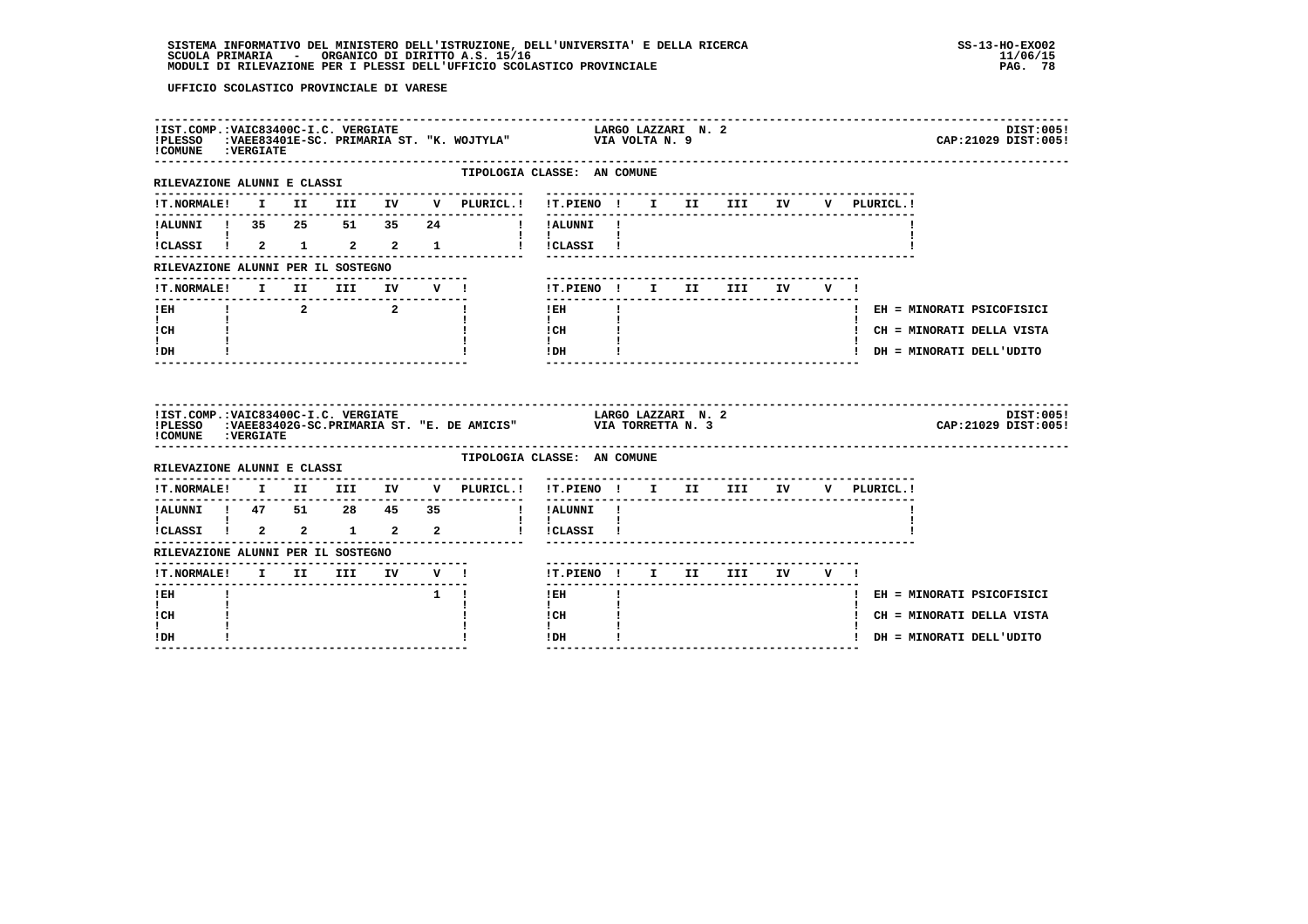| ! COMUNE : VERGIATE                                         |  |                                                            |             | IIST.COMP.:VAIC83400C-I.C. VERGIATE<br>IPLESSO (EVAEE83401E-SC. PRIMARIA ST. "K. WOJTYLA" VIA VOLTA N. 9 |                                                           |  |                    |                       |        |  |             | CAP: 21029 DIST: 005!       | DIST:005! |
|-------------------------------------------------------------|--|------------------------------------------------------------|-------------|----------------------------------------------------------------------------------------------------------|-----------------------------------------------------------|--|--------------------|-----------------------|--------|--|-------------|-----------------------------|-----------|
| ----------------------------<br>RILEVAZIONE ALUNNI E CLASSI |  |                                                            |             | TIPOLOGIA CLASSE: AN COMUNE                                                                              |                                                           |  |                    |                       |        |  |             |                             |           |
| <b>!T.NORMALE!</b>                                          |  |                                                            |             | I II III IV V PLURICL.! !T.PIENO ! I II III IV                                                           |                                                           |  |                    |                       |        |  | V PLURICL.! |                             |           |
|                                                             |  |                                                            |             | !ALUNNI ! 35  25  51  35  24  !!!ALUNNI !                                                                | ---------                                                 |  |                    |                       |        |  |             |                             |           |
|                                                             |  |                                                            |             | !CLASSI ! 2 1 2 2 1 1 ! !CLASSI !                                                                        | $\mathbf{I}$ and $\mathbf{I}$ and $\mathbf{I}$            |  |                    |                       |        |  |             |                             |           |
| RILEVAZIONE ALUNNI PER IL SOSTEGNO                          |  |                                                            |             |                                                                                                          |                                                           |  |                    |                       |        |  |             |                             |           |
| !T.NORMALE!                                                 |  |                                                            |             | I II III IV V !                                                                                          | !T.PIENO ! I II III                                       |  |                    |                       | IV V ! |  |             |                             |           |
| $!$ EH                                                      |  | $\begin{array}{ccccccccccccc}\n1 & 2 & 2 & 1\n\end{array}$ |             |                                                                                                          | $!$ EH                                                    |  |                    |                       |        |  |             | ! EH = MINORATI PSICOFISICI |           |
| $\mathbf{I}$ and $\mathbf{I}$<br>! CH                       |  |                                                            |             |                                                                                                          | $\mathbf{I}$<br>$\frac{1}{1}$ $\frac{1}{1}$ $\frac{1}{1}$ |  |                    |                       |        |  |             | ! CH = MINORATI DELLA VISTA |           |
| $\mathbf{I}$<br>! DH                                        |  |                                                            |             |                                                                                                          | IDH                                                       |  |                    | _____________________ |        |  |             | ! DH = MINORATI DELL'UDITO  |           |
|                                                             |  |                                                            |             |                                                                                                          |                                                           |  |                    |                       |        |  |             |                             |           |
| !IST.COMP.:VAIC83400C-I.C. VERGIATE<br>! COMUNE : VERGIATE  |  |                                                            |             | IPLESSO : VAEE83402G-SC.PRIMARIA ST. "E. DE AMICIS" VIA TORRETTA N. 3                                    |                                                           |  | LARGO LAZZARI N. 2 |                       |        |  |             | CAP: 21029 DIST: 005!       | DIST:005! |
| RILEVAZIONE ALUNNI E CLASSI                                 |  |                                                            |             | TIPOLOGIA CLASSE: AN COMUNE                                                                              |                                                           |  |                    |                       |        |  |             |                             |           |
|                                                             |  |                                                            |             | !T.NORMALE! I II III IV V PLURICL.! !T.PIENO ! I II III IV V PLURICL.!                                   |                                                           |  |                    |                       |        |  |             |                             |           |
|                                                             |  |                                                            |             | . _ _ _ _ _ _ _ _ _ _ _ _ _ _ _                                                                          | ! !ALUNNI !                                               |  |                    |                       |        |  |             |                             |           |
|                                                             |  |                                                            |             |                                                                                                          | <b>Contract Contract</b><br>! !CLASSI !                   |  |                    |                       |        |  |             |                             |           |
| RILEVAZIONE ALUNNI PER IL SOSTEGNO                          |  |                                                            |             |                                                                                                          |                                                           |  |                    |                       |        |  |             |                             |           |
|                                                             |  |                                                            |             |                                                                                                          | !T.PIENO ! I II III IV V !                                |  |                    |                       |        |  |             |                             |           |
| ! EH                                                        |  |                                                            | $1 \quad 1$ |                                                                                                          | -------<br>$!$ EH                                         |  |                    |                       |        |  |             | ! EH = MINORATI PSICOFISICI |           |
| $\mathbf{I}$<br>! CH<br>L                                   |  |                                                            |             |                                                                                                          | $\mathbf{I}$<br>! CH<br>$\mathbf{I}$                      |  |                    |                       |        |  |             | ! CH = MINORATI DELLA VISTA |           |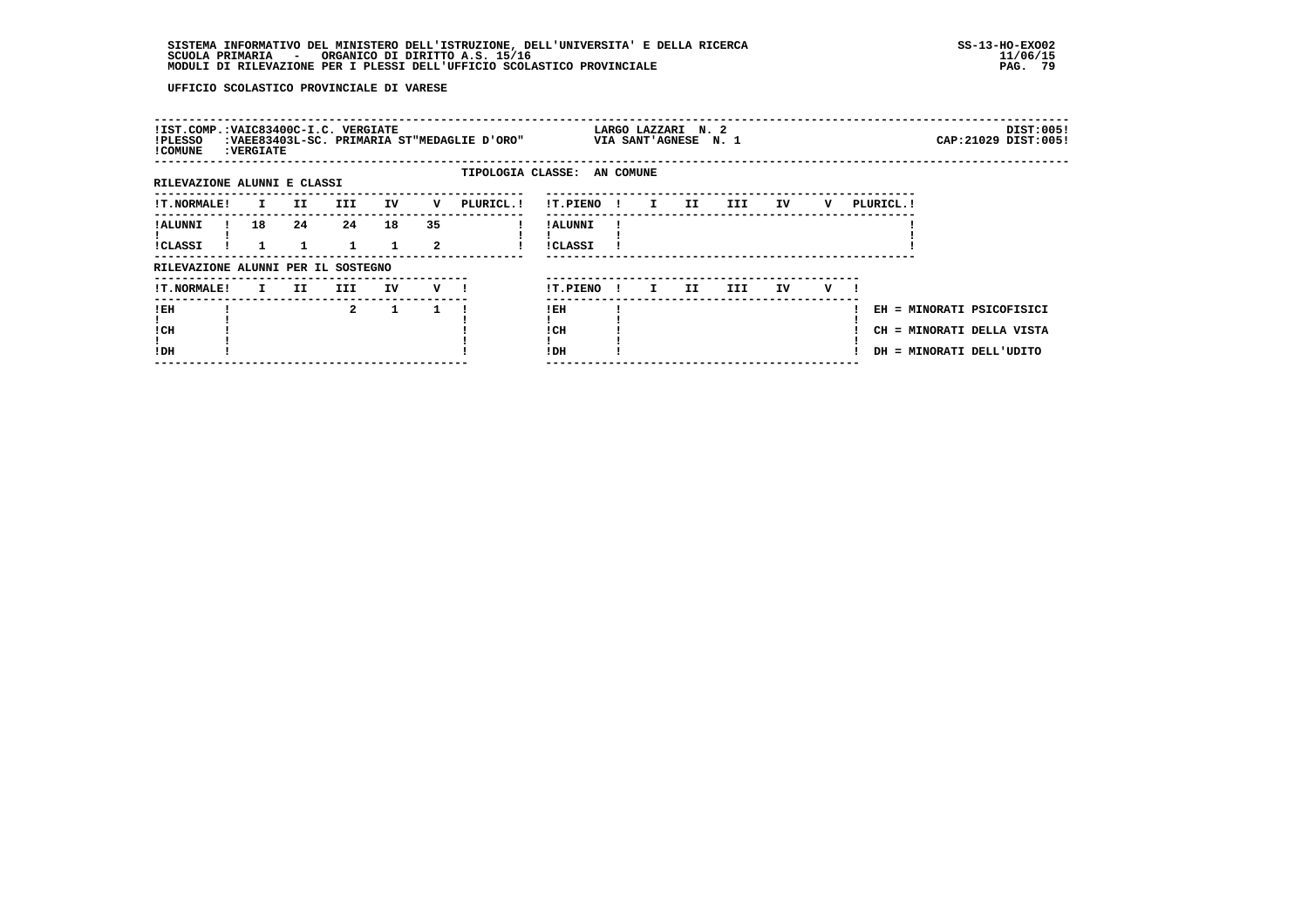| !IST.COMP.:VAIC83400C-I.C. VERGIATE<br>!PLESSO<br>! COMUNE | <b>: VERGIATE</b> |    |                    |                    |         | :VAEE83403L-SC. PRIMARIA ST"MEDAGLIE D'ORO" |                            |              |              | LARGO LAZZARI N. 2<br>VIA SANT'AGNESE N. 1 |     |    |     |           | CAP: 21029 DIST: 005!                                                              | DIST:005! |
|------------------------------------------------------------|-------------------|----|--------------------|--------------------|---------|---------------------------------------------|----------------------------|--------------|--------------|--------------------------------------------|-----|----|-----|-----------|------------------------------------------------------------------------------------|-----------|
| RILEVAZIONE ALUNNI E CLASSI                                |                   |    |                    |                    |         | TIPOLOGIA CLASSE: AN COMUNE                 |                            |              |              |                                            |     |    |     |           |                                                                                    |           |
| !T.NORMALE!                                                | $\mathbf{I}$      | II | <b>III</b>         | IV                 | v       | PLURICL. !                                  | !T.PIENO !                 |              | $\mathbf{I}$ | II                                         | III | IV | v   | PLURICL.! |                                                                                    |           |
| ! ALUNNI<br>!CLASSI                                        | 18                | 24 | 24<br>$\mathbf{1}$ | 18<br>$\mathbf{1}$ | 35<br>2 |                                             | ! ALUNNI<br><b>!CLASSI</b> |              |              |                                            |     |    |     |           |                                                                                    |           |
| RILEVAZIONE ALUNNI PER IL SOSTEGNO                         |                   |    |                    |                    |         |                                             |                            |              |              |                                            |     |    |     |           |                                                                                    |           |
| <b>!T.NORMALE!</b>                                         | I.                | II | III                | IV                 | $V$ $l$ |                                             | !T.PIENO                   | $\mathbf{I}$ | I.           | II.                                        | III | IV | v — |           |                                                                                    |           |
| ! EH<br>! CH<br>!DH                                        |                   |    | $\mathbf{2}$       | $\mathbf{1}$       | 1       |                                             | !EH<br>! CH<br>! DH        |              |              |                                            |     |    |     |           | EH = MINORATI PSICOFISICI<br>CH = MINORATI DELLA VISTA<br>DH = MINORATI DELL'UDITO |           |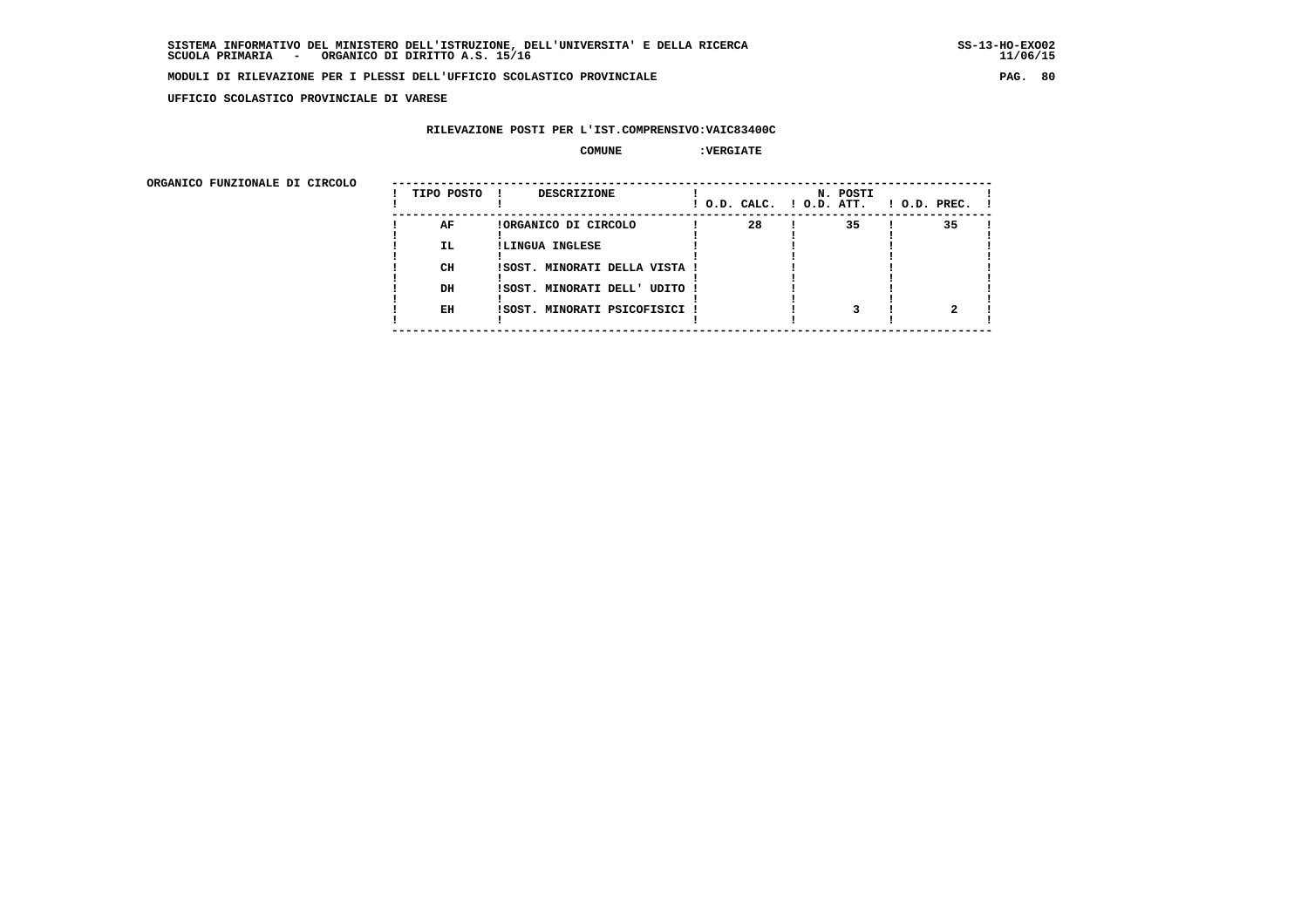**UFFICIO SCOLASTICO PROVINCIALE DI VARESE**

#### **RILEVAZIONE POSTI PER L'IST.COMPRENSIVO:VAIC83400C**

## **COMUNE :VERGIATE**

| ORGANICO FUNZIONALE DI CIRCOLO |            |                               |                          |          |                |
|--------------------------------|------------|-------------------------------|--------------------------|----------|----------------|
|                                | TIPO POSTO | <b>DESCRIZIONE</b>            | ! O.D. CALC. ! O.D. ATT. | N. POSTI | $!$ O.D. PREC. |
|                                | AF         | !ORGANICO DI CIRCOLO          | 28                       | 35       | 35             |
|                                | IL.        | !LINGUA INGLESE               |                          |          |                |
|                                | CH         | !SOST. MINORATI DELLA VISTA ! |                          |          |                |
|                                | DH         | ISOST. MINORATI DELL' UDITO ! |                          |          |                |
|                                | EH         | ISOST. MINORATI PSICOFISICI ! |                          |          |                |
|                                |            |                               |                          |          |                |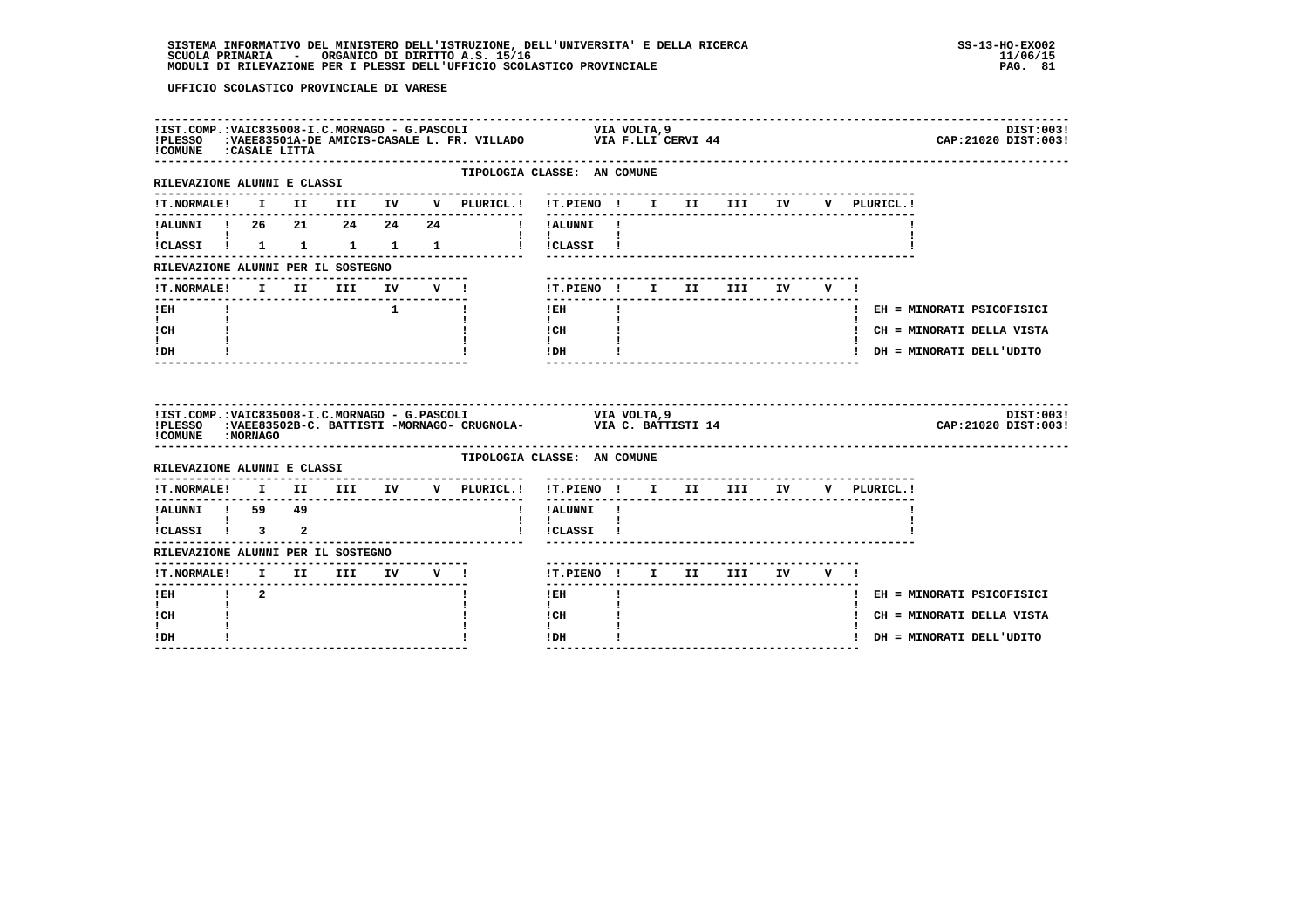| !COMUNE : CASALE LITTA                                          |              |  |                             |                                     |                                                                                                                                      |              |  |  | DIST:003!<br>CAP: 21020 DIST: 003! |
|-----------------------------------------------------------------|--------------|--|-----------------------------|-------------------------------------|--------------------------------------------------------------------------------------------------------------------------------------|--------------|--|--|------------------------------------|
| RILEVAZIONE ALUNNI E CLASSI                                     |              |  |                             | .                                   | TIPOLOGIA CLASSE: AN COMUNE<br>-------------------------------                                                                       |              |  |  |                                    |
|                                                                 |              |  |                             |                                     | !T.NORMALE! I II III IV V PLURICL.! !T.PIENO ! I II III IV V PLURICL.!                                                               |              |  |  |                                    |
| $\mathbf{I}$ and $\mathbf{I}$ and $\mathbf{I}$                  |              |  |                             |                                     | -----------<br>!ALUNNI ! 26  21  24  24  24  !!ALUNNI !                                                                              |              |  |  |                                    |
|                                                                 |              |  |                             |                                     | !CLASSI ! 1 1 1 1 1 1 ! !CLASSI !                                                                                                    |              |  |  |                                    |
| RILEVAZIONE ALUNNI PER IL SOSTEGNO                              |              |  |                             | --------------------------          |                                                                                                                                      |              |  |  |                                    |
|                                                                 |              |  |                             | !T.NORMALE! I II III IV V !         | !T.PIENO! I II III IV V!                                                                                                             |              |  |  |                                    |
| $!$ EH                                                          |              |  | $\frac{1}{1}$ $\frac{1}{1}$ |                                     | $!$ EH                                                                                                                               | $\mathbf{I}$ |  |  | ! EH = MINORATI PSICOFISICI        |
| $\mathbf{I}$ and $\mathbf{I}$<br>! CH                           |              |  |                             |                                     | $\mathbf{I}$ and $\mathbf{I}$<br>! CH                                                                                                |              |  |  | ! CH = MINORATI DELLA VISTA        |
| I.<br>! DH                                                      |              |  |                             |                                     | $\mathbf{I}$<br>! DH                                                                                                                 |              |  |  | ! DH = MINORATI DELL'UDITO         |
| ! COMUNE : MORNAGO                                              |              |  |                             |                                     |                                                                                                                                      |              |  |  |                                    |
|                                                                 |              |  |                             |                                     | IIST.COMP.:VAIC835008-I.C.MORNAGO - G.PASCOLI VIA VOLTA, 9<br>IPLESSO :VAEE83502B-C. BATTISTI -MORNAGO- CRUGNOLA- VIA C. BATTISTI 14 |              |  |  | DIST:003!<br>CAP: 21020 DIST: 003! |
| RILEVAZIONE ALUNNI E CLASSI                                     |              |  |                             |                                     | TIPOLOGIA CLASSE: AN COMUNE                                                                                                          |              |  |  |                                    |
|                                                                 |              |  |                             | !T.NORMALE! I II III IV V PLURICL.! | !T.PIENO! I II III IV V PLURICL.!                                                                                                    |              |  |  |                                    |
| IALUNNI ! 59 49                                                 |              |  |                             | $\mathbf{I}$                        | !ALUNNI !                                                                                                                            |              |  |  |                                    |
| $\mathbf{I}$ and $\mathbf{I}$ and $\mathbf{I}$<br>ICLASSI I 3 2 | $\mathbf{I}$ |  |                             |                                     | $\mathbf{I}$<br>!CLASSI !                                                                                                            |              |  |  |                                    |
| RILEVAZIONE ALUNNI PER IL SOSTEGNO                              |              |  |                             |                                     |                                                                                                                                      |              |  |  |                                    |
| !T.NORMALE! I II III IV V !                                     |              |  |                             |                                     | !T.PIENO! I II III IV V!                                                                                                             |              |  |  |                                    |
| ---------------<br>$1$ EH $1$ 2                                 |              |  |                             |                                     | $1$ EH and $-$                                                                                                                       | $\mathbf{I}$ |  |  | ! EH = MINORATI PSICOFISICI        |
| $\mathbf{I}$<br>! CH                                            |              |  |                             |                                     | $\mathbf{I}$<br>! CH                                                                                                                 |              |  |  | ! CH = MINORATI DELLA VISTA        |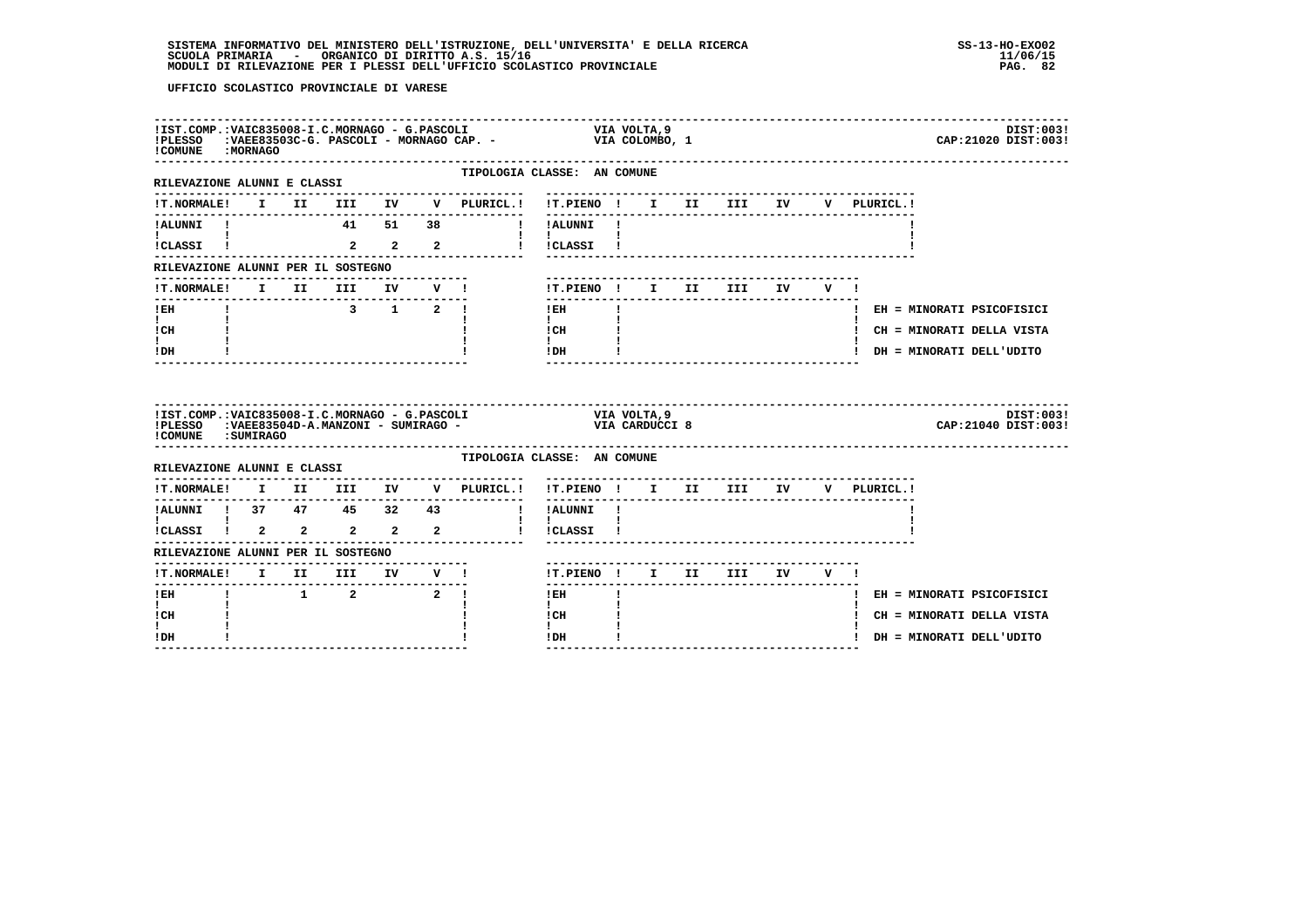| !PLESSO<br>! COMUNE : MORNAGO             |  | !IST.COMP.:VAIC835008-I.C.MORNAGO - G.PASCOLI |  |                                                                                        |                                                                                                                                                                                  |                           |  |  | DIST:003!<br>CAP: 21020 DIST: 003! |
|-------------------------------------------|--|-----------------------------------------------|--|----------------------------------------------------------------------------------------|----------------------------------------------------------------------------------------------------------------------------------------------------------------------------------|---------------------------|--|--|------------------------------------|
| RILEVAZIONE ALUNNI E CLASSI               |  |                                               |  |                                                                                        | TIPOLOGIA CLASSE: AN COMUNE<br>-------------------------------                                                                                                                   |                           |  |  |                                    |
|                                           |  |                                               |  |                                                                                        | !T.NORMALE! I II III IV V PLURICL.! !T.PIENO ! I II III IV V PLURICL.!                                                                                                           |                           |  |  |                                    |
|                                           |  |                                               |  |                                                                                        | ! ALUNNI ! 41 51 38    ! ALUNNI!                                                                                                                                                 |                           |  |  |                                    |
| <b>Experience</b><br>ICLASSI <sup>1</sup> |  |                                               |  |                                                                                        | $\mathbf{1}$ $\mathbf{1}$<br>2   2   2   i   iCLASSI   i                                                                                                                         |                           |  |  |                                    |
| RILEVAZIONE ALUNNI PER IL SOSTEGNO        |  |                                               |  |                                                                                        |                                                                                                                                                                                  |                           |  |  |                                    |
| !T.NORMALE! I II III IV V !               |  |                                               |  |                                                                                        | !T.PIENO! I II III IV V!                                                                                                                                                         | ------------------------- |  |  |                                    |
| $I$ EH                                    |  | $3 \t 1 \t 2 \t 1$                            |  |                                                                                        | ---------------<br>$\mathbf{I}$<br>$!$ EH                                                                                                                                        |                           |  |  | ! EH = MINORATI PSICOFISICI        |
| $\mathbf{I}$ and $\mathbf{I}$<br>! CH     |  |                                               |  |                                                                                        | $\mathbf{I}$ and $\mathbf{I}$<br>! CH                                                                                                                                            |                           |  |  | ! CH = MINORATI DELLA VISTA        |
| $\mathbf{I}$<br>! DH                      |  |                                               |  |                                                                                        | $\mathbf{I}$<br>$!$ DH                                                                                                                                                           |                           |  |  | ! DH = MINORATI DELL'UDITO         |
|                                           |  |                                               |  |                                                                                        |                                                                                                                                                                                  |                           |  |  |                                    |
| !COMUNE : SUMIRAGO                        |  |                                               |  |                                                                                        | IIST.COMP.:VAIC835008-I.C.MORNAGO - G.PASCOLI                                 VIA VOLTA,9<br>IPLESSO   :VAEE83504D-A.MANZONI - SUMIRAGO -                         VIA CARDUCCI 8 |                           |  |  | DIST:0031<br>CAP: 21040 DIST: 003! |
| RILEVAZIONE ALUNNI E CLASSI               |  |                                               |  |                                                                                        | TIPOLOGIA CLASSE: AN COMUNE                                                                                                                                                      |                           |  |  |                                    |
|                                           |  |                                               |  | $\verb !T.NORMALE! \quad I \quad II \quad III \quad IV \quad V \quad \verb PLURICL. !$ | !T.PIENO ! I II III IV V PLURICL.!                                                                                                                                               |                           |  |  |                                    |
|                                           |  |                                               |  |                                                                                        |                                                                                                                                                                                  |                           |  |  |                                    |
|                                           |  |                                               |  |                                                                                        |                                                                                                                                                                                  |                           |  |  |                                    |
| RILEVAZIONE ALUNNI PER IL SOSTEGNO        |  |                                               |  |                                                                                        |                                                                                                                                                                                  |                           |  |  |                                    |
|                                           |  |                                               |  |                                                                                        | !T.PIENO ! I II III IV V !                                                                                                                                                       |                           |  |  |                                    |
| ! EH                                      |  | $1 \qquad 2 \qquad \qquad 2 \qquad$           |  |                                                                                        | $1$ EH                                                                                                                                                                           |                           |  |  | ! EH = MINORATI PSICOFISICI        |
| $\mathbf{I}$<br>! CH                      |  |                                               |  |                                                                                        | $\mathbf{I}$<br>! CH                                                                                                                                                             |                           |  |  | ! CH = MINORATI DELLA VISTA        |
| I.<br>! DH                                |  | --------------------------------              |  |                                                                                        | $\mathbf{I}$<br>$\mathbf{I}$<br>! DH                                                                                                                                             |                           |  |  | ! DH = MINORATI DELL'UDITO         |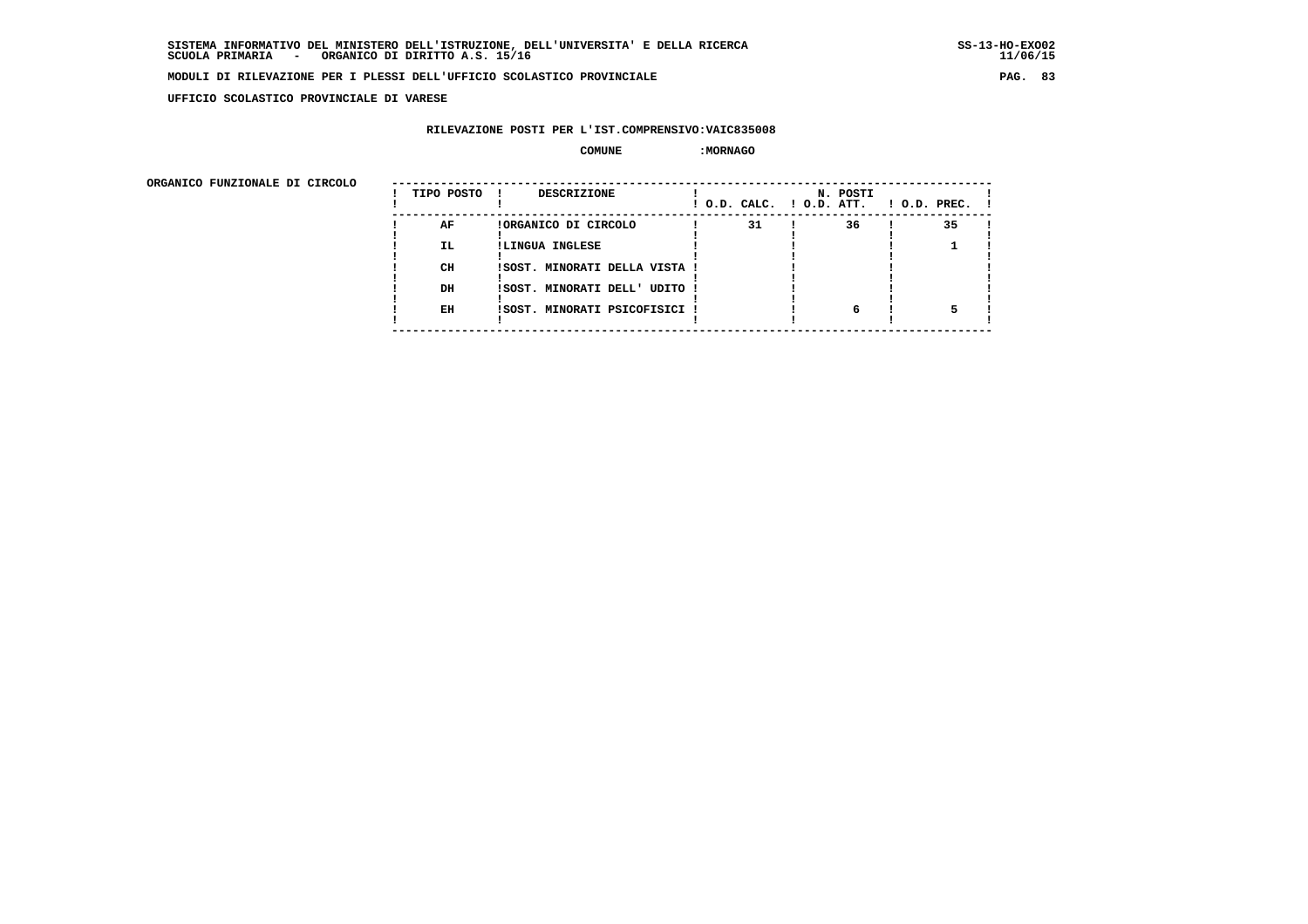**UFFICIO SCOLASTICO PROVINCIALE DI VARESE**

#### **RILEVAZIONE POSTI PER L'IST.COMPRENSIVO:VAIC835008**

#### $\begin{array}{ccc} \text{COMUNE} & \text{?} \end{array}$

| ORGANICO FUNZIONALE DI CIRCOLO |            |                               |                          |          |                    |
|--------------------------------|------------|-------------------------------|--------------------------|----------|--------------------|
|                                | TIPO POSTO | DESCRIZIONE                   | ! O.D. CALC. ! O.D. ATT. | N. POSTI | $1$ O.D. PREC. $1$ |
|                                | AF         | !ORGANICO DI CIRCOLO          | 31                       | 36       | 35                 |
|                                | IL.        | !LINGUA INGLESE               |                          |          |                    |
|                                | CH         | !SOST. MINORATI DELLA VISTA ! |                          |          |                    |
|                                | DH         | !SOST. MINORATI DELL' UDITO ! |                          |          |                    |
|                                | EH         | !SOST. MINORATI PSICOFISICI ! |                          | 6        |                    |
|                                |            |                               |                          |          |                    |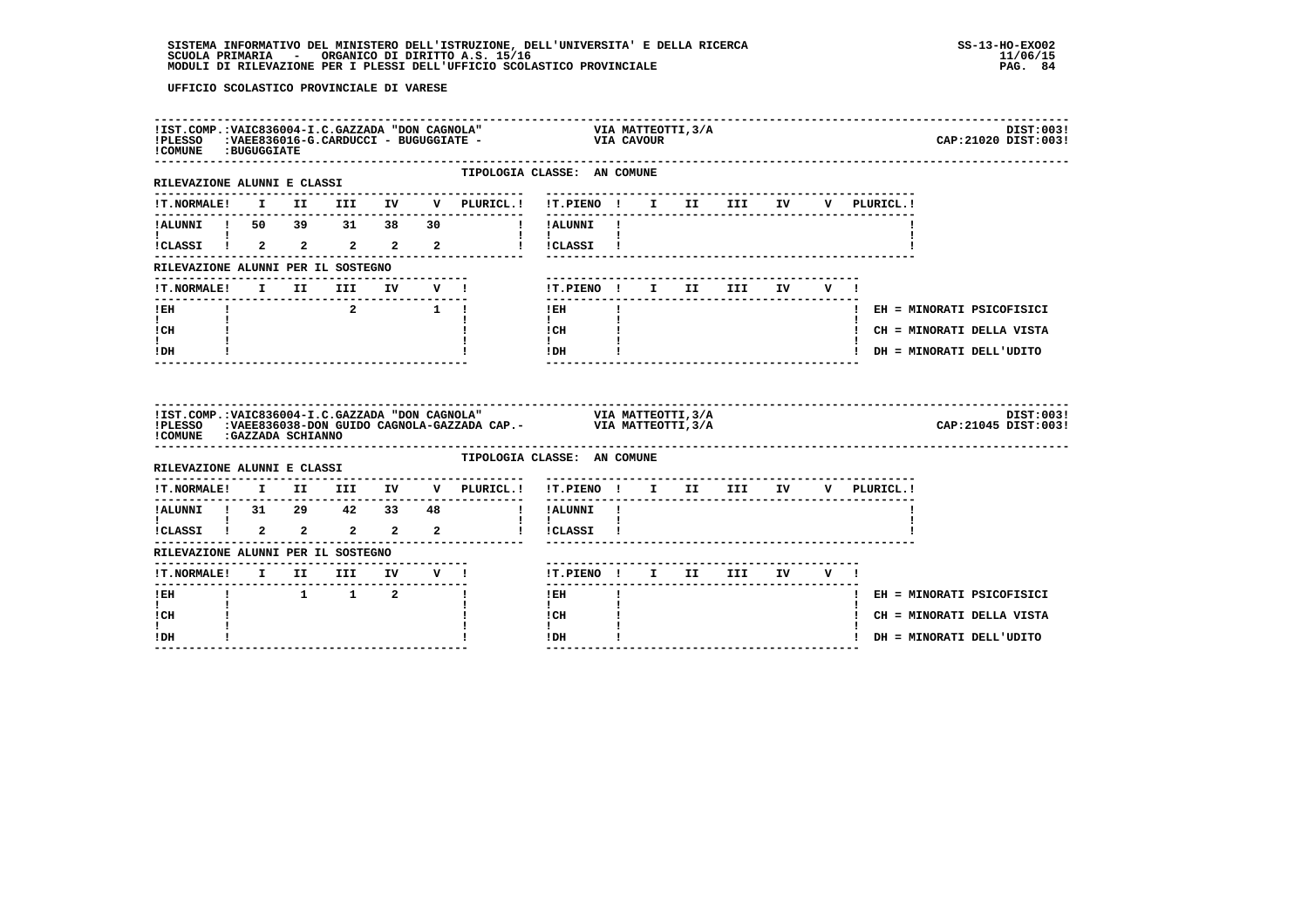| ! COMUNE : BUGUGGIATE                                        |  |                                 |  |                                     | $!1ST.COMP.:VALC836004-I.C.GAZZADA "DON CAGNOLA"$ VIA MATTEOTTI, 3/A<br>$!PLESSO$ : VAEE836016-G.CARDUCCI - BUGUGGIATE - VIA CAVOUR<br>CAP: 21020 DIST: 003!                                                                                                                                                                                                             | DIST:003! |
|--------------------------------------------------------------|--|---------------------------------|--|-------------------------------------|--------------------------------------------------------------------------------------------------------------------------------------------------------------------------------------------------------------------------------------------------------------------------------------------------------------------------------------------------------------------------|-----------|
| -----------------------------<br>RILEVAZIONE ALUNNI E CLASSI |  |                                 |  | . _ _ _ _ _ _ _ _ _ _ _ _ _ _ _ _ _ | TIPOLOGIA CLASSE: AN COMUNE                                                                                                                                                                                                                                                                                                                                              |           |
|                                                              |  |                                 |  |                                     | !T.NORMALE! I II III IV V PLURICL.! !T.PIENO ! I II III IV V PLURICL.!                                                                                                                                                                                                                                                                                                   |           |
| $\mathbf{I}$ and $\mathbf{I}$ and $\mathbf{I}$               |  |                                 |  |                                     | !ALUNNI ! 50 39 31 38 30 ! !ALUNNI !                                                                                                                                                                                                                                                                                                                                     |           |
|                                                              |  |                                 |  |                                     | $\mathbf{1}$ $\mathbf{1}$<br>1<br>1 CLASSI 1 2 2 2 2 2 1 CLASSI 1                                                                                                                                                                                                                                                                                                        |           |
| RILEVAZIONE ALUNNI PER IL SOSTEGNO                           |  |                                 |  |                                     |                                                                                                                                                                                                                                                                                                                                                                          |           |
|                                                              |  |                                 |  | !T.NORMALE! I II III IV V !         | !T.PIENO! I II III IV V!                                                                                                                                                                                                                                                                                                                                                 |           |
| --------------------------<br>$I$ EH                         |  |                                 |  |                                     | $\frac{1}{2}$<br>$1$ EH $\qquad$ $1$<br>! EH = MINORATI PSICOFISICI                                                                                                                                                                                                                                                                                                      |           |
| $\mathbf{I}$ and $\mathbf{I}$<br>ICH                         |  |                                 |  |                                     | $\mathbf{I}$ and $\mathbf{I}$<br>$\frac{1}{1}$ $\frac{1}{1}$ $\frac{1}{1}$<br>! CH = MINORATI DELLA VISTA                                                                                                                                                                                                                                                                |           |
| $\mathbf{I}$<br>! DH                                         |  |                                 |  |                                     | $!$ DH $\qquad$ $\qquad$ $\qquad$ $\qquad$ $\qquad$ $\qquad$ $\qquad$ $\qquad$ $\qquad$ $\qquad$ $\qquad$ $\qquad$ $\qquad$ $\qquad$ $\qquad$ $\qquad$ $\qquad$ $\qquad$ $\qquad$ $\qquad$ $\qquad$ $\qquad$ $\qquad$ $\qquad$ $\qquad$ $\qquad$ $\qquad$ $\qquad$ $\qquad$ $\qquad$ $\qquad$ $\qquad$ $\qquad$ $\qquad$ $\qquad$ $\qquad$<br>! DH = MINORATI DELL'UDITO |           |
|                                                              |  |                                 |  |                                     |                                                                                                                                                                                                                                                                                                                                                                          |           |
|                                                              |  |                                 |  |                                     | IIST.COMP.:VAIC836004-I.C.GAZZADA "DON CAGNOLA" VIA MATTEOTTI,3/A<br>IPLESSO :VAEE836038-DON GUIDO CAGNOLA-GAZZADA CAP.- VIA MATTEOTTI,3/A<br>CAP: 21045 DIST: 003!                                                                                                                                                                                                      | DIST:003! |
| !COMUNE : GAZZADA SCHIANNO                                   |  |                                 |  |                                     | TIPOLOGIA CLASSE: AN COMUNE                                                                                                                                                                                                                                                                                                                                              |           |
| RILEVAZIONE ALUNNI E CLASSI                                  |  | -------------------------       |  | --------------                      |                                                                                                                                                                                                                                                                                                                                                                          |           |
|                                                              |  |                                 |  |                                     | !T.NORMALE! I II III IV V PLURICL.! !T.PIENO ! I II III IV V PLURICL.!<br>. <u>.</u>                                                                                                                                                                                                                                                                                     |           |
|                                                              |  |                                 |  |                                     |                                                                                                                                                                                                                                                                                                                                                                          |           |
|                                                              |  |                                 |  |                                     | 1<br>1 ALUNNI 1 31 29 42 33 48 1 IALUNNI 1<br>1 CLASSI 1 2 2 2 2 2 1 ICLASSI 1                                                                                                                                                                                                                                                                                           |           |
| RILEVAZIONE ALUNNI PER IL SOSTEGNO                           |  | ------------------------------- |  |                                     | !T.PIENO! I II III IV V!                                                                                                                                                                                                                                                                                                                                                 |           |
| -----------------------<br>$!$ EH                            |  | $1 \quad 1 \quad 2 \quad 1$     |  | !T.NORMALE! I II III IV V !         | $1$ EH<br>! EH = MINORATI PSICOFISICI                                                                                                                                                                                                                                                                                                                                    |           |
| $\mathbf{I}$<br>! CH                                         |  |                                 |  |                                     | $\mathbf{I}$<br>ICH<br>! CH = MINORATI DELLA VISTA                                                                                                                                                                                                                                                                                                                       |           |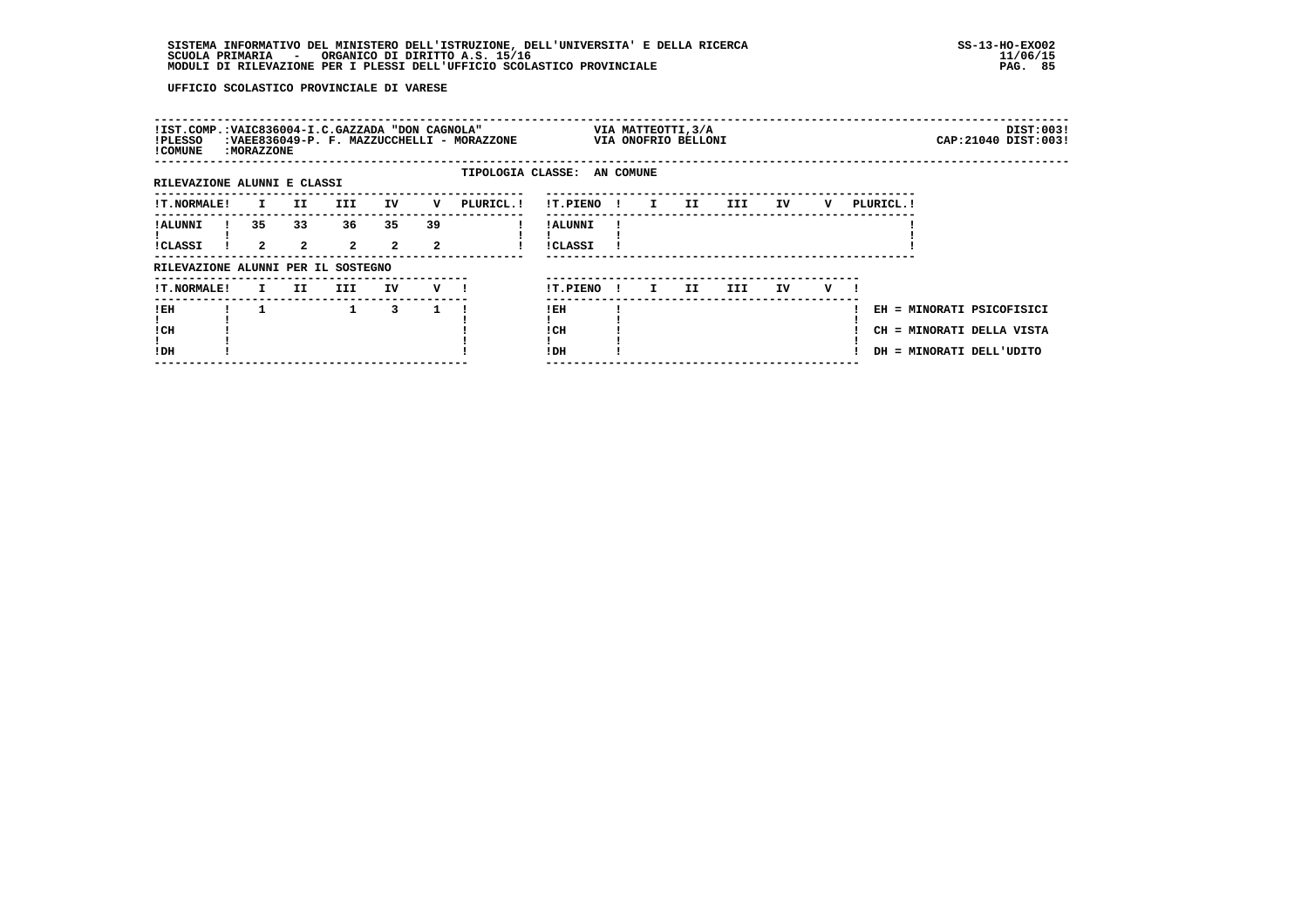| !IST.COMP.:VAIC836004-I.C.GAZZADA "DON CAGNOLA"<br>!PLESSO<br>! COMUNE | : MORAZZONE          |                      |                      |                      |         | :VAEE836049-P. F. MAZZUCCHELLI - MORAZZONE |                            |              | VIA MATTEOTTI, 3/A<br>VIA ONOFRIO BELLONI |     |      |    |   |                                                                                    |  | DIST:003!<br>CAP: 21040 DIST: 003! |
|------------------------------------------------------------------------|----------------------|----------------------|----------------------|----------------------|---------|--------------------------------------------|----------------------------|--------------|-------------------------------------------|-----|------|----|---|------------------------------------------------------------------------------------|--|------------------------------------|
| RILEVAZIONE ALUNNI E CLASSI                                            |                      |                      |                      |                      |         | TIPOLOGIA CLASSE: AN COMUNE                |                            |              |                                           |     |      |    |   |                                                                                    |  |                                    |
| <b>!T.NORMALE!</b>                                                     | $\mathbf{I}$         | II.                  | III                  | IV                   | v       | PLURICL. !                                 | !T.PIENO                   | $\mathbf{I}$ | $\mathbf{I}$                              | II. | III  | IV | v | PLURICL. !                                                                         |  |                                    |
| ! ALUNNI<br><b>!CLASSI</b>                                             | 35<br>$\overline{2}$ | 33<br>$\overline{2}$ | 36<br>$\overline{2}$ | 35<br>$\overline{2}$ | 39<br>2 |                                            | ! ALUNNI<br><b>!CLASSI</b> |              |                                           |     |      |    |   |                                                                                    |  |                                    |
| RILEVAZIONE ALUNNI PER IL SOSTEGNO                                     |                      |                      |                      |                      |         |                                            |                            |              |                                           |     |      |    |   |                                                                                    |  |                                    |
| !T.NORMALE!                                                            | I.                   | II.                  | III                  | IV                   | v       |                                            | !T.PIENO                   | $\mathbf{I}$ | I.                                        | II. | III. | IV | v |                                                                                    |  |                                    |
| !EH<br>! CH<br>!DH                                                     |                      |                      | $\mathbf{1}$         | 3                    |         |                                            | ! EH<br>! CH<br>!DH        |              |                                           |     |      |    |   | EH = MINORATI PSICOFISICI<br>CH = MINORATI DELLA VISTA<br>DH = MINORATI DELL'UDITO |  |                                    |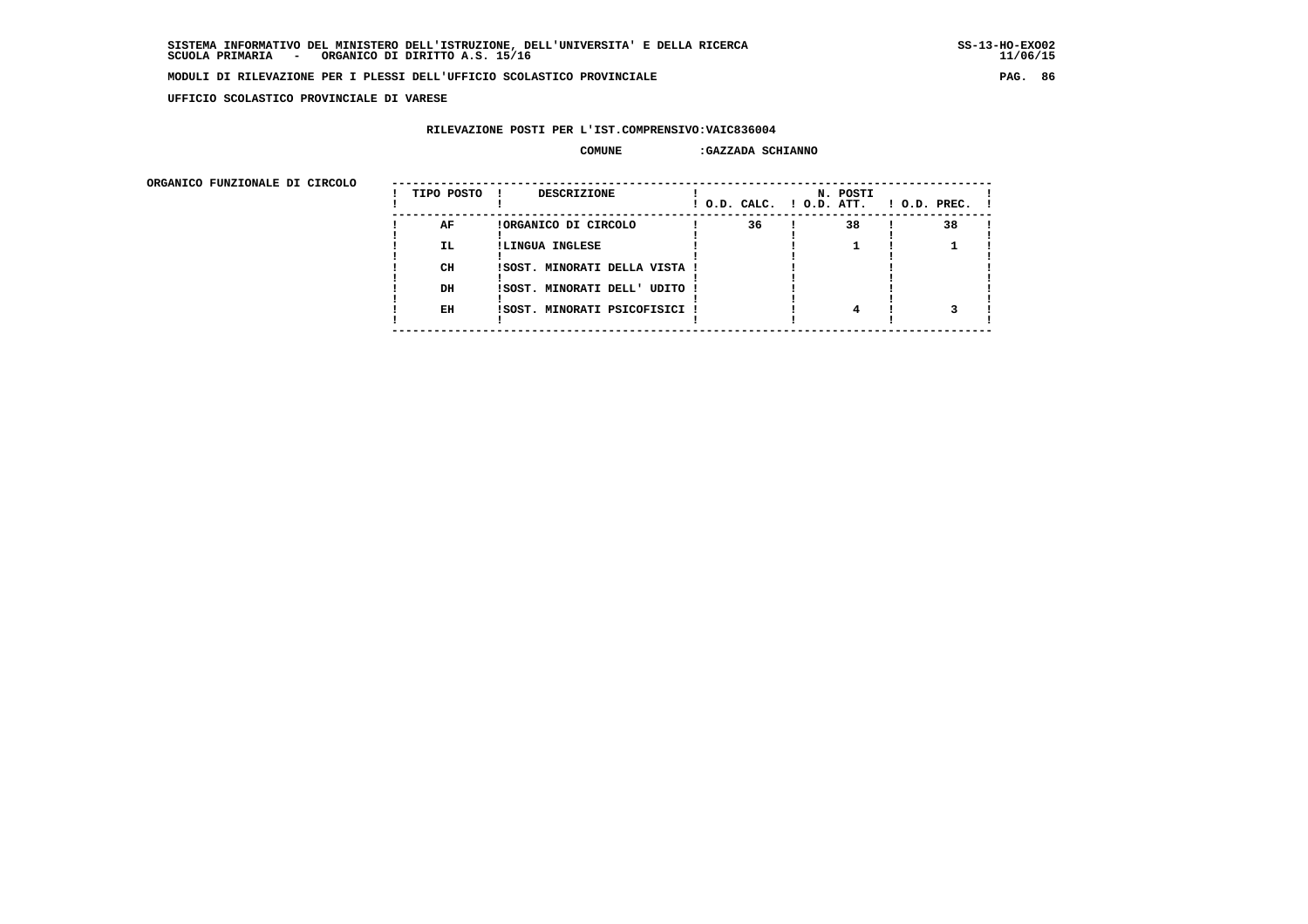**UFFICIO SCOLASTICO PROVINCIALE DI VARESE**

### **RILEVAZIONE POSTI PER L'IST.COMPRENSIVO:VAIC836004**

#### **COMUNE :GAZZADA SCHIANNO**

| onghnico rongionale pi cincolo | TIPO POSTO | DESCRIZIONE<br>$\mathbf{I}$   | ! O.D. CALC. ! O.D. ATT. | N. POSTI | $1$ O.D. PREC. $1$ |  |
|--------------------------------|------------|-------------------------------|--------------------------|----------|--------------------|--|
|                                | AF         | !ORGANICO DI CIRCOLO          | 36                       | 38       | 38                 |  |
|                                | IL.        | !LINGUA INGLESE               |                          |          |                    |  |
|                                | CH         | !SOST. MINORATI DELLA VISTA ! |                          |          |                    |  |
|                                | DH         | !SOST. MINORATI DELL' UDITO ! |                          |          |                    |  |
|                                | EH         | !SOST. MINORATI PSICOFISICI ! |                          |          |                    |  |
|                                |            |                               |                          |          |                    |  |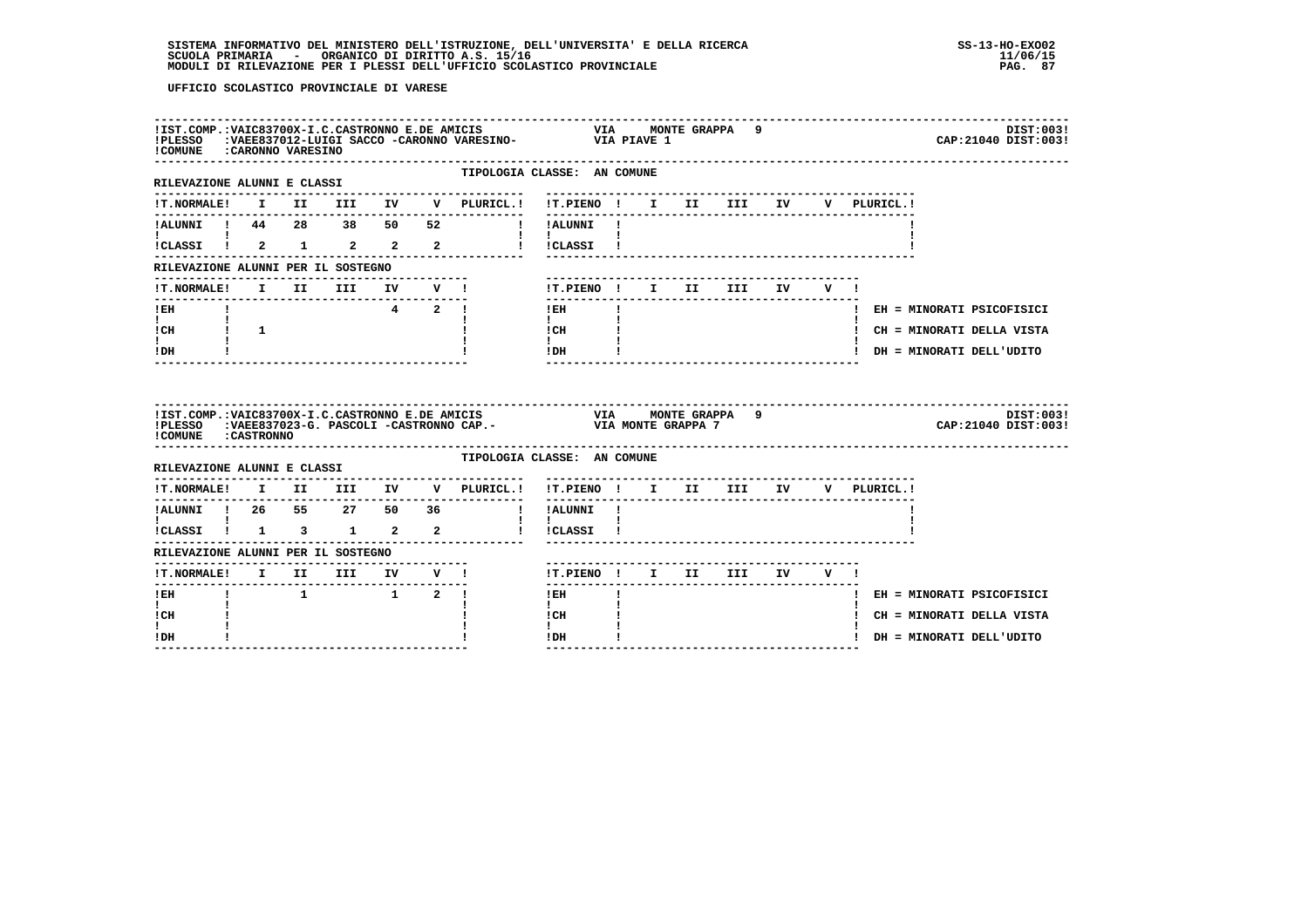| !COMUNE : CARONNO VARESINO                                                                                                                                                                                                                                                                                                                                                 |                               |  |                                                        |  | !IST.COMP.:VAIC83700X-I.C.CASTRONNO E.DE AMICIS                     VIA     MONTE GRAPPA     9<br>!PLESSO    :VAEE837012-LUIGI SACCO -CARONNO VARESINO-               VIA PIAVE 1 |                             |              |  |  |  |             | DIST:003!<br>CAP: 21040 DIST: 003! |  |
|----------------------------------------------------------------------------------------------------------------------------------------------------------------------------------------------------------------------------------------------------------------------------------------------------------------------------------------------------------------------------|-------------------------------|--|--------------------------------------------------------|--|-----------------------------------------------------------------------------------------------------------------------------------------------------------------------------------|-----------------------------|--------------|--|--|--|-------------|------------------------------------|--|
| --------------------------------<br>RILEVAZIONE ALUNNI E CLASSI                                                                                                                                                                                                                                                                                                            |                               |  |                                                        |  | TIPOLOGIA CLASSE: AN COMUNE                                                                                                                                                       |                             |              |  |  |  |             |                                    |  |
| <b>!T.NORMALE!</b>                                                                                                                                                                                                                                                                                                                                                         |                               |  |                                                        |  | I II III IV V PLURICL.! !T.PIENO ! I II III IV                                                                                                                                    |                             |              |  |  |  | V PLURICL.! |                                    |  |
|                                                                                                                                                                                                                                                                                                                                                                            |                               |  |                                                        |  | !!ALUNNI!                                                                                                                                                                         |                             |              |  |  |  |             |                                    |  |
|                                                                                                                                                                                                                                                                                                                                                                            |                               |  |                                                        |  | ICLASSI 1 2 1 2 2 2 1 1CLASSI 1                                                                                                                                                   | $\mathbf{I}$ $\mathbf{I}$   |              |  |  |  |             |                                    |  |
| RILEVAZIONE ALUNNI PER IL SOSTEGNO                                                                                                                                                                                                                                                                                                                                         |                               |  |                                                        |  |                                                                                                                                                                                   |                             |              |  |  |  |             |                                    |  |
| !T.NORMALE!                                                                                                                                                                                                                                                                                                                                                                |                               |  |                                                        |  | I II III IV V !                                                                                                                                                                   | !T.PIENO! I II III IV V!    |              |  |  |  |             |                                    |  |
| $!$ EH                                                                                                                                                                                                                                                                                                                                                                     | $\mathbf{I}$ and $\mathbf{I}$ |  |                                                        |  | $4 \quad 2 \quad 1$                                                                                                                                                               | $!$ EH                      | $\mathbf{I}$ |  |  |  |             | ! EH = MINORATI PSICOFISICI        |  |
| $\mathbf{I}$ and $\mathbf{I}$<br>$ICH$ $\qquad$ $\qquad$ $\qquad$ $\qquad$ $\qquad$ $\qquad$ $\qquad$ $\qquad$ $\qquad$ $\qquad$ $\qquad$ $\qquad$ $\qquad$ $\qquad$ $\qquad$ $\qquad$ $\qquad$ $\qquad$ $\qquad$ $\qquad$ $\qquad$ $\qquad$ $\qquad$ $\qquad$ $\qquad$ $\qquad$ $\qquad$ $\qquad$ $\qquad$ $\qquad$ $\qquad$ $\qquad$ $\qquad$ $\qquad$ $\qquad$ $\qquad$ | $\mathbf{I}$                  |  |                                                        |  |                                                                                                                                                                                   | $\mathbf{I}$<br>! CH        |              |  |  |  |             | ! CH = MINORATI DELLA VISTA        |  |
| $\mathbf{I}$<br>! DH                                                                                                                                                                                                                                                                                                                                                       |                               |  |                                                        |  |                                                                                                                                                                                   | $\mathbf{I}$<br>!DH         |              |  |  |  |             | ! DH = MINORATI DELL'UDITO         |  |
|                                                                                                                                                                                                                                                                                                                                                                            |                               |  |                                                        |  |                                                                                                                                                                                   |                             |              |  |  |  |             |                                    |  |
|                                                                                                                                                                                                                                                                                                                                                                            |                               |  |                                                        |  |                                                                                                                                                                                   |                             |              |  |  |  |             | DIST:003!<br>CAP: 21040 DIST: 003! |  |
| ! COMUNE : CASTRONNO<br>RILEVAZIONE ALUNNI E CLASSI                                                                                                                                                                                                                                                                                                                        |                               |  |                                                        |  | TIPOLOGIA CLASSE: AN COMUNE                                                                                                                                                       |                             |              |  |  |  |             |                                    |  |
|                                                                                                                                                                                                                                                                                                                                                                            |                               |  |                                                        |  | !T.NORMALE! I II III IV V PLURICL.! !T.PIENO ! I II III IV V PLURICL.!                                                                                                            |                             |              |  |  |  |             |                                    |  |
| ---------------                                                                                                                                                                                                                                                                                                                                                            |                               |  |                                                        |  | .                                                                                                                                                                                 |                             |              |  |  |  |             |                                    |  |
| :<br>!CLASSI ! 1 3 1 2 2                                                                                                                                                                                                                                                                                                                                                   |                               |  |                                                        |  |                                                                                                                                                                                   | $\mathbf{I}$<br>! !CLASSI ! |              |  |  |  |             |                                    |  |
| RILEVAZIONE ALUNNI PER IL SOSTEGNO                                                                                                                                                                                                                                                                                                                                         |                               |  |                                                        |  |                                                                                                                                                                                   |                             |              |  |  |  |             |                                    |  |
|                                                                                                                                                                                                                                                                                                                                                                            |                               |  |                                                        |  |                                                                                                                                                                                   | !T.PIENO! I II III IV V!    |              |  |  |  |             |                                    |  |
| -------<br>! EH                                                                                                                                                                                                                                                                                                                                                            |                               |  | $1 \qquad \qquad 1 \qquad \qquad 2 \qquad \frac{1}{2}$ |  |                                                                                                                                                                                   | $- - - - - - -$<br>$!$ EH   |              |  |  |  |             | ! EH = MINORATI PSICOFISICI        |  |
| $\mathbf{I}$<br>! CH                                                                                                                                                                                                                                                                                                                                                       |                               |  |                                                        |  |                                                                                                                                                                                   | $\mathbf{I}$<br>! CH        |              |  |  |  |             | ! CH = MINORATI DELLA VISTA        |  |
| L<br>! DH                                                                                                                                                                                                                                                                                                                                                                  |                               |  |                                                        |  |                                                                                                                                                                                   | $\mathbf{I}$<br>!DH         |              |  |  |  |             | ! DH = MINORATI DELL'UDITO         |  |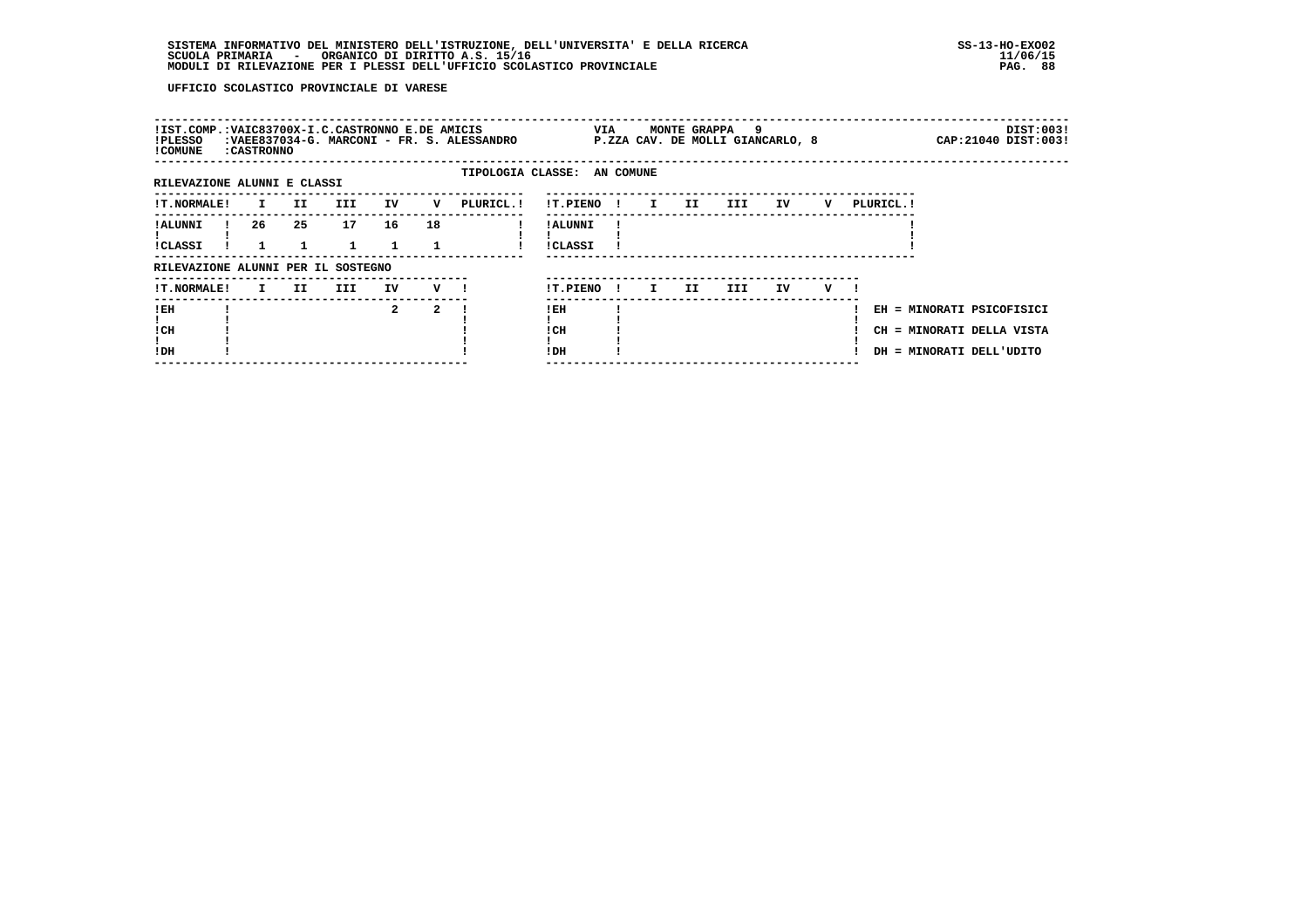| !IST.COMP.:VAIC83700X-I.C.CASTRONNO E.DE AMICIS<br>!PLESSO<br>! COMUNE | : CASTRONNO |     |            |              |                    | :VAEE837034-G. MARCONI - FR. S. ALESSANDRO |                            | VIA          |              | MONTE GRAPPA | و.<br>P.ZZA CAV. DE MOLLI GIANCARLO, 8 |     |   |            | DIST:003!<br>CAP: 21040 DIST: 003!                                                 |
|------------------------------------------------------------------------|-------------|-----|------------|--------------|--------------------|--------------------------------------------|----------------------------|--------------|--------------|--------------|----------------------------------------|-----|---|------------|------------------------------------------------------------------------------------|
| RILEVAZIONE ALUNNI E CLASSI                                            |             |     |            |              |                    | TIPOLOGIA CLASSE: AN COMUNE                |                            |              |              |              |                                        |     |   |            |                                                                                    |
|                                                                        |             |     |            |              |                    |                                            |                            |              |              |              |                                        |     |   |            |                                                                                    |
| <b>!T.NORMALE!</b>                                                     | I.          | II. | <b>III</b> | IV           | v                  | PLURICL.!                                  | !T.PIENO                   | $\mathbf{I}$ | $\mathbf{I}$ | II           | III                                    | IV  | v | PLURICL. ! |                                                                                    |
| ! ALUNNI<br><b>!CLASSI</b>                                             | 26          | 25  | 17         | 16<br>1.     | 18                 |                                            | ! ALUNNI<br><b>!CLASSI</b> |              |              |              |                                        |     |   |            |                                                                                    |
| RILEVAZIONE ALUNNI PER IL SOSTEGNO                                     |             |     |            |              |                    |                                            |                            |              |              |              |                                        |     |   |            |                                                                                    |
| <b>!T.NORMALE!</b>                                                     | I.          | II. | III        | IV           | $V$ $\blacksquare$ |                                            | !T.PIENO                   | -11          | I.           | II.          | III.                                   | IV. | v |            |                                                                                    |
| !EH<br>! CH<br>!DH                                                     |             |     |            | $\mathbf{2}$ | 2                  |                                            | ! EH<br>! CH<br>!DH        |              |              |              |                                        |     |   |            | EH = MINORATI PSICOFISICI<br>CH = MINORATI DELLA VISTA<br>DH = MINORATI DELL'UDITO |
|                                                                        |             |     |            |              |                    |                                            |                            |              |              |              |                                        |     |   |            |                                                                                    |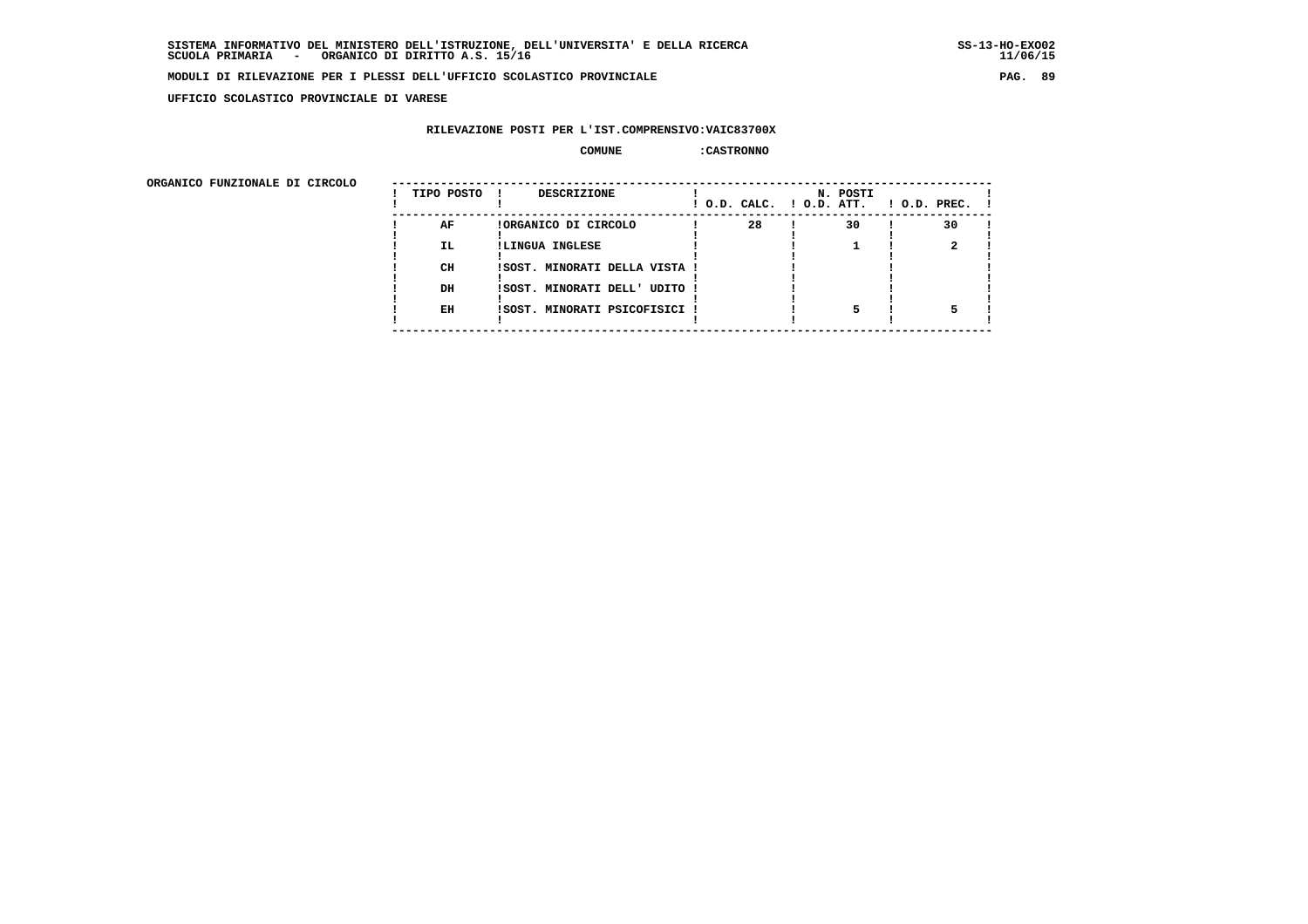**UFFICIO SCOLASTICO PROVINCIALE DI VARESE**

#### **RILEVAZIONE POSTI PER L'IST.COMPRENSIVO:VAIC83700X**

#### **COMUNE :CASTRONNO**

| ORGANICO FUNZIONALE DI CIRCOLO |            |                               |                          |          |                    |
|--------------------------------|------------|-------------------------------|--------------------------|----------|--------------------|
|                                | TIPO POSTO | DESCRIZIONE                   | ! O.D. CALC. ! O.D. ATT. | N. POSTI | $1$ O.D. PREC. $1$ |
|                                | AF         | !ORGANICO DI CIRCOLO          | 28                       | 30       | 30                 |
|                                | IL.        | !LINGUA INGLESE               |                          |          |                    |
|                                | CH         | ISOST. MINORATI DELLA VISTA ! |                          |          |                    |
|                                | DH         | !SOST. MINORATI DELL' UDITO ! |                          |          |                    |
|                                | EH         | !SOST. MINORATI PSICOFISICI ! |                          |          |                    |
|                                |            |                               |                          |          |                    |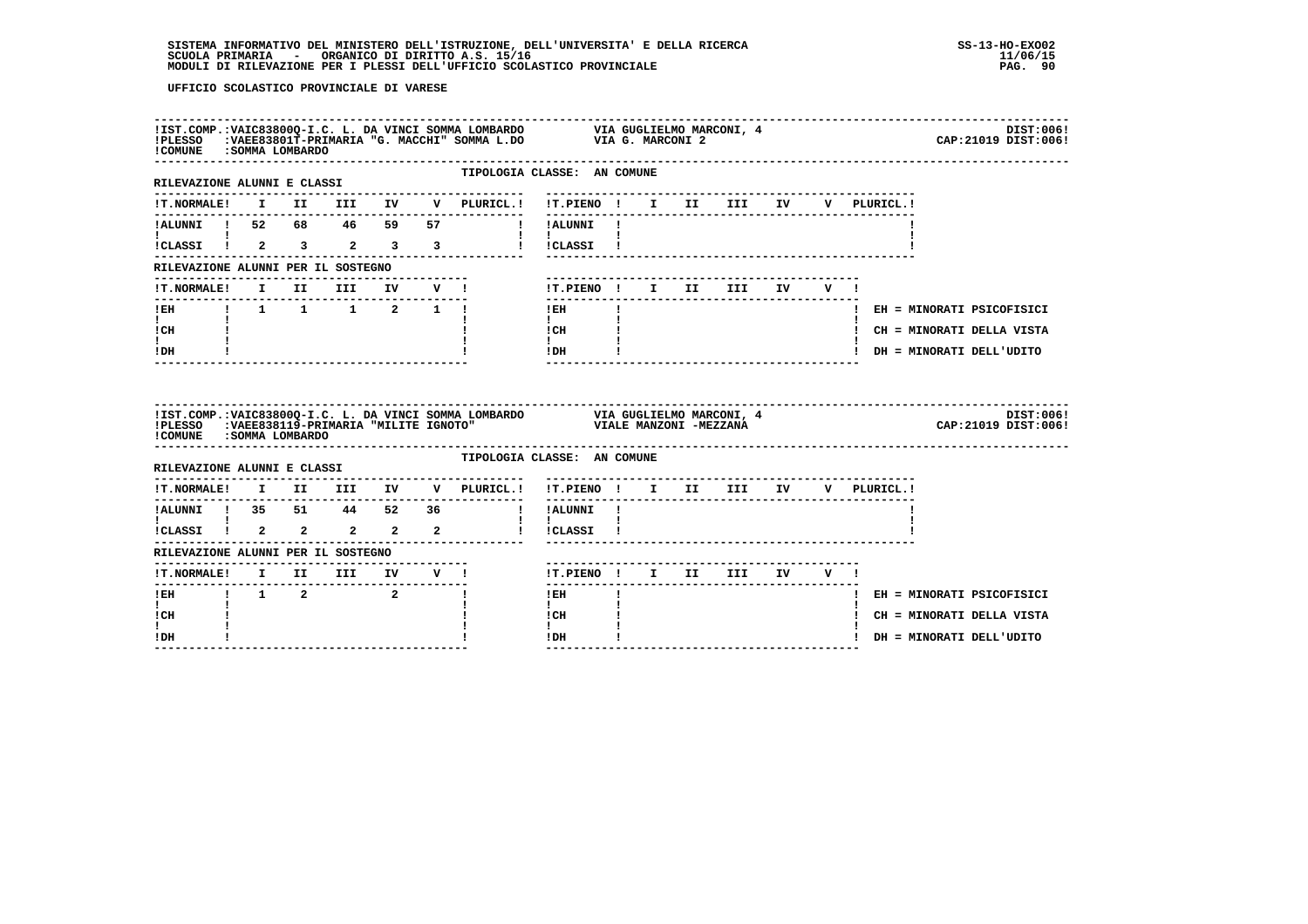| ! COMUNE : SOMMA LOMBARDO                                                  |                |  |              |              | IIST.COMP.:VAIC83800Q-I.C. L. DA VINCI SOMMA LOMBARDO VIA GUGLIELMO MARCONI, 4<br>IPLESSO :VAEE83801T-PRIMARIA "G. MACCHI" SOMMA L.DO VIA G. MARCONI 2 |  |                                   |    |             | DIST:006!<br>CAP: 21019 DIST: 006! |
|----------------------------------------------------------------------------|----------------|--|--------------|--------------|--------------------------------------------------------------------------------------------------------------------------------------------------------|--|-----------------------------------|----|-------------|------------------------------------|
| --------------------------------<br>RILEVAZIONE ALUNNI E CLASSI            |                |  |              |              | TIPOLOGIA CLASSE: AN COMUNE                                                                                                                            |  |                                   |    |             |                                    |
|                                                                            |                |  |              |              | --------------------------------                                                                                                                       |  |                                   |    | V PLURICL.! |                                    |
|                                                                            |                |  |              |              |                                                                                                                                                        |  |                                   |    |             |                                    |
| $\mathbf{I}$ and $\mathbf{I}$                                              |                |  |              |              | $\mathbf{1}$ $\mathbf{1}$<br>ICLASSI I 2 3 2 3 3 1 ICLASSI I                                                                                           |  |                                   |    |             |                                    |
| RILEVAZIONE ALUNNI PER IL SOSTEGNO                                         |                |  |              |              |                                                                                                                                                        |  |                                   |    |             |                                    |
| <b>!T.NORMALE!</b>                                                         | I II III IV V! |  |              |              | !T.PIENO ! I II III IV                                                                                                                                 |  |                                   | VI |             |                                    |
| --------------------                                                       |                |  | ------------ |              | l EH<br>$\mathbf{I}$                                                                                                                                   |  |                                   |    |             | ! EH = MINORATI PSICOFISICI        |
| $\mathbf{I}$<br>! CH                                                       |                |  |              |              | $\mathbf{1}$<br>ICH                                                                                                                                    |  |                                   |    |             | ! CH = MINORATI DELLA VISTA        |
| $\mathbf{I}$<br>! DH                                                       |                |  |              |              | $\mathbf{I}$<br>$IDH$ $I$                                                                                                                              |  | -------------------------------   |    |             | ! DH = MINORATI DELL'UDITO         |
| !COMUNE : SOMMA LOMBARDO                                                   |                |  |              |              |                                                                                                                                                        |  |                                   |    |             |                                    |
|                                                                            |                |  |              |              |                                                                                                                                                        |  |                                   |    |             | DIST:006!<br>CAP: 21019 DIST: 006! |
|                                                                            |                |  |              |              | TIPOLOGIA CLASSE: AN COMUNE                                                                                                                            |  |                                   |    |             |                                    |
| RILEVAZIONE ALUNNI E CLASSI<br><b>!T.NORMALE!</b>                          |                |  |              |              | I II III IV V PLURICL.! !T.PIENO ! I II III IV                                                                                                         |  |                                   |    | V PLURICL.! |                                    |
| !ALUNNI ! 35 51 44 52 36                                                   |                |  |              |              | --------------<br>! !ALUNNI !                                                                                                                          |  | --------------------------------- |    |             |                                    |
| $\mathbf{I}$ and $\mathbf{I}$ and $\mathbf{I}$<br>!<br>!CLASSI ! 2 2 2 2 2 |                |  |              |              | $\mathbf{1}$ $\mathbf{1}$<br>! !CLASSI !                                                                                                               |  |                                   |    |             |                                    |
| RILEVAZIONE ALUNNI PER IL SOSTEGNO                                         |                |  |              |              |                                                                                                                                                        |  |                                   |    |             |                                    |
|                                                                            |                |  |              |              | !T.PIENO! I II III IV V!                                                                                                                               |  | ------------------------          |    |             |                                    |
|                                                                            |                |  |              | $\mathbf{I}$ | $1$ EH<br>$\mathbf{I}$                                                                                                                                 |  |                                   |    |             | ! EH = MINORATI PSICOFISICI        |
| $\mathbf{I}$<br>! CH<br>I.                                                 |                |  |              |              | $\mathbf{I}$<br>ICH<br>$\mathbf{I}$                                                                                                                    |  |                                   |    |             | ! CH = MINORATI DELLA VISTA        |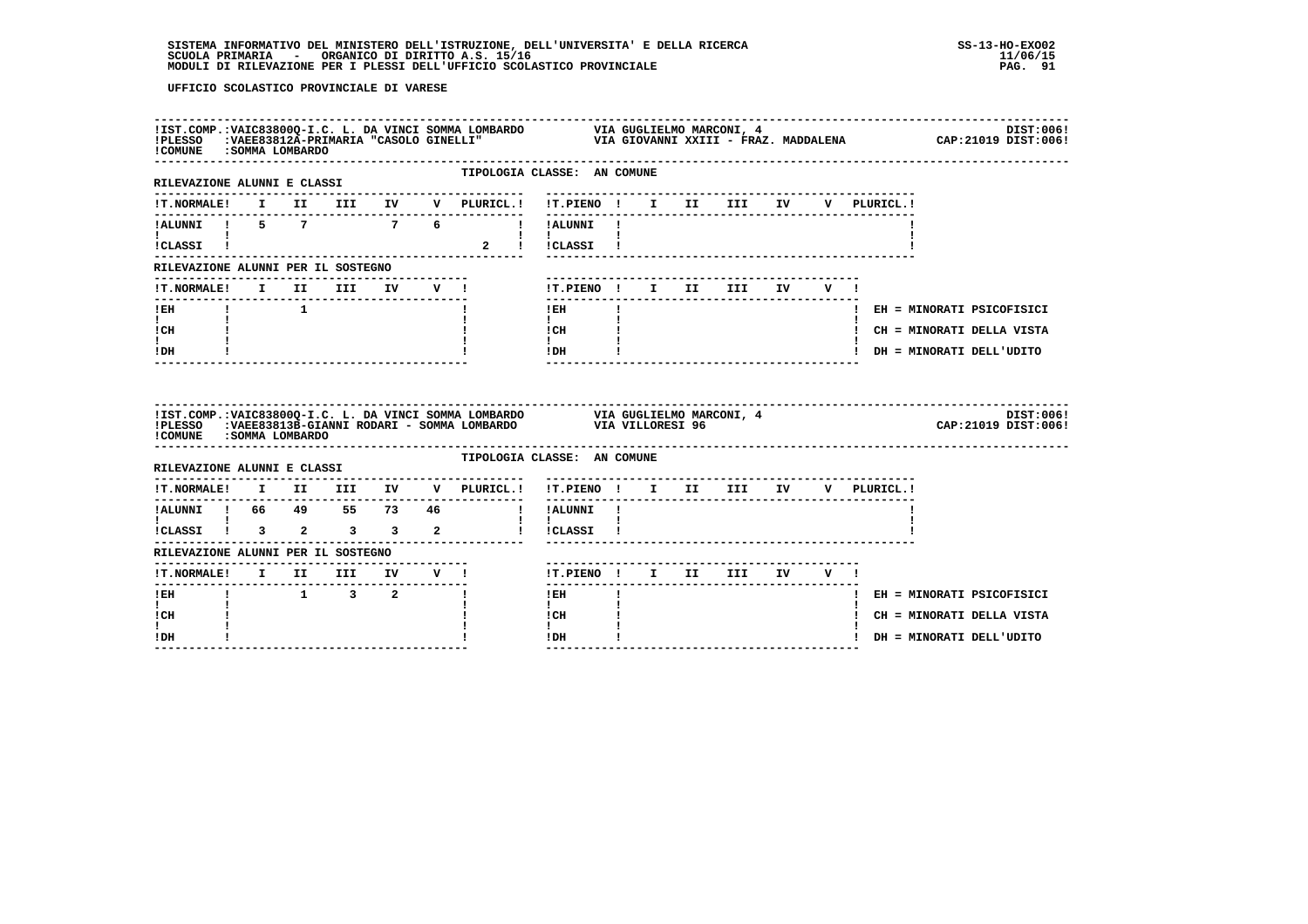| ! COMUNE : SOMMA LOMBARDO                                        |  |                     |                                     |  | IIST.COMP.:VAIC83800Q-I.C. L. DA VINCI SOMMA LOMBARDO         VIA GUGLIELMO MARCONI, 4                       DIST:006!<br>IPLESSO   :VAEE83812A-PRIMARIA "CASOLO GINELLI"                         VIA GIOVANNI XXIII - FRAZ. MADD |                                            |  |                                        |  |  |                             |           |
|------------------------------------------------------------------|--|---------------------|-------------------------------------|--|-----------------------------------------------------------------------------------------------------------------------------------------------------------------------------------------------------------------------------------|--------------------------------------------|--|----------------------------------------|--|--|-----------------------------|-----------|
| ---------------------------------<br>RILEVAZIONE ALUNNI E CLASSI |  |                     |                                     |  | TIPOLOGIA CLASSE: AN COMUNE                                                                                                                                                                                                       |                                            |  |                                        |  |  |                             |           |
|                                                                  |  |                     |                                     |  | !T.NORMALE! I II III IV V PLURICL.! !T.PIENO ! I II III IV V PLURICL.!                                                                                                                                                            |                                            |  |                                        |  |  |                             |           |
|                                                                  |  |                     |                                     |  | IALUNNI I 5 7 7 6 !!ALUNNI!                                                                                                                                                                                                       |                                            |  |                                        |  |  |                             |           |
| $\blacksquare$<br>iCLASSI !                                      |  |                     |                                     |  |                                                                                                                                                                                                                                   | $\mathbf{I}$ $\mathbf{I}$<br>2 ! !CLASSI ! |  |                                        |  |  |                             |           |
| RILEVAZIONE ALUNNI PER IL SOSTEGNO                               |  |                     |                                     |  |                                                                                                                                                                                                                                   |                                            |  |                                        |  |  |                             |           |
|                                                                  |  |                     |                                     |  | !T.NORMALE! I II III IV V !                                                                                                                                                                                                       | !T.PIENO! I II III IV V!                   |  |                                        |  |  |                             |           |
| $!$ EH                                                           |  | $1 \qquad \qquad 1$ |                                     |  |                                                                                                                                                                                                                                   | ---------------<br>$!$ EH                  |  |                                        |  |  | ! EH = MINORATI PSICOFISICI |           |
| $\mathbf{I}$ and $\mathbf{I}$<br>! CH                            |  |                     |                                     |  |                                                                                                                                                                                                                                   | $\mathbf{I}$<br>! CH                       |  |                                        |  |  | ! CH = MINORATI DELLA VISTA |           |
| $\mathbf{I}$<br>! DH                                             |  |                     |                                     |  |                                                                                                                                                                                                                                   | $\mathbf{I}$ and $\mathbf{I}$<br>! DH      |  | -------------------------------------- |  |  | ! DH = MINORATI DELL'UDITO  |           |
|                                                                  |  |                     |                                     |  |                                                                                                                                                                                                                                   |                                            |  |                                        |  |  |                             |           |
| ! COMUNE : SOMMA LOMBARDO                                        |  |                     |                                     |  | !IST.COMP.:VAIC83800Q-I.C. L. DA VINCI SOMMA LOMBARDO VIA GUGLIELMO MARCONI, 4<br>!PLESSO :VAEE83813B-GIANNI RODARI - SOMMA LOMBARDO VIA VILLORESI 96                                                                             |                                            |  |                                        |  |  | CAP: 21019 DIST: 006!       | DIST:006! |
| RILEVAZIONE ALUNNI E CLASSI                                      |  |                     |                                     |  | TIPOLOGIA CLASSE: AN COMUNE                                                                                                                                                                                                       |                                            |  |                                        |  |  |                             |           |
|                                                                  |  |                     |                                     |  | !T.NORMALE! I II III IV V PLURICL.! !T.PIENO ! I II III IV V PLURICL.!                                                                                                                                                            |                                            |  |                                        |  |  |                             |           |
| ----------------                                                 |  |                     |                                     |  | . <u>.</u> .                                                                                                                                                                                                                      |                                            |  |                                        |  |  |                             |           |
|                                                                  |  |                     |                                     |  |                                                                                                                                                                                                                                   |                                            |  |                                        |  |  |                             |           |
| RILEVAZIONE ALUNNI PER IL SOSTEGNO                               |  |                     |                                     |  |                                                                                                                                                                                                                                   |                                            |  |                                        |  |  |                             |           |
|                                                                  |  |                     |                                     |  |                                                                                                                                                                                                                                   | !T.PIENO ! I II III IV V !                 |  |                                        |  |  |                             |           |
| $!$ EH                                                           |  |                     | $1 \qquad 3 \qquad 2 \qquad \qquad$ |  |                                                                                                                                                                                                                                   | ! EH                                       |  |                                        |  |  | ! EH = MINORATI PSICOFISICI |           |
| $\mathbf{I}$<br>! CH<br>L                                        |  |                     |                                     |  |                                                                                                                                                                                                                                   | $\mathbf{I}$<br>! CH<br>$\mathbf{I}$       |  |                                        |  |  | ! CH = MINORATI DELLA VISTA |           |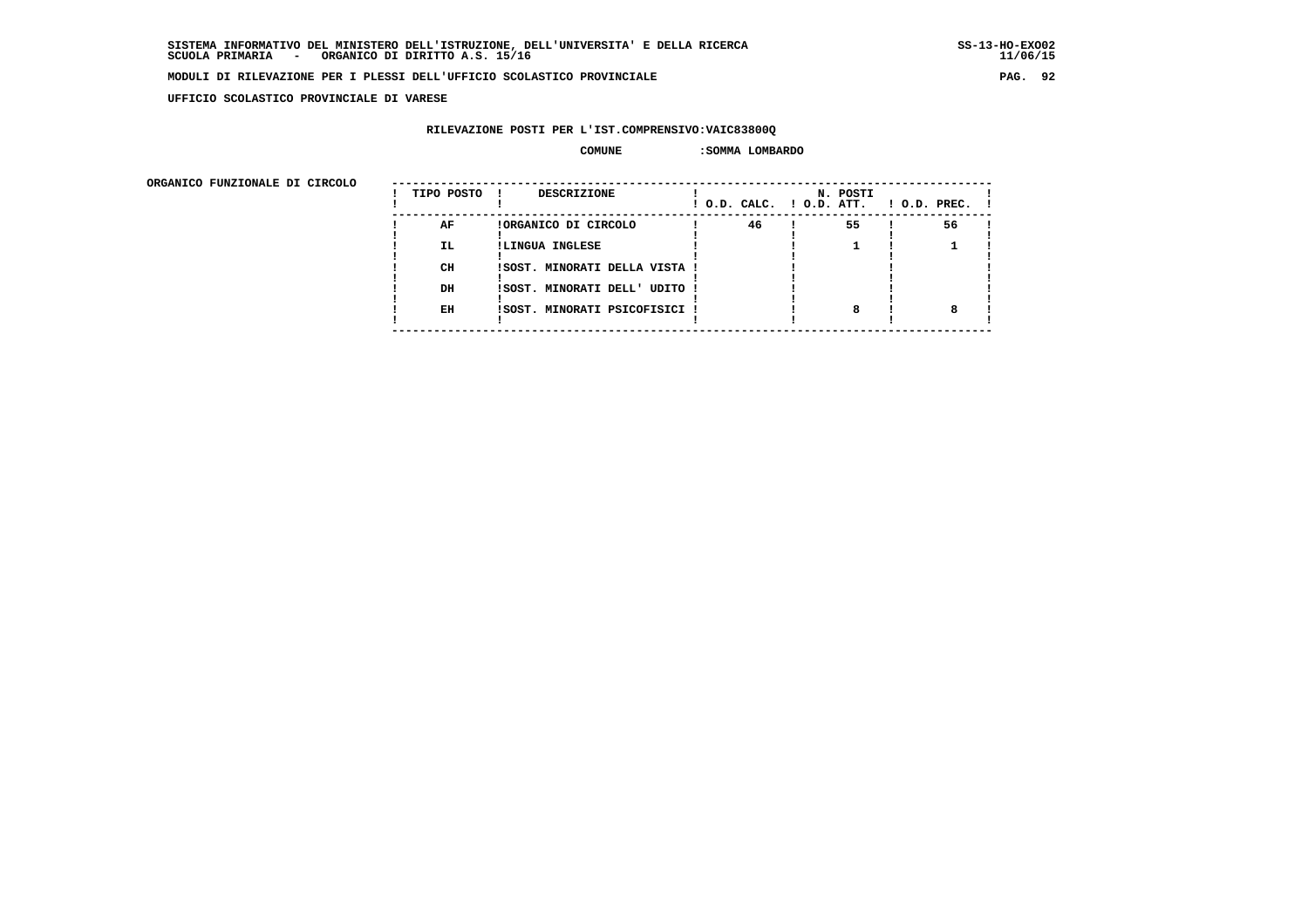**UFFICIO SCOLASTICO PROVINCIALE DI VARESE**

# **RILEVAZIONE POSTI PER L'IST.COMPRENSIVO:VAIC83800Q**

#### **COMUNE :SOMMA LOMBARDO**

| ORGANICO FUNZIONALE DI CIRCOLO |            |                               |    |                                      |              |
|--------------------------------|------------|-------------------------------|----|--------------------------------------|--------------|
|                                | TIPO POSTO | <b>DESCRIZIONE</b><br>. .     |    | N. POSTI<br>! O.D. CALC. ! O.D. ATT. | ! O.D. PREC. |
|                                | AF         | !ORGANICO DI CIRCOLO          | 46 | 55                                   | 56           |
|                                | IL.        | !LINGUA INGLESE               |    |                                      |              |
|                                | CH         | !SOST. MINORATI DELLA VISTA ! |    |                                      |              |
|                                | DH         | !SOST. MINORATI DELL' UDITO ! |    |                                      |              |
|                                | EH         | !SOST. MINORATI PSICOFISICI ! |    |                                      |              |
|                                |            |                               |    |                                      |              |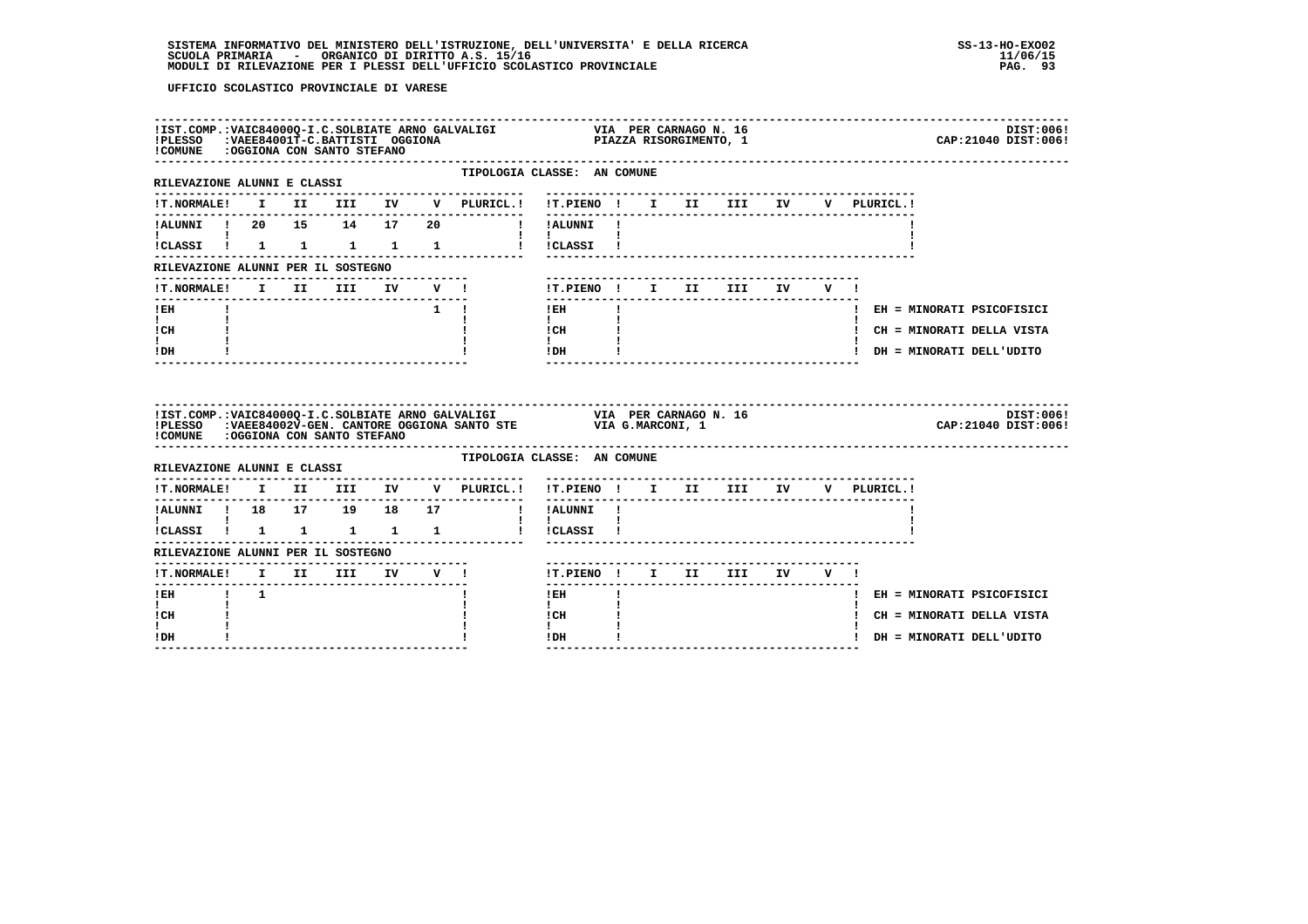| !COMUNE : OGGIONA CON SANTO STEFANO            |  |                                  |  |                                                                        |                                                                                                                                                                                                                                                                                                                                                               |  |  |  |  |                             | DIST:006!<br>CAP: 21040 DIST: 006! |
|------------------------------------------------|--|----------------------------------|--|------------------------------------------------------------------------|---------------------------------------------------------------------------------------------------------------------------------------------------------------------------------------------------------------------------------------------------------------------------------------------------------------------------------------------------------------|--|--|--|--|-----------------------------|------------------------------------|
| RILEVAZIONE ALUNNI E CLASSI                    |  |                                  |  | TIPOLOGIA CLASSE: AN COMUNE                                            |                                                                                                                                                                                                                                                                                                                                                               |  |  |  |  |                             |                                    |
|                                                |  |                                  |  |                                                                        |                                                                                                                                                                                                                                                                                                                                                               |  |  |  |  |                             |                                    |
|                                                |  |                                  |  | !ALUNNI ! 20 15 14 17 20     !! !ALUNNI !                              |                                                                                                                                                                                                                                                                                                                                                               |  |  |  |  |                             |                                    |
| $\mathbf{I}$ and $\mathbf{I}$ and $\mathbf{I}$ |  |                                  |  | ICLASSI ! 1 1 1 1 1 1 1 ICLASSI !                                      | $1 \quad 1 \quad 2 \quad$                                                                                                                                                                                                                                                                                                                                     |  |  |  |  |                             |                                    |
| RILEVAZIONE ALUNNI PER IL SOSTEGNO             |  |                                  |  | --------------------                                                   |                                                                                                                                                                                                                                                                                                                                                               |  |  |  |  |                             |                                    |
|                                                |  |                                  |  |                                                                        | !T.PIENO! I II III IV V!                                                                                                                                                                                                                                                                                                                                      |  |  |  |  |                             |                                    |
|                                                |  |                                  |  | $\mathbf{1}$ $\mathbf{1}$ $\mathbf{1}$                                 | ---------------<br>$!$ EH $\qquad$ $\qquad$ $\qquad$ $\qquad$ $\qquad$ $\qquad$ $\qquad$ $\qquad$ $\qquad$ $\qquad$ $\qquad$ $\qquad$ $\qquad$ $\qquad$ $\qquad$ $\qquad$ $\qquad$ $\qquad$ $\qquad$ $\qquad$ $\qquad$ $\qquad$ $\qquad$ $\qquad$ $\qquad$ $\qquad$ $\qquad$ $\qquad$ $\qquad$ $\qquad$ $\qquad$ $\qquad$ $\qquad$ $\qquad$ $\qquad$ $\qquad$ |  |  |  |  | ! EH = MINORATI PSICOFISICI |                                    |
| $\mathbf{I}$ and $\mathbf{I}$<br>! CH          |  |                                  |  |                                                                        | $\mathbf{I}$<br>! CH                                                                                                                                                                                                                                                                                                                                          |  |  |  |  | ! CH = MINORATI DELLA VISTA |                                    |
| t i<br>! DH                                    |  | -------------------------------- |  |                                                                        | $\mathbf{I}$ and $\mathbf{I}$<br>! DH                                                                                                                                                                                                                                                                                                                         |  |  |  |  | ! DH = MINORATI DELL'UDITO  |                                    |
|                                                |  |                                  |  |                                                                        |                                                                                                                                                                                                                                                                                                                                                               |  |  |  |  |                             |                                    |
| !COMUNE : OGGIONA CON SANTO STEFANO            |  |                                  |  |                                                                        |                                                                                                                                                                                                                                                                                                                                                               |  |  |  |  |                             | DIST:006!<br>CAP: 21040 DIST: 006! |
| RILEVAZIONE ALUNNI E CLASSI                    |  |                                  |  | TIPOLOGIA CLASSE: AN COMUNE                                            |                                                                                                                                                                                                                                                                                                                                                               |  |  |  |  |                             |                                    |
|                                                |  |                                  |  | !T.NORMALE! I II III IV V PLURICL.! !T.PIENO ! I II III IV V PLURICL.! |                                                                                                                                                                                                                                                                                                                                                               |  |  |  |  |                             |                                    |
|                                                |  |                                  |  |                                                                        |                                                                                                                                                                                                                                                                                                                                                               |  |  |  |  |                             |                                    |
| $\mathbf{I}$ $\mathbf{I}$                      |  |                                  |  | !CLASSI ! 1 1 1 1 1 ! !CLASSI !                                        | $\mathbf{1}$ $\mathbf{1}$                                                                                                                                                                                                                                                                                                                                     |  |  |  |  |                             |                                    |
| RILEVAZIONE ALUNNI PER IL SOSTEGNO             |  |                                  |  |                                                                        |                                                                                                                                                                                                                                                                                                                                                               |  |  |  |  |                             |                                    |
|                                                |  |                                  |  |                                                                        |                                                                                                                                                                                                                                                                                                                                                               |  |  |  |  |                             |                                    |
| IEH 1 1                                        |  |                                  |  |                                                                        | $!$ EH                                                                                                                                                                                                                                                                                                                                                        |  |  |  |  | ! EH = MINORATI PSICOFISICI |                                    |
| $\mathbf{I}$<br>! CH<br>$\mathbf{I}$           |  |                                  |  |                                                                        | $\mathbf{I}$<br>! CH<br>$\mathbf{I}$                                                                                                                                                                                                                                                                                                                          |  |  |  |  | ! CH = MINORATI DELLA VISTA |                                    |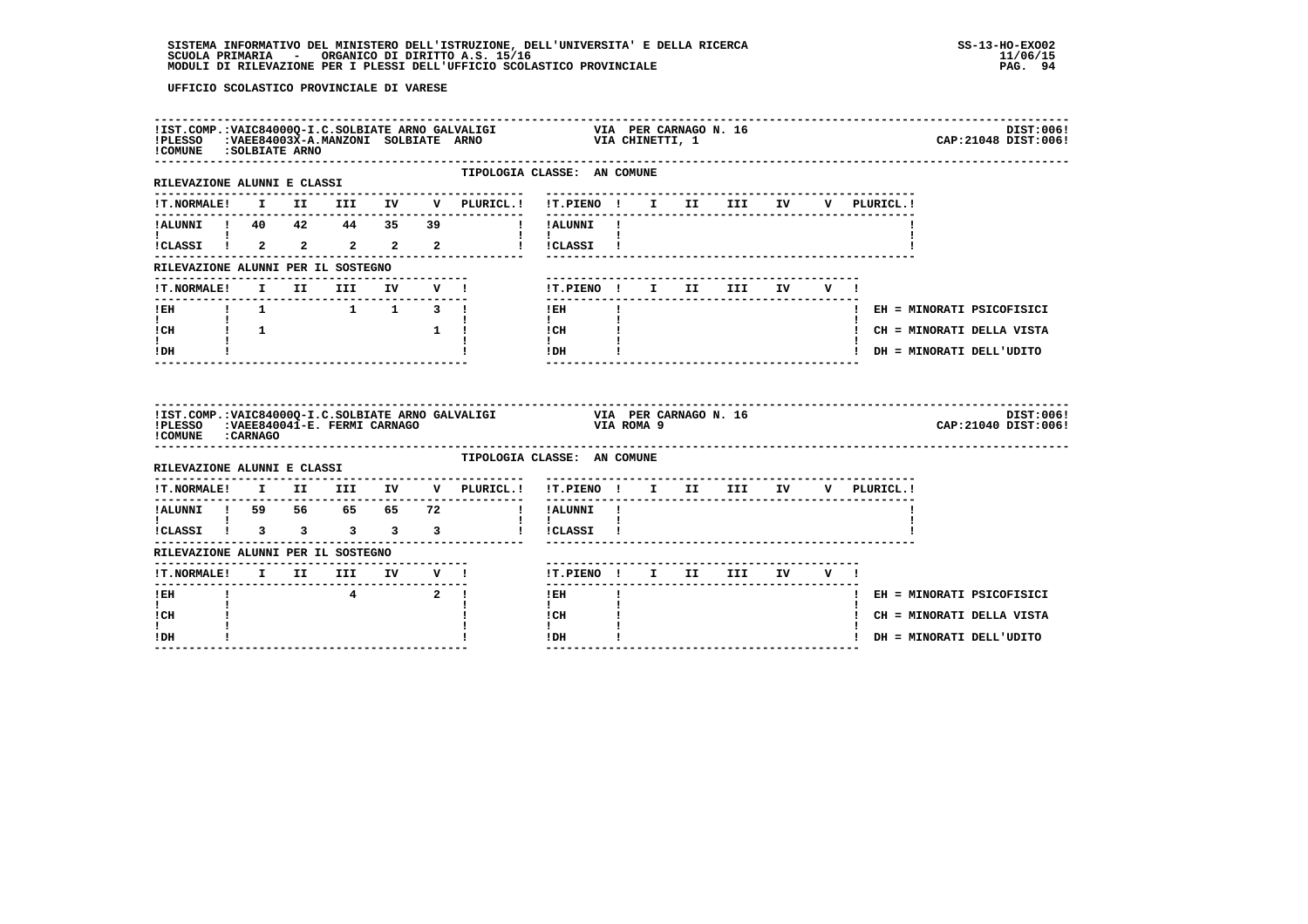| ! COMUNE : SOLBIATE ARNO                                        |              |  |          |               |        |                                                                                                 | $\verb IST.COMP.:VALC84000Q-I.C.SOLBIATE ARNO GALVALIGI VIA PER CARNAGO N. 16   PLESSO :VAEE84003X-A.MANZONI SOLBIATE ARNO VIA CHINETTI, 1$ | DIST:006!<br>CAP: 21048 DIST: 006! |
|-----------------------------------------------------------------|--------------|--|----------|---------------|--------|-------------------------------------------------------------------------------------------------|---------------------------------------------------------------------------------------------------------------------------------------------|------------------------------------|
| --------------------------------<br>RILEVAZIONE ALUNNI E CLASSI |              |  |          |               |        |                                                                                                 | TIPOLOGIA CLASSE: AN COMUNE                                                                                                                 |                                    |
| !T.NORMALE!                                                     |              |  |          |               |        |                                                                                                 | I II III IV V PLURICL.! !T.PIENO ! I II III IV<br>---------                                                                                 | V PLURICL.!                        |
|                                                                 |              |  |          |               |        | ! !ALUNNI !                                                                                     |                                                                                                                                             |                                    |
| !CLASSI ! 2 2                                                   |              |  |          |               |        | $\mathbf{I}$ and $\mathbf{I}$                                                                   |                                                                                                                                             |                                    |
| RILEVAZIONE ALUNNI PER IL SOSTEGNO                              |              |  |          |               |        |                                                                                                 |                                                                                                                                             |                                    |
| !T.NORMALE!                                                     |              |  | I II III |               | IV V ! |                                                                                                 | !T.PIENO ! I II III                                                                                                                         | IV V !                             |
|                                                                 |              |  |          |               |        |                                                                                                 | ---------------<br>! EH                                                                                                                     | ! EH = MINORATI PSICOFISICI        |
| $\mathbf{I}$ and $\mathbf{I}$<br>$ICH$ $1$ $1$                  | $\mathbf{I}$ |  |          | $\frac{1}{1}$ |        |                                                                                                 | $\mathbf{I}$<br>$\frac{1 \text{CH}}{1}$ $\frac{1}{1}$                                                                                       | ! CH = MINORATI DELLA VISTA        |
| t i<br>! DH                                                     |              |  |          |               |        |                                                                                                 | IDH                                                                                                                                         | ! DH = MINORATI DELL'UDITO         |
| ! COMUNE : CARNAGO                                              |              |  |          |               |        |                                                                                                 |                                                                                                                                             | DIST:006!<br>CAP: 21040 DIST: 006! |
| RILEVAZIONE ALUNNI E CLASSI                                     |              |  |          |               |        |                                                                                                 | TIPOLOGIA CLASSE: AN COMUNE                                                                                                                 |                                    |
|                                                                 |              |  |          |               |        | $\verb !T.NORMALE  \quad I \quad II \quad III \quad IV \quad V \quad \verb PLURICL    \newline$ | !T.PIENO ! I II III IV V PLURICL.!                                                                                                          |                                    |
|                                                                 |              |  |          |               |        | ---------------                                                                                 | ! !ALUNNI !                                                                                                                                 |                                    |
|                                                                 |              |  |          |               |        |                                                                                                 | $\mathbf{I}$<br>! !CLASSI !                                                                                                                 |                                    |
| RILEVAZIONE ALUNNI PER IL SOSTEGNO                              |              |  |          |               |        |                                                                                                 |                                                                                                                                             |                                    |
|                                                                 |              |  |          |               |        |                                                                                                 | !T.PIENO ! I II III IV V !                                                                                                                  |                                    |
| ! EH                                                            |              |  | 4 2 !    |               |        |                                                                                                 | ! EH                                                                                                                                        | ! EH = MINORATI PSICOFISICI        |
|                                                                 |              |  |          |               |        |                                                                                                 | $\mathbf{I}$                                                                                                                                |                                    |
| $\mathbf{I}$<br>! CH                                            |              |  |          |               |        |                                                                                                 | ! CH                                                                                                                                        | ! CH = MINORATI DELLA VISTA        |
| L<br>! DH                                                       |              |  |          |               |        |                                                                                                 | $\mathbf{I}$<br>$\mathbf{I}$<br>! DH                                                                                                        | ! DH = MINORATI DELL'UDITO         |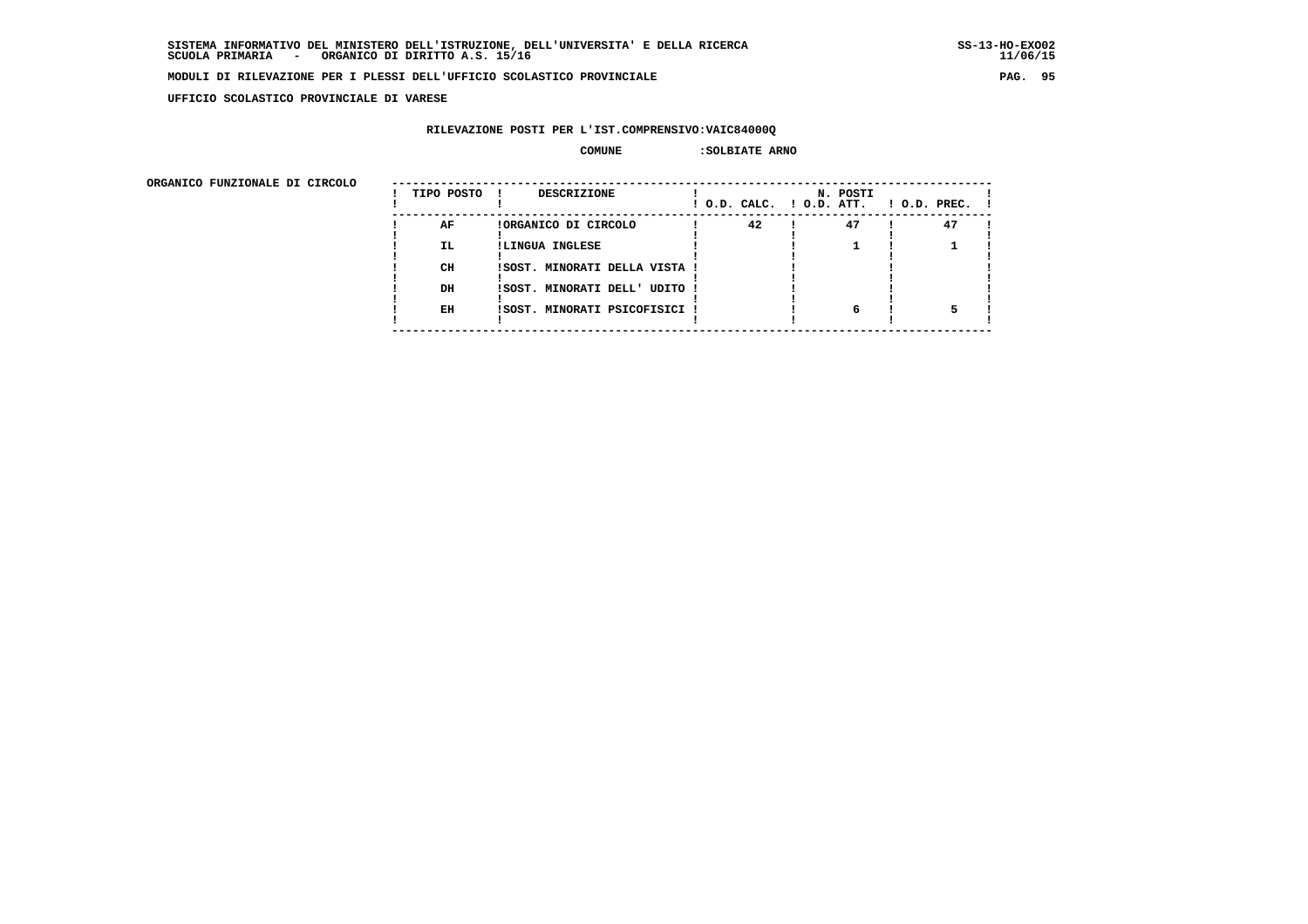**UFFICIO SCOLASTICO PROVINCIALE DI VARESE**

# **RILEVAZIONE POSTI PER L'IST.COMPRENSIVO:VAIC84000Q**

#### **COMUNE : SOLBIATE ARNO**

| URGANICO FUNZIONALE DI CIRCOLO | TIPO POSTO | DESCRIZIONE                   | ! O.D. CALC. ! O.D. ATT. | N. POSTI | $!$ $0.D.$ $PREC.$ $!$ |
|--------------------------------|------------|-------------------------------|--------------------------|----------|------------------------|
|                                | AF         | !ORGANICO DI CIRCOLO          | 42                       | 47       | 47                     |
|                                | <b>IL</b>  | !LINGUA INGLESE               |                          |          |                        |
|                                | CH         | !SOST. MINORATI DELLA VISTA ! |                          |          |                        |
|                                | DH         | !SOST. MINORATI DELL' UDITO ! |                          |          |                        |
|                                | EH         | !SOST. MINORATI PSICOFISICI ! |                          | 6        |                        |
|                                |            |                               |                          |          |                        |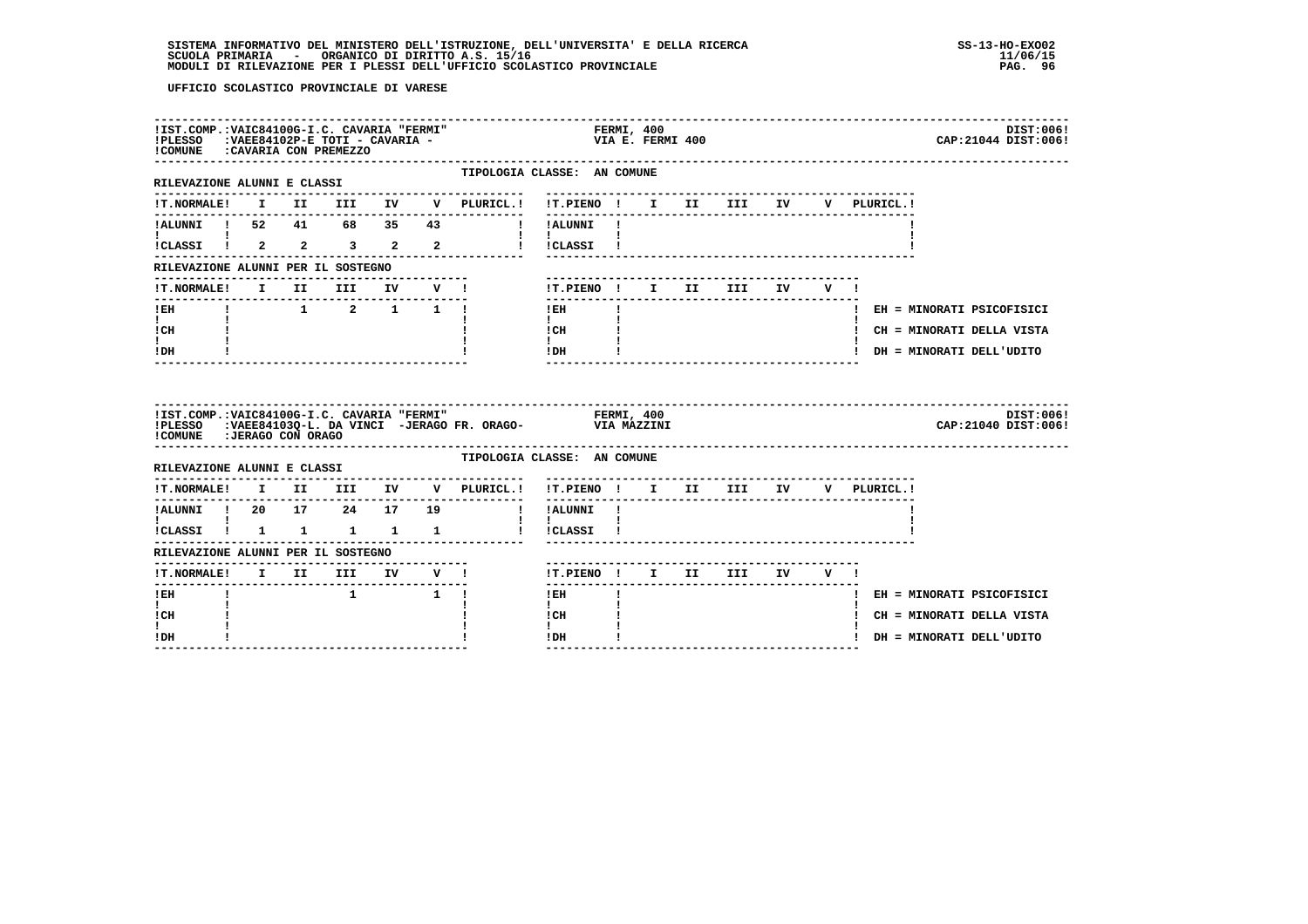# **SISTEMA INFORMATIVO DEL MINISTERO DELL'ISTRUZIONE, DELL'UNIVERSITA' E DELLA RICERCA SS-13-HO-EXO02**SCUOLA PRIMARIA - ORGANICO DI DIRITTO A.S. 15/16<br>MODULI DI RILEVAZIONE PER I PLESSI DELL'UFFICIO SCOLASTICO PROVINCIALE **provinciale page all'aliat del me**rg. 96

| !IST.COMP.: VAIC84100G-I.C. CAVARIA "FERMI"<br>!PLESSO : VAEE84102P-E TOTI - CAVARIA -<br>!COMUNE : CAVARIA CON PREMEZZO |  |               |  |                                 | FERMI, 400<br>VIA E. FERMI 400<br>DIST:006!<br>CAP: 21044 DIST: 006!                                                                                                                                                                                                                                                                                                                     |
|--------------------------------------------------------------------------------------------------------------------------|--|---------------|--|---------------------------------|------------------------------------------------------------------------------------------------------------------------------------------------------------------------------------------------------------------------------------------------------------------------------------------------------------------------------------------------------------------------------------------|
| RILEVAZIONE ALUNNI E CLASSI<br>---------------------                                                                     |  |               |  |                                 | TIPOLOGIA CLASSE: AN COMUNE                                                                                                                                                                                                                                                                                                                                                              |
| <b>!T.NORMALE!</b>                                                                                                       |  |               |  | I II III IV V PLURICL.!         | !T.PIENO ! I II III IV V PLURICL.!                                                                                                                                                                                                                                                                                                                                                       |
|                                                                                                                          |  |               |  |                                 | !ALUNNI ! 52 41 68 35 43 ! !ALUNNI !                                                                                                                                                                                                                                                                                                                                                     |
| $\mathbf{I}$ and $\mathbf{I}$                                                                                            |  |               |  |                                 | $\mathbf{1}$ $\mathbf{1}$<br>ICLASSI I 2 2 3 2 2 1 ICLASSI I                                                                                                                                                                                                                                                                                                                             |
| RILEVAZIONE ALUNNI PER IL SOSTEGNO                                                                                       |  |               |  |                                 |                                                                                                                                                                                                                                                                                                                                                                                          |
|                                                                                                                          |  |               |  | ------------------------------- | !T.NORMALE! I II III IV V !    T.PIENO ! I II III IV V !                                                                                                                                                                                                                                                                                                                                 |
| --------------------------<br>$I$ EH                                                                                     |  |               |  | $\frac{1}{1}$ 1 2 1 1 1         | $!$ EH<br>$\mathbf{I}$<br>! EH = MINORATI PSICOFISICI<br>$1 - 1$                                                                                                                                                                                                                                                                                                                         |
| $\mathbf{I}$ and $\mathbf{I}$<br>ICH                                                                                     |  |               |  |                                 | ! CH = MINORATI DELLA VISTA                                                                                                                                                                                                                                                                                                                                                              |
| $\mathbf{I}$ and $\mathbf{I}$<br>$!$ DH                                                                                  |  |               |  |                                 | $\begin{tabular}{ccccc} ! & CH & & & & & & & \\ ! & & & & & & & \\ ! & & & & & & & \\ ! & DH & & & & & & \\ \end{tabular}$<br>! DH = MINORATI DELL'UDITO                                                                                                                                                                                                                                 |
| ! COMUNE : JERAGO CON ORAGO                                                                                              |  |               |  |                                 | IIST.COMP.:VAIC84100G-I.C. CAVARIA "FERMI" FERMI, 400<br>IPLESSO :VAEE84103Q-L. DA VINCI -JERAGO FR. ORAGO- VIA MAZZINI<br>DIST:006!<br>CAP: 21040 DIST: 006!                                                                                                                                                                                                                            |
| RILEVAZIONE ALUNNI E CLASSI                                                                                              |  |               |  |                                 | TIPOLOGIA CLASSE: AN COMUNE                                                                                                                                                                                                                                                                                                                                                              |
|                                                                                                                          |  |               |  |                                 | !T.NORMALE! I II III IV V PLURICL.! !T.PIENO ! I II III IV V PLURICL.!                                                                                                                                                                                                                                                                                                                   |
|                                                                                                                          |  |               |  |                                 | !ALUNNI ! 20 17 24 17 19 ! !ALUNNI !                                                                                                                                                                                                                                                                                                                                                     |
| $\mathbf{I}$ and $\mathbf{I}$ and $\mathbf{I}$                                                                           |  |               |  |                                 | $\mathbf{1}$ $\mathbf{1}$                                                                                                                                                                                                                                                                                                                                                                |
| RILEVAZIONE ALUNNI PER IL SOSTEGNO                                                                                       |  |               |  |                                 |                                                                                                                                                                                                                                                                                                                                                                                          |
|                                                                                                                          |  |               |  |                                 | !T.PIENO ! I II III IV V !                                                                                                                                                                                                                                                                                                                                                               |
| $I$ EH                                                                                                                   |  | $1 \t 1 \t 1$ |  |                                 | ! EH<br>! EH = MINORATI PSICOFISICI                                                                                                                                                                                                                                                                                                                                                      |
| $\mathbf{I}$<br>! CH                                                                                                     |  |               |  |                                 | $\mathbf{I}$<br>! CH<br>! CH = MINORATI DELLA VISTA                                                                                                                                                                                                                                                                                                                                      |
| I.<br>! DH                                                                                                               |  |               |  |                                 | $\mathbf{I}$<br>$!$ DH $\qquad$ $\qquad$ $\qquad$ $\qquad$ $\qquad$ $\qquad$ $\qquad$ $\qquad$ $\qquad$ $\qquad$ $\qquad$ $\qquad$ $\qquad$ $\qquad$ $\qquad$ $\qquad$ $\qquad$ $\qquad$ $\qquad$ $\qquad$ $\qquad$ $\qquad$ $\qquad$ $\qquad$ $\qquad$ $\qquad$ $\qquad$ $\qquad$ $\qquad$ $\qquad$ $\qquad$ $\qquad$ $\qquad$ $\qquad$ $\qquad$ $\qquad$<br>! DH = MINORATI DELL'UDITO |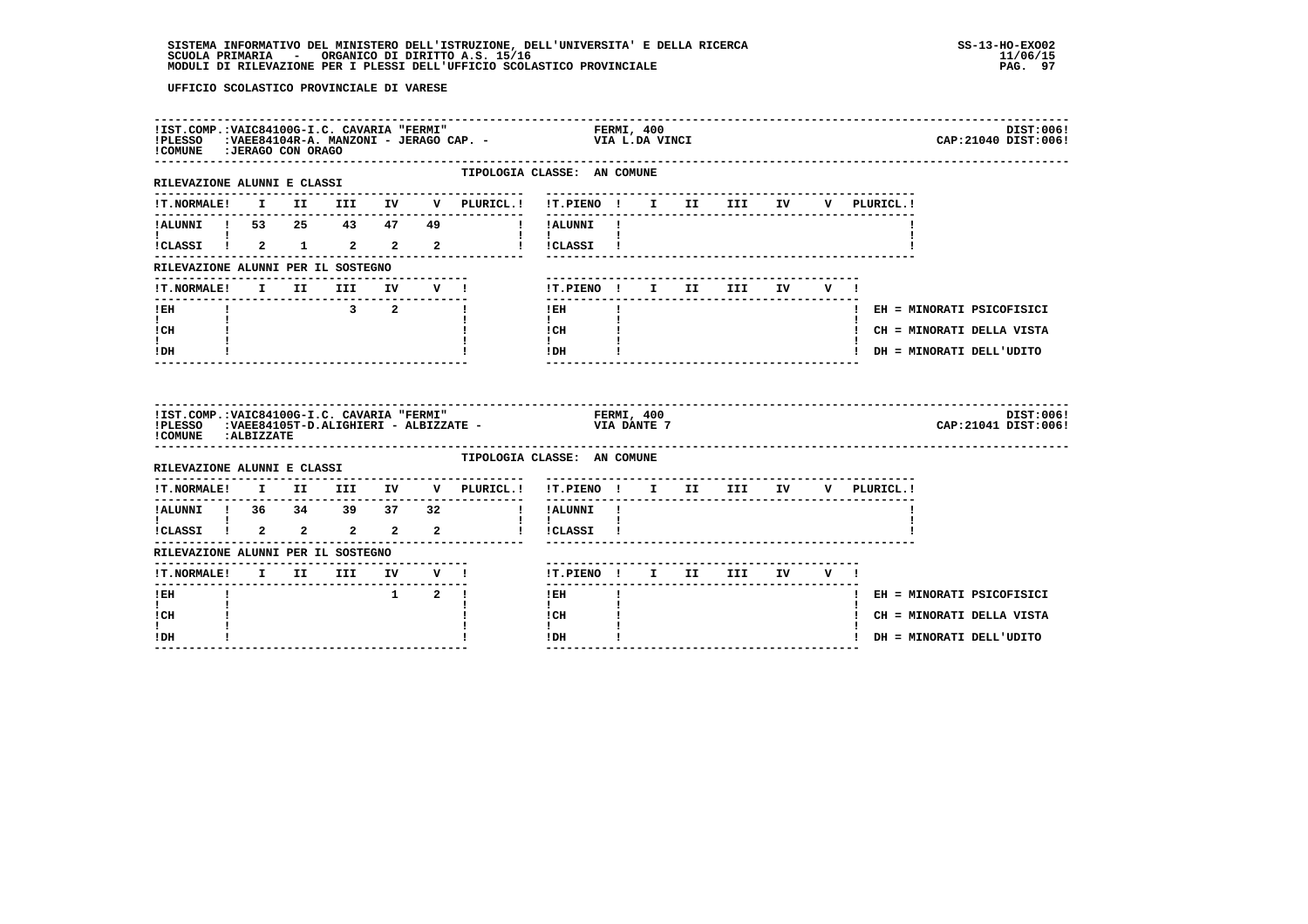| ! COMUNE : JERAGO CON ORAGO                                                |  |               |                     |                             | IIST.COMP.:VAIC84100G-I.C. CAVARIA "FERMI"                         FERMI, 400<br>IPLESSO   :VAEE84104R-A. MANZONI - JERAGO CAP. -                   VIA L.DA VINCI           |  |  |             | DIST:006!<br>CAP: 21040 DIST: 006! |
|----------------------------------------------------------------------------|--|---------------|---------------------|-----------------------------|------------------------------------------------------------------------------------------------------------------------------------------------------------------------------|--|--|-------------|------------------------------------|
| -------------------------------<br>RILEVAZIONE ALUNNI E CLASSI             |  |               |                     | . _ _ _ _ _ _ _ _ _ _ _ _ _ | TIPOLOGIA CLASSE: AN COMUNE                                                                                                                                                  |  |  |             |                                    |
|                                                                            |  |               |                     |                             |                                                                                                                                                                              |  |  | V PLURICL.! |                                    |
| <b>I</b> and the state of the state of                                     |  |               |                     |                             |                                                                                                                                                                              |  |  |             |                                    |
|                                                                            |  |               |                     |                             | ICLASSI 1 2 1 2 2 2 1 ICLASSI 1                                                                                                                                              |  |  |             |                                    |
| RILEVAZIONE ALUNNI PER IL SOSTEGNO                                         |  |               |                     |                             |                                                                                                                                                                              |  |  |             |                                    |
| !T.NORMALE! I II III IV V !                                                |  |               |                     |                             | !T.PIENO! I II III IV V!                                                                                                                                                     |  |  |             |                                    |
| -------------------------------<br>$!$ EH<br>$\mathbf{I}$ and $\mathbf{I}$ |  | $3 \t 2 \t 1$ |                     |                             | $!$ EH<br>$\mathbf{I}$<br>$\mathbf{I}$ and $\mathbf{I}$                                                                                                                      |  |  |             | ! EH = MINORATI PSICOFISICI        |
| ! CH                                                                       |  |               |                     |                             | $\begin{array}{ccc}\n1 \text{CH} & & & 1 \\ 1 & & & 1\n\end{array}$                                                                                                          |  |  |             | ! CH = MINORATI DELLA VISTA        |
| t i<br>! DH                                                                |  |               |                     |                             | IDH                                                                                                                                                                          |  |  |             | ! DH = MINORATI DELL'UDITO         |
|                                                                            |  |               |                     |                             |                                                                                                                                                                              |  |  |             |                                    |
| !COMUNE : ALBIZZATE                                                        |  |               |                     |                             | IIST.COMP.:VAIC84100G-I.C. CAVARIA "FERMI"                           FERMI, 400<br>IPLESSO   :VAEE84105T-D.ALIGHIERI - ALBIZZATE -                               VIA DANTE 7 |  |  |             | DIST:006!<br>CAP: 21041 DIST: 006! |
| RILEVAZIONE ALUNNI E CLASSI                                                |  |               |                     |                             | TIPOLOGIA CLASSE: AN COMUNE                                                                                                                                                  |  |  |             |                                    |
|                                                                            |  |               |                     |                             | !T.NORMALE! I II III IV V PLURICL.! !T.PIENO ! I II III IV V PLURICL.!                                                                                                       |  |  |             |                                    |
|                                                                            |  |               |                     |                             |                                                                                                                                                                              |  |  |             |                                    |
|                                                                            |  |               |                     |                             |                                                                                                                                                                              |  |  |             |                                    |
| RILEVAZIONE ALUNNI PER IL SOSTEGNO                                         |  |               |                     |                             |                                                                                                                                                                              |  |  |             |                                    |
|                                                                            |  |               |                     |                             | !T.PIENO ! I II III IV V !                                                                                                                                                   |  |  |             |                                    |
| $I$ EH                                                                     |  |               | $1 \quad 2 \quad 1$ |                             | $1$ EH                                                                                                                                                                       |  |  |             | ! EH = MINORATI PSICOFISICI        |
| $\mathbf{I}$<br>! CH                                                       |  |               |                     |                             | $\mathbf{I}$<br>! CH                                                                                                                                                         |  |  |             | ! CH = MINORATI DELLA VISTA        |
| I.<br>! DH                                                                 |  |               |                     |                             | $\mathbf{I}$<br>$\mathbf{I}$<br>! DH                                                                                                                                         |  |  |             | ! DH = MINORATI DELL'UDITO         |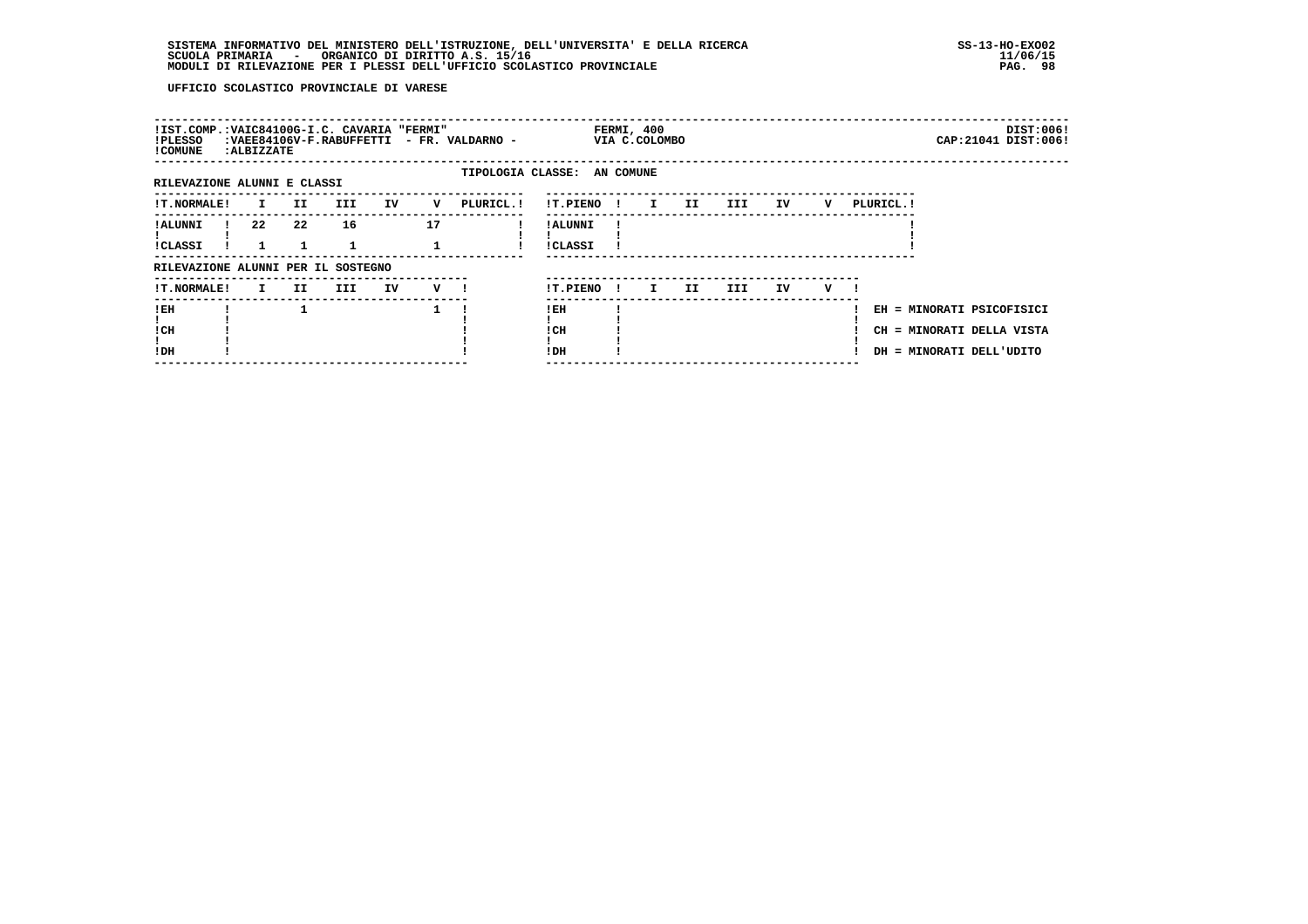| !IST.COMP.:VAIC84100G-I.C. CAVARIA "FERMI"<br>!PLESSO<br>! COMUNE | : ALBIZZATE |     |            |    |     | : VAEE84106V-F.RABUFFETTI - FR. VALDARNO - |                            |              | FERMI, 400<br>VIA C.COLOMBO |    |     |    |   |            | DIST:006!<br>CAP: 21041 DIST: 006!                                                 |
|-------------------------------------------------------------------|-------------|-----|------------|----|-----|--------------------------------------------|----------------------------|--------------|-----------------------------|----|-----|----|---|------------|------------------------------------------------------------------------------------|
| RILEVAZIONE ALUNNI E CLASSI                                       |             |     |            |    |     | TIPOLOGIA CLASSE: AN COMUNE                |                            |              |                             |    |     |    |   |            |                                                                                    |
| <b>!T.NORMALE!</b>                                                | I.          | II. | <b>III</b> | IV | v   | PLURICL. !                                 | !T.PIENO                   | . .          | I.                          | II | III | IV | v | PLURICL. ! |                                                                                    |
| ! ALUNNI<br><b>!CLASSI</b>                                        | 22          | 22  | 16         |    | 17  |                                            | ! ALUNNI<br><b>!CLASSI</b> |              |                             |    |     |    |   |            |                                                                                    |
| RILEVAZIONE ALUNNI PER IL SOSTEGNO                                |             |     |            |    |     |                                            |                            |              |                             |    |     |    |   |            |                                                                                    |
| <b>!T.NORMALE!</b>                                                | I.          | II  | III        | IV | v — |                                            | !T.PIENO                   | $\mathbf{I}$ | I.                          | II | III | IV | v |            |                                                                                    |
| !EH<br>! CH<br>!DH                                                |             |     |            |    |     |                                            | !EH<br>! CH<br>! DH        |              |                             |    |     |    |   |            | EH = MINORATI PSICOFISICI<br>CH = MINORATI DELLA VISTA<br>DH = MINORATI DELL'UDITO |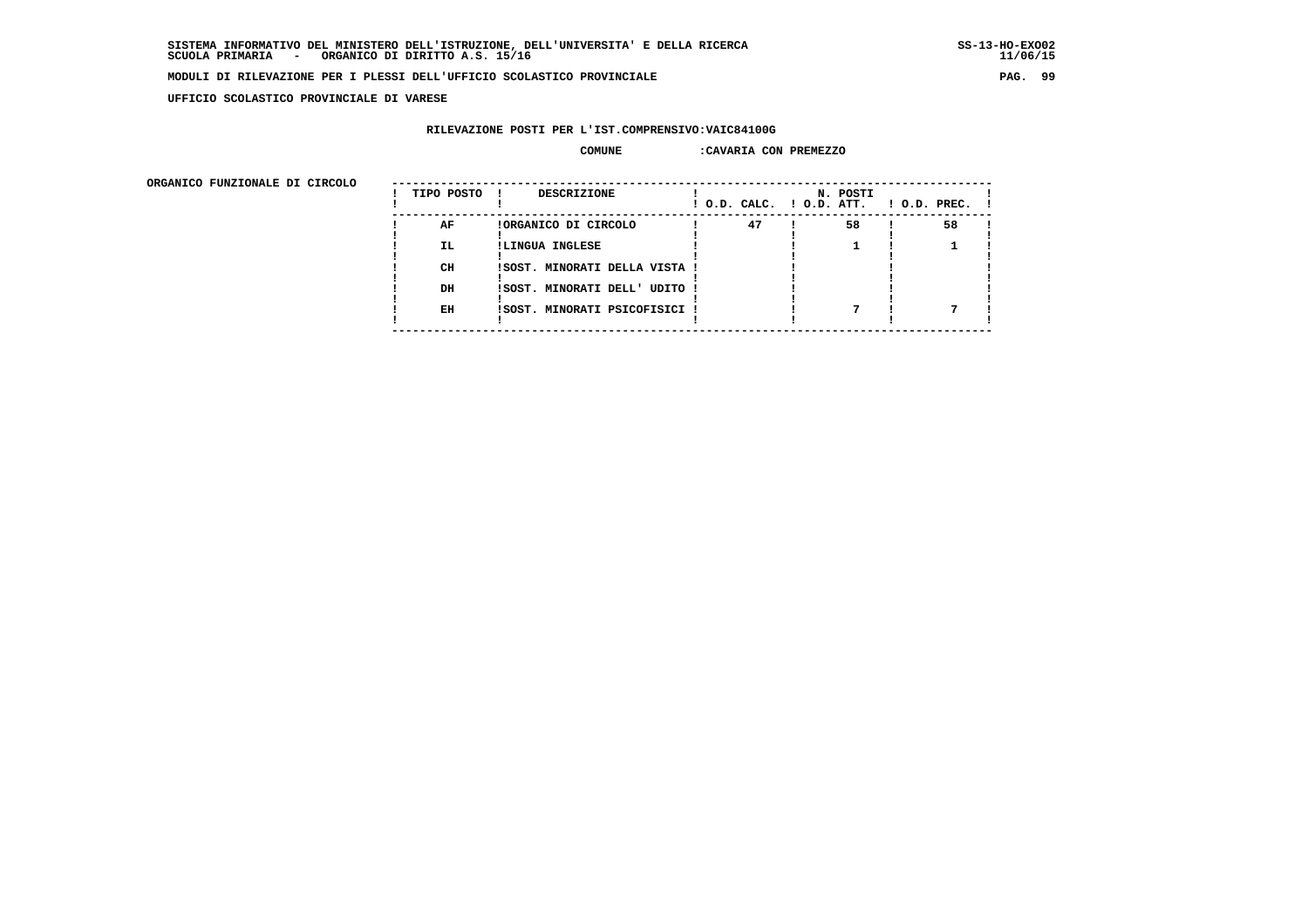**UFFICIO SCOLASTICO PROVINCIALE DI VARESE**

### **RILEVAZIONE POSTI PER L'IST.COMPRENSIVO:VAIC84100G**

#### **COMUNE :CAVARIA CON PREMEZZO**

| TIPO POSTO | <b>DESCRIZIONE</b>   |    | N. POSTI                                                                                        | $!$ 0.D. PREC. $!$                   |
|------------|----------------------|----|-------------------------------------------------------------------------------------------------|--------------------------------------|
| AF         | !ORGANICO DI CIRCOLO | 47 | 58                                                                                              | 58                                   |
| IL.        | !LINGUA INGLESE      |    |                                                                                                 |                                      |
| CH         |                      |    |                                                                                                 |                                      |
| DH         |                      |    |                                                                                                 |                                      |
| EH         |                      |    |                                                                                                 |                                      |
|            |                      |    | ISOST. MINORATI DELLA VISTA !<br>ISOST. MINORATI DELL' UDITO !<br>!SOST. MINORATI PSICOFISICI ! | $!$ $0.D.$ $CALC.$ $!$ $0.D.$ $ATT.$ |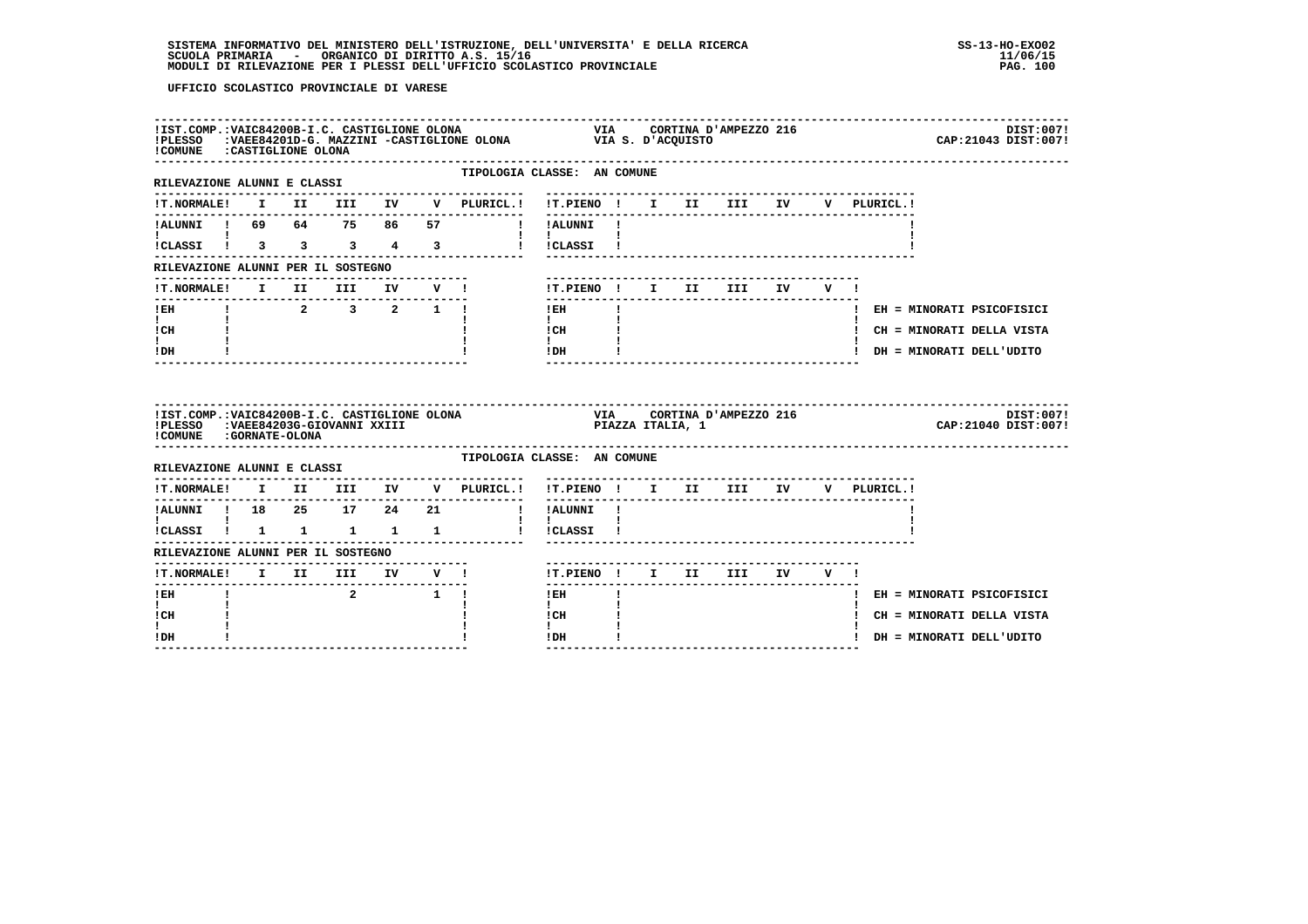| !COMUNE : CASTIGLIONE OLONA                                                                                    |  |                                                                    |                      |        | ILST.COMP.IVAIC84200B-I.C. CASTIGLIONE OLONA VIA CORTINA D'AMPEZZO 216<br>IPLESSO :VAEE84201D-G. MAZZINI -CASTIGLIONE OLONA VIA S. D'ACQUISTO<br>ICOMINE :CASTIGLIONE OLONA |                                              |              |  |                                       |           |         |             | DIST:007!<br>CAP: 21043 DIST: 007! |
|----------------------------------------------------------------------------------------------------------------|--|--------------------------------------------------------------------|----------------------|--------|-----------------------------------------------------------------------------------------------------------------------------------------------------------------------------|----------------------------------------------|--------------|--|---------------------------------------|-----------|---------|-------------|------------------------------------|
| RILEVAZIONE ALUNNI E CLASSI                                                                                    |  |                                                                    |                      |        |                                                                                                                                                                             | TIPOLOGIA CLASSE: AN COMUNE                  |              |  |                                       |           |         |             |                                    |
| <b>!T.NORMALE!</b>                                                                                             |  |                                                                    |                      |        | I II III IV V PLURICL.! !T.PIENO ! I II III IV                                                                                                                              | _________                                    |              |  |                                       |           |         | V PLURICL.! |                                    |
| !ALUNNI ! 69 64 75 86 57                                                                                       |  |                                                                    |                      |        | I !ALUNNI !                                                                                                                                                                 |                                              |              |  |                                       |           |         |             |                                    |
| !CLASSI ! 3 3 3 4 3                                                                                            |  |                                                                    |                      |        |                                                                                                                                                                             | $\mathbf{I}$ $\mathbf{I}$<br>! !CLASSI !     |              |  |                                       |           |         |             |                                    |
| RILEVAZIONE ALUNNI PER IL SOSTEGNO                                                                             |  |                                                                    |                      |        |                                                                                                                                                                             |                                              |              |  |                                       |           |         |             |                                    |
| !T.NORMALE! I II III                                                                                           |  |                                                                    |                      | IV V ! |                                                                                                                                                                             | !T.PIENO ! I II                              |              |  | III                                   | <b>IV</b> | $V = 1$ |             |                                    |
| ---------------------------<br>! EH                                                                            |  | $\begin{array}{ccccccccccccc}\n1 & 2 & 3 & 2 & 1 & 1\n\end{array}$ | -------------------- |        |                                                                                                                                                                             | $!$ EH                                       | $\mathbf{I}$ |  |                                       |           |         |             | ! EH = MINORATI PSICOFISICI        |
| $\mathbf{I}$ and $\mathbf{I}$<br>! CH                                                                          |  |                                                                    |                      |        |                                                                                                                                                                             | $\mathbf{I}$<br>$\sim$ 100 $\pm$ 100<br>! CH |              |  |                                       |           |         |             | ! CH = MINORATI DELLA VISTA        |
| I.<br>! DH                                                                                                     |  |                                                                    |                      |        |                                                                                                                                                                             | $\mathbf{I}$<br>!DH                          |              |  |                                       |           |         |             | ! DH = MINORATI DELL'UDITO         |
|                                                                                                                |  |                                                                    |                      |        |                                                                                                                                                                             |                                              |              |  |                                       |           |         |             |                                    |
| !IST.COMP.:VAIC84200B-I.C. CASTIGLIONE OLONA<br>!PLESSO :VAEE84203G-GIOVANNI XXIII<br>! COMUNE : GORNATE-OLONA |  |                                                                    |                      |        |                                                                                                                                                                             | <br>PIAZZA ITALIA, 1                         |              |  | VIA CORTINA D'AMPEZZO 216             |           |         |             | DIST:007!<br>CAP: 21040 DIST: 007! |
| RILEVAZIONE ALUNNI E CLASSI                                                                                    |  |                                                                    |                      |        |                                                                                                                                                                             | TIPOLOGIA CLASSE: AN COMUNE                  |              |  |                                       |           |         |             |                                    |
|                                                                                                                |  |                                                                    |                      |        | !T.NORMALE! I II III IV V PLURICL.! !T.PIENO ! I II III IV                                                                                                                  |                                              |              |  |                                       |           |         | V PLURICL.! |                                    |
| !ALUNNI ! 18  25  17  24  21                                                                                   |  |                                                                    |                      |        |                                                                                                                                                                             | $- - - - - - -$<br>! !ALUNNI !               |              |  | ------------------------------------- |           |         |             |                                    |
| $\mathbf{I}$ and $\mathbf{I}$ and $\mathbf{I}$                                                                 |  |                                                                    |                      |        |                                                                                                                                                                             | $\mathbf{I}$<br>! !CLASSI !                  |              |  |                                       |           |         |             |                                    |
|                                                                                                                |  |                                                                    |                      |        |                                                                                                                                                                             |                                              |              |  |                                       |           |         |             |                                    |
| !CLASSI ! 1 1 1 1 1<br>RILEVAZIONE ALUNNI PER IL SOSTEGNO                                                      |  |                                                                    |                      |        |                                                                                                                                                                             | !T.PIENO ! I II III IV V !                   |              |  |                                       |           |         |             |                                    |
| $I$ EH                                                                                                         |  | 2 1 1                                                              |                      |        | <u>KLENVALLEN AMANIT I II III IV V I</u><br>IT.NORMALE! I II III IV V !                                                                                                     | ------<br>$!$ EH                             |              |  |                                       |           |         |             | ! EH = MINORATI PSICOFISICI        |
| $\mathbf{I}$<br>! CH                                                                                           |  |                                                                    |                      |        |                                                                                                                                                                             | $\mathbf{I}$<br>! CH                         |              |  |                                       |           |         |             | ! CH = MINORATI DELLA VISTA        |
| I.<br>! DH                                                                                                     |  |                                                                    |                      |        |                                                                                                                                                                             | $\mathbf{I}$<br>! DH                         |              |  |                                       |           |         |             | ! DH = MINORATI DELL'UDITO         |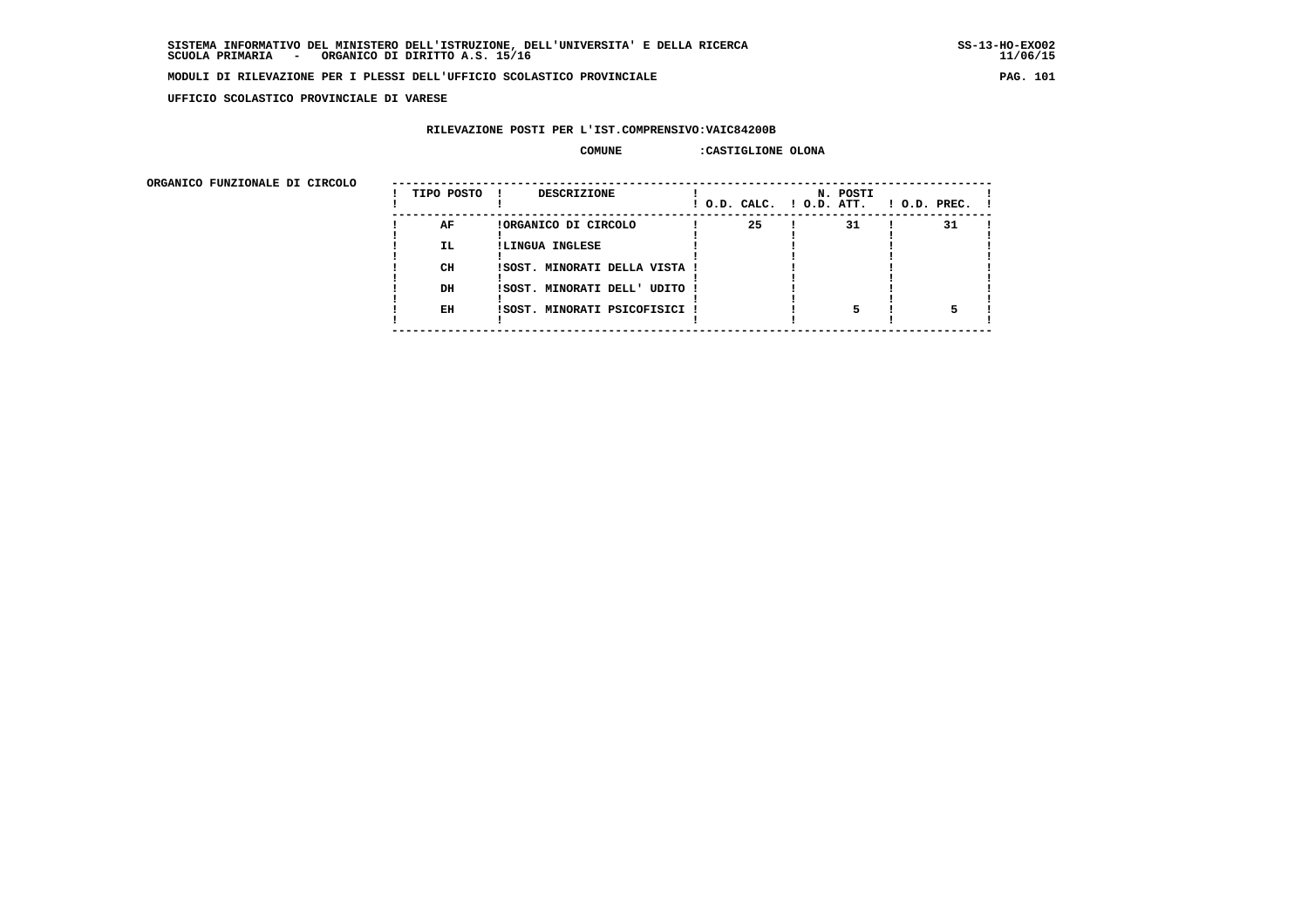$11/06/15$ 

#### **MODULI DI RILEVAZIONE PER I PLESSI DELL'UFFICIO SCOLASTICO PROVINCIALE PAG. 101**

 **UFFICIO SCOLASTICO PROVINCIALE DI VARESE**

#### **RILEVAZIONE POSTI PER L'IST.COMPRENSIVO:VAIC84200B**

#### **COMUNE :CASTIGLIONE OLONA**

| URGANICO FUNZIONALE DI CIRCOLO | TIPO POSTO | DESCRIZIONE                   | ! O.D. CALC. ! O.D. ATT. | N. POSTI | $!$ $0.D.$ $PREC.$ $!$ |
|--------------------------------|------------|-------------------------------|--------------------------|----------|------------------------|
|                                | AF         | !ORGANICO DI CIRCOLO          | 25                       | 31       | 31                     |
|                                | <b>IL</b>  | !LINGUA INGLESE               |                          |          |                        |
|                                | CH         | !SOST. MINORATI DELLA VISTA ! |                          |          |                        |
|                                | DH         | !SOST. MINORATI DELL' UDITO ! |                          |          |                        |
|                                | EH         | !SOST. MINORATI PSICOFISICI ! |                          |          |                        |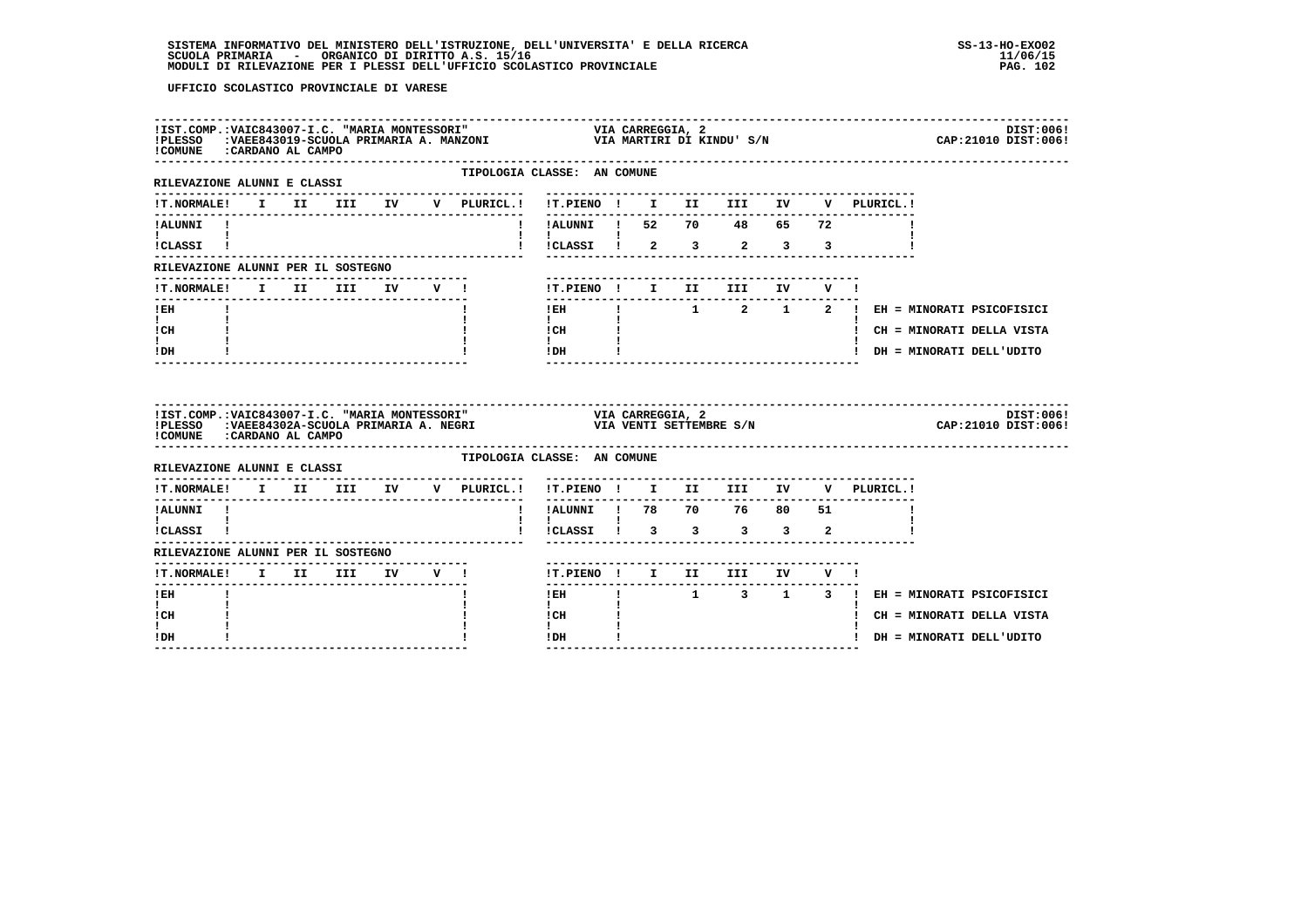| !COMUNE : CARDANO AL CAMPO                                             |  |  |                                                |                                                                            |                        |                                                         |                | IIST.COMP.:VAIC843007-I.C. "MARIA MONTESSORI"                                   VIA CARREGGIA, 2<br>IPLESSO   :VAEE843019-SCUOLA PRIMARIA A. MANZONI                               VIA MARTIRI DI KINDU' S/N | DIST:006!<br>CAP: 21010 DIST: 006!        |
|------------------------------------------------------------------------|--|--|------------------------------------------------|----------------------------------------------------------------------------|------------------------|---------------------------------------------------------|----------------|--------------------------------------------------------------------------------------------------------------------------------------------------------------------------------------------------------------|-------------------------------------------|
| RILEVAZIONE ALUNNI E CLASSI                                            |  |  | TIPOLOGIA CLASSE: AN COMUNE<br>--------------- |                                                                            |                        |                                                         |                |                                                                                                                                                                                                              |                                           |
| <b>!T.NORMALE!</b>                                                     |  |  |                                                |                                                                            |                        |                                                         |                |                                                                                                                                                                                                              |                                           |
| !ALUNNI !                                                              |  |  |                                                | ! !ALUNNI ! 52 70 48 65 72                                                 |                        |                                                         |                |                                                                                                                                                                                                              |                                           |
| $\mathbf{I}$ and $\mathbf{I}$ and $\mathbf{I}$ and $\mathbf{I}$        |  |  |                                                | i iCLASSI i 2 3 2 3 3                                                      |                        |                                                         |                |                                                                                                                                                                                                              |                                           |
| RILEVAZIONE ALUNNI PER IL SOSTEGNO                                     |  |  |                                                |                                                                            |                        |                                                         |                |                                                                                                                                                                                                              |                                           |
| !T.NORMALE! I II III IV V !                                            |  |  |                                                |                                                                            |                        | -------------------------<br>!T.PIENO ! I II III IV V ! |                |                                                                                                                                                                                                              |                                           |
| ---------------<br>$!$ EH                                              |  |  |                                                | ---------------                                                            |                        |                                                         |                |                                                                                                                                                                                                              | IEH ! 1 2 1 2 ! EH = MINORATI PSICOFISICI |
| $\mathbf{I}$ and $\mathbf{I}$<br>ICH                                   |  |  |                                                | $\mathbf{1}$ and $\mathbf{1}$<br>$\frac{1}{1}$ $\frac{1}{1}$ $\frac{1}{1}$ |                        |                                                         |                |                                                                                                                                                                                                              | ! CH = MINORATI DELLA VISTA               |
| t i<br>! DH                                                            |  |  |                                                | $!$ DH $\qquad$ $!$                                                        |                        |                                                         |                |                                                                                                                                                                                                              | ! DH = MINORATI DELL'UDITO                |
|                                                                        |  |  |                                                |                                                                            |                        |                                                         |                |                                                                                                                                                                                                              |                                           |
| ! COMUNE : CARDANO AL CAMPO                                            |  |  |                                                |                                                                            |                        |                                                         |                |                                                                                                                                                                                                              | DIST:006!<br>CAP: 21010 DIST: 006!        |
| RILEVAZIONE ALUNNI E CLASSI                                            |  |  | TIPOLOGIA CLASSE: AN COMUNE                    |                                                                            |                        |                                                         |                |                                                                                                                                                                                                              |                                           |
| !T.NORMALE! I II III IV V PLURICL.! !T.PIENO ! I II III IV V PLURICL.! |  |  |                                                |                                                                            |                        |                                                         |                |                                                                                                                                                                                                              |                                           |
| ----------<br>!ALUNNI !                                                |  |  |                                                | !!ALUNNI ! 78 70 76 80 51                                                  |                        |                                                         |                |                                                                                                                                                                                                              |                                           |
| $\mathbf{I}$ and $\mathbf{I}$ and $\mathbf{I}$<br>!CLASSI !            |  |  |                                                | ! ! ! !<br>! !CLASSI ! 3 3 3 3                                             |                        |                                                         | $\overline{2}$ |                                                                                                                                                                                                              |                                           |
| RILEVAZIONE ALUNNI PER IL SOSTEGNO                                     |  |  |                                                |                                                                            |                        |                                                         |                |                                                                                                                                                                                                              |                                           |
|                                                                        |  |  |                                                |                                                                            |                        | !T.PIENO ! I II III IV V !                              |                |                                                                                                                                                                                                              |                                           |
| ! EH                                                                   |  |  |                                                | $1$ EH                                                                     | ---------------------- |                                                         |                |                                                                                                                                                                                                              | ! 1 3 1 3 ! EH = MINORATI PSICOFISICI     |
| $\mathbf{I}$<br>! CH<br>L                                              |  |  |                                                | $\mathbf{I}$<br>! CH<br>$\mathbf{I}$                                       |                        |                                                         |                |                                                                                                                                                                                                              | ! CH = MINORATI DELLA VISTA               |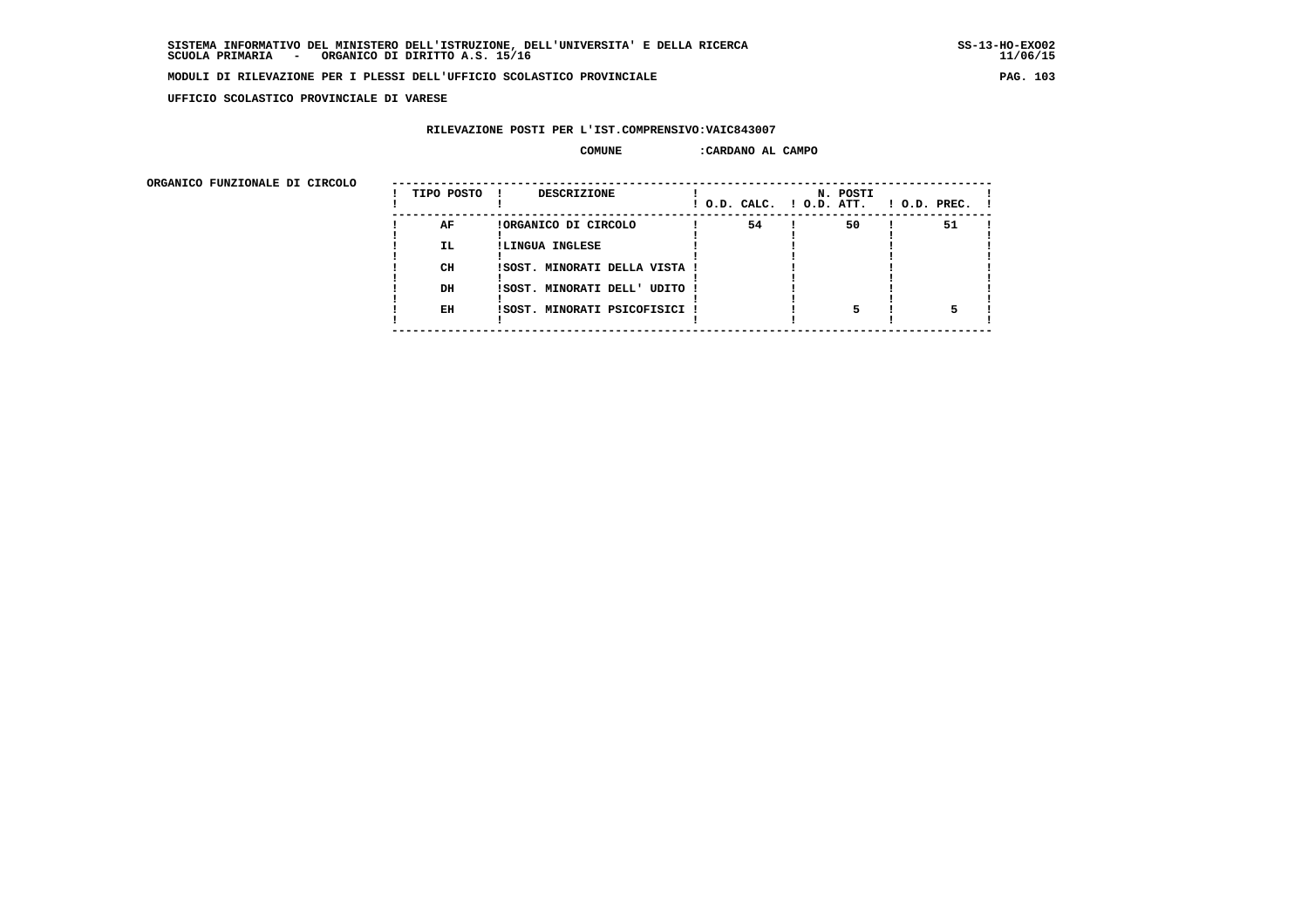$11/06/15$ 

#### **MODULI DI RILEVAZIONE PER I PLESSI DELL'UFFICIO SCOLASTICO PROVINCIALE PAG. 103**

 **UFFICIO SCOLASTICO PROVINCIALE DI VARESE**

### **RILEVAZIONE POSTI PER L'IST.COMPRENSIVO:VAIC843007**

#### **COMUNE :CARDANO AL CAMPO**

| onghnico rongionale pi cincolo | TIPO POSTO | <b>DESCRIZIONE</b>            | ! O.D. CALC. ! O.D. ATT. | N. POSTI | $1$ O.D. PREC. $1$ |  |
|--------------------------------|------------|-------------------------------|--------------------------|----------|--------------------|--|
|                                | AF         | !ORGANICO DI CIRCOLO          | 54                       | 50       | 51                 |  |
|                                | IL.        | !LINGUA INGLESE               |                          |          |                    |  |
|                                | CH         | !SOST. MINORATI DELLA VISTA ! |                          |          |                    |  |
|                                | DH         | !SOST. MINORATI DELL' UDITO ! |                          |          |                    |  |
|                                | EH         | !SOST. MINORATI PSICOFISICI ! |                          |          |                    |  |
|                                |            |                               |                          |          |                    |  |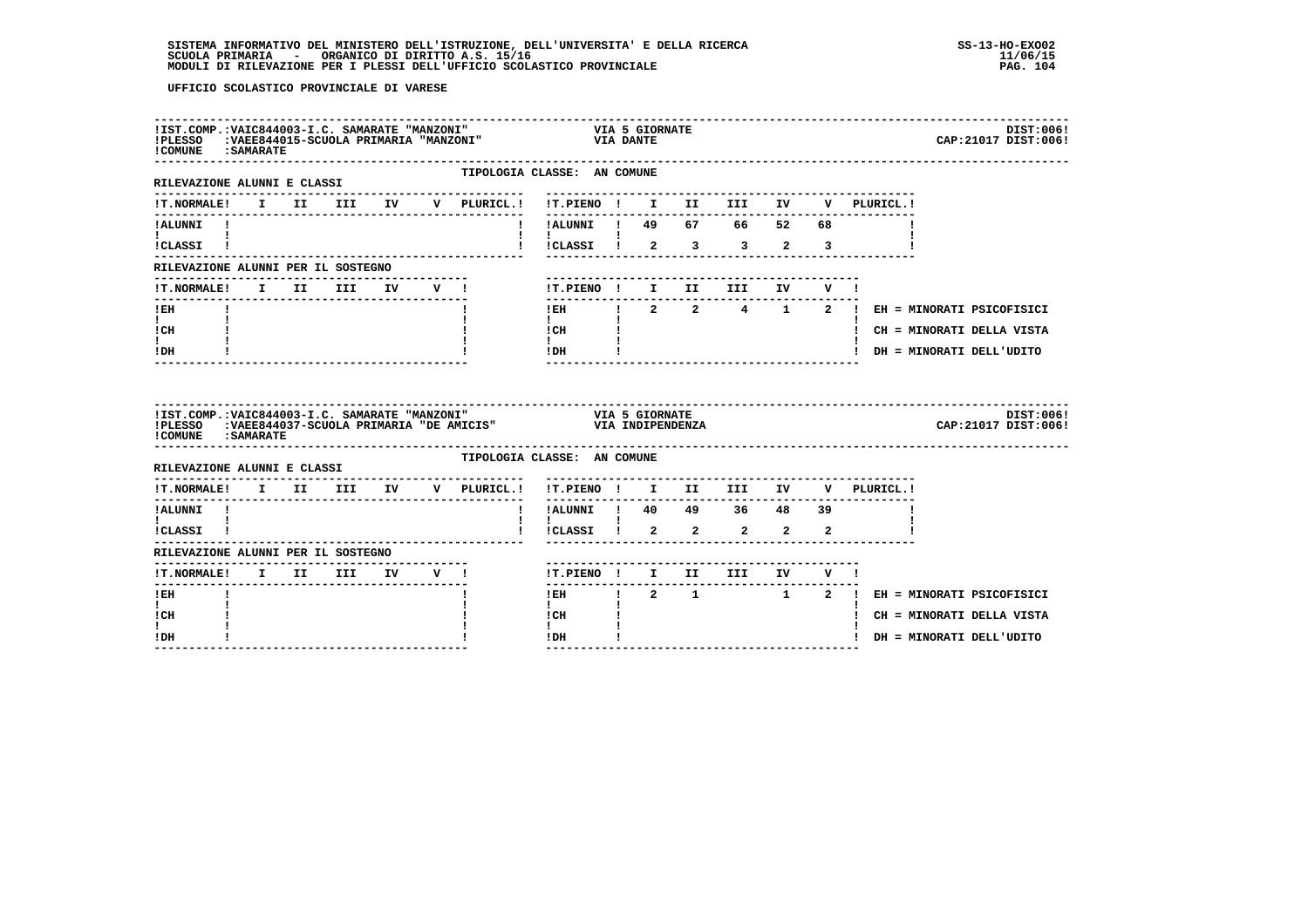| ! COMUNE : SAMARATE                                                                                                                                                                                                                  |  |  | !IST.COMP.:VAIC844003-I.C. SAMARATE "MANZONI" | !PLESSO :VAEE844015-SCUOLA PRIMARIA "MANZONI" | VIA<br>VIA DANTE                                                                                                                                               | <b>VIA 5 GIORNATE</b>         |                            |  |                                                                        | DIST:006!<br>CAP: 21017 DIST: 006!                                                                       |
|--------------------------------------------------------------------------------------------------------------------------------------------------------------------------------------------------------------------------------------|--|--|-----------------------------------------------|-----------------------------------------------|----------------------------------------------------------------------------------------------------------------------------------------------------------------|-------------------------------|----------------------------|--|------------------------------------------------------------------------|----------------------------------------------------------------------------------------------------------|
| RILEVAZIONE ALUNNI E CLASSI                                                                                                                                                                                                          |  |  |                                               | TIPOLOGIA CLASSE: AN COMUNE                   |                                                                                                                                                                |                               |                            |  |                                                                        |                                                                                                          |
|                                                                                                                                                                                                                                      |  |  |                                               |                                               |                                                                                                                                                                |                               |                            |  |                                                                        |                                                                                                          |
| $\mathbf{I}$ and $\mathbf{I}$<br>ICLASSI !                                                                                                                                                                                           |  |  |                                               |                                               |                                                                                                                                                                |                               |                            |  | !!!CLASSI ! 2 3 3 2 3                                                  |                                                                                                          |
| RILEVAZIONE ALUNNI PER IL SOSTEGNO                                                                                                                                                                                                   |  |  |                                               |                                               |                                                                                                                                                                |                               |                            |  |                                                                        |                                                                                                          |
| !T.NORMALE! I II III IV V !                                                                                                                                                                                                          |  |  |                                               |                                               |                                                                                                                                                                |                               | !T.PIENO ! I II III IV V ! |  |                                                                        |                                                                                                          |
| $!$ EH<br>$\mathbf{I}$ and $\mathbf{I}$<br>! CH<br>t i<br>! DH                                                                                                                                                                       |  |  |                                               |                                               | ----------------<br>$\mathbf{I}$ and $\mathbf{I}$<br>$\begin{tabular}{cc} I CH & & & & \\ \text{I} & & & \text{I} \\ \text{I DH} & & & \text{I} \end{tabular}$ |                               |                            |  |                                                                        | IEH 1 2 2 4 1 2 1 EH = MINORATI PSICOFISICI<br>! CH = MINORATI DELLA VISTA<br>! DH = MINORATI DELL'UDITO |
|                                                                                                                                                                                                                                      |  |  |                                               |                                               |                                                                                                                                                                |                               |                            |  |                                                                        |                                                                                                          |
| IIST.COMP.:VAIC844003-I.C. SAMARATE "MANZONI"                           VIA 5 GIORNATE<br>IPLESSO   :VAEE844037-SCUOLA PRIMARIA "DE AMICIS"                   VIA INDIPENDENZA<br>! COMUNE : SAMARATE<br>RILEVAZIONE ALUNNI E CLASSI |  |  |                                               | TIPOLOGIA CLASSE: AN COMUNE                   |                                                                                                                                                                |                               |                            |  |                                                                        | DIST:006!<br>CAP: 21017 DIST: 006!                                                                       |
|                                                                                                                                                                                                                                      |  |  |                                               |                                               |                                                                                                                                                                |                               |                            |  | !T.NORMALE! I II III IV V PLURICL.! !T.PIENO ! I II III IV V PLURICL.! |                                                                                                          |
| !ALUNNI !<br>$\mathbf{I}$ and $\mathbf{I}$ and $\mathbf{I}$                                                                                                                                                                          |  |  |                                               |                                               | ----------<br>! !ALUNNI ! 40 49 36 48 39<br>$\mathbf{I}$                                                                                                       |                               |                            |  |                                                                        |                                                                                                          |
| !CLASSI !                                                                                                                                                                                                                            |  |  |                                               |                                               |                                                                                                                                                                |                               |                            |  |                                                                        |                                                                                                          |
| RILEVAZIONE ALUNNI PER IL SOSTEGNO                                                                                                                                                                                                   |  |  |                                               |                                               |                                                                                                                                                                |                               |                            |  |                                                                        |                                                                                                          |
| !T.NORMALE! I II III IV V !<br>$!$ EH<br>$\mathbf{I}$<br>! CH<br>$\mathbf{I}$                                                                                                                                                        |  |  |                                               |                                               | $1$ EH $\sim$<br>$\mathbf{I}$<br>! CH<br>$\mathbf{I}$                                                                                                          | $\mathbf{I}$ and $\mathbf{I}$ | !T.PIENO ! I II III IV V ! |  |                                                                        | ! 2 1 1 2 ! EH = MINORATI PSICOFISICI<br>! CH = MINORATI DELLA VISTA                                     |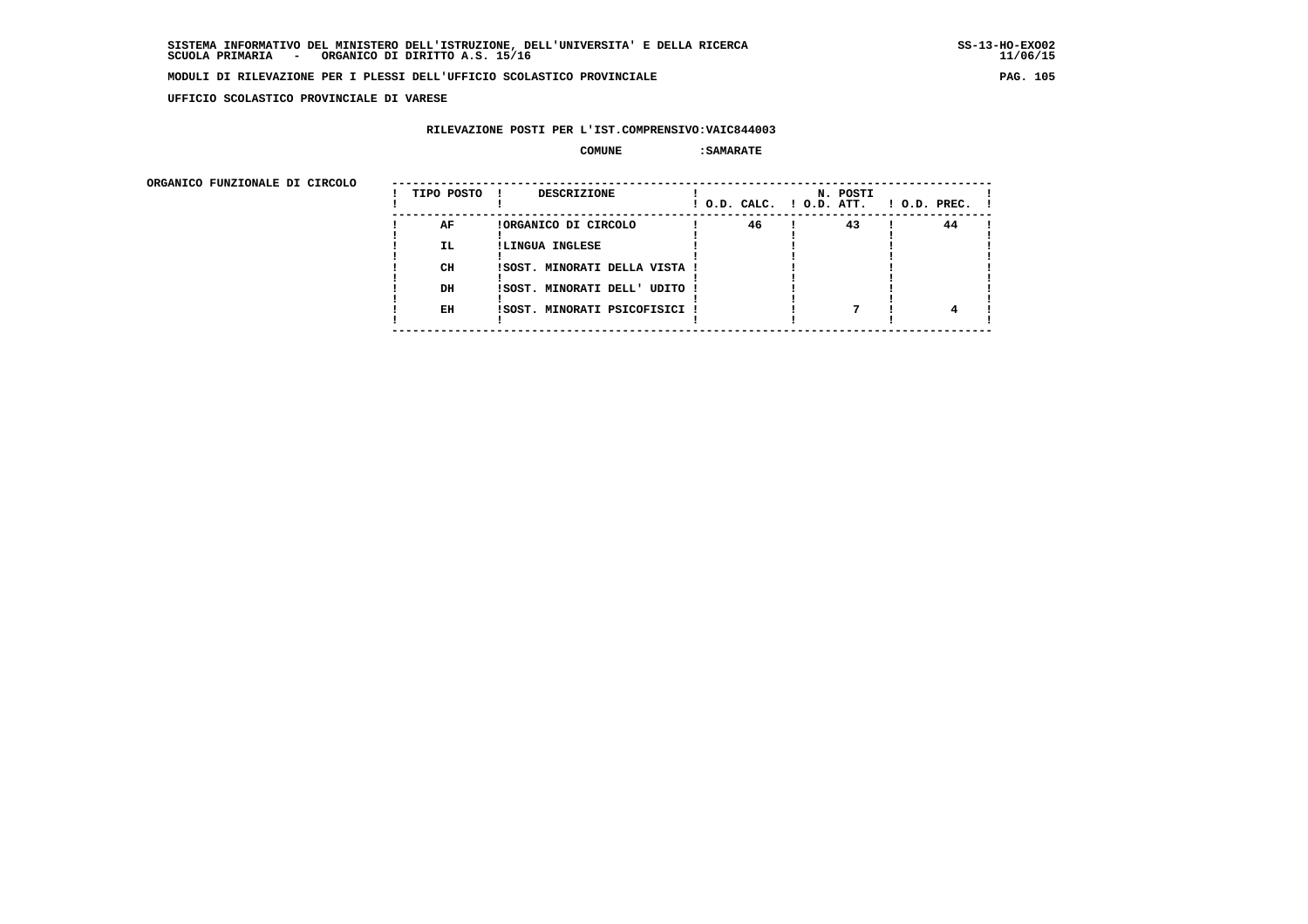**UFFICIO SCOLASTICO PROVINCIALE DI VARESE**

### **RILEVAZIONE POSTI PER L'IST.COMPRENSIVO:VAIC844003**

#### **COMUNE :SAMARATE**

| 46<br>43<br>44<br>AF<br>!ORGANICO DI CIRCOLO<br><b>IL</b><br>!LINGUA INGLESE<br>CH<br>!SOST. MINORATI DELLA VISTA !<br>DH<br>!SOST. MINORATI DELL' UDITO !<br>EH<br>!SOST. MINORATI PSICOFISICI ! | ORGANICO FUNZIONALE DI CIRCOLO | TIPO POSTO | DESCRIZIONE | N. POSTI<br>! O.D. CALC. ! O.D. ATT. | $1$ O.D. PREC. $1$ |
|---------------------------------------------------------------------------------------------------------------------------------------------------------------------------------------------------|--------------------------------|------------|-------------|--------------------------------------|--------------------|
|                                                                                                                                                                                                   |                                |            |             |                                      |                    |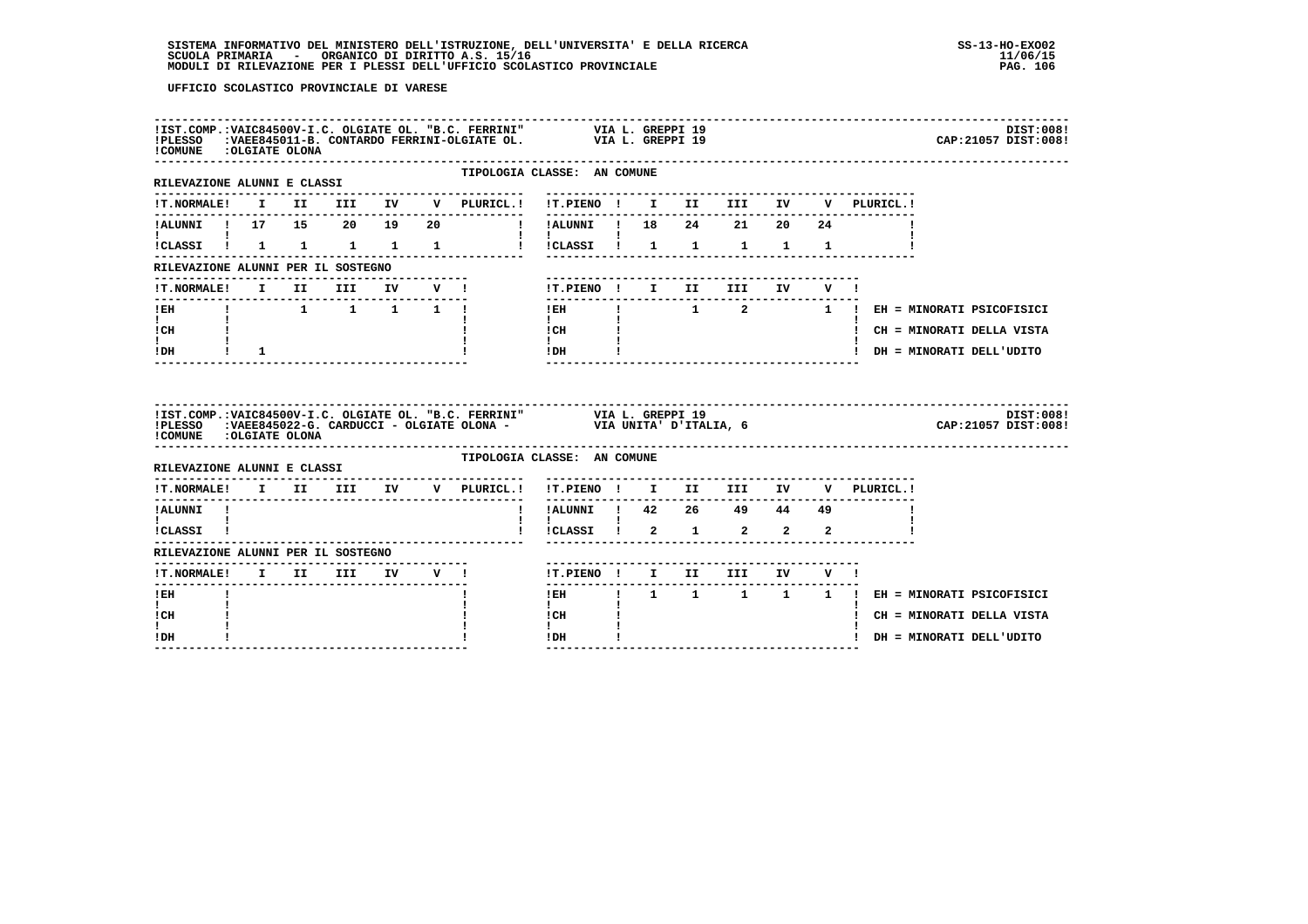| !COMUNE : OLGIATE OLONA                                               |                 |  |  | IIST.COMP.:VAIC84500V-I.C. OLGIATE OL. "B.C. FERRINI" VIA L. GREPPI 19<br>IPLESSO :VAEE845011-B. CONTARDO FERRINI-OLGIATE OL. VIA L. GREPPI 19     |                                                                                                            |  |                                      |  |                                                               | DIST:008!<br>CAP: 21057 DIST: 008! |
|-----------------------------------------------------------------------|-----------------|--|--|----------------------------------------------------------------------------------------------------------------------------------------------------|------------------------------------------------------------------------------------------------------------|--|--------------------------------------|--|---------------------------------------------------------------|------------------------------------|
| --------------------------------<br>RILEVAZIONE ALUNNI E CLASSI       |                 |  |  | . _ _ _ _ _ _ _ _ _ _ _ _ _ _                                                                                                                      | TIPOLOGIA CLASSE: AN COMUNE<br>-----------------------------------                                         |  |                                      |  |                                                               |                                    |
|                                                                       |                 |  |  |                                                                                                                                                    |                                                                                                            |  |                                      |  | V PLURICL. !                                                  |                                    |
|                                                                       |                 |  |  |                                                                                                                                                    |                                                                                                            |  |                                      |  |                                                               |                                    |
| $\mathbf{1}$ $\mathbf{1}$                                             |                 |  |  | !CLASSI! 1 1 1 1 1 1 1 ! !CLASSI! 1 1 1 1 1                                                                                                        | $\mathbf{1}$ $\mathbf{1}$ $\mathbf{1}$                                                                     |  |                                      |  |                                                               |                                    |
| RILEVAZIONE ALUNNI PER IL SOSTEGNO                                    |                 |  |  |                                                                                                                                                    |                                                                                                            |  |                                      |  |                                                               |                                    |
|                                                                       |                 |  |  | !T.NORMALE! I II III IV V !                                                                                                                        | !T.PIENO! I II III IV V!                                                                                   |  | --------------------------------     |  |                                                               |                                    |
| --------------------                                                  |                 |  |  |                                                                                                                                                    | ---------------                                                                                            |  |                                      |  | IEH I 1 1 1 1 1 1 I I I I I 1 2 1 I EH = MINORATI PSICOFISICI |                                    |
| $\mathbf{I}$ and $\mathbf{I}$<br>ICH                                  |                 |  |  |                                                                                                                                                    | $\mathbf{I}$ and $\mathbf{I}$                                                                              |  |                                      |  | ! CH = MINORATI DELLA VISTA                                   |                                    |
| $\mathbf{I}$<br>$!$ DH                                                | $\frac{1}{2}$ 1 |  |  |                                                                                                                                                    | $\begin{tabular}{cc} 1\, \mathrm{CH} & & & 1 \\ 1 & & & 1 \\ 1\, \mathrm{DH} & & 1 \end{tabular}$          |  |                                      |  | ! DH = MINORATI DELL'UDITO                                    |                                    |
|                                                                       |                 |  |  |                                                                                                                                                    |                                                                                                            |  |                                      |  |                                                               |                                    |
| !COMUNE : OLGIATE OLONA                                               |                 |  |  | IIST.COMP.:VAIC84500V-I.C. OLGIATE OL. "B.C. FERRINI" VIA L. GREPPI 19<br>IPLESSO :VAEE845022-G. CARDUCCI - OLGIATE OLONA - VIA UNITA' D'ITALIA, 6 |                                                                                                            |  |                                      |  |                                                               | DIST:008!<br>CAP: 21057 DIST: 008! |
| RILEVAZIONE ALUNNI E CLASSI                                           |                 |  |  |                                                                                                                                                    | TIPOLOGIA CLASSE: AN COMUNE                                                                                |  |                                      |  |                                                               |                                    |
|                                                                       |                 |  |  | !T.NORMALE! I II III IV V PLURICL.! !T.PIENO ! I II III IV V PLURICL.!                                                                             |                                                                                                            |  |                                      |  |                                                               |                                    |
| !ALUNNI !                                                             |                 |  |  |                                                                                                                                                    | !ALUNNI ! 42  26  49  44  49                                                                               |  |                                      |  |                                                               |                                    |
| $\frac{1}{1}$ $\frac{1}{1}$ $\frac{1}{1}$ $\frac{1}{1}$ $\frac{1}{1}$ |                 |  |  |                                                                                                                                                    | <b>Contract Contract Contract</b><br>$\frac{1}{2}$ $\frac{1}{2}$ $\frac{1}{2}$ $\frac{2}{2}$ $\frac{2}{2}$ |  |                                      |  |                                                               |                                    |
| RILEVAZIONE ALUNNI PER IL SOSTEGNO                                    |                 |  |  |                                                                                                                                                    |                                                                                                            |  |                                      |  |                                                               |                                    |
| !T.NORMALE!                                                           |                 |  |  |                                                                                                                                                    | !T.PIENO ! I II III IV V !                                                                                 |  | ------------------------------------ |  |                                                               |                                    |
| ! EH                                                                  |                 |  |  |                                                                                                                                                    |                                                                                                            |  |                                      |  | !EH ! 1 1 1 1 1 ! EH = MINORATI PSICOFISICI                   |                                    |
| $\mathbf{I}$<br>! CH<br>$\mathbf{I}$                                  |                 |  |  |                                                                                                                                                    | $\mathbf{I}$<br>! CH<br>$\mathbf{I}$                                                                       |  |                                      |  | ! CH = MINORATI DELLA VISTA                                   |                                    |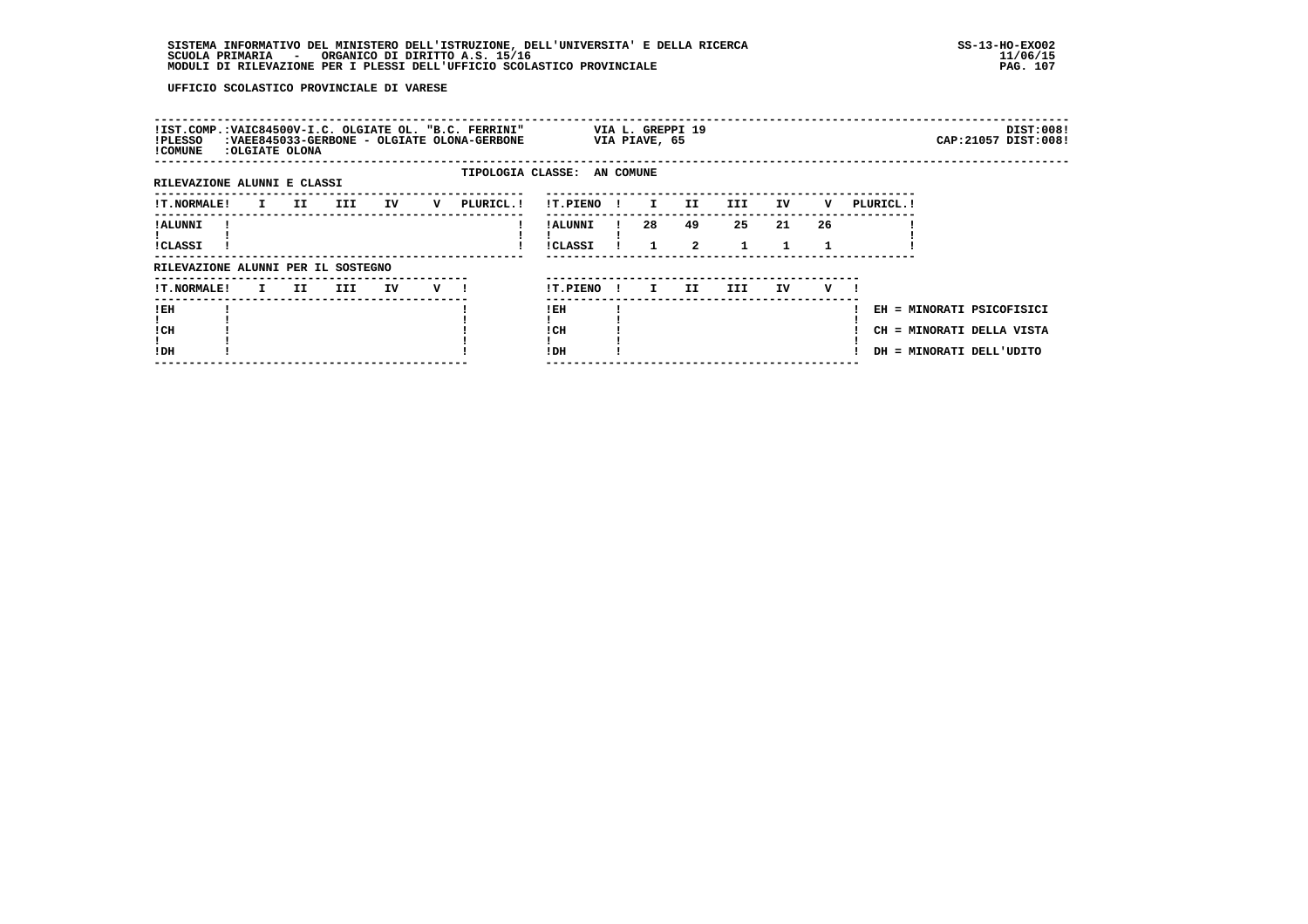| !PLESSO<br>! COMUNE                |    | :OLGIATE OLONA |     |    |   | !IST.COMP.:VAIC84500V-I.C. OLGIATE OL. "B.C. FERRINI"<br>:VAEE845033-GERBONE - OLGIATE OLONA-GERBONE |                             |              | VIA PIAVE, 65 | VIA L. GREPPI 19     |                    |     |    |            |                                                                                    | DIST:008!<br>CAP: 21057 DIST: 008! |
|------------------------------------|----|----------------|-----|----|---|------------------------------------------------------------------------------------------------------|-----------------------------|--------------|---------------|----------------------|--------------------|-----|----|------------|------------------------------------------------------------------------------------|------------------------------------|
| RILEVAZIONE ALUNNI E CLASSI        |    |                |     |    |   |                                                                                                      | TIPOLOGIA CLASSE: AN COMUNE |              |               |                      |                    |     |    |            |                                                                                    |                                    |
| <b>!T.NORMALE!</b>                 |    | I II           | III | IV | v | PLURICL.!                                                                                            | !T.PIENO                    | $\mathbf{I}$ | $\mathbf{I}$  | II.                  | III.               | IV  | v  | PLURICL. ! |                                                                                    |                                    |
| ! ALUNNI<br>!CLASSI                |    |                |     |    |   |                                                                                                      | ! ALUNNI<br><b>!CLASSI</b>  |              | 28            | 49<br>$\overline{2}$ | 25<br>$\mathbf{1}$ | 21  | 26 |            |                                                                                    |                                    |
| RILEVAZIONE ALUNNI PER IL SOSTEGNO |    |                |     |    |   |                                                                                                      |                             |              |               |                      |                    |     |    |            |                                                                                    |                                    |
| <b>!T.NORMALE!</b>                 | I. | II.            | III | IV | v |                                                                                                      | !T.PIENO                    | $\mathbf{I}$ | I.            | II                   | III.               | IV. | v  |            |                                                                                    |                                    |
| !EH<br>! CH<br>!DH                 |    |                |     |    |   |                                                                                                      | ! EH<br>! CH<br>!DH         |              |               |                      |                    |     |    |            | EH = MINORATI PSICOFISICI<br>CH = MINORATI DELLA VISTA<br>DH = MINORATI DELL'UDITO |                                    |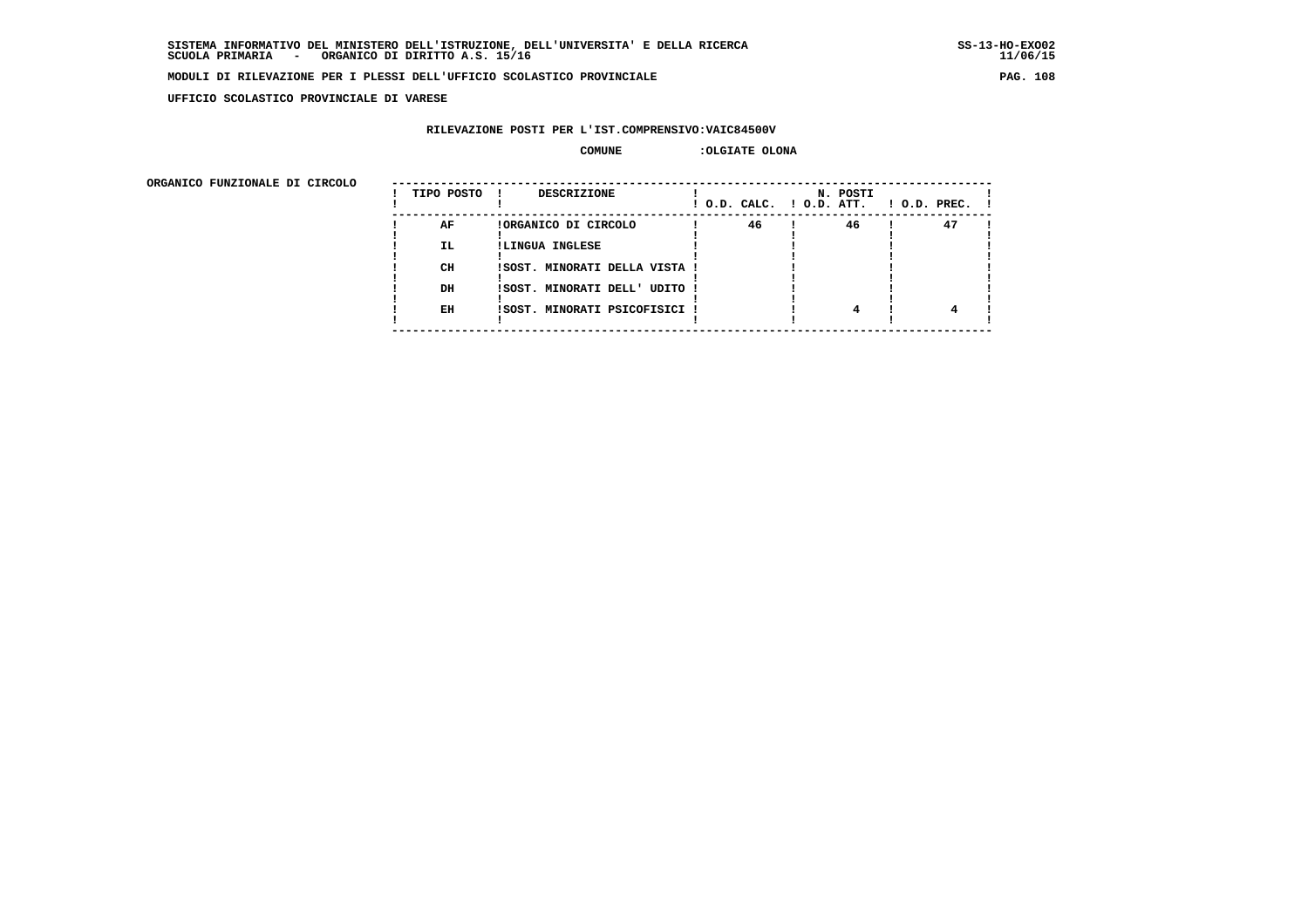**UFFICIO SCOLASTICO PROVINCIALE DI VARESE**

#### **RILEVAZIONE POSTI PER L'IST.COMPRENSIVO:VAIC84500V**

#### **COMUNE :OLGIATE OLONA**

| URGANICO FUNZIONALE DI CIRCOLO | TIPO POSTO | <b>DESCRIZIONE</b>            | ! O.D. CALC. ! O.D. ATT. | N. POSTI | $1$ O.D. PREC. $1$ |
|--------------------------------|------------|-------------------------------|--------------------------|----------|--------------------|
|                                | AF         | !ORGANICO DI CIRCOLO          | 46                       | 46       | 47                 |
|                                | IL.        | !LINGUA INGLESE               |                          |          |                    |
|                                | CH         | !SOST. MINORATI DELLA VISTA ! |                          |          |                    |
|                                | DH         | ISOST. MINORATI DELL' UDITO ! |                          |          |                    |
|                                |            |                               |                          |          |                    |
|                                | EH         | ISOST. MINORATI PSICOFISICI ! |                          |          |                    |
|                                |            |                               |                          |          |                    |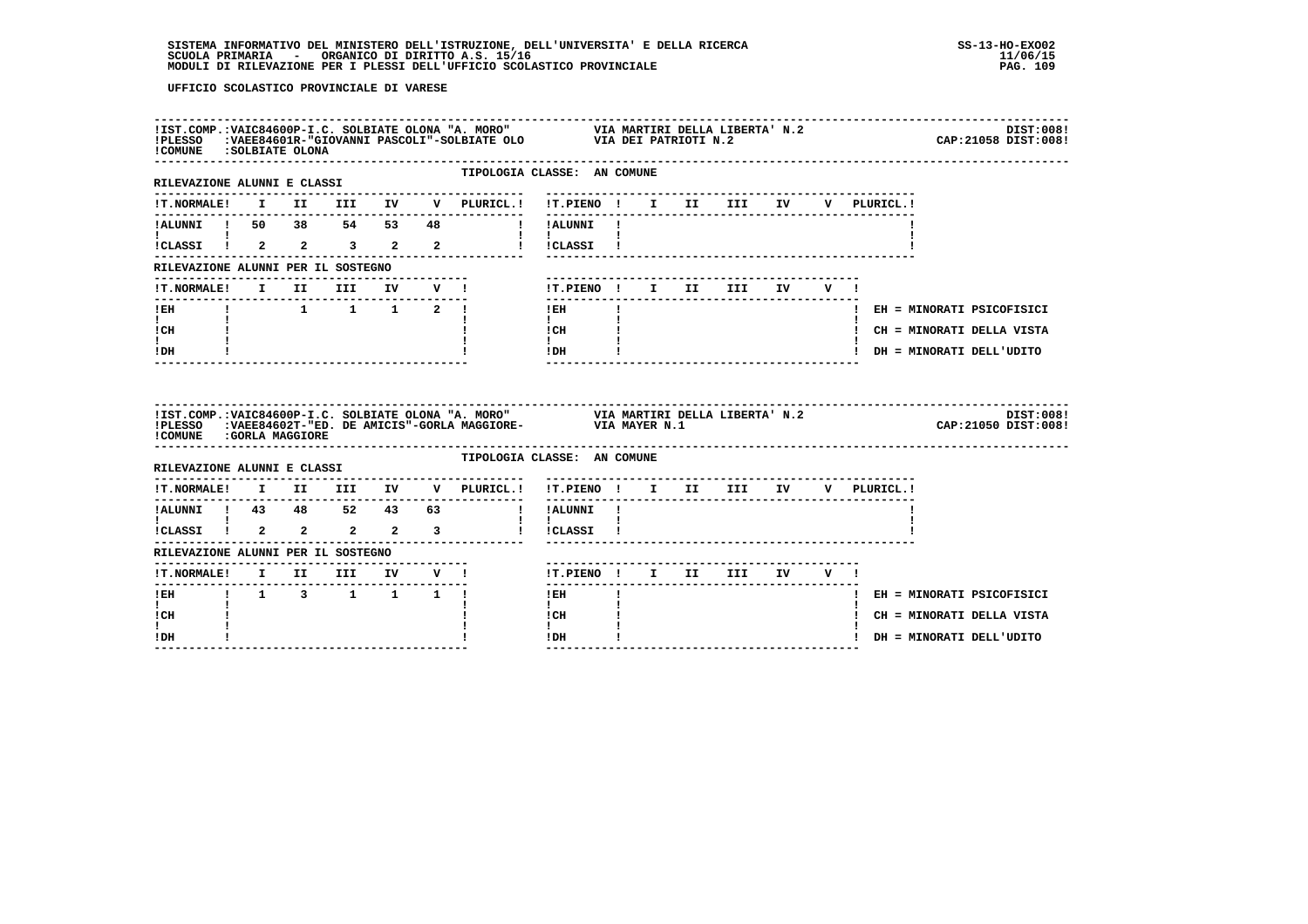| !COMUNE : SOLBIATE OLONA                                                                                        |          |                                       |  | IIST.COMP.:VAIC84600P-I.C. SOLBIATE OLONA "A. MORO" VIA MARTIRI DELLA LIBERTA' N.2<br>IPLESSO :VAEE84601R-"GIOVANNI PASCOLI"-SOLBIATE OLO VIA DEI PATRIOTI N.2 |                                                                                                                                                                                                                                                                                                                                           |              |  |                                        |  |  | CAP: 21058 DIST: 008!       | DIST:008! |
|-----------------------------------------------------------------------------------------------------------------|----------|---------------------------------------|--|----------------------------------------------------------------------------------------------------------------------------------------------------------------|-------------------------------------------------------------------------------------------------------------------------------------------------------------------------------------------------------------------------------------------------------------------------------------------------------------------------------------------|--------------|--|----------------------------------------|--|--|-----------------------------|-----------|
| -------------------------------<br>RILEVAZIONE ALUNNI E CLASSI                                                  |          |                                       |  |                                                                                                                                                                | TIPOLOGIA CLASSE: AN COMUNE                                                                                                                                                                                                                                                                                                               |              |  |                                        |  |  |                             |           |
| !T.NORMALE!                                                                                                     |          |                                       |  | I II III IV V PLURICL.! !T.PIENO ! I II III IV V PLURICL.!                                                                                                     |                                                                                                                                                                                                                                                                                                                                           |              |  |                                        |  |  |                             |           |
|                                                                                                                 |          |                                       |  | !ALUNNI ! 50 38 54 53 48 ! !ALUNNI !                                                                                                                           |                                                                                                                                                                                                                                                                                                                                           |              |  |                                        |  |  |                             |           |
| $\mathbf{1}$ $\mathbf{1}$                                                                                       |          |                                       |  | iCLASSI i 2 2 3 2 2 i iCLASSI i                                                                                                                                | $\mathbf{I}$ $\mathbf{I}$ $\mathbf{I}$                                                                                                                                                                                                                                                                                                    |              |  |                                        |  |  |                             |           |
| RILEVAZIONE ALUNNI PER IL SOSTEGNO                                                                              |          |                                       |  |                                                                                                                                                                |                                                                                                                                                                                                                                                                                                                                           |              |  |                                        |  |  |                             |           |
| <b>!T.NORMALE!</b>                                                                                              | $I$ $II$ | <b>III</b>                            |  | IV V !                                                                                                                                                         | !T.PIENO ! I II III                                                                                                                                                                                                                                                                                                                       |              |  | IV V!                                  |  |  |                             |           |
| $!$ EH                                                                                                          |          |                                       |  | $\begin{array}{cccccccccccccc} 1 & 1 & 1 & 1 & 2 & 1 & \end{array}$                                                                                            | $1$ EH                                                                                                                                                                                                                                                                                                                                    |              |  |                                        |  |  | ! EH = MINORATI PSICOFISICI |           |
| $\mathbf{I}$ and $\mathbf{I}$<br>ICH                                                                            |          |                                       |  |                                                                                                                                                                | <b>Contract Contract Contract</b><br>$\frac{1}{1}$ $\frac{1}{1}$ $\frac{1}{1}$                                                                                                                                                                                                                                                            |              |  |                                        |  |  | ! CH = MINORATI DELLA VISTA |           |
| $\mathbf{I}$                                                                                                    |          |                                       |  |                                                                                                                                                                | $IDH$ $\qquad$ $\qquad$ $\qquad$ $\qquad$ $\qquad$ $\qquad$ $\qquad$ $\qquad$ $\qquad$ $\qquad$ $\qquad$ $\qquad$ $\qquad$ $\qquad$ $\qquad$ $\qquad$ $\qquad$ $\qquad$ $\qquad$ $\qquad$ $\qquad$ $\qquad$ $\qquad$ $\qquad$ $\qquad$ $\qquad$ $\qquad$ $\qquad$ $\qquad$ $\qquad$ $\qquad$ $\qquad$ $\qquad$ $\qquad$ $\qquad$ $\qquad$ |              |  |                                        |  |  | ! DH = MINORATI DELL'UDITO  |           |
| $I\,D\,H$                                                                                                       |          |                                       |  |                                                                                                                                                                |                                                                                                                                                                                                                                                                                                                                           |              |  |                                        |  |  |                             |           |
| ! COMUNE : GORLA MAGGIORE                                                                                       |          |                                       |  | !IST.COMP.:VAIC84600P-I.C. SOLBIATE OLONA "A. MORO" VIA MARTIRI DELLA LIBERTA' N.2<br>!PLESSO :VAEE84602T-"ED. DE AMICIS"-GORLA MAGGIORE- VIA MAYER N.1        |                                                                                                                                                                                                                                                                                                                                           |              |  |                                        |  |  | CAP:21050 DIST:008!         | DIST:008! |
| RILEVAZIONE ALUNNI E CLASSI                                                                                     |          |                                       |  |                                                                                                                                                                | TIPOLOGIA CLASSE: AN COMUNE                                                                                                                                                                                                                                                                                                               |              |  |                                        |  |  |                             |           |
|                                                                                                                 |          | . _ _ _ _ _ _ _ _ _ _ _ _ _ _ _ _ _ _ |  | !T.NORMALE! I II III IV V PLURICL.! !T.PIENO ! I II III IV V PLURICL.!                                                                                         |                                                                                                                                                                                                                                                                                                                                           |              |  | -------------------------------------- |  |  |                             |           |
|                                                                                                                 |          |                                       |  |                                                                                                                                                                | ! !ALUNNI !                                                                                                                                                                                                                                                                                                                               |              |  |                                        |  |  |                             |           |
|                                                                                                                 |          |                                       |  |                                                                                                                                                                | $\mathbf{I}$<br>! !CLASSI !                                                                                                                                                                                                                                                                                                               |              |  |                                        |  |  |                             |           |
| 1.2LUNNI 1 43 48 52 43 63<br>1 1 1 43 48 52 43 63<br>1.CLASSI 1 2 2 2 2 3<br>RILEVAZIONE ALUNNI PER IL SOSTEGNO |          |                                       |  |                                                                                                                                                                |                                                                                                                                                                                                                                                                                                                                           |              |  |                                        |  |  |                             |           |
|                                                                                                                 |          |                                       |  | !T.NORMALE! I II III IV V !                                                                                                                                    | !T.PIENO! I II III IV V!                                                                                                                                                                                                                                                                                                                  |              |  |                                        |  |  |                             |           |
| --------------------------                                                                                      |          |                                       |  |                                                                                                                                                                | l EH                                                                                                                                                                                                                                                                                                                                      | $\mathbf{I}$ |  |                                        |  |  | ! EH = MINORATI PSICOFISICI |           |
| $\mathbf{I}$<br>! CH<br>I.                                                                                      |          |                                       |  |                                                                                                                                                                | $\mathbf{I}$<br>! CH<br>$\mathbf{I}$                                                                                                                                                                                                                                                                                                      |              |  |                                        |  |  | ! CH = MINORATI DELLA VISTA |           |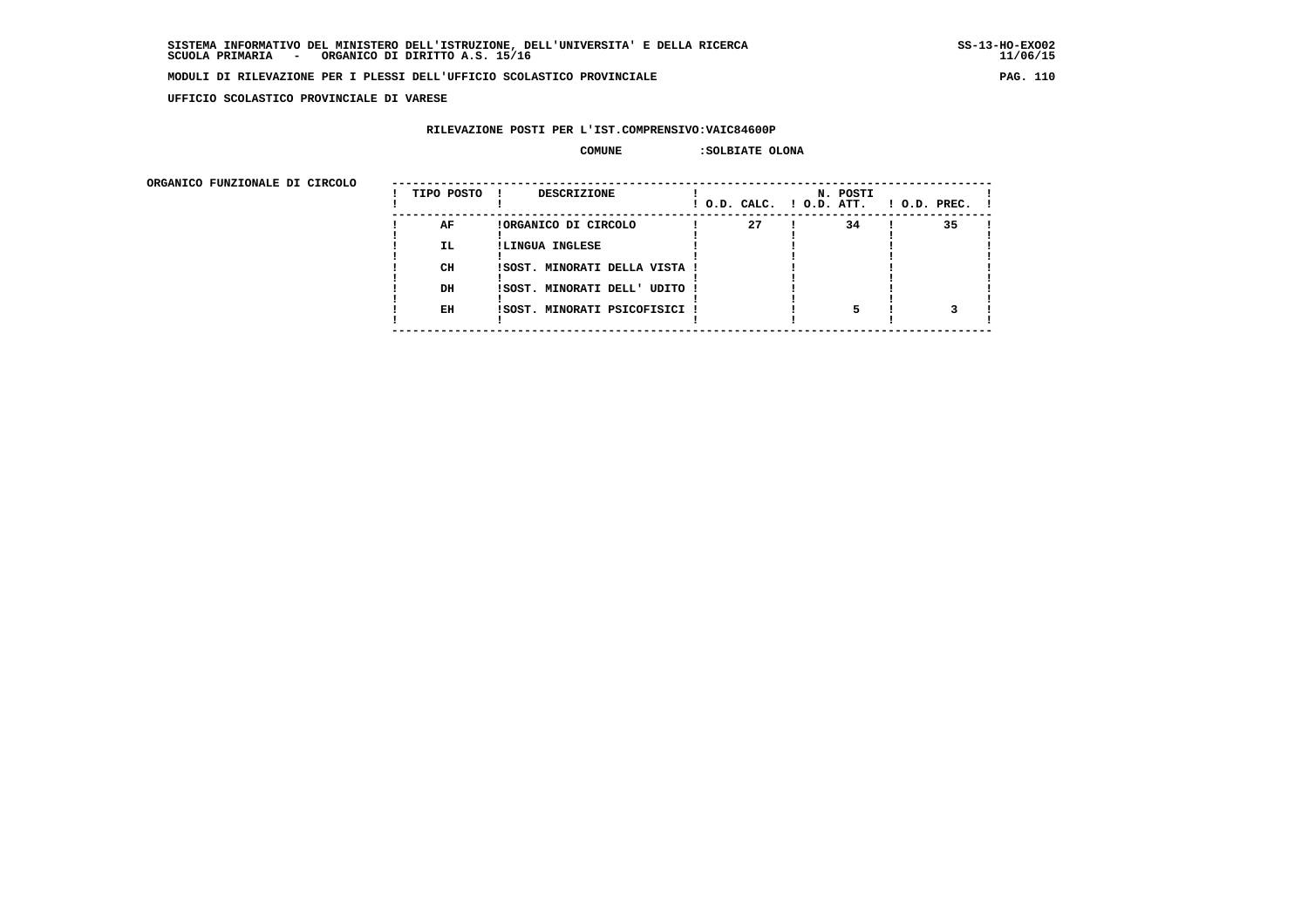**UFFICIO SCOLASTICO PROVINCIALE DI VARESE**

# **RILEVAZIONE POSTI PER L'IST.COMPRENSIVO:VAIC84600P**

# COMUNE : SOLBIATE OLONA

| URGANICO FUNZIONALE DI CIRCOLO | TIPO POSTO | DESCRIZIONE                   |    | N. POSTI<br>! O.D. CALC. ! O.D. ATT. | $!$ $0.D.$ $PREC.$ $!$ |
|--------------------------------|------------|-------------------------------|----|--------------------------------------|------------------------|
|                                | AF         | !ORGANICO DI CIRCOLO          | 27 | 34                                   | 35                     |
|                                | <b>IL</b>  | !LINGUA INGLESE               |    |                                      |                        |
|                                |            |                               |    |                                      |                        |
|                                | CH         | !SOST. MINORATI DELLA VISTA ! |    |                                      |                        |
|                                | DH         | !SOST. MINORATI DELL' UDITO ! |    |                                      |                        |
|                                |            |                               |    |                                      |                        |
|                                | EH         | !SOST. MINORATI PSICOFISICI ! |    |                                      |                        |
|                                |            |                               |    |                                      |                        |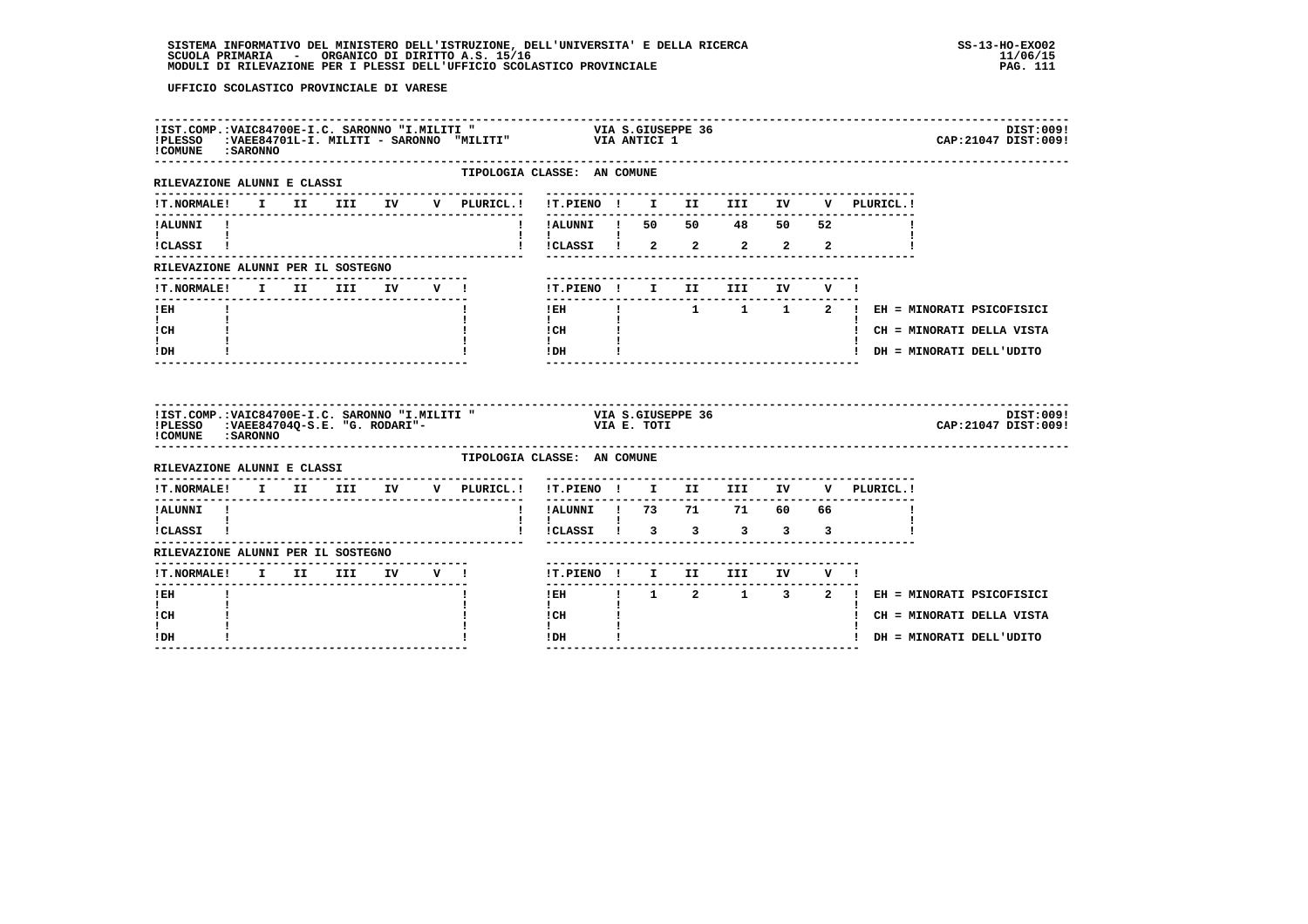|                                                             | ! COMUNE : SARONNO |                                |  | !IST.COMP.:VAIC84700E-I.C. SARONNO "I.MILITI " VIA S.GIUSEPPE 36<br>!PLESSO :VAEE84701L-I. MILITI - SARONNO "MILITI" VIA ANTICI 1 |                                                                      |  |  |  |                                                                        | DIST:009!<br>CAP: 21047 DIST: 009!          |
|-------------------------------------------------------------|--------------------|--------------------------------|--|-----------------------------------------------------------------------------------------------------------------------------------|----------------------------------------------------------------------|--|--|--|------------------------------------------------------------------------|---------------------------------------------|
| RILEVAZIONE ALUNNI E CLASSI                                 |                    |                                |  | TIPOLOGIA CLASSE: AN COMUNE                                                                                                       |                                                                      |  |  |  |                                                                        |                                             |
|                                                             |                    |                                |  |                                                                                                                                   |                                                                      |  |  |  | !T.NORMALE! I II III IV V PLURICL.! !T.PIENO ! I II III IV V PLURICL.! |                                             |
| !ALUNNI !<br>$\mathbf{I}$ and $\mathbf{I}$                  |                    |                                |  |                                                                                                                                   | !!ALUNNI ! 50 50 48 50 52                                            |  |  |  |                                                                        |                                             |
| !CLASSI !                                                   |                    |                                |  |                                                                                                                                   | !!CLASSI ! 2 2 2 2 2                                                 |  |  |  |                                                                        |                                             |
| RILEVAZIONE ALUNNI PER IL SOSTEGNO                          |                    |                                |  |                                                                                                                                   |                                                                      |  |  |  |                                                                        |                                             |
| !T.NORMALE! I II III IV V !                                 |                    |                                |  |                                                                                                                                   | !T.PIENO ! I II III IV V !<br>---------------                        |  |  |  |                                                                        |                                             |
| $!$ EH<br>$\mathbf{I}$ and $\mathbf{I}$                     |                    |                                |  |                                                                                                                                   | $!$ EH<br>$\mathbf{I}$ and $\mathbf{I}$                              |  |  |  |                                                                        | ! 1 1 1 2 ! EH = MINORATI PSICOFISICI       |
| ICH                                                         |                    |                                |  |                                                                                                                                   | $\begin{array}{ccc}\n1 \text{ CH} & & & 1 \\ 1 & & & 1\n\end{array}$ |  |  |  |                                                                        | ! CH = MINORATI DELLA VISTA                 |
| I.<br>! DH                                                  |                    |                                |  |                                                                                                                                   | $IDH$ $I$                                                            |  |  |  |                                                                        | ! DH = MINORATI DELL'UDITO                  |
| ! COMUNE : SARONNO                                          |                    |                                |  |                                                                                                                                   |                                                                      |  |  |  |                                                                        |                                             |
|                                                             |                    |                                |  |                                                                                                                                   |                                                                      |  |  |  |                                                                        | DIST:009!<br>CAP: 21047 DIST: 009!          |
| RILEVAZIONE ALUNNI E CLASSI                                 |                    |                                |  | TIPOLOGIA CLASSE: AN COMUNE                                                                                                       |                                                                      |  |  |  |                                                                        |                                             |
|                                                             |                    |                                |  | IT. NORMALE! I II III IV V PLURICL.! IT. PIENO ! I II III IV                                                                      |                                                                      |  |  |  | V PLURICL.!                                                            |                                             |
| ---------------<br>!ALUNNI !                                |                    |                                |  |                                                                                                                                   | $- - - - - - -$<br>! !ALUNNI ! 73 71 71 60 66                        |  |  |  |                                                                        |                                             |
| $\mathbf{I}$ and $\mathbf{I}$ and $\mathbf{I}$<br>!CLASSI ! |                    |                                |  |                                                                                                                                   | $\mathbf{I}$<br>! !CLASSI ! 3 3 3 3 3                                |  |  |  |                                                                        |                                             |
| RILEVAZIONE ALUNNI PER IL SOSTEGNO                          |                    |                                |  |                                                                                                                                   |                                                                      |  |  |  |                                                                        |                                             |
| !T.NORMALE! I II III IV V !                                 |                    | ------------------------------ |  |                                                                                                                                   | !T.PIENO ! I II III IV V !                                           |  |  |  |                                                                        |                                             |
| -------<br>$!$ EH                                           |                    |                                |  |                                                                                                                                   | $- - - - -$                                                          |  |  |  |                                                                        | IEH   1 2 1 3 2 ! EH = MINORATI PSICOFISICI |
| $\mathbf{I}$<br>! CH                                        |                    |                                |  |                                                                                                                                   | $\mathbf{I}$<br>! CH                                                 |  |  |  |                                                                        | ! CH = MINORATI DELLA VISTA                 |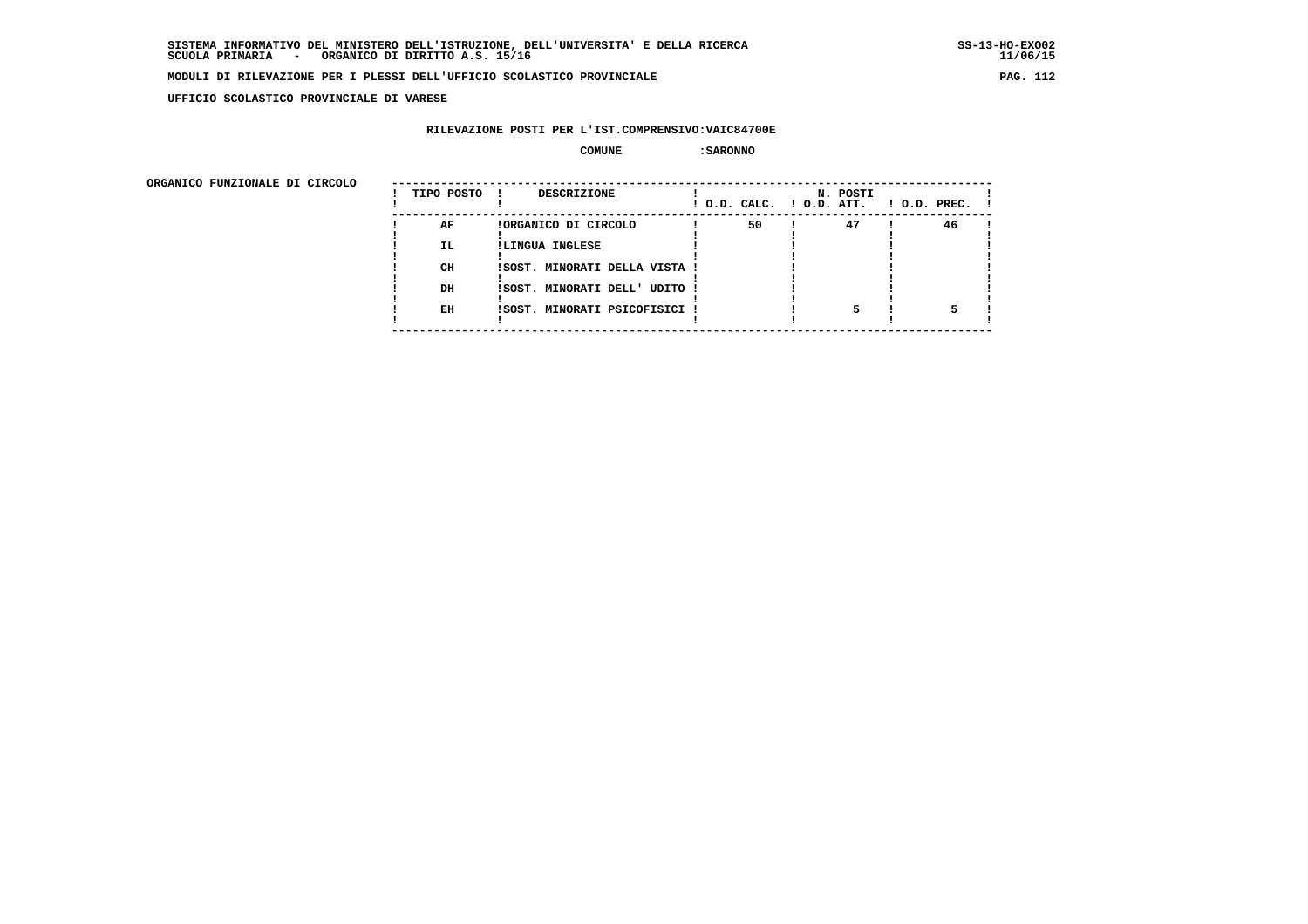**UFFICIO SCOLASTICO PROVINCIALE DI VARESE**

# **RILEVAZIONE POSTI PER L'IST.COMPRENSIVO:VAIC84700E**

 **COMUNE :SARONNO**

ORGANICO FUNZIONALE DI CIRCOLO

| ORGANICO FUNZIONALE DI CIRCOLO |            |                               |    |                                      |                    |
|--------------------------------|------------|-------------------------------|----|--------------------------------------|--------------------|
|                                | TIPO POSTO | DESCRIZIONE<br>$\mathbf{I}$   |    | N. POSTI<br>! O.D. CALC. ! O.D. ATT. | $!$ 0.D. PREC. $!$ |
|                                | AF         | !ORGANICO DI CIRCOLO          | 50 | 47                                   | 46                 |
|                                | IL.        | !LINGUA INGLESE               |    |                                      |                    |
|                                |            |                               |    |                                      |                    |
|                                | CH         | !SOST. MINORATI DELLA VISTA ! |    |                                      |                    |
|                                |            |                               |    |                                      |                    |
|                                | DH         | !SOST. MINORATI DELL' UDITO ! |    |                                      |                    |
|                                |            |                               |    |                                      |                    |
|                                | EH         | !SOST. MINORATI PSICOFISICI ! |    |                                      |                    |
|                                |            |                               |    |                                      |                    |
|                                |            |                               |    |                                      |                    |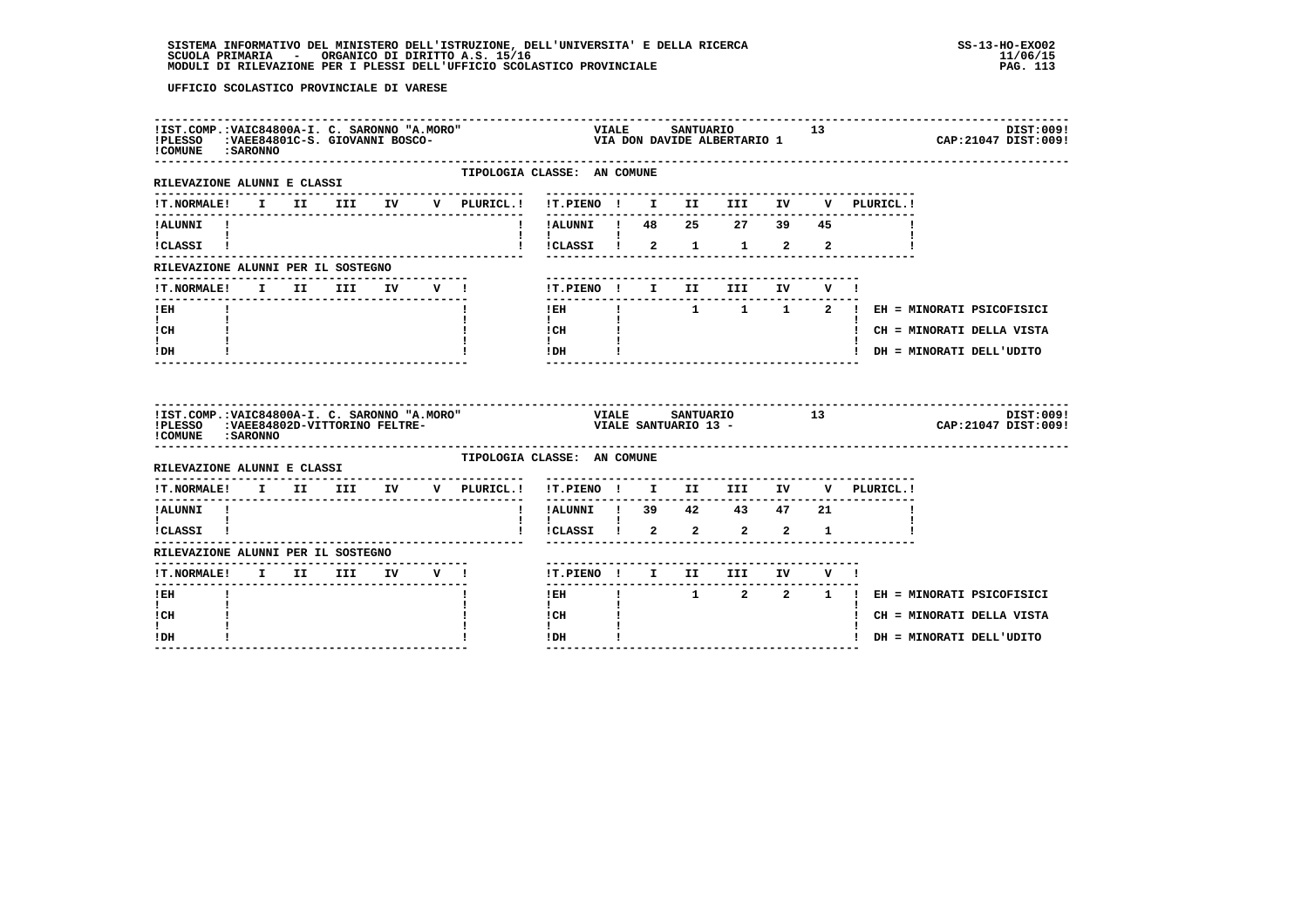| !IST.COMP.:VAIC84800A-I. C. SARONNO "A.MORO"<br>!PLESSO : VAEE84801C-S. GIOVANNI BOSCO-<br>! COMUNE : SARONNO |  |  |  |                                                | ---------------------------<br>VIALE SANTUARIO 13<br>VIA DON DAVIDE ALBERTARIO 1 |  |                            |  |                                                                        | DIST:009!<br>CAP: 21047 DIST: 009!                                                                      |
|---------------------------------------------------------------------------------------------------------------|--|--|--|------------------------------------------------|----------------------------------------------------------------------------------|--|----------------------------|--|------------------------------------------------------------------------|---------------------------------------------------------------------------------------------------------|
| RILEVAZIONE ALUNNI E CLASSI                                                                                   |  |  |  | TIPOLOGIA CLASSE: AN COMUNE<br>--------------- |                                                                                  |  |                            |  |                                                                        |                                                                                                         |
| <b>!T.NORMALE!</b>                                                                                            |  |  |  |                                                |                                                                                  |  |                            |  |                                                                        |                                                                                                         |
| !ALUNNI !<br>$\mathbf{1}$ and $\mathbf{1}$<br>ICLASSI !                                                       |  |  |  |                                                | !!CLASSI ! 2 1 1 2 2                                                             |  |                            |  |                                                                        |                                                                                                         |
| RILEVAZIONE ALUNNI PER IL SOSTEGNO                                                                            |  |  |  |                                                |                                                                                  |  |                            |  |                                                                        |                                                                                                         |
| !T.NORMALE! I II III IV V !                                                                                   |  |  |  |                                                |                                                                                  |  | !T.PIENO ! I II III IV V ! |  |                                                                        |                                                                                                         |
| $!$ EH<br>$\mathbf{I}$ and $\mathbf{I}$<br>! CH<br>t i<br>! DH                                                |  |  |  |                                                | $1$ EH<br>$\mathbf{I}$ and $\mathbf{I}$                                          |  |                            |  |                                                                        | ! 1 1 1 2 ! EH = MINORATI PSICOFISICI<br>! CH = MINORATI DELLA VISTA<br>! DH = MINORATI DELL'UDITO      |
| !IST.COMP.:VAIC84800A-I. C. SARONNO "A.MORO"<br>!PLESSO : VAEE84802D-VITTORINO FELTRE-<br>! COMUNE : SARONNO  |  |  |  |                                                |                                                                                  |  |                            |  |                                                                        | DIST:009!<br>CAP: 21047 DIST: 009!                                                                      |
| RILEVAZIONE ALUNNI E CLASSI                                                                                   |  |  |  | TIPOLOGIA CLASSE: AN COMUNE                    |                                                                                  |  |                            |  |                                                                        |                                                                                                         |
| ----------------                                                                                              |  |  |  |                                                | --------                                                                         |  |                            |  | !T.NORMALE! I II III IV V PLURICL.! !T.PIENO ! I II III IV V PLURICL.! |                                                                                                         |
| !ALUNNI !<br>$\mathbf{I}$ and $\mathbf{I}$ and $\mathbf{I}$                                                   |  |  |  |                                                | ! !ALUNNI ! 39 42 43 47 21                                                       |  |                            |  |                                                                        |                                                                                                         |
| !CLASSI !                                                                                                     |  |  |  |                                                | $\mathbf{I}$<br>!!CLASSI ! 2 2 2 2 1                                             |  |                            |  |                                                                        |                                                                                                         |
| RILEVAZIONE ALUNNI PER IL SOSTEGNO                                                                            |  |  |  |                                                |                                                                                  |  |                            |  |                                                                        |                                                                                                         |
| !T.NORMALE! I II III IV V !                                                                                   |  |  |  |                                                | !T.PIENO ! I II III IV V !                                                       |  |                            |  |                                                                        |                                                                                                         |
| $I$ EH                                                                                                        |  |  |  |                                                | $1$ EH<br>$\mathbf{I}$                                                           |  |                            |  |                                                                        | $\begin{array}{cccccccccccccc} 1 & 2 & 2 & 1 & 1 & \text{EH} = \text{MINORATI PSTCorrSICI} \end{array}$ |
| $\mathbf{I}$<br>! CH                                                                                          |  |  |  |                                                | ! CH                                                                             |  |                            |  |                                                                        | ! CH = MINORATI DELLA VISTA                                                                             |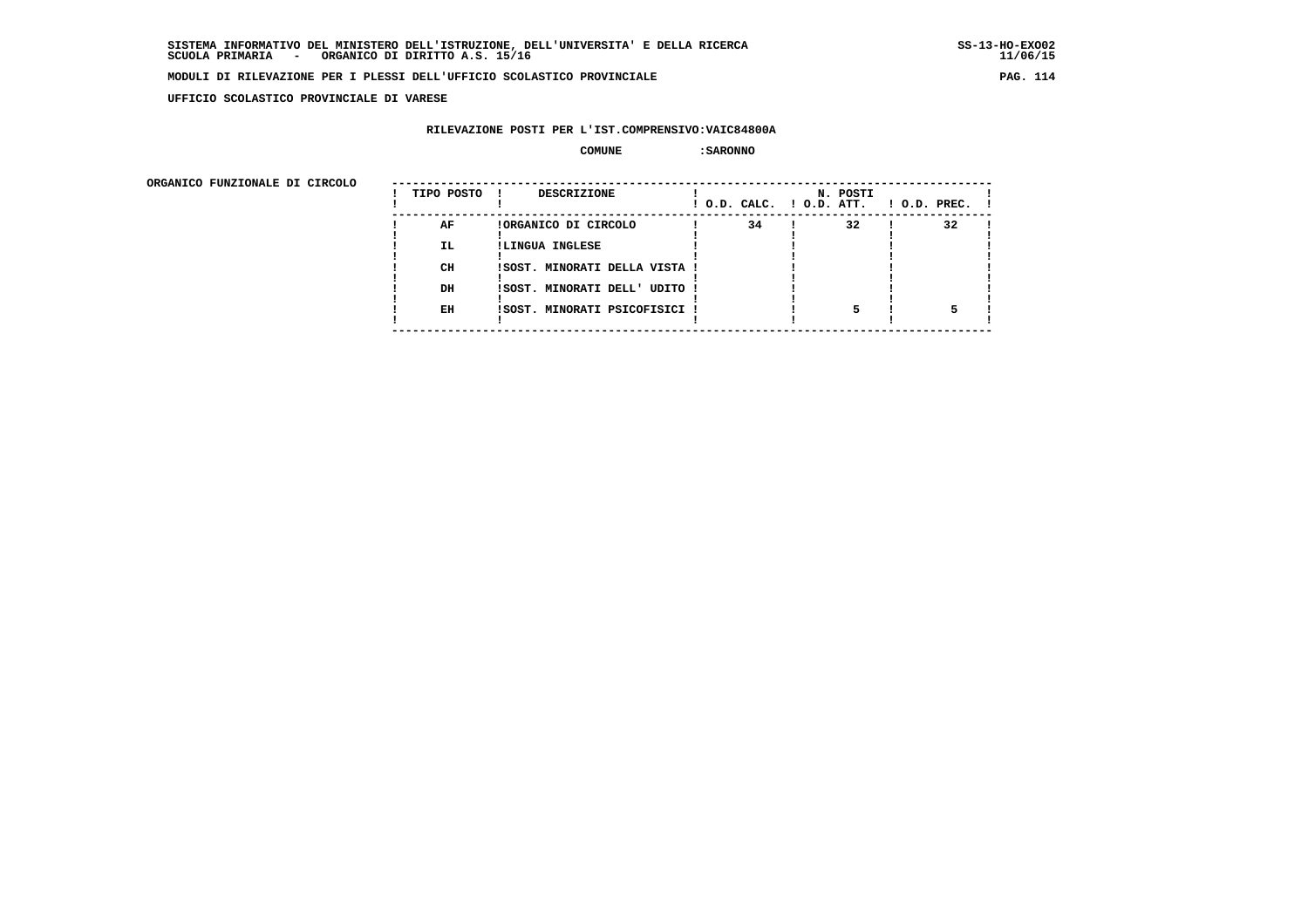**UFFICIO SCOLASTICO PROVINCIALE DI VARESE**

# **RILEVAZIONE POSTI PER L'IST.COMPRENSIVO:VAIC84800A**

 **COMUNE :SARONNO**

ORGANICO FUNZIONALE DI CIRCOLO

| ORGANICO FUNZIONALE DI CIRCOLO |            |                               |                          |          |                    |
|--------------------------------|------------|-------------------------------|--------------------------|----------|--------------------|
|                                | TIPO POSTO | DESCRIZIONE<br>$\mathbf{I}$   | ! O.D. CALC. ! O.D. ATT. | N. POSTI | $!$ 0.D. PREC. $!$ |
|                                | AF         | !ORGANICO DI CIRCOLO          | 34                       | 32       | 32                 |
|                                | IL.        | !LINGUA INGLESE               |                          |          |                    |
|                                |            |                               |                          |          |                    |
|                                | CH         | !SOST. MINORATI DELLA VISTA ! |                          |          |                    |
|                                |            |                               |                          |          |                    |
|                                | DH         | !SOST. MINORATI DELL' UDITO ! |                          |          |                    |
|                                |            |                               |                          |          |                    |
|                                | EH         | !SOST. MINORATI PSICOFISICI ! |                          |          |                    |
|                                |            |                               |                          |          |                    |
|                                |            |                               |                          |          |                    |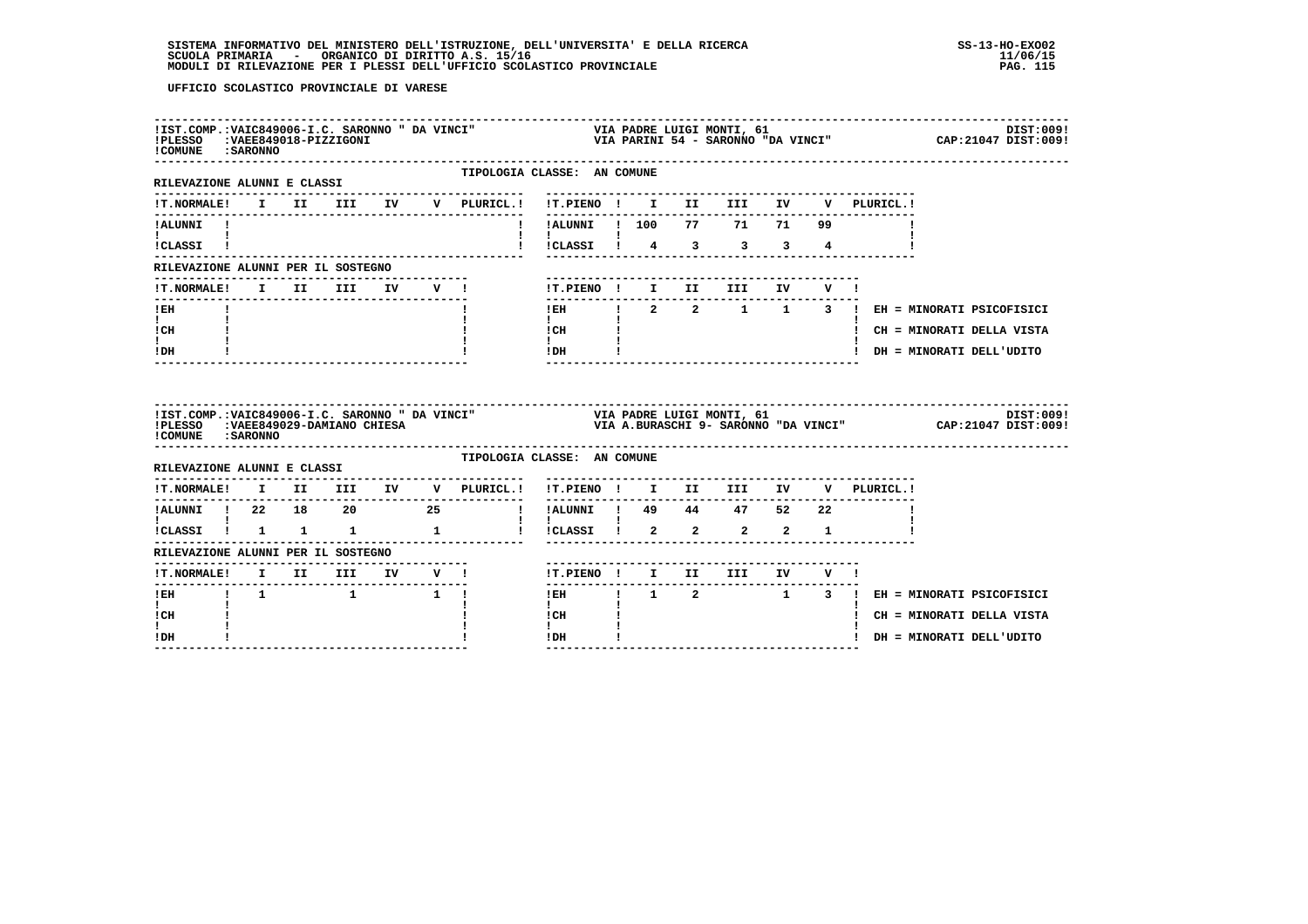| ! COMUNE : SARONNO                                   |  |  |  |                                     |                                                                                                                                                                                                                                                                                                                                            |  |                                |  |             |                                             |  |
|------------------------------------------------------|--|--|--|-------------------------------------|--------------------------------------------------------------------------------------------------------------------------------------------------------------------------------------------------------------------------------------------------------------------------------------------------------------------------------------------|--|--------------------------------|--|-------------|---------------------------------------------|--|
| RILEVAZIONE ALUNNI E CLASSI                          |  |  |  | --------------------                | TIPOLOGIA CLASSE: AN COMUNE                                                                                                                                                                                                                                                                                                                |  |                                |  |             |                                             |  |
|                                                      |  |  |  | !T.NORMALE! I II III IV V PLURICL.! |                                                                                                                                                                                                                                                                                                                                            |  |                                |  | V PLURICL.! |                                             |  |
| !ALUNNI !<br>$\mathbf{I}$ and $\mathbf{I}$           |  |  |  | $\mathbf{I}$                        | !ALUNNI ! 100 77 71 71 99<br>$\mathbf{I}$ $\mathbf{I}$                                                                                                                                                                                                                                                                                     |  |                                |  |             |                                             |  |
| ICLASSI !                                            |  |  |  |                                     | $\frac{1}{2}$ $\frac{1}{2}$ $\frac{1}{2}$ $\frac{1}{2}$ $\frac{1}{2}$ $\frac{1}{2}$ $\frac{1}{2}$ $\frac{1}{2}$ $\frac{1}{2}$ $\frac{1}{2}$ $\frac{1}{2}$ $\frac{1}{2}$ $\frac{1}{2}$ $\frac{1}{2}$ $\frac{1}{2}$ $\frac{1}{2}$ $\frac{1}{2}$ $\frac{1}{2}$ $\frac{1}{2}$ $\frac{1}{2}$ $\frac{1}{2}$ $\frac{1}{2}$                        |  |                                |  |             |                                             |  |
| RILEVAZIONE ALUNNI PER IL SOSTEGNO                   |  |  |  |                                     |                                                                                                                                                                                                                                                                                                                                            |  |                                |  |             |                                             |  |
| !T.NORMALE! I II III IV V !                          |  |  |  |                                     | !T.PIENO ! I II III IV V !<br>--------------                                                                                                                                                                                                                                                                                               |  | ------------------------------ |  |             |                                             |  |
| $I$ EH<br>$\mathbf{I}$ and $\mathbf{I}$              |  |  |  |                                     | $\mathbf{I}$                                                                                                                                                                                                                                                                                                                               |  |                                |  |             | IEH 1 2 2 1 1 3 1 EH = MINORATI PSICOFISICI |  |
| ICH<br>I.                                            |  |  |  |                                     | $\begin{array}{ccc}\n\text{ICH} & \text{I} \\ \text{I} & \text{I}\n\end{array}$                                                                                                                                                                                                                                                            |  |                                |  |             | ! CH = MINORATI DELLA VISTA                 |  |
|                                                      |  |  |  |                                     | $!$ DH $\qquad$ $\qquad$ $\qquad$ $\qquad$ $\qquad$ $\qquad$ $\qquad$ $\qquad$ $\qquad$ $\qquad$ $\qquad$ $\qquad$ $\qquad$ $\qquad$ $\qquad$ $\qquad$ $\qquad$ $\qquad$ $\qquad$ $\qquad$ $\qquad$ $\qquad$ $\qquad$ $\qquad$ $\qquad$ $\qquad$ $\qquad$ $\qquad$ $\qquad$ $\qquad$ $\qquad$ $\qquad$ $\qquad$ $\qquad$ $\qquad$ $\qquad$ |  |                                |  |             | ! DH = MINORATI DELL'UDITO                  |  |
| $!$ DH                                               |  |  |  |                                     |                                                                                                                                                                                                                                                                                                                                            |  |                                |  |             |                                             |  |
| ! COMUNE : SARONNO                                   |  |  |  |                                     | IIST.COMP.:VAIC849006-I.C. SARONNO "DA VINCI" VIA PADRE LUIGI MONTI, 61 [15T.COMP.:VAIC849006-I.C. SARONNO "DA VINCI" 21047 DIST:009!<br>IPLESSO :VAEE849029-DAMIANO CHIESA [15] VIA A.BURASCHI 9- SARONNO "DA VINCI" CAP:21047 D                                                                                                          |  |                                |  |             |                                             |  |
| RILEVAZIONE ALUNNI E CLASSI                          |  |  |  |                                     | TIPOLOGIA CLASSE: AN COMUNE                                                                                                                                                                                                                                                                                                                |  |                                |  |             |                                             |  |
|                                                      |  |  |  |                                     | !T.NORMALE! I II III IV V PLURICL.! !T.PIENO ! I II III IV V PLURICL.!                                                                                                                                                                                                                                                                     |  |                                |  |             |                                             |  |
|                                                      |  |  |  |                                     |                                                                                                                                                                                                                                                                                                                                            |  |                                |  |             |                                             |  |
| $\mathbf{1}$ and $\mathbf{1}$<br>ICLASSI 1 1 1 1 1 1 |  |  |  |                                     | $\mathbf{I}$<br>: : .<br>! !CLASSI ! 2 2 2 2 1                                                                                                                                                                                                                                                                                             |  |                                |  |             |                                             |  |
| RILEVAZIONE ALUNNI PER IL SOSTEGNO                   |  |  |  |                                     |                                                                                                                                                                                                                                                                                                                                            |  |                                |  |             |                                             |  |
|                                                      |  |  |  |                                     | !T.PIENO ! I II III IV V !                                                                                                                                                                                                                                                                                                                 |  |                                |  |             |                                             |  |
|                                                      |  |  |  |                                     |                                                                                                                                                                                                                                                                                                                                            |  |                                |  |             | IEH 1 2 1 3 ! EH = MINORATI PSICOFISICI     |  |
| I.<br>! CH<br>I.                                     |  |  |  |                                     | $\mathbf{I}$<br>! CH<br>$\mathbf{I}$                                                                                                                                                                                                                                                                                                       |  |                                |  |             | ! CH = MINORATI DELLA VISTA                 |  |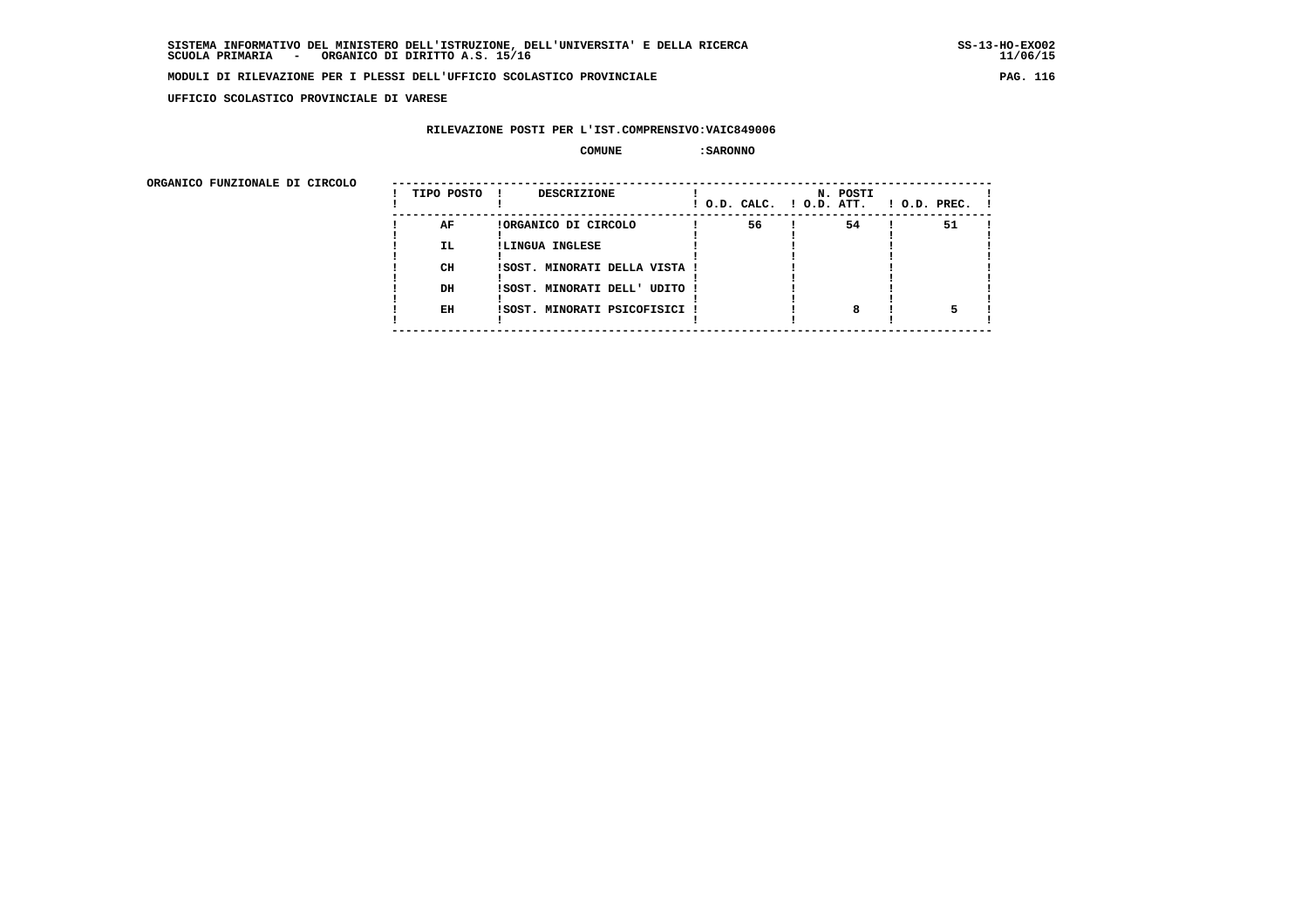**UFFICIO SCOLASTICO PROVINCIALE DI VARESE**

# **RILEVAZIONE POSTI PER L'IST.COMPRENSIVO:VAIC849006**

 **COMUNE :SARONNO**

ORGANICO FUNZIONALE DI CIRCOLO

| ORGANICO FUNZIONALE DI CIRCOLO |            |                               |    |                                      |                    |
|--------------------------------|------------|-------------------------------|----|--------------------------------------|--------------------|
|                                | TIPO POSTO | DESCRIZIONE<br>$\mathbf{I}$   |    | N. POSTI<br>! O.D. CALC. ! O.D. ATT. | $!$ 0.D. PREC. $!$ |
|                                | AF         | !ORGANICO DI CIRCOLO          | 56 | 54                                   | 51                 |
|                                | IL.        | !LINGUA INGLESE               |    |                                      |                    |
|                                |            |                               |    |                                      |                    |
|                                | CH         | !SOST. MINORATI DELLA VISTA ! |    |                                      |                    |
|                                |            |                               |    |                                      |                    |
|                                | DH         | !SOST. MINORATI DELL' UDITO ! |    |                                      |                    |
|                                |            |                               |    |                                      |                    |
|                                | EH         | !SOST. MINORATI PSICOFISICI ! |    |                                      |                    |
|                                |            |                               |    |                                      |                    |
|                                |            |                               |    |                                      |                    |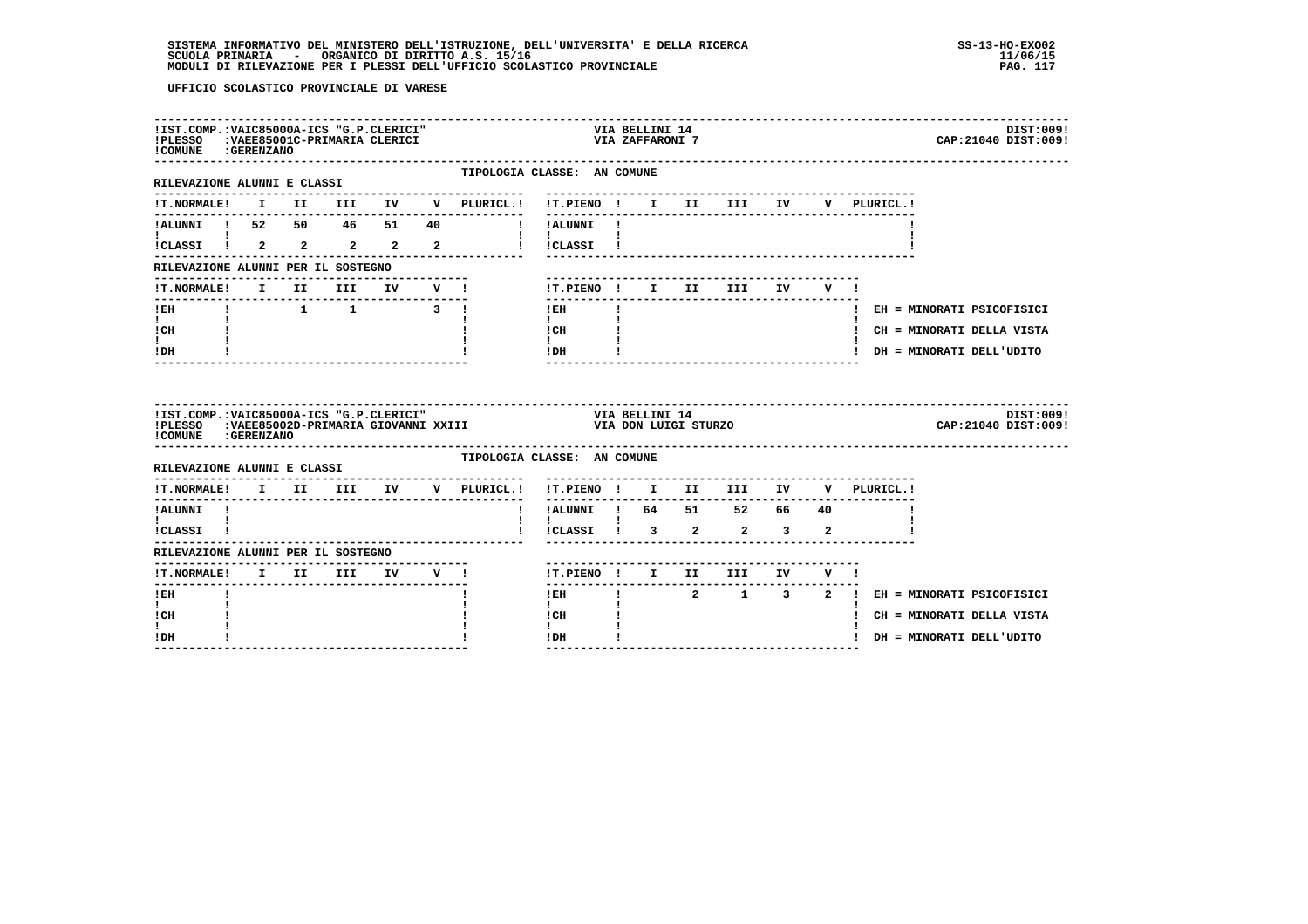# **SISTEMA INFORMATIVO DEL MINISTERO DELL'ISTRUZIONE, DELL'UNIVERSITA' E DELLA RICERCA SS-13-HO-EXO02**SCUOLA PRIMARIA ORGANICO DI DIRITTO A.S. 15/16<br>MODULI DI RILEVAZIONE PER I PLESSI DELL'UFFICIO SCOLASTICO PROVINCIALE **provinciale paga in terme all'unu**paga e

| !IST.COMP.:VAIC85000A-ICS "G.P.CLERICI"<br>!PLESSO : VAEE85001C-PRIMARIA CLERICI<br>! COMUNE : GERENZANO |  |                           |                     |                                                                                                                                                                                              |                                                                                                       |              | VIA BELLINI 14<br>VIA DENNIN-<br>VIA ZAFFARONI 7 |                            |  |                                       |                             | DIST:009!<br>CAP: 21040 DIST: 009! |
|----------------------------------------------------------------------------------------------------------|--|---------------------------|---------------------|----------------------------------------------------------------------------------------------------------------------------------------------------------------------------------------------|-------------------------------------------------------------------------------------------------------|--------------|--------------------------------------------------|----------------------------|--|---------------------------------------|-----------------------------|------------------------------------|
| RILEVAZIONE ALUNNI E CLASSI                                                                              |  |                           |                     | TIPOLOGIA CLASSE: AN COMUNE<br>--------------------                                                                                                                                          |                                                                                                       |              |                                                  |                            |  |                                       |                             |                                    |
|                                                                                                          |  |                           |                     |                                                                                                                                                                                              |                                                                                                       |              |                                                  |                            |  | V PLURICL.!                           |                             |                                    |
|                                                                                                          |  |                           |                     |                                                                                                                                                                                              |                                                                                                       |              |                                                  |                            |  |                                       |                             |                                    |
|                                                                                                          |  |                           |                     |                                                                                                                                                                                              |                                                                                                       |              |                                                  |                            |  |                                       |                             |                                    |
| RILEVAZIONE ALUNNI PER IL SOSTEGNO                                                                       |  |                           |                     |                                                                                                                                                                                              |                                                                                                       |              |                                                  |                            |  |                                       |                             |                                    |
|                                                                                                          |  |                           |                     | !T.NORMALE! I II III IV V !                                                                                                                                                                  |                                                                                                       |              |                                                  | !T.PIENO ! I II III IV V ! |  |                                       |                             |                                    |
| $!$ EH                                                                                                   |  |                           | ------------------- | $\begin{array}{cccccccccccccc} 1 & 1 & 1 & 3 & 1 \end{array}$                                                                                                                                | $!$ EH                                                                                                | $\mathbf{I}$ |                                                  |                            |  | ! EH = MINORATI PSICOFISICI           |                             |                                    |
| $\mathbf{I}$ and $\mathbf{I}$<br>ICH                                                                     |  |                           |                     |                                                                                                                                                                                              | $\mathbf{I}$<br>$\begin{array}{ccc}\n\text{ICH} & & \text{!} \\ \text{!} & & \text{!} \\ \end{array}$ |              |                                                  |                            |  | ! CH = MINORATI DELLA VISTA           |                             |                                    |
| t i<br>! DH                                                                                              |  |                           |                     |                                                                                                                                                                                              | IDH                                                                                                   |              |                                                  |                            |  |                                       | ! DH = MINORATI DELL'UDITO  |                                    |
| ! COMUNE : GERENZANO                                                                                     |  |                           |                     | IIST.COMP.:VAIC85000A-ICS "G.P.CLERICI"                                   VIA BELLINI 14<br>IPLESSO   :VAEE85002D-PRIMARIA GIOVANNI XXIII                               VIA DON LUIGI STURZO |                                                                                                       |              |                                                  |                            |  |                                       |                             | DIST:009!<br>CAP: 21040 DIST: 009! |
| RILEVAZIONE ALUNNI E CLASSI                                                                              |  |                           |                     | TIPOLOGIA CLASSE: AN COMUNE                                                                                                                                                                  |                                                                                                       |              |                                                  |                            |  |                                       |                             |                                    |
|                                                                                                          |  |                           |                     | !T.NORMALE! I II III IV V PLURICL.! !T.PIENO ! I II III IV V PLURICL.!                                                                                                                       | $\frac{1}{2}$                                                                                         |              |                                                  |                            |  |                                       |                             |                                    |
| ! ALUNNI                                                                                                 |  |                           |                     |                                                                                                                                                                                              | !!ALUNNI! 64 51 52 66 40                                                                              |              |                                                  |                            |  |                                       |                             |                                    |
| $\mathbf{I}$ and $\mathbf{I}$ and $\mathbf{I}$<br>!CLASSI !                                              |  |                           |                     |                                                                                                                                                                                              | $\mathbf{I}$<br>1 ICLASSI 1 3 2 2 3 2                                                                 |              |                                                  |                            |  |                                       |                             |                                    |
| RILEVAZIONE ALUNNI PER IL SOSTEGNO                                                                       |  | ------------------------- |                     |                                                                                                                                                                                              |                                                                                                       |              |                                                  |                            |  |                                       |                             |                                    |
| !T.NORMALE! I II III IV V !                                                                              |  |                           |                     |                                                                                                                                                                                              |                                                                                                       |              |                                                  | !T.PIENO ! I II III IV V ! |  |                                       |                             |                                    |
| $I$ EH                                                                                                   |  |                           |                     |                                                                                                                                                                                              | $!$ EH                                                                                                |              |                                                  |                            |  | ! 2 1 3 2 ! EH = MINORATI PSICOFISICI |                             |                                    |
| I.                                                                                                       |  |                           |                     |                                                                                                                                                                                              | $\mathbf{I}$<br>! CH                                                                                  |              |                                                  |                            |  |                                       | ! CH = MINORATI DELLA VISTA |                                    |
| ! CH<br>$\mathbf{I}$                                                                                     |  |                           |                     |                                                                                                                                                                                              | $\mathbf{I}$                                                                                          |              |                                                  |                            |  |                                       |                             |                                    |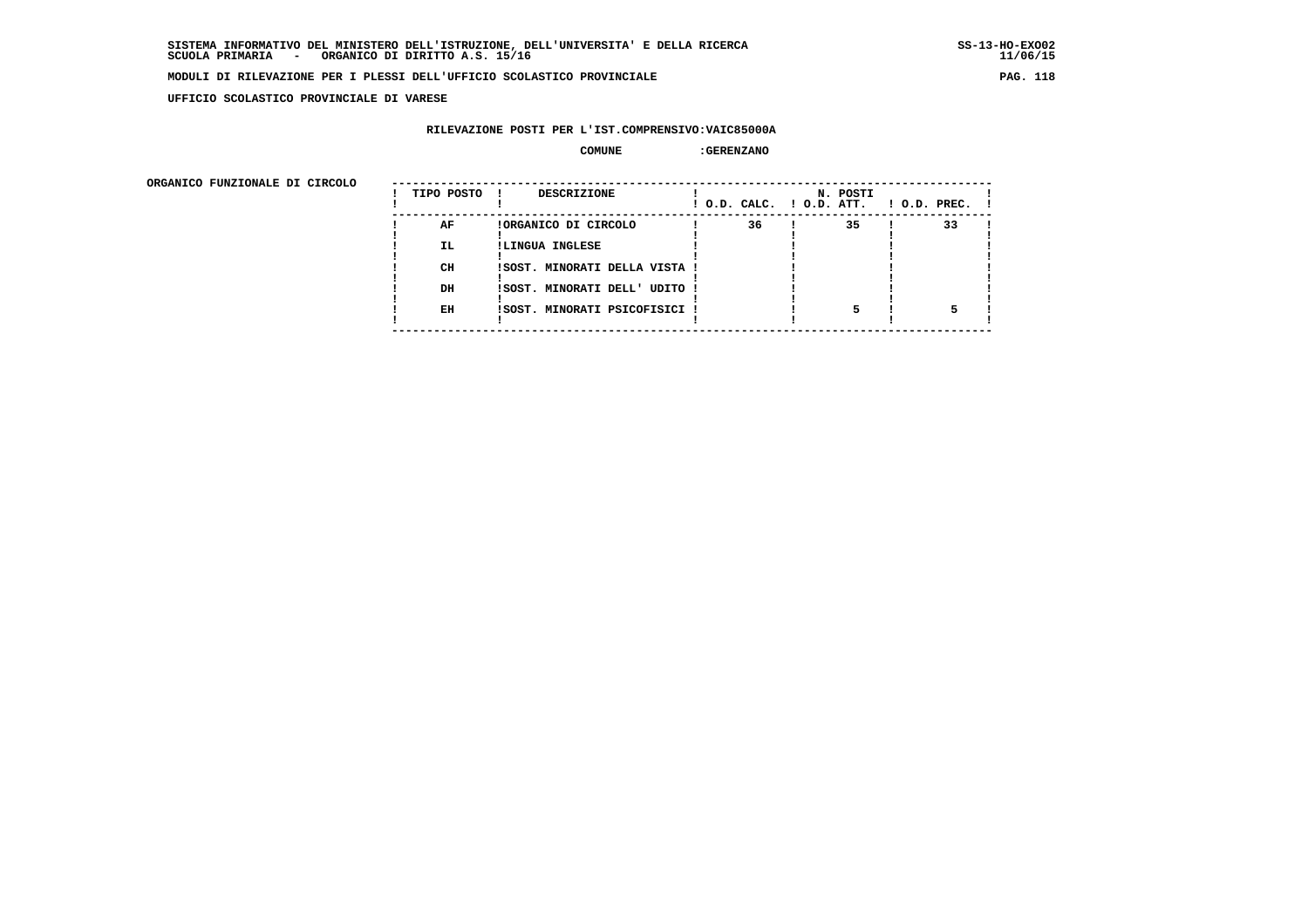**UFFICIO SCOLASTICO PROVINCIALE DI VARESE**

# **RILEVAZIONE POSTI PER L'IST.COMPRENSIVO:VAIC85000A**

# **COMUNE :GERENZANO**

| ORGANICO FUNZIONALE DI CIRCOLO |                 |                                                                          |                          |          |                    |
|--------------------------------|-----------------|--------------------------------------------------------------------------|--------------------------|----------|--------------------|
|                                | TIPO POSTO      | DESCRIZIONE                                                              | ! O.D. CALC. ! O.D. ATT. | N. POSTI | $1$ O.D. PREC. $1$ |
|                                | AF<br>IL.<br>CH | !ORGANICO DI CIRCOLO<br>!LINGUA INGLESE<br>ISOST. MINORATI DELLA VISTA ! | 36                       | 35       | 33                 |
|                                | DH<br>EH        | !SOST. MINORATI DELL' UDITO !<br>!SOST. MINORATI PSICOFISICI !           |                          |          |                    |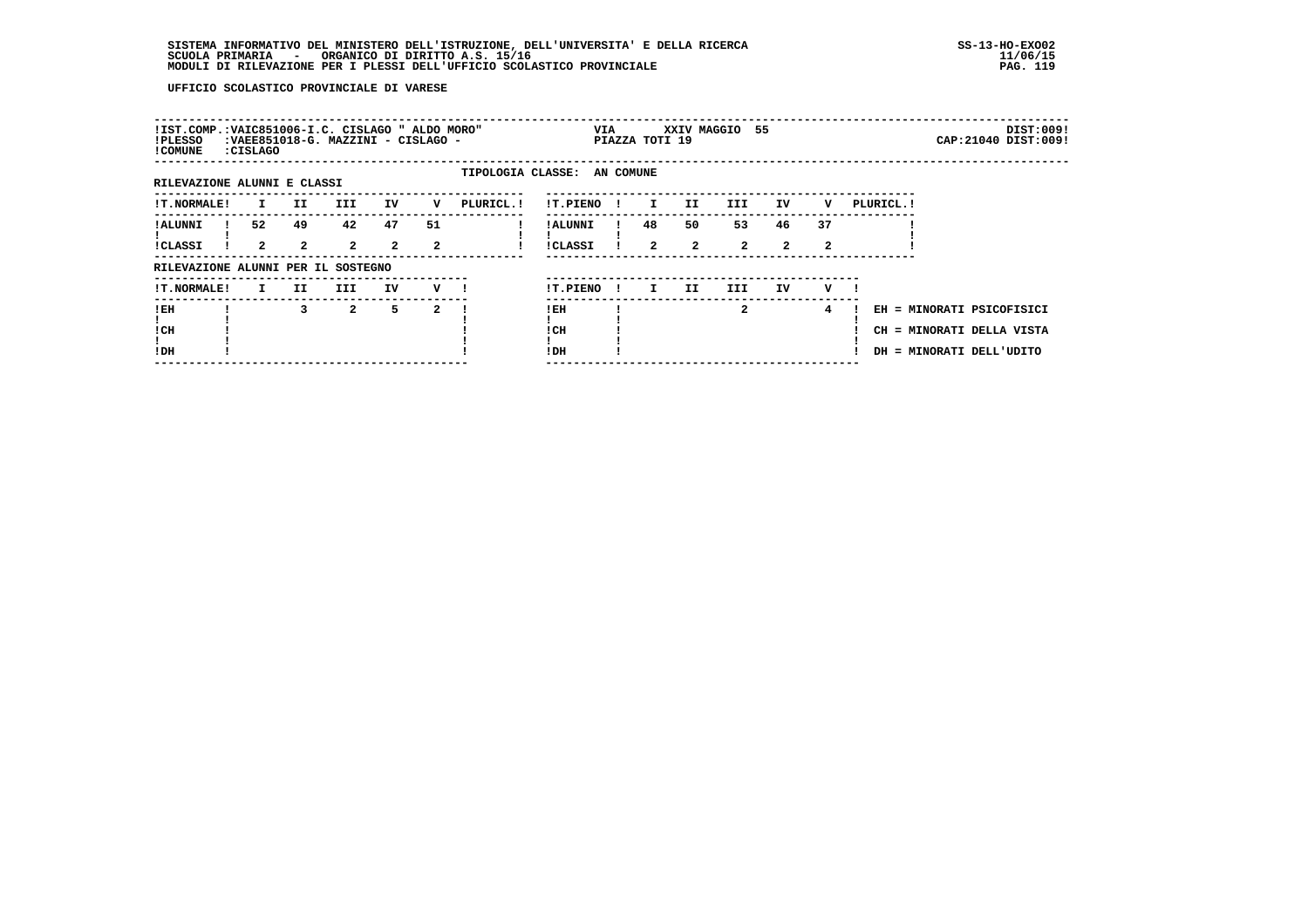| !IST.COMP.: VAIC851006-I.C. CISLAGO " ALDO MORO"<br>!PLESSO<br>! COMUNE | :CISLAGO |                    | :VAEE851018-G. MAZZINI - CISLAGO - |                      |         |                             |                            | VIA          | PIAZZA TOTI 19       |                    | XXIV MAGGIO 55       |                    |         |            |                                                                                    | DIST:009!<br>CAP: 21040 DIST: 009! |
|-------------------------------------------------------------------------|----------|--------------------|------------------------------------|----------------------|---------|-----------------------------|----------------------------|--------------|----------------------|--------------------|----------------------|--------------------|---------|------------|------------------------------------------------------------------------------------|------------------------------------|
| RILEVAZIONE ALUNNI E CLASSI                                             |          |                    |                                    |                      |         | TIPOLOGIA CLASSE: AN COMUNE |                            |              |                      |                    |                      |                    |         |            |                                                                                    |                                    |
| <b>!T.NORMALE!</b>                                                      | I.       | II.                | III.                               | IV                   | v       | PLURICL. !                  | !T.PIENO                   |              | $\mathbf{I}$         | II.                | III                  | IV                 | v       | PLURICL. ! |                                                                                    |                                    |
| ! ALUNNI<br><b>!CLASSI</b>                                              | 52<br>2  | 49<br>$\mathbf{2}$ | 42<br>$\overline{2}$               | 47<br>$\overline{a}$ | 51<br>2 |                             | ! ALUNNI<br><b>!CLASSI</b> |              | 48<br>$\overline{2}$ | 50<br>$\mathbf{2}$ | 53<br>$\overline{a}$ | 46<br>$\mathbf{2}$ | 37<br>2 |            |                                                                                    |                                    |
| RILEVAZIONE ALUNNI PER IL SOSTEGNO                                      |          |                    |                                    |                      |         |                             |                            |              |                      |                    |                      |                    |         |            |                                                                                    |                                    |
| <b>!T.NORMALE!</b>                                                      | I.       | II.                | III                                | IV                   | v       |                             | !T.PIENO                   | $\mathbf{I}$ | I.                   | II.                | III.                 | IV                 | v       |            |                                                                                    |                                    |
| !EH<br>! CH<br>!DH                                                      |          | 3                  | $\mathbf{2}$                       | 5.                   | 2       |                             | ! EH<br>! CH<br>!DH        |              |                      |                    | $\mathbf{2}$         |                    | 4       |            | EH = MINORATI PSICOFISICI<br>CH = MINORATI DELLA VISTA<br>DH = MINORATI DELL'UDITO |                                    |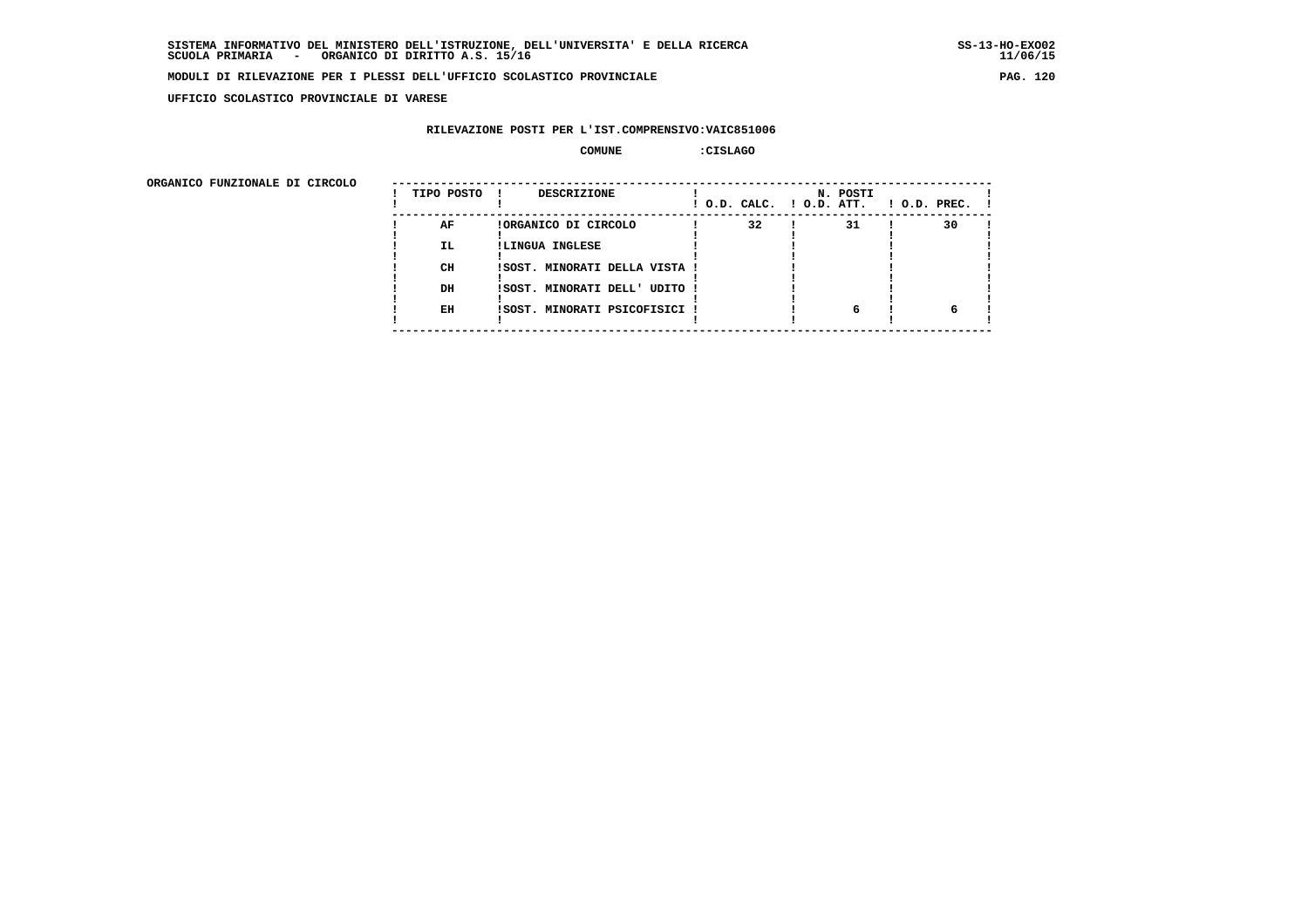**UFFICIO SCOLASTICO PROVINCIALE DI VARESE**

# **RILEVAZIONE POSTI PER L'IST.COMPRENSIVO:VAIC851006**

### **COMUNE :CISLAGO**

| ORGANICO FUNZIONALE DI CIRCOLO |            |                               |                          |          |                    |
|--------------------------------|------------|-------------------------------|--------------------------|----------|--------------------|
|                                | TIPO POSTO | DESCRIZIONE                   | ! O.D. CALC. ! O.D. ATT. | N. POSTI | $1$ O.D. PREC. $1$ |
|                                | AF         | !ORGANICO DI CIRCOLO          | 32                       | 31       | 30                 |
|                                | IL.        | !LINGUA INGLESE               |                          |          |                    |
|                                | CH         | ISOST. MINORATI DELLA VISTA ! |                          |          |                    |
|                                |            |                               |                          |          |                    |
|                                | DH         | !SOST. MINORATI DELL' UDITO ! |                          |          |                    |
|                                | EH         | !SOST. MINORATI PSICOFISICI ! |                          | 6        |                    |
|                                |            |                               |                          |          |                    |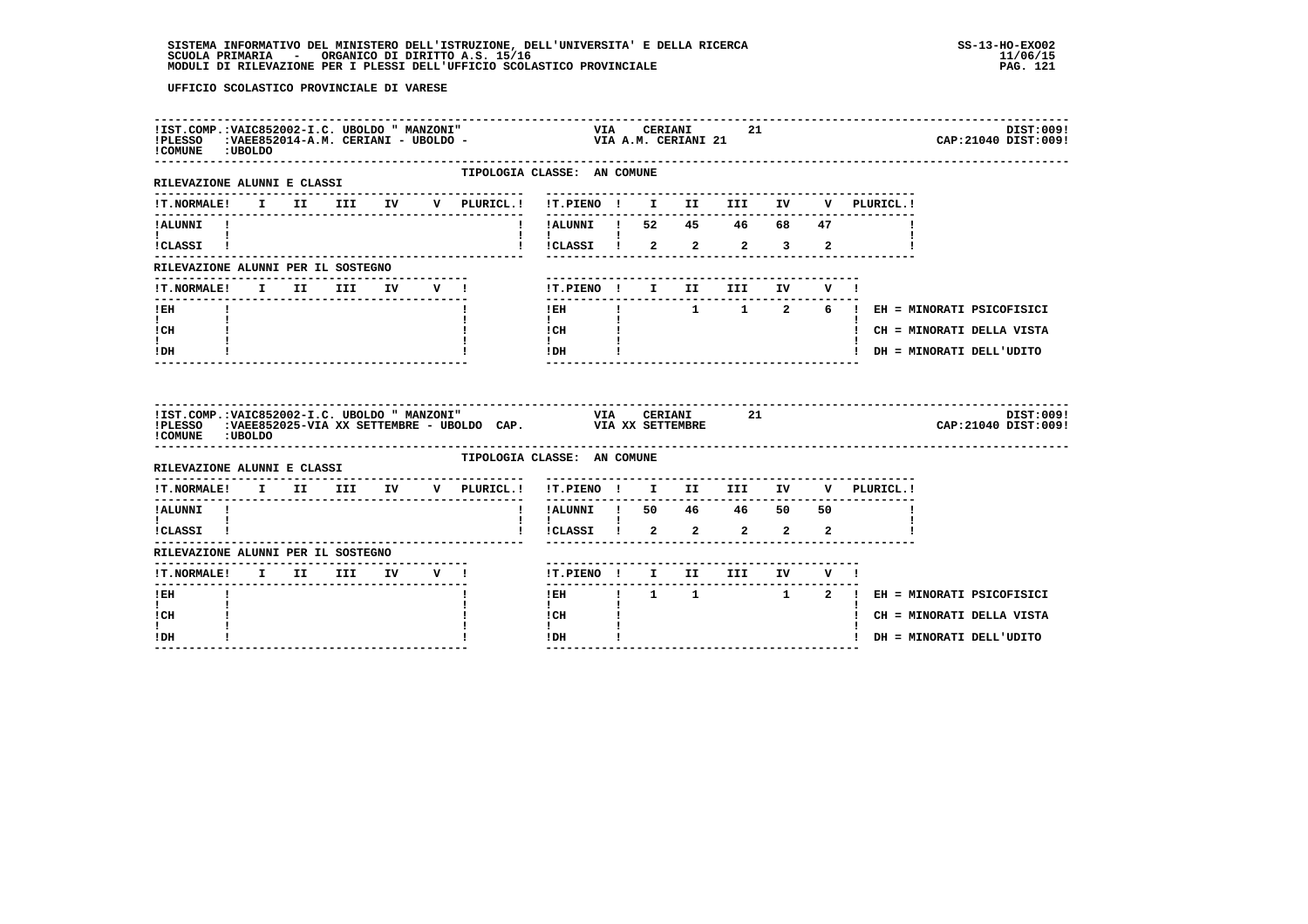# **SISTEMA INFORMATIVO DEL MINISTERO DELL'ISTRUZIONE, DELL'UNIVERSITA' E DELLA RICERCA SS-13-HO-EXO02**SCUOLA PRIMARIA ORGANICO DI DIRITTO A.S. 15/16<br>MODULI DI RILEVAZIONE PER I PLESSI DELL'UFFICIO SCOLASTICO PROVINCIALE **provinciale paga in terme all'unu**paga i

| ! COMUNE : UBOLDO                                               |  |                |  |                                                                                                                                                                                   |                                                    |  |                |       |  | DIST:009!<br>CAP: 21040 DIST: 009!                                |
|-----------------------------------------------------------------|--|----------------|--|-----------------------------------------------------------------------------------------------------------------------------------------------------------------------------------|----------------------------------------------------|--|----------------|-------|--|-------------------------------------------------------------------|
| ---------------------<br>RILEVAZIONE ALUNNI E CLASSI            |  |                |  | TIPOLOGIA CLASSE: AN COMUNE                                                                                                                                                       |                                                    |  |                |       |  |                                                                   |
| <b>!T.NORMALE!</b>                                              |  |                |  | I II III IV V PLURICL.! !T.PIENO ! I II III IV V PLURICL.!                                                                                                                        |                                                    |  |                |       |  |                                                                   |
| !ALUNNI !                                                       |  |                |  |                                                                                                                                                                                   | !!ALUNNI ! 52 45 46 68 47<br>!!!CLASSI ! 2 2 2 3 2 |  |                |       |  |                                                                   |
| ICLASSI !                                                       |  |                |  |                                                                                                                                                                                   |                                                    |  |                |       |  |                                                                   |
| RILEVAZIONE ALUNNI PER IL SOSTEGNO                              |  |                |  |                                                                                                                                                                                   |                                                    |  |                |       |  |                                                                   |
| !T.NORMALE!                                                     |  | I II III IV V! |  |                                                                                                                                                                                   | !T.PIENO ! I II<br>--------------------------      |  | III            | IV V! |  |                                                                   |
| ! EH<br>$\mathbf{I}$ and $\mathbf{I}$                           |  |                |  |                                                                                                                                                                                   | $!$ EH<br>$\mathbf{I}$                             |  |                |       |  | $1 \qquad 1 \qquad 2 \qquad 6 \qquad !$ EH = MINORATI PSICOFISICI |
| ! CH                                                            |  |                |  |                                                                                                                                                                                   | $\mathbf{I} \subset \mathbf{H}$ $\mathbf{I}$       |  |                |       |  | ! CH = MINORATI DELLA VISTA                                       |
| $\mathbf{I}$<br>! DH                                            |  |                |  |                                                                                                                                                                                   | $\mathbf{I}$ and $\mathbf{I}$<br>$IDH$ $I$         |  |                |       |  | ! DH = MINORATI DELL'UDITO                                        |
|                                                                 |  |                |  |                                                                                                                                                                                   |                                                    |  |                |       |  |                                                                   |
| ! COMUNE : UBOLDO                                               |  |                |  | !IST.COMP.:VAIC852002-I.C. UBOLDO " MANZONI"                                 VIA     CERIANI<br>!PLESSO   :VAEE852025-VIA XX SETTEMBRE - UBOLDO CAP.             VIA XX SETTEMBRE |                                                    |  | VIA CERIANI 21 |       |  | DIST:009!<br>CAP: 21040 DIST: 009!                                |
| RILEVAZIONE ALUNNI E CLASSI                                     |  |                |  | TIPOLOGIA CLASSE: AN COMUNE                                                                                                                                                       |                                                    |  |                |       |  |                                                                   |
|                                                                 |  |                |  | !T.NORMALE! I II III IV V PLURICL.! !T.PIENO ! I II III IV V PLURICL.!                                                                                                            |                                                    |  |                |       |  |                                                                   |
| ----------<br>!ALUNNI !                                         |  |                |  |                                                                                                                                                                                   | ! !ALUNNI ! 50 46 46 50 50                         |  |                |       |  |                                                                   |
| $\mathbf{I}$ and $\mathbf{I}$ are all $\mathbf{I}$<br>!CLASSI ! |  |                |  |                                                                                                                                                                                   | $\mathbf{I}$<br>! !CLASSI ! 2 2 2 2 2              |  |                |       |  |                                                                   |
| RILEVAZIONE ALUNNI PER IL SOSTEGNO                              |  |                |  |                                                                                                                                                                                   |                                                    |  |                |       |  |                                                                   |
|                                                                 |  |                |  |                                                                                                                                                                                   |                                                    |  |                |       |  |                                                                   |
| !T.NORMALE! I II III IV V !<br>! EH                             |  |                |  |                                                                                                                                                                                   | !T.PIENO ! I II III IV V !<br>$1$ EH and $-$       |  |                |       |  |                                                                   |
| $\mathbf{I}$                                                    |  |                |  |                                                                                                                                                                                   | $\mathbf{I}$                                       |  |                |       |  | ! 1 1 1 2 ! EH = MINORATI PSICOFISICI                             |
| ! CH<br>I.<br>! DH                                              |  |                |  |                                                                                                                                                                                   | ! CH<br>$\mathbf{I}$<br>! DH                       |  |                |       |  | ! CH = MINORATI DELLA VISTA<br>! DH = MINORATI DELL'UDITO         |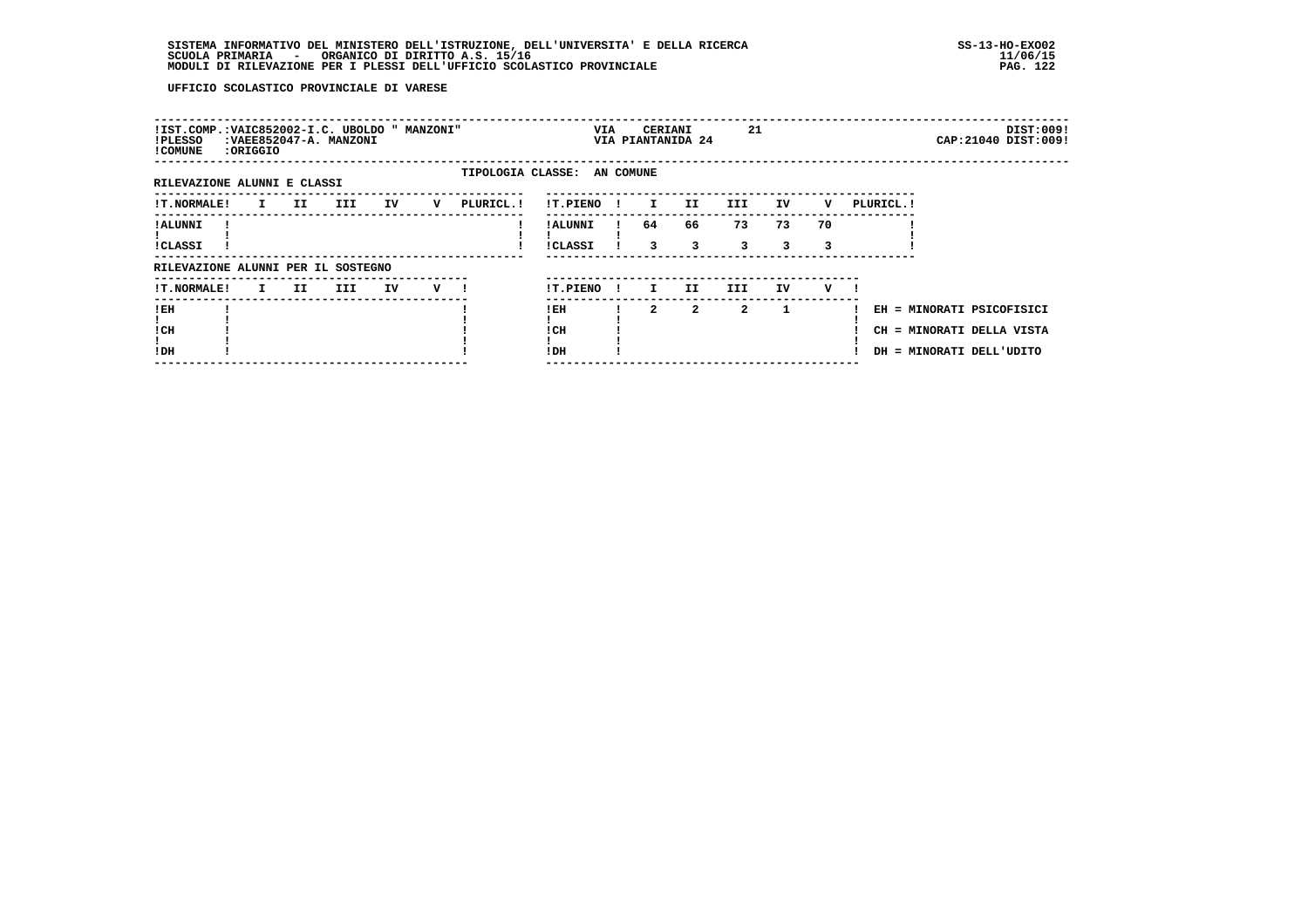# **SISTEMA INFORMATIVO DEL MINISTERO DELL'ISTRUZIONE, DELL'UNIVERSITA' E DELLA RICERCA SS-13-HO-EXO02 SCUOLA PRIMARIA - ORGANICO DI DIRITTO A.S. 15/16 11/06/15 MODULI DI RILEVAZIONE PER I PLESSI DELL'UFFICIO SCOLASTICO PROVINCIALE PAG. 122**

| !IST.COMP.:VAIC852002-I.C. UBOLDO " MANZONI"<br>!PLESSO<br>! COMUNE | :ORIGGIO |     | : VAEE852047-A. MANZONI |    |   |            |                             | VIA          | CERIANI        | VIA PIANTANIDA 24 | 21           |              |         |            |                                                                                    | DIST:009!<br>CAP: 21040 DIST: 009! |
|---------------------------------------------------------------------|----------|-----|-------------------------|----|---|------------|-----------------------------|--------------|----------------|-------------------|--------------|--------------|---------|------------|------------------------------------------------------------------------------------|------------------------------------|
| RILEVAZIONE ALUNNI E CLASSI                                         |          |     |                         |    |   |            | TIPOLOGIA CLASSE: AN COMUNE |              |                |                   |              |              |         |            |                                                                                    |                                    |
|                                                                     |          |     |                         |    |   |            |                             |              |                |                   |              |              |         |            |                                                                                    |                                    |
| <b>!T.NORMALE!</b>                                                  | I.       | II. | III                     | IV | v | PLURICL. ! | !T.PIENO                    |              | $\mathbf{I}$   | II.               | III          | IV           | v       | PLURICL. ! |                                                                                    |                                    |
| ! ALUNNI<br>!CLASSI                                                 |          |     |                         |    |   |            | ! ALUNNI<br><b>!CLASSI</b>  |              | 64<br>3        | 66<br>3           | 73<br>3      | 73<br>3.     | 70<br>3 |            |                                                                                    |                                    |
| RILEVAZIONE ALUNNI PER IL SOSTEGNO                                  |          |     |                         |    |   |            |                             |              |                |                   |              |              |         |            |                                                                                    |                                    |
| !T.NORMALE!                                                         | I.       | II. | III                     | IV | v |            | !T.PIENO                    | $\mathbf{I}$ | I.             | II.               | III          | IV           | v       |            |                                                                                    |                                    |
| !EH<br>! CH<br>!DH                                                  |          |     |                         |    |   |            | ! EH<br>! CH<br>!DH         |              | $\overline{a}$ | $\mathbf{2}$      | $\mathbf{2}$ | $\mathbf{1}$ |         |            | EH = MINORATI PSICOFISICI<br>CH = MINORATI DELLA VISTA<br>DH = MINORATI DELL'UDITO |                                    |
|                                                                     |          |     |                         |    |   |            |                             |              |                |                   |              |              |         |            |                                                                                    |                                    |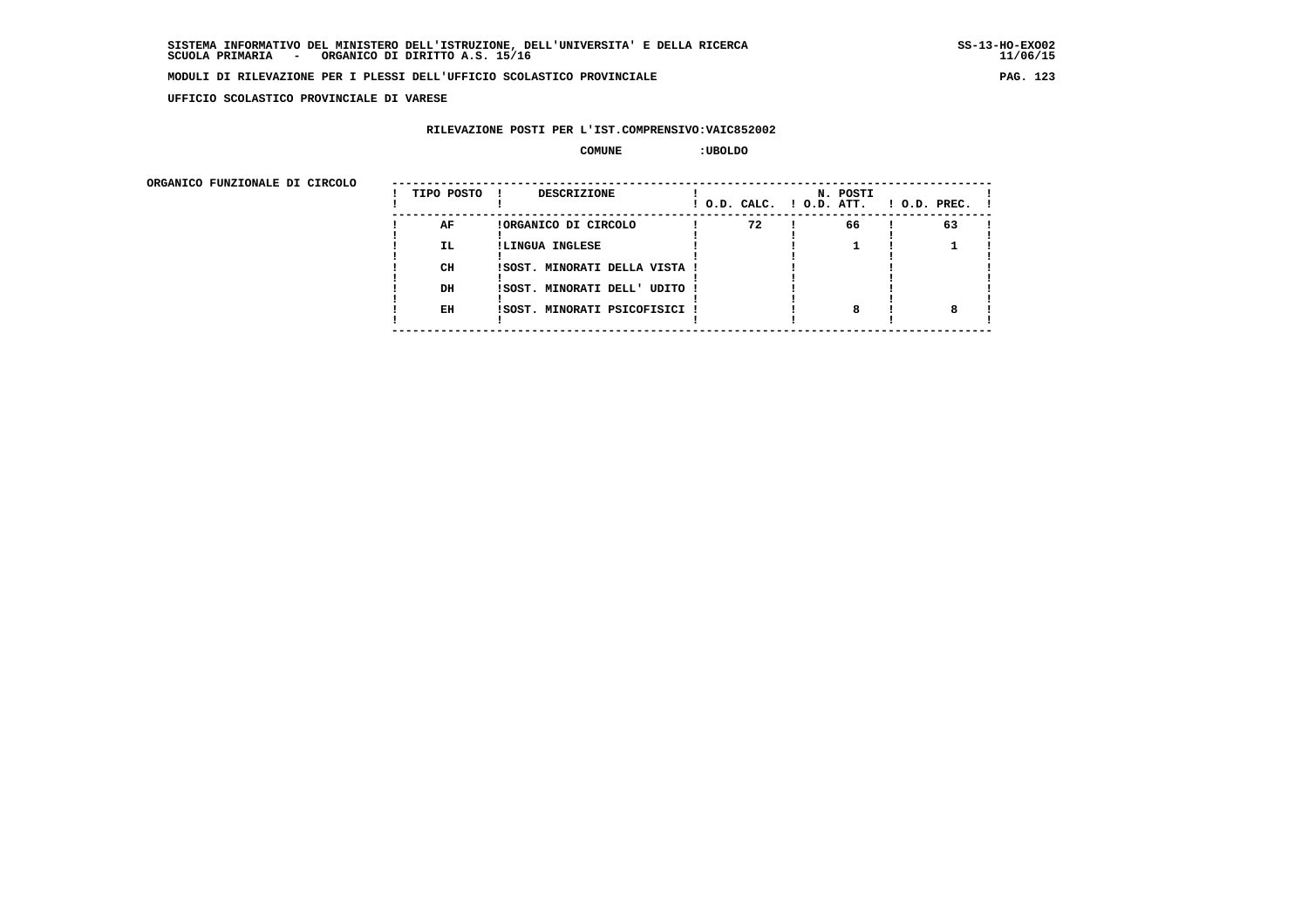**UFFICIO SCOLASTICO PROVINCIALE DI VARESE**

# **RILEVAZIONE POSTI PER L'IST.COMPRENSIVO:VAIC852002**

#### **COMUNE :UBOLDO**

| ORGANICO FUNZIONALE DI CIRCOLO |            |                               |                          |          |                    |
|--------------------------------|------------|-------------------------------|--------------------------|----------|--------------------|
|                                | TIPO POSTO | DESCRIZIONE                   | ! O.D. CALC. ! O.D. ATT. | N. POSTI | $1$ O.D. PREC. $1$ |
|                                | AF         | !ORGANICO DI CIRCOLO          | 72                       | 66       | 63                 |
|                                | IL.        | !LINGUA INGLESE               |                          |          |                    |
|                                | CH         | !SOST. MINORATI DELLA VISTA ! |                          |          |                    |
|                                | DH         | !SOST. MINORATI DELL' UDITO ! |                          |          |                    |
|                                | EH         | !SOST. MINORATI PSICOFISICI ! |                          | 8        |                    |
|                                |            |                               |                          |          |                    |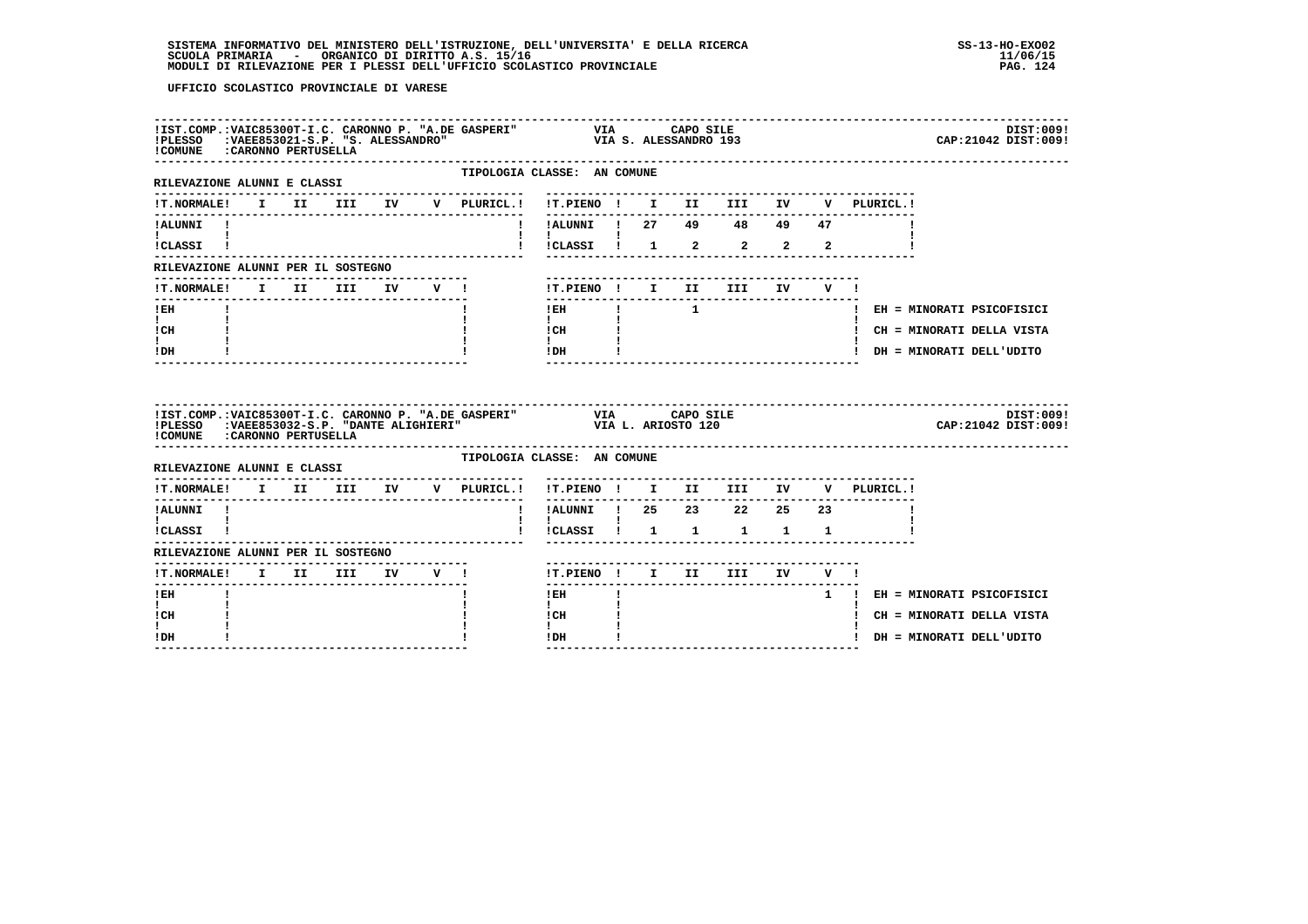| !COMUNE : CARONNO PERTUSELLA               |  |                                  |  | IIST.COMP.:VAIC85300T-I.C. CARONNO P. "A.DE GASPERI" VIA CAPO SILE (POSTLE PRESSANDRO IS ALESSANDRO IS ALESSANDRO IS IN TRIMINAL COMPRESSANDRO IS ALESSANDRO IS IN TRIMINAL COMPRESSANDRO IS ALESSANDRO IS ALESSANDRO IS ALESS |                                                                                                      |  |  |  |                                                                        | DIST:009!<br>CAP: 21042 DIST: 009! |
|--------------------------------------------|--|----------------------------------|--|--------------------------------------------------------------------------------------------------------------------------------------------------------------------------------------------------------------------------------|------------------------------------------------------------------------------------------------------|--|--|--|------------------------------------------------------------------------|------------------------------------|
| RILEVAZIONE ALUNNI E CLASSI                |  |                                  |  | -------------                                                                                                                                                                                                                  | TIPOLOGIA CLASSE: AN COMUNE                                                                          |  |  |  |                                                                        |                                    |
|                                            |  |                                  |  |                                                                                                                                                                                                                                | --------------------------------                                                                     |  |  |  | IT.NORMALE! I II III IV V PLURICL.! !T.PIENO ! I II III IV V PLURICL.! |                                    |
| !ALUNNI !                                  |  |                                  |  |                                                                                                                                                                                                                                | !!ALUNNI ! 27 49 48 49 47                                                                            |  |  |  |                                                                        |                                    |
| $\mathbf{I}$ and $\mathbf{I}$<br>ICLASSI ! |  |                                  |  |                                                                                                                                                                                                                                | $\frac{1}{2}$ $\frac{1}{2}$ $\frac{1}{2}$ $\frac{2}{2}$ $\frac{2}{2}$                                |  |  |  |                                                                        |                                    |
| RILEVAZIONE ALUNNI PER IL SOSTEGNO         |  |                                  |  |                                                                                                                                                                                                                                |                                                                                                      |  |  |  |                                                                        |                                    |
| !T.NORMALE! I II III IV V !                |  | -------------------------------- |  |                                                                                                                                                                                                                                | !T.PIENO ! I II III IV V !                                                                           |  |  |  |                                                                        |                                    |
| ---------------<br>$I$ EH                  |  |                                  |  |                                                                                                                                                                                                                                | $!$ $!$ $!$ $1$                                                                                      |  |  |  |                                                                        | ! EH = MINORATI PSICOFISICI        |
| $\mathbf{I}$ and $\mathbf{I}$<br>ICH       |  |                                  |  |                                                                                                                                                                                                                                | $\mathbf{1}$ and $\mathbf{1}$                                                                        |  |  |  |                                                                        | ! CH = MINORATI DELLA VISTA        |
| $\mathbf{I}$<br>IDH                        |  |                                  |  |                                                                                                                                                                                                                                | $\begin{tabular}{ccccc} 1 CH & & & & & \\ 1 & & & & 1 \\ 1 & & & & 1 \\ 1DH & & & & 1 \end{tabular}$ |  |  |  |                                                                        | ! DH = MINORATI DELL'UDITO         |
|                                            |  |                                  |  |                                                                                                                                                                                                                                |                                                                                                      |  |  |  |                                                                        |                                    |
| ! COMUNE : CARONNO PERTUSELLA              |  |                                  |  |                                                                                                                                                                                                                                |                                                                                                      |  |  |  |                                                                        | DIST:009!<br>CAP: 21042 DIST: 009! |
| RILEVAZIONE ALUNNI E CLASSI                |  |                                  |  | TIPOLOGIA CLASSE: AN COMUNE                                                                                                                                                                                                    |                                                                                                      |  |  |  |                                                                        |                                    |
|                                            |  |                                  |  |                                                                                                                                                                                                                                |                                                                                                      |  |  |  | !T.NORMALE! I II III IV V PLURICL.! !T.PIENO ! I II III IV V PLURICL.! |                                    |
| !ALUNNI !                                  |  |                                  |  |                                                                                                                                                                                                                                | . <u>.</u><br>! !ALUNNI ! 25  23  22  25  23                                                         |  |  |  |                                                                        |                                    |
| $\mathbf{I}$ and $\mathbf{I}$<br>!CLASSI ! |  |                                  |  |                                                                                                                                                                                                                                | $\mathbf{I}$                                                                                         |  |  |  |                                                                        |                                    |
| RILEVAZIONE ALUNNI PER IL SOSTEGNO         |  |                                  |  |                                                                                                                                                                                                                                |                                                                                                      |  |  |  |                                                                        |                                    |
| !T.NORMALE! I II III IV V !                |  |                                  |  |                                                                                                                                                                                                                                | !T.PIENO ! I II III IV V !                                                                           |  |  |  |                                                                        |                                    |
| $!$ EH                                     |  |                                  |  |                                                                                                                                                                                                                                | $!$ EH                                                                                               |  |  |  |                                                                        | 1 ! EH = MINORATI PSICOFISICI      |
| $\mathbf{I}$<br>! CH<br>$\mathbf{I}$       |  |                                  |  |                                                                                                                                                                                                                                | $\mathbf{I}$<br>! CH<br>$\mathbf{I}$                                                                 |  |  |  |                                                                        | ! CH = MINORATI DELLA VISTA        |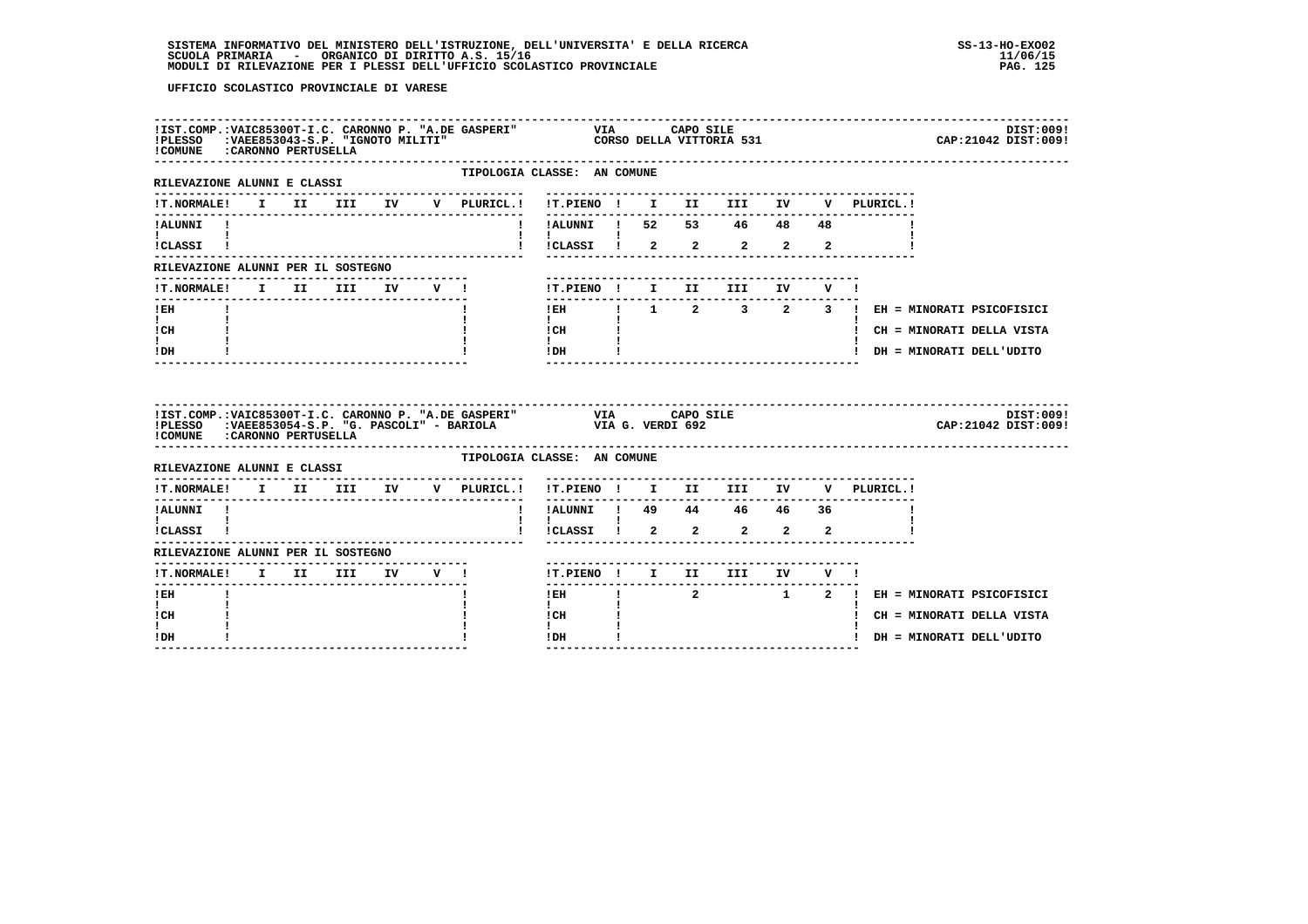| IIST.COMP.:VAIC85300T-I.C. CARONNO P. "A.DE GASPERI" VIA CAPO SILE INCAPO SILE IN CAPO SILE<br>IPLESSO :VAEE853043-S.P. "IGNOTO MILITI" CORSO DELLA VITTORIA 531<br>ICOMINE :CAPONNO PEPTISELLA<br>! COMUNE : CARONNO PERTUSELLA            |  |  |  |                             |                                                                                                                                                                                                                                                                                                                                            |  |                               |  |              | CAP: 21042 DIST: 009!                     | DIST:009! |
|---------------------------------------------------------------------------------------------------------------------------------------------------------------------------------------------------------------------------------------------|--|--|--|-----------------------------|--------------------------------------------------------------------------------------------------------------------------------------------------------------------------------------------------------------------------------------------------------------------------------------------------------------------------------------------|--|-------------------------------|--|--------------|-------------------------------------------|-----------|
| ---------------------------<br>RILEVAZIONE ALUNNI E CLASSI                                                                                                                                                                                  |  |  |  | TIPOLOGIA CLASSE: AN COMUNE |                                                                                                                                                                                                                                                                                                                                            |  |                               |  |              |                                           |           |
| <b>!T.NORMALE!</b>                                                                                                                                                                                                                          |  |  |  |                             |                                                                                                                                                                                                                                                                                                                                            |  |                               |  | V PLURICL. ! |                                           |           |
| !ALUNNI !<br>$\mathbf{I}$ and $\mathbf{I}$                                                                                                                                                                                                  |  |  |  |                             | $\mathbf{I}$ and $\mathbf{I}$ and $\mathbf{I}$                                                                                                                                                                                                                                                                                             |  |                               |  |              |                                           |           |
| !CLASSI !                                                                                                                                                                                                                                   |  |  |  |                             | $\frac{1}{2}$ $\frac{1}{2}$ $\frac{1}{2}$ $\frac{2}{2}$ $\frac{2}{2}$ $\frac{2}{2}$                                                                                                                                                                                                                                                        |  |                               |  |              |                                           |           |
| RILEVAZIONE ALUNNI PER IL SOSTEGNO                                                                                                                                                                                                          |  |  |  |                             |                                                                                                                                                                                                                                                                                                                                            |  |                               |  |              |                                           |           |
| !T.NORMALE! I II III IV V !                                                                                                                                                                                                                 |  |  |  |                             | !T.PIENO! I II III IV V!                                                                                                                                                                                                                                                                                                                   |  |                               |  |              |                                           |           |
| $I$ EH                                                                                                                                                                                                                                      |  |  |  |                             | --------                                                                                                                                                                                                                                                                                                                                   |  |                               |  |              | IEH 1 2 3 2 3 ! EH = MINORATI PSICOFISICI |           |
| $\mathbf{I}$ and $\mathbf{I}$<br>ICH                                                                                                                                                                                                        |  |  |  |                             | $\mathbf{I}$<br>$\begin{array}{ccc}\n1 \text{ CH} & & & 1 \\ 1 & & & 1\n\end{array}$                                                                                                                                                                                                                                                       |  |                               |  |              | ! CH = MINORATI DELLA VISTA               |           |
| $\mathbf{I}$<br>! DH                                                                                                                                                                                                                        |  |  |  |                             | $!$ DH $\qquad$ $\qquad$ $\qquad$ $\qquad$ $\qquad$ $\qquad$ $\qquad$ $\qquad$ $\qquad$ $\qquad$ $\qquad$ $\qquad$ $\qquad$ $\qquad$ $\qquad$ $\qquad$ $\qquad$ $\qquad$ $\qquad$ $\qquad$ $\qquad$ $\qquad$ $\qquad$ $\qquad$ $\qquad$ $\qquad$ $\qquad$ $\qquad$ $\qquad$ $\qquad$ $\qquad$ $\qquad$ $\qquad$ $\qquad$ $\qquad$ $\qquad$ |  |                               |  |              | ! DH = MINORATI DELL'UDITO                |           |
|                                                                                                                                                                                                                                             |  |  |  |                             |                                                                                                                                                                                                                                                                                                                                            |  |                               |  |              |                                           |           |
| IIST.COMP.:VAIC85300T-I.C. CARONNO P. "A.DE GASPERI" VIA CAPO SILE<br>IPLESSO :VARE853054-S.P. "G. PASCOLI" - BARIOLA VIA G. VERDI 692<br>PLESSO : ARRISSIO - S.P. "G. PASCOLI" - BARIOLA VIA G. VERDI 692<br>! COMUNE : CARONNO PERTUSELLA |  |  |  |                             |                                                                                                                                                                                                                                                                                                                                            |  | .---------------------------- |  |              | CAP: 21042 DIST: 009!                     | DIST:009! |
| RILEVAZIONE ALUNNI E CLASSI                                                                                                                                                                                                                 |  |  |  | TIPOLOGIA CLASSE: AN COMUNE |                                                                                                                                                                                                                                                                                                                                            |  |                               |  |              |                                           |           |
| --------------------------------<br>!T.NORMALE! I II III IV V PLURICL.! !T.PIENO ! I II III IV                                                                                                                                              |  |  |  | ---------------------       |                                                                                                                                                                                                                                                                                                                                            |  |                               |  | V PLURICL.!  |                                           |           |
| !ALUNNI !                                                                                                                                                                                                                                   |  |  |  |                             | ----------<br>!!ALUNNI ! 49 44 46 46 36                                                                                                                                                                                                                                                                                                    |  |                               |  |              |                                           |           |
| $\mathbf{I}$ and $\mathbf{I}$ and $\mathbf{I}$<br>!CLASSI !                                                                                                                                                                                 |  |  |  |                             | $\mathbf{I}$<br>$\frac{1}{2}$ $\frac{1}{2}$ $\frac{1}{2}$ $\frac{2}{2}$ $\frac{2}{2}$ $\frac{2}{2}$                                                                                                                                                                                                                                        |  |                               |  |              |                                           |           |
| RILEVAZIONE ALUNNI PER IL SOSTEGNO                                                                                                                                                                                                          |  |  |  |                             |                                                                                                                                                                                                                                                                                                                                            |  |                               |  |              |                                           |           |
| !T.NORMALE! I II III IV V !                                                                                                                                                                                                                 |  |  |  |                             | !T.PIENO ! I II III IV V !                                                                                                                                                                                                                                                                                                                 |  |                               |  |              |                                           |           |
| ! EH                                                                                                                                                                                                                                        |  |  |  |                             | $\frac{1}{2}$<br>! EH                                                                                                                                                                                                                                                                                                                      |  |                               |  |              | 2 1 2 ! EH = MINORATI PSICOFISICI         |           |
| $\mathbf{I}$<br>! CH<br>$\mathbf{I}$                                                                                                                                                                                                        |  |  |  |                             | $\mathbf{I}$<br>! CH<br>$\mathbf{I}$                                                                                                                                                                                                                                                                                                       |  |                               |  |              | ! CH = MINORATI DELLA VISTA               |           |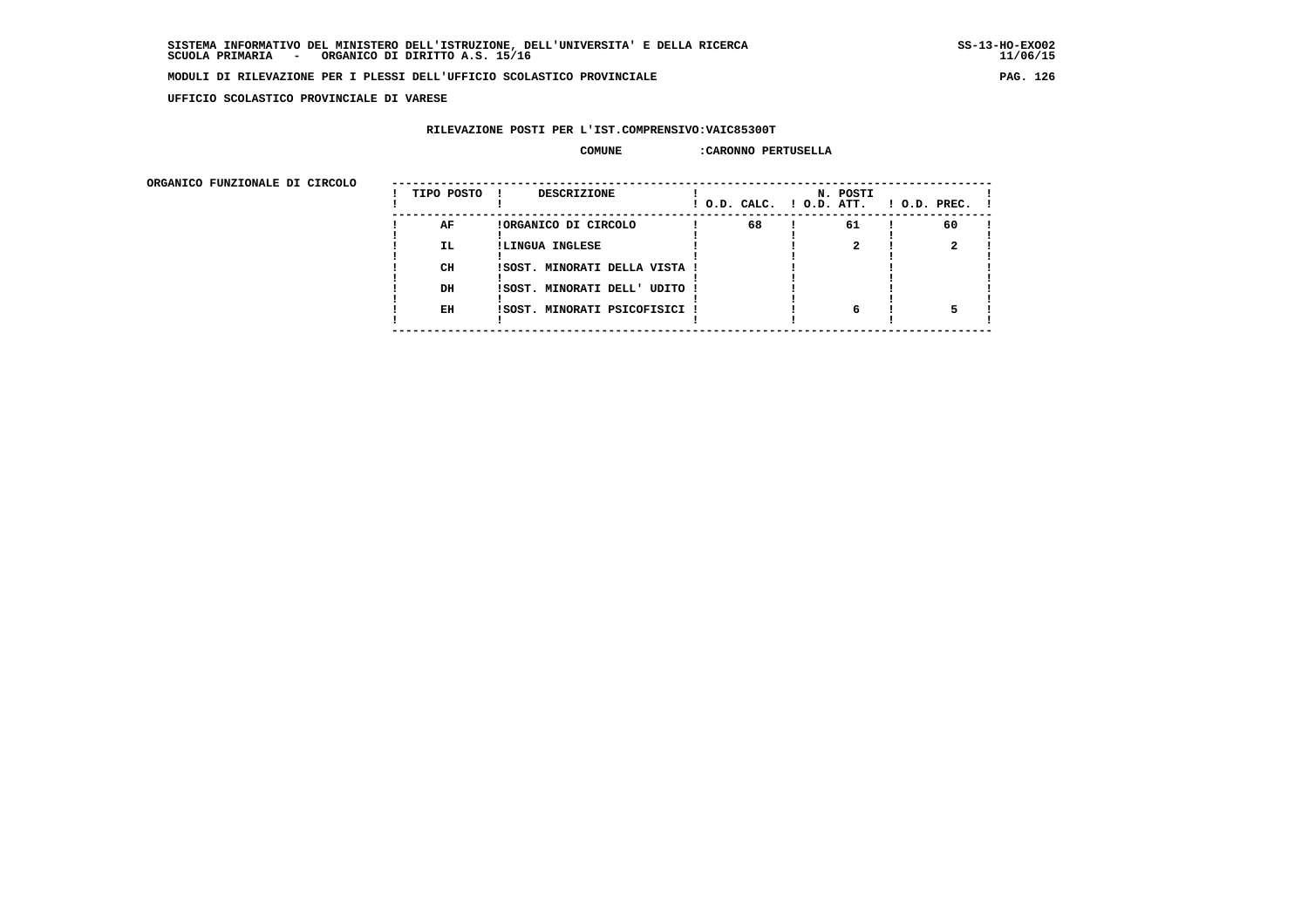$11/06/15$ 

### **MODULI DI RILEVAZIONE PER I PLESSI DELL'UFFICIO SCOLASTICO PROVINCIALE PAG. 126**

 **UFFICIO SCOLASTICO PROVINCIALE DI VARESE**

# **RILEVAZIONE POSTI PER L'IST.COMPRENSIVO:VAIC85300T**

### **COMUNE :CARONNO PERTUSELLA**

| URGANICO FUNZIONALE DI CIRCOLO | TIPO POSTO | DESCRIZIONE                   | ! O.D. CALC. ! O.D. ATT. | N. POSTI | $1$ O.D. PREC. $1$ |
|--------------------------------|------------|-------------------------------|--------------------------|----------|--------------------|
|                                | AF         | !ORGANICO DI CIRCOLO          | 68                       | 61       | 60                 |
|                                | <b>IL</b>  | !LINGUA INGLESE               |                          |          |                    |
|                                | CH         | !SOST. MINORATI DELLA VISTA ! |                          |          |                    |
|                                | DH         | !SOST. MINORATI DELL' UDITO ! |                          |          |                    |
|                                | EH         | !SOST. MINORATI PSICOFISICI ! |                          | 6        |                    |
|                                |            |                               |                          |          |                    |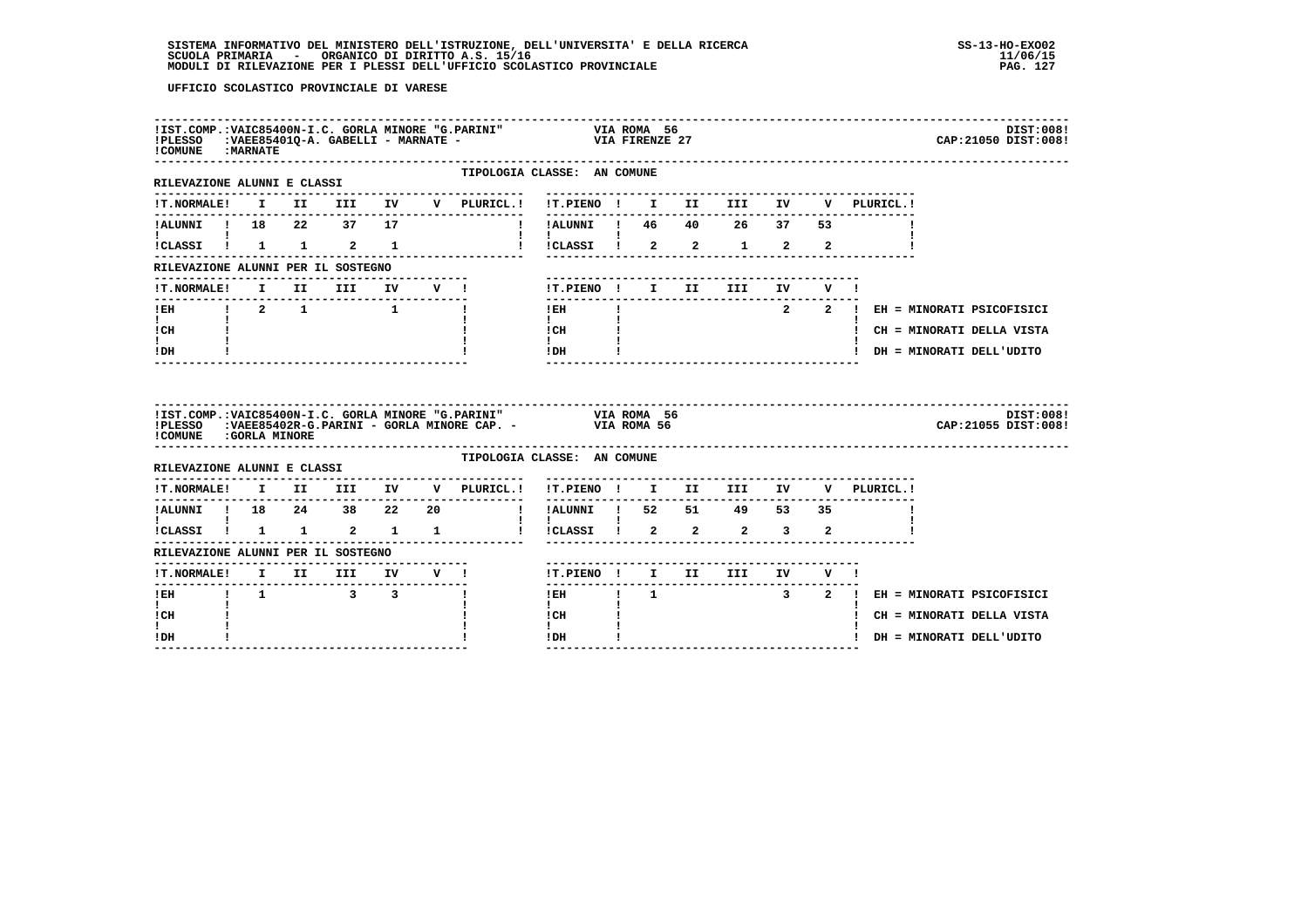| <b>! COMUNE : MARNATE</b>                                        |                                 |  |  | IIST.COMP.:VAIC85400N-I.C. GORLA MINORE "G.PARINI" VIA ROMA 56<br>IPLESSO :VAEE85401Q-A. GABELLI - MARNATE - VIA FIRENZE 27      |                                                                                                                                                                                                                                                                                                                                                             |  |                                    |  |                                         | DIST:008!<br>CAP: 21050 DIST: 008! |
|------------------------------------------------------------------|---------------------------------|--|--|----------------------------------------------------------------------------------------------------------------------------------|-------------------------------------------------------------------------------------------------------------------------------------------------------------------------------------------------------------------------------------------------------------------------------------------------------------------------------------------------------------|--|------------------------------------|--|-----------------------------------------|------------------------------------|
| ---------------------------------<br>RILEVAZIONE ALUNNI E CLASSI |                                 |  |  |                                                                                                                                  | TIPOLOGIA CLASSE: AN COMUNE                                                                                                                                                                                                                                                                                                                                 |  |                                    |  |                                         |                                    |
|                                                                  |                                 |  |  | !T.NORMALE! I II III IV V PLURICL.!                                                                                              |                                                                                                                                                                                                                                                                                                                                                             |  |                                    |  | V PLURICL.!                             |                                    |
| <b>Experience</b>                                                |                                 |  |  | 1.ALUNNI 1 18 22 37 17 11 1.ALUNNI 1 46 40 26 37 53                                                                              |                                                                                                                                                                                                                                                                                                                                                             |  |                                    |  |                                         |                                    |
| !CLASSI ! 1 1 2 1                                                |                                 |  |  | 1 ICLASSI 1 2 2 1 2 2                                                                                                            | $\mathbf{1}$ $\mathbf{1}$                                                                                                                                                                                                                                                                                                                                   |  |                                    |  |                                         |                                    |
| RILEVAZIONE ALUNNI PER IL SOSTEGNO                               |                                 |  |  |                                                                                                                                  |                                                                                                                                                                                                                                                                                                                                                             |  |                                    |  |                                         |                                    |
|                                                                  |                                 |  |  | !T.NORMALE! I II III IV V !    T.PIENO ! I II III IV V !                                                                         | ---------------                                                                                                                                                                                                                                                                                                                                             |  | ---------------------------------- |  |                                         |                                    |
| ---------------                                                  |                                 |  |  |                                                                                                                                  | $\mathbf{1}$ and $\mathbf{1}$ and $\mathbf{1}$                                                                                                                                                                                                                                                                                                              |  |                                    |  | IEH   I 2 2   EH = MINORATI PSICOFISICI |                                    |
| $\mathbf{I}$ and $\mathbf{I}$<br>ICH                             | <b>Contract Contract Street</b> |  |  |                                                                                                                                  | $\begin{array}{ccc}\n1 & \text{CH} & \text{I} \\ 1 & \text{I}\n\end{array}$                                                                                                                                                                                                                                                                                 |  |                                    |  | ! CH = MINORATI DELLA VISTA             |                                    |
| $\mathbf{I}$ and $\mathbf{I}$<br>$!$ DH                          |                                 |  |  |                                                                                                                                  | $!$ DH $\qquad$ $\qquad$ $\qquad$ $\qquad$ $\qquad$ $\qquad$ $\qquad$ $\qquad$ $\qquad$ $\qquad$ $\qquad$ $\qquad$ $\qquad$ $\qquad$ $\qquad$ $\qquad$ $\qquad$ $\qquad$ $\qquad$ $\qquad$ $\qquad$ $\qquad$ $\qquad$ $\qquad$ $\qquad$ $\qquad$ $\qquad$ $\qquad$ $\qquad$ $\qquad$ $\qquad$ $\qquad$ $\qquad$ $\qquad$ $\qquad$ $\qquad$<br>$\frac{1}{2}$ |  |                                    |  | ! DH = MINORATI DELL'UDITO              |                                    |
| ! COMUNE : GORLA MINORE                                          |                                 |  |  | IIST.COMP.:VAIC85400N-I.C. GORLA MINORE "G.PARINI" VIA ROMA 56<br>IPLESSO :VAEE85402R-G.PARINI - GORLA MINORE CAP. - VIA ROMA 56 |                                                                                                                                                                                                                                                                                                                                                             |  |                                    |  |                                         | DIST:008!<br>CAP: 21055 DIST: 008! |
| RILEVAZIONE ALUNNI E CLASSI                                      |                                 |  |  |                                                                                                                                  | TIPOLOGIA CLASSE: AN COMUNE                                                                                                                                                                                                                                                                                                                                 |  |                                    |  |                                         |                                    |
|                                                                  |                                 |  |  | !T.NORMALE! I II III IV V PLURICL.! !T.PIENO ! I II III IV V PLURICL.!                                                           |                                                                                                                                                                                                                                                                                                                                                             |  |                                    |  |                                         |                                    |
|                                                                  |                                 |  |  |                                                                                                                                  |                                                                                                                                                                                                                                                                                                                                                             |  |                                    |  |                                         |                                    |
|                                                                  |                                 |  |  | iCLASSI i 1 1 2 1 1 i iCLASSI i 2 2 2 3 2                                                                                        | $1 - 1$ and $1 - 1$                                                                                                                                                                                                                                                                                                                                         |  |                                    |  |                                         |                                    |
| RILEVAZIONE ALUNNI PER IL SOSTEGNO                               |                                 |  |  |                                                                                                                                  |                                                                                                                                                                                                                                                                                                                                                             |  |                                    |  |                                         |                                    |
|                                                                  |                                 |  |  | !T.NORMALE! I II III IV V !                                                                                                      | !T.PIENO! I II III IV V!                                                                                                                                                                                                                                                                                                                                    |  |                                    |  |                                         |                                    |
| $\mathbf{I}$                                                     |                                 |  |  | <b>Contract Contract</b>                                                                                                         | $\mathbf{I}$                                                                                                                                                                                                                                                                                                                                                |  |                                    |  | IEH ! 1 3 2 ! EH = MINORATI PSICOFISICI |                                    |
| ! CH<br>$\mathbf{I}$                                             |                                 |  |  |                                                                                                                                  | l CH<br>$\mathbf{I}$                                                                                                                                                                                                                                                                                                                                        |  |                                    |  | ! CH = MINORATI DELLA VISTA             |                                    |
| ! DH                                                             |                                 |  |  |                                                                                                                                  | $!$ DH                                                                                                                                                                                                                                                                                                                                                      |  |                                    |  | ! DH = MINORATI DELL'UDITO              |                                    |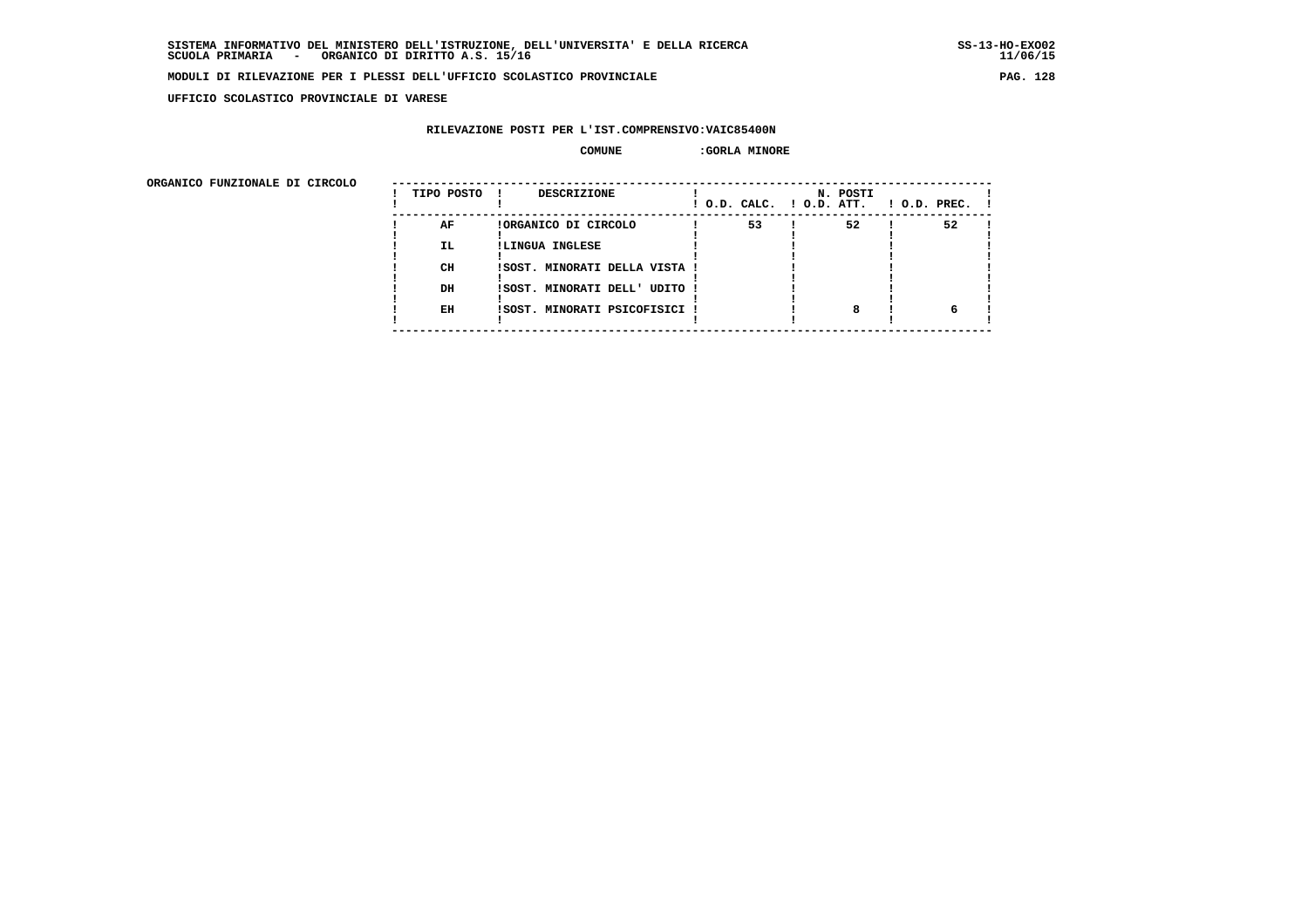**UFFICIO SCOLASTICO PROVINCIALE DI VARESE**

# **RILEVAZIONE POSTI PER L'IST.COMPRENSIVO:VAIC85400N**

### **COMUNE :GORLA MINORE**

| URGANICO FUNZIONALE DI CIRCOLO | TIPO POSTO | DESCRIZIONE                   | ! O.D. CALC. ! O.D. ATT. | N. POSTI | $!$ $0.D.$ $PREC.$ $!$ |
|--------------------------------|------------|-------------------------------|--------------------------|----------|------------------------|
|                                | AF         | !ORGANICO DI CIRCOLO          | 53                       | 52       | 52                     |
|                                | <b>IL</b>  | !LINGUA INGLESE               |                          |          |                        |
|                                | CH         | !SOST. MINORATI DELLA VISTA ! |                          |          |                        |
|                                | DH         | !SOST. MINORATI DELL' UDITO ! |                          |          |                        |
|                                | EH         | !SOST. MINORATI PSICOFISICI ! |                          |          |                        |
|                                |            |                               |                          |          |                        |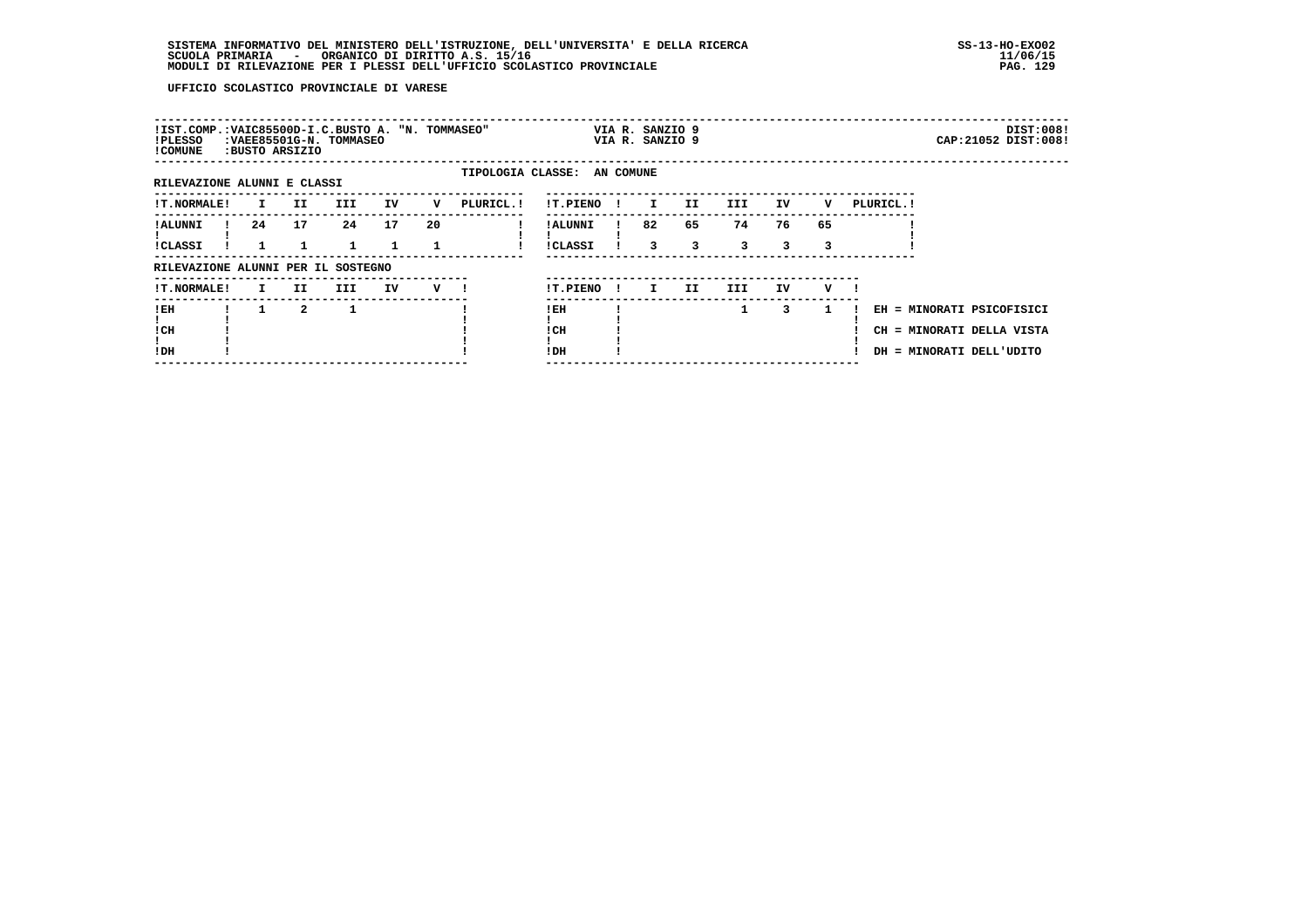# **SISTEMA INFORMATIVO DEL MINISTERO DELL'ISTRUZIONE, DELL'UNIVERSITA' E DELLA RICERCA SS-13-HO-EXO02 SCUOLA PRIMARIA - ORGANICO DI DIRITTO A.S. 15/16 11/06/15 MODULI DI RILEVAZIONE PER I PLESSI DELL'UFFICIO SCOLASTICO PROVINCIALE PAG. 129**

| !IST.COMP.: VAIC85500D-I.C. BUSTO A. "N. TOMMASEO"<br>!PLESSO<br>! COMUNE |              | :VAEE85501G-N. TOMMASEO<br>:BUSTO ARSIZIO |     |    |    |                             |                     |              | VIA R. SANZIO 9<br>VIA R. SANZIO 9 |         |         |         |         |            |                                                                                    | DIST:008!<br>CAP: 21052 DIST: 008! |
|---------------------------------------------------------------------------|--------------|-------------------------------------------|-----|----|----|-----------------------------|---------------------|--------------|------------------------------------|---------|---------|---------|---------|------------|------------------------------------------------------------------------------------|------------------------------------|
| RILEVAZIONE ALUNNI E CLASSI                                               |              |                                           |     |    |    | TIPOLOGIA CLASSE: AN COMUNE |                     |              |                                    |         |         |         |         |            |                                                                                    |                                    |
| <b>!T.NORMALE!</b>                                                        | $\mathbf{I}$ | II.                                       | III | IV | v  | PLURICL. !                  | !T.PIENO            |              | $\mathbf{I}$                       | II.     | III     | IV      | v       | PLURICL. ! |                                                                                    |                                    |
| ! ALUNNI<br><b>!CLASSI</b>                                                | 24           | 17                                        | 24  | 17 | 20 |                             | ! ALUNNI<br>!CLASSI |              | 82<br>3                            | 65<br>3 | 74<br>3 | 76<br>3 | 65<br>3 |            |                                                                                    |                                    |
| RILEVAZIONE ALUNNI PER IL SOSTEGNO                                        |              |                                           |     |    |    |                             |                     |              |                                    |         |         |         |         |            |                                                                                    |                                    |
| <b>!T.NORMALE!</b>                                                        | $\mathbf{I}$ | II.                                       | III | IV | v  |                             | !T.PIENO            | $\mathbf{I}$ | I.                                 | II.     | III.    | IV      | v       |            |                                                                                    |                                    |
| ! EH<br>! CH<br>!DH                                                       |              | $\mathbf{2}$                              |     |    |    |                             | ! EH<br>! CH<br>!DH |              |                                    |         | 1       | 3       |         |            | EH = MINORATI PSICOFISICI<br>CH = MINORATI DELLA VISTA<br>DH = MINORATI DELL'UDITO |                                    |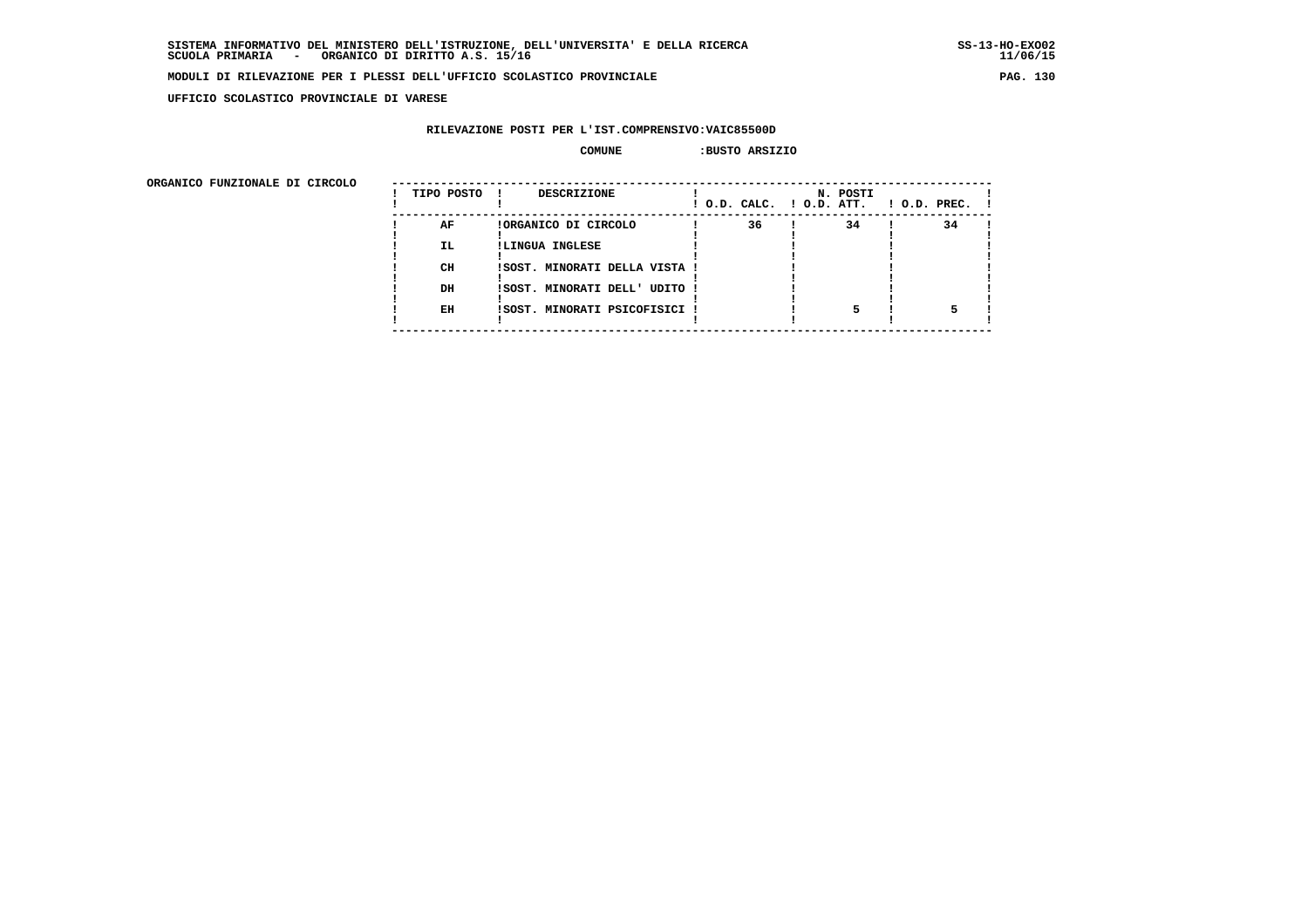**UFFICIO SCOLASTICO PROVINCIALE DI VARESE**

# **RILEVAZIONE POSTI PER L'IST.COMPRENSIVO:VAIC85500D**

### **COMUNE :BUSTO ARSIZIO**

| URGANICO FUNZIONALE DI CIRCOLO | TIPO POSTO | <b>DESCRIZIONE</b>            |    | N. POSTI<br>! O.D. CALC. ! O.D. ATT. | $1$ O.D. PREC. $1$ |
|--------------------------------|------------|-------------------------------|----|--------------------------------------|--------------------|
|                                | AF         | !ORGANICO DI CIRCOLO          | 36 | 34                                   | 34                 |
|                                | IL.        | !LINGUA INGLESE               |    |                                      |                    |
|                                | CH         | !SOST. MINORATI DELLA VISTA ! |    |                                      |                    |
|                                |            |                               |    |                                      |                    |
|                                | DH         | ISOST. MINORATI DELL' UDITO ! |    |                                      |                    |
|                                | EH         | ISOST. MINORATI PSICOFISICI ! |    |                                      |                    |
|                                |            |                               |    |                                      |                    |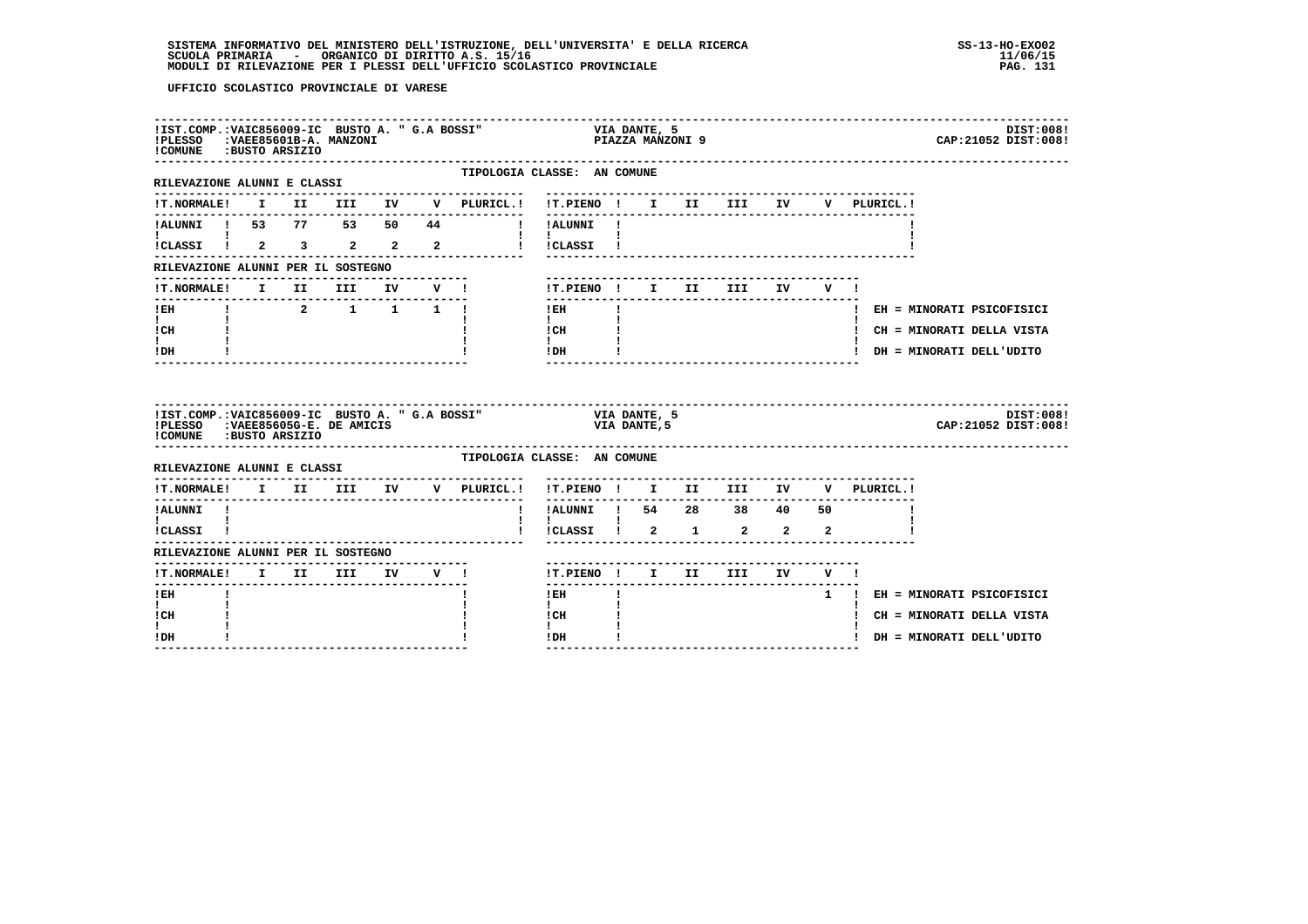| !IST.COMP.: VAIC856009-IC BUSTO A. " G.A BOSSI"<br>!PLESSO<br>!COMUNE : BUSTO ARSIZIO                           |  | :VAEE85601B-A. MANZONI                                            |  |                                                     | VIA DANTE, 5<br>PIAZZA MANZONI 9                      |              |                             |                                       |  |                                    | DIST:008!<br>CAP: 21052 DIST: 008! |
|-----------------------------------------------------------------------------------------------------------------|--|-------------------------------------------------------------------|--|-----------------------------------------------------|-------------------------------------------------------|--------------|-----------------------------|---------------------------------------|--|------------------------------------|------------------------------------|
| RILEVAZIONE ALUNNI E CLASSI                                                                                     |  |                                                                   |  | TIPOLOGIA CLASSE: AN COMUNE<br>-------------------- | ---------------------------                           |              |                             |                                       |  |                                    |                                    |
|                                                                                                                 |  |                                                                   |  | !T.NORMALE! I II III IV V PLURICL.!                 |                                                       |              |                             |                                       |  | !T.PIENO ! I II III IV V PLURICL.! |                                    |
|                                                                                                                 |  |                                                                   |  | !ALUNNI ! 53 77 53 50 44 ! !ALUNNI !                |                                                       |              |                             |                                       |  |                                    |                                    |
| <b>I</b> and the state of the state of<br>$\overline{\text{i}}$ CLASSI $\overline{\text{i}}$ 2 3 2 2 2          |  |                                                                   |  |                                                     | ! !CLASSI !                                           |              |                             |                                       |  |                                    |                                    |
| RILEVAZIONE ALUNNI PER IL SOSTEGNO                                                                              |  |                                                                   |  |                                                     |                                                       |              |                             |                                       |  |                                    |                                    |
| !T.NORMALE! I II III IV V !                                                                                     |  |                                                                   |  |                                                     |                                                       |              |                             | !T.PIENO! I II III IV V!              |  |                                    |                                    |
| $I$ EH                                                                                                          |  | $\begin{array}{cccccccccccccc} 1 & 2 & 1 & 1 & 1 & 1 \end{array}$ |  |                                                     | ---------------<br>$1$ EH                             | $\mathbf{I}$ |                             |                                       |  | ! EH = MINORATI PSICOFISICI        |                                    |
| $\mathbf{I}$ and $\mathbf{I}$<br>! CH                                                                           |  |                                                                   |  |                                                     | $\mathbf{I}$ and $\mathbf{I}$<br>! CH                 |              |                             |                                       |  | ! CH = MINORATI DELLA VISTA        |                                    |
| $\mathbf{I}$<br>! DH                                                                                            |  |                                                                   |  |                                                     | $\mathbf{I}$<br>$!$ DH                                |              |                             |                                       |  | ! DH = MINORATI DELL'UDITO         |                                    |
| !IST.COMP.: VAIC856009-IC BUSTO A. " G.A BOSSI"<br>!PLESSO : VAEE85605G-E. DE AMICIS<br>!COMUNE : BUSTO ARSIZIO |  |                                                                   |  |                                                     |                                                       |              | VIA DANTE, 5<br>VIA DANTE,5 |                                       |  |                                    | DIST:008!<br>CAP: 21052 DIST: 008! |
| RILEVAZIONE ALUNNI E CLASSI                                                                                     |  | -------------------------------                                   |  | TIPOLOGIA CLASSE: AN COMUNE                         |                                                       |              |                             |                                       |  |                                    |                                    |
|                                                                                                                 |  |                                                                   |  |                                                     | !T.PIENO ! I II III IV<br>----------                  |              |                             | . _ _ _ _ _ _ _ _ _ _ _ _ _ _ _ _ _ _ |  | V PLURICL.!                        |                                    |
| !ALUNNI !<br>$\mathbf{I}$ and $\mathbf{I}$ and $\mathbf{I}$                                                     |  |                                                                   |  | $\mathbf{I}$                                        | -------------------------<br>!ALUNNI ! 54 28 38 40 50 |              |                             |                                       |  |                                    |                                    |
| !CLASSI !                                                                                                       |  |                                                                   |  |                                                     | $\mathbf{I}$<br>!CLASSI ! 2 1 2 2 2                   |              |                             |                                       |  |                                    |                                    |
| RILEVAZIONE ALUNNI PER IL SOSTEGNO                                                                              |  |                                                                   |  |                                                     |                                                       |              |                             |                                       |  |                                    |                                    |
|                                                                                                                 |  |                                                                   |  |                                                     |                                                       |              |                             |                                       |  |                                    |                                    |
|                                                                                                                 |  |                                                                   |  |                                                     |                                                       |              |                             | !T.PIENO ! I II III IV V !            |  |                                    |                                    |
| ! EH                                                                                                            |  |                                                                   |  |                                                     | $!$ EH                                                |              |                             |                                       |  | 1 ! EH = MINORATI PSICOFISICI      |                                    |
| $\mathbf{I}$<br>! CH                                                                                            |  |                                                                   |  |                                                     | $\mathbf{I}$<br>! CH                                  |              |                             |                                       |  | ! CH = MINORATI DELLA VISTA        |                                    |
| I.<br>! DH                                                                                                      |  |                                                                   |  |                                                     | $\mathbf{I}$<br>!DH                                   | $\mathbf{I}$ |                             |                                       |  | ! DH = MINORATI DELL'UDITO         |                                    |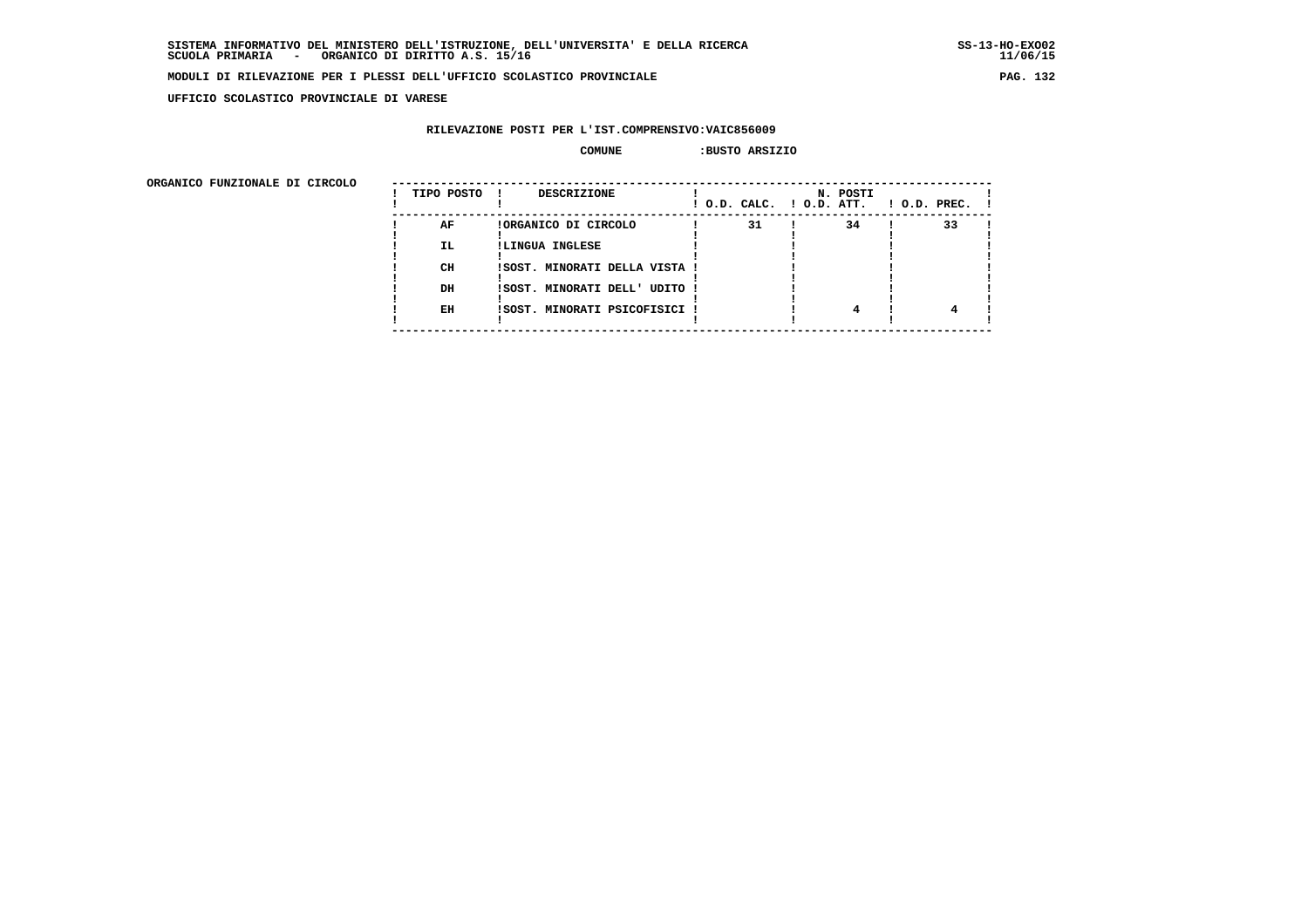$11/06/15$ 

### **MODULI DI RILEVAZIONE PER I PLESSI DELL'UFFICIO SCOLASTICO PROVINCIALE PAG. 132**

 **UFFICIO SCOLASTICO PROVINCIALE DI VARESE**

# **RILEVAZIONE POSTI PER L'IST.COMPRENSIVO:VAIC856009**

### **COMUNE :BUSTO ARSIZIO**

| URGANICO FUNZIONALE DI CIRCOLO | TIPO POSTO | DESCRIZIONE                   | ! O.D. CALC. ! O.D. ATT. | N. POSTI | $!$ $0.D.$ $PREC.$ $!$ |
|--------------------------------|------------|-------------------------------|--------------------------|----------|------------------------|
|                                | AF         | !ORGANICO DI CIRCOLO          | 31                       | 34       | 33                     |
|                                | <b>IL</b>  | !LINGUA INGLESE               |                          |          |                        |
|                                |            |                               |                          |          |                        |
|                                | CH         | !SOST. MINORATI DELLA VISTA ! |                          |          |                        |
|                                | DH         | !SOST. MINORATI DELL' UDITO ! |                          |          |                        |
|                                |            |                               |                          |          |                        |
|                                | EH         | !SOST. MINORATI PSICOFISICI ! |                          |          |                        |
|                                |            |                               |                          |          |                        |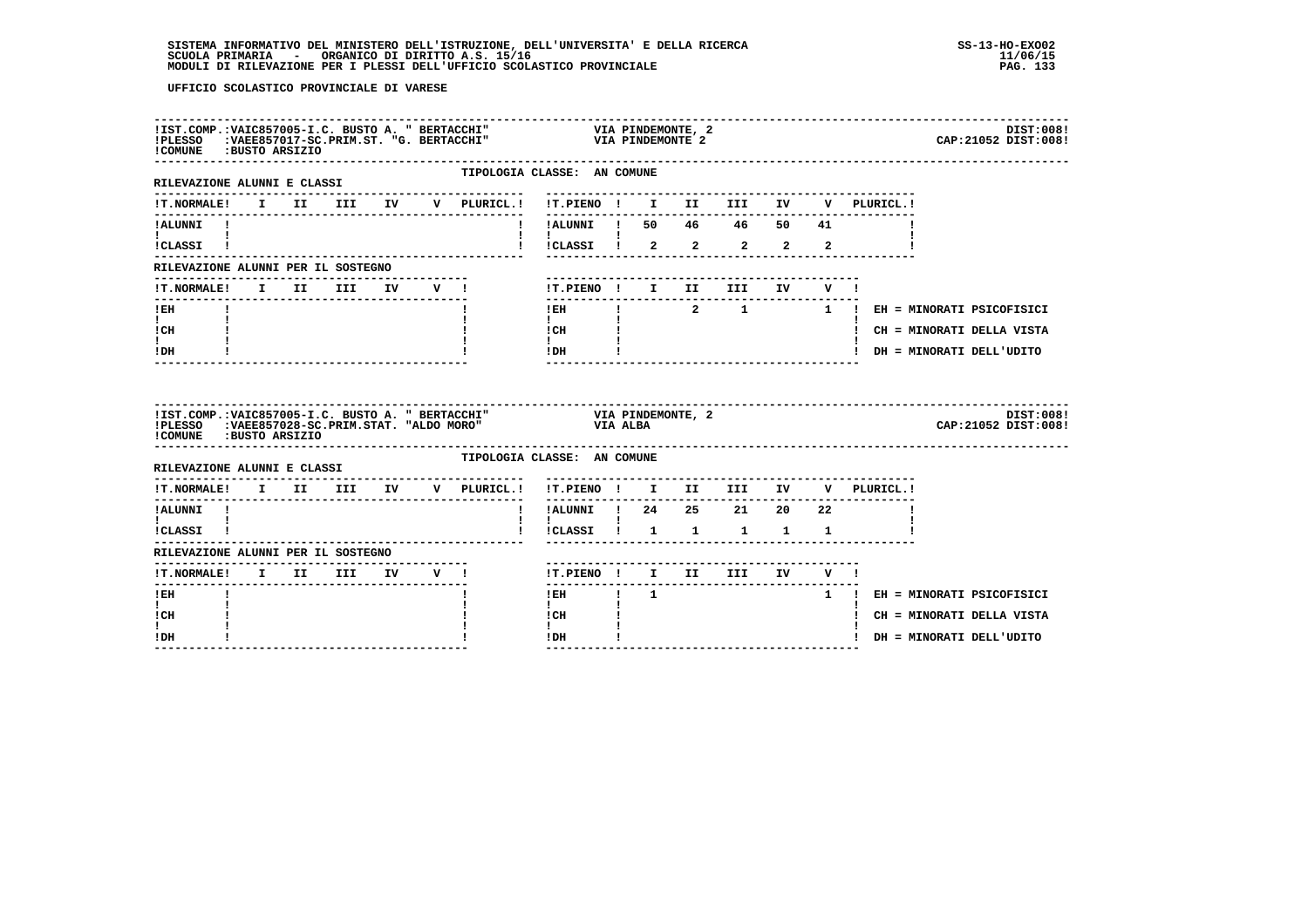| !COMUNE : BUSTO ARSIZIO                                   |  |  |  |                                                                                                                              |                                                       |                |              |                  |              |                                                                                                          | DIST:008!<br>CAP: 21052 DIST: 008! |
|-----------------------------------------------------------|--|--|--|------------------------------------------------------------------------------------------------------------------------------|-------------------------------------------------------|----------------|--------------|------------------|--------------|----------------------------------------------------------------------------------------------------------|------------------------------------|
| --------------------------<br>RILEVAZIONE ALUNNI E CLASSI |  |  |  |                                                                                                                              | TIPOLOGIA CLASSE: AN COMUNE                           |                |              |                  |              |                                                                                                          |                                    |
| <b>!T.NORMALE!</b>                                        |  |  |  | I II III IV V PLURICL.!                                                                                                      | !T.PIENO ! I II III IV                                |                |              |                  |              | V PLURICL.!                                                                                              |                                    |
| !ALUNNI !<br>$\mathbf{I}$ and $\mathbf{I}$                |  |  |  |                                                                                                                              | $\mathbf{I}$                                          |                |              |                  |              |                                                                                                          |                                    |
| !CLASSI !                                                 |  |  |  |                                                                                                                              | ICLASSI 1 2<br>$\mathbf{I}$                           |                |              |                  |              | $2$ $2$ $2$ $2$                                                                                          |                                    |
| RILEVAZIONE ALUNNI PER IL SOSTEGNO                        |  |  |  |                                                                                                                              |                                                       |                |              |                  |              |                                                                                                          |                                    |
| !T.NORMALE! I II III IV V !                               |  |  |  |                                                                                                                              | !T.PIENO ! I II                                       |                | <b>III</b>   | IV <sub>1</sub>  | V I          |                                                                                                          |                                    |
| $!$ EH                                                    |  |  |  |                                                                                                                              | --------<br>$!$ EH                                    |                |              |                  |              | $\begin{array}{cccccccccccccc} 1 & 2 & 1 & 1 & 1 & E \text{H} = \text{MINORATI PSTCorrSICI} \end{array}$ |                                    |
| $\mathbf{I}$ and $\mathbf{I}$<br>! CH                     |  |  |  |                                                                                                                              | $\mathbf{I}$<br>! CH                                  |                |              |                  |              |                                                                                                          | ! CH = MINORATI DELLA VISTA        |
| $\mathbf{I}$<br>! DH                                      |  |  |  |                                                                                                                              | $\mathbf{I}$ and $\mathbf{I}$<br>! DH                 |                |              |                  |              | ! DH = MINORATI DELL'UDITO                                                                               |                                    |
| !COMUNE : BUSTO ARSIZIO                                   |  |  |  | !IST.COMP.:VAIC857005-I.C. BUSTO A. " BERTACCHI" VIA PINDEMONTE, 2<br>!PLESSO :VAEE857028-SC.PRIM.STAT. "ALDO MORO" VIA ALBA |                                                       |                |              |                  |              |                                                                                                          | DIST:008!                          |
| RILEVAZIONE ALUNNI E CLASSI                               |  |  |  |                                                                                                                              |                                                       |                |              |                  |              |                                                                                                          | CAP: 21052 DIST: 008!              |
|                                                           |  |  |  |                                                                                                                              | TIPOLOGIA CLASSE: AN COMUNE                           |                |              |                  |              |                                                                                                          |                                    |
|                                                           |  |  |  | !T.NORMALE! I II III IV V PLURICL.!                                                                                          | !T.PIENO ! I II III IV                                |                |              |                  |              | V PLURICL.!                                                                                              |                                    |
| !ALUNNI !                                                 |  |  |  | $\mathbf{I}$                                                                                                                 | ---------<br>!ALUNNI ! 24  25  21  20  22             |                |              |                  |              |                                                                                                          |                                    |
| $\mathbf{1}$ $\mathbf{1}$<br>!CLASSI !                    |  |  |  |                                                                                                                              | $\mathbf{I}$<br>$ICLASSI$ $1$ $1$ $1$<br>$\mathbf{I}$ |                | $\mathbf{1}$ | $1 \quad \cdots$ | $\mathbf{1}$ |                                                                                                          |                                    |
| RILEVAZIONE ALUNNI PER IL SOSTEGNO                        |  |  |  |                                                                                                                              |                                                       |                |              |                  |              |                                                                                                          |                                    |
| !T.NORMALE! I II III IV V !                               |  |  |  |                                                                                                                              | !T.PIENO ! I II III IV V !                            |                |              |                  |              |                                                                                                          |                                    |
| ! EH                                                      |  |  |  |                                                                                                                              | $!$ EH                                                | $\blacksquare$ |              |                  |              | 1 ! EH = MINORATI PSICOFISICI                                                                            |                                    |
| I.<br>! CH<br>$\mathbf{I}$                                |  |  |  |                                                                                                                              | $\mathbf{I}$<br>! CH<br>$\mathbf{I}$                  |                |              |                  |              |                                                                                                          | CH = MINORATI DELLA VISTA          |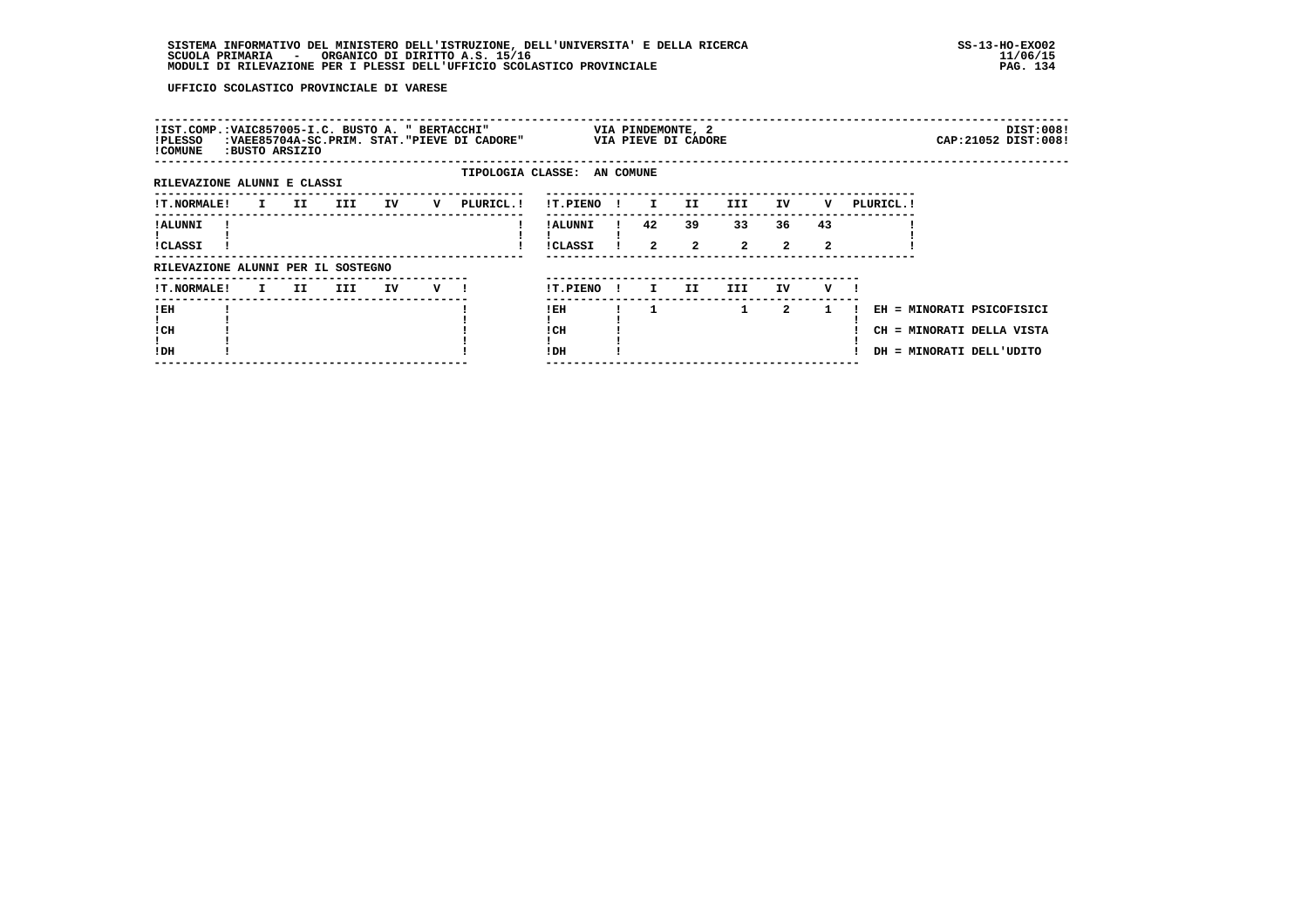| !IST.COMP.:VAIC857005-I.C. BUSTO A. " BERTACCHI"<br>!PLESSO<br>! COMUNE |              | BUSTO ARSIZIO: |     |    |   | :VAEE85704A-SC.PRIM. STAT. "PIEVE DI CADORE" |                             |              |                      | VIA PINDEMONTE, 2<br>VIA PIEVE DI CADORE |                      |                      |         |            |                                                                                    | DIST:008!<br>CAP: 21052 DIST: 008! |
|-------------------------------------------------------------------------|--------------|----------------|-----|----|---|----------------------------------------------|-----------------------------|--------------|----------------------|------------------------------------------|----------------------|----------------------|---------|------------|------------------------------------------------------------------------------------|------------------------------------|
| RILEVAZIONE ALUNNI E CLASSI                                             |              |                |     |    |   |                                              | TIPOLOGIA CLASSE: AN COMUNE |              |                      |                                          |                      |                      |         |            |                                                                                    |                                    |
| <b>!T.NORMALE!</b>                                                      | $\mathbf{I}$ | II D           | III | IV | v | PLURICL.!                                    | !T.PIENO                    | $\mathbf{I}$ | $\mathbf{I}$         | II.                                      | III.                 | IV                   | v       | PLURICL. ! |                                                                                    |                                    |
| ! ALUNNI<br><b>!CLASSI</b>                                              |              |                |     |    |   |                                              | ! ALUNNI<br>!CLASSI         |              | 42<br>$\overline{a}$ | 39<br>$\overline{2}$                     | 33<br>$\overline{a}$ | 36<br>$\overline{2}$ | 43<br>2 |            |                                                                                    |                                    |
| RILEVAZIONE ALUNNI PER IL SOSTEGNO                                      |              |                |     |    |   |                                              |                             |              |                      |                                          |                      |                      |         |            |                                                                                    |                                    |
| <b>!T.NORMALE!</b>                                                      | I.           | II.            | III | IV | v |                                              | !T.PIENO                    | $\mathbf{I}$ | I.                   | II.                                      | III.                 | IV.                  | v       |            |                                                                                    |                                    |
| !EH<br>! CH<br>!DH                                                      |              |                |     |    |   |                                              | ! EH<br>! CH<br>!DH         |              |                      |                                          | $\mathbf{1}$         | 2                    | -1      |            | EH = MINORATI PSICOFISICI<br>CH = MINORATI DELLA VISTA<br>DH = MINORATI DELL'UDITO |                                    |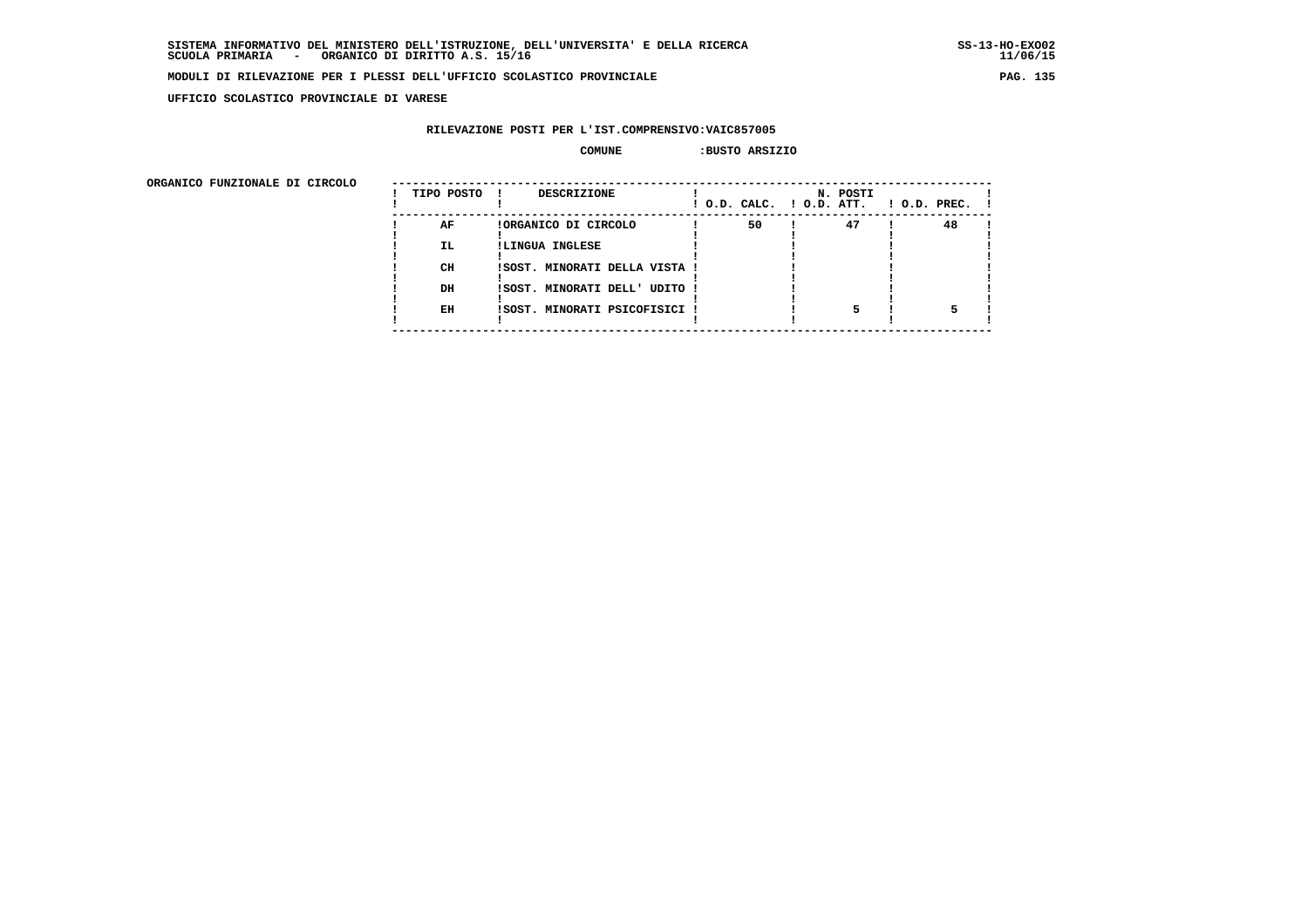$11/06/15$ 

### **MODULI DI RILEVAZIONE PER I PLESSI DELL'UFFICIO SCOLASTICO PROVINCIALE PAG. 135**

 **UFFICIO SCOLASTICO PROVINCIALE DI VARESE**

# **RILEVAZIONE POSTI PER L'IST.COMPRENSIVO:VAIC857005**

### **COMUNE :BUSTO ARSIZIO**

| URGANICO FUNZIONALE DI CIRCOLO | TIPO POSTO      | DESCRIZIONE                                                    | ! O.D. CALC. ! O.D. ATT. | N. POSTI | $!$ $0.D.$ $PREC.$ $!$ |
|--------------------------------|-----------------|----------------------------------------------------------------|--------------------------|----------|------------------------|
|                                | AF<br><b>IL</b> | !ORGANICO DI CIRCOLO<br>!LINGUA INGLESE                        | 50                       | 47       | 48                     |
|                                | CH              | !SOST. MINORATI DELLA VISTA !                                  |                          |          |                        |
|                                | DH<br>EH        | !SOST. MINORATI DELL' UDITO !<br>!SOST. MINORATI PSICOFISICI ! |                          |          |                        |
|                                |                 |                                                                |                          |          |                        |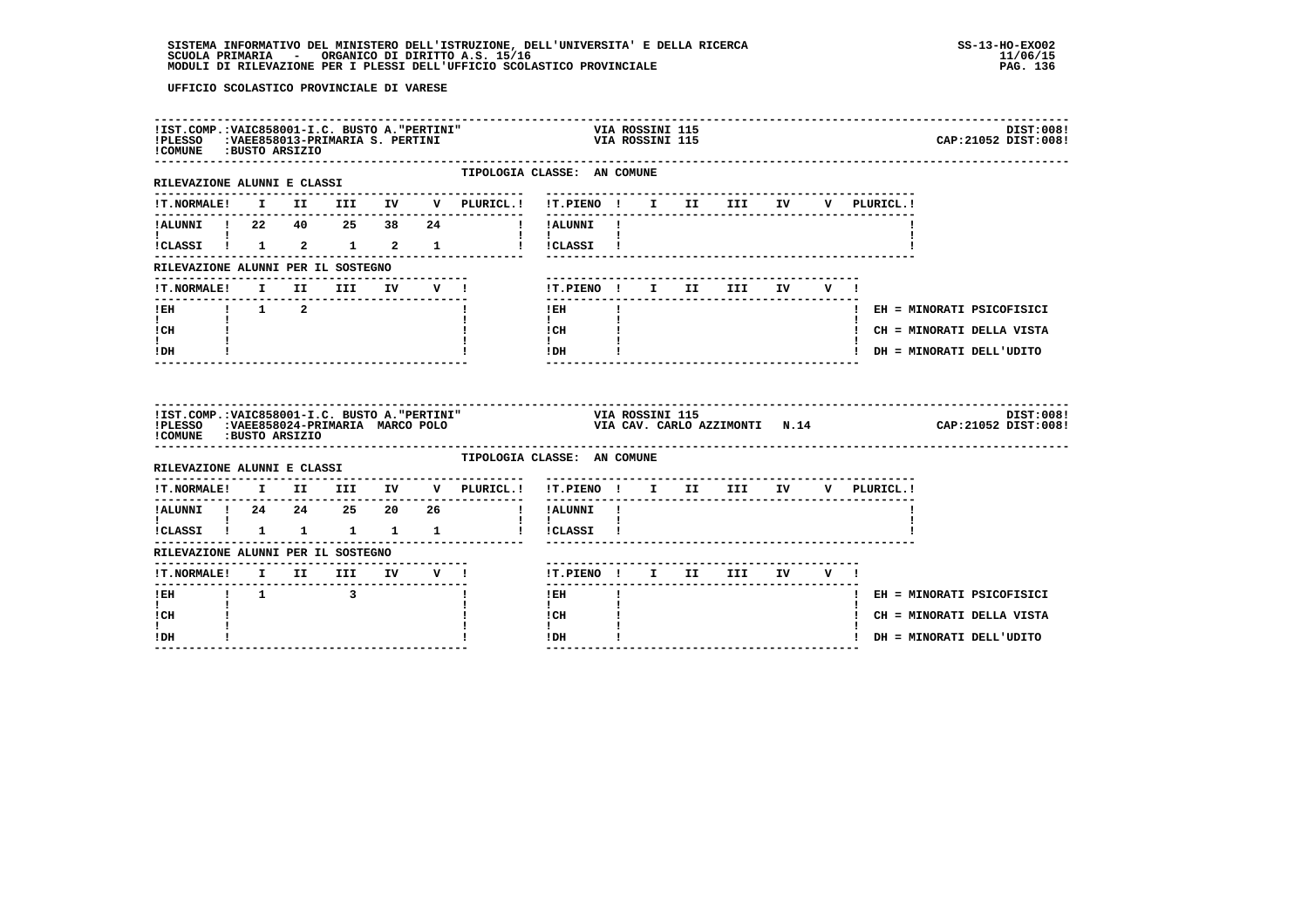| !IST.COMP.: VAIC858001-I.C. BUSTO A. "PERTINI"<br>!PLESSO : VAEE858013-PRIMARIA S. PERTINI<br>COMUNE : BUSTO ARSIZIO |  |                                  |  |                                                                                         | VIA KUSSINI 115<br>VIA ROSSINI 115                                     |              |  |                                     |         |     |              | DIST:008!<br>CAP: 21052 DIST: 008! |
|----------------------------------------------------------------------------------------------------------------------|--|----------------------------------|--|-----------------------------------------------------------------------------------------|------------------------------------------------------------------------|--------------|--|-------------------------------------|---------|-----|--------------|------------------------------------|
| ---------------------------------<br>RILEVAZIONE ALUNNI E CLASSI                                                     |  |                                  |  | TIPOLOGIA CLASSE: AN COMUNE                                                             |                                                                        |              |  |                                     |         |     |              |                                    |
| !T.NORMALE!                                                                                                          |  |                                  |  | I II III IV V PLURICL.! !T.PIENO ! I II III IV                                          |                                                                        |              |  |                                     |         |     | V PLURICL. ! |                                    |
|                                                                                                                      |  |                                  |  |                                                                                         |                                                                        |              |  |                                     |         |     |              |                                    |
|                                                                                                                      |  |                                  |  | !CLASSI ! 1 2 1 2 1 1 ! !CLASSI !                                                       | $\mathbf{1}$ $\mathbf{1}$                                              |              |  |                                     |         |     |              |                                    |
| RILEVAZIONE ALUNNI PER IL SOSTEGNO                                                                                   |  |                                  |  |                                                                                         |                                                                        |              |  |                                     |         |     |              |                                    |
| !T.NORMALE! I II III                                                                                                 |  |                                  |  | IV V !                                                                                  | !T.PIENO ! I II III                                                    |              |  |                                     | IV DOM: | V ! |              |                                    |
|                                                                                                                      |  |                                  |  |                                                                                         | ! EH                                                                   |              |  |                                     |         |     |              | ! EH = MINORATI PSICOFISICI        |
| $\mathbf{I}$ and $\mathbf{I}$<br>! CH                                                                                |  |                                  |  |                                                                                         | $\mathbf{I}$ and $\mathbf{I}$<br>$\frac{1 \text{CH}}{1}$ $\frac{1}{1}$ |              |  |                                     |         |     |              | ! CH = MINORATI DELLA VISTA        |
| I.                                                                                                                   |  |                                  |  |                                                                                         | $\frac{1}{1}$ i                                                        |              |  |                                     |         |     |              | ! DH = MINORATI DELL'UDITO         |
| ! DH                                                                                                                 |  |                                  |  |                                                                                         |                                                                        |              |  |                                     |         |     |              |                                    |
| !COMUNE : BUSTO ARSIZIO                                                                                              |  |                                  |  |                                                                                         |                                                                        |              |  |                                     |         |     |              | DIST:008!                          |
| RILEVAZIONE ALUNNI E CLASSI                                                                                          |  |                                  |  | TIPOLOGIA CLASSE: AN COMUNE                                                             |                                                                        |              |  | ----------------------------------  |         |     |              |                                    |
|                                                                                                                      |  |                                  |  | $\verb !T.NORMALE  \quad I \quad II \quad III \quad IV \quad V \quad \verb PLURICL .  $ | !T.PIENO ! I II III IV                                                 |              |  | ----------------------------------- |         |     | V PLURICL.!  |                                    |
| !ALUNNI ! 24  24  25  20  26                                                                                         |  |                                  |  | -------------------------------                                                         | ! !ALUNNI !                                                            |              |  |                                     |         |     |              |                                    |
| $\mathbf{I}$ and $\mathbf{I}$ and $\mathbf{I}$<br>!CLASSI ! 1 1 1 1 1                                                |  |                                  |  |                                                                                         | $\mathbf{1}$ $\mathbf{1}$<br>! !CLASSI !                               |              |  |                                     |         |     |              |                                    |
| RILEVAZIONE ALUNNI PER IL SOSTEGNO                                                                                   |  |                                  |  |                                                                                         |                                                                        |              |  |                                     |         |     |              |                                    |
| $\verb !T.NORMALE ! I III III IV V ! !$                                                                              |  | -------------------------------- |  |                                                                                         | !T.PIENO! I II III IV V!                                               |              |  | --------------------                |         |     |              |                                    |
| ----------------<br>IEH 1 1 3                                                                                        |  |                                  |  |                                                                                         | $1$ EH $\sim$                                                          | $\mathbf{I}$ |  |                                     |         |     |              | ! EH = MINORATI PSICOFISICI        |
| $\mathbf{I}$<br>! CH                                                                                                 |  |                                  |  |                                                                                         | $\mathbf{I}$ and $\mathbf{I}$<br>ICH                                   |              |  |                                     |         |     |              | ! CH = MINORATI DELLA VISTA        |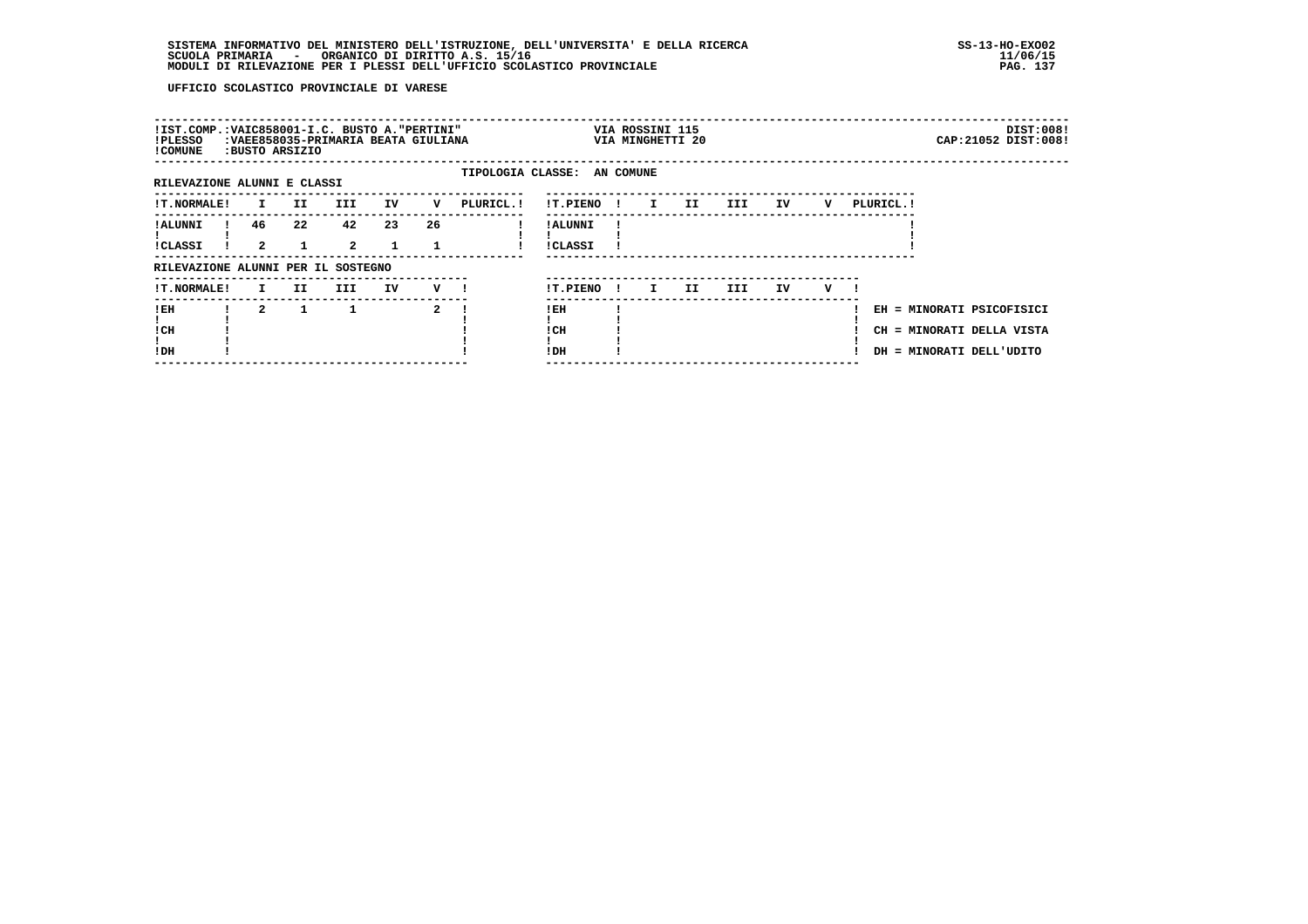| !IST.COMP.:VAIC858001-I.C. BUSTO A."PERTINI"<br>!PLESSO<br>! COMUNE |              | :BUSTO ARSIZIO | :VAEE858035-PRIMARIA BEATA GIULIANA |    |              |            |                             |      | VIA ROSSINI 115<br>VIA MINGHETTI 20 |     |     |    |   |            |                                                                                    | DIST:008!<br>CAP: 21052 DIST: 008! |
|---------------------------------------------------------------------|--------------|----------------|-------------------------------------|----|--------------|------------|-----------------------------|------|-------------------------------------|-----|-----|----|---|------------|------------------------------------------------------------------------------------|------------------------------------|
| RILEVAZIONE ALUNNI E CLASSI                                         |              |                |                                     |    |              |            | TIPOLOGIA CLASSE: AN COMUNE |      |                                     |     |     |    |   |            |                                                                                    |                                    |
| <b>!T.NORMALE!</b>                                                  | I.           | II             | <b>III</b>                          | IV | v            | PLURICL. ! | !T.PIENO                    | - 11 | $\mathbf{I}$                        | II  | III | IV | v | PLURICL. ! |                                                                                    |                                    |
| ! ALUNNI<br><b>!CLASSI</b>                                          | 46<br>2      | 22             | 42<br>$\overline{2}$                | 23 | 26           |            | ! ALUNNI<br><b>!CLASSI</b>  |      |                                     |     |     |    |   |            |                                                                                    |                                    |
| RILEVAZIONE ALUNNI PER IL SOSTEGNO                                  |              |                |                                     |    |              |            |                             |      |                                     |     |     |    |   |            |                                                                                    |                                    |
| <b>!T.NORMALE!</b>                                                  | $\mathbf{I}$ | II.            | III                                 | IV | v —          |            | !T.PIENO                    | -11  | I.                                  | II. | III | IV | v |            |                                                                                    |                                    |
| ! EH<br>! CH<br>!DH                                                 | $\mathbf{2}$ | $\mathbf{1}$   | 1                                   |    | $\mathbf{2}$ |            | ! EH<br>! CH<br>!DH         |      |                                     |     |     |    |   |            | EH = MINORATI PSICOFISICI<br>CH = MINORATI DELLA VISTA<br>DH = MINORATI DELL'UDITO |                                    |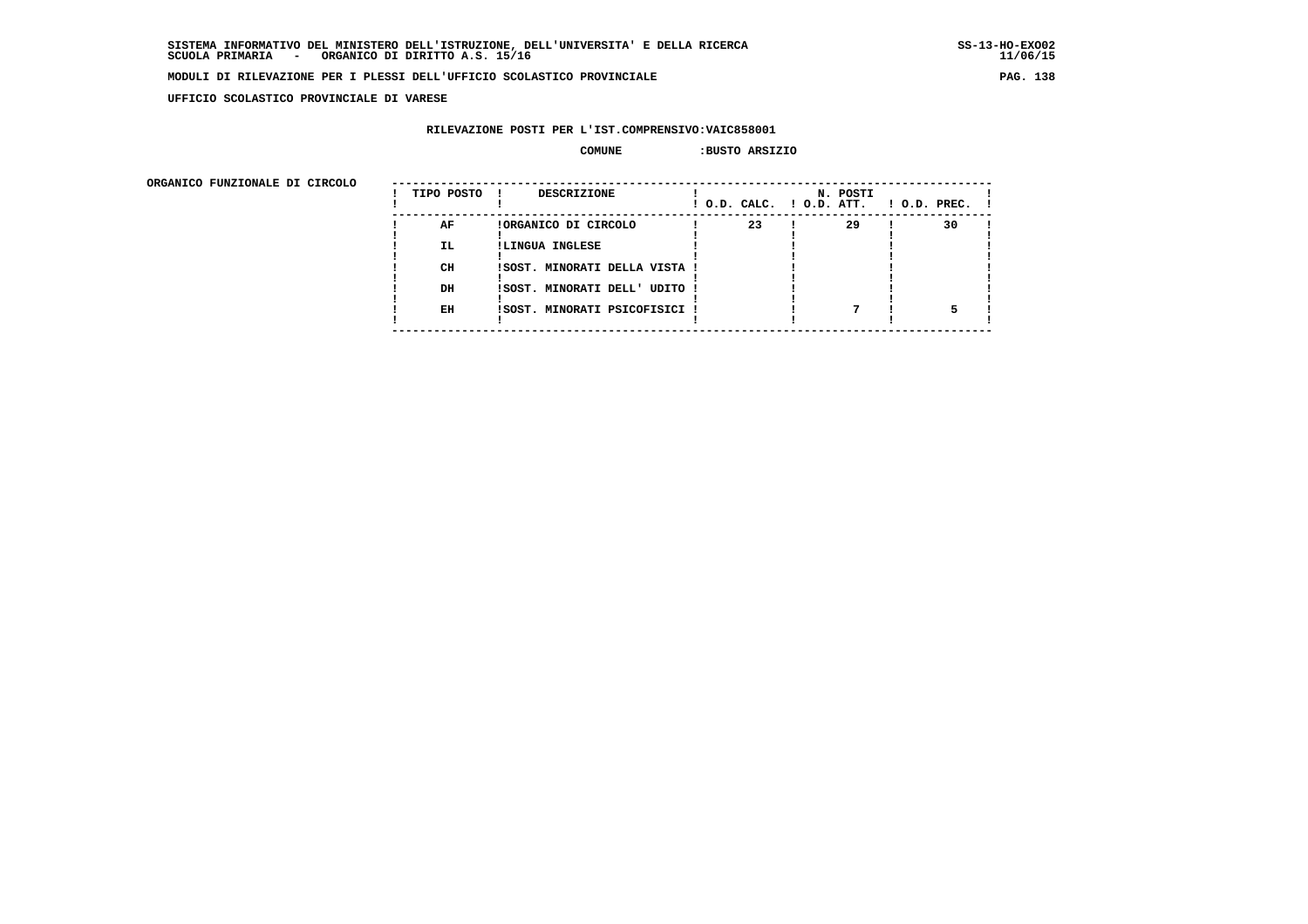**UFFICIO SCOLASTICO PROVINCIALE DI VARESE**

# **RILEVAZIONE POSTI PER L'IST.COMPRENSIVO:VAIC858001**

### **COMUNE :BUSTO ARSIZIO**

| ORGANICO FUNZIONALE DI CIRCOLO | TIPO POSTO      | <b>DESCRIZIONE</b><br>. .                                                |    | N. POSTI<br>! O.D. CALC. ! O.D. ATT. | $!$ 0.D. PREC. $!$ |
|--------------------------------|-----------------|--------------------------------------------------------------------------|----|--------------------------------------|--------------------|
|                                | AF<br>IL.<br>CH | !ORGANICO DI CIRCOLO<br>!LINGUA INGLESE<br>ISOST. MINORATI DELLA VISTA ! | 23 | 29                                   | 30                 |
|                                | DH<br>EH        | ISOST. MINORATI DELL' UDITO !<br>!SOST. MINORATI PSICOFISICI !           |    |                                      |                    |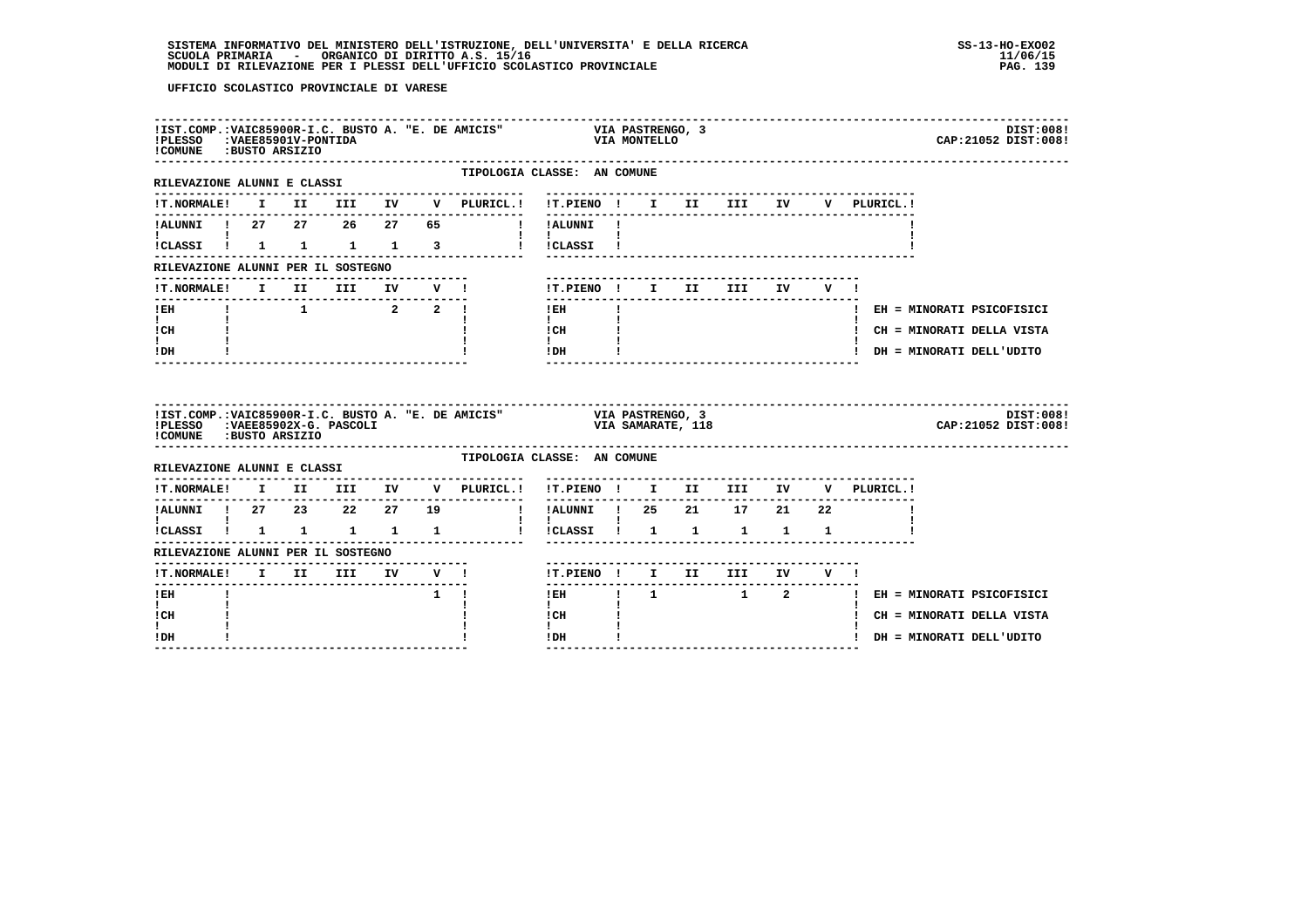| !COMUNE : BUSTO ARSIZIO                                            |  |                                                               |                     |             |                                                     | !IST.COMP.:VAIC85900R-I.C. BUSTO A. "E. DE AMICIS" VIA PASTRENGO, 3<br>!PLESSO :VAEE85901V-PONTIDA |                   |  |  |             | DIST:008!<br>CAP: 21052 DIST: 008! |
|--------------------------------------------------------------------|--|---------------------------------------------------------------|---------------------|-------------|-----------------------------------------------------|----------------------------------------------------------------------------------------------------|-------------------|--|--|-------------|------------------------------------|
| RILEVAZIONE ALUNNI E CLASSI                                        |  |                                                               |                     |             | --------------                                      | TIPOLOGIA CLASSE: AN COMUNE<br>--------------------------------                                    |                   |  |  |             |                                    |
| <b>!T.NORMALE!</b>                                                 |  |                                                               |                     |             | I II III IV V PLURICL.!                             | !T.PIENO ! I II III IV                                                                             |                   |  |  | V PLURICL.! |                                    |
|                                                                    |  |                                                               |                     |             | --------------                                      | !ALUNNI ! 27  27  26  27  65  !!!ALUNNI !                                                          |                   |  |  |             |                                    |
| <b>I</b> and the state of the state of<br>!CLASSI ! 1 1 1 1 3      |  |                                                               |                     |             |                                                     | $\mathbf{1}$ $\mathbf{1}$ $\mathbf{1}$<br>! ! CLASSI !                                             |                   |  |  |             |                                    |
| RILEVAZIONE ALUNNI PER IL SOSTEGNO                                 |  |                                                               |                     |             |                                                     |                                                                                                    |                   |  |  |             |                                    |
| !T.NORMALE! I II III IV V !<br>-----------------------             |  |                                                               |                     |             |                                                     | !T.PIENO! I II III IV V!<br>$- - - - - - -$                                                        |                   |  |  |             |                                    |
| $!$ EH                                                             |  | $\begin{array}{cccccccccccccc} 1 & 1 & 2 & 2 & 1 \end{array}$ | ------------------- |             |                                                     | $!$ EH                                                                                             |                   |  |  |             | ! EH = MINORATI PSICOFISICI        |
| $\mathbf{I}$ and $\mathbf{I}$<br>ICH                               |  |                                                               |                     |             |                                                     | $\mathbf{I}$<br>$\frac{1}{1}$ $\frac{1}{1}$ $\frac{1}{1}$                                          |                   |  |  |             | ! CH = MINORATI DELLA VISTA        |
| I.<br>! DH                                                         |  |                                                               |                     |             |                                                     | IDH                                                                                                |                   |  |  |             | ! DH = MINORATI DELL'UDITO         |
|                                                                    |  |                                                               |                     |             |                                                     |                                                                                                    |                   |  |  |             |                                    |
| !PLESSO : VAEE85902X-G. PASCOLI<br>!COMUNE : BUSTO ARSIZIO         |  |                                                               |                     |             | !IST.COMP.: VAIC85900R-I.C. BUSTO A. "E. DE AMICIS" | VIA PASTRENGO, 3                                                                                   | VIA SAMARATE, 118 |  |  |             | DIST:008!<br>CAP: 21052 DIST: 008! |
| RILEVAZIONE ALUNNI E CLASSI                                        |  |                                                               |                     |             |                                                     | TIPOLOGIA CLASSE: AN COMUNE                                                                        |                   |  |  |             |                                    |
|                                                                    |  |                                                               |                     |             |                                                     | !T.NORMALE! I II III IV V PLURICL.! !T.PIENO ! I II III IV V PLURICL.!                             |                   |  |  |             |                                    |
| !ALUNNI ! 27 23 22 27 19                                           |  |                                                               |                     |             |                                                     | ! !ALUNNI ! 25  21  17  21  22                                                                     |                   |  |  |             |                                    |
| <b>I</b> and the state of the state of<br>.<br>ICLASSI ! 1 1 1 1 1 |  |                                                               |                     |             |                                                     | $\mathbf{I}$<br>!!CLASSI! 1 1 1 1 1                                                                |                   |  |  |             |                                    |
| RILEVAZIONE ALUNNI PER IL SOSTEGNO                                 |  |                                                               |                     |             |                                                     |                                                                                                    |                   |  |  |             |                                    |
| !T.NORMALE! I II III IV V !                                        |  |                                                               |                     |             |                                                     | !T.PIENO ! I II III IV V !                                                                         |                   |  |  |             |                                    |
| ! EH                                                               |  |                                                               |                     | $1 \quad 1$ |                                                     | -------<br>$!$ EH                                                                                  |                   |  |  |             | 1 1 2 1 EH = MINORATI PSICOFISICI  |
| $\mathbf{I}$<br>! CH<br>L                                          |  |                                                               |                     |             |                                                     | $\mathbf{I}$<br>! CH<br>$\mathbf{I}$                                                               |                   |  |  |             | ! CH = MINORATI DELLA VISTA        |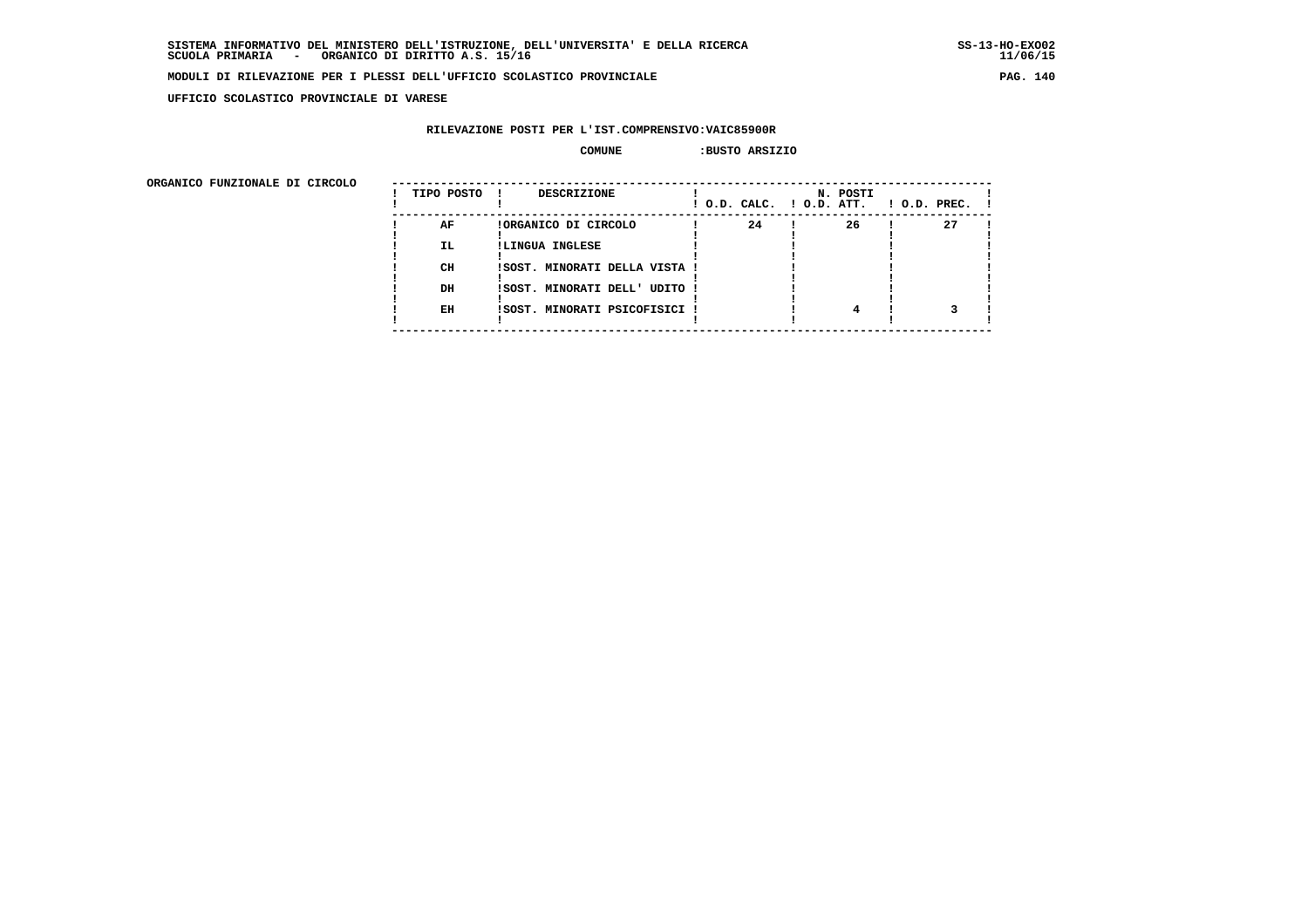**UFFICIO SCOLASTICO PROVINCIALE DI VARESE**

# **RILEVAZIONE POSTI PER L'IST.COMPRENSIVO:VAIC85900R**

### **COMUNE :BUSTO ARSIZIO**

| URGANICO FUNZIONALE DI CIRCOLO | TIPO POSTO | <b>DESCRIZIONE</b>            |    | N. POSTI<br>$!$ $0.D.$ $CALC.$ $!$ $0.D.$ $ATT.$ | $\blacksquare$ O.D. PREC. $\blacksquare$ |
|--------------------------------|------------|-------------------------------|----|--------------------------------------------------|------------------------------------------|
|                                | AF         | !ORGANICO DI CIRCOLO          | 24 | 26                                               | 27                                       |
|                                | IL.        | !LINGUA INGLESE               |    |                                                  |                                          |
|                                | CH         | ISOST. MINORATI DELLA VISTA ! |    |                                                  |                                          |
|                                | DH         | ISOST. MINORATI DELL' UDITO ! |    |                                                  |                                          |
|                                | EH         | !SOST. MINORATI PSICOFISICI ! |    |                                                  |                                          |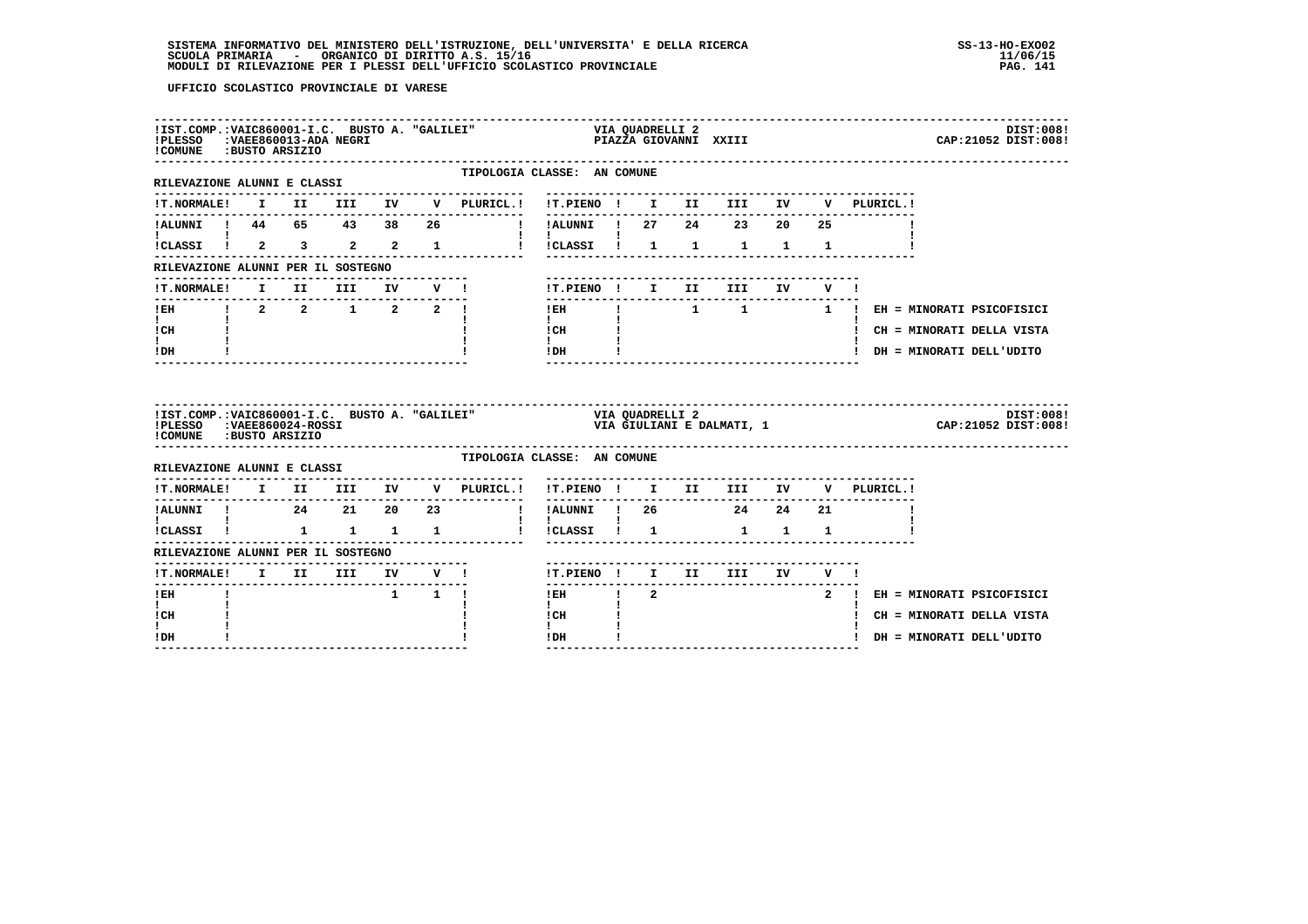| !COMUNE : BUSTO ARSIZIO                              |              |                     |  |                                                                                                                                                                                                                                                                                              |                                                                                                         |  |                               |  | DIST:008!<br>CAP: 21052 DIST: 008!                                            |
|------------------------------------------------------|--------------|---------------------|--|----------------------------------------------------------------------------------------------------------------------------------------------------------------------------------------------------------------------------------------------------------------------------------------------|---------------------------------------------------------------------------------------------------------|--|-------------------------------|--|-------------------------------------------------------------------------------|
| RILEVAZIONE ALUNNI E CLASSI                          |              |                     |  | TIPOLOGIA CLASSE: AN COMUNE                                                                                                                                                                                                                                                                  |                                                                                                         |  |                               |  |                                                                               |
|                                                      |              |                     |  |                                                                                                                                                                                                                                                                                              |                                                                                                         |  |                               |  |                                                                               |
|                                                      |              |                     |  |                                                                                                                                                                                                                                                                                              |                                                                                                         |  |                               |  |                                                                               |
| $\mathbf{I}$ and $\mathbf{I}$ and $\mathbf{I}$       |              |                     |  | icLASSI i 2 3 2 2 1 i icLASSI i 1 1 1 1 1                                                                                                                                                                                                                                                    | $\mathbf{1}$ $\mathbf{1}$ $\mathbf{1}$                                                                  |  |                               |  |                                                                               |
| RILEVAZIONE ALUNNI PER IL SOSTEGNO                   |              |                     |  |                                                                                                                                                                                                                                                                                              |                                                                                                         |  |                               |  |                                                                               |
|                                                      |              |                     |  | ------------------------------<br>!T.NORMALE! I II III IV V !                                                                                                                                                                                                                                | !T.PIENO! I II III IV V!                                                                                |  | ----------------------------- |  |                                                                               |
|                                                      |              |                     |  |                                                                                                                                                                                                                                                                                              |                                                                                                         |  |                               |  |                                                                               |
| ICH                                                  |              |                     |  |                                                                                                                                                                                                                                                                                              |                                                                                                         |  |                               |  | ! CH = MINORATI DELLA VISTA                                                   |
| t in<br>$I\,D\,H$                                    |              |                     |  |                                                                                                                                                                                                                                                                                              | $\begin{tabular}{ccccc} I CH & & & & & & \\ & & & & & & \\ I & & & & & \\ & & & & & & \\ \end{tabular}$ |  |                               |  | ! DH = MINORATI DELL'UDITO                                                    |
| !PLESSO :VAEE860024-ROSSI<br>!COMUNE : BUSTO ARSIZIO |              |                     |  | $\frac{115T}{1000}$ . $\frac{13T}{1000}$ . $\frac{13T}{1000}$ $\frac{13T}{1000}$ $\frac{13T}{1000}$ $\frac{13T}{1000}$ $\frac{13T}{1000}$ $\frac{13T}{1000}$ $\frac{13T}{1000}$ $\frac{13T}{1000}$ $\frac{13T}{1000}$ $\frac{13T}{1000}$ $\frac{13T}{1000}$ $\frac{13T}{1000}$ $\frac{13T}{$ |                                                                                                         |  |                               |  | DIST:008!<br>VIA QUADREDII Z<br>VIA GIULIANI E DALMATI, 1 CAP:21052 DIST:008! |
| RILEVAZIONE ALUNNI E CLASSI                          |              |                     |  | TIPOLOGIA CLASSE: AN COMUNE                                                                                                                                                                                                                                                                  |                                                                                                         |  |                               |  |                                                                               |
|                                                      |              |                     |  | !T.NORMALE! I II III IV V PLURICL.! !T.PIENO ! I II III IV V PLURICL.!                                                                                                                                                                                                                       |                                                                                                         |  |                               |  |                                                                               |
|                                                      |              |                     |  |                                                                                                                                                                                                                                                                                              |                                                                                                         |  |                               |  |                                                                               |
|                                                      |              |                     |  |                                                                                                                                                                                                                                                                                              |                                                                                                         |  |                               |  |                                                                               |
| RILEVAZIONE ALUNNI PER IL SOSTEGNO                   |              |                     |  |                                                                                                                                                                                                                                                                                              |                                                                                                         |  |                               |  |                                                                               |
|                                                      |              |                     |  |                                                                                                                                                                                                                                                                                              | !T.PIENO ! I II III IV V !                                                                              |  |                               |  |                                                                               |
|                                                      |              |                     |  |                                                                                                                                                                                                                                                                                              |                                                                                                         |  |                               |  |                                                                               |
| $I$ EH                                               | $\mathbf{I}$ | $1 \quad 1 \quad 1$ |  |                                                                                                                                                                                                                                                                                              |                                                                                                         |  |                               |  | IEH ! 2 2 2 2 EH = MINORATI PSICOFISICI                                       |
| t i<br>! CH<br>I.                                    |              |                     |  |                                                                                                                                                                                                                                                                                              | $\mathbf{I}$<br>! CH<br>$\mathbf{I}$                                                                    |  |                               |  | ! CH = MINORATI DELLA VISTA                                                   |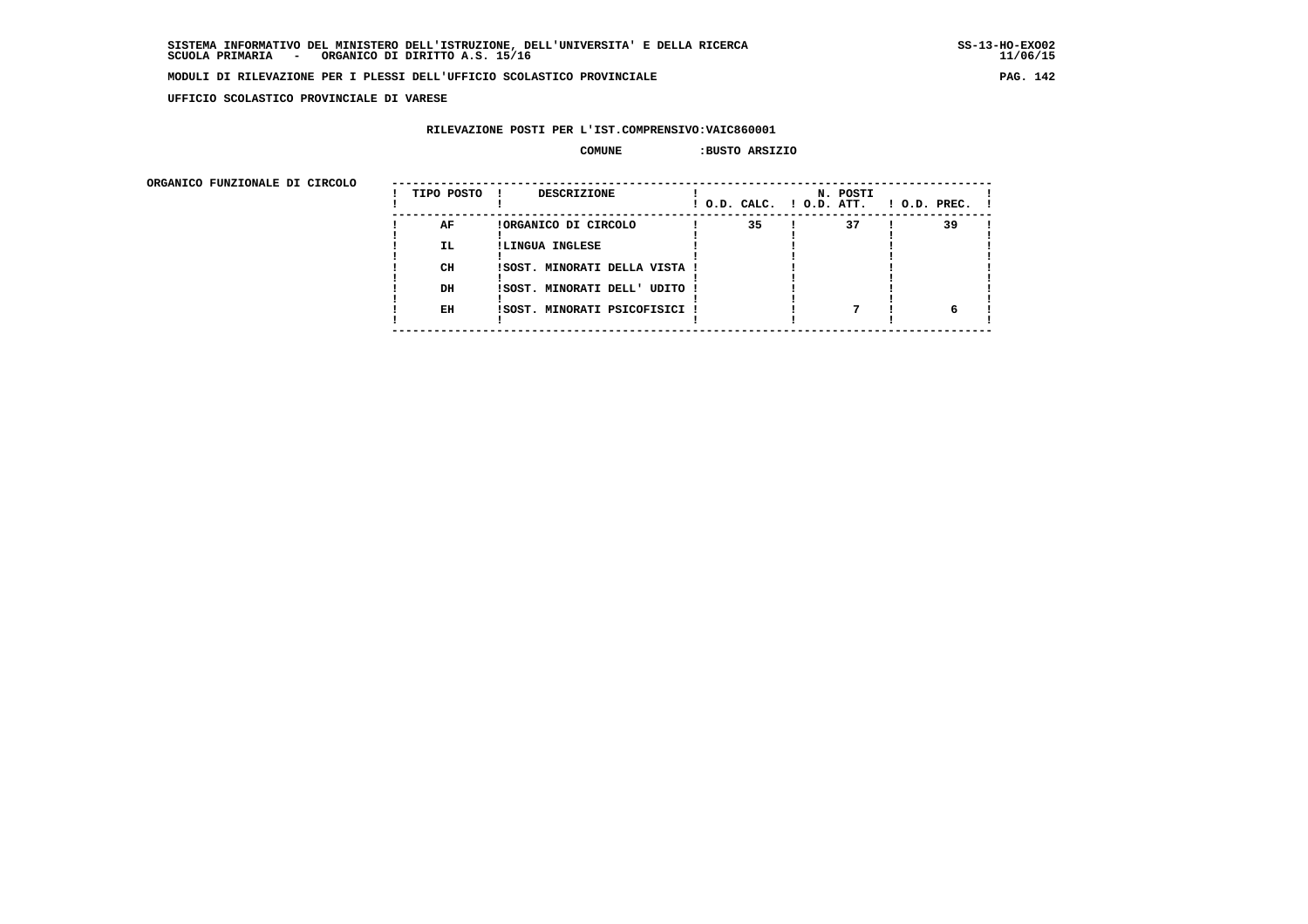$11/06/15$ 

### **MODULI DI RILEVAZIONE PER I PLESSI DELL'UFFICIO SCOLASTICO PROVINCIALE PAG. 142**

 **UFFICIO SCOLASTICO PROVINCIALE DI VARESE**

# **RILEVAZIONE POSTI PER L'IST.COMPRENSIVO:VAIC860001**

### **COMUNE :BUSTO ARSIZIO**

| URGANICO FUNZIONALE DI CIRCOLO | TIPO POSTO | <b>DESCRIZIONE</b><br>- 1     | ! O.D. CALC. ! O.D. ATT. | N. POSTI | $1$ O.D. PREC. $1$ |
|--------------------------------|------------|-------------------------------|--------------------------|----------|--------------------|
|                                | AF         | !ORGANICO DI CIRCOLO          | 35                       | 37       | 39                 |
|                                | <b>IL</b>  | !LINGUA INGLESE               |                          |          |                    |
|                                |            |                               |                          |          |                    |
|                                | CH         | ISOST. MINORATI DELLA VISTA ! |                          |          |                    |
|                                | DH         | ISOST. MINORATI DELL' UDITO ! |                          |          |                    |
|                                |            |                               |                          |          |                    |
|                                | EH         | !SOST. MINORATI PSICOFISICI ! |                          |          |                    |
|                                |            |                               |                          |          |                    |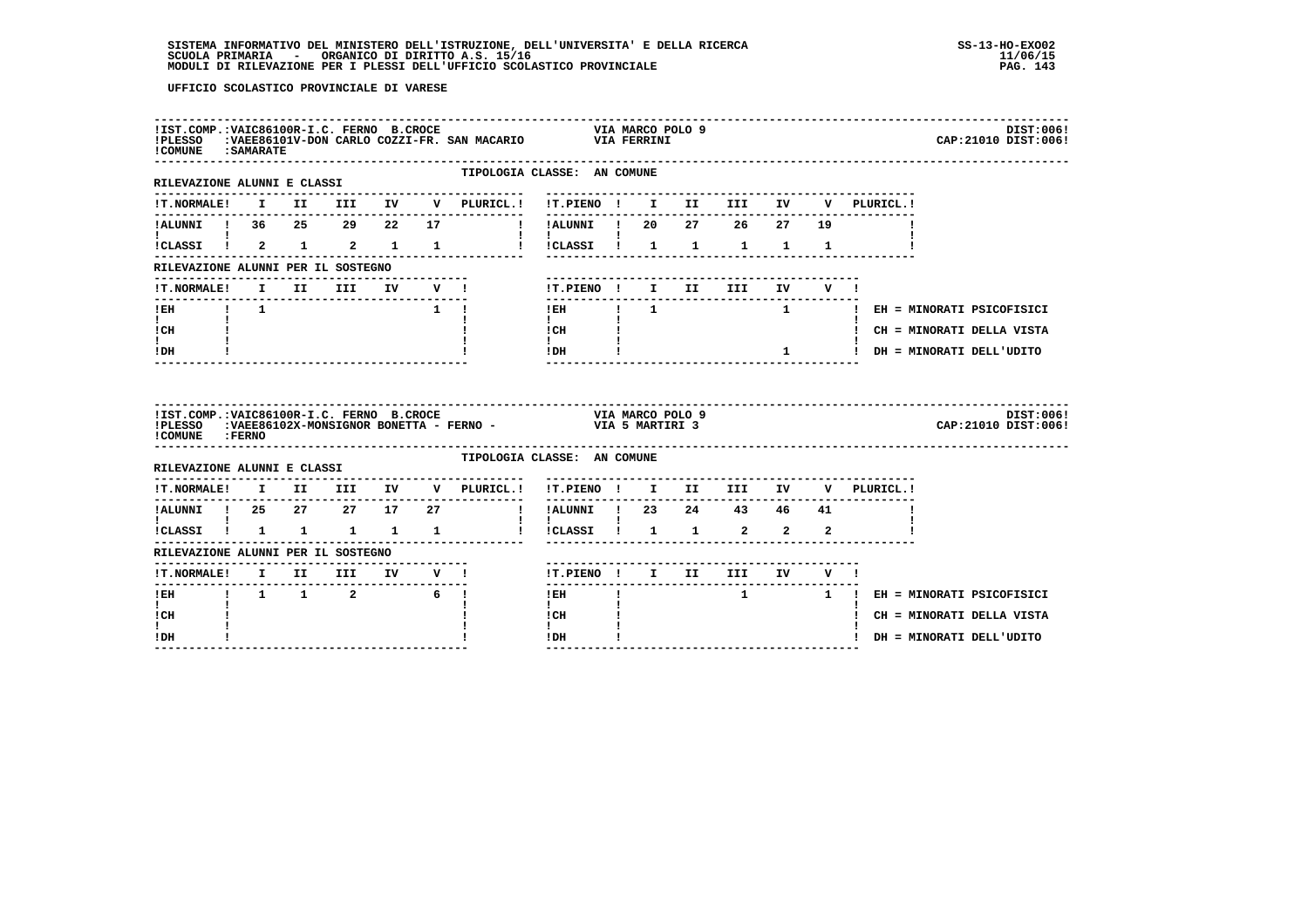| !IST.COMP.:VAIC86100R-I.C. FERNO B.CROCE<br>!PLESSO<br>! COMUNE : SAMARATE     |  |  |                 |                                    |                                                                                                                                                                            |                            |  |              |    |                               | DIST:006!<br>CAP: 21010 DIST: 006! |  |
|--------------------------------------------------------------------------------|--|--|-----------------|------------------------------------|----------------------------------------------------------------------------------------------------------------------------------------------------------------------------|----------------------------|--|--------------|----|-------------------------------|------------------------------------|--|
| RILEVAZIONE ALUNNI E CLASSI                                                    |  |  |                 |                                    | TIPOLOGIA CLASSE: AN COMUNE                                                                                                                                                |                            |  |              |    |                               |                                    |  |
|                                                                                |  |  |                 |                                    |                                                                                                                                                                            |                            |  |              |    | V PLURICL.!                   |                                    |  |
| !ALUNNI ! 36 25 29 22 17<br>$\mathbf{I}$ and $\mathbf{I}$ are all $\mathbf{I}$ |  |  |                 |                                    | ! !ALUNNI ! 20  27  26  27  19<br>$\blacksquare$                                                                                                                           |                            |  |              |    |                               |                                    |  |
|                                                                                |  |  |                 |                                    | icLASSI i 2 1 2 1 1 1 i icLASSI i 1 1 1 1 1                                                                                                                                |                            |  |              |    |                               |                                    |  |
| RILEVAZIONE ALUNNI PER IL SOSTEGNO                                             |  |  |                 |                                    |                                                                                                                                                                            |                            |  |              |    |                               |                                    |  |
|                                                                                |  |  |                 |                                    | !T.PIENO ! I II III IV V !<br>--------------                                                                                                                               |                            |  |              |    |                               |                                    |  |
| <b>IEH 1</b> 1<br>$\mathbf{I}$ and $\mathbf{I}$                                |  |  |                 | $\mathbf{1}$ $\mathbf{1}$          | $\mathbf{I}$ and $\mathbf{I}$                                                                                                                                              | and the state of the state |  |              |    | 1 1 EH = MINORATI PSICOFISICI |                                    |  |
| $ICH$ $\qquad$                                                                 |  |  |                 |                                    |                                                                                                                                                                            |                            |  |              |    | ! CH = MINORATI DELLA VISTA   |                                    |  |
| $\mathbf{I}$<br>! DH                                                           |  |  |                 |                                    |                                                                                                                                                                            |                            |  | $\mathbf{1}$ |    | ! DH = MINORATI DELL'UDITO    |                                    |  |
|                                                                                |  |  |                 |                                    |                                                                                                                                                                            |                            |  |              |    |                               |                                    |  |
| ! COMUNE : FERNO                                                               |  |  |                 |                                    | IIST.COMP.:VAIC86100R-I.C. FERNO B.CROCE                             VIA MARCO POLO 9<br>IPLESSO   :VAEE86102X-MONSIGNOR BONETTA - FERNO -                 VIA 5 MARTIRI 3 |                            |  |              |    |                               | DIST:006!<br>CAP:21010 DIST:006!   |  |
| RILEVAZIONE ALUNNI E CLASSI                                                    |  |  |                 |                                    | TIPOLOGIA CLASSE: AN COMUNE                                                                                                                                                |                            |  |              |    |                               |                                    |  |
|                                                                                |  |  |                 |                                    | !T.NORMALE! I II III IV V PLURICL.! !T.PIENO ! I II III IV V PLURICL.!                                                                                                     |                            |  |              |    |                               |                                    |  |
| ---------------<br>!ALUNNI ! 25  27  27  17  27                                |  |  |                 | ---------------------------------- | ___________<br>! !ALUNNI ! 23  24  43  46                                                                                                                                  |                            |  |              | 41 |                               |                                    |  |
| I.                                                                             |  |  |                 |                                    | $\mathbf{1}$ $\mathbf{1}$<br>ICLASSI I 1 1 1 1 1 1 1 1 1 1 1 1 2 2 2                                                                                                       |                            |  |              |    |                               |                                    |  |
| RILEVAZIONE ALUNNI PER IL SOSTEGNO                                             |  |  |                 |                                    |                                                                                                                                                                            |                            |  |              |    |                               |                                    |  |
| !T.NORMALE! I II III IV V !                                                    |  |  | --------------- |                                    | !T.PIENO ! I II III IV V !                                                                                                                                                 |                            |  |              |    |                               |                                    |  |
| !EH ! 1 1 2 6 !                                                                |  |  |                 |                                    | --------------------------------------<br>IEH ! 1 1 EH = MINORATI PSICOFISICI                                                                                              |                            |  |              |    |                               |                                    |  |
| $\mathbf{I}$<br>! CH<br>$\mathbf{I}$                                           |  |  |                 |                                    | $\mathbf{I}$<br>! CH<br>$\mathbf{I}$                                                                                                                                       |                            |  |              |    | ! CH = MINORATI DELLA VISTA   |                                    |  |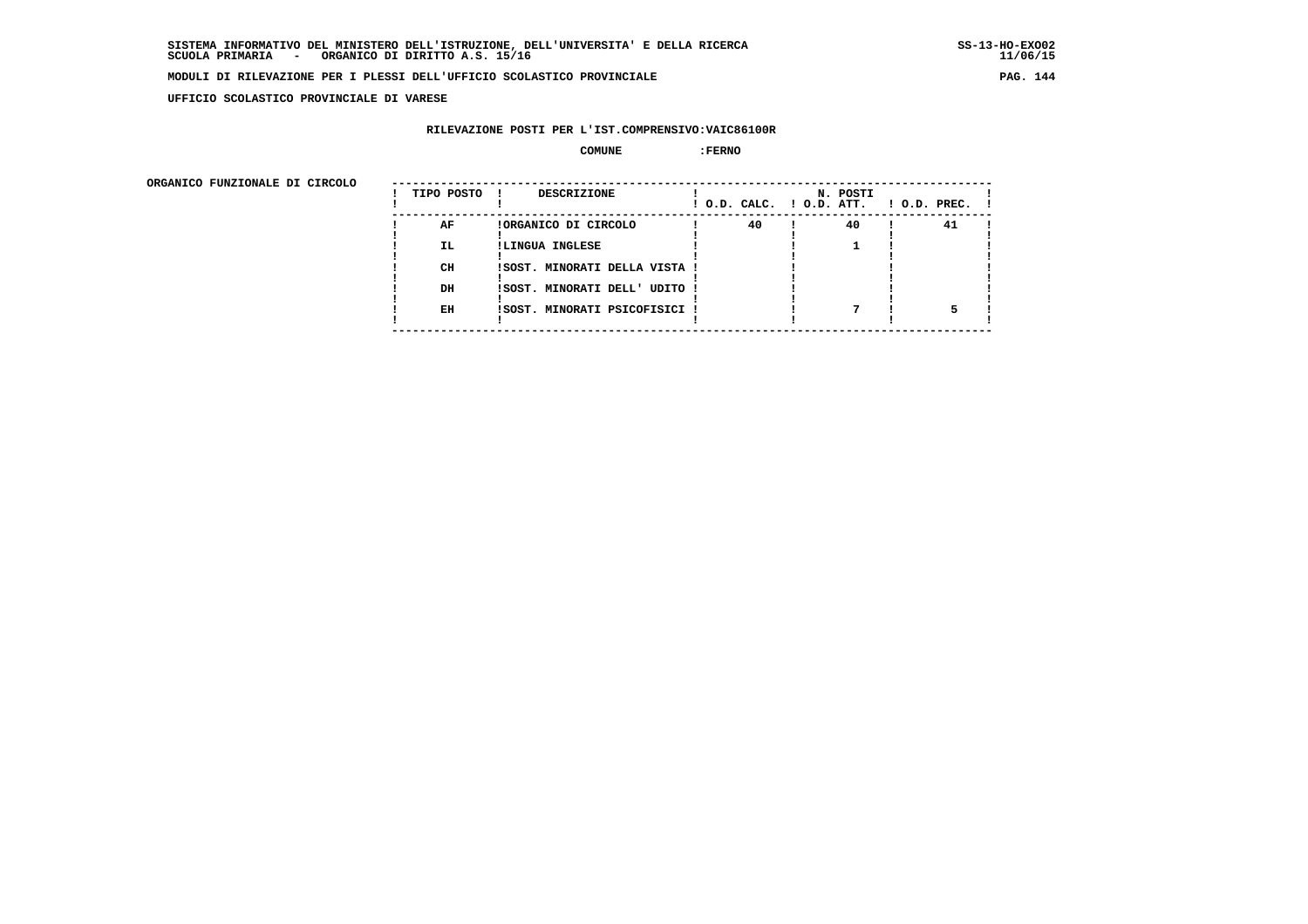**UFFICIO SCOLASTICO PROVINCIALE DI VARESE**

# **RILEVAZIONE POSTI PER L'IST.COMPRENSIVO:VAIC86100R**

 **COMUNE :FERNO**

ORGANICO FUNZIONALE DI CIRCOLO

| ORGANICO FUNZIONALE DI CIRCOLO | TIPO POSTO ! | <b>DESCRIZIONE</b>            |    | N. POSTI | $!$ O.D. CALC. $!$ O.D. ATT. $!$ O.D. PREC. $!$ |
|--------------------------------|--------------|-------------------------------|----|----------|-------------------------------------------------|
|                                | AF           | !ORGANICO DI CIRCOLO          | 40 | 40       | 41                                              |
|                                | IL.          | !LINGUA INGLESE               |    |          |                                                 |
|                                |              |                               |    |          |                                                 |
|                                | CH           | ISOST. MINORATI DELLA VISTA ! |    |          |                                                 |
|                                |              |                               |    |          |                                                 |
|                                | DH           | !SOST. MINORATI DELL' UDITO ! |    |          |                                                 |
|                                |              |                               |    |          |                                                 |
|                                | EH           | !SOST. MINORATI PSICOFISICI ! |    |          |                                                 |
|                                |              |                               |    |          |                                                 |
|                                |              |                               |    |          |                                                 |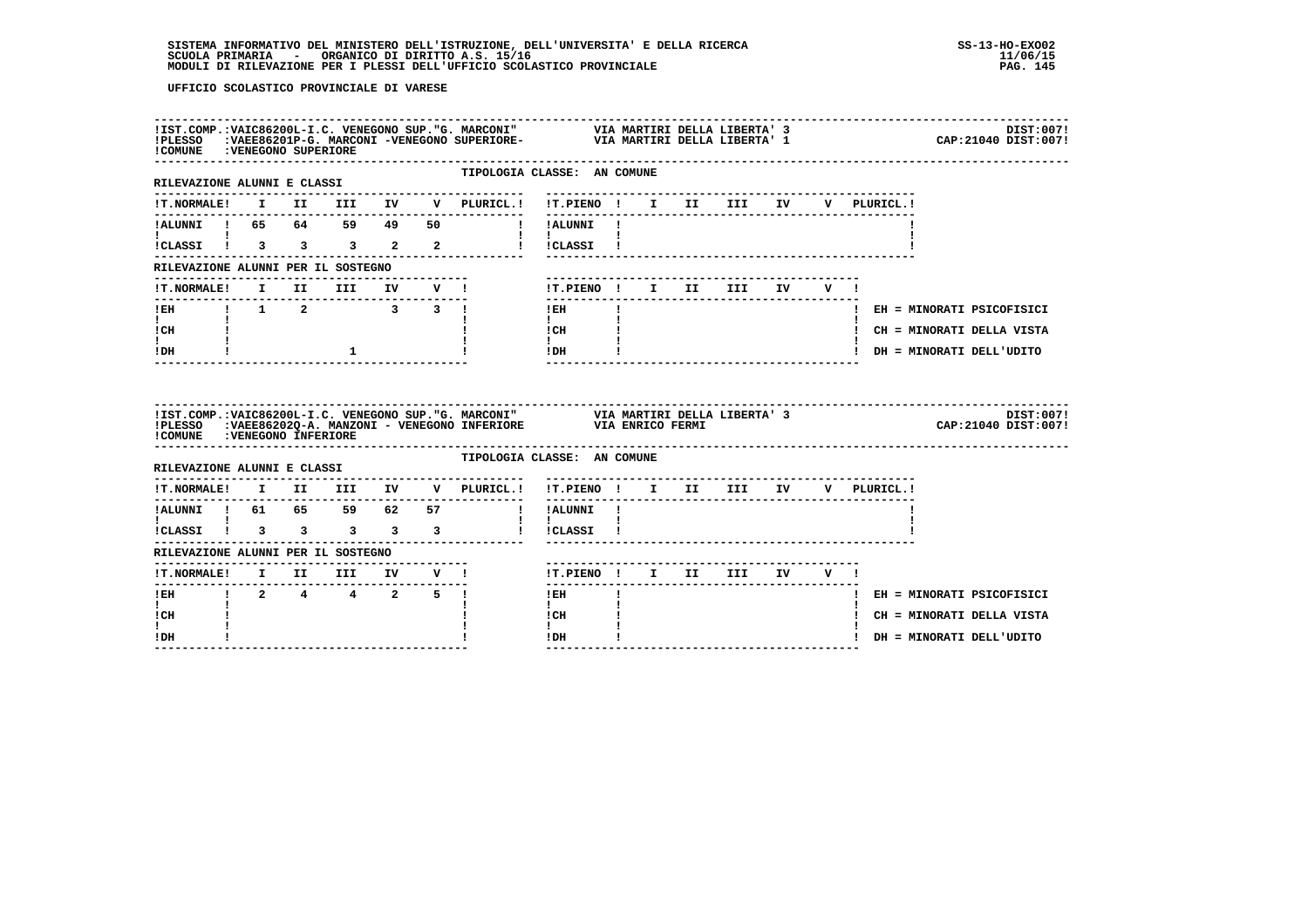| ! COMUNE : VENEGONO SUPERIORE                                                                                   |  |                 |  | !IST.COMP.:VAIC86200L-I.C. VENEGONO SUP."G. MARCONI" VIA MARTIRI DELLA LIBERTA' 3 DIST:007!<br>!PLESSO :VAEE86201P-G. MARCONI -VENEGONO SUPERIORE- VIA MARTIRI DELLA LIBERTA' 1 CAP:21040 DIST:007! |                                                                                                                                                                                                                                                                                                                                                                                                        |  |  |                                   |      |        |              |                             |                                    |
|-----------------------------------------------------------------------------------------------------------------|--|-----------------|--|-----------------------------------------------------------------------------------------------------------------------------------------------------------------------------------------------------|--------------------------------------------------------------------------------------------------------------------------------------------------------------------------------------------------------------------------------------------------------------------------------------------------------------------------------------------------------------------------------------------------------|--|--|-----------------------------------|------|--------|--------------|-----------------------------|------------------------------------|
| ---------------------------------<br>RILEVAZIONE ALUNNI E CLASSI                                                |  |                 |  | TIPOLOGIA CLASSE: AN COMUNE                                                                                                                                                                         |                                                                                                                                                                                                                                                                                                                                                                                                        |  |  |                                   |      |        |              |                             |                                    |
|                                                                                                                 |  |                 |  | !T.NORMALE! I II III IV V PLURICL.! !T.PIENO ! I II III IV                                                                                                                                          |                                                                                                                                                                                                                                                                                                                                                                                                        |  |  |                                   |      |        | V PLURICL. ! |                             |                                    |
|                                                                                                                 |  |                 |  |                                                                                                                                                                                                     | ----------<br>! ! ALUNNI !                                                                                                                                                                                                                                                                                                                                                                             |  |  |                                   |      |        |              |                             |                                    |
|                                                                                                                 |  |                 |  | ICLASSI I 3 3 3 2 2 1 ICLASSI I                                                                                                                                                                     | $\mathbf{I}$ $\mathbf{I}$                                                                                                                                                                                                                                                                                                                                                                              |  |  |                                   |      |        |              |                             |                                    |
| RILEVAZIONE ALUNNI PER IL SOSTEGNO                                                                              |  |                 |  |                                                                                                                                                                                                     |                                                                                                                                                                                                                                                                                                                                                                                                        |  |  |                                   |      |        |              |                             |                                    |
| <b>!T.NORMALE!</b>                                                                                              |  | I II III IV V!  |  |                                                                                                                                                                                                     | !T.PIENO ! I II                                                                                                                                                                                                                                                                                                                                                                                        |  |  | III                               | IV 1 | V !    |              |                             |                                    |
|                                                                                                                 |  |                 |  |                                                                                                                                                                                                     | $\frac{1}{2} \frac{1}{2} \frac{1}{2} \frac{1}{2} \frac{1}{2} \frac{1}{2} \frac{1}{2} \frac{1}{2} \frac{1}{2} \frac{1}{2} \frac{1}{2} \frac{1}{2} \frac{1}{2} \frac{1}{2} \frac{1}{2} \frac{1}{2} \frac{1}{2} \frac{1}{2} \frac{1}{2} \frac{1}{2} \frac{1}{2} \frac{1}{2} \frac{1}{2} \frac{1}{2} \frac{1}{2} \frac{1}{2} \frac{1}{2} \frac{1}{2} \frac{1}{2} \frac{1}{2} \frac{1}{2} \frac{$<br>$1$ EH |  |  |                                   |      |        |              | ! EH = MINORATI PSICOFISICI |                                    |
| $\mathbf{I}$ and $\mathbf{I}$<br>! CH                                                                           |  |                 |  |                                                                                                                                                                                                     | $\mathbf{I}$<br>$\frac{1}{1}$ CH                                                                                                                                                                                                                                                                                                                                                                       |  |  |                                   |      |        |              | ! CH = MINORATI DELLA VISTA |                                    |
| I.<br>! DH                                                                                                      |  | $\mathbf{1}$    |  |                                                                                                                                                                                                     | $!$ DH                                                                                                                                                                                                                                                                                                                                                                                                 |  |  |                                   |      |        |              | ! DH = MINORATI DELL'UDITO  |                                    |
|                                                                                                                 |  |                 |  |                                                                                                                                                                                                     |                                                                                                                                                                                                                                                                                                                                                                                                        |  |  |                                   |      |        |              |                             |                                    |
| ! COMUNE : VENEGONO INFERIORE                                                                                   |  |                 |  | !IST.COMP.:VAIC86200L-I.C. VENEGONO SUP."G. MARCONI" VIA MARTIRI DELLA LIBERTA' 3<br>!PLESSO   :VAEE86202Q-A. MANZONI - VENEGONO INFERIORE            VIA ENRICO FERMI                              |                                                                                                                                                                                                                                                                                                                                                                                                        |  |  |                                   |      |        |              |                             | DIST:007!<br>CAP: 21040 DIST: 007! |
| RILEVAZIONE ALUNNI E CLASSI                                                                                     |  |                 |  | ----------------<br>TIPOLOGIA CLASSE: AN COMUNE                                                                                                                                                     |                                                                                                                                                                                                                                                                                                                                                                                                        |  |  |                                   |      |        |              |                             |                                    |
|                                                                                                                 |  |                 |  | !T.NORMALE! I II III IV V PLURICL.!                                                                                                                                                                 | !T.PIENO ! I II III IV                                                                                                                                                                                                                                                                                                                                                                                 |  |  | --------------------------------- |      |        | V PLURICL. ! |                             |                                    |
|                                                                                                                 |  |                 |  |                                                                                                                                                                                                     | ! !ALUNNI !                                                                                                                                                                                                                                                                                                                                                                                            |  |  |                                   |      |        |              |                             |                                    |
|                                                                                                                 |  |                 |  |                                                                                                                                                                                                     | $\mathbf{I}$ and $\mathbf{I}$<br>! !CLASSI !                                                                                                                                                                                                                                                                                                                                                           |  |  |                                   |      |        |              |                             |                                    |
| 1 ALUNNI 1 61 65 59 62 57<br>1 CLASSI 1 3 3 3 3 3<br>1 CLASSI 1 3 3 3 3 3<br>RILEVAZIONE ALUNNI PER IL SOSTEGNO |  |                 |  |                                                                                                                                                                                                     |                                                                                                                                                                                                                                                                                                                                                                                                        |  |  |                                   |      |        |              |                             |                                    |
|                                                                                                                 |  |                 |  | -------------------------------                                                                                                                                                                     | !T.PIENO ! I II III                                                                                                                                                                                                                                                                                                                                                                                    |  |  |                                   |      | IV V ! |              |                             |                                    |
| ! EH                                                                                                            |  | $1$ 2 4 4 2 5 ! |  |                                                                                                                                                                                                     | $!$ EH                                                                                                                                                                                                                                                                                                                                                                                                 |  |  |                                   |      |        |              | ! EH = MINORATI PSICOFISICI |                                    |
| I.<br>! CH<br>I.                                                                                                |  |                 |  |                                                                                                                                                                                                     | $\mathbf{I}$<br>! CH<br>$\mathbf{I}$                                                                                                                                                                                                                                                                                                                                                                   |  |  |                                   |      |        |              | ! CH = MINORATI DELLA VISTA |                                    |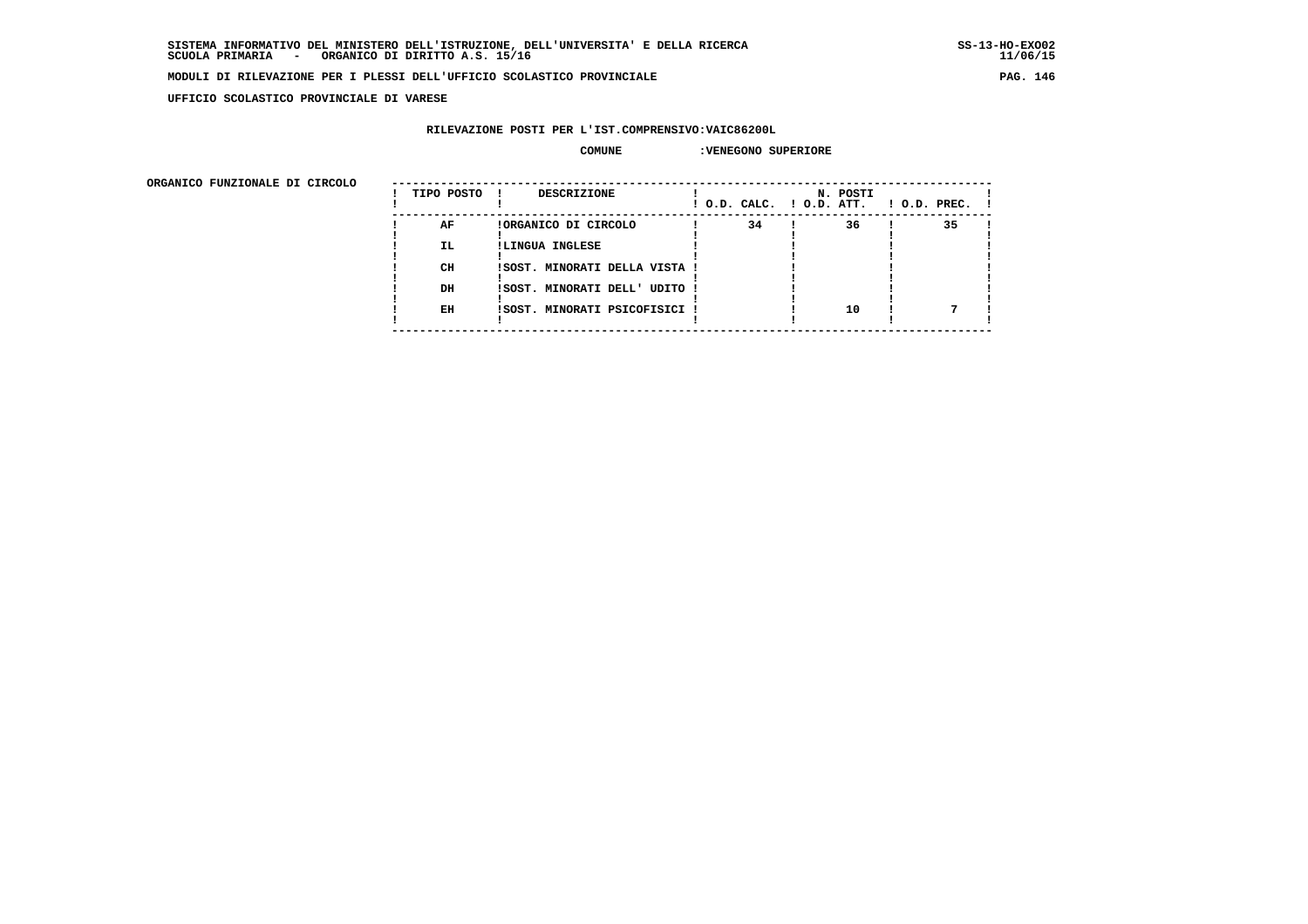$11/06/15$ 

#### **MODULI DI RILEVAZIONE PER I PLESSI DELL'UFFICIO SCOLASTICO PROVINCIALE PAG. 146**

 **UFFICIO SCOLASTICO PROVINCIALE DI VARESE**

## **RILEVAZIONE POSTI PER L'IST.COMPRENSIVO:VAIC86200L**

### **COMUNE :VENEGONO SUPERIORE**

| ORGANICO FUNZIONALE DI CIRCOLO |            |                               |                          |          |              |
|--------------------------------|------------|-------------------------------|--------------------------|----------|--------------|
|                                | TIPO POSTO | <b>DESCRIZIONE</b>            | ! O.D. CALC. ! O.D. ATT. | N. POSTI | ! O.D. PREC. |
|                                | AF         | !ORGANICO DI CIRCOLO          | 34                       | 36       | 35           |
|                                | IL.        | !LINGUA INGLESE               |                          |          |              |
|                                | CH         | ISOST. MINORATI DELLA VISTA ! |                          |          |              |
|                                | DH         | !SOST. MINORATI DELL' UDITO ! |                          |          |              |
|                                | EH         | ISOST. MINORATI PSICOFISICI   |                          | 10       |              |
|                                |            |                               |                          |          |              |
|                                |            |                               |                          |          |              |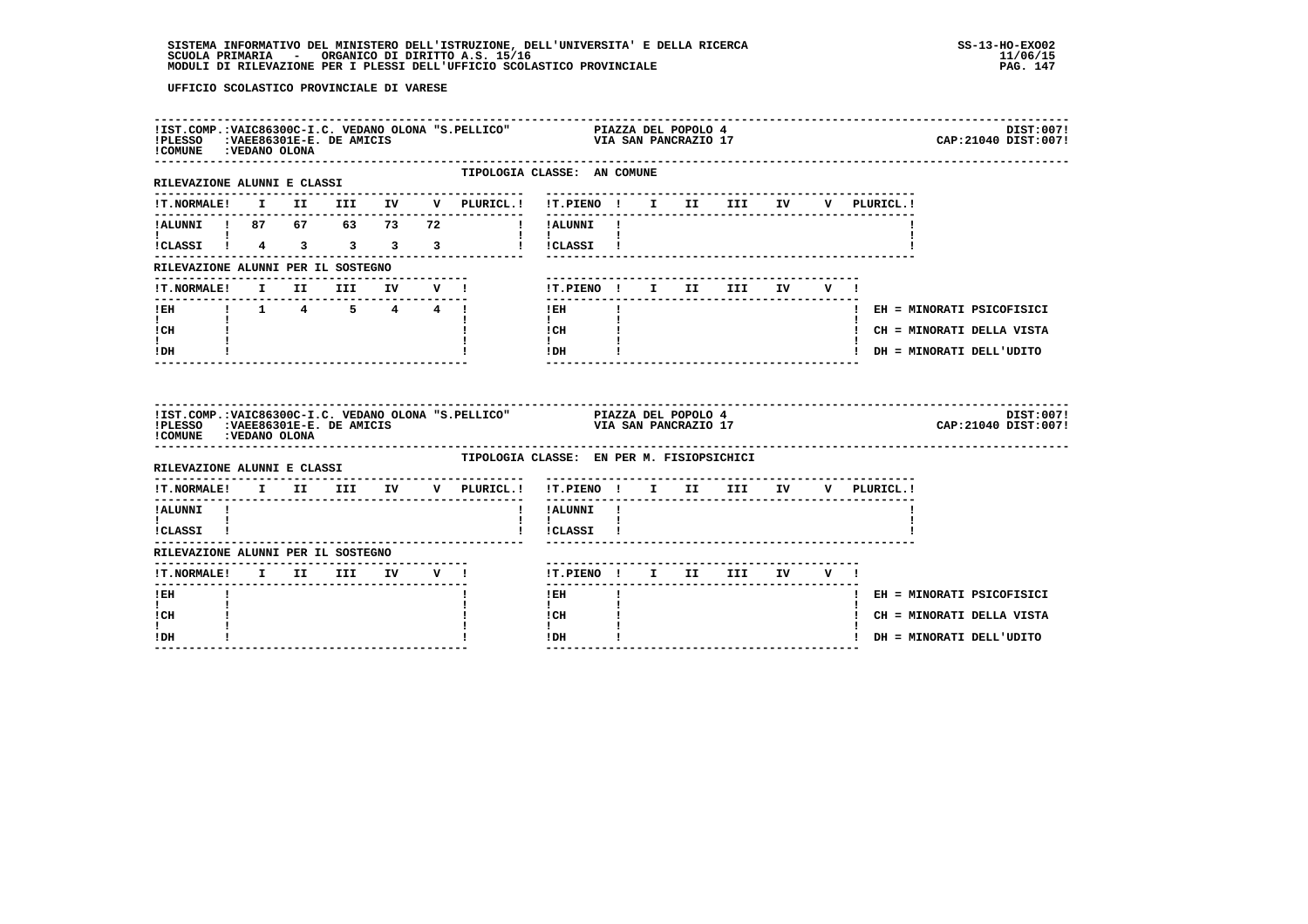| !PLESSO : VAEE86301E-E. DE AMICIS<br>! COMUNE : VEDANO OLONA |  |  |                 | IIST.COMP.: VAIC86300C-I.C. VEDANO OLONA "S.PELLICO" PIAZZA DEL POPOLO 4.<br>VIA SAN PANCRAZIO 17           |                           |  |  | CAP: 21040 DIST: 007!       | DIST:007! |
|--------------------------------------------------------------|--|--|-----------------|-------------------------------------------------------------------------------------------------------------|---------------------------|--|--|-----------------------------|-----------|
| RILEVAZIONE ALUNNI E CLASSI                                  |  |  | -------------   | TIPOLOGIA CLASSE: AN COMUNE<br>--------------------------                                                   |                           |  |  |                             |           |
|                                                              |  |  |                 | !T.NORMALE! I II III IV V PLURICL.! !T.PIENO ! I II III IV V PLURICL.!                                      |                           |  |  |                             |           |
|                                                              |  |  |                 | !ALUNNI ! 87 67 63 73 72 ! !ALUNNI !                                                                        |                           |  |  |                             |           |
| $\mathbf{1}$ and $\mathbf{1}$                                |  |  |                 | $\mathbf{I}$ $\mathbf{I}$ $\mathbf{I}$<br>ICLASSI 1 4 3 3 3 3 1 ICLASSI 1                                   |                           |  |  |                             |           |
| RILEVAZIONE ALUNNI PER IL SOSTEGNO                           |  |  |                 |                                                                                                             |                           |  |  |                             |           |
| <b>!T.NORMALE!</b>                                           |  |  | I II III IV V ! | !T.PIENO! I II III IV V!                                                                                    | ------------------------- |  |  |                             |           |
| ---------------<br>!EH    !    1    4    5   4   4   !       |  |  |                 | ---------------<br>$\mathbf{I}$<br>$1$ EH                                                                   |                           |  |  | ! EH = MINORATI PSICOFISICI |           |
| $\mathbf{I}$ and $\mathbf{I}$<br>ICH                         |  |  |                 | $\mathbf{I}$<br>$\frac{1}{1}$ $\frac{1}{1}$ $\frac{1}{1}$                                                   |                           |  |  | ! CH = MINORATI DELLA VISTA |           |
| $\mathbf{I}$<br>IDH                                          |  |  |                 | $IDH$ $I$                                                                                                   |                           |  |  | ! DH = MINORATI DELL'UDITO  |           |
|                                                              |  |  |                 |                                                                                                             |                           |  |  |                             |           |
| ! COMUNE : VEDANO OLONA                                      |  |  |                 | IIST.COMP.:VAIC86300C-I.C. VEDANO OLONA "S.PELLICO" PIAZZA DEL POPOLO 4<br>IPLESSO :VAEE86301E-E. DE AMICIS |                           |  |  | CAP:21040 DIST:007!         | DIST:007! |
| RILEVAZIONE ALUNNI E CLASSI                                  |  |  |                 | TIPOLOGIA CLASSE: EN PER M. FISIOPSICHICI                                                                   |                           |  |  |                             |           |
|                                                              |  |  |                 | !T.NORMALE! I II III IV V PLURICL.! !T.PIENO ! I II III IV V PLURICL.!                                      |                           |  |  |                             |           |
| !ALUNNI !                                                    |  |  |                 | ---------<br>! !ALUNNI !                                                                                    |                           |  |  |                             |           |
| $\mathbf{I}$ and $\mathbf{I}$<br>!CLASSI !                   |  |  |                 | $\mathbf{I}$<br>! !CLASSI !                                                                                 |                           |  |  |                             |           |
| RILEVAZIONE ALUNNI PER IL SOSTEGNO                           |  |  |                 |                                                                                                             |                           |  |  |                             |           |
| !T.NORMALE! I II III IV V !                                  |  |  |                 | !T.PIENO! I II III IV V!                                                                                    |                           |  |  |                             |           |
| $!$ EH                                                       |  |  |                 | ! EH                                                                                                        |                           |  |  | ! EH = MINORATI PSICOFISICI |           |
| $\mathbf{I}$<br>! CH<br>$\mathbf{I}$                         |  |  |                 | $\mathbf{I}$<br>! CH<br>$\mathbf{I}$                                                                        |                           |  |  | ! CH = MINORATI DELLA VISTA |           |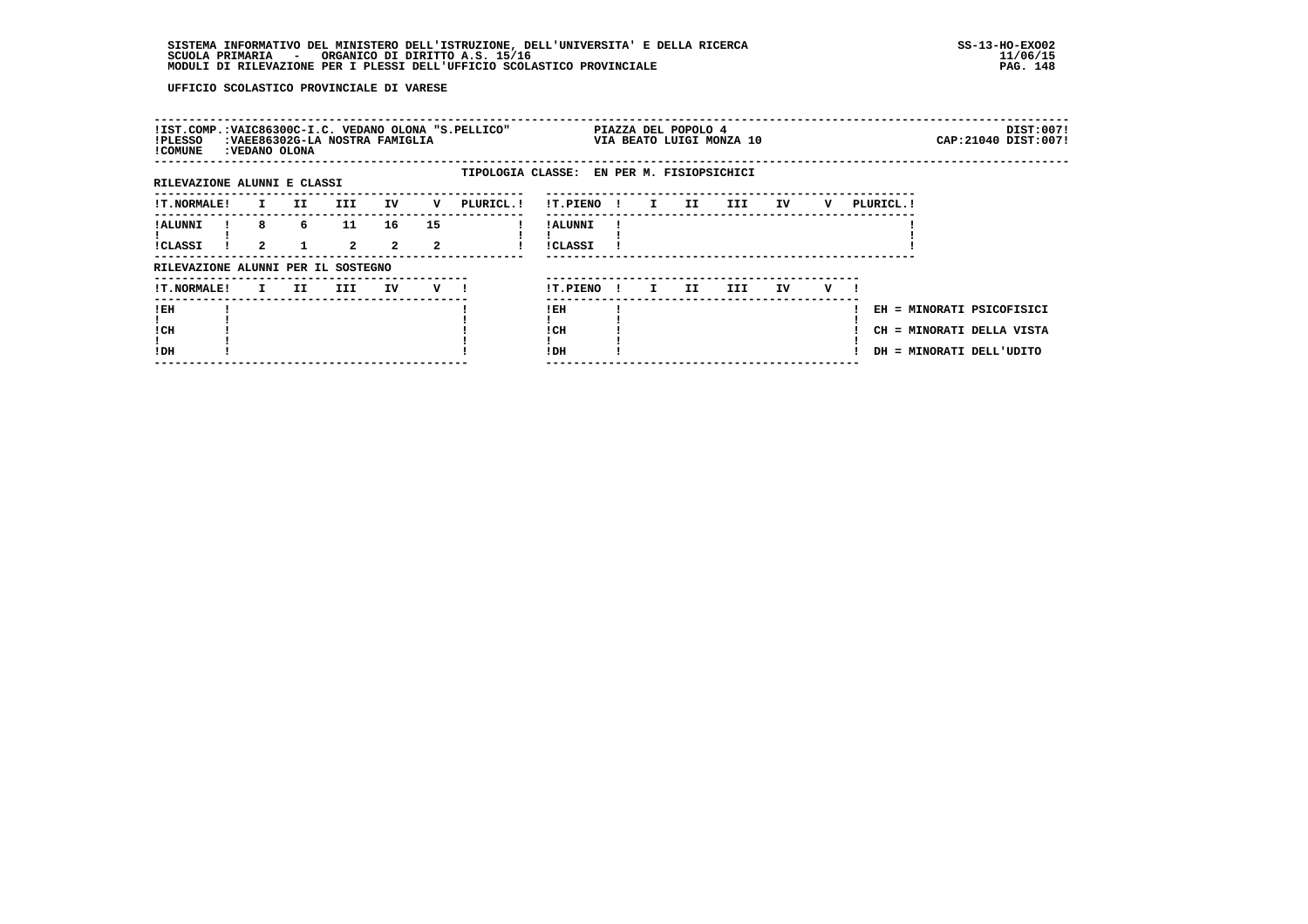| !IST.COMP.:VAIC86300C-I.C. VEDANO OLONA "S.PELLICO"<br>!PLESSO<br>! COMUNE | :VEDANO OLONA     |     | : VAEE86302G-LA NOSTRA FAMIGLIA |                      |                      |                                           |                            |              |              | PIAZZA DEL POPOLO 4 | VIA BEATO LUIGI MONZA 10 |     |   |            |                                                        | DIST:007!<br>CAP: 21040 DIST: 007! |
|----------------------------------------------------------------------------|-------------------|-----|---------------------------------|----------------------|----------------------|-------------------------------------------|----------------------------|--------------|--------------|---------------------|--------------------------|-----|---|------------|--------------------------------------------------------|------------------------------------|
| RILEVAZIONE ALUNNI E CLASSI                                                |                   |     |                                 |                      |                      | TIPOLOGIA CLASSE: EN PER M. FISIOPSICHICI |                            |              |              |                     |                          |     |   |            |                                                        |                                    |
|                                                                            |                   |     |                                 |                      |                      |                                           |                            |              |              |                     |                          |     |   |            |                                                        |                                    |
| <b>!T.NORMALE!</b>                                                         | $\mathbf{I}$      | II. | III.                            | IV                   | v                    | PLURICL.!                                 | !T.PIENO                   | $\mathbf{I}$ | $\mathbf{I}$ | II                  | III                      | IV  | v | PLURICL. ! |                                                        |                                    |
| ! ALUNNI<br>!CLASSI                                                        | 8<br>$\mathbf{2}$ | 6   | 11<br>$\overline{2}$            | 16<br>$\overline{2}$ | 15<br>$\overline{2}$ |                                           | ! ALUNNI<br><b>!CLASSI</b> |              |              |                     |                          |     |   |            |                                                        |                                    |
| RILEVAZIONE ALUNNI PER IL SOSTEGNO                                         |                   |     |                                 |                      |                      |                                           |                            |              |              |                     |                          |     |   |            |                                                        |                                    |
| <b>!T.NORMALE!</b>                                                         | $\mathbf{I}$      | II. | III.                            | IV                   | $V$ $\blacksquare$   |                                           | !T.PIENO                   | $\mathbf{I}$ | I.           | II.                 | III.                     | IV. | v |            |                                                        |                                    |
| !EH<br>! CH                                                                |                   |     |                                 |                      |                      |                                           | ! EH<br>! CH               |              |              |                     |                          |     |   |            | EH = MINORATI PSICOFISICI<br>CH = MINORATI DELLA VISTA |                                    |
| !DH                                                                        |                   |     |                                 |                      |                      |                                           | !DH                        |              |              |                     |                          |     |   |            | DH = MINORATI DELL'UDITO                               |                                    |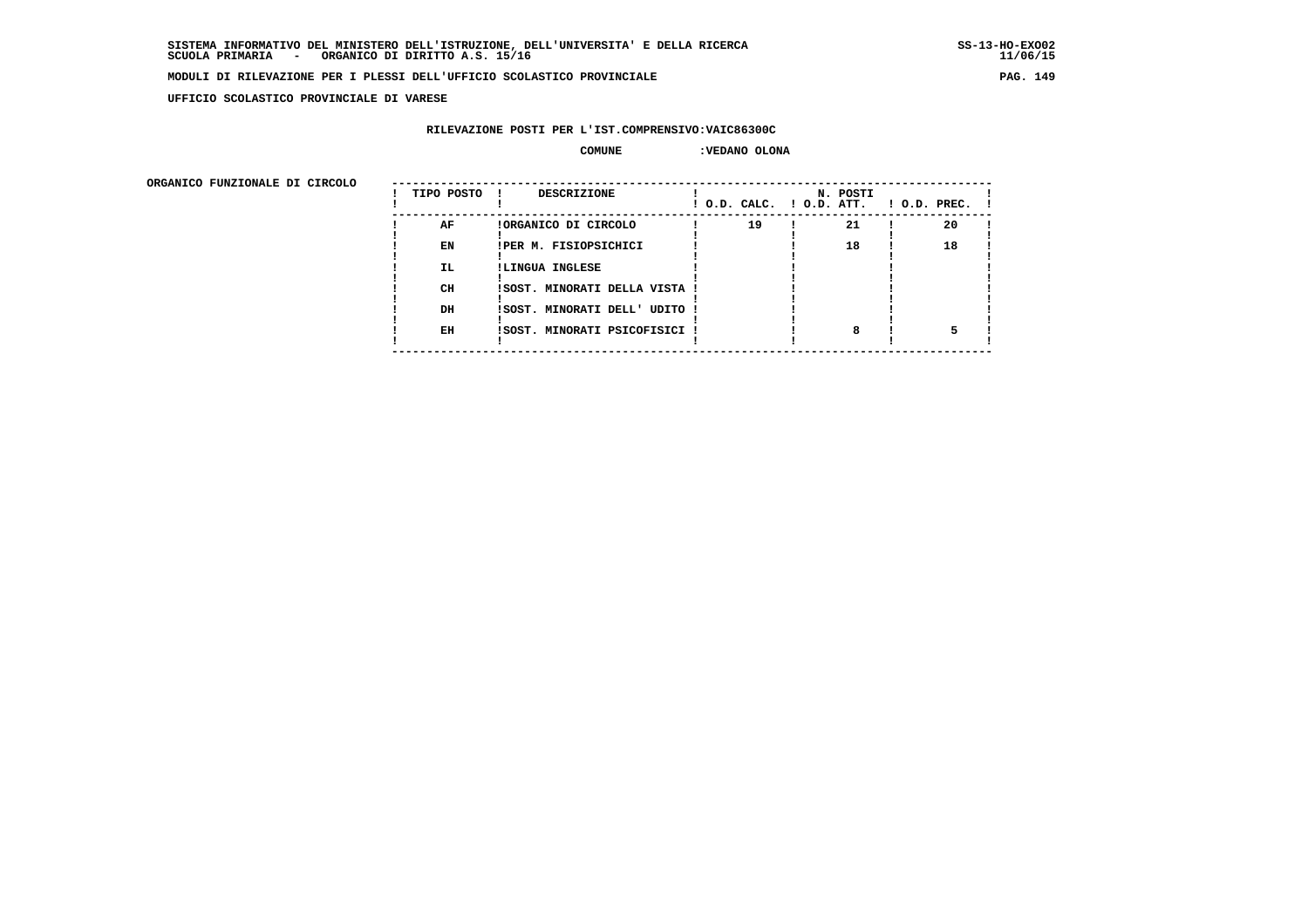**UFFICIO SCOLASTICO PROVINCIALE DI VARESE**

## **RILEVAZIONE POSTI PER L'IST.COMPRENSIVO:VAIC86300C**

 **COMUNE :VEDANO OLONA**

ORGANICO FUNZIONALE DI CIRCOLO

| ORGANICO FUNZIONALE DI CIRCOLO | TIPO POSTO | <b>DESCRIZIONE</b>            | $!$ $0.D.$ $CALC.$ $!$ $0.D.$ $ATT.$ | N. POSTI | $\blacksquare$ $\blacksquare$ $\blacksquare$ $\blacksquare$ $\blacksquare$ $\blacksquare$ $\blacksquare$ $\blacksquare$ $\blacksquare$ $\blacksquare$ $\blacksquare$ $\blacksquare$ $\blacksquare$ $\blacksquare$ $\blacksquare$ |
|--------------------------------|------------|-------------------------------|--------------------------------------|----------|----------------------------------------------------------------------------------------------------------------------------------------------------------------------------------------------------------------------------------|
|                                | AF         | !ORGANICO DI CIRCOLO          | 19                                   | 21       | 20                                                                                                                                                                                                                               |
|                                | EN         | IPER M. FISIOPSICHICI         |                                      | 18       | 18                                                                                                                                                                                                                               |
|                                | IL.        | !LINGUA INGLESE               |                                      |          |                                                                                                                                                                                                                                  |
|                                | <b>CH</b>  | !SOST. MINORATI DELLA VISTA ! |                                      |          |                                                                                                                                                                                                                                  |
|                                | DH         | !SOST. MINORATI DELL' UDITO ! |                                      |          |                                                                                                                                                                                                                                  |
|                                | EH         | !SOST. MINORATI PSICOFISICI ! |                                      |          |                                                                                                                                                                                                                                  |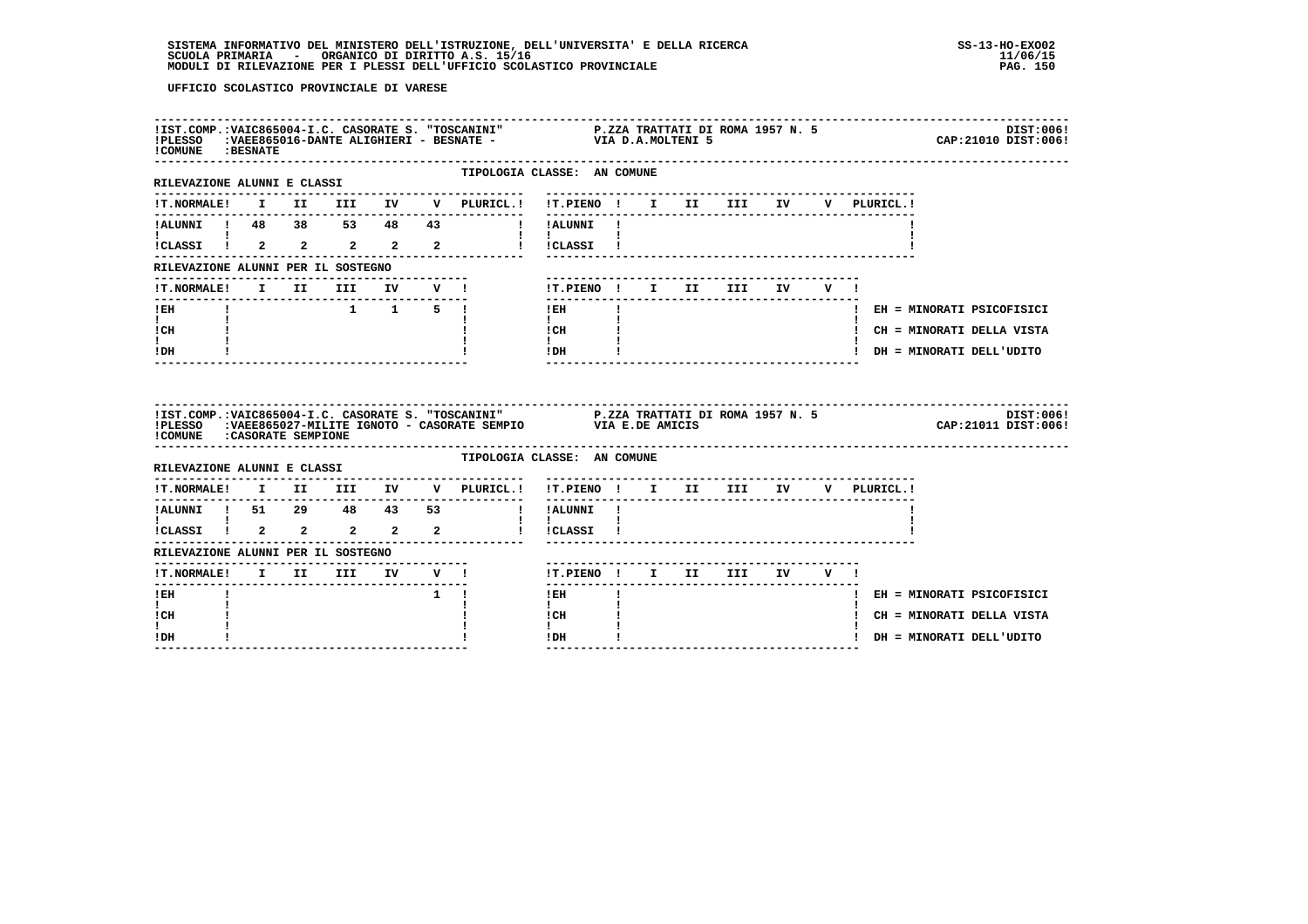| ! COMUNE : BESNATE                        |  |  |             |                 |                                                                                                                                                                            |              |                           |                                  |  |             | DIST:006!<br>CAP: 21010 DIST: 006! |
|-------------------------------------------|--|--|-------------|-----------------|----------------------------------------------------------------------------------------------------------------------------------------------------------------------------|--------------|---------------------------|----------------------------------|--|-------------|------------------------------------|
| RILEVAZIONE ALUNNI E CLASSI               |  |  |             | --------------- | TIPOLOGIA CLASSE: AN COMUNE                                                                                                                                                |              |                           |                                  |  |             |                                    |
|                                           |  |  |             |                 | !T.NORMALE! I II III IV V PLURICL.! !T.PIENO ! I II III IV                                                                                                                 |              |                           |                                  |  | V PLURICL.! |                                    |
|                                           |  |  |             |                 |                                                                                                                                                                            |              |                           |                                  |  |             |                                    |
|                                           |  |  |             |                 |                                                                                                                                                                            |              |                           |                                  |  |             |                                    |
| RILEVAZIONE ALUNNI PER IL SOSTEGNO        |  |  |             |                 |                                                                                                                                                                            |              |                           |                                  |  |             |                                    |
| !T.NORMALE! I II III IV V !               |  |  |             |                 | !T.PIENO! I II III IV V!                                                                                                                                                   |              |                           |                                  |  |             |                                    |
| -------------------------------<br>$!$ EH |  |  |             |                 | ----------------<br>$!$ EH                                                                                                                                                 | $\mathbf{I}$ | ------------------------- |                                  |  |             | ! EH = MINORATI PSICOFISICI        |
| $\mathbf{I}$ and $\mathbf{I}$<br>ICH      |  |  |             |                 | $\mathbf{I}$ and $\mathbf{I}$<br>$\mathbf{I}$ CH                                                                                                                           |              |                           |                                  |  |             | ! CH = MINORATI DELLA VISTA        |
| $\mathbf{I}$<br>$!$ DH                    |  |  |             |                 | $\mathbf{I}$<br>$!$ DH                                                                                                                                                     |              |                           |                                  |  |             | ! DH = MINORATI DELL'UDITO         |
|                                           |  |  |             |                 |                                                                                                                                                                            |              |                           |                                  |  |             |                                    |
| !COMUNE : CASORATE SEMPIONE               |  |  |             |                 | !IST.COMP.:VAIC865004-I.C. CASORATE S. "TOSCANINI" P.ZZA TRATTATI DI ROMA 1957 N. 5<br>!PLESSO   :VAEE865027-MILITE IGNOTO - CASORATE SEMPIO               VIA E.DE AMICIS |              |                           |                                  |  |             | DIST:006!<br>CAP: 21011 DIST: 006! |
| RILEVAZIONE ALUNNI E CLASSI               |  |  |             |                 | TIPOLOGIA CLASSE: AN COMUNE                                                                                                                                                |              |                           |                                  |  |             |                                    |
|                                           |  |  |             | --------------- | !T.NORMALE! I II III IV V PLURICL.! !T.PIENO ! I II III IV V PLURICL.!                                                                                                     |              |                           |                                  |  |             |                                    |
|                                           |  |  |             |                 |                                                                                                                                                                            |              |                           | -------------------------------- |  |             |                                    |
|                                           |  |  |             |                 |                                                                                                                                                                            |              |                           |                                  |  |             |                                    |
| RILEVAZIONE ALUNNI PER IL SOSTEGNO        |  |  |             |                 |                                                                                                                                                                            |              |                           |                                  |  |             |                                    |
|                                           |  |  |             |                 | !T.PIENO! I II III IV V!                                                                                                                                                   |              |                           |                                  |  |             |                                    |
| $!$ EH                                    |  |  | $1 \quad 1$ |                 | $1$ EH                                                                                                                                                                     |              |                           |                                  |  |             | ! EH = MINORATI PSICOFISICI        |
| $\mathbf{I}$<br>! CH<br>L                 |  |  |             |                 | $\mathbf{I}$<br>! CH<br>$\mathbf{I}$                                                                                                                                       |              |                           |                                  |  |             | ! CH = MINORATI DELLA VISTA        |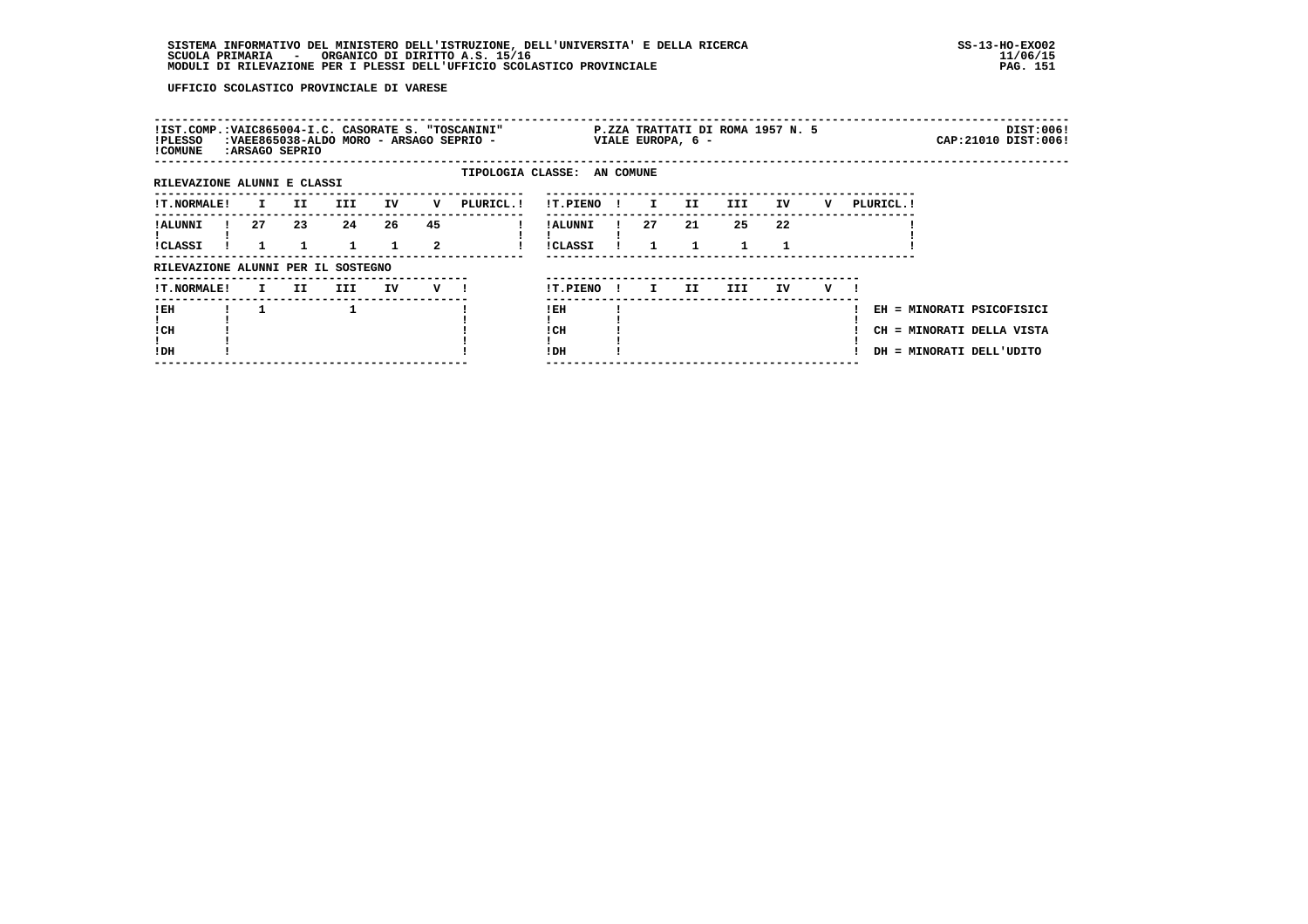| !IST.COMP.:VAIC865004-I.C. CASORATE S. "TOSCANINI"<br>!PLESSO<br>! COMUNE |              | :ARSAGO SEPRIO |                    |    |         | :VAEE865038-ALDO MORO - ARSAGO SEPRIO - |                                  |              |              | VIALE EUROPA, 6 -  | P.ZZA TRATTATI DI ROMA 1957 N. 5 |    |     |            | DIST:006!<br>CAP: 21010 DIST: 006!                                                 |
|---------------------------------------------------------------------------|--------------|----------------|--------------------|----|---------|-----------------------------------------|----------------------------------|--------------|--------------|--------------------|----------------------------------|----|-----|------------|------------------------------------------------------------------------------------|
| RILEVAZIONE ALUNNI E CLASSI                                               |              |                |                    |    |         | TIPOLOGIA CLASSE: AN COMUNE             |                                  |              |              |                    |                                  |    |     |            |                                                                                    |
| <b>!T.NORMALE!</b>                                                        | $\mathbf{I}$ | II             | <b>III</b>         | IV | v       | PLURICL. !                              | !T.PIENO                         | $\mathbf{I}$ | I.           | II                 | III                              | IV | v   | PLURICL. ! |                                                                                    |
| ! ALUNNI<br>!CLASSI                                                       | 27           | 23             | 24<br>$\mathbf{1}$ | 26 | 45<br>2 |                                         | <b>!ALUNNI</b><br><b>!CLASSI</b> |              | 27           | 21<br>$\mathbf{1}$ | 25<br>1                          | 22 |     |            |                                                                                    |
| RILEVAZIONE ALUNNI PER IL SOSTEGNO                                        |              |                |                    |    |         |                                         |                                  |              |              |                    |                                  |    |     |            |                                                                                    |
| <b>!T.NORMALE!</b>                                                        | $\mathbf{I}$ | II             | III                | IV | $V$ $l$ |                                         | !T.PIENO                         | $\mathbf{I}$ | $\mathbf{I}$ | II.                | III                              | IV | v — |            |                                                                                    |
| ! EH<br>! CH<br>!DH                                                       |              |                |                    |    |         |                                         | !EH<br>! CH<br>! DH              |              |              |                    |                                  |    |     |            | EH = MINORATI PSICOFISICI<br>CH = MINORATI DELLA VISTA<br>DH = MINORATI DELL'UDITO |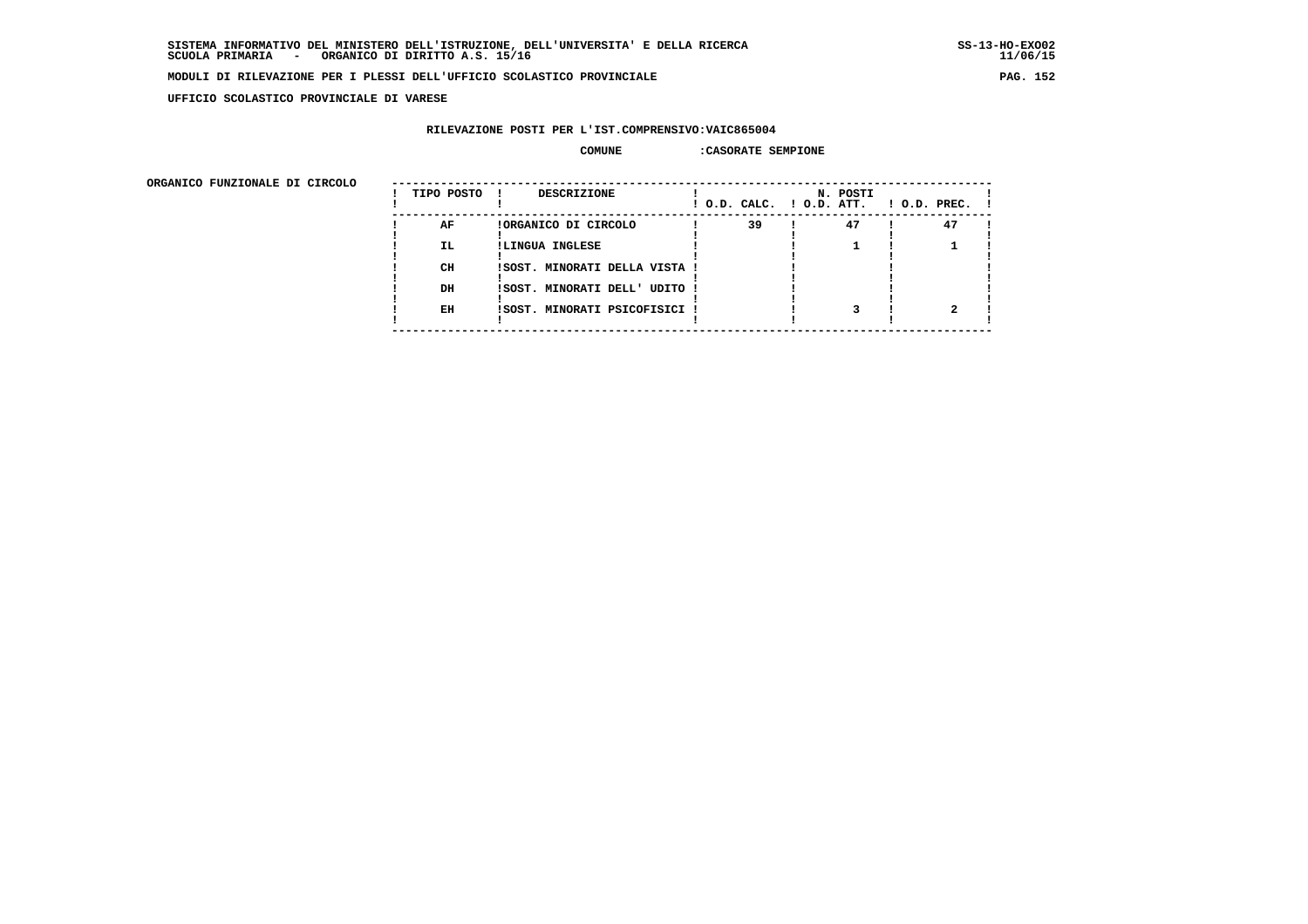$11/06/15$ 

#### **MODULI DI RILEVAZIONE PER I PLESSI DELL'UFFICIO SCOLASTICO PROVINCIALE PAG. 152**

 **UFFICIO SCOLASTICO PROVINCIALE DI VARESE**

## **RILEVAZIONE POSTI PER L'IST.COMPRENSIVO:VAIC865004**

#### **COMUNE :CASORATE SEMPIONE**

 **ORGANICO FUNZIONALE DI CIRCOLO --------------------------------------------------------------------------------------**

| onghnico rongionale pi cincolo | TIPO POSTO ! | <b>DESCRIZIONE</b>            | ! O.D. CALC. ! O.D. ATT. | N. POSTI | $1$ O.D. PREC. $1$ |
|--------------------------------|--------------|-------------------------------|--------------------------|----------|--------------------|
|                                | AF           | !ORGANICO DI CIRCOLO          | 39                       | 47       | 47                 |
|                                | IL.          | !LINGUA INGLESE               |                          |          |                    |
|                                | CH           | !SOST. MINORATI DELLA VISTA ! |                          |          |                    |
|                                | DH           | !SOST. MINORATI DELL' UDITO ! |                          |          |                    |
|                                | EH           | !SOST. MINORATI PSICOFISICI ! |                          |          |                    |
|                                |              |                               |                          |          |                    |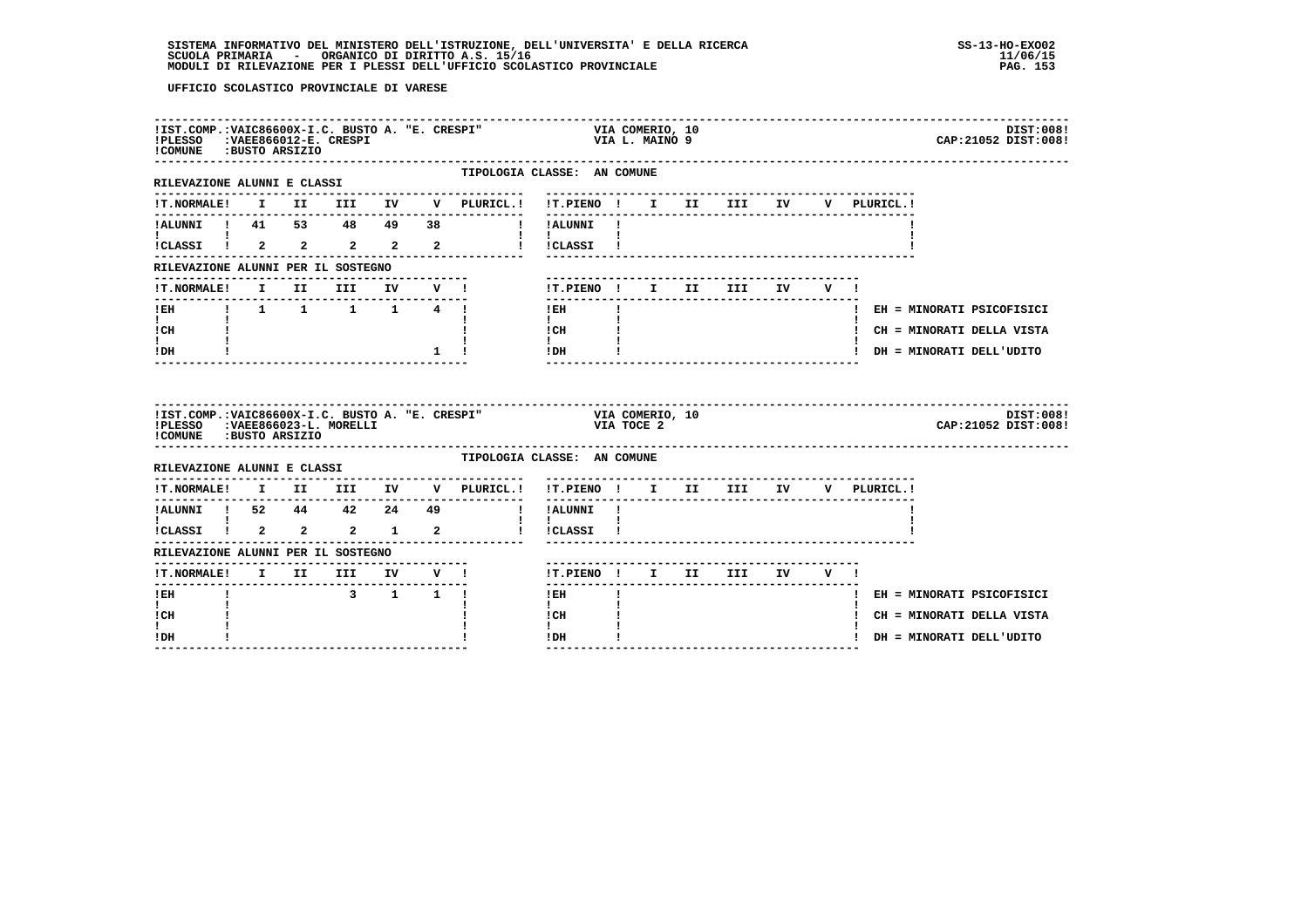# **SISTEMA INFORMATIVO DEL MINISTERO DELL'ISTRUZIONE, DELL'UNIVERSITA' E DELLA RICERCA SS-13-HO-EXO02**SCUOLA PRIMARIA ORGANICO DI DIRITTO A.S. 15/16<br>MODULI DI RILEVAZIONE PER I PLESSI DELL'UFFICIO SCOLASTICO PROVINCIALE **provinciale paga in termina all'altro s**

| !PLESSO :VAEE866012-E. CRESPI<br>COMUNE : BUSTO ARSIZIO                                                                                                      |  | !IST.COMP.: VAIC86600X-I.C. BUSTO A. "E. CRESPI" |             |                                                                        | VIA COMERIO, 10<br>VIA L. MAINO 9                              |              |  |                                |  |             | DIST:008!<br>CAP: 21052 DIST: 008! |
|--------------------------------------------------------------------------------------------------------------------------------------------------------------|--|--------------------------------------------------|-------------|------------------------------------------------------------------------|----------------------------------------------------------------|--------------|--|--------------------------------|--|-------------|------------------------------------|
| RILEVAZIONE ALUNNI E CLASSI                                                                                                                                  |  |                                                  |             | TIPOLOGIA CLASSE: AN COMUNE<br>---------------                         | -------------------------------                                |              |  |                                |  |             |                                    |
| <b>!T.NORMALE!</b>                                                                                                                                           |  |                                                  |             | I II III IV V PLURICL.! !T.PIENO ! I II III IV                         |                                                                |              |  |                                |  | V PLURICL.! |                                    |
|                                                                                                                                                              |  |                                                  |             | !!ALUNNI!                                                              |                                                                |              |  |                                |  |             |                                    |
| 1.2<br>1 1 1 53 48 49 38<br>1 1<br>1 1 2 2 2 2 2<br>1                                                                                                        |  |                                                  |             |                                                                        | $\mathbf{I}$ and $\mathbf{I}$ and $\mathbf{I}$<br>! ! CLASSI ! |              |  |                                |  |             |                                    |
| RILEVAZIONE ALUNNI PER IL SOSTEGNO                                                                                                                           |  |                                                  |             |                                                                        |                                                                |              |  |                                |  |             |                                    |
| !T.NORMALE!                                                                                                                                                  |  | I II III IV V !                                  |             |                                                                        | !T.PIENO! I II III IV V!                                       |              |  |                                |  |             |                                    |
| -----------------<br>!EH    !    1    1    1    1    1    4    !                                                                                             |  |                                                  |             |                                                                        | $1$ EH                                                         | $\mathbf{I}$ |  |                                |  |             | ! EH = MINORATI PSICOFISICI        |
| $\mathbf{I}$ and $\mathbf{I}$<br>! CH                                                                                                                        |  |                                                  |             |                                                                        | $\mathbf{I}$<br>! CH                                           |              |  |                                |  |             | ! CH = MINORATI DELLA VISTA        |
| $\mathbf{I}$<br>! DH                                                                                                                                         |  |                                                  | $1 \quad 1$ |                                                                        | $\mathbf{I}$<br>!DH                                            |              |  | ______________________________ |  |             | ! DH = MINORATI DELL'UDITO         |
|                                                                                                                                                              |  |                                                  |             |                                                                        |                                                                |              |  |                                |  |             |                                    |
| !IST.COMP.:VAIC86600X-I.C. BUSTO A. "E. CRESPI"<br>!PLESSO : VAEE866023-L. MORELLI<br>!COMUNE : BUSTO ARSIZIO                                                |  |                                                  |             |                                                                        | VIA COMERIO, 10<br>VIA TOCE 2                                  |              |  |                                |  |             | DIST:008!<br>CAP: 21052 DIST: 008! |
| RILEVAZIONE ALUNNI E CLASSI                                                                                                                                  |  |                                                  |             | TIPOLOGIA CLASSE: AN COMUNE                                            |                                                                |              |  |                                |  |             |                                    |
|                                                                                                                                                              |  |                                                  |             | !T.NORMALE! I II III IV V PLURICL.! !T.PIENO ! I II III IV V PLURICL.! |                                                                |              |  |                                |  |             |                                    |
|                                                                                                                                                              |  |                                                  |             |                                                                        |                                                                |              |  |                                |  |             |                                    |
|                                                                                                                                                              |  |                                                  |             |                                                                        |                                                                |              |  |                                |  |             |                                    |
| RILEVAZIONE ALUNNI PER IL SOSTEGNO                                                                                                                           |  |                                                  |             |                                                                        |                                                                |              |  |                                |  |             |                                    |
|                                                                                                                                                              |  |                                                  |             |                                                                        | !T.PIENO ! I II III IV V !                                     |              |  |                                |  |             |                                    |
| <u>KLESTANISCHE SAMINIK (* 18. 1918)</u><br>1911 - Anne Brits, political american (* 18. 1918)<br>1911 - III III IV V I<br>-------------------------<br>! EH |  | 3 1 1 1                                          |             |                                                                        | $!$ EH                                                         |              |  |                                |  |             | ! EH = MINORATI PSICOFISICI        |
| $\mathbf{I}$<br>! CH<br>L                                                                                                                                    |  |                                                  |             |                                                                        | $\mathbf{I}$<br>! CH<br>$\mathbf{I}$                           |              |  |                                |  |             | ! CH = MINORATI DELLA VISTA        |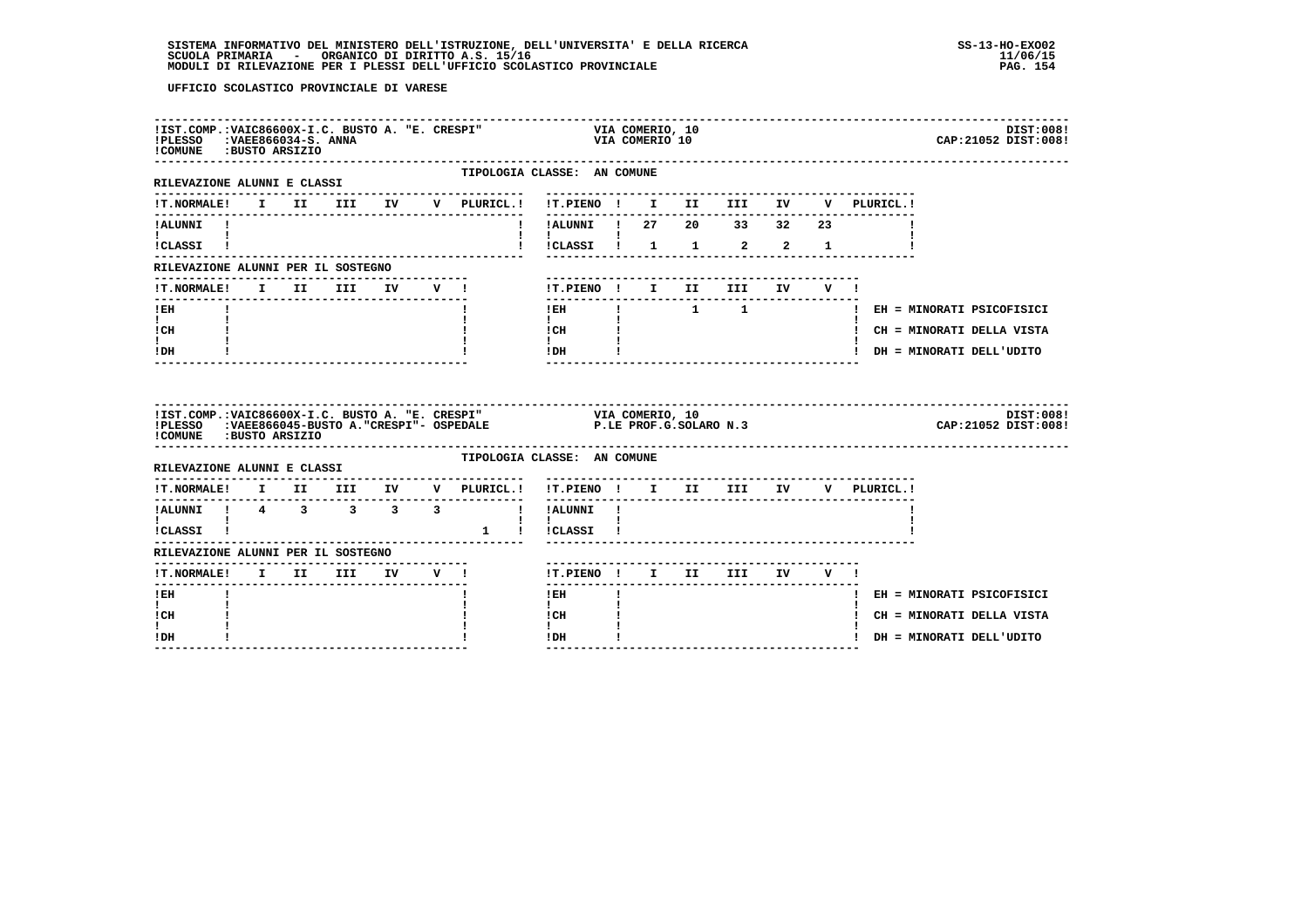# **SISTEMA INFORMATIVO DEL MINISTERO DELL'ISTRUZIONE, DELL'UNIVERSITA' E DELLA RICERCA SS-13-HO-EXO02 SCUOLA PRIMARIA - ORGANICO DI DIRITTO A.S. 15/16 11/06/15 MODULI DI RILEVAZIONE PER I PLESSI DELL'UFFICIO SCOLASTICO PROVINCIALE PAG. 154**

| !PLESSO : VAEE866034-S. ANNA<br>!COMUNE : BUSTO ARSIZIO                  |  |  | -------------------------------------<br>!IST.COMP.: VAIC86600X-I.C. BUSTO A. "E. CRESPI" |                                                                                                                                           |                           | VIA COMERIO, 10                                              |              | VIA COMERIO 10 |                           |                                            |              |              |                                    | DIST:008!<br>CAP: 21052 DIST: 008!                        |
|--------------------------------------------------------------------------|--|--|-------------------------------------------------------------------------------------------|-------------------------------------------------------------------------------------------------------------------------------------------|---------------------------|--------------------------------------------------------------|--------------|----------------|---------------------------|--------------------------------------------|--------------|--------------|------------------------------------|-----------------------------------------------------------|
| RILEVAZIONE ALUNNI E CLASSI                                              |  |  |                                                                                           | TIPOLOGIA CLASSE: AN COMUNE<br>-------------                                                                                              |                           |                                                              |              |                |                           |                                            |              |              |                                    |                                                           |
|                                                                          |  |  |                                                                                           |                                                                                                                                           |                           |                                                              |              |                |                           |                                            |              |              |                                    |                                                           |
| !ALUNNI !<br>$\mathbf{I}$ and $\mathbf{I}$ and $\mathbf{I}$<br>ICLASSI ! |  |  |                                                                                           |                                                                                                                                           |                           |                                                              |              |                |                           | ! !ALUNNI ! 27  20  33  32  23<br>$1 \t 2$ | $2^{\circ}$  | $\mathbf{1}$ |                                    |                                                           |
| RILEVAZIONE ALUNNI PER IL SOSTEGNO                                       |  |  |                                                                                           |                                                                                                                                           |                           |                                                              |              |                |                           |                                            |              |              |                                    |                                                           |
|                                                                          |  |  |                                                                                           | !T.NORMALE! I II III IV V !                                                                                                               |                           |                                                              |              |                |                           | !T.PIENO! I II III IV V!                   |              |              |                                    |                                                           |
| $I$ EH<br>$\mathbf{I}$ and $\mathbf{I}$                                  |  |  |                                                                                           |                                                                                                                                           | $\mathbf{I}$              |                                                              |              |                | ------------------------- |                                            | . <u>.</u> . |              |                                    | !EH ! 1 1 1 EH = MINORATI PSICOFISICI                     |
| ! CH<br>$\mathbf{I}$<br>! DH                                             |  |  |                                                                                           |                                                                                                                                           |                           | $ICH$ $\qquad$<br>$\mathbf{I}$ and $\mathbf{I}$<br>$IDH$ $I$ |              |                |                           |                                            |              |              |                                    | ! CH = MINORATI DELLA VISTA<br>! DH = MINORATI DELL'UDITO |
|                                                                          |  |  |                                                                                           |                                                                                                                                           |                           |                                                              |              |                |                           |                                            |              |              |                                    |                                                           |
| !COMUNE : BUSTO ARSIZIO                                                  |  |  |                                                                                           | IIST.COMP.:VAIC86600X-I.C. BUSTO A. "E. CRESPI" VIA COMERIO, 10<br>IPLESSO :VAEE866045-BUSTO A. "CRESPI"- OSPEDALE P.LE PROF.G.SOLARO N.3 |                           |                                                              |              |                |                           |                                            |              |              |                                    | DIST:008!<br>CAP: 21052 DIST: 008!                        |
| RILEVAZIONE ALUNNI E CLASSI                                              |  |  |                                                                                           | TIPOLOGIA CLASSE: AN COMUNE                                                                                                               |                           |                                                              |              |                |                           |                                            |              |              |                                    |                                                           |
|                                                                          |  |  |                                                                                           | !T.NORMALE! I II III IV V PLURICL.!                                                                                                       |                           |                                                              |              |                |                           |                                            |              |              | !T.PIENO ! I II III IV V PLURICL.! |                                                           |
| --------------------------                                               |  |  |                                                                                           | !ALUNNI ! 4 3 3 3 3 1 ! !ALUNNI !                                                                                                         | $\mathbf{I}$ $\mathbf{I}$ |                                                              |              |                |                           |                                            |              |              |                                    |                                                           |
| !CLASSI !                                                                |  |  |                                                                                           | 1 ! ! CLASSI !                                                                                                                            |                           |                                                              |              |                |                           |                                            |              |              |                                    |                                                           |
| RILEVAZIONE ALUNNI PER IL SOSTEGNO                                       |  |  |                                                                                           |                                                                                                                                           |                           |                                                              |              |                |                           |                                            |              |              |                                    |                                                           |
| !T.NORMALE! I II III IV V !<br>-------                                   |  |  |                                                                                           |                                                                                                                                           |                           | --------                                                     |              |                |                           | !T.PIENO! I II III IV V!                   |              |              |                                    |                                                           |
| $!$ EH                                                                   |  |  |                                                                                           |                                                                                                                                           |                           | $!$ EH                                                       | $\mathbf{I}$ |                |                           |                                            |              |              |                                    | ! EH = MINORATI PSICOFISICI                               |
| $\mathbf{I}$<br>! CH<br>L                                                |  |  |                                                                                           |                                                                                                                                           | $\mathbf{I}$<br>! CH      |                                                              |              |                |                           |                                            |              |              |                                    | ! CH = MINORATI DELLA VISTA                               |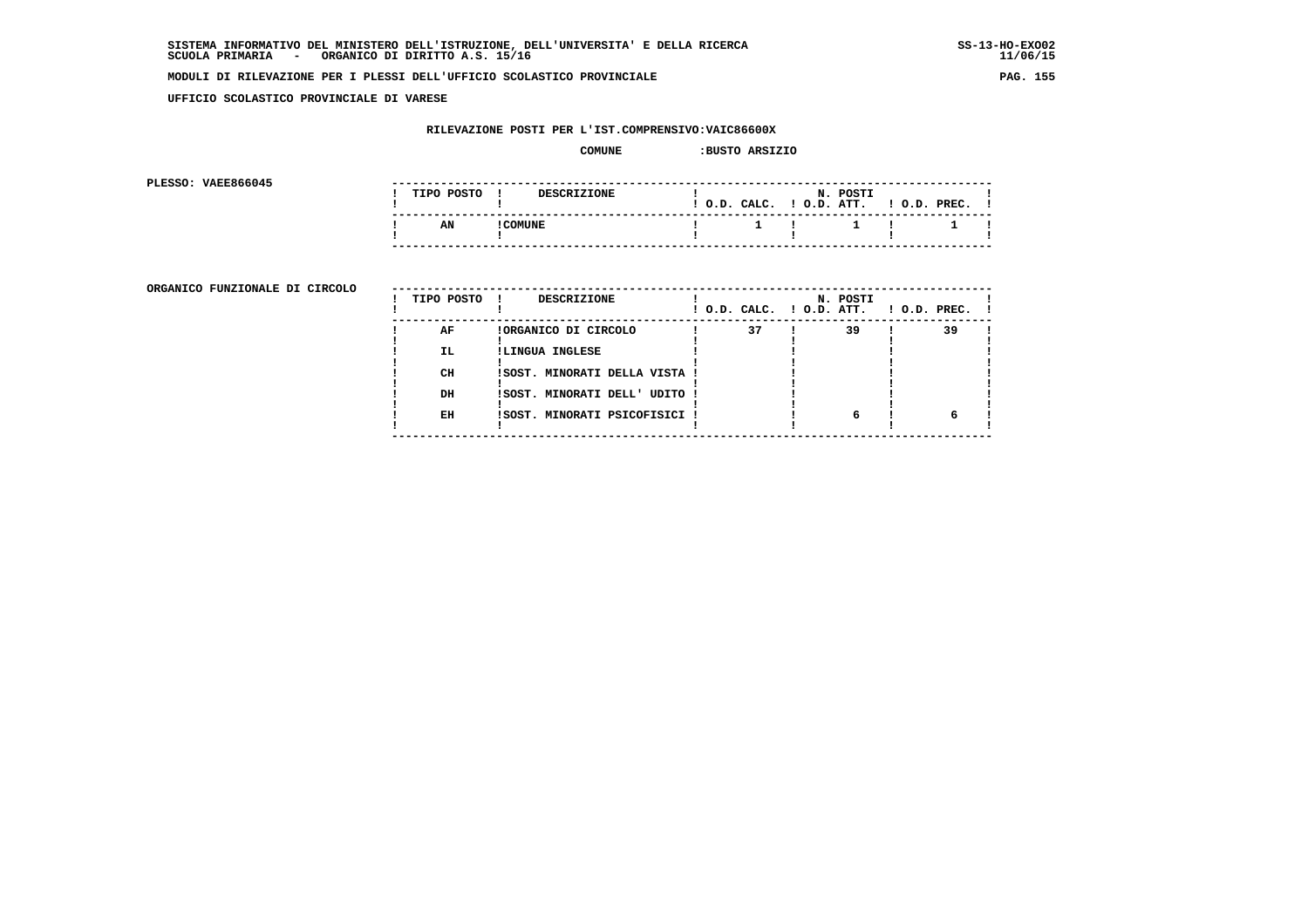**UFFICIO SCOLASTICO PROVINCIALE DI VARESE**

## **RILEVAZIONE POSTI PER L'IST.COMPRENSIVO:VAIC86600X**

#### **COMUNE :BUSTO ARSIZIO**

**PLESSO: VAEE866045** 

| PLESSO: VAEE866045 |            |               |                    |  |                    |                                       |                                                  |  |  |
|--------------------|------------|---------------|--------------------|--|--------------------|---------------------------------------|--------------------------------------------------|--|--|
|                    | TIPO POSTO |               | <b>DESCRIZIONE</b> |  | $!$ $0.D.$ $CALC.$ |                                       | N. POSTI<br>$!$ $0.D.$ $ATT.$ $!$ $0.D.$ $PREC.$ |  |  |
|                    | AN         | <b>COMUNE</b> |                    |  |                    | $\mathbf{1}$ is a set of $\mathbf{1}$ |                                                  |  |  |
|                    |            |               |                    |  |                    |                                       |                                                  |  |  |

**ORGANICO FUNZIONALE DI CIRCOLO** --

| ORGANICO FUNZIONALE DI CIRCOLO | TIPO POSTO ! | DESCRIZIONE                   | ! O.D. CALC. ! O.D. ATT. | N. POSTI | $1$ O.D. PREC. |    |  |
|--------------------------------|--------------|-------------------------------|--------------------------|----------|----------------|----|--|
|                                | AF           | !ORGANICO DI CIRCOLO          | 37                       | 39       |                | 39 |  |
|                                | IL.          | !LINGUA INGLESE               |                          |          |                |    |  |
|                                | CH           | ISOST. MINORATI DELLA VISTA ! |                          |          |                |    |  |
|                                | DH           | !SOST. MINORATI DELL' UDITO ! |                          |          |                |    |  |
|                                | EH           | !SOST. MINORATI PSICOFISICI ! |                          |          |                |    |  |
|                                |              |                               |                          |          |                |    |  |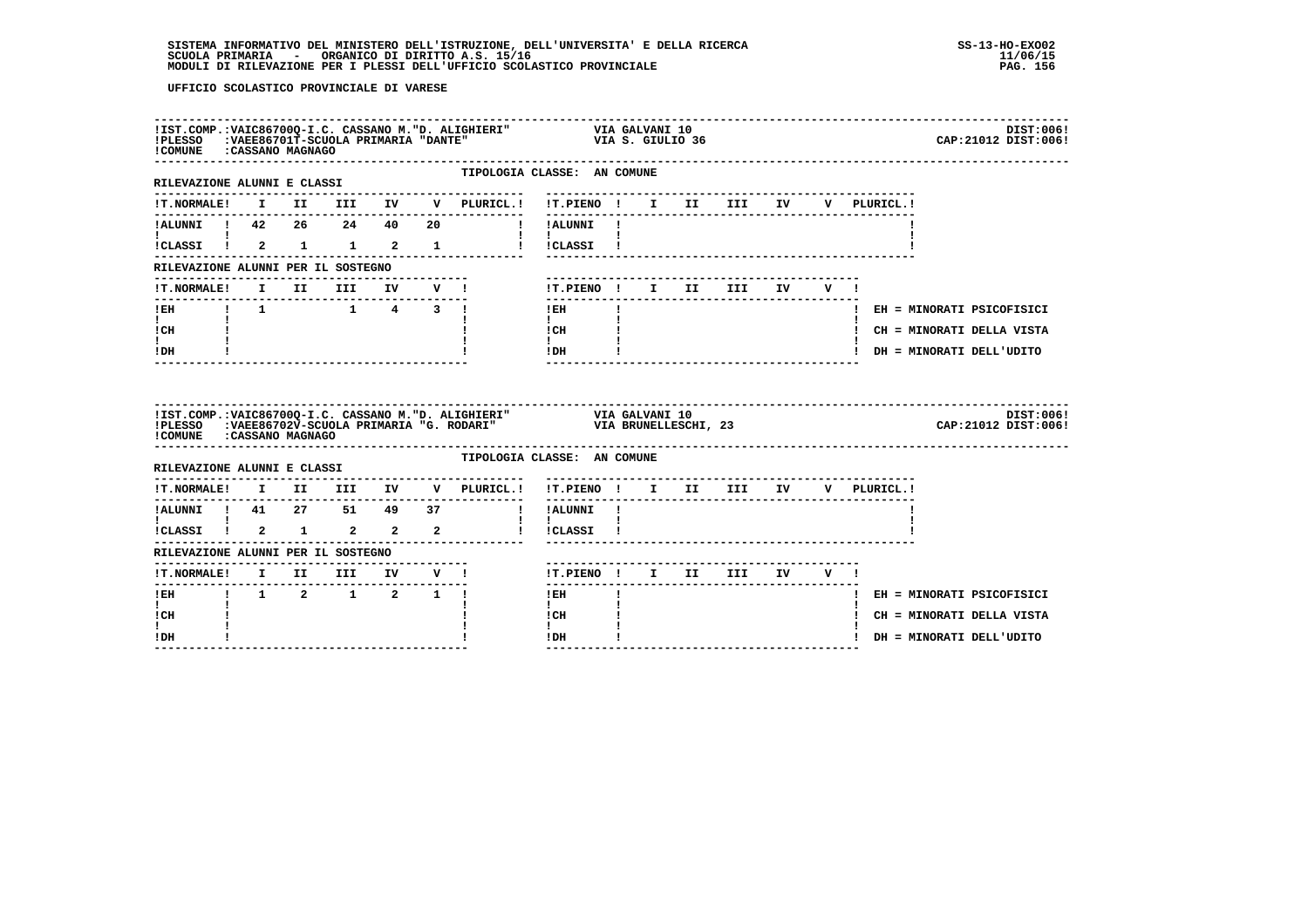|                                                      |  |  |  | !IST.COMP.:VAIC86700Q-I.C. CASSANO M."D. ALIGHIERI" VIA GALVANI 10<br>!PLESSO :VAEE86701T-SCUOLA PRIMARIA "DANTE" VIA S. GIULIO 36<br>!COMUNE :CASSANO MAGNAGO<br>DIST:006!<br>CAP: 21012 DIST: 006!                                                                                                                                                                                     |
|------------------------------------------------------|--|--|--|------------------------------------------------------------------------------------------------------------------------------------------------------------------------------------------------------------------------------------------------------------------------------------------------------------------------------------------------------------------------------------------|
| RILEVAZIONE ALUNNI E CLASSI<br>--------------------- |  |  |  | TIPOLOGIA CLASSE: AN COMUNE                                                                                                                                                                                                                                                                                                                                                              |
|                                                      |  |  |  | !T.NORMALE! I II III IV V PLURICL.! !T.PIENO ! I II III IV V PLURICL.!                                                                                                                                                                                                                                                                                                                   |
|                                                      |  |  |  | !ALUNNI ! 42  26  24  40  20  !!!ALUNNI !                                                                                                                                                                                                                                                                                                                                                |
| $\mathbf{I}$ and $\mathbf{I}$ and $\mathbf{I}$       |  |  |  | $\mathbf{1}$ and $\mathbf{1}$ and $\mathbf{1}$                                                                                                                                                                                                                                                                                                                                           |
| RILEVAZIONE ALUNNI PER IL SOSTEGNO                   |  |  |  |                                                                                                                                                                                                                                                                                                                                                                                          |
|                                                      |  |  |  | --------------------------------                                                                                                                                                                                                                                                                                                                                                         |
|                                                      |  |  |  | ! EH = MINORATI PSICOFISICI<br>$\mathbf{1}$ and $\mathbf{1}$ and $\mathbf{1}$                                                                                                                                                                                                                                                                                                            |
| <b>Experience</b><br>ICH                             |  |  |  | ! CH = MINORATI DELLA VISTA                                                                                                                                                                                                                                                                                                                                                              |
| $\mathbf{I}$ and $\mathbf{I}$<br>! DH                |  |  |  | $\begin{tabular}{ccccc} ! & CH & & & & & & & \\ & & & & & & & \\ 1 & & & & & & & \\ 1 & DH & & & & & & \\ \end{tabular}$<br>! DH = MINORATI DELL'UDITO                                                                                                                                                                                                                                   |
| ! COMUNE : CASSANO MAGNAGO                           |  |  |  | IIST.COMP.:VAIC86700Q-I.C. CASSANO M."D. ALIGHIERI" VIA GALVANI 10<br>IPLESSO :VAEE86702V-SCUOLA PRIMARIA "G. RODARI" VIA BRUNELLESCHI, 23<br>DIST:006!<br>CAP:21012 DIST:006!                                                                                                                                                                                                           |
|                                                      |  |  |  | TIPOLOGIA CLASSE: AN COMUNE                                                                                                                                                                                                                                                                                                                                                              |
|                                                      |  |  |  | !T.NORMALE! I II III IV V PLURICL.! !T.PIENO ! I II III IV V PLURICL.!                                                                                                                                                                                                                                                                                                                   |
|                                                      |  |  |  |                                                                                                                                                                                                                                                                                                                                                                                          |
| $\mathbf{I}$ and $\mathbf{I}$ and $\mathbf{I}$       |  |  |  | $\mathbf{I}$ and $\mathbf{I}$ and $\mathbf{I}$<br>iCLASSI I 2 1 2 2 2 1 I ICLASSI I                                                                                                                                                                                                                                                                                                      |
| RILEVAZIONE ALUNNI PER IL SOSTEGNO                   |  |  |  |                                                                                                                                                                                                                                                                                                                                                                                          |
|                                                      |  |  |  |                                                                                                                                                                                                                                                                                                                                                                                          |
|                                                      |  |  |  | $1$ EH $\qquad$ $1$<br>! EH = MINORATI PSICOFISICI                                                                                                                                                                                                                                                                                                                                       |
| $\mathbf{I}$<br>! CH                                 |  |  |  | $\mathbf{I}$<br>! CH<br>! CH = MINORATI DELLA VISTA                                                                                                                                                                                                                                                                                                                                      |
| I.<br>!DH                                            |  |  |  | $\mathbf{I}$<br>$!$ DH $\qquad$ $\qquad$ $\qquad$ $\qquad$ $\qquad$ $\qquad$ $\qquad$ $\qquad$ $\qquad$ $\qquad$ $\qquad$ $\qquad$ $\qquad$ $\qquad$ $\qquad$ $\qquad$ $\qquad$ $\qquad$ $\qquad$ $\qquad$ $\qquad$ $\qquad$ $\qquad$ $\qquad$ $\qquad$ $\qquad$ $\qquad$ $\qquad$ $\qquad$ $\qquad$ $\qquad$ $\qquad$ $\qquad$ $\qquad$ $\qquad$ $\qquad$<br>! DH = MINORATI DELL'UDITO |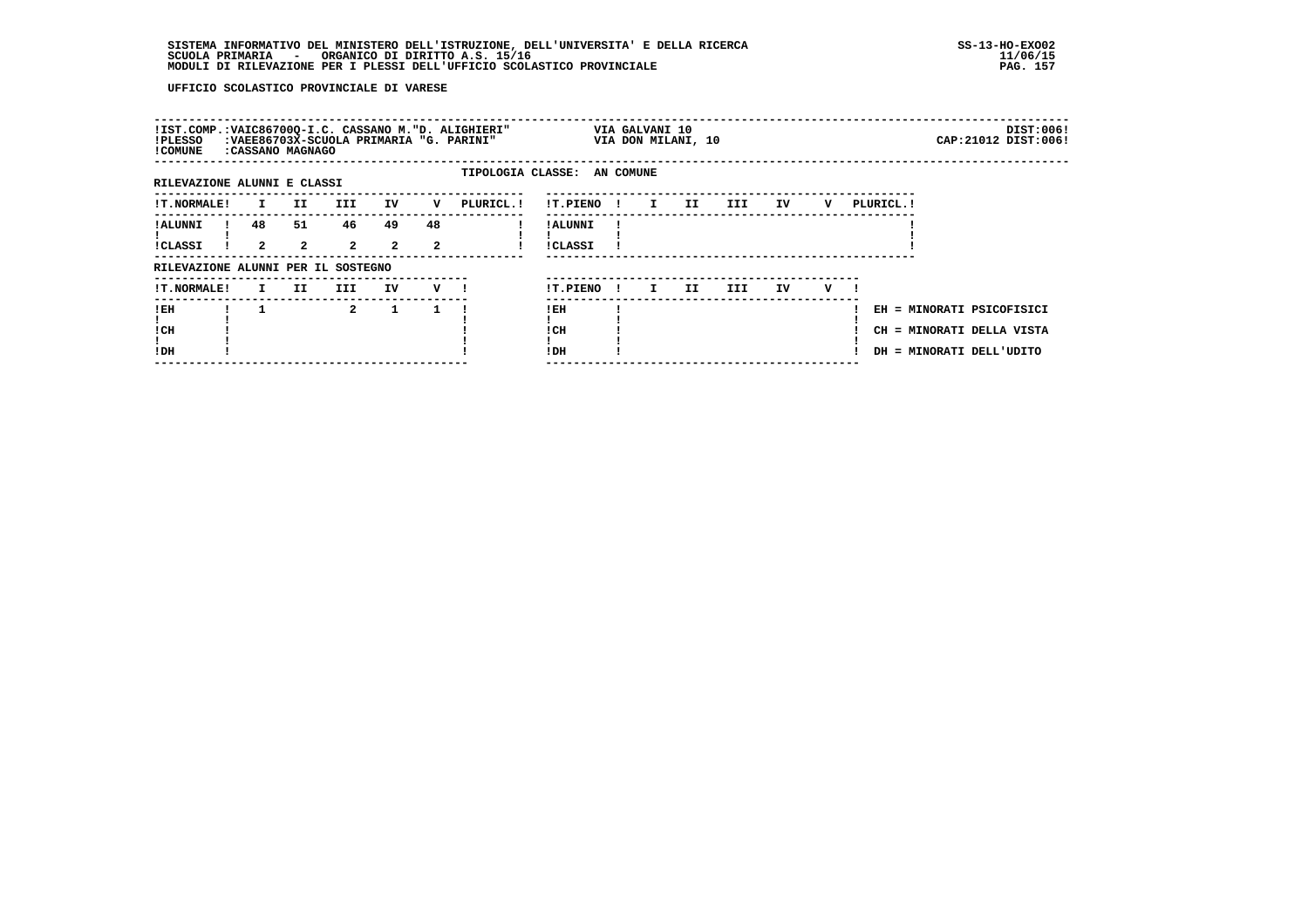| !IST.COMP.:VAIC86700Q-I.C. CASSANO M."D. ALIGHIERI"<br>!PLESSO<br>! COMUNE | :CASSANO MAGNAGO  |                      | :VAEE86703X-SCUOLA PRIMARIA "G. PARINI" |                      |                        |                             |                                  |  | VIA GALVANI 10<br>VIA DON MILANI, 10 |      |     |    |   |            |                                                                                    | DIST:006!<br>CAP: 21012 DIST: 006! |
|----------------------------------------------------------------------------|-------------------|----------------------|-----------------------------------------|----------------------|------------------------|-----------------------------|----------------------------------|--|--------------------------------------|------|-----|----|---|------------|------------------------------------------------------------------------------------|------------------------------------|
| RILEVAZIONE ALUNNI E CLASSI                                                |                   |                      |                                         |                      |                        | TIPOLOGIA CLASSE: AN COMUNE |                                  |  |                                      |      |     |    |   |            |                                                                                    |                                    |
| !T.NORMALE!                                                                | $\mathbf{I}$      | II D                 | III                                     | IV                   | v                      | PLURICL.!                   | !T.PIENO !                       |  | I II                                 | III. |     | IV | v | PLURICL. ! |                                                                                    |                                    |
| <b>! ALUNNI</b><br>!CLASSI                                                 | 48<br>$2^{\circ}$ | 51<br>$\overline{2}$ | 46<br>$\overline{a}$                    | 49<br>$\overline{a}$ | 48<br>$\boldsymbol{2}$ |                             | <b>!ALUNNI</b><br><b>!CLASSI</b> |  |                                      |      |     |    |   |            |                                                                                    |                                    |
| RILEVAZIONE ALUNNI PER IL SOSTEGNO                                         |                   |                      |                                         |                      |                        |                             |                                  |  |                                      |      |     |    |   |            |                                                                                    |                                    |
| !T.NORMALE!                                                                |                   | I II                 | III                                     | IV                   | $\mathbf{v}$ 1         |                             | !T.PIENO!                        |  | II.<br>$\mathbf{I}$                  |      | III | IV | v |            |                                                                                    |                                    |
| ! EH<br>! CH<br>!DH                                                        |                   |                      | $\overline{2}$                          | $\mathbf{1}$         |                        |                             | $!$ EH<br>! CH<br>!DH            |  |                                      |      |     |    |   |            | EH = MINORATI PSICOFISICI<br>CH = MINORATI DELLA VISTA<br>DH = MINORATI DELL'UDITO |                                    |
|                                                                            |                   |                      |                                         |                      |                        |                             |                                  |  |                                      |      |     |    |   |            |                                                                                    |                                    |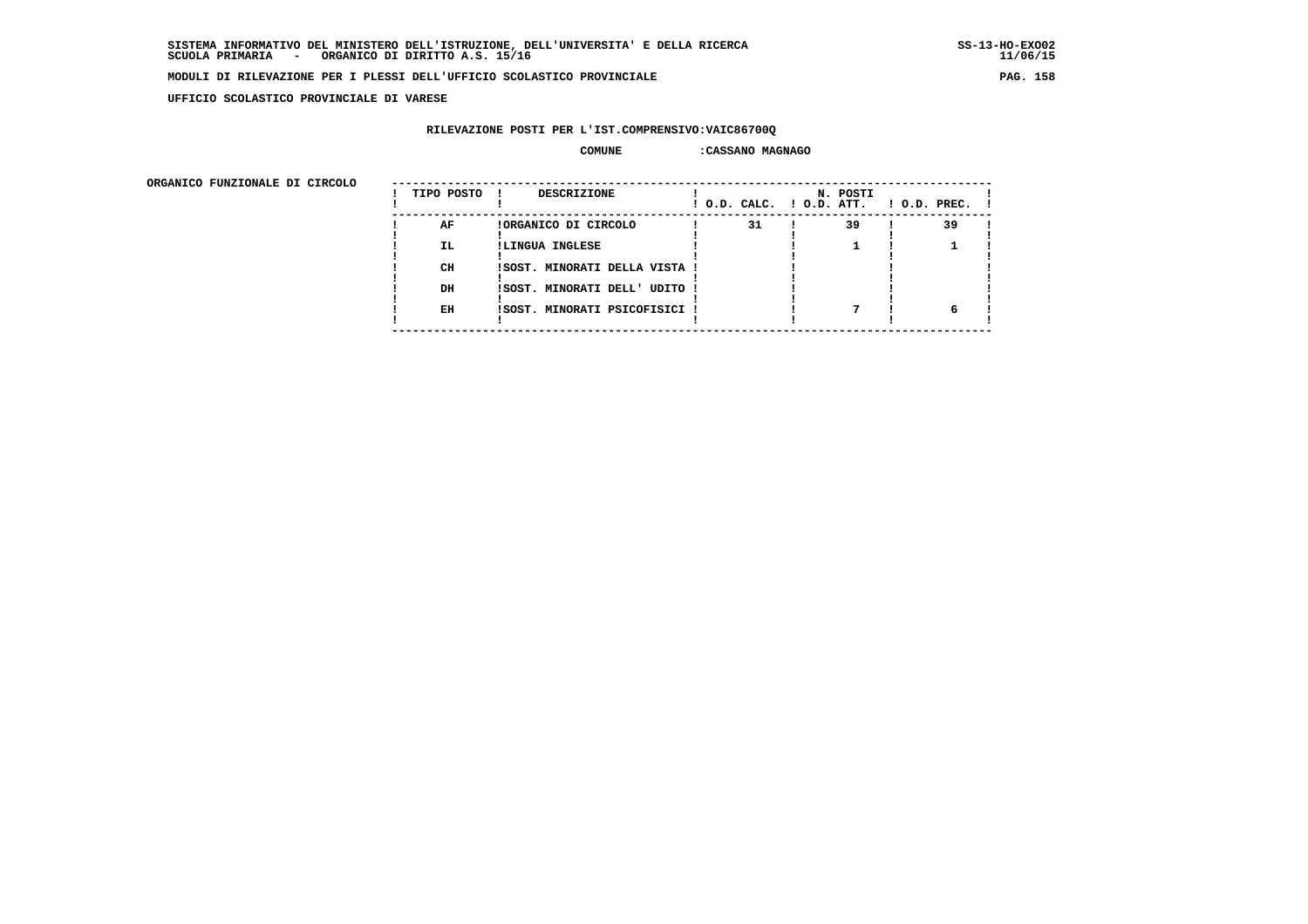**UFFICIO SCOLASTICO PROVINCIALE DI VARESE**

### **RILEVAZIONE POSTI PER L'IST.COMPRENSIVO:VAIC86700Q**

#### **COMUNE :CASSANO MAGNAGO**

 **ORGANICO FUNZIONALE DI CIRCOLO --------------------------------------------------------------------------------------**

| onghnico rongionale pi cincolo | TIPO POSTO | <b>DESCRIZIONE</b>            | ! O.D. CALC. ! O.D. ATT. | N. POSTI | $1$ O.D. PREC. $1$ |  |
|--------------------------------|------------|-------------------------------|--------------------------|----------|--------------------|--|
|                                | AF         | !ORGANICO DI CIRCOLO          | 31                       | 39       | 39                 |  |
|                                | IL.        | !LINGUA INGLESE               |                          |          |                    |  |
|                                | CH         | !SOST. MINORATI DELLA VISTA ! |                          |          |                    |  |
|                                | DH         | !SOST. MINORATI DELL' UDITO ! |                          |          |                    |  |
|                                | EH         | !SOST. MINORATI PSICOFISICI ! |                          |          |                    |  |
|                                |            |                               |                          |          |                    |  |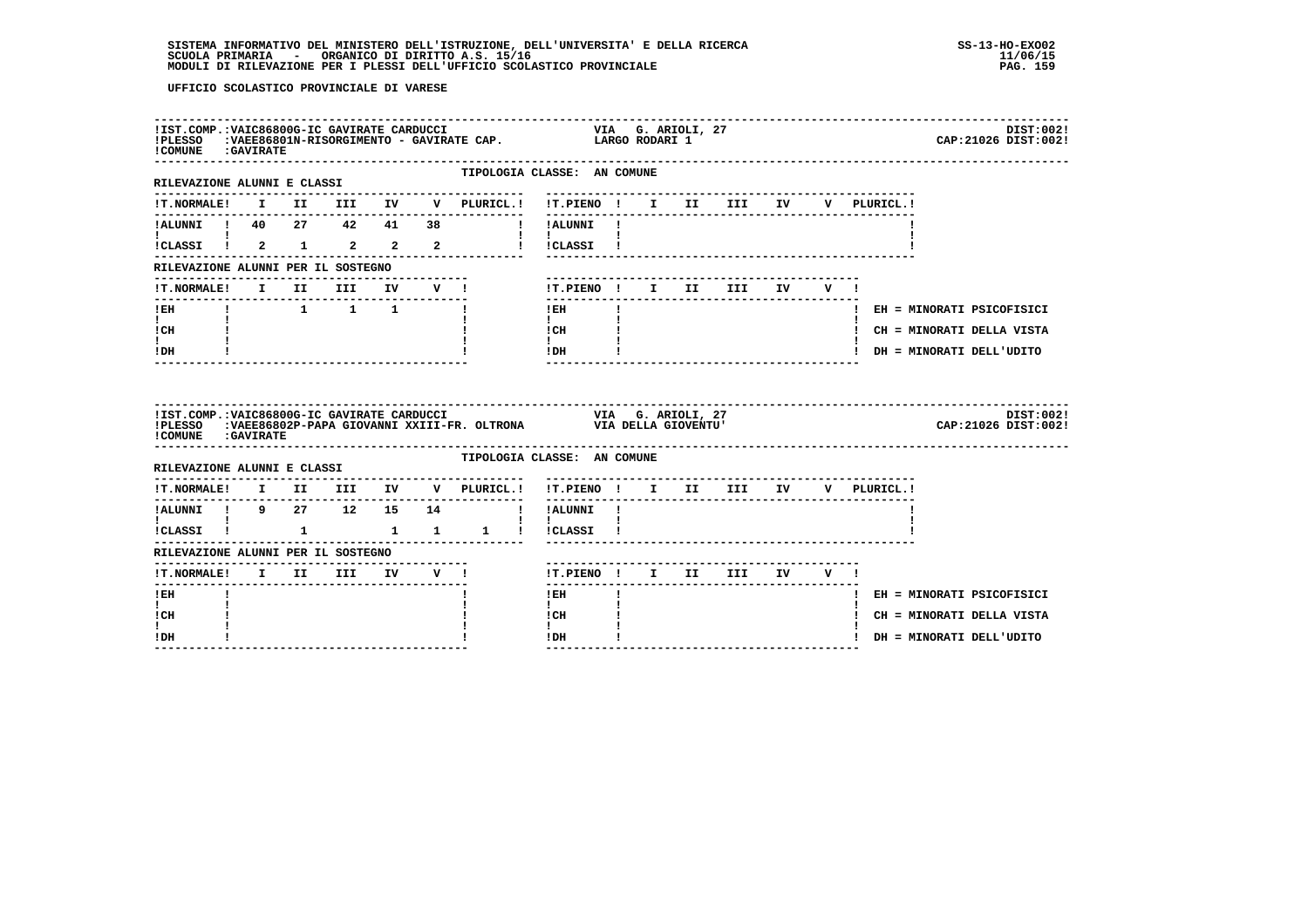| ! COMUNE : GAVIRATE                                     |                                                                 |                                 |                      |        |                                                | IIST.COMP.:VAIC86800G-IC GAVIRATE CARDUCCI                           VIA   G. ARIOLI, 27    IPLESSO   :VAEE86801N-RISORGIMENTO - GAVIRATE CAP.           LARGO RODARI 1 |  |                               |     |             |                            | DIST:002!<br>CAP: 21026 DIST: 002! |
|---------------------------------------------------------|-----------------------------------------------------------------|---------------------------------|----------------------|--------|------------------------------------------------|-------------------------------------------------------------------------------------------------------------------------------------------------------------------------|--|-------------------------------|-----|-------------|----------------------------|------------------------------------|
| ------------------------<br>RILEVAZIONE ALUNNI E CLASSI |                                                                 |                                 |                      |        |                                                | TIPOLOGIA CLASSE: AN COMUNE                                                                                                                                             |  |                               |     |             |                            |                                    |
| <b>!T.NORMALE!</b>                                      |                                                                 |                                 |                      |        | I II III IV V PLURICL.! !T.PIENO ! I II III IV | ---------                                                                                                                                                               |  |                               |     | V PLURICL.! |                            |                                    |
| !ALUNNI ! 40  27  42  41  38                            |                                                                 |                                 |                      |        |                                                | I ! ALUNNI !                                                                                                                                                            |  |                               |     |             |                            |                                    |
| iCLASSI ! 2 1 2 2 2                                     |                                                                 |                                 |                      |        |                                                | $\mathbf{I}$ $\mathbf{I}$<br>!!CLASSI!                                                                                                                                  |  |                               |     |             |                            |                                    |
| RILEVAZIONE ALUNNI PER IL SOSTEGNO                      |                                                                 |                                 |                      |        |                                                |                                                                                                                                                                         |  |                               |     |             |                            |                                    |
| <b>!T.NORMALE!</b>                                      |                                                                 | I II III                        |                      | IV V ! |                                                | !T.PIENO ! I II III IV                                                                                                                                                  |  |                               | V I |             |                            |                                    |
| ! EH                                                    | $\begin{array}{cccccccccccccc} 1 & 1 & 1 & 1 & 1 & \end{array}$ |                                 | -------------------- |        |                                                | $!$ EH                                                                                                                                                                  |  |                               |     |             |                            | ! EH = MINORATI PSICOFISICI        |
| $\mathbf{I}$<br>! CH                                    |                                                                 |                                 |                      |        |                                                | $\mathbf{I}$<br>! CH                                                                                                                                                    |  |                               |     |             |                            | ! CH = MINORATI DELLA VISTA        |
|                                                         |                                                                 |                                 |                      |        |                                                | $\mathbf{I}$                                                                                                                                                            |  |                               |     |             |                            |                                    |
| $\mathbf{I}$<br>! DH                                    |                                                                 |                                 |                      |        |                                                | ! DH                                                                                                                                                                    |  |                               |     |             | ! DH = MINORATI DELL'UDITO |                                    |
| COMUNE : GAVIRATE                                       |                                                                 |                                 |                      |        |                                                |                                                                                                                                                                         |  |                               |     |             |                            | DIST:002!<br>CAP: 21026 DIST: 002! |
| RILEVAZIONE ALUNNI E CLASSI                             |                                                                 |                                 |                      |        |                                                | TIPOLOGIA CLASSE: AN COMUNE                                                                                                                                             |  |                               |     |             |                            |                                    |
| <b>!T.NORMALE!</b>                                      | --------------------------------                                |                                 |                      |        | I II III IV V PLURICL.!                        | !T.PIENO ! I II III IV                                                                                                                                                  |  |                               |     | V PLURICL.! |                            |                                    |
| !ALUNNI ! 9 27 12 15 14                                 |                                                                 |                                 |                      |        |                                                | -------<br>! !ALUNNI !                                                                                                                                                  |  | ----------------------------- |     |             |                            |                                    |
| $\mathbf{I}$ and $\mathbf{I}$ and $\mathbf{I}$          |                                                                 |                                 |                      |        | !CLASSI ! 1 1 1 1 ! !CLASSI !                  | $\mathbf{1}$ $\mathbf{1}$                                                                                                                                               |  |                               |     |             |                            |                                    |
| RILEVAZIONE ALUNNI PER IL SOSTEGNO                      |                                                                 |                                 |                      |        |                                                |                                                                                                                                                                         |  |                               |     |             |                            |                                    |
| !T.NORMALE! I II III IV V !                             |                                                                 | ------------------------------- |                      |        |                                                | !T.PIENO! I II III IV V!                                                                                                                                                |  |                               |     |             |                            |                                    |
| ! EH                                                    |                                                                 |                                 |                      |        |                                                | -------<br>$1$ EH                                                                                                                                                       |  | ----------------------        |     |             |                            | ! EH = MINORATI PSICOFISICI        |
| $\mathbf{I}$<br>! CH                                    |                                                                 |                                 |                      |        |                                                | $\mathbf{I}$<br>! CH                                                                                                                                                    |  |                               |     |             |                            | ! CH = MINORATI DELLA VISTA        |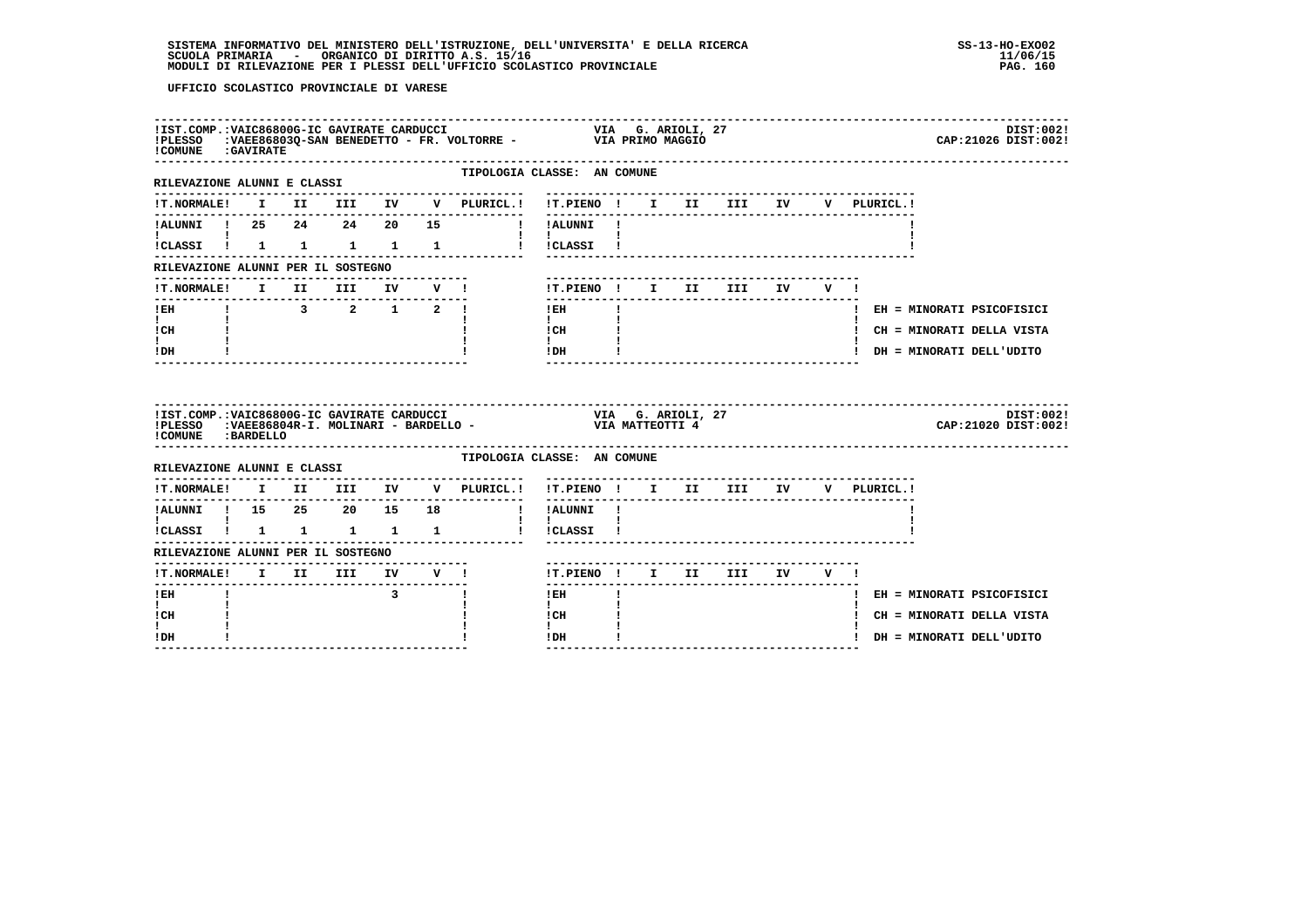| ! COMUNE : GAVIRATE                                    |  |  |                                                 |                                                                     | !IST.COMP.:VAIC86800G-IC GAVIRATE CARDUCCI                               VIA   G. ARIOLI, 27<br>!PLESSO   :VAEE86803Q-SAN BENEDETTO - FR. VOLTORRE -             VIA PRIMO MAGGIO<br>DIST:002!<br>CAP: 21026 DIST: 002!    |  |
|--------------------------------------------------------|--|--|-------------------------------------------------|---------------------------------------------------------------------|----------------------------------------------------------------------------------------------------------------------------------------------------------------------------------------------------------------------------|--|
| RILEVAZIONE ALUNNI E CLASSI                            |  |  |                                                 |                                                                     | TIPOLOGIA CLASSE: AN COMUNE                                                                                                                                                                                                |  |
|                                                        |  |  |                                                 |                                                                     |                                                                                                                                                                                                                            |  |
|                                                        |  |  |                                                 |                                                                     | !ALUNNI ! 25  24  24  20  15  !!ALUNNI !                                                                                                                                                                                   |  |
| <b>I</b> and the state of the state of                 |  |  |                                                 |                                                                     | $1 - 1$<br>!CLASSI ! 1 1 1 1 1 1 ! !CLASSI !                                                                                                                                                                               |  |
| RILEVAZIONE ALUNNI PER IL SOSTEGNO                     |  |  |                                                 |                                                                     |                                                                                                                                                                                                                            |  |
| !T.NORMALE! I II III IV V !                            |  |  |                                                 |                                                                     | !T.PIENO! I II III IV V!                                                                                                                                                                                                   |  |
| $I$ EH                                                 |  |  |                                                 | $\begin{array}{cccccccccccccc} 1 & 3 & 2 & 1 & 2 & 1 & \end{array}$ | $1$ EH<br>$\mathbf{I}$<br>! EH = MINORATI PSICOFISICI                                                                                                                                                                      |  |
| $\mathbf{I}$ and $\mathbf{I}$<br>! CH                  |  |  |                                                 |                                                                     | $\mathbf{1}$<br>$\frac{1}{1}$ $\frac{1}{1}$ $\frac{1}{1}$<br>! CH = MINORATI DELLA VISTA                                                                                                                                   |  |
| $\mathbf{I}$<br>! DH                                   |  |  |                                                 |                                                                     | $!$ DH $\qquad$ $\qquad$ $!$<br>! DH = MINORATI DELL'UDITO                                                                                                                                                                 |  |
|                                                        |  |  |                                                 |                                                                     |                                                                                                                                                                                                                            |  |
| ! COMUNE : BARDELLO                                    |  |  |                                                 |                                                                     | IIST.COMP.:VAIC86800G-IC GAVIRATE CARDUCCI                                 VIA   G. ARIOLI, 27<br>IPLESSO   :VAEE86804R-I. MOLINARI - BARDELLO -                     VIA MATTEOTTI 4<br>DIST:002!<br>CAP: 21020 DIST: 002! |  |
| RILEVAZIONE ALUNNI E CLASSI                            |  |  |                                                 |                                                                     | TIPOLOGIA CLASSE: AN COMUNE                                                                                                                                                                                                |  |
|                                                        |  |  |                                                 | !T.NORMALE! I II III IV V PLURICL.!                                 | !T.PIENO! I II III IV V PLURICL.!                                                                                                                                                                                          |  |
|                                                        |  |  |                                                 | . _ _ _ _ _ _ _ _ _ _ _ _ _                                         |                                                                                                                                                                                                                            |  |
| $\mathbf{I}$ and $\mathbf{I}$<br>!CLASSI ! 1 1 1 1 1 1 |  |  |                                                 |                                                                     | !ALUNNI ! 15 25 20 15 18 ! !ALUNNI !<br>$\mathbf{I}$ $\mathbf{I}$<br>! !CLASSI !                                                                                                                                           |  |
| RILEVAZIONE ALUNNI PER IL SOSTEGNO                     |  |  |                                                 |                                                                     |                                                                                                                                                                                                                            |  |
| !T.NORMALE! I II III IV V !                            |  |  |                                                 |                                                                     | !T.PIENO ! I II III IV V !                                                                                                                                                                                                 |  |
| -------<br>$!$ EH                                      |  |  | $\overline{\mathbf{3}}$ $\overline{\mathbf{1}}$ |                                                                     | -------<br>$1$ EH $\sim$<br>$\mathbf{I}$<br>! EH = MINORATI PSICOFISICI                                                                                                                                                    |  |
| $\mathbf{I}$<br>! CH                                   |  |  |                                                 |                                                                     | $\mathbf{I}$<br>! CH<br>! CH = MINORATI DELLA VISTA<br>$\mathbf{I}$                                                                                                                                                        |  |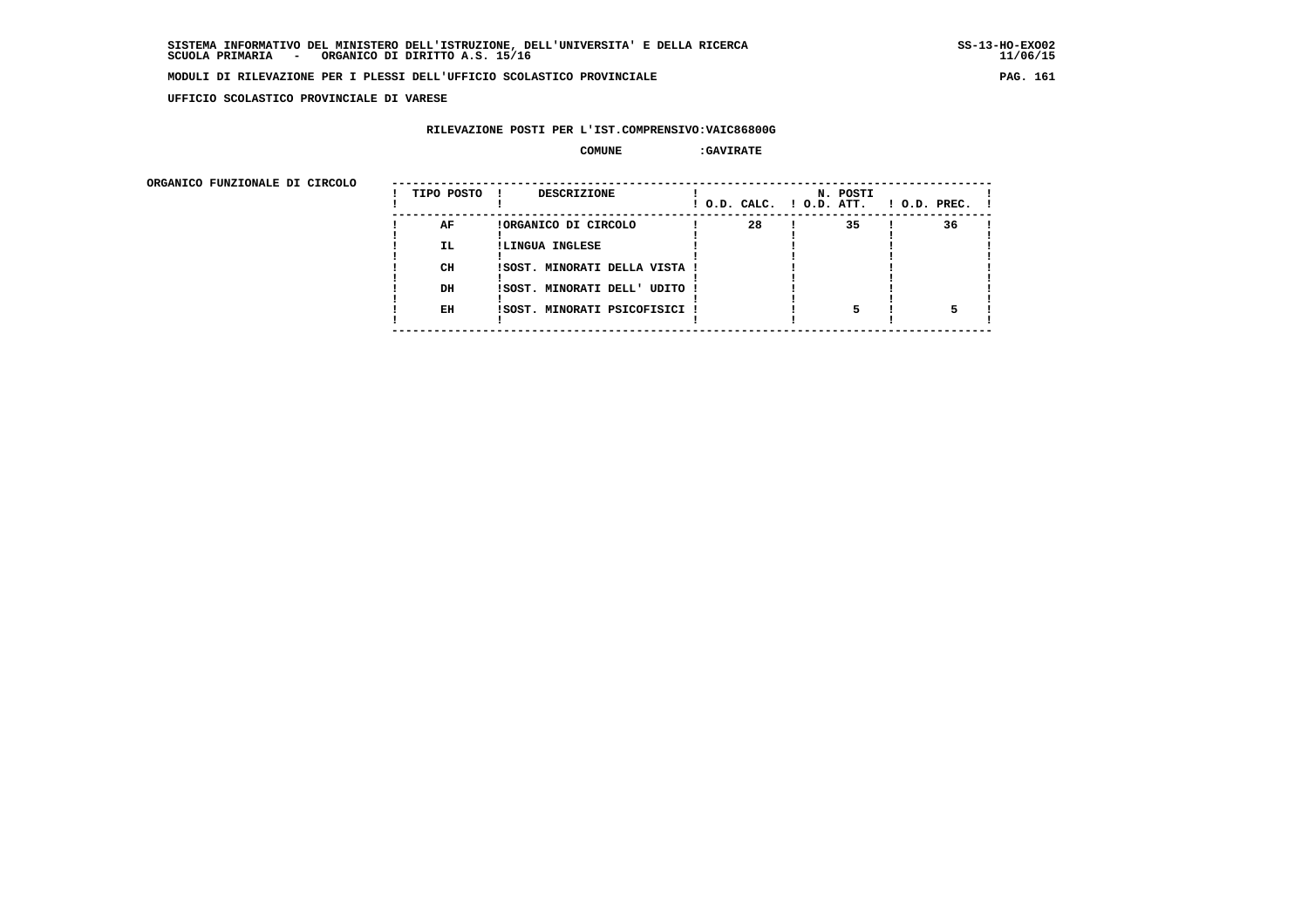**UFFICIO SCOLASTICO PROVINCIALE DI VARESE**

### **RILEVAZIONE POSTI PER L'IST.COMPRENSIVO:VAIC86800G**

#### **COMUNE :GAVIRATE**

| ORGANICO FUNZIONALE DI CIRCOLO |            |                               |    |                                      |                    |
|--------------------------------|------------|-------------------------------|----|--------------------------------------|--------------------|
|                                | TIPO POSTO | DESCRIZIONE                   |    | N. POSTI<br>! O.D. CALC. ! O.D. ATT. | $1$ O.D. PREC. $1$ |
|                                | AF         | !ORGANICO DI CIRCOLO          | 28 | 35                                   | 36                 |
|                                | IL.        | !LINGUA INGLESE               |    |                                      |                    |
|                                | CH         | ISOST. MINORATI DELLA VISTA ! |    |                                      |                    |
|                                |            |                               |    |                                      |                    |
|                                | DH         | !SOST. MINORATI DELL' UDITO ! |    |                                      |                    |
|                                | EH         | !SOST. MINORATI PSICOFISICI ! |    |                                      |                    |
|                                |            |                               |    |                                      |                    |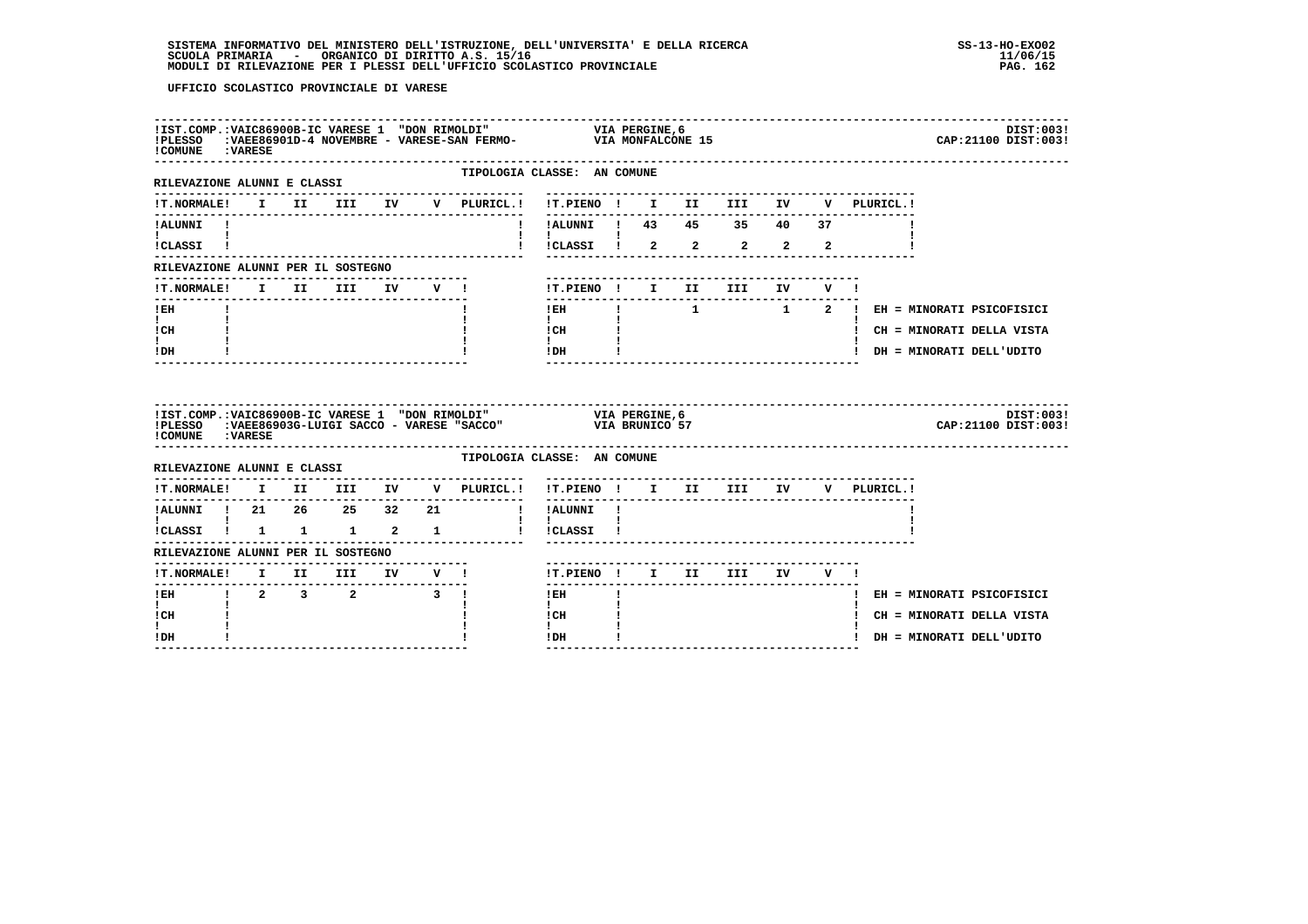| ! COMUNE : VARESE                                                                                                                                     |  |                                                                    |  |                                                                        |                                                                       |  |                            |                |                                      | DIST:003!<br>CAP: 21100 DIST: 003! |
|-------------------------------------------------------------------------------------------------------------------------------------------------------|--|--------------------------------------------------------------------|--|------------------------------------------------------------------------|-----------------------------------------------------------------------|--|----------------------------|----------------|--------------------------------------|------------------------------------|
| RILEVAZIONE ALUNNI E CLASSI                                                                                                                           |  |                                                                    |  | TIPOLOGIA CLASSE: AN COMUNE                                            | ----------------                                                      |  |                            |                |                                      |                                    |
| <b>!T.NORMALE!</b>                                                                                                                                    |  |                                                                    |  | I II III IV V PLURICL.! !T.PIENO ! I II III IV                         |                                                                       |  |                            |                | V PLURICL.!                          |                                    |
| !ALUNNI !<br>$\mathbf{I}$ and $\mathbf{I}$ and $\mathbf{I}$                                                                                           |  |                                                                    |  |                                                                        | ! !ALUNNI ! 43  45  35  40  37                                        |  |                            |                |                                      |                                    |
| !CLASSI !                                                                                                                                             |  |                                                                    |  |                                                                        | $\frac{1}{2}$ $\frac{1}{2}$ $\frac{1}{2}$ $\frac{2}{2}$ $\frac{2}{2}$ |  |                            | $\overline{a}$ |                                      |                                    |
| RILEVAZIONE ALUNNI PER IL SOSTEGNO                                                                                                                    |  |                                                                    |  |                                                                        |                                                                       |  |                            |                |                                      |                                    |
| !T.NORMALE! I II III IV V !<br>---------------                                                                                                        |  |                                                                    |  |                                                                        | !T.PIENO! I II III IV V!                                              |  | -------------------------- |                |                                      |                                    |
| $I$ EH<br>$\mathbf{I}$ and $\mathbf{I}$                                                                                                               |  |                                                                    |  |                                                                        | $\mathbf{I}$                                                          |  |                            |                |                                      |                                    |
| ! CH                                                                                                                                                  |  |                                                                    |  |                                                                        | $\frac{1}{1}$ $\frac{1}{1}$ $\frac{1}{1}$                             |  |                            |                |                                      | ! CH = MINORATI DELLA VISTA        |
| $\mathbf{I}$<br>! DH                                                                                                                                  |  |                                                                    |  |                                                                        | $!$ $\Box$ $\Box$ $!$                                                 |  |                            |                | ! DH = MINORATI DELL'UDITO           |                                    |
| IIST.COMP.:VAIC86900B-IC VARESE 1 "DON RIMOLDI" VIA PERGINE,6<br>IPLESSO :VAEE86903G-LUIGI SACCO - VARESE "SACCO" VIA BRUNICO 57<br>! COMUNE : VARESE |  |                                                                    |  |                                                                        |                                                                       |  |                            |                |                                      |                                    |
|                                                                                                                                                       |  |                                                                    |  |                                                                        |                                                                       |  |                            |                |                                      | DIST:003!<br>CAP: 21100 DIST: 003! |
| RILEVAZIONE ALUNNI E CLASSI                                                                                                                           |  |                                                                    |  | TIPOLOGIA CLASSE: AN COMUNE                                            |                                                                       |  |                            |                |                                      |                                    |
|                                                                                                                                                       |  |                                                                    |  | !T.NORMALE! I II III IV V PLURICL.! !T.PIENO ! I II III IV V PLURICL.! |                                                                       |  |                            |                |                                      |                                    |
|                                                                                                                                                       |  |                                                                    |  |                                                                        |                                                                       |  |                            |                | ------------------------------------ |                                    |
| :<br>!CLASSI ! 1 1 1 2 1                                                                                                                              |  |                                                                    |  |                                                                        | ! !CLASSI !                                                           |  |                            |                |                                      |                                    |
| RILEVAZIONE ALUNNI PER IL SOSTEGNO                                                                                                                    |  |                                                                    |  |                                                                        |                                                                       |  |                            |                |                                      |                                    |
|                                                                                                                                                       |  |                                                                    |  |                                                                        | !T.PIENO ! I II III IV V !                                            |  |                            |                |                                      |                                    |
| $I$ EH                                                                                                                                                |  | $\begin{array}{ccccccccccccc}\n1 & 2 & 3 & 2 & 3 & 1\n\end{array}$ |  |                                                                        | $!$ EH                                                                |  |                            |                |                                      | ! EH = MINORATI PSICOFISICI        |
| $\mathbf{I}$<br>! CH<br>L                                                                                                                             |  |                                                                    |  |                                                                        | $\mathbf{I}$<br>! CH<br>$\mathbf{I}$                                  |  |                            |                |                                      | ! CH = MINORATI DELLA VISTA        |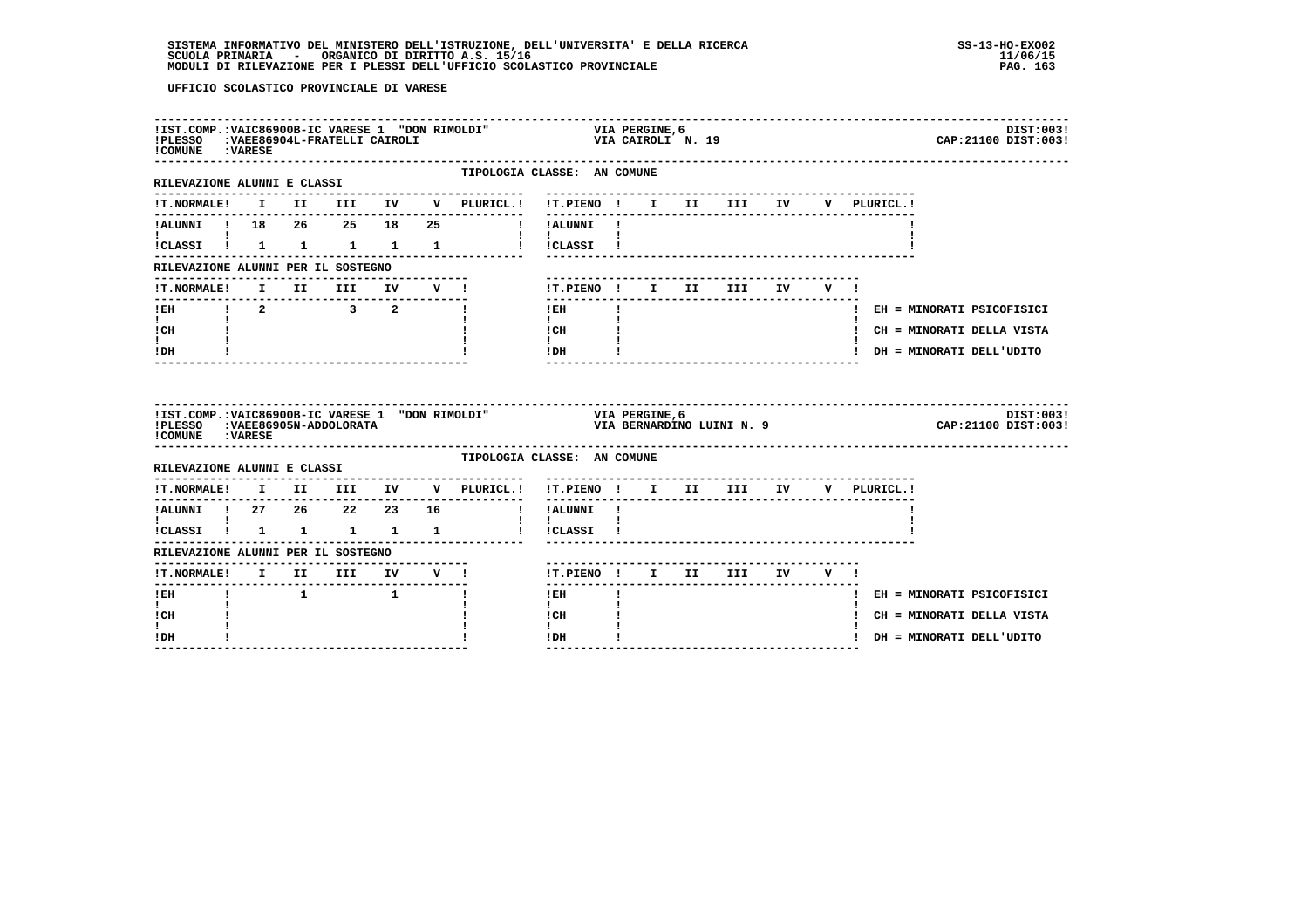| !IST.COMP.: VAIC86900B-IC VARESE 1 "DON RIMOLDI"<br>!PLESSO : VAEE86904L-FRATELLI CAIROLI<br>! COMUNE : VARESE |  |                                                                           |  |                                                                                   | VIA PERGINE,6<br>VIA CAIROLI  N. 19                           |              |                |                           |     |             | DIST:003!<br>CAP: 21100 DIST: 003! |
|----------------------------------------------------------------------------------------------------------------|--|---------------------------------------------------------------------------|--|-----------------------------------------------------------------------------------|---------------------------------------------------------------|--------------|----------------|---------------------------|-----|-------------|------------------------------------|
| RILEVAZIONE ALUNNI E CLASSI                                                                                    |  |                                                                           |  | TIPOLOGIA CLASSE: AN COMUNE                                                       |                                                               |              |                |                           |     |             |                                    |
|                                                                                                                |  |                                                                           |  |                                                                                   |                                                               |              |                |                           |     | V PLURICL.! |                                    |
| !ALUNNI ! 18  26  25  18  25<br>$\mathbf{I}$ and $\mathbf{I}$ and $\mathbf{I}$                                 |  |                                                                           |  | I !ALUNNI !                                                                       |                                                               |              |                |                           |     |             |                                    |
| !CLASSI ! 1 1 1 1 1                                                                                            |  |                                                                           |  |                                                                                   | $\mathbf{I}$ and $\mathbf{I}$ and $\mathbf{I}$<br>! !CLASSI ! |              |                |                           |     |             |                                    |
| RILEVAZIONE ALUNNI PER IL SOSTEGNO                                                                             |  |                                                                           |  |                                                                                   |                                                               |              |                |                           |     |             |                                    |
| <b>!T.NORMALE!</b>                                                                                             |  | I II III IV V!                                                            |  |                                                                                   | !T.PIENO ! I II III IV                                        |              |                |                           | V I |             |                                    |
|                                                                                                                |  |                                                                           |  |                                                                                   | $!$ EH                                                        |              |                |                           |     |             | ! EH = MINORATI PSICOFISICI        |
| $\mathbf{I}$ and $\mathbf{I}$<br>! CH                                                                          |  |                                                                           |  |                                                                                   | $\mathbf{I}$<br>$\frac{1}{1}$ $\frac{1}{1}$ $\frac{1}{1}$     |              |                |                           |     |             | ! CH = MINORATI DELLA VISTA        |
| ! DH                                                                                                           |  |                                                                           |  |                                                                                   | IDH                                                           |              |                |                           |     |             | ! DH = MINORATI DELL'UDITO         |
|                                                                                                                |  |                                                                           |  |                                                                                   |                                                               |              |                |                           |     |             |                                    |
| !PLESSO :VAEE86905N-ADDOLORATA<br>! COMUNE : VARESE                                                            |  |                                                                           |  | !IST.COMP.:VAIC86900B-IC VARESE 1 "DON RIMOLDI"<br>!PLESSO :VAEE86905N-ADDOLORATA |                                                               |              | VIA PERGINE, 6 | VIA BERNARDINO LUINI N. 9 |     |             | DIST:003!<br>CAP: 21100 DIST: 003! |
| RILEVAZIONE ALUNNI E CLASSI                                                                                    |  |                                                                           |  | TIPOLOGIA CLASSE: AN COMUNE                                                       |                                                               |              |                |                           |     |             |                                    |
| !T.NORMALE!                                                                                                    |  |                                                                           |  | I II III IV V PLURICL.!                                                           | !T.PIENO ! I II III IV V PLURICL.!                            |              |                |                           |     |             |                                    |
| !ALUNNI ! 27 26 22 23 16                                                                                       |  |                                                                           |  |                                                                                   | ! !ALUNNI !                                                   |              |                |                           |     |             |                                    |
| $\mathbf{I}$ and $\mathbf{I}$ and $\mathbf{I}$                                                                 |  |                                                                           |  | !CLASSI ! 1 1 1 1 1 1 ! !CLASSI !                                                 | $\mathbf{I}$ $\mathbf{I}$                                     |              |                |                           |     |             |                                    |
|                                                                                                                |  |                                                                           |  |                                                                                   |                                                               |              |                |                           |     |             |                                    |
| RILEVAZIONE ALUNNI PER IL SOSTEGNO<br>!T.NORMALE! I II III IV V !                                              |  | ------------------------------                                            |  |                                                                                   | !T.PIENO! I II III IV V!                                      |              |                |                           |     |             |                                    |
| ----------------------<br>! EH                                                                                 |  | $\begin{array}{cccccccccccccc} 1 & & & 1 & & & & 1 & & & & 1 \end{array}$ |  |                                                                                   | $!$ EH                                                        | $\mathbf{I}$ |                |                           |     |             | ! EH = MINORATI PSICOFISICI        |
| $\mathbf{I}$<br>! CH                                                                                           |  |                                                                           |  |                                                                                   | $\mathbf{I}$<br>! CH<br>$\mathbf{I}$                          |              |                |                           |     |             | ! CH = MINORATI DELLA VISTA        |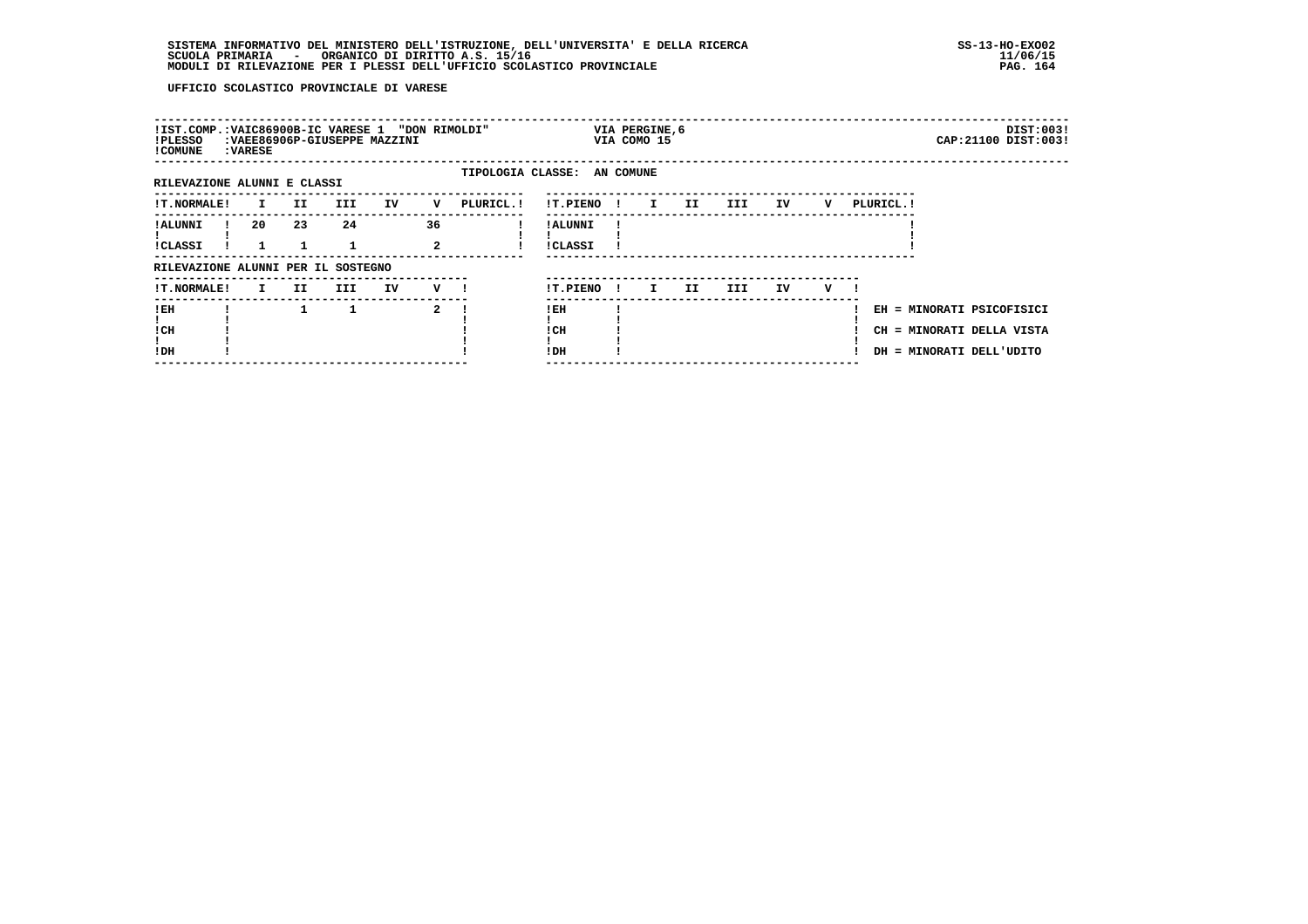# **SISTEMA INFORMATIVO DEL MINISTERO DELL'ISTRUZIONE, DELL'UNIVERSITA' E DELLA RICERCA SS-13-HO-EXO02 SCUOLA PRIMARIA - ORGANICO DI DIRITTO A.S. 15/16 11/06/15 MODULI DI RILEVAZIONE PER I PLESSI DELL'UFFICIO SCOLASTICO PROVINCIALE PAG. 164**

| !IST.COMP.:VAIC86900B-IC VARESE 1 "DON RIMOLDI"<br>!PLESSO<br>! COMUNE | : VARESE     |     | :VAEE86906P-GIUSEPPE MAZZINI |    |                    |                             |                            |              | VIA PERGINE, 6<br>VIA COMO 15 |     |      |    |   |                                                                                    |  | DIST:003!<br>CAP: 21100 DIST: 003! |
|------------------------------------------------------------------------|--------------|-----|------------------------------|----|--------------------|-----------------------------|----------------------------|--------------|-------------------------------|-----|------|----|---|------------------------------------------------------------------------------------|--|------------------------------------|
| RILEVAZIONE ALUNNI E CLASSI                                            |              |     |                              |    |                    | TIPOLOGIA CLASSE: AN COMUNE |                            |              |                               |     |      |    |   |                                                                                    |  |                                    |
| <b>!T.NORMALE!</b>                                                     | $\mathbf{I}$ | II. | III                          | IV | v                  | PLURICL.!                   | !T.PIENO                   | $\mathbf{I}$ | $\mathbf{I}$                  | II. | III  | IV | v | PLURICL. !                                                                         |  |                                    |
| ! ALUNNI<br>!CLASSI                                                    | 20           | 23  | 24                           |    | 36<br>$\mathbf{2}$ |                             | ! ALUNNI<br><b>!CLASSI</b> |              |                               |     |      |    |   |                                                                                    |  |                                    |
| RILEVAZIONE ALUNNI PER IL SOSTEGNO                                     |              |     |                              |    |                    |                             |                            |              |                               |     |      |    |   |                                                                                    |  |                                    |
| !T.NORMALE!                                                            | I.           | II. | III                          | IV | $V$ $l$            |                             | !T.PIENO                   | $\mathbf{I}$ | I.                            | II. | III. | IV | v |                                                                                    |  |                                    |
| !EH<br>! CH<br>!DH                                                     |              |     |                              |    | 2                  |                             | ! EH<br>! CH<br>!DH        |              |                               |     |      |    |   | EH = MINORATI PSICOFISICI<br>CH = MINORATI DELLA VISTA<br>DH = MINORATI DELL'UDITO |  |                                    |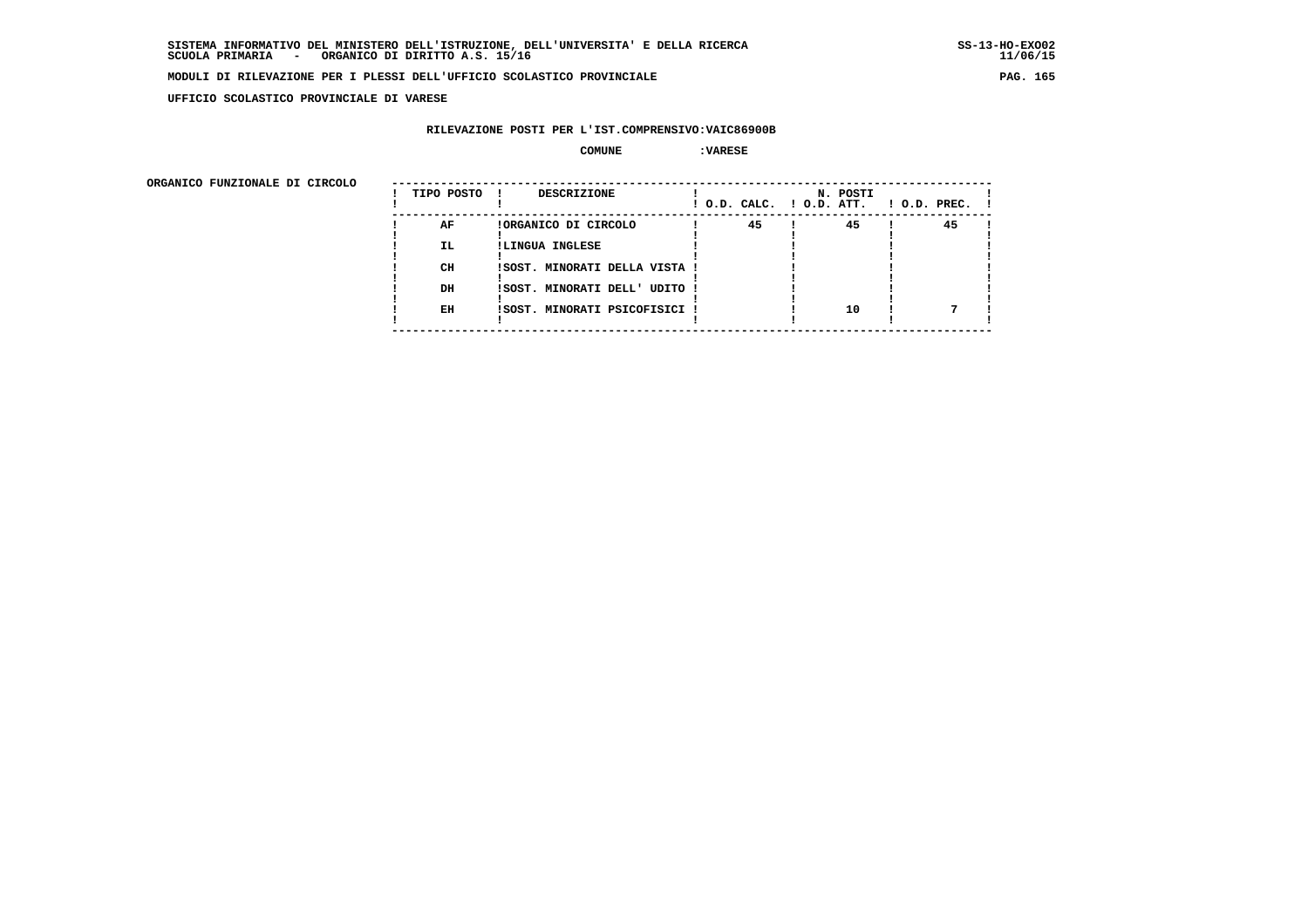**UFFICIO SCOLASTICO PROVINCIALE DI VARESE**

## **RILEVAZIONE POSTI PER L'IST.COMPRENSIVO:VAIC86900B**

#### **COMUNE :VARESE**

ORGANICO FUNZIONALE DI CIRCOLO

| 45<br>45<br>45<br>AF<br>!ORGANICO DI CIRCOLO<br>IL.<br>!LINGUA INGLESE<br>CH<br>!SOST. MINORATI DELLA VISTA !<br>DH<br>ISOST. MINORATI DELL' UDITO !<br>10<br>EH<br>ISOST. MINORATI PSICOFISICI ! | ORGANICO FUNZIONALE DI CIRCOLO | TIPO POSTO | <b>DESCRIZIONE</b> |  | ! O.D. CALC. ! O.D. ATT. |  | N. POSTI |  | $1$ O.D. PREC. $1$ |  |
|---------------------------------------------------------------------------------------------------------------------------------------------------------------------------------------------------|--------------------------------|------------|--------------------|--|--------------------------|--|----------|--|--------------------|--|
|                                                                                                                                                                                                   |                                |            |                    |  |                          |  |          |  |                    |  |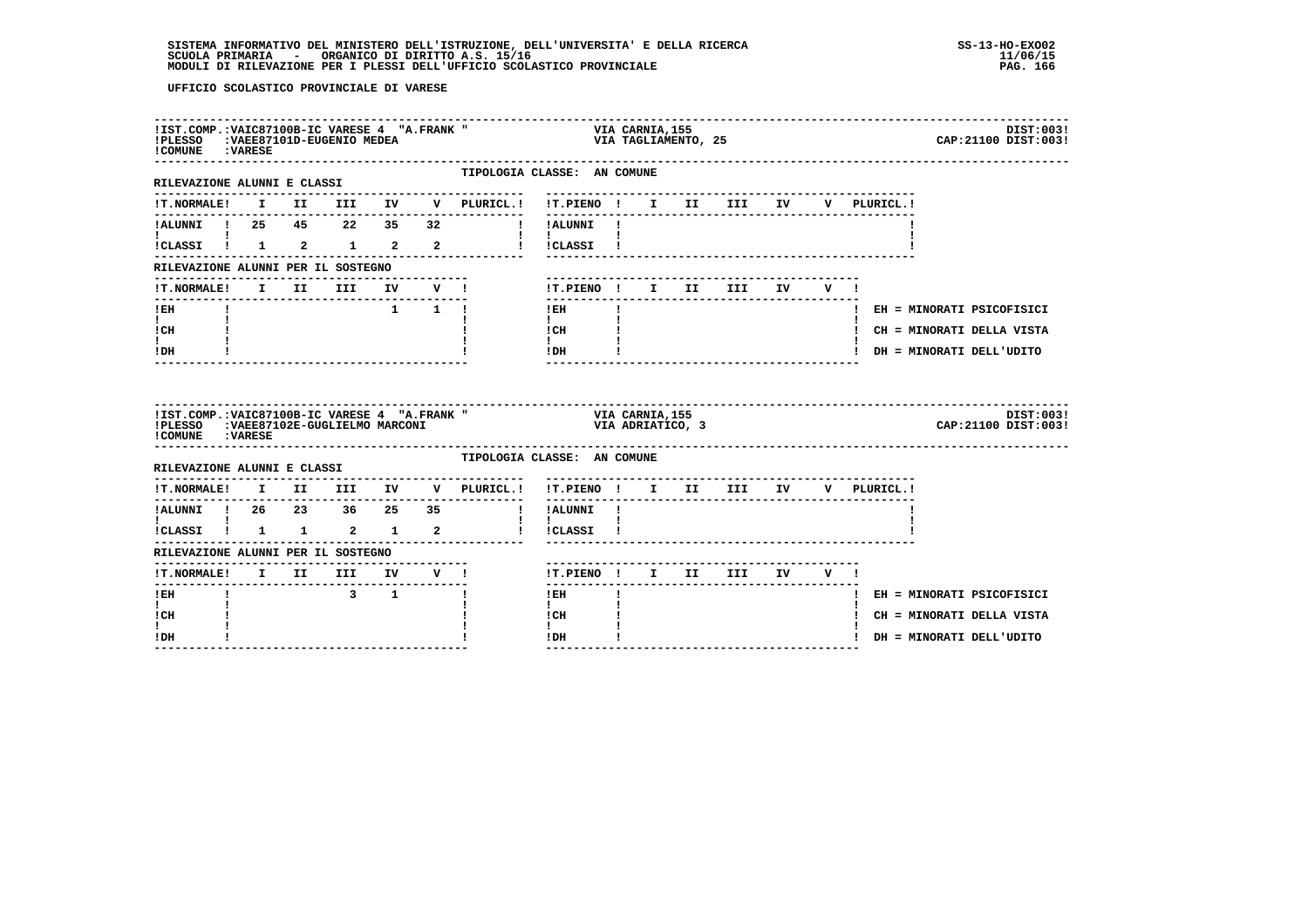# **SISTEMA INFORMATIVO DEL MINISTERO DELL'ISTRUZIONE, DELL'UNIVERSITA' E DELLA RICERCA SS-13-HO-EXO02**SCUOLA PRIMARIA ORGANICO DI DIRITTO A.S. 15/16<br>MODULI DI RILEVAZIONE PER I PLESSI DELL'UFFICIO SCOLASTICO PROVINCIALE **provinciale paga anticolastico paga a**fa

| !PLESSO :VAEE87101D-EUGENIO MEDEA<br>!COMUNE : VARESE |  | !IST.COMP.: VAIC87100B-IC VARESE 4 "A.FRANK"   |                     |                                                                                      | VIA CARNIA,155<br>VIA TAGLIAMENTO, 25<br>DIST:003!<br>CAP: 21100 DIST: 003!                                                                                             |
|-------------------------------------------------------|--|------------------------------------------------|---------------------|--------------------------------------------------------------------------------------|-------------------------------------------------------------------------------------------------------------------------------------------------------------------------|
| RILEVAZIONE ALUNNI E CLASSI                           |  |                                                |                     | ---------------                                                                      | TIPOLOGIA CLASSE: AN COMUNE                                                                                                                                             |
|                                                       |  |                                                |                     |                                                                                      | -------------------------------<br>V PLURICL.!                                                                                                                          |
| IALUNNI ! 25 45 22 35 32                              |  |                                                |                     |                                                                                      | ! !ALUNNI !                                                                                                                                                             |
| <b>I</b> and the state of the state of                |  |                                                |                     |                                                                                      | $\mathbf{I}$ and $\mathbf{I}$ and $\mathbf{I}$<br>!CLASSI ! 1 2 1 2 2 2 ! !CLASSI !                                                                                     |
| RILEVAZIONE ALUNNI PER IL SOSTEGNO                    |  |                                                |                     | --------------------------                                                           |                                                                                                                                                                         |
|                                                       |  |                                                |                     | !T.NORMALE! I II III IV V !                                                          | !T.PIENO ! I II III IV V !                                                                                                                                              |
| $!$ EH                                                |  |                                                | $1 \quad 1 \quad 1$ |                                                                                      | $\mathbf{I}$<br>$!$ EH<br>! EH = MINORATI PSICOFISICI                                                                                                                   |
| $\mathbf{I}$ and $\mathbf{I}$<br>! CH                 |  |                                                |                     |                                                                                      | $\mathbf{I}$<br>! CH<br>! CH = MINORATI DELLA VISTA                                                                                                                     |
| t i<br>! DH                                           |  |                                                |                     |                                                                                      | $\mathbf{I}$<br>IDH<br>! DH = MINORATI DELL'UDITO                                                                                                                       |
| ! COMUNE : VARESE                                     |  |                                                |                     |                                                                                      | ------<br>!IST.COMP.:VAIC87100B-IC VARESE 4 "A.FRANK " VIA CARNIA,155<br>!PLESSO :VAEE87102E-GUGLIELMO MARCONI " VIA ADRIATICO, 3<br>DIST:003!<br>CAP: 21100 DIST: 003! |
| RILEVAZIONE ALUNNI E CLASSI                           |  |                                                |                     |                                                                                      |                                                                                                                                                                         |
|                                                       |  |                                                |                     |                                                                                      | TIPOLOGIA CLASSE: AN COMUNE                                                                                                                                             |
|                                                       |  |                                                |                     |                                                                                      | !T.NORMALE! I II III IV V PLURICL.! !T.PIENO ! I II III IV V PLURICL.!                                                                                                  |
|                                                       |  |                                                |                     |                                                                                      | $\frac{1}{2}$                                                                                                                                                           |
| $\mathbf{I}$ and $\mathbf{I}$ and $\mathbf{I}$        |  |                                                |                     |                                                                                      | $\mathbf{I}$<br>ICLASSI I 1 1 2 1 2 1 ICLASSI I                                                                                                                         |
| RILEVAZIONE ALUNNI PER IL SOSTEGNO                    |  |                                                |                     | ------------------                                                                   |                                                                                                                                                                         |
|                                                       |  |                                                |                     | <u>KLENVALUANA ANDALIZZA AL MOTOROLOGO (H. 1888)</u><br>11. NORMALE! I II III IV V ! | !T.PIENO ! I II III IV V !                                                                                                                                              |
| -------<br>$I$ EH                                     |  | $\begin{array}{cccccccc}\n3 & 1 & \end{array}$ |                     |                                                                                      | $!$ EH<br>! EH = MINORATI PSICOFISICI                                                                                                                                   |
| $\mathbf{I}$<br>! CH<br>I.                            |  |                                                |                     |                                                                                      | $\mathbf{I}$<br>! CH<br>! CH = MINORATI DELLA VISTA<br>$\mathbf{I}$                                                                                                     |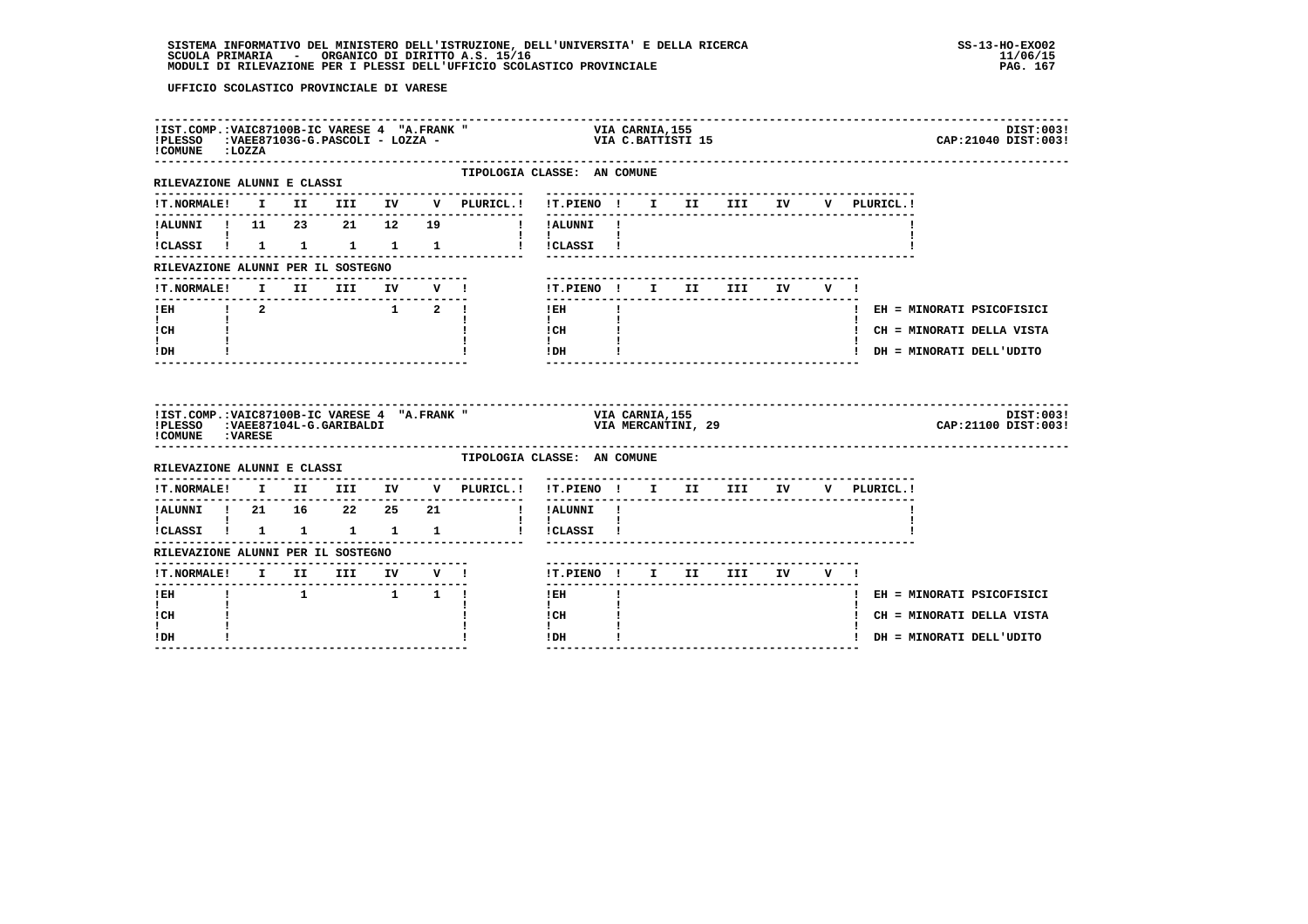# **SISTEMA INFORMATIVO DEL MINISTERO DELL'ISTRUZIONE, DELL'UNIVERSITA' E DELLA RICERCA SS-13-HO-EXO02**SCUOLA PRIMARIA ORGANICO DI DIRITTO A.S. 15/16<br>MODULI DI RILEVAZIONE PER I PLESSI DELL'UFFICIO SCOLASTICO PROVINCIALE **provinciale paga in termina all'algo de**

| !IST.COMP.: VAIC87100B-IC VARESE 4 "A.FRANK"<br>!PLESSO : VAEE87103G-G.PASCOLI - LOZZA -<br>!COMUNE :LOZZA |  |                                                                             |  | X " VIA CARNIA,155<br>VIA C.BATTISTI 15                                                                            |                                                |              |  |  |                                       | DIST:003!<br>CAP: 21040 DIST: 003! |
|------------------------------------------------------------------------------------------------------------|--|-----------------------------------------------------------------------------|--|--------------------------------------------------------------------------------------------------------------------|------------------------------------------------|--------------|--|--|---------------------------------------|------------------------------------|
| RILEVAZIONE ALUNNI E CLASSI                                                                                |  |                                                                             |  | TIPOLOGIA CLASSE: AN COMUNE                                                                                        |                                                |              |  |  |                                       |                                    |
|                                                                                                            |  |                                                                             |  | !T.NORMALE! I II III IV V PLURICL.! !T.PIENO ! I II III IV V PLURICL.!                                             |                                                |              |  |  |                                       |                                    |
|                                                                                                            |  |                                                                             |  | !ALUNNI ! 11 23 21 12 19 ! !ALUNNI !                                                                               |                                                |              |  |  |                                       |                                    |
| <b>Line Common</b>                                                                                         |  |                                                                             |  | !CLASSI ! 1 1 1 1 1 1 ! !CLASSI !                                                                                  | $\mathbf{I}$ and $\mathbf{I}$ and $\mathbf{I}$ |              |  |  |                                       |                                    |
| RILEVAZIONE ALUNNI PER IL SOSTEGNO                                                                         |  |                                                                             |  |                                                                                                                    |                                                |              |  |  |                                       |                                    |
|                                                                                                            |  |                                                                             |  | !T.NORMALE! I II III IV V !                                                                                        | !T.PIENO! I II III IV V!                       |              |  |  |                                       |                                    |
|                                                                                                            |  |                                                                             |  |                                                                                                                    | $1$ EH                                         | $\mathbf{1}$ |  |  |                                       | ! EH = MINORATI PSICOFISICI        |
| $\mathbf{I}$ and $\mathbf{I}$<br>! CH                                                                      |  |                                                                             |  |                                                                                                                    | $\mathbf{I}$ and $\mathbf{I}$<br>! CH          |              |  |  |                                       | ! CH = MINORATI DELLA VISTA        |
| . .<br>! DH                                                                                                |  |                                                                             |  |                                                                                                                    | $\mathbf{I}$<br>$!$ DH                         |              |  |  |                                       | ! DH = MINORATI DELL'UDITO         |
|                                                                                                            |  |                                                                             |  |                                                                                                                    |                                                |              |  |  |                                       |                                    |
|                                                                                                            |  | ---------------------------------                                           |  | IIST.COMP.:VAIC87100B-IC VARESE 4 "A.FRANK " VIA CARNIA,155<br>IPLESSO :VAEE87104L-G.GARIBALDI (VIA MERCANTINI, 29 |                                                |              |  |  |                                       | DIST:003!<br>CAP: 21100 DIST: 003! |
| ! COMUNE : VARESE                                                                                          |  |                                                                             |  | TIPOLOGIA CLASSE: AN COMUNE                                                                                        |                                                |              |  |  |                                       |                                    |
| RILEVAZIONE ALUNNI E CLASSI                                                                                |  |                                                                             |  | !T.NORMALE! I II III IV V PLURICL.! !T.PIENO ! I II III IV V PLURICL.!                                             |                                                |              |  |  |                                       |                                    |
|                                                                                                            |  |                                                                             |  | --------------                                                                                                     | -------                                        |              |  |  | ------------------------------------- |                                    |
| $\mathbf{I}$ and $\mathbf{I}$                                                                              |  |                                                                             |  | ICLASSI I 1 1 1 1 1 1 ICLASSI I                                                                                    | $\mathbf{I}$                                   |              |  |  |                                       |                                    |
| RILEVAZIONE ALUNNI PER IL SOSTEGNO                                                                         |  |                                                                             |  |                                                                                                                    |                                                |              |  |  |                                       |                                    |
|                                                                                                            |  |                                                                             |  |                                                                                                                    | !T.PIENO ! I II III IV V !                     |              |  |  |                                       |                                    |
| $1$ EH                                                                                                     |  | $\begin{array}{cccccccccccccc} 1 & & & & 1 & & & 1 & & 1 & & 1 \end{array}$ |  |                                                                                                                    | $!$ EH                                         |              |  |  |                                       | ! EH = MINORATI PSICOFISICI        |
| $\mathbf{I}$<br>! CH                                                                                       |  |                                                                             |  |                                                                                                                    | $\mathbf{I}$<br>! CH<br>$\mathbf{I}$           |              |  |  |                                       | ! CH = MINORATI DELLA VISTA        |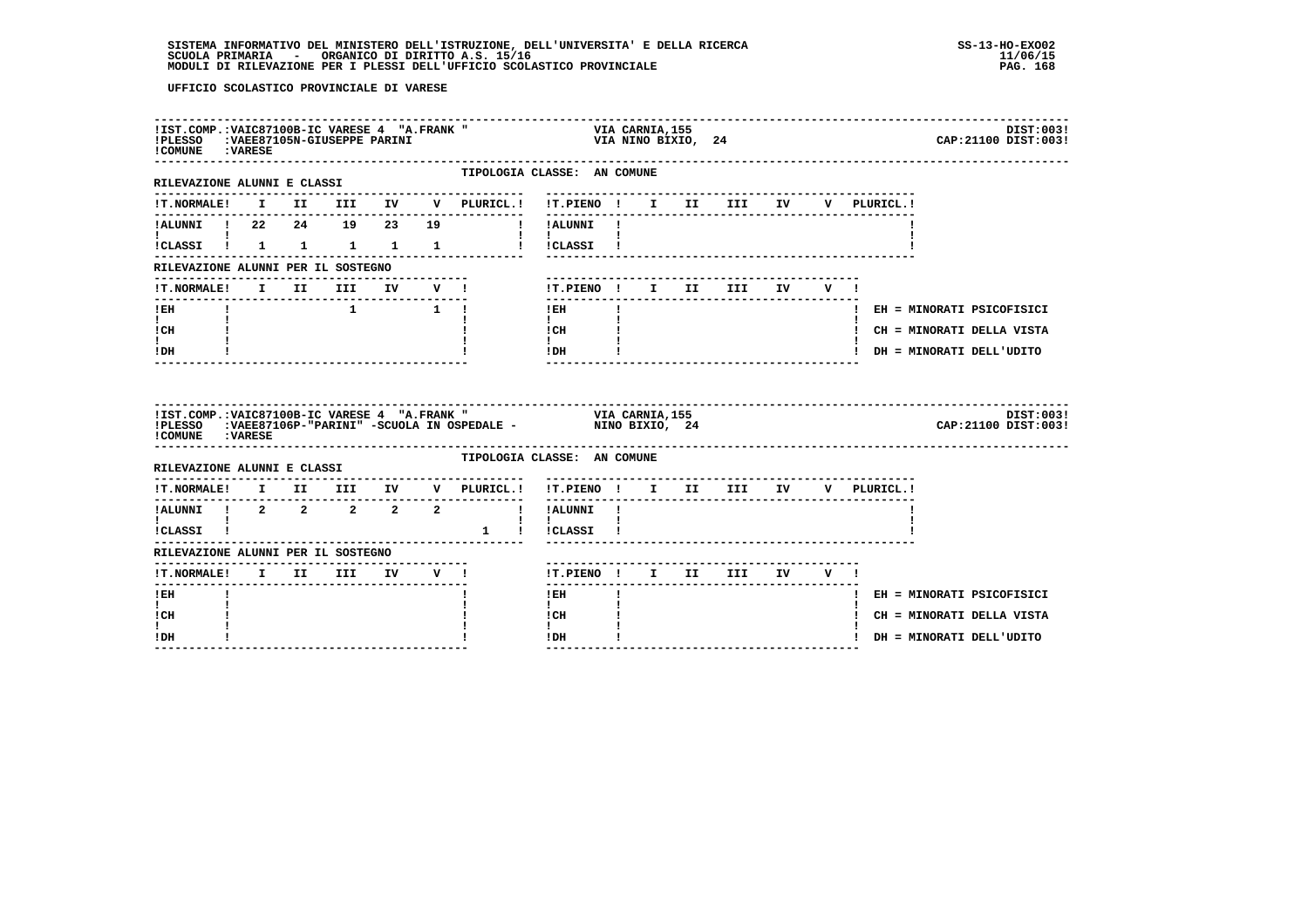# **SISTEMA INFORMATIVO DEL MINISTERO DELL'ISTRUZIONE, DELL'UNIVERSITA' E DELLA RICERCA SS-13-HO-EXO02 SCUOLA PRIMARIA - ORGANICO DI DIRITTO A.S. 15/16 11/06/15 MODULI DI RILEVAZIONE PER I PLESSI DELL'UFFICIO SCOLASTICO PROVINCIALE PAG. 168**

| !IST.COMP.: VAIC87100B-IC VARESE 4 "A.FRANK"<br>!PLESSO : VAEE87105N-GIUSEPPE PARINI<br>!COMUNE : VARESE |  |                                                                   |    |                                                                                                                                  | VIA CARNIA,155<br>VIA NINO BIXIO, 24 |  |                                  |  |             | DIST:003!<br>CAP: 21100 DIST: 003! |
|----------------------------------------------------------------------------------------------------------|--|-------------------------------------------------------------------|----|----------------------------------------------------------------------------------------------------------------------------------|--------------------------------------|--|----------------------------------|--|-------------|------------------------------------|
| RILEVAZIONE ALUNNI E CLASSI                                                                              |  |                                                                   |    | TIPOLOGIA CLASSE: AN COMUNE                                                                                                      |                                      |  |                                  |  |             |                                    |
| <b>!T.NORMALE!</b>                                                                                       |  |                                                                   |    | I II III IV V PLURICL.! !T.PIENO ! I II III IV                                                                                   |                                      |  |                                  |  | V PLURICL.! |                                    |
| !ALUNNI ! 22 24 19 23                                                                                    |  |                                                                   | 19 | ! !ALUNNI !                                                                                                                      | --------                             |  |                                  |  |             |                                    |
|                                                                                                          |  |                                                                   |    | !CLASSI ! 1 1 1 1 1 1 ! !CLASSI !                                                                                                | $\mathbf{I}$                         |  |                                  |  |             |                                    |
| RILEVAZIONE ALUNNI PER IL SOSTEGNO                                                                       |  |                                                                   |    |                                                                                                                                  |                                      |  |                                  |  |             |                                    |
|                                                                                                          |  |                                                                   |    |                                                                                                                                  | !T.PIENO! I II III IV V!             |  |                                  |  |             |                                    |
| ! EH                                                                                                     |  | $\begin{array}{cccccccccccccc} & & & & & 1 & & 1 & & \end{array}$ |    |                                                                                                                                  | $!$ EH                               |  |                                  |  |             | ! EH = MINORATI PSICOFISICI        |
| $\mathbf{I}$<br>! CH                                                                                     |  |                                                                   |    |                                                                                                                                  | $\mathbf{I}$<br>! CH                 |  |                                  |  |             | ! CH = MINORATI DELLA VISTA        |
| $\mathbf{I}$                                                                                             |  |                                                                   |    |                                                                                                                                  | $\mathbf{I}$<br>! DH                 |  |                                  |  |             | ! DH = MINORATI DELL'UDITO         |
| ! DH                                                                                                     |  |                                                                   |    |                                                                                                                                  |                                      |  |                                  |  |             |                                    |
| ! COMUNE : VARESE                                                                                        |  |                                                                   |    | IIST.COMP.:VAIC87100B-IC VARESE 4 "A.FRANK " VIA CARNIA,155<br>IPLESSO :VAEE87106P-"PARINI" -SCUOLA IN OSPEDALE - NINO BIXIO, 24 |                                      |  |                                  |  |             | DIST:003!<br>CAP: 21100 DIST: 003! |
| RILEVAZIONE ALUNNI E CLASSI                                                                              |  |                                                                   |    | TIPOLOGIA CLASSE: AN COMUNE                                                                                                      |                                      |  |                                  |  |             |                                    |
| !T.NORMALE!                                                                                              |  |                                                                   |    | I II III IV V PLURICL.!                                                                                                          | !T.PIENO ! I II III IV V PLURICL.!   |  | -------------------------------- |  |             |                                    |
| ---------------------<br>!ALUNNI ! 2 2 2 2 2                                                             |  |                                                                   |    | --------------                                                                                                                   | --------<br>! !ALUNNI !              |  |                                  |  |             |                                    |
| $\mathbf{I}$ and $\mathbf{I}$ and $\mathbf{I}$<br>!CLASSI !                                              |  |                                                                   |    | 1 ! ! CLASSI !                                                                                                                   | $\mathbf{I}$ and $\mathbf{I}$        |  |                                  |  |             |                                    |
| RILEVAZIONE ALUNNI PER IL SOSTEGNO                                                                       |  |                                                                   |    |                                                                                                                                  |                                      |  |                                  |  |             |                                    |
| --------------<br><b>!T.NORMALE!</b>                                                                     |  | I II III IV V !                                                   |    | --------------------------------                                                                                                 | !T.PIENO! I II III IV V!             |  |                                  |  |             |                                    |
| -------<br>! EH                                                                                          |  |                                                                   |    |                                                                                                                                  | $!$ EH                               |  |                                  |  |             | ! EH = MINORATI PSICOFISICI        |
| $\mathbf{I}$<br>! CH                                                                                     |  |                                                                   |    |                                                                                                                                  | $\mathbf{I}$<br>! CH                 |  |                                  |  |             | ! CH = MINORATI DELLA VISTA        |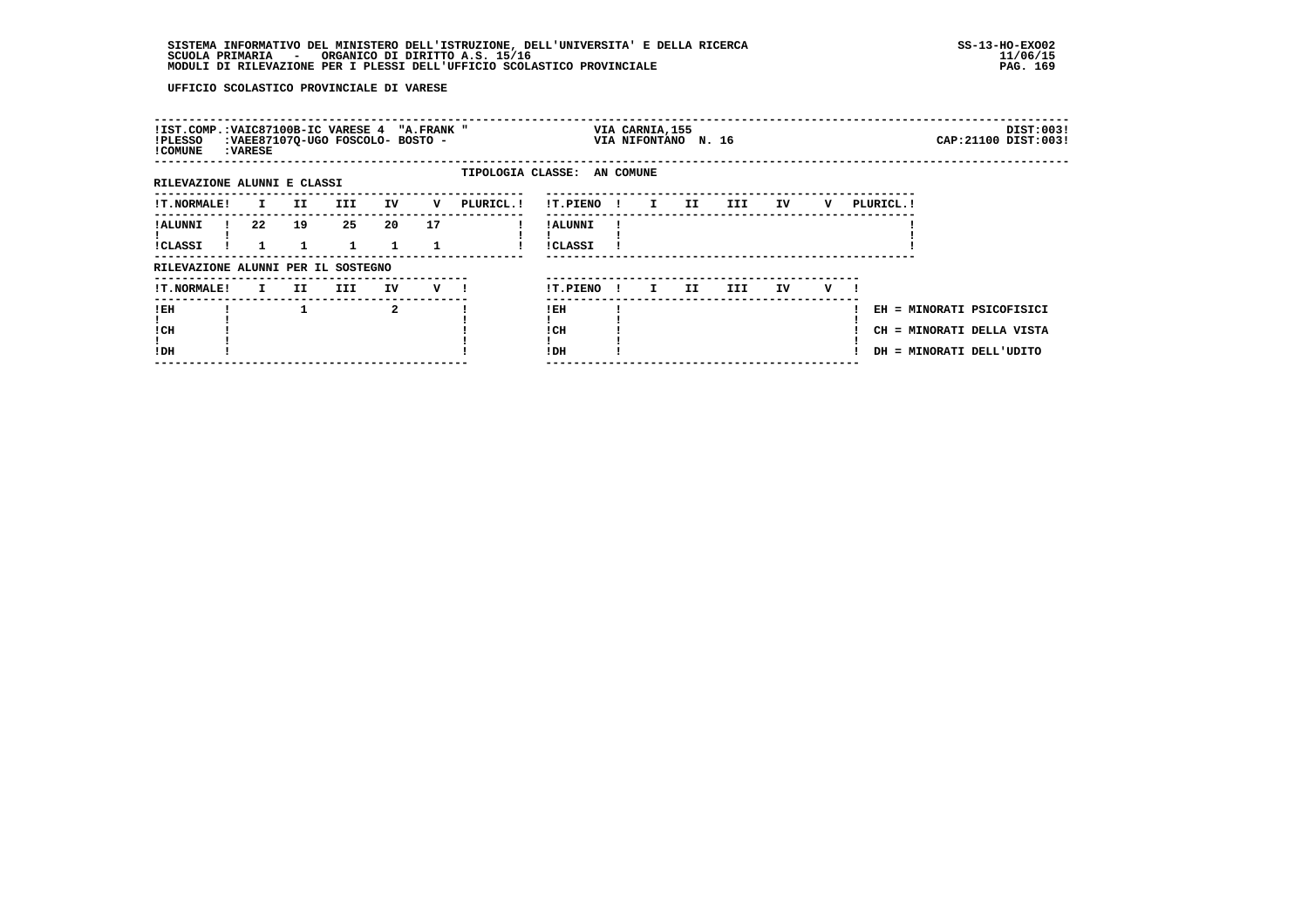# **SISTEMA INFORMATIVO DEL MINISTERO DELL'ISTRUZIONE, DELL'UNIVERSITA' E DELLA RICERCA SS-13-HO-EXO02 SCUOLA PRIMARIA - ORGANICO DI DIRITTO A.S. 15/16 11/06/15 MODULI DI RILEVAZIONE PER I PLESSI DELL'UFFICIO SCOLASTICO PROVINCIALE PAG. 169**

|    |          |            |                             |                                    |                                  |                                                                    |                              |                             |                 |                     |   |            | DIST:003!<br>CAP: 21100 DIST: 003!                                                 |
|----|----------|------------|-----------------------------|------------------------------------|----------------------------------|--------------------------------------------------------------------|------------------------------|-----------------------------|-----------------|---------------------|---|------------|------------------------------------------------------------------------------------|
|    |          |            |                             |                                    |                                  |                                                                    |                              |                             |                 |                     |   |            |                                                                                    |
| I. | II.      | <b>III</b> | IV                          | v                                  | PLURICL.!                        | !T.PIENO                                                           | $\mathbf{I}$                 | II.                         | III             | IV                  | v | PLURICL. ! |                                                                                    |
| 22 | 19       | 25<br>1    | 20<br>$\mathbf{1}$          | 17                                 |                                  | ! ALUNNI<br><b>!CLASSI</b>                                         |                              |                             |                 |                     |   |            |                                                                                    |
|    |          |            |                             |                                    |                                  |                                                                    |                              |                             |                 |                     |   |            |                                                                                    |
| I. | II.      | III        | IV                          |                                    |                                  | !T.PIENO                                                           | I.                           | IJ                          | III.            | IV                  | v |            |                                                                                    |
|    |          |            | $\mathbf{2}$                |                                    |                                  | ! EH<br>! CH<br>!DH                                                |                              |                             |                 |                     |   |            |                                                                                    |
|    | : VARESE |            | RILEVAZIONE ALUNNI E CLASSI | RILEVAZIONE ALUNNI PER IL SOSTEGNO | :VAEE87107Q-UGO FOSCOLO- BOSTO - | !IST.COMP.:VAIC87100B-IC VARESE 4 "A.FRANK "<br>$V$ $\blacksquare$ | $\mathbf{I}$<br>$\mathbf{I}$ | TIPOLOGIA CLASSE: AN COMUNE | VIA CARNIA, 155 | VIA NIFONTANO N. 16 |   |            | EH = MINORATI PSICOFISICI<br>CH = MINORATI DELLA VISTA<br>DH = MINORATI DELL'UDITO |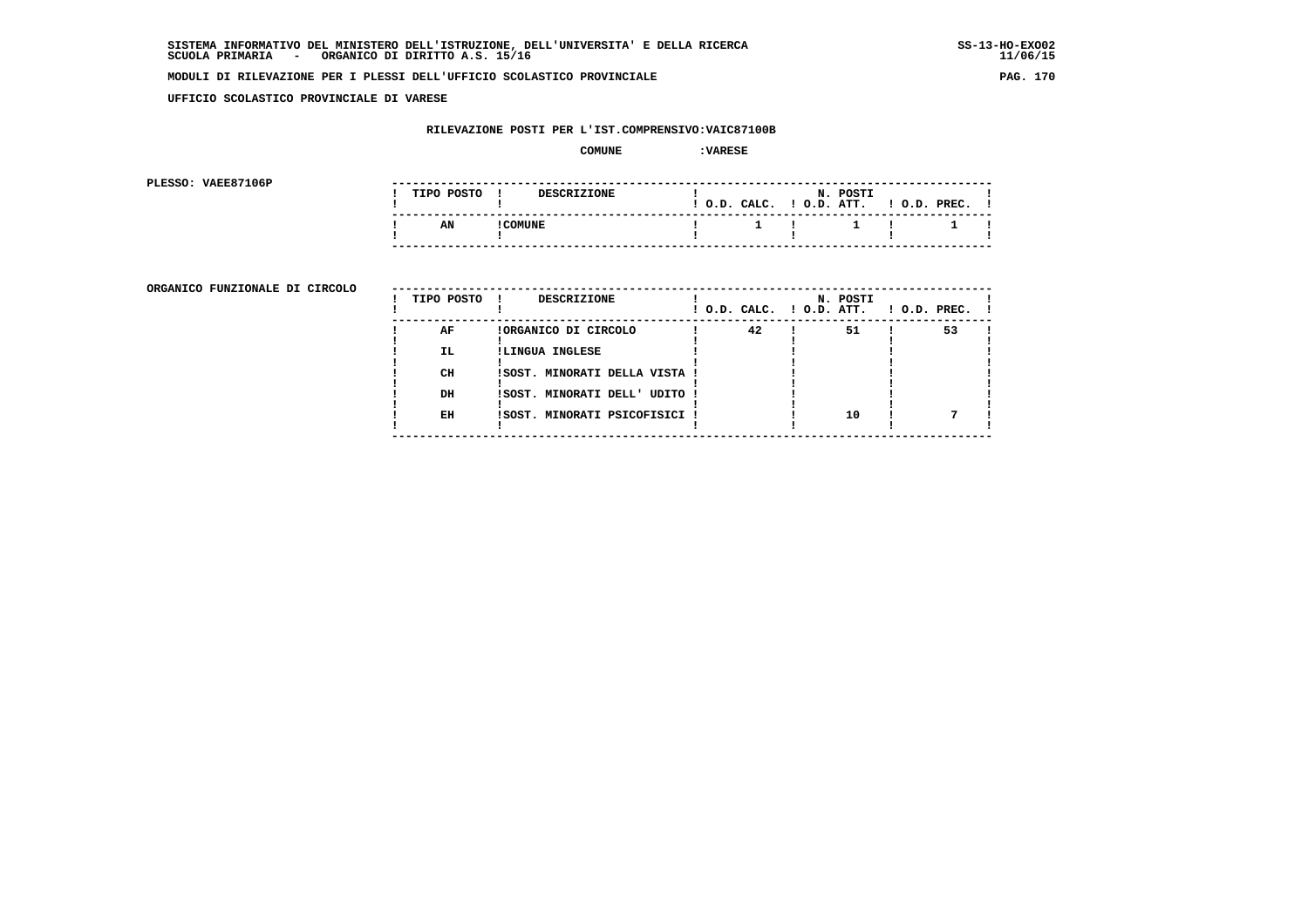**UFFICIO SCOLASTICO PROVINCIALE DI VARESE**

## **RILEVAZIONE POSTI PER L'IST.COMPRENSIVO:VAIC87100B**

#### **COMUNE :VARESE**

**PLESSO: VAEE87106P** 

| PLESSO: VAEE87106P |  |            |        |                    |  |                           |                       |                    |  |
|--------------------|--|------------|--------|--------------------|--|---------------------------|-----------------------|--------------------|--|
|                    |  | TIPO POSTO |        | <b>DESCRIZIONE</b> |  | ! O.D. CALC.              | N. POSTI<br>O.D. ATT. | $!$ $0.D.$ $PREC.$ |  |
|                    |  | AN         | COMUNE |                    |  | $\mathbf{1}$ $\mathbf{1}$ | $\sim$ 1 $\sim$ 1     |                    |  |
|                    |  |            |        |                    |  |                           |                       |                    |  |

**ORGANICO FUNZIONALE DI CIRCOLO** --

| ORGANICO FUNZIONALE DI CIRCOLO | TIPO POSTO ! | DESCRIZIONE                   | ! O.D. CALC. ! O.D. ATT. | N. POSTI | $1$ O.D. PREC. |    |  |
|--------------------------------|--------------|-------------------------------|--------------------------|----------|----------------|----|--|
|                                | AF           | !ORGANICO DI CIRCOLO          | 42                       | 51       |                | 53 |  |
|                                | IL.          | !LINGUA INGLESE               |                          |          |                |    |  |
|                                | CH           | !SOST. MINORATI DELLA VISTA ! |                          |          |                |    |  |
|                                | DH           | !SOST. MINORATI DELL' UDITO ! |                          |          |                |    |  |
|                                | EH           | !SOST. MINORATI PSICOFISICI ! |                          | 10       |                |    |  |
|                                |              |                               |                          |          |                |    |  |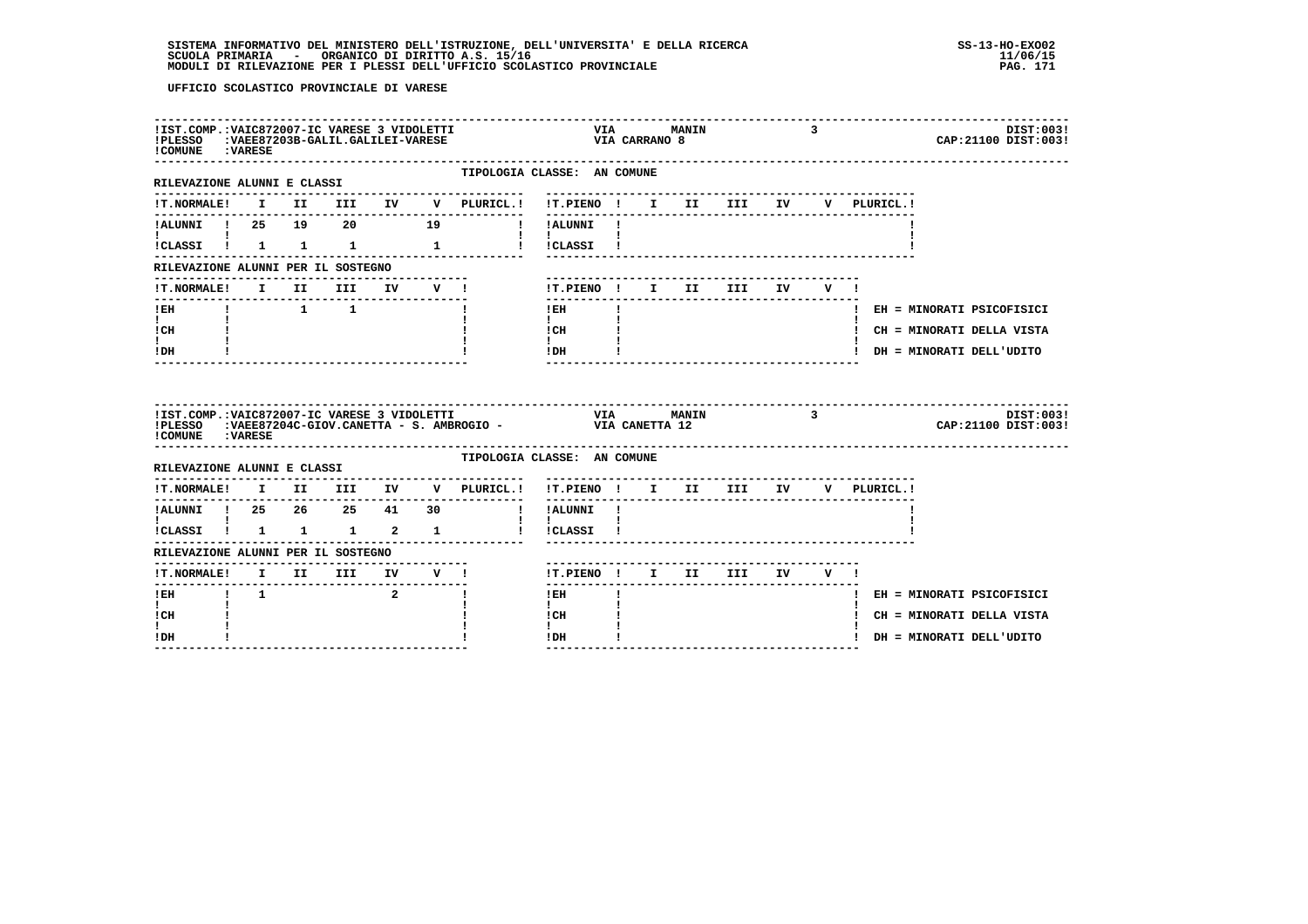# **SISTEMA INFORMATIVO DEL MINISTERO DELL'ISTRUZIONE, DELL'UNIVERSITA' E DELLA RICERCA SS-13-HO-EXO02**SCUOLA PRIMARIA ORGANICO DI DIRITTO A.S. 15/16<br>MODULI DI RILEVAZIONE PER I PLESSI DELL'UFFICIO SCOLASTICO PROVINCIALE **provinciale paga in terme all'unu**paga a

| !IST.COMP.: VAIC872007-IC VARESE 3 VIDOLETTI<br>!PLESSO :VAEE87203B-GALIL.GALILEI-VARESE<br>! COMUNE : VARESE |             |                     |                                |                                                                                                                         |                                      | VIA CARRANO 8 | <b>VIA MANIN</b>                   |     | 3      |                                   | DIST:003!<br>CAP: 21100 DIST: 003! |
|---------------------------------------------------------------------------------------------------------------|-------------|---------------------|--------------------------------|-------------------------------------------------------------------------------------------------------------------------|--------------------------------------|---------------|------------------------------------|-----|--------|-----------------------------------|------------------------------------|
| RILEVAZIONE ALUNNI E CLASSI                                                                                   |             |                     |                                | TIPOLOGIA CLASSE: AN COMUNE                                                                                             |                                      |               |                                    |     |        |                                   |                                    |
| <b>!T.NORMALE!</b>                                                                                            |             |                     |                                | I II III IV V PLURICL.! !T.PIENO ! I II III IV V PLURICL.!                                                              | ---------                            |               |                                    |     |        |                                   |                                    |
| !ALUNNI ! 25 19 20 19                                                                                         |             |                     |                                | ! !ALUNNI !                                                                                                             |                                      |               |                                    |     |        |                                   |                                    |
| !CLASSI ! 1 1 1 1 1                                                                                           |             |                     |                                | ! ! CLASSI !                                                                                                            | $\mathbf{1}$                         |               |                                    |     |        |                                   |                                    |
| RILEVAZIONE ALUNNI PER IL SOSTEGNO                                                                            |             |                     |                                |                                                                                                                         |                                      |               |                                    |     |        |                                   |                                    |
| !T.NORMALE!                                                                                                   |             | I II III IV V !     |                                |                                                                                                                         | !T.PIENO ! I II                      |               |                                    | III | IV V ! |                                   |                                    |
| ! EH                                                                                                          |             | $1 \quad 1 \quad 1$ |                                |                                                                                                                         | $- - - - -$<br>! EH                  |               |                                    |     |        |                                   | ! EH = MINORATI PSICOFISICI        |
| $\mathbf{I}$ and $\mathbf{I}$<br>! CH                                                                         |             |                     |                                |                                                                                                                         | $\mathbf{I}$<br>! CH                 |               |                                    |     |        |                                   | ! CH = MINORATI DELLA VISTA        |
| $\mathbf{I}$                                                                                                  |             |                     |                                |                                                                                                                         | $\mathbf{I}$<br>! DH                 |               |                                    |     |        |                                   | ! DH = MINORATI DELL'UDITO         |
| ! DH                                                                                                          |             |                     |                                |                                                                                                                         |                                      |               |                                    |     |        |                                   |                                    |
| !IST.COMP.: VAIC872007-IC VARESE 3 VIDOLETTI<br>! COMUNE : VARESE                                             |             |                     |                                | IPLESSO : VAEE87204C-GIOV.CANETTA - S. AMBROGIO - VIA CANETTA 12                                                        |                                      |               | VIA MANIN 3                        |     |        |                                   | DIST:003!<br>CAP: 21100 DIST: 003! |
| RILEVAZIONE ALUNNI E CLASSI                                                                                   |             |                     |                                | TIPOLOGIA CLASSE: AN COMUNE                                                                                             |                                      |               |                                    |     |        |                                   |                                    |
|                                                                                                               |             |                     |                                | . _ _ _ _ _ _ _ _ _ _ _ _ _ _<br>$\verb !T.NORMALE! \quad I \quad II \quad III \quad IV \quad V \quad \verb PLURICL. !$ |                                      |               | ---------------------------------- |     |        | !T.PIENO! I II III IV V PLURICL.! |                                    |
| !ALUNNI ! 25 26 25 41 30                                                                                      |             |                     |                                |                                                                                                                         | $- - - - - - -$<br>! !ALUNNI !       |               | ---------------------------------  |     |        |                                   |                                    |
| $\mathbf{I}$ and $\mathbf{I}$ and $\mathbf{I}$<br>!CLASSI ! 1 1 1 2 1                                         |             |                     |                                |                                                                                                                         | $\mathbf{I}$<br>! !CLASSI !          |               |                                    |     |        |                                   |                                    |
| RILEVAZIONE ALUNNI PER IL SOSTEGNO                                                                            |             |                     |                                |                                                                                                                         |                                      |               |                                    |     |        |                                   |                                    |
| !T.NORMALE! I II III IV V !                                                                                   |             |                     |                                |                                                                                                                         | !T.PIENO! I II III IV V!             |               |                                    |     |        |                                   |                                    |
| $1$ EH                                                                                                        | $1 \quad 1$ |                     | $2 \left( \frac{1}{2} \right)$ | $\mathbf{I}$                                                                                                            | ! EH                                 |               |                                    |     |        |                                   | ! EH = MINORATI PSICOFISICI        |
| $\mathbf{I}$<br>! CH<br>I.                                                                                    |             |                     |                                |                                                                                                                         | $\mathbf{I}$<br>! CH<br>$\mathbf{I}$ |               |                                    |     |        |                                   | ! CH = MINORATI DELLA VISTA        |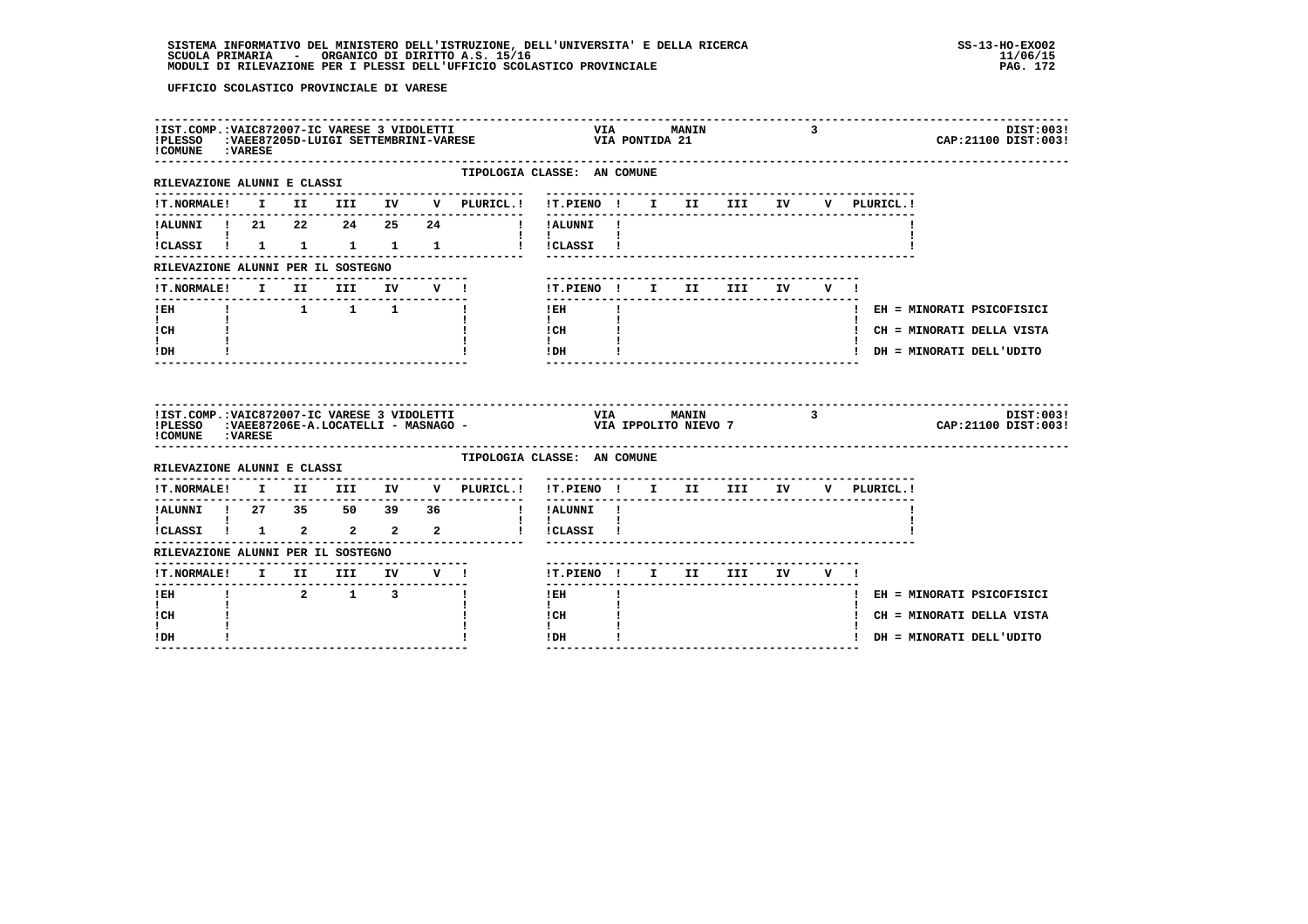| TIPOLOGIA CLASSE: AN COMUNE<br>RILEVAZIONE ALUNNI E CLASSI<br>I II III IV V PLURICL.! !T.PIENO ! I II III IV<br><b>!T.NORMALE!</b><br>V PLURICL.!<br>! ALUNNI ! 21  22  24  25  24  ! ! ALUNNI !<br>$\mathbf{I}$ $\mathbf{I}$<br>!CLASSI ! 1 1 1 1 1 1 ! !CLASSI !<br>RILEVAZIONE ALUNNI PER IL SOSTEGNO<br>I II III<br>IV V !<br>!T.PIENO ! I II III<br>!T.NORMALE!<br>IV V!<br>$\begin{array}{cccccccccccccc} 1 & 1 & 1 & 1 & \end{array}$<br>! EH<br>$\mathbf{I}$<br>! EH<br>! EH = MINORATI PSICOFISICI<br>$\mathbf{I}$ and $\mathbf{I}$<br>$\mathbf{I}$<br>$\frac{1 \text{CH}}{1}$ $\frac{1}{1}$<br>! CH<br>! CH = MINORATI DELLA VISTA<br>$\mathbf{I}$<br>IDH<br>! DH<br>! DH = MINORATI DELL'UDITO<br>IIST.COMP.:VAIC872007-IC VARESE 3 VIDOLETTI                             VIA         MANIN               3<br>IPLESSO   :VAEE87206E-A.LOCATELLI - MASNAGO -                       VIA IPPOLITO NIEVO 7<br>CAP: 21100 DIST: 003!<br>! COMUNE : VARESE<br>TIPOLOGIA CLASSE: AN COMUNE<br>RILEVAZIONE ALUNNI E CLASSI<br>$\verb !T.NORMALE! \quad I \quad II \quad III \quad IV \quad V \quad \verb PLURICL. !$<br>!T.PIENO ! I II III IV V PLURICL.!<br>------<br>! !ALUNNI !<br>$\mathbf{I}$<br>!<br>!CLASSI !  1   2    2    2   2<br>! !CLASSI !<br>RILEVAZIONE ALUNNI PER IL SOSTEGNO<br>!T.NORMALE! I II III IV V !<br>!T.PIENO! I II III IV V!<br>2 1 3<br>! EH<br>-1<br>! EH<br>! EH = MINORATI PSICOFISICI<br>$\mathbf{I}$<br>$\mathbf{I}$<br>! CH<br>! CH<br>! CH = MINORATI DELLA VISTA<br>I.<br>$\mathbf{I}$<br>! DH<br>! DH<br>! DH = MINORATI DELL'UDITO | !IST.COMP.: VAIC872007-IC VARESE 3 VIDOLETTI<br>!COMUNE : VARESE |  |  |  | !PLESSO :VAEE87205D-LUIGI SETTEMBRINI-VARESE | <b>VIA</b><br>VIA PONTIDA 21 | <b>MANIN</b> |  | 3 |  | DIST:003!<br>CAP: 21100 DIST: 003! |
|---------------------------------------------------------------------------------------------------------------------------------------------------------------------------------------------------------------------------------------------------------------------------------------------------------------------------------------------------------------------------------------------------------------------------------------------------------------------------------------------------------------------------------------------------------------------------------------------------------------------------------------------------------------------------------------------------------------------------------------------------------------------------------------------------------------------------------------------------------------------------------------------------------------------------------------------------------------------------------------------------------------------------------------------------------------------------------------------------------------------------------------------------------------------------------------------------------------------------------------------------------------------------------------------------------------------------------------------------------------------------------------------------------------------------------------------------------------------------------------------------------------------------------------------------------------------------------|------------------------------------------------------------------|--|--|--|----------------------------------------------|------------------------------|--------------|--|---|--|------------------------------------|
|                                                                                                                                                                                                                                                                                                                                                                                                                                                                                                                                                                                                                                                                                                                                                                                                                                                                                                                                                                                                                                                                                                                                                                                                                                                                                                                                                                                                                                                                                                                                                                                 |                                                                  |  |  |  |                                              |                              |              |  |   |  |                                    |
|                                                                                                                                                                                                                                                                                                                                                                                                                                                                                                                                                                                                                                                                                                                                                                                                                                                                                                                                                                                                                                                                                                                                                                                                                                                                                                                                                                                                                                                                                                                                                                                 |                                                                  |  |  |  |                                              |                              |              |  |   |  |                                    |
|                                                                                                                                                                                                                                                                                                                                                                                                                                                                                                                                                                                                                                                                                                                                                                                                                                                                                                                                                                                                                                                                                                                                                                                                                                                                                                                                                                                                                                                                                                                                                                                 |                                                                  |  |  |  |                                              |                              |              |  |   |  |                                    |
|                                                                                                                                                                                                                                                                                                                                                                                                                                                                                                                                                                                                                                                                                                                                                                                                                                                                                                                                                                                                                                                                                                                                                                                                                                                                                                                                                                                                                                                                                                                                                                                 |                                                                  |  |  |  |                                              |                              |              |  |   |  |                                    |
|                                                                                                                                                                                                                                                                                                                                                                                                                                                                                                                                                                                                                                                                                                                                                                                                                                                                                                                                                                                                                                                                                                                                                                                                                                                                                                                                                                                                                                                                                                                                                                                 |                                                                  |  |  |  |                                              |                              |              |  |   |  |                                    |
|                                                                                                                                                                                                                                                                                                                                                                                                                                                                                                                                                                                                                                                                                                                                                                                                                                                                                                                                                                                                                                                                                                                                                                                                                                                                                                                                                                                                                                                                                                                                                                                 |                                                                  |  |  |  |                                              |                              |              |  |   |  |                                    |
|                                                                                                                                                                                                                                                                                                                                                                                                                                                                                                                                                                                                                                                                                                                                                                                                                                                                                                                                                                                                                                                                                                                                                                                                                                                                                                                                                                                                                                                                                                                                                                                 |                                                                  |  |  |  |                                              |                              |              |  |   |  |                                    |
|                                                                                                                                                                                                                                                                                                                                                                                                                                                                                                                                                                                                                                                                                                                                                                                                                                                                                                                                                                                                                                                                                                                                                                                                                                                                                                                                                                                                                                                                                                                                                                                 |                                                                  |  |  |  |                                              |                              |              |  |   |  |                                    |
|                                                                                                                                                                                                                                                                                                                                                                                                                                                                                                                                                                                                                                                                                                                                                                                                                                                                                                                                                                                                                                                                                                                                                                                                                                                                                                                                                                                                                                                                                                                                                                                 |                                                                  |  |  |  |                                              |                              |              |  |   |  |                                    |
|                                                                                                                                                                                                                                                                                                                                                                                                                                                                                                                                                                                                                                                                                                                                                                                                                                                                                                                                                                                                                                                                                                                                                                                                                                                                                                                                                                                                                                                                                                                                                                                 |                                                                  |  |  |  |                                              |                              |              |  |   |  |                                    |
|                                                                                                                                                                                                                                                                                                                                                                                                                                                                                                                                                                                                                                                                                                                                                                                                                                                                                                                                                                                                                                                                                                                                                                                                                                                                                                                                                                                                                                                                                                                                                                                 |                                                                  |  |  |  |                                              |                              |              |  |   |  | DIST:003!                          |
|                                                                                                                                                                                                                                                                                                                                                                                                                                                                                                                                                                                                                                                                                                                                                                                                                                                                                                                                                                                                                                                                                                                                                                                                                                                                                                                                                                                                                                                                                                                                                                                 |                                                                  |  |  |  |                                              |                              |              |  |   |  |                                    |
|                                                                                                                                                                                                                                                                                                                                                                                                                                                                                                                                                                                                                                                                                                                                                                                                                                                                                                                                                                                                                                                                                                                                                                                                                                                                                                                                                                                                                                                                                                                                                                                 |                                                                  |  |  |  |                                              |                              |              |  |   |  |                                    |
|                                                                                                                                                                                                                                                                                                                                                                                                                                                                                                                                                                                                                                                                                                                                                                                                                                                                                                                                                                                                                                                                                                                                                                                                                                                                                                                                                                                                                                                                                                                                                                                 |                                                                  |  |  |  |                                              |                              |              |  |   |  |                                    |
|                                                                                                                                                                                                                                                                                                                                                                                                                                                                                                                                                                                                                                                                                                                                                                                                                                                                                                                                                                                                                                                                                                                                                                                                                                                                                                                                                                                                                                                                                                                                                                                 |                                                                  |  |  |  |                                              |                              |              |  |   |  |                                    |
|                                                                                                                                                                                                                                                                                                                                                                                                                                                                                                                                                                                                                                                                                                                                                                                                                                                                                                                                                                                                                                                                                                                                                                                                                                                                                                                                                                                                                                                                                                                                                                                 |                                                                  |  |  |  |                                              |                              |              |  |   |  |                                    |
|                                                                                                                                                                                                                                                                                                                                                                                                                                                                                                                                                                                                                                                                                                                                                                                                                                                                                                                                                                                                                                                                                                                                                                                                                                                                                                                                                                                                                                                                                                                                                                                 |                                                                  |  |  |  |                                              |                              |              |  |   |  |                                    |
|                                                                                                                                                                                                                                                                                                                                                                                                                                                                                                                                                                                                                                                                                                                                                                                                                                                                                                                                                                                                                                                                                                                                                                                                                                                                                                                                                                                                                                                                                                                                                                                 |                                                                  |  |  |  |                                              |                              |              |  |   |  |                                    |
|                                                                                                                                                                                                                                                                                                                                                                                                                                                                                                                                                                                                                                                                                                                                                                                                                                                                                                                                                                                                                                                                                                                                                                                                                                                                                                                                                                                                                                                                                                                                                                                 |                                                                  |  |  |  |                                              |                              |              |  |   |  |                                    |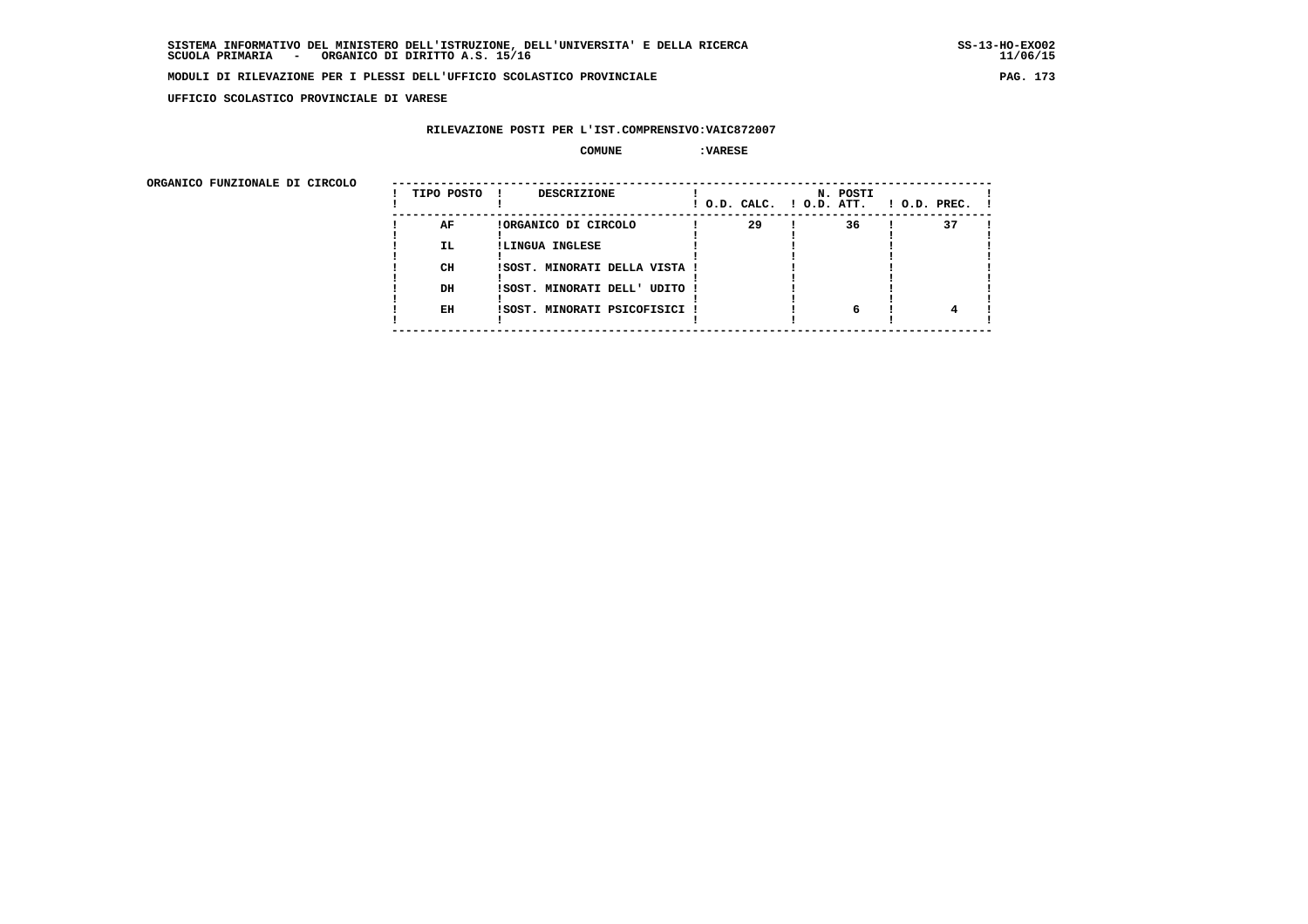**UFFICIO SCOLASTICO PROVINCIALE DI VARESE**

## **RILEVAZIONE POSTI PER L'IST.COMPRENSIVO:VAIC872007**

 **COMUNE :VARESE**

ORGANICO FUNZIONALE DI CIRCOLO

| ORGANICO FUNZIONALE DI CIRCOLO | TIPO POSTO | <b>DESCRIZIONE</b><br>$\mathbf{I}$ |    | N. POSTI<br>! O.D. CALC. ! O.D. ATT. | $1$ O.D. PREC. $1$ |  |
|--------------------------------|------------|------------------------------------|----|--------------------------------------|--------------------|--|
|                                | AF         | !ORGANICO DI CIRCOLO               | 29 | 36                                   | 37                 |  |
|                                | IL.        | !LINGUA INGLESE                    |    |                                      |                    |  |
|                                |            |                                    |    |                                      |                    |  |
|                                | CH         | !SOST. MINORATI DELLA VISTA !      |    |                                      |                    |  |
|                                | DH         | ISOST. MINORATI DELL' UDITO !      |    |                                      |                    |  |
|                                |            |                                    |    |                                      |                    |  |
|                                | EH         | !SOST. MINORATI PSICOFISICI !      |    | 6                                    |                    |  |
|                                |            |                                    |    |                                      |                    |  |
|                                |            |                                    |    |                                      |                    |  |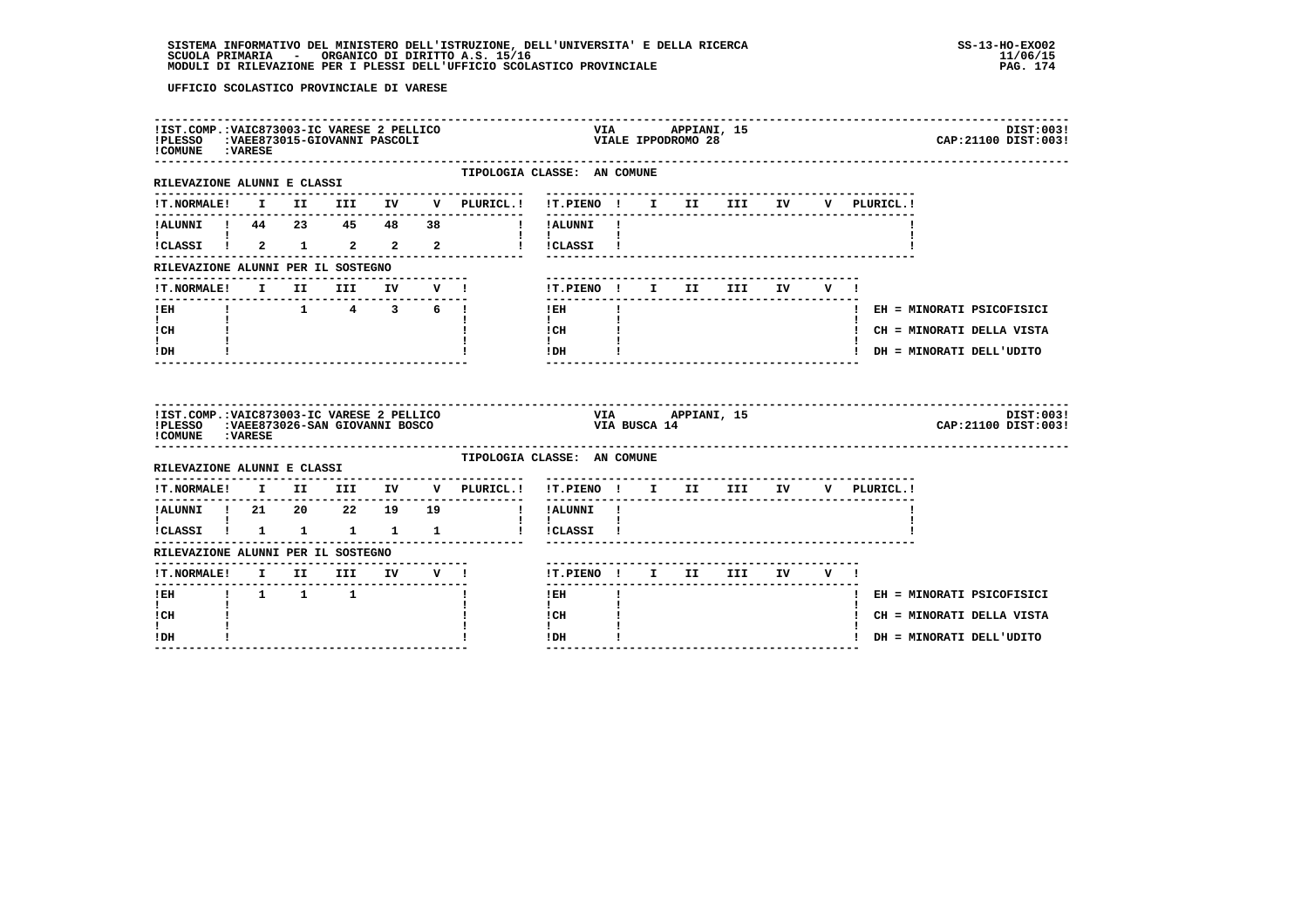# **SISTEMA INFORMATIVO DEL MINISTERO DELL'ISTRUZIONE, DELL'UNIVERSITA' E DELLA RICERCA SS-13-HO-EXO02 SCUOLA PRIMARIA - ORGANICO DI DIRITTO A.S. 15/16 11/06/15 MODULI DI RILEVAZIONE PER I PLESSI DELL'UFFICIO SCOLASTICO PROVINCIALE PAG. 174**

| !IST.COMP.: VAIC873003-IC VARESE 2 PELLICO<br>!PLESSO :VAEE873015-GIOVANNI PASCOLI<br>! COMUNE : VARESE  |  |                                                           |  |                                                                                        |                                                              |              | VIA APPIANI, 15<br>VIA<br>VIALE IPPODROMO 28 |                                |  |             | DIST:003!<br>CAP: 21100 DIST: 003! |
|----------------------------------------------------------------------------------------------------------|--|-----------------------------------------------------------|--|----------------------------------------------------------------------------------------|--------------------------------------------------------------|--------------|----------------------------------------------|--------------------------------|--|-------------|------------------------------------|
| --------------------<br>RILEVAZIONE ALUNNI E CLASSI                                                      |  |                                                           |  | TIPOLOGIA CLASSE: AN COMUNE<br>--------------                                          |                                                              |              |                                              |                                |  |             |                                    |
|                                                                                                          |  |                                                           |  | !T.NORMALE! I II III IV V PLURICL.! !T.PIENO ! I II III IV V PLURICL.!                 |                                                              |              |                                              |                                |  |             |                                    |
| !ALUNNI ! 44 23 45 48 38                                                                                 |  |                                                           |  | I IALUNNI I                                                                            |                                                              |              |                                              |                                |  |             |                                    |
| !CLASSI ! 2 1 2 2 2                                                                                      |  |                                                           |  |                                                                                        | I ICLASSI I                                                  |              |                                              |                                |  |             |                                    |
| RILEVAZIONE ALUNNI PER IL SOSTEGNO                                                                       |  |                                                           |  |                                                                                        |                                                              |              |                                              |                                |  |             |                                    |
|                                                                                                          |  |                                                           |  | !T.NORMALE! I II III IV V !                                                            | !T.PIENO! I II III IV V!                                     |              |                                              |                                |  |             |                                    |
| $!$ EH                                                                                                   |  | $1 \qquad 1 \qquad 4 \qquad 3 \qquad 6 \qquad 1$          |  |                                                                                        | $!$ EH                                                       | $\mathbf{I}$ |                                              |                                |  |             | ! EH = MINORATI PSICOFISICI        |
| $\mathbf{I}$ and $\mathbf{I}$<br>! CH                                                                    |  |                                                           |  |                                                                                        | $\mathbf{I}$ and $\mathbf{I}$<br>$\frac{1}{1}$ $\frac{1}{1}$ |              |                                              |                                |  |             | ! CH = MINORATI DELLA VISTA        |
|                                                                                                          |  |                                                           |  |                                                                                        | $IDH$ $I$                                                    |              |                                              |                                |  |             | ! DH = MINORATI DELL'UDITO         |
| ! DH                                                                                                     |  |                                                           |  |                                                                                        |                                                              |              |                                              |                                |  |             |                                    |
| !IST.COMP.:VAIC873003-IC VARESE 2 PELLICO<br>!PLESSO :VAEE873026-SAN GIOVANNI BOSCO<br>! COMUNE : VARESE |  |                                                           |  |                                                                                        | VIA BUSCA 14                                                 |              | VIA APPIANI, 15                              |                                |  |             | DIST:003!<br>CAP: 21100 DIST: 003! |
| RILEVAZIONE ALUNNI E CLASSI                                                                              |  |                                                           |  | TIPOLOGIA CLASSE: AN COMUNE                                                            |                                                              |              |                                              |                                |  |             |                                    |
|                                                                                                          |  |                                                           |  | $\verb !T.NORMALE! \quad I \quad II \quad III \quad IV \quad V \quad \verb PLURICL. !$ | !T.PIENO ! I II III IV                                       |              |                                              |                                |  | V PLURICL.! |                                    |
| !ALUNNI ! 21  20  22  19  19                                                                             |  |                                                           |  |                                                                                        | $- - - - - - -$<br>! !ALUNNI !                               |              |                                              | ------------------------------ |  |             |                                    |
| $\mathbf{I}$ and $\mathbf{I}$<br>!CLASSI ! 1 1 1 1 1                                                     |  |                                                           |  |                                                                                        | $\mathbf{1}$<br>! !CLASSI !                                  |              |                                              |                                |  |             |                                    |
| RILEVAZIONE ALUNNI PER IL SOSTEGNO                                                                       |  |                                                           |  |                                                                                        |                                                              |              |                                              |                                |  |             |                                    |
|                                                                                                          |  |                                                           |  |                                                                                        | !T.PIENO ! I II III IV V !                                   |              |                                              |                                |  |             |                                    |
| !T.NORMALE! I II III IV V !<br>$!$ EH                                                                    |  | $\begin{array}{cccccccccc} 1 & 1 & 1 & 1 & 1 \end{array}$ |  |                                                                                        | $!$ EH                                                       |              |                                              |                                |  |             | ! EH = MINORATI PSICOFISICI        |
| $\mathbf{I}$<br>! CH<br>$\mathbf{I}$                                                                     |  |                                                           |  |                                                                                        | $\mathbf{I}$<br>! CH<br>$\mathbf{I}$                         |              |                                              |                                |  |             | ! CH = MINORATI DELLA VISTA        |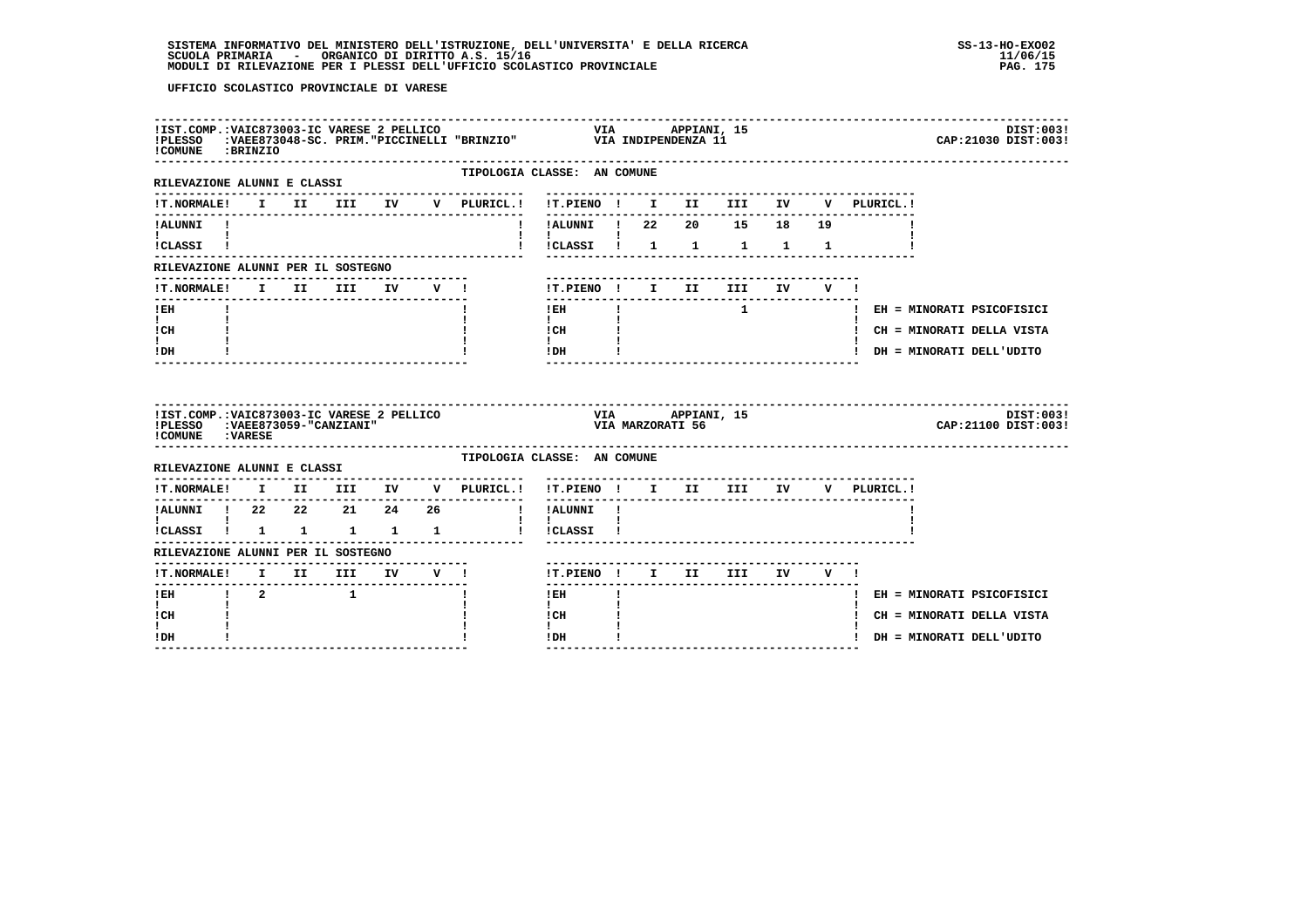| !COMUNE : BRINZIO                                                                               |  |                                 |    |         | IIST.COMP.:VAIC873003-IC VARESE 2 PELLICO                             VIA       APPIANI, 15<br>IPLESSO   :VAEE873048-SC. PRIM."PICCINELLI "BRINZIO"             VIA INDIPENDENZA 11 |                                                                                                                                                                                                                                                                                                                                                                             |  |                  |                                                                                               |             |                |                                    | DIST:003!<br>CAP: 21030 DIST: 003! |
|-------------------------------------------------------------------------------------------------|--|---------------------------------|----|---------|-------------------------------------------------------------------------------------------------------------------------------------------------------------------------------------|-----------------------------------------------------------------------------------------------------------------------------------------------------------------------------------------------------------------------------------------------------------------------------------------------------------------------------------------------------------------------------|--|------------------|-----------------------------------------------------------------------------------------------|-------------|----------------|------------------------------------|------------------------------------|
| ----------------------<br>RILEVAZIONE ALUNNI E CLASSI                                           |  |                                 |    |         | TIPOLOGIA CLASSE: AN COMUNE                                                                                                                                                         |                                                                                                                                                                                                                                                                                                                                                                             |  |                  |                                                                                               |             |                |                                    |                                    |
| !T.NORMALE!                                                                                     |  |                                 |    |         | I II III IV V PLURICL.!                                                                                                                                                             | !T.PIENO ! I II III IV                                                                                                                                                                                                                                                                                                                                                      |  |                  |                                                                                               |             |                | V PLURICL.!                        |                                    |
| !ALUNNI !                                                                                       |  |                                 |    |         |                                                                                                                                                                                     |                                                                                                                                                                                                                                                                                                                                                                             |  |                  |                                                                                               |             |                |                                    |                                    |
| I.<br>ICLASSI !                                                                                 |  |                                 |    |         |                                                                                                                                                                                     | $\mathbf{I}$                                                                                                                                                                                                                                                                                                                                                                |  |                  | !CLASSI ! 1 1 1 1 1                                                                           |             |                |                                    |                                    |
| RILEVAZIONE ALUNNI PER IL SOSTEGNO                                                              |  |                                 |    |         |                                                                                                                                                                                     |                                                                                                                                                                                                                                                                                                                                                                             |  |                  |                                                                                               |             |                |                                    |                                    |
| <b>!T.NORMALE!</b>                                                                              |  | I II III                        | IV | $V = 1$ |                                                                                                                                                                                     |                                                                                                                                                                                                                                                                                                                                                                             |  |                  | !T.PIENO ! I II III                                                                           | IV DOMESTIC | $\mathbf{v}$ 1 |                                    |                                    |
| ! EH                                                                                            |  |                                 |    |         |                                                                                                                                                                                     | $!$ EH                                                                                                                                                                                                                                                                                                                                                                      |  |                  | --------------------------<br>$\mathbf{1}$ and $\mathbf{1}$ and $\mathbf{1}$ and $\mathbf{1}$ |             |                |                                    | ! EH = MINORATI PSICOFISICI        |
| $\mathbf{I}$<br>! CH                                                                            |  |                                 |    |         |                                                                                                                                                                                     | $\mathbf{I}$ and $\mathbf{I}$<br>$ICH$ $\qquad$                                                                                                                                                                                                                                                                                                                             |  |                  |                                                                                               |             |                |                                    | ! CH = MINORATI DELLA VISTA        |
| $\mathbf{I}$                                                                                    |  |                                 |    |         |                                                                                                                                                                                     | $\mathbf{I}$ and $\mathbf{I}$<br>$!$ DH $\qquad$ $\qquad$ $\qquad$ $\qquad$ $\qquad$ $\qquad$ $\qquad$ $\qquad$ $\qquad$ $\qquad$ $\qquad$ $\qquad$ $\qquad$ $\qquad$ $\qquad$ $\qquad$ $\qquad$ $\qquad$ $\qquad$ $\qquad$ $\qquad$ $\qquad$ $\qquad$ $\qquad$ $\qquad$ $\qquad$ $\qquad$ $\qquad$ $\qquad$ $\qquad$ $\qquad$ $\qquad$ $\qquad$ $\qquad$ $\qquad$ $\qquad$ |  |                  |                                                                                               |             |                |                                    | ! DH = MINORATI DELL'UDITO         |
| ! DH                                                                                            |  |                                 |    |         |                                                                                                                                                                                     |                                                                                                                                                                                                                                                                                                                                                                             |  |                  |                                                                                               |             |                |                                    |                                    |
| !IST.COMP.:VAIC873003-IC VARESE 2 PELLICO<br>!PLESSO :VAEE873059-"CANZIANI"<br>!COMUNE : VARESE |  |                                 |    |         |                                                                                                                                                                                     |                                                                                                                                                                                                                                                                                                                                                                             |  | VIA MARZORATI 56 | VIA APPIANI, 15                                                                               |             |                |                                    | DIST:003!<br>CAP: 21100 DIST: 003! |
| RILEVAZIONE ALUNNI E CLASSI                                                                     |  |                                 |    |         | TIPOLOGIA CLASSE: AN COMUNE                                                                                                                                                         |                                                                                                                                                                                                                                                                                                                                                                             |  |                  |                                                                                               |             |                |                                    |                                    |
| <b>!T.NORMALE!</b>                                                                              |  | I II III IV                     |    |         | V PLURICL.!                                                                                                                                                                         |                                                                                                                                                                                                                                                                                                                                                                             |  |                  |                                                                                               |             |                | !T.PIENO ! I II III IV V PLURICL.! |                                    |
| !ALUNNI ! 22  22  21  24  26                                                                    |  |                                 |    |         | $\sim$ 1.                                                                                                                                                                           | ----------<br>!ALUNNI !                                                                                                                                                                                                                                                                                                                                                     |  |                  | ---------------------------------                                                             |             |                |                                    |                                    |
| $\mathbf{I}$ and $\mathbf{I}$ and $\mathbf{I}$<br>!CLASSI ! 1 1 1 1 1                           |  |                                 |    |         |                                                                                                                                                                                     | $\mathbf{I}$ $\mathbf{I}$<br>l ICLASSI I                                                                                                                                                                                                                                                                                                                                    |  |                  |                                                                                               |             |                |                                    |                                    |
| RILEVAZIONE ALUNNI PER IL SOSTEGNO                                                              |  |                                 |    |         |                                                                                                                                                                                     |                                                                                                                                                                                                                                                                                                                                                                             |  |                  |                                                                                               |             |                |                                    |                                    |
| !T.NORMALE! I II III IV V !                                                                     |  | ------------------------------- |    |         |                                                                                                                                                                                     | !T.PIENO ! I II III                                                                                                                                                                                                                                                                                                                                                         |  |                  |                                                                                               |             | IV V !         |                                    |                                    |
| ----------------                                                                                |  |                                 |    |         |                                                                                                                                                                                     | $!$ EH                                                                                                                                                                                                                                                                                                                                                                      |  |                  |                                                                                               |             |                |                                    | ! EH = MINORATI PSICOFISICI        |
| $\mathbf{I}$<br>! CH                                                                            |  |                                 |    |         |                                                                                                                                                                                     | $\mathbf{I}$<br>! CH                                                                                                                                                                                                                                                                                                                                                        |  |                  |                                                                                               |             |                |                                    | ! CH = MINORATI DELLA VISTA        |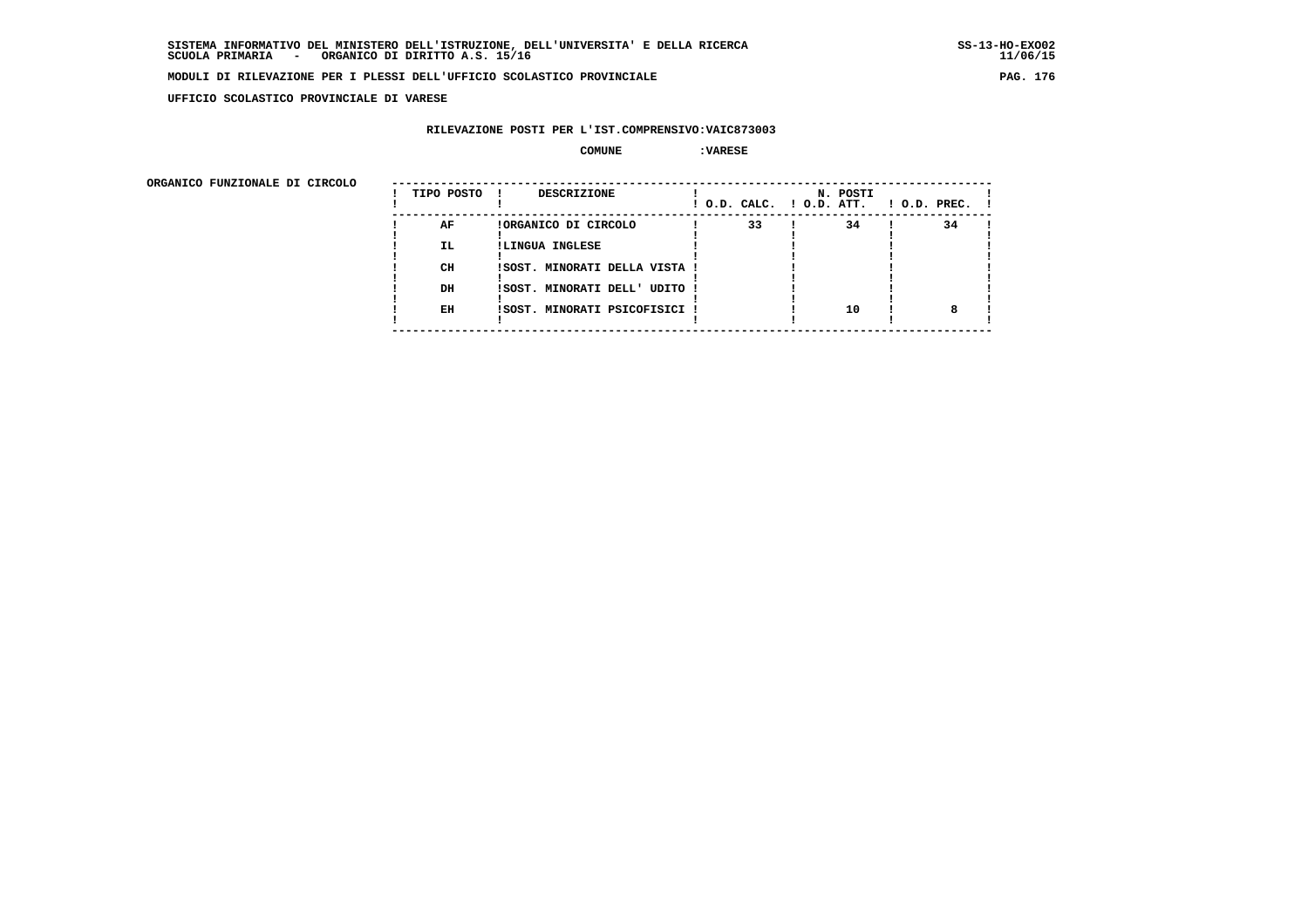**UFFICIO SCOLASTICO PROVINCIALE DI VARESE**

### **RILEVAZIONE POSTI PER L'IST.COMPRENSIVO:VAIC873003**

#### **COMUNE :VARESE**

ORGANICO FUNZIONALE DI CIRCOLO

| 33<br>34<br>AF<br>34<br>!ORGANICO DI CIRCOLO<br>IL.<br>!LINGUA INGLESE<br>CH<br>!SOST. MINORATI DELLA VISTA !<br>DH<br>ISOST. MINORATI DELL' UDITO !<br>10<br>EH<br>ISOST. MINORATI PSICOFISICI ! | ORGANICO FUNZIONALE DI CIRCOLO | TIPO POSTO | <b>DESCRIZIONE</b> |  | ! O.D. CALC. ! O.D. ATT. |  | N. POSTI |  | $1$ O.D. PREC. $1$ |  |
|---------------------------------------------------------------------------------------------------------------------------------------------------------------------------------------------------|--------------------------------|------------|--------------------|--|--------------------------|--|----------|--|--------------------|--|
|                                                                                                                                                                                                   |                                |            |                    |  |                          |  |          |  |                    |  |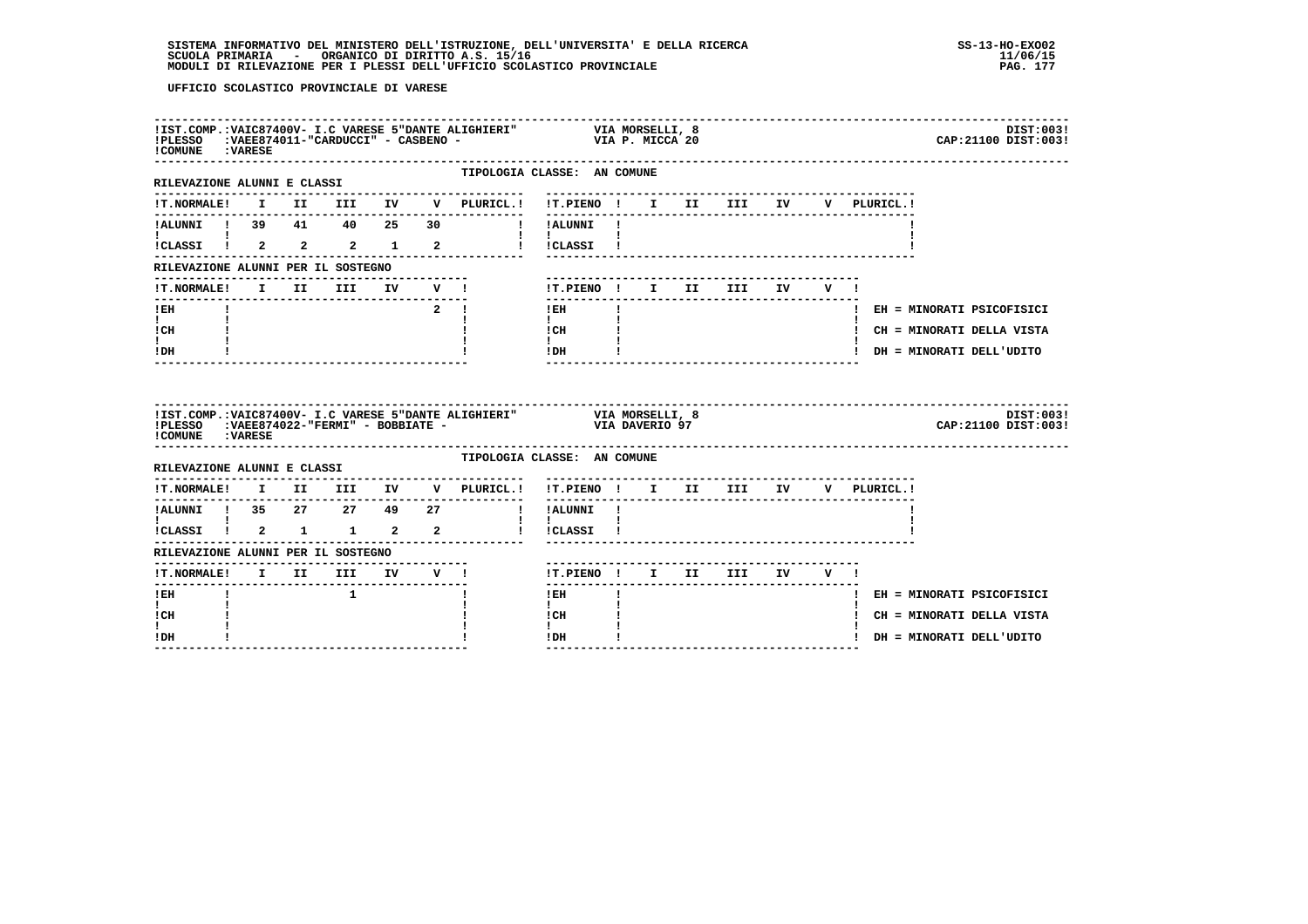| ! COMUNE : VARESE                                                     |  |              |  |                                                               |                                                                            | DIST:003!<br>CAP: 21100 DIST: 003! |
|-----------------------------------------------------------------------|--|--------------|--|---------------------------------------------------------------|----------------------------------------------------------------------------|------------------------------------|
| RILEVAZIONE ALUNNI E CLASSI                                           |  |              |  | ---------------                                               | TIPOLOGIA CLASSE: AN COMUNE<br>-------------------------------             |                                    |
|                                                                       |  |              |  |                                                               | !T.NORMALE! I II III IV V PLURICL.! !T.PIENO ! I II III IV<br>V PLURICL. ! |                                    |
|                                                                       |  |              |  | !ALUNNI ! 39 41 40 25 30 ! !ALUNNI !                          |                                                                            |                                    |
| $\mathbf{I}$ and $\mathbf{I}$ and $\mathbf{I}$<br>!CLASSI ! 2 2 2 1 2 |  |              |  | $\mathbf{1}$ $\mathbf{1}$                                     | ! !CLASSI !                                                                |                                    |
| RILEVAZIONE ALUNNI PER IL SOSTEGNO                                    |  |              |  |                                                               |                                                                            |                                    |
| !T.NORMALE!                                                           |  |              |  | I II III IV V !                                               | !T.PIENO! I II III IV V!                                                   |                                    |
| $!$ EH                                                                |  |              |  | $\overline{2}$ 1                                              | --------<br>$\mathbf{I}$<br>$1$ EH                                         | ! EH = MINORATI PSICOFISICI        |
| $\mathbf{I}$ and $\mathbf{I}$<br>! CH                                 |  |              |  |                                                               | $\mathbf{I}$<br>! CH                                                       | ! CH = MINORATI DELLA VISTA        |
| I.<br>! DH                                                            |  |              |  |                                                               | $\mathbf{I}$<br>! DH                                                       | ! DH = MINORATI DELL'UDITO         |
|                                                                       |  |              |  |                                                               | ________________________________                                           |                                    |
| ! COMUNE : VARESE                                                     |  |              |  |                                                               |                                                                            | DIST:003!<br>CAP: 21100 DIST: 003! |
| RILEVAZIONE ALUNNI E CLASSI                                           |  |              |  |                                                               | TIPOLOGIA CLASSE: AN COMUNE                                                |                                    |
|                                                                       |  |              |  |                                                               | !T.NORMALE! I II III IV V PLURICL.! !T.PIENO ! I II III IV V PLURICL.!     |                                    |
|                                                                       |  |              |  |                                                               | ------------------------------------                                       |                                    |
| <b>I</b> and the state of the state of<br>ICLASSI ! 2 1 1 2 2         |  |              |  | 1.<br>1. IALUNNI ! 35 27 27 49 27 ! !ALUNNI !<br>1. IALUNNI ! | $\mathbf{I}$<br>! !CLASSI !                                                |                                    |
| RILEVAZIONE ALUNNI PER IL SOSTEGNO                                    |  |              |  |                                                               |                                                                            |                                    |
| !T.NORMALE! I II III IV V !                                           |  |              |  |                                                               | !T.PIENO ! I II III IV V !                                                 |                                    |
| ! EH                                                                  |  | $\mathbf{1}$ |  |                                                               | ! EH                                                                       | ! EH = MINORATI PSICOFISICI        |
| $\mathbf{I}$<br>! CH<br>L                                             |  |              |  |                                                               | $\mathbf{I}$<br>! CH<br>$\mathbf{I}$                                       | ! CH = MINORATI DELLA VISTA        |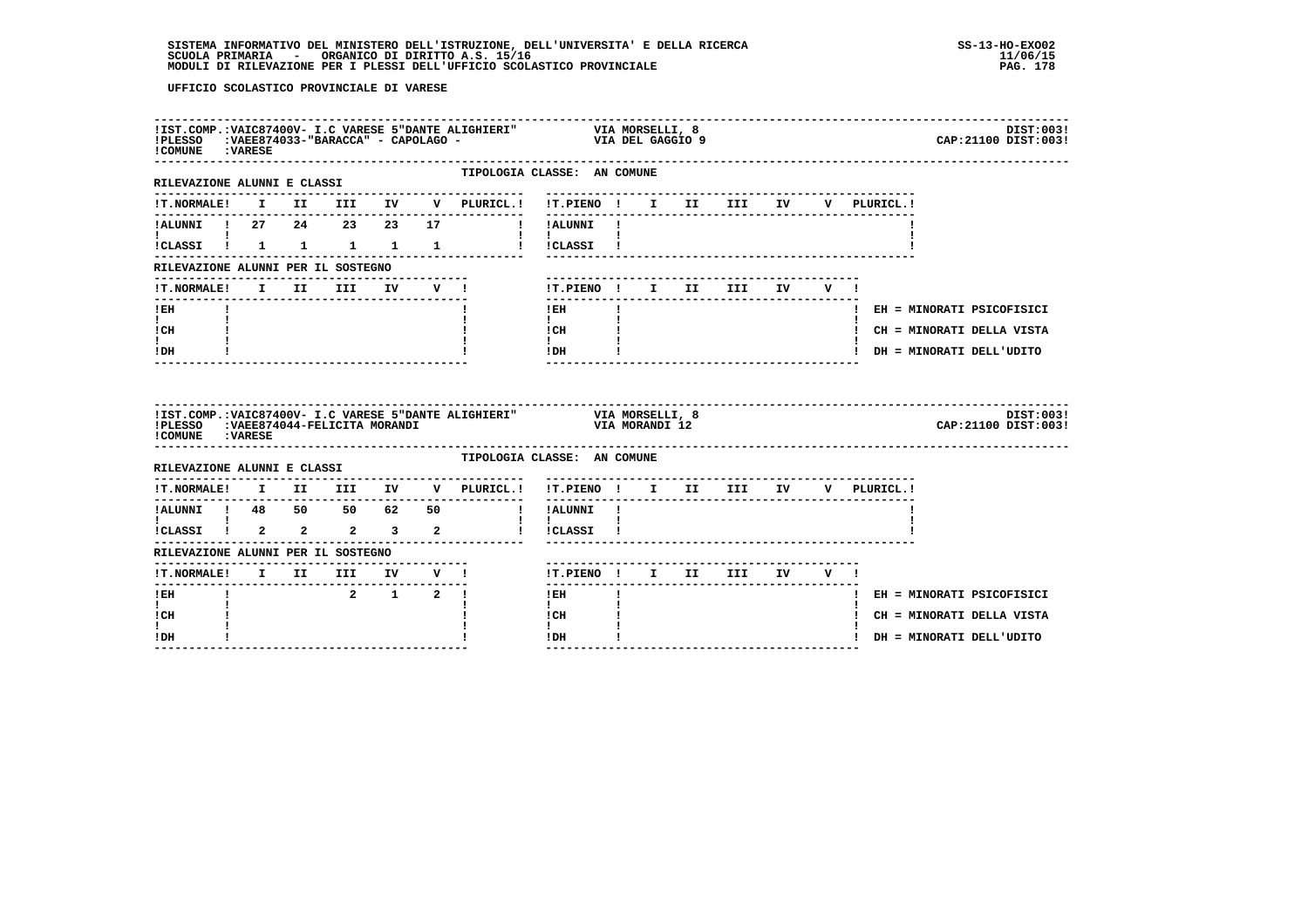| ! COMUNE : VARESE                      |  |         |  | !IST.COMP.:VAIC87400V- I.C VARESE 5"DANTE ALIGHIERI" VIA MORSELLI, 8<br>!PLESSO :VAEE874033-"BARACCA" - CAPOLAGO - VIA DEL GAGGIO 9 |                                                           |              |  |                                    |  |             | DIST:003!<br>CAP: 21100 DIST: 003! |
|----------------------------------------|--|---------|--|-------------------------------------------------------------------------------------------------------------------------------------|-----------------------------------------------------------|--------------|--|------------------------------------|--|-------------|------------------------------------|
| RILEVAZIONE ALUNNI E CLASSI            |  |         |  | ---------------                                                                                                                     | TIPOLOGIA CLASSE: AN COMUNE                               |              |  |                                    |  |             |                                    |
|                                        |  |         |  |                                                                                                                                     |                                                           |              |  |                                    |  | V PLURICL.! |                                    |
| <b>I</b> and the state of the state of |  |         |  |                                                                                                                                     | $\mathbf{I}$ and $\mathbf{I}$ and $\mathbf{I}$            |              |  |                                    |  |             |                                    |
|                                        |  |         |  | !CLASSI ! 1 1 1 1 1 1 ! !CLASSI !                                                                                                   |                                                           |              |  |                                    |  |             |                                    |
| RILEVAZIONE ALUNNI PER IL SOSTEGNO     |  |         |  | ---------------------                                                                                                               |                                                           |              |  |                                    |  |             |                                    |
|                                        |  |         |  | !T.NORMALE! I II III IV V !                                                                                                         | !T.PIENO! I II III IV V!                                  |              |  |                                    |  |             |                                    |
| $!$ EH                                 |  |         |  |                                                                                                                                     | $!$ EH                                                    | $\mathbf{I}$ |  |                                    |  |             | ! EH = MINORATI PSICOFISICI        |
| $\mathbf{I}$ and $\mathbf{I}$<br>! CH  |  |         |  |                                                                                                                                     | $\mathbf{I}$<br>$\frac{1}{1}$ $\frac{1}{1}$ $\frac{1}{1}$ |              |  |                                    |  |             | ! CH = MINORATI DELLA VISTA        |
| t i<br>! DH                            |  |         |  |                                                                                                                                     | IDH                                                       |              |  | __________________________________ |  |             | ! DH = MINORATI DELL'UDITO         |
| ! COMUNE : VARESE                      |  |         |  |                                                                                                                                     |                                                           |              |  |                                    |  |             | DIST:003!<br>CAP: 21100 DIST: 003! |
| RILEVAZIONE ALUNNI E CLASSI            |  |         |  | TIPOLOGIA CLASSE: AN COMUNE                                                                                                         |                                                           |              |  |                                    |  |             |                                    |
|                                        |  |         |  | !T.NORMALE! I II III IV V PLURICL.! !T.PIENO ! I II III IV V PLURICL.!                                                              | ________                                                  |              |  |                                    |  |             |                                    |
|                                        |  |         |  |                                                                                                                                     |                                                           |              |  |                                    |  |             |                                    |
|                                        |  |         |  |                                                                                                                                     |                                                           |              |  |                                    |  |             |                                    |
| RILEVAZIONE ALUNNI PER IL SOSTEGNO     |  |         |  |                                                                                                                                     |                                                           |              |  |                                    |  |             |                                    |
|                                        |  |         |  |                                                                                                                                     | !T.PIENO ! I II III IV V !                                |              |  |                                    |  |             |                                    |
|                                        |  |         |  |                                                                                                                                     |                                                           |              |  |                                    |  |             |                                    |
| $I$ EH                                 |  | 2 1 2 1 |  |                                                                                                                                     | $!$ EH                                                    |              |  |                                    |  |             | ! EH = MINORATI PSICOFISICI        |
| I.<br>! CH<br>I.                       |  |         |  |                                                                                                                                     | $\mathbf{I}$<br>! CH<br>$\mathbf{I}$                      |              |  |                                    |  |             | ! CH = MINORATI DELLA VISTA        |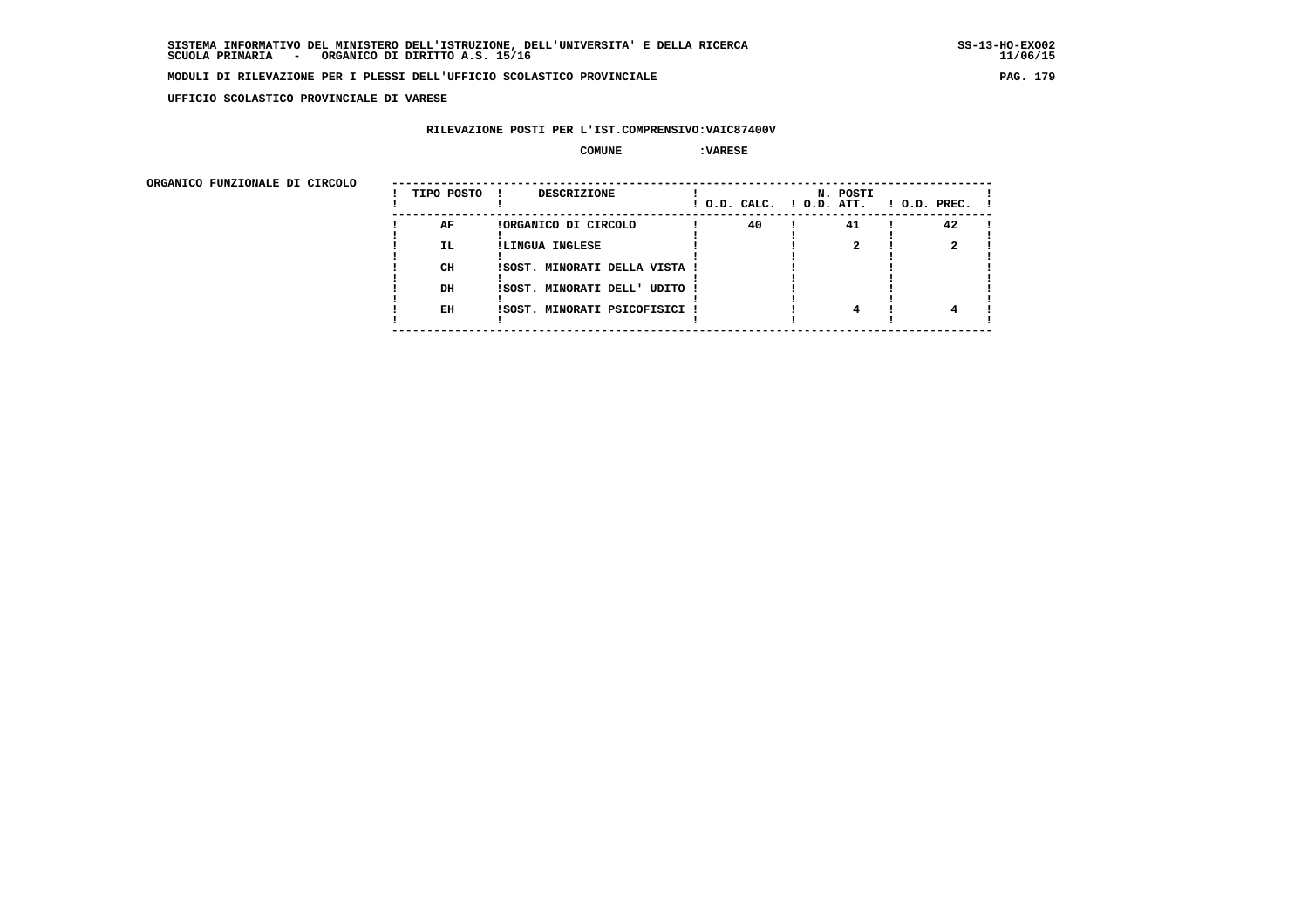**UFFICIO SCOLASTICO PROVINCIALE DI VARESE**

### **RILEVAZIONE POSTI PER L'IST.COMPRENSIVO:VAIC87400V**

#### **COMUNE :VARESE**

| ORGANICO FUNZIONALE DI CIRCOLO |            |                               |                          |          |                    |
|--------------------------------|------------|-------------------------------|--------------------------|----------|--------------------|
|                                | TIPO POSTO | DESCRIZIONE                   | ! O.D. CALC. ! O.D. ATT. | N. POSTI | $1$ O.D. PREC. $1$ |
|                                | AF         | !ORGANICO DI CIRCOLO          | 40                       | 41       | 42                 |
|                                | IL.        | !LINGUA INGLESE               |                          |          |                    |
|                                | CH         | !SOST. MINORATI DELLA VISTA ! |                          |          |                    |
|                                | DH         | !SOST. MINORATI DELL' UDITO ! |                          |          |                    |
|                                | EH         | !SOST. MINORATI PSICOFISICI ! |                          | 4        |                    |
|                                |            |                               |                          |          |                    |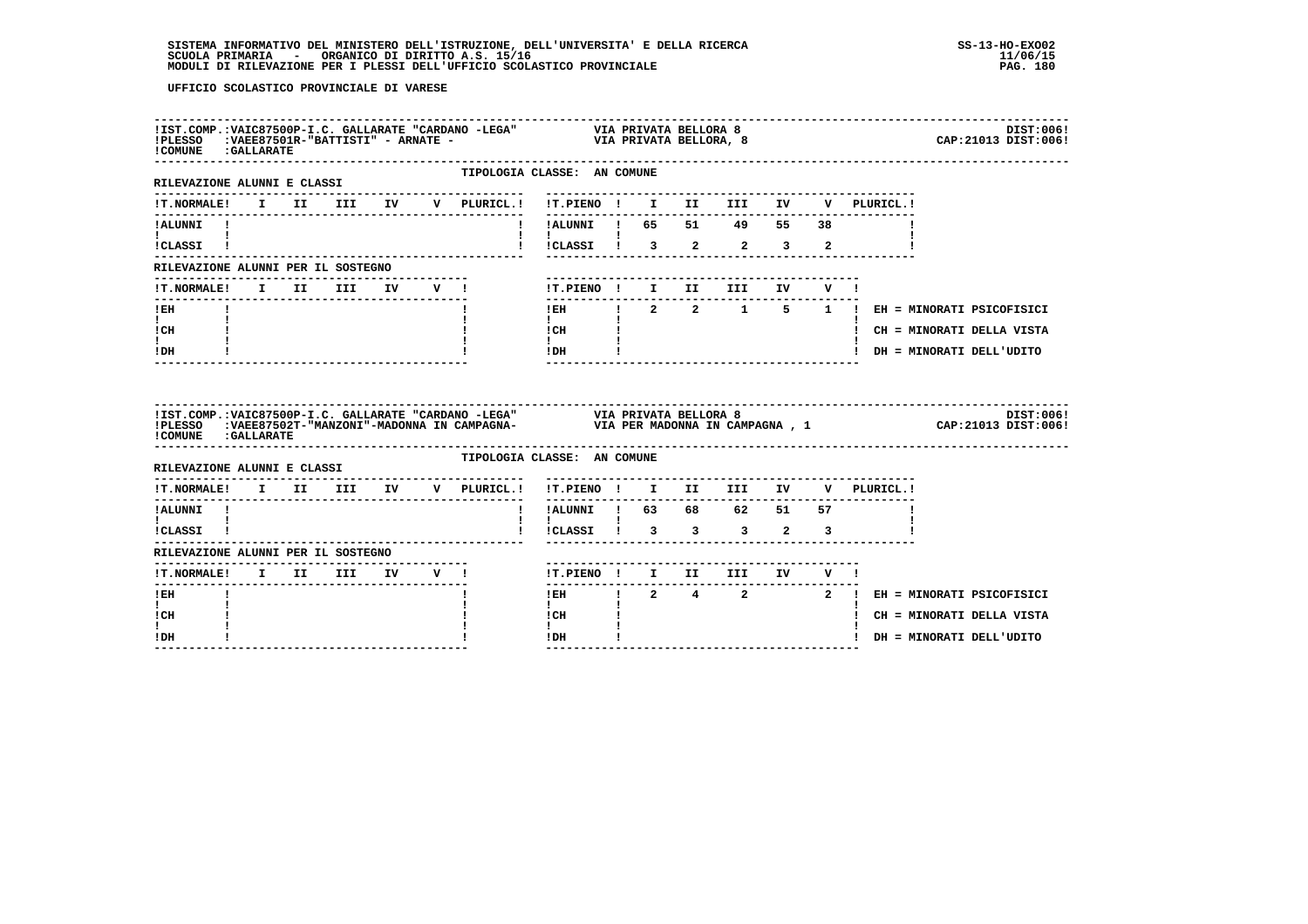| ! COMUNE : GALLARATE                                        |  |  |                                    |                             |                                            |  |                           |                                      |  |                                             | DIST:006!<br>CAP: 21013 DIST: 006! |
|-------------------------------------------------------------|--|--|------------------------------------|-----------------------------|--------------------------------------------|--|---------------------------|--------------------------------------|--|---------------------------------------------|------------------------------------|
| RILEVAZIONE ALUNNI E CLASSI                                 |  |  |                                    | TIPOLOGIA CLASSE: AN COMUNE |                                            |  |                           |                                      |  |                                             |                                    |
|                                                             |  |  |                                    |                             |                                            |  |                           |                                      |  |                                             |                                    |
| ! ALUNNI!<br>$\mathbf{I}$ and $\mathbf{I}$ and $\mathbf{I}$ |  |  |                                    |                             | ! !ALUNNI ! 65 51 49 55 38                 |  |                           |                                      |  |                                             |                                    |
| !CLASSI !                                                   |  |  |                                    |                             | !!CLASSI! 3 2 2 3 2                        |  |                           |                                      |  |                                             |                                    |
| RILEVAZIONE ALUNNI PER IL SOSTEGNO                          |  |  |                                    |                             |                                            |  |                           |                                      |  |                                             |                                    |
| !T.NORMALE! I II III IV V !                                 |  |  |                                    |                             |                                            |  |                           | !T.PIENO! I II III IV V!             |  |                                             |                                    |
| ! EH                                                        |  |  | --------------------------------   |                             |                                            |  | ------------------------- |                                      |  | IEH ! 2 2 1 5 1 ! EH = MINORATI PSICOFISICI |                                    |
| $\mathbf{I}$ and $\mathbf{I}$<br>! CH                       |  |  |                                    |                             | $\mathbf{I}$<br>$ICH$ $\qquad$             |  |                           |                                      |  | ! CH = MINORATI DELLA VISTA                 |                                    |
| ! DH                                                        |  |  |                                    |                             | $\mathbf{I}$ and $\mathbf{I}$<br>$IDH$ $I$ |  |                           |                                      |  | ! DH = MINORATI DELL'UDITO                  |                                    |
| ! COMUNE : GALLARATE                                        |  |  |                                    |                             |                                            |  |                           |                                      |  |                                             |                                    |
| RILEVAZIONE ALUNNI E CLASSI                                 |  |  |                                    | TIPOLOGIA CLASSE: AN COMUNE |                                            |  |                           |                                      |  |                                             |                                    |
| !T.NORMALE! I II III IV V PLURICL.! !T.PIENO ! I II III IV  |  |  | ---------------------------------- |                             |                                            |  |                           |                                      |  | V PLURICL.!                                 |                                    |
| !ALUNNI !                                                   |  |  |                                    |                             | ! !ALUNNI ! 63 68 62 51 57                 |  |                           |                                      |  |                                             |                                    |
| $\mathbf{I}$ and $\mathbf{I}$ and $\mathbf{I}$<br>!CLASSI ! |  |  |                                    |                             | $\mathbf{I}$                               |  |                           | !CLASSI ! 3 3 3 2 3                  |  |                                             |                                    |
| RILEVAZIONE ALUNNI PER IL SOSTEGNO                          |  |  |                                    |                             |                                            |  |                           | ------------------------------------ |  |                                             |                                    |
| <b>!T.NORMALE!</b><br>-------                               |  |  | I II III IV V !                    |                             | ------                                     |  |                           | !T.PIENO ! I II III IV V !           |  |                                             |                                    |
| $!$ EH                                                      |  |  |                                    |                             |                                            |  |                           |                                      |  | IEH 1 2 4 2 2 1 EH = MINORATI PSICOFISICI   |                                    |
| $\mathbf{I}$<br>! CH                                        |  |  |                                    |                             | $\mathbf{I}$<br>! CH                       |  |                           |                                      |  | ! CH = MINORATI DELLA VISTA                 |                                    |
| ! DH                                                        |  |  |                                    |                             | ! DH                                       |  |                           |                                      |  | ! DH = MINORATI DELL'UDITO                  |                                    |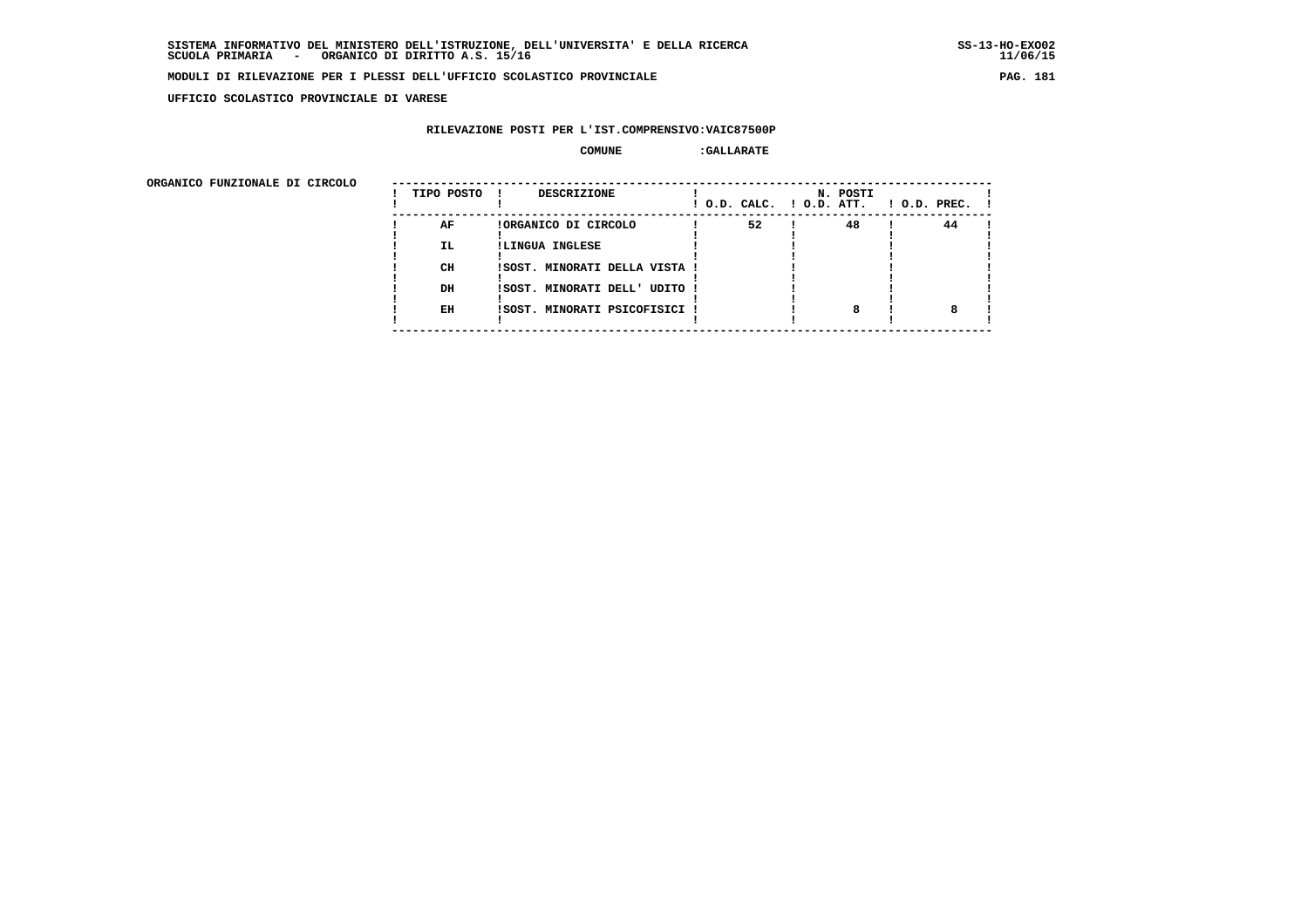**UFFICIO SCOLASTICO PROVINCIALE DI VARESE**

# **RILEVAZIONE POSTI PER L'IST.COMPRENSIVO:VAIC87500P**

| ORGANICO FUNZIONALE DI CIRCOLO |            |                               |                          |          |                    |
|--------------------------------|------------|-------------------------------|--------------------------|----------|--------------------|
|                                | TIPO POSTO | DESCRIZIONE                   | ! O.D. CALC. ! O.D. ATT. | N. POSTI | $1$ O.D. PREC. $1$ |
|                                | AF         | !ORGANICO DI CIRCOLO          | 52                       | 48       | 44                 |
|                                | IL.        | !LINGUA INGLESE               |                          |          |                    |
|                                | CH         | ISOST. MINORATI DELLA VISTA ! |                          |          |                    |
|                                | DH         | !SOST. MINORATI DELL' UDITO ! |                          |          |                    |
|                                | EH         | !SOST. MINORATI PSICOFISICI ! |                          | 8        |                    |
|                                |            |                               |                          |          |                    |
|                                |            |                               |                          |          |                    |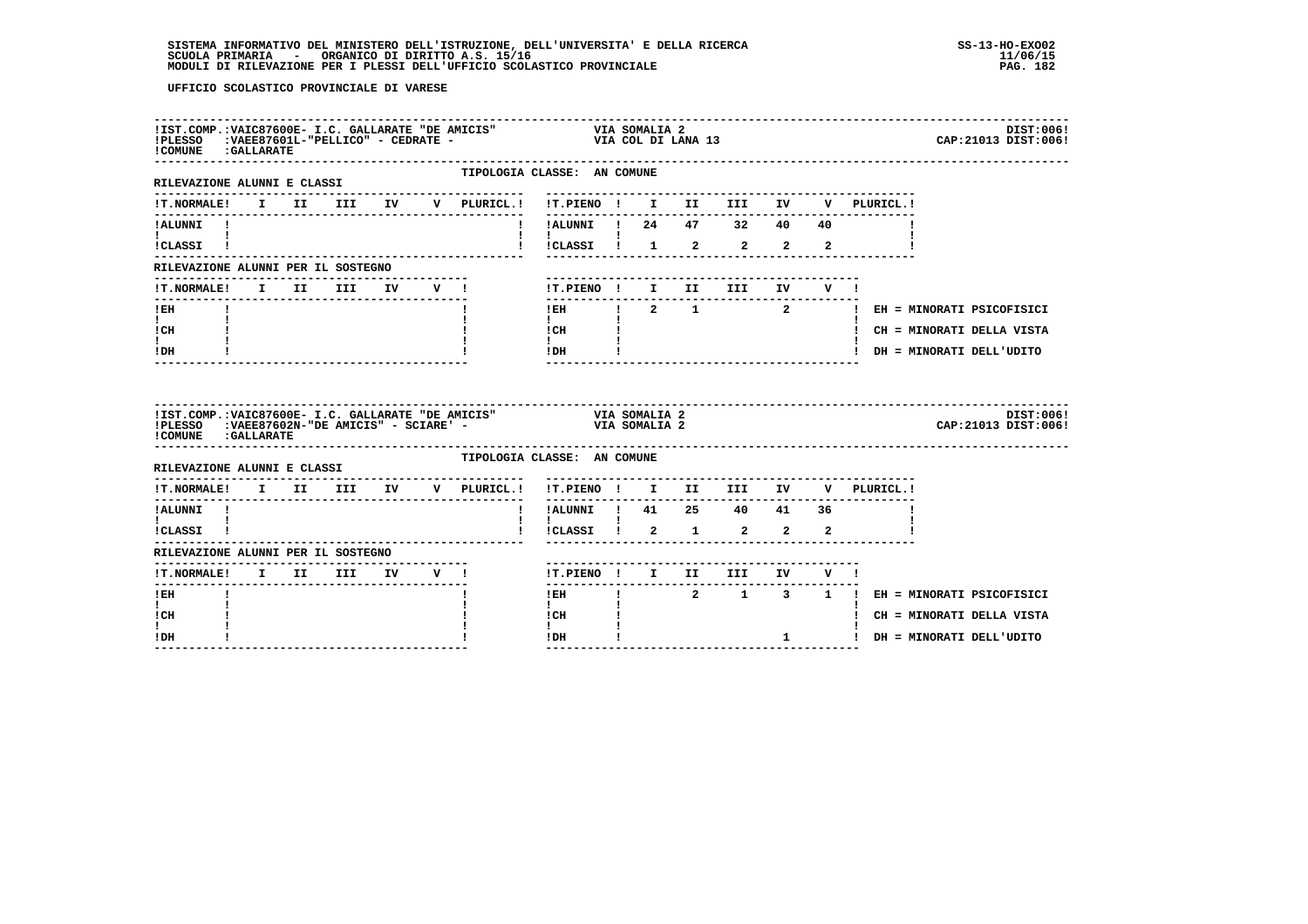| ! COMUNE : GALLARATE                                                                                                                                 |  |                                     |  | IIST.COMP.:VAIC87600E- I.C. GALLARATE "DE AMICIS" VIA SOMALIA 2<br>IPLESSO :VAEE87601L-"PELLICO" - CEDRATE - VIA COL DI LANA 13 |                               |                                                                                                                                                                                                                                                                                                                                                        |  |                                                                   |  |                                                                                                        | DIST:006!<br>CAP: 21013 DIST: 006! |
|------------------------------------------------------------------------------------------------------------------------------------------------------|--|-------------------------------------|--|---------------------------------------------------------------------------------------------------------------------------------|-------------------------------|--------------------------------------------------------------------------------------------------------------------------------------------------------------------------------------------------------------------------------------------------------------------------------------------------------------------------------------------------------|--|-------------------------------------------------------------------|--|--------------------------------------------------------------------------------------------------------|------------------------------------|
| RILEVAZIONE ALUNNI E CLASSI                                                                                                                          |  |                                     |  | TIPOLOGIA CLASSE: AN COMUNE<br>--------------                                                                                   |                               |                                                                                                                                                                                                                                                                                                                                                        |  |                                                                   |  |                                                                                                        |                                    |
| <b>!T.NORMALE!</b>                                                                                                                                   |  |                                     |  |                                                                                                                                 |                               |                                                                                                                                                                                                                                                                                                                                                        |  |                                                                   |  |                                                                                                        |                                    |
| ! ALUNNI!<br><b>I</b> and the state of the state of<br>ICLASSI !                                                                                     |  |                                     |  | $\mathbf{I}$                                                                                                                    |                               |                                                                                                                                                                                                                                                                                                                                                        |  | !ALUNNI ! 24 47 32 40 40<br>! !CLASSI ! 1 2 2 2 2                 |  |                                                                                                        |                                    |
| RILEVAZIONE ALUNNI PER IL SOSTEGNO                                                                                                                   |  |                                     |  |                                                                                                                                 |                               |                                                                                                                                                                                                                                                                                                                                                        |  |                                                                   |  |                                                                                                        |                                    |
| !T.NORMALE! I II III IV V !                                                                                                                          |  |                                     |  |                                                                                                                                 |                               |                                                                                                                                                                                                                                                                                                                                                        |  | !T.PIENO! I II III IV V!                                          |  |                                                                                                        |                                    |
| $!$ EH<br>$\mathbf{I}$ and $\mathbf{I}$<br>! CH<br>I.<br>! DH                                                                                        |  |                                     |  |                                                                                                                                 | $\mathbf{I}$<br>$\mathbf{I}$  | $ICH$ $\qquad$ $\qquad$ $\qquad$ $\qquad$ $\qquad$ $\qquad$ $\qquad$ $\qquad$ $\qquad$ $\qquad$ $\qquad$ $\qquad$ $\qquad$ $\qquad$ $\qquad$ $\qquad$ $\qquad$ $\qquad$ $\qquad$ $\qquad$ $\qquad$ $\qquad$ $\qquad$ $\qquad$ $\qquad$ $\qquad$ $\qquad$ $\qquad$ $\qquad$ $\qquad$ $\qquad$ $\qquad$ $\qquad$ $\qquad$ $\qquad$ $\qquad$<br>$IDH$ $I$ |  |                                                                   |  | IEH ! 2 1 2 2 ! EH = MINORATI PSICOFISICI<br>! CH = MINORATI DELLA VISTA<br>! DH = MINORATI DELL'UDITO |                                    |
| IIST.COMP.:VAIC87600E- I.C. GALLARATE "DE AMICIS" VIA SOMALIA 2<br>IPLESSO :VAEE87602N-"DE AMICIS" - SCIARE' - VIA SOMALIA 2<br>! COMUNE : GALLARATE |  |                                     |  |                                                                                                                                 |                               |                                                                                                                                                                                                                                                                                                                                                        |  |                                                                   |  |                                                                                                        | DIST:006!<br>CAP: 21013 DIST: 006! |
| RILEVAZIONE ALUNNI E CLASSI                                                                                                                          |  |                                     |  | TIPOLOGIA CLASSE: AN COMUNE                                                                                                     |                               |                                                                                                                                                                                                                                                                                                                                                        |  |                                                                   |  |                                                                                                        |                                    |
|                                                                                                                                                      |  | ----------------------------------- |  | !T.NORMALE! I II III IV V PLURICL.!                                                                                             |                               |                                                                                                                                                                                                                                                                                                                                                        |  | -----------------------------------<br>!T.PIENO ! I II III IV     |  | V PLURICL.!                                                                                            |                                    |
| !ALUNNI !                                                                                                                                            |  |                                     |  |                                                                                                                                 |                               |                                                                                                                                                                                                                                                                                                                                                        |  | . _ _ _ _ _ _ _ _ _ _ _ _ _ _ _ _ _<br>! !ALUNNI ! 41 25 40 41 36 |  |                                                                                                        |                                    |
| $\mathbf{I}$ and $\mathbf{I}$ and $\mathbf{I}$<br>!CLASSI !                                                                                          |  |                                     |  |                                                                                                                                 | $1 \quad 1 \quad$             |                                                                                                                                                                                                                                                                                                                                                        |  | !!CLASSI! 2 1 2 2 2                                               |  |                                                                                                        |                                    |
| RILEVAZIONE ALUNNI PER IL SOSTEGNO                                                                                                                   |  |                                     |  |                                                                                                                                 |                               |                                                                                                                                                                                                                                                                                                                                                        |  |                                                                   |  |                                                                                                        |                                    |
| ! T. NORMALE!                                                                                                                                        |  | I II III IV V !                     |  |                                                                                                                                 |                               | --------------                                                                                                                                                                                                                                                                                                                                         |  | ----------------------------<br>!T.PIENO ! I II III IV V !        |  |                                                                                                        |                                    |
| $!$ EH                                                                                                                                               |  |                                     |  |                                                                                                                                 |                               |                                                                                                                                                                                                                                                                                                                                                        |  |                                                                   |  | IEH ! 2 1 3 1 ! EH = MINORATI PSICOFISICI                                                              |                                    |
| $\mathbf{I}$<br>! CH                                                                                                                                 |  |                                     |  |                                                                                                                                 | $\mathbf{I}$ and $\mathbf{I}$ | ICH                                                                                                                                                                                                                                                                                                                                                    |  |                                                                   |  | ! CH = MINORATI DELLA VISTA                                                                            |                                    |
| ! DH                                                                                                                                                 |  |                                     |  |                                                                                                                                 | $\mathbf{I}$<br>! DH          | --------                                                                                                                                                                                                                                                                                                                                               |  |                                                                   |  | 1 JULIE DH = MINORATI DELL'UDITO                                                                       |                                    |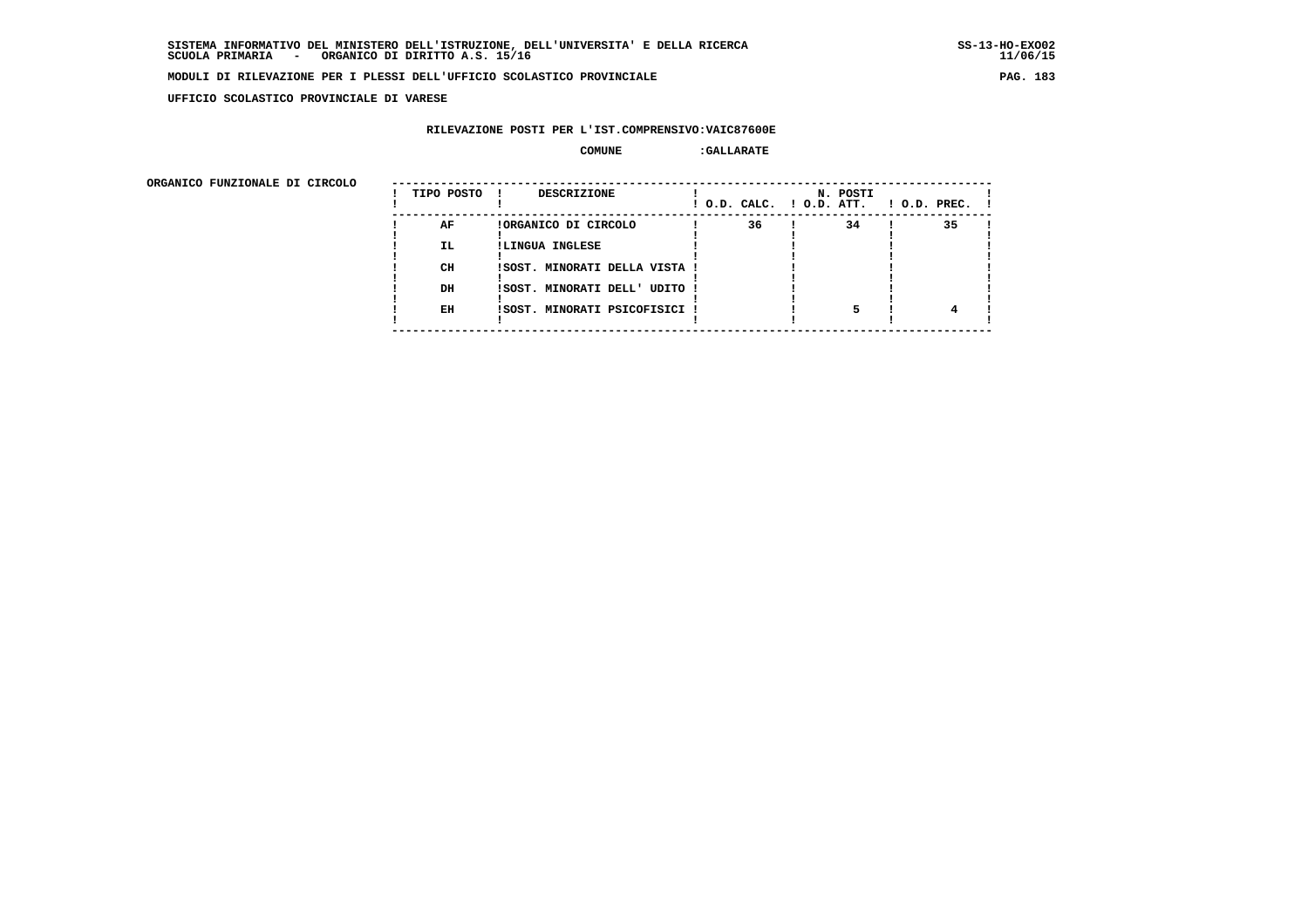**UFFICIO SCOLASTICO PROVINCIALE DI VARESE**

# **RILEVAZIONE POSTI PER L'IST.COMPRENSIVO:VAIC87600E**

| ORGANICO FUNZIONALE DI CIRCOLO |            |                               |                          |          |                    |
|--------------------------------|------------|-------------------------------|--------------------------|----------|--------------------|
|                                | TIPO POSTO | DESCRIZIONE                   | ! O.D. CALC. ! O.D. ATT. | N. POSTI | $1$ O.D. PREC. $1$ |
|                                | AF         | !ORGANICO DI CIRCOLO          | 36                       | 34       | 35                 |
|                                | IL.        | !LINGUA INGLESE               |                          |          |                    |
|                                | CH         | ISOST. MINORATI DELLA VISTA ! |                          |          |                    |
|                                | DH         | !SOST. MINORATI DELL' UDITO ! |                          |          |                    |
|                                | EH         | !SOST. MINORATI PSICOFISICI ! |                          |          |                    |
|                                |            |                               |                          |          |                    |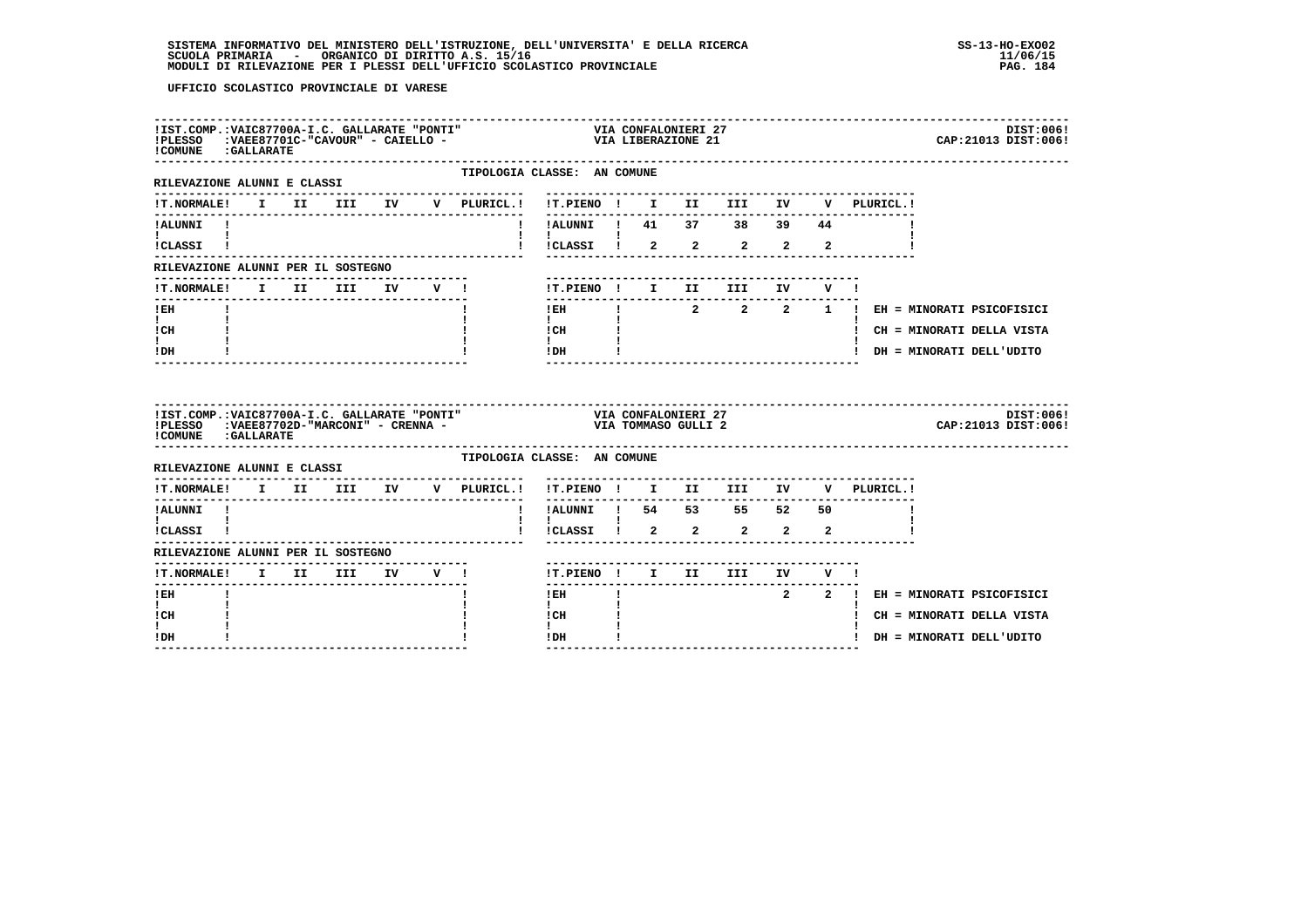| ! COMUNE : GALLARATE                                                                                                                                                                          |  |                          |  |                             |                                                                                                                                                                                                                                                                                                                                                                             |  |                                |             |                |  | DIST:006!<br>CAP: 21013 DIST: 006!    |
|-----------------------------------------------------------------------------------------------------------------------------------------------------------------------------------------------|--|--------------------------|--|-----------------------------|-----------------------------------------------------------------------------------------------------------------------------------------------------------------------------------------------------------------------------------------------------------------------------------------------------------------------------------------------------------------------------|--|--------------------------------|-------------|----------------|--|---------------------------------------|
| RILEVAZIONE ALUNNI E CLASSI                                                                                                                                                                   |  |                          |  | TIPOLOGIA CLASSE: AN COMUNE |                                                                                                                                                                                                                                                                                                                                                                             |  |                                |             |                |  |                                       |
| !T.NORMALE! I II III IV V PLURICL.! !T.PIENO ! I II III IV V PLURICL.!                                                                                                                        |  |                          |  |                             |                                                                                                                                                                                                                                                                                                                                                                             |  |                                |             |                |  |                                       |
| !ALUNNI !                                                                                                                                                                                     |  |                          |  |                             | -----------<br>!ALUNNI ! 41 37 38 39 44                                                                                                                                                                                                                                                                                                                                     |  |                                |             |                |  |                                       |
| $\mathbf{I}$ and $\mathbf{I}$ and $\mathbf{I}$<br>!CLASSI !                                                                                                                                   |  |                          |  |                             | !CLASSI ! 2                                                                                                                                                                                                                                                                                                                                                                 |  | $2 \qquad 2 \qquad 2 \qquad 2$ |             |                |  |                                       |
| RILEVAZIONE ALUNNI PER IL SOSTEGNO                                                                                                                                                            |  |                          |  |                             |                                                                                                                                                                                                                                                                                                                                                                             |  |                                |             |                |  |                                       |
| !T.NORMALE!                                                                                                                                                                                   |  | I II III IV V !          |  |                             | !T.PIENO ! I II                                                                                                                                                                                                                                                                                                                                                             |  | <b>III</b>                     | IV DOMESTIC | V I            |  |                                       |
| ! EH                                                                                                                                                                                          |  |                          |  |                             | -------------------------<br>$1$ EH                                                                                                                                                                                                                                                                                                                                         |  |                                |             |                |  | ! 2 2 2 1 ! EH = MINORATI PSICOFISICI |
| $\mathbf{I}$ and $\mathbf{I}$<br>! CH                                                                                                                                                         |  |                          |  |                             | $\mathbf{I}$<br>ICH                                                                                                                                                                                                                                                                                                                                                         |  |                                |             |                |  | ! CH = MINORATI DELLA VISTA           |
| I.<br>! DH                                                                                                                                                                                    |  |                          |  |                             | $\mathbf{I}$ and $\mathbf{I}$<br>$1$ DH $\qquad$ $\qquad$ $\qquad$ $\qquad$ $\qquad$ $\qquad$ $\qquad$ $\qquad$ $\qquad$ $\qquad$ $\qquad$ $\qquad$ $\qquad$ $\qquad$ $\qquad$ $\qquad$ $\qquad$ $\qquad$ $\qquad$ $\qquad$ $\qquad$ $\qquad$ $\qquad$ $\qquad$ $\qquad$ $\qquad$ $\qquad$ $\qquad$ $\qquad$ $\qquad$ $\qquad$ $\qquad$ $\qquad$ $\qquad$ $\qquad$ $\qquad$ |  |                                |             |                |  | ! DH = MINORATI DELL'UDITO            |
|                                                                                                                                                                                               |  |                          |  |                             |                                                                                                                                                                                                                                                                                                                                                                             |  | -----------------------        |             |                |  |                                       |
| IIST.COMP.:VAIC87700A-I.C. GALLARATE "PONTI"<br>>>>> VIA CONFALONIERI 27<br>IPLESSO   :VAEE87702D-"MARCONI" - CRENNA -                            VIA TOMMASO GULLI 2<br>! COMUNE : GALLARATE |  |                          |  |                             |                                                                                                                                                                                                                                                                                                                                                                             |  |                                |             |                |  | DIST:006!<br>CAP: 21013 DIST: 006!    |
| RILEVAZIONE ALUNNI E CLASSI                                                                                                                                                                   |  |                          |  | TIPOLOGIA CLASSE: AN COMUNE |                                                                                                                                                                                                                                                                                                                                                                             |  |                                |             |                |  |                                       |
| !T.NORMALE! I II III IV V PLURICL.! !T.PIENO ! I II III IV V PLURICL.!                                                                                                                        |  | ------------------------ |  | ---------------             |                                                                                                                                                                                                                                                                                                                                                                             |  |                                |             |                |  |                                       |
| ---------------<br>!ALUNNI !                                                                                                                                                                  |  |                          |  |                             | -------<br>! !ALUNNI ! 54 53 55 52 50                                                                                                                                                                                                                                                                                                                                       |  |                                |             |                |  |                                       |
| $\mathbf{I}$ and $\mathbf{I}$ and $\mathbf{I}$<br>!CLASSI !                                                                                                                                   |  |                          |  |                             | $\mathbf{I}$<br>!CLASSI ! 2 2 2 2                                                                                                                                                                                                                                                                                                                                           |  |                                |             | $\overline{2}$ |  |                                       |
| RILEVAZIONE ALUNNI PER IL SOSTEGNO                                                                                                                                                            |  |                          |  |                             |                                                                                                                                                                                                                                                                                                                                                                             |  |                                |             |                |  |                                       |
|                                                                                                                                                                                               |  |                          |  |                             | !T.PIENO ! I II III IV V !                                                                                                                                                                                                                                                                                                                                                  |  |                                |             |                |  |                                       |
| !T.NORMALE! I II III IV V !<br>! EH                                                                                                                                                           |  |                          |  |                             | ------<br>! EH                                                                                                                                                                                                                                                                                                                                                              |  |                                |             |                |  | 2 2 ! EH = MINORATI PSICOFISICI       |
| $\mathbf{I}$<br>! CH<br>I.                                                                                                                                                                    |  |                          |  |                             | $\mathbf{I}$<br>! CH                                                                                                                                                                                                                                                                                                                                                        |  |                                |             |                |  | ! CH = MINORATI DELLA VISTA           |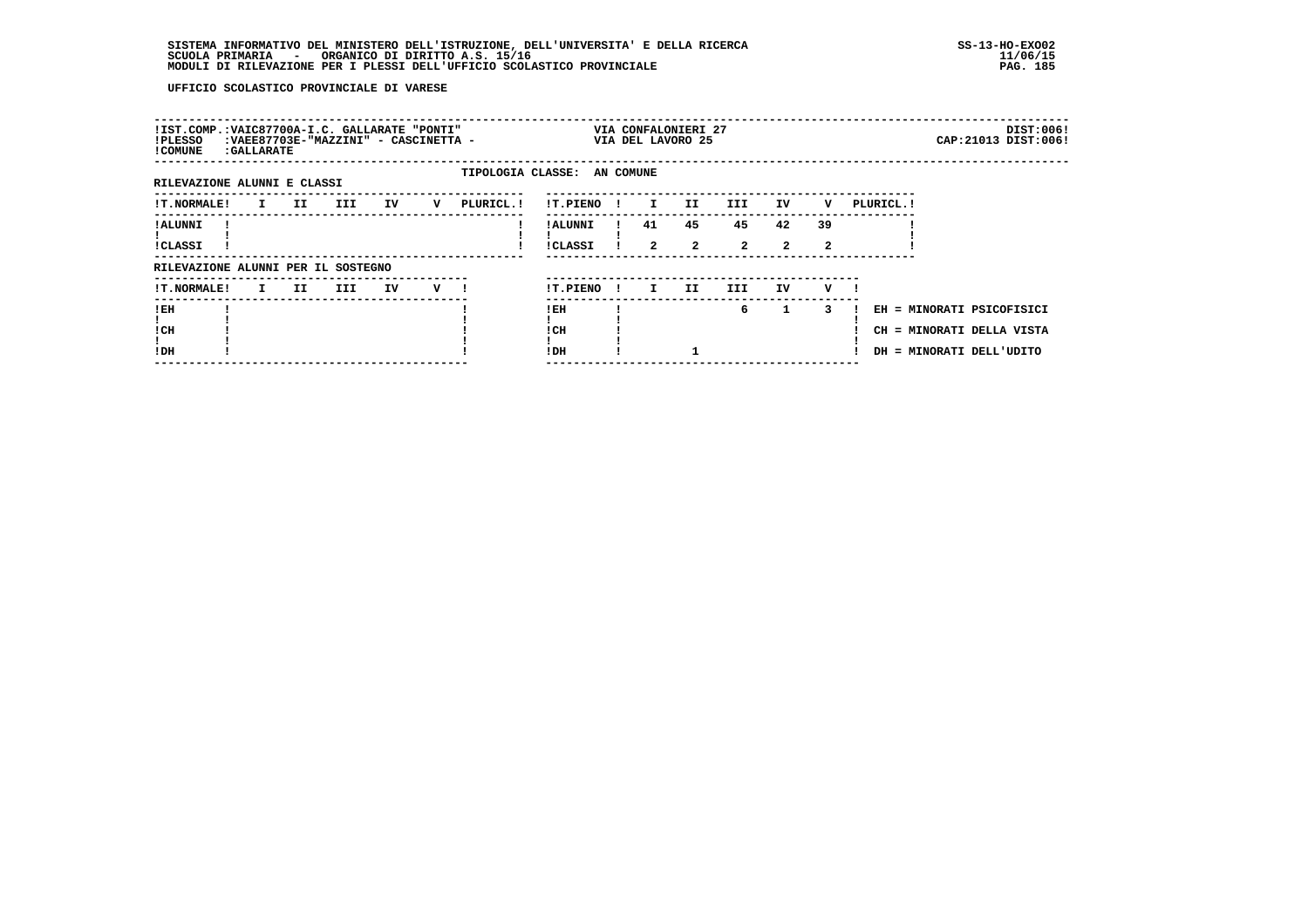| !IST.COMP.:VAIC87700A-I.C. GALLARATE "PONTI"<br>!PLESSO<br>! COMUNE | : GALLARATE |                     | : VAEE87703E-"MAZZINI" - CASCINETTA - |    |   |                             |                      |              |                      | VIA CONFALONIERI 27<br>VIA DEL LAVORO 25 |                      |                    |         |            |                                                                                    | DIST:006!<br>CAP: 21013 DIST: 006! |
|---------------------------------------------------------------------|-------------|---------------------|---------------------------------------|----|---|-----------------------------|----------------------|--------------|----------------------|------------------------------------------|----------------------|--------------------|---------|------------|------------------------------------------------------------------------------------|------------------------------------|
| RILEVAZIONE ALUNNI E CLASSI                                         |             |                     |                                       |    |   | TIPOLOGIA CLASSE: AN COMUNE |                      |              |                      |                                          |                      |                    |         |            |                                                                                    |                                    |
| <b>!T.NORMALE!</b>                                                  |             | II D<br>I.          | III                                   | IV | v | PLURICL.!                   | !T.PIENO             |              | $\mathbf{I}$         | II.                                      | III.                 | IV                 | v       | PLURICL. ! |                                                                                    |                                    |
| ! ALUNNI<br>!CLASSI                                                 |             |                     |                                       |    |   |                             | ! ALUNNI<br>!CLASSI  |              | 41<br>$\overline{2}$ | 45<br>$\mathbf{2}$                       | 45<br>$\overline{a}$ | 42<br>$\mathbf{2}$ | 39<br>2 |            |                                                                                    |                                    |
| RILEVAZIONE ALUNNI PER IL SOSTEGNO                                  |             |                     |                                       |    |   |                             |                      |              |                      |                                          |                      |                    |         |            |                                                                                    |                                    |
| <b>!T.NORMALE!</b>                                                  |             | II.<br>$\mathbf{I}$ | III                                   | IV | v |                             | !T.PIENO             | $\mathbf{I}$ | I.                   | II.                                      | III.                 | IV                 | v       |            |                                                                                    |                                    |
| !EH<br>! CH<br>!DH                                                  |             |                     |                                       |    |   |                             | ! EH<br>! CH<br>! DH |              |                      |                                          | 6                    | $\mathbf{1}$       | 3       |            | EH = MINORATI PSICOFISICI<br>CH = MINORATI DELLA VISTA<br>DH = MINORATI DELL'UDITO |                                    |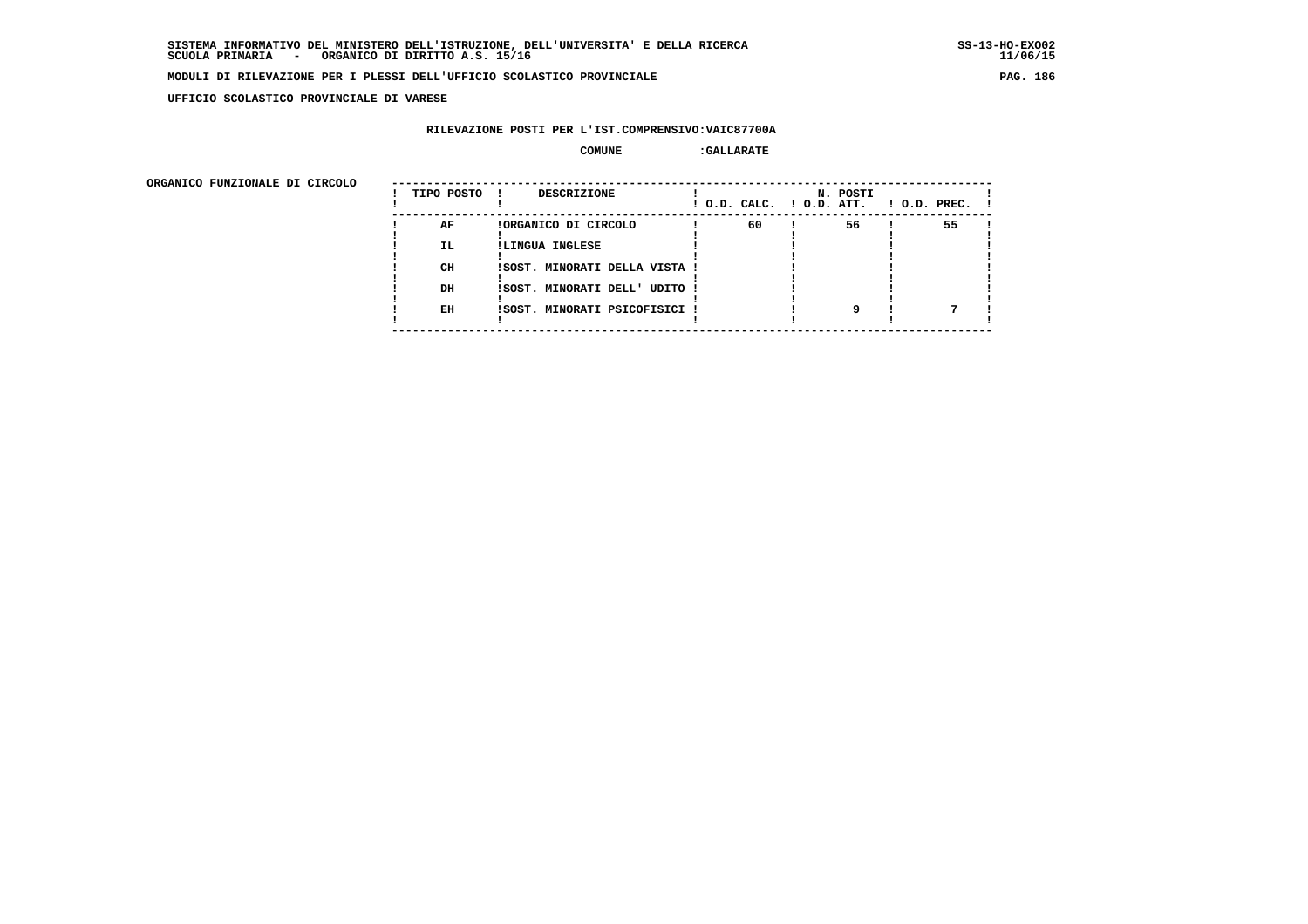**UFFICIO SCOLASTICO PROVINCIALE DI VARESE**

# **RILEVAZIONE POSTI PER L'IST.COMPRENSIVO:VAIC87700A**

| ORGANICO FUNZIONALE DI CIRCOLO |                       |                                                                                                           |                          |          |                    |
|--------------------------------|-----------------------|-----------------------------------------------------------------------------------------------------------|--------------------------|----------|--------------------|
|                                | TIPO POSTO            | DESCRIZIONE                                                                                               | ! O.D. CALC. ! O.D. ATT. | N. POSTI | $1$ O.D. PREC. $1$ |
|                                | AF<br>IL.<br>CH<br>DH | !ORGANICO DI CIRCOLO<br>!LINGUA INGLESE<br>ISOST. MINORATI DELLA VISTA !<br>!SOST. MINORATI DELL' UDITO ! | 60                       | 56       | 55                 |
|                                | EH                    | !SOST. MINORATI PSICOFISICI !                                                                             |                          |          |                    |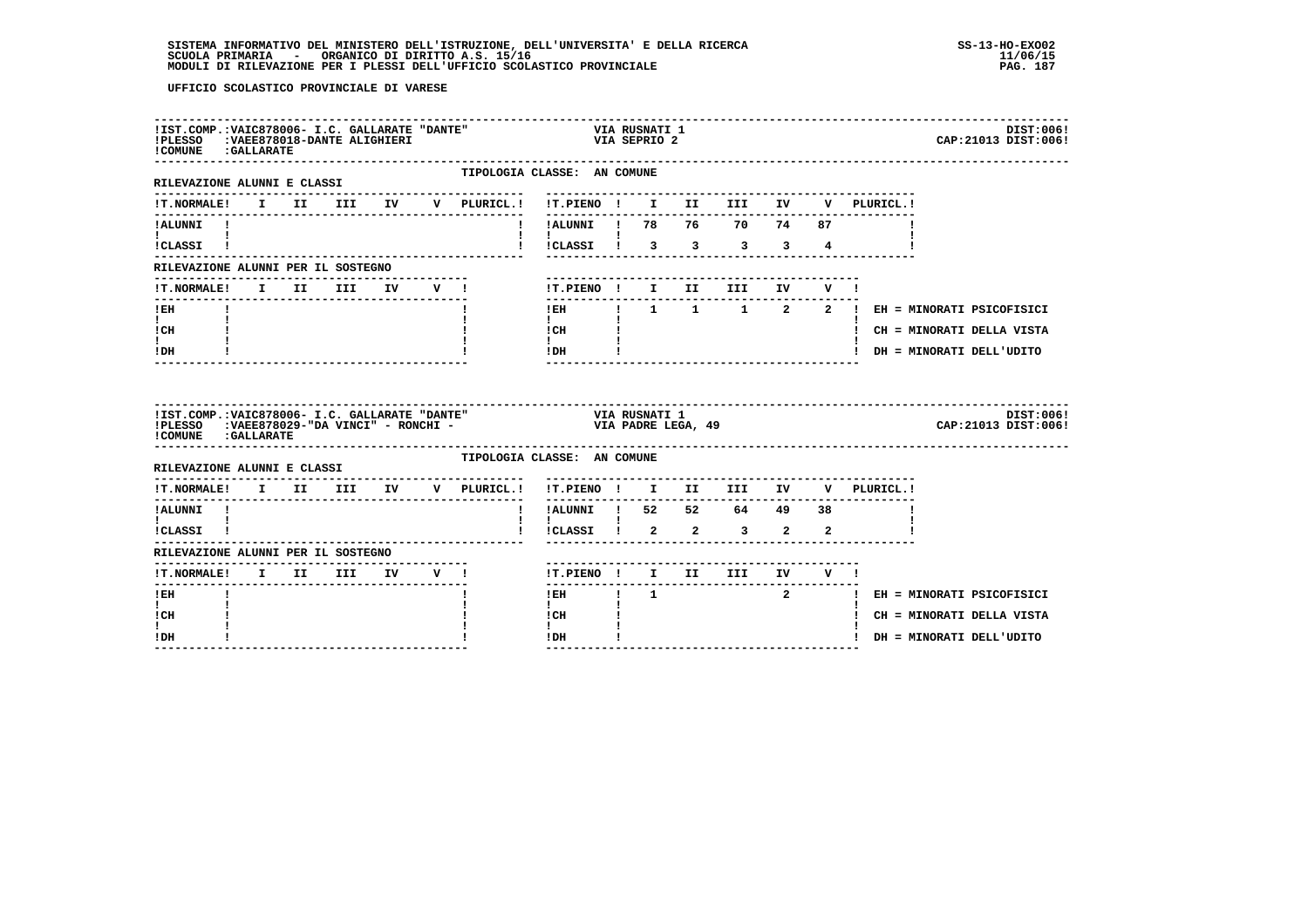# **SISTEMA INFORMATIVO DEL MINISTERO DELL'ISTRUZIONE, DELL'UNIVERSITA' E DELLA RICERCA SS-13-HO-EXO02 SCUOLA PRIMARIA - ORGANICO DI DIRITTO A.S. 15/16 11/06/15 MODULI DI RILEVAZIONE PER I PLESSI DELL'UFFICIO SCOLASTICO PROVINCIALE PAG. 187**

| !IST.COMP.: VAIC878006- I.C. GALLARATE "DANTE"<br>!PLESSO : VAEE878018-DANTE ALIGHIERI<br>! COMUNE : GALLARATE                                           |  |  | ------------------------------------ |                                              | VIA KULILLE<br>VIA SEPRIO 2                   |                                   | VIA RUSNATI 1  |                                                                                                                                                   |  |                                                                                                          | DIST:006!<br>CAP: 21013 DIST: 006! |
|----------------------------------------------------------------------------------------------------------------------------------------------------------|--|--|--------------------------------------|----------------------------------------------|-----------------------------------------------|-----------------------------------|----------------|---------------------------------------------------------------------------------------------------------------------------------------------------|--|----------------------------------------------------------------------------------------------------------|------------------------------------|
| RILEVAZIONE ALUNNI E CLASSI                                                                                                                              |  |  |                                      | TIPOLOGIA CLASSE: AN COMUNE<br>------------- |                                               |                                   |                |                                                                                                                                                   |  |                                                                                                          |                                    |
|                                                                                                                                                          |  |  |                                      |                                              |                                               |                                   |                | --------------------------------                                                                                                                  |  | IT.NORMALE! I II III IV V PLURICL.! !T.PIENO ! I II III IV V PLURICL.!                                   |                                    |
| ! ALUNNI!<br>$\mathbf{I}$ and $\mathbf{I}$ and $\mathbf{I}$ and $\mathbf{I}$<br>!CLASSI !                                                                |  |  |                                      |                                              |                                               |                                   |                | !!ALUNNI ! 78  76  70  74  87                                                                                                                     |  | !!!CLASSI! 3 3 3 3 4                                                                                     |                                    |
| RILEVAZIONE ALUNNI PER IL SOSTEGNO                                                                                                                       |  |  |                                      |                                              |                                               |                                   |                |                                                                                                                                                   |  |                                                                                                          |                                    |
|                                                                                                                                                          |  |  |                                      | !T.NORMALE! I II III IV V !                  |                                               |                                   |                | -----------------------<br>!T.PIENO ! I II III IV V !                                                                                             |  |                                                                                                          |                                    |
| $!$ EH<br>$\mathbf{I}$ and $\mathbf{I}$<br>! CH<br>$\mathbf{I}$<br>! DH                                                                                  |  |  |                                      |                                              | $\mathbf{I}$<br>$\mathbf{I}$ and $\mathbf{I}$ | ---------------<br>$ICH$ $\qquad$ |                |                                                                                                                                                   |  | IEH ! 1 1 1 2 2 ! EH = MINORATI PSICOFISICI<br>! CH = MINORATI DELLA VISTA<br>! DH = MINORATI DELL'UDITO |                                    |
| IIST.COMP.:VAIC878006- I.C. GALLARATE "DANTE" VIA RUSNATI 1<br>IPLESSO :VAEE878029-"DA VINCI" - RONCHI - YANGHI VIA PADRE LEGA, 49<br>COMUNE : GALLARATE |  |  |                                      | TIPOLOGIA CLASSE: AN COMUNE                  |                                               |                                   |                |                                                                                                                                                   |  |                                                                                                          | DIST:006!<br>CAP: 21013 DIST: 006! |
| RILEVAZIONE ALUNNI E CLASSI                                                                                                                              |  |  |                                      |                                              |                                               |                                   |                |                                                                                                                                                   |  |                                                                                                          |                                    |
|                                                                                                                                                          |  |  |                                      | !T.NORMALE! I II III IV V PLURICL.!          |                                               | -----------                       |                | !T.PIENO ! I II III IV                                                                                                                            |  | V PLURICL.!                                                                                              |                                    |
| !ALUNNI !<br>$\mathbf{I}$ and $\mathbf{I}$ and $\mathbf{I}$                                                                                              |  |  |                                      |                                              | $\mathbf{I}$                                  |                                   |                | $\frac{1}{1}$ $\frac{1}{1}$ $\frac{1}{1}$ $\frac{1}{1}$ $\frac{52}{1}$ $\frac{52}{1}$ $\frac{52}{1}$ $\frac{64}{1}$ $\frac{49}{1}$ $\frac{38}{1}$ |  |                                                                                                          |                                    |
| !CLASSI !                                                                                                                                                |  |  |                                      |                                              |                                               |                                   |                | ! !CLASSI ! 2 2 3 2 2                                                                                                                             |  |                                                                                                          |                                    |
| RILEVAZIONE ALUNNI PER IL SOSTEGNO                                                                                                                       |  |  |                                      |                                              |                                               |                                   |                |                                                                                                                                                   |  |                                                                                                          |                                    |
| !T.NORMALE! I II III IV V !                                                                                                                              |  |  |                                      |                                              |                                               |                                   |                | !T.PIENO ! I II III IV V !                                                                                                                        |  |                                                                                                          |                                    |
| $I$ $E$ $H$                                                                                                                                              |  |  |                                      |                                              | -------                                       |                                   | $1$ EH $1$ $1$ |                                                                                                                                                   |  | 2 1 EH = MINORATI PSICOFISICI                                                                            |                                    |
| $\mathbf{I}$<br>! CH                                                                                                                                     |  |  |                                      |                                              | $\mathbf{I}$<br>! CH                          |                                   |                |                                                                                                                                                   |  | ! CH = MINORATI DELLA VISTA                                                                              |                                    |
| ! DH                                                                                                                                                     |  |  |                                      |                                              | ! DH                                          |                                   |                |                                                                                                                                                   |  | ! DH = MINORATI DELL'UDITO                                                                               |                                    |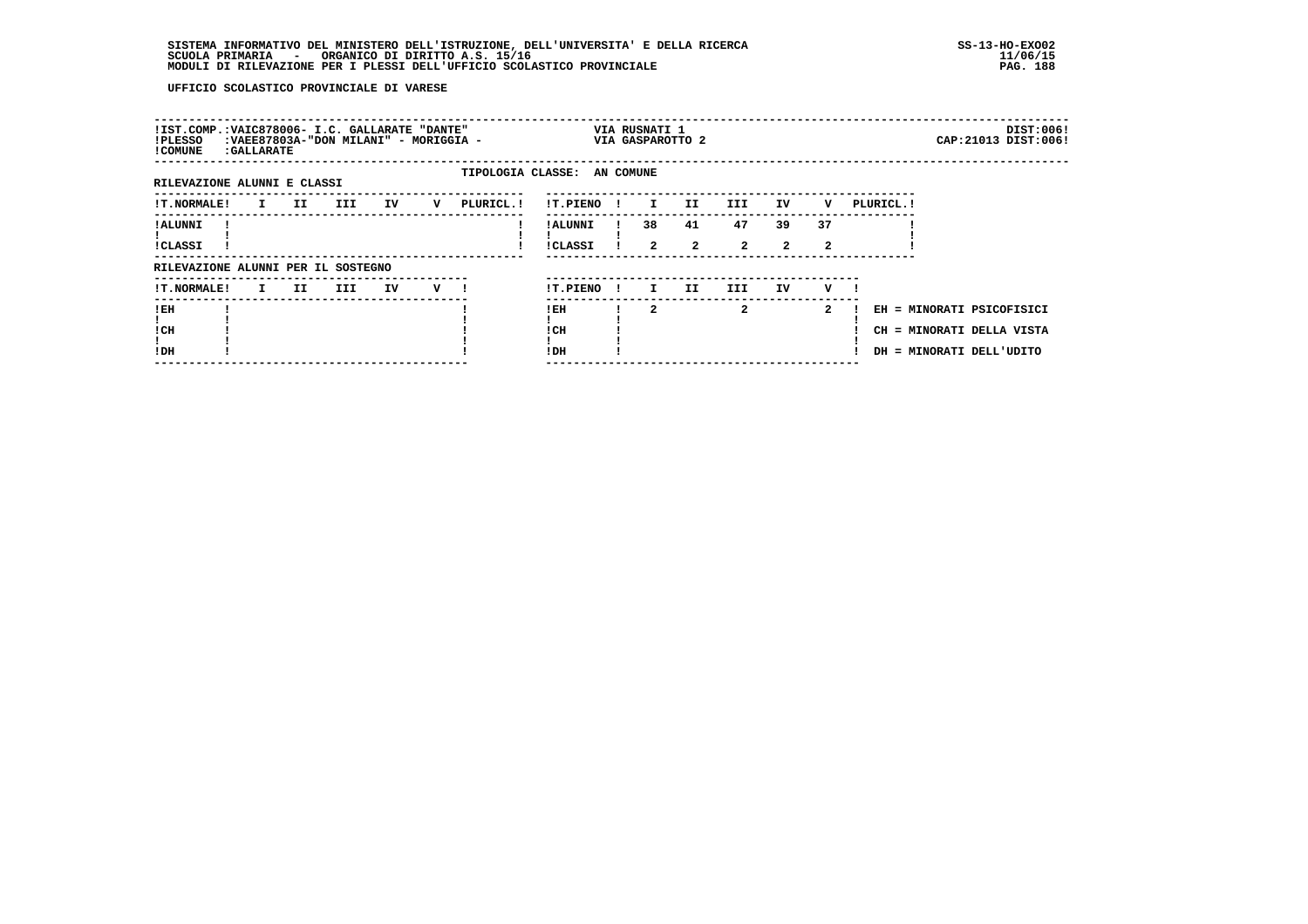| !IST.COMP.:VAIC878006- I.C. GALLARATE "DANTE"<br>!PLESSO<br>! COMUNE | : GALLARATE                   |      |     | :VAEE87803A-"DON MILANI" - MORIGGIA - |   |           |                             |              | VIA RUSNATI 1        | VIA GASPAROTTO 2     |                      |                      |              |            |                          | DIST:006!<br>CAP: 21013 DIST: 006!                     |
|----------------------------------------------------------------------|-------------------------------|------|-----|---------------------------------------|---|-----------|-----------------------------|--------------|----------------------|----------------------|----------------------|----------------------|--------------|------------|--------------------------|--------------------------------------------------------|
| RILEVAZIONE ALUNNI E CLASSI                                          |                               |      |     |                                       |   |           | TIPOLOGIA CLASSE: AN COMUNE |              |                      |                      |                      |                      |              |            |                          |                                                        |
| <b>!T.NORMALE!</b>                                                   | $\mathbf{I}$ and $\mathbf{I}$ | II D | III | IV                                    | v | PLURICL.! | <b>!T.PIENO</b>             | $\mathbf{I}$ | $\mathbf{I}$         | II.                  | III                  | IV                   | v            | PLURICL. ! |                          |                                                        |
| ! ALUNNI<br>!CLASSI                                                  |                               |      |     |                                       |   |           | ! ALUNNI<br>!CLASSI         |              | 38<br>$\overline{a}$ | 41<br>$\overline{2}$ | 47<br>$\overline{2}$ | 39<br>$\overline{2}$ | 37<br>2      |            |                          |                                                        |
| RILEVAZIONE ALUNNI PER IL SOSTEGNO                                   |                               |      |     |                                       |   |           |                             |              |                      |                      |                      |                      |              |            |                          |                                                        |
| <b>!T.NORMALE!</b>                                                   | $\mathbf{I}$ and $\mathbf{I}$ | II.  | III | IV                                    | v |           | !T.PIENO                    | $\mathbf{I}$ | I.                   | II                   | III.                 | IV                   | v            |            |                          |                                                        |
| ! EH<br>! CH<br>!DH                                                  |                               |      |     |                                       |   |           | ! EH<br>! CH<br>! DH        |              | 2                    |                      | $\mathbf{2}$         |                      | $\mathbf{2}$ |            | DH = MINORATI DELL'UDITO | EH = MINORATI PSICOFISICI<br>CH = MINORATI DELLA VISTA |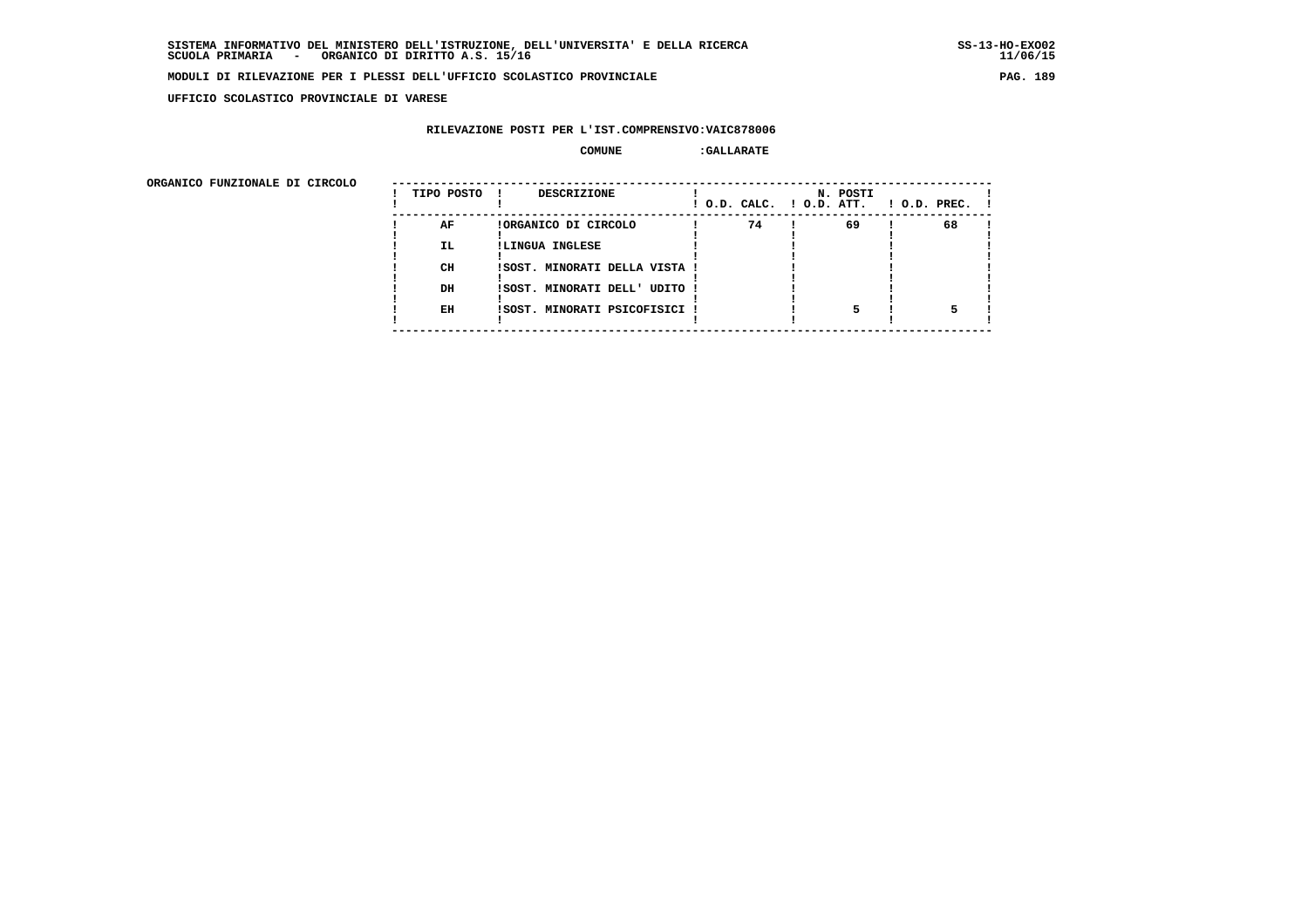**UFFICIO SCOLASTICO PROVINCIALE DI VARESE**

# **RILEVAZIONE POSTI PER L'IST.COMPRENSIVO:VAIC878006**

| ORGANICO FUNZIONALE DI CIRCOLO |            |                               |                          |          |                    |
|--------------------------------|------------|-------------------------------|--------------------------|----------|--------------------|
|                                | TIPO POSTO | DESCRIZIONE                   | ! O.D. CALC. ! O.D. ATT. | N. POSTI | $1$ O.D. PREC. $1$ |
|                                | AF         | !ORGANICO DI CIRCOLO          | 74                       | 69       | 68                 |
|                                | IL.        | !LINGUA INGLESE               |                          |          |                    |
|                                | CH         | ISOST. MINORATI DELLA VISTA ! |                          |          |                    |
|                                | DH         | !SOST. MINORATI DELL' UDITO ! |                          |          |                    |
|                                |            |                               |                          |          |                    |
|                                | EH         | !SOST. MINORATI PSICOFISICI ! |                          |          |                    |
|                                |            |                               |                          |          |                    |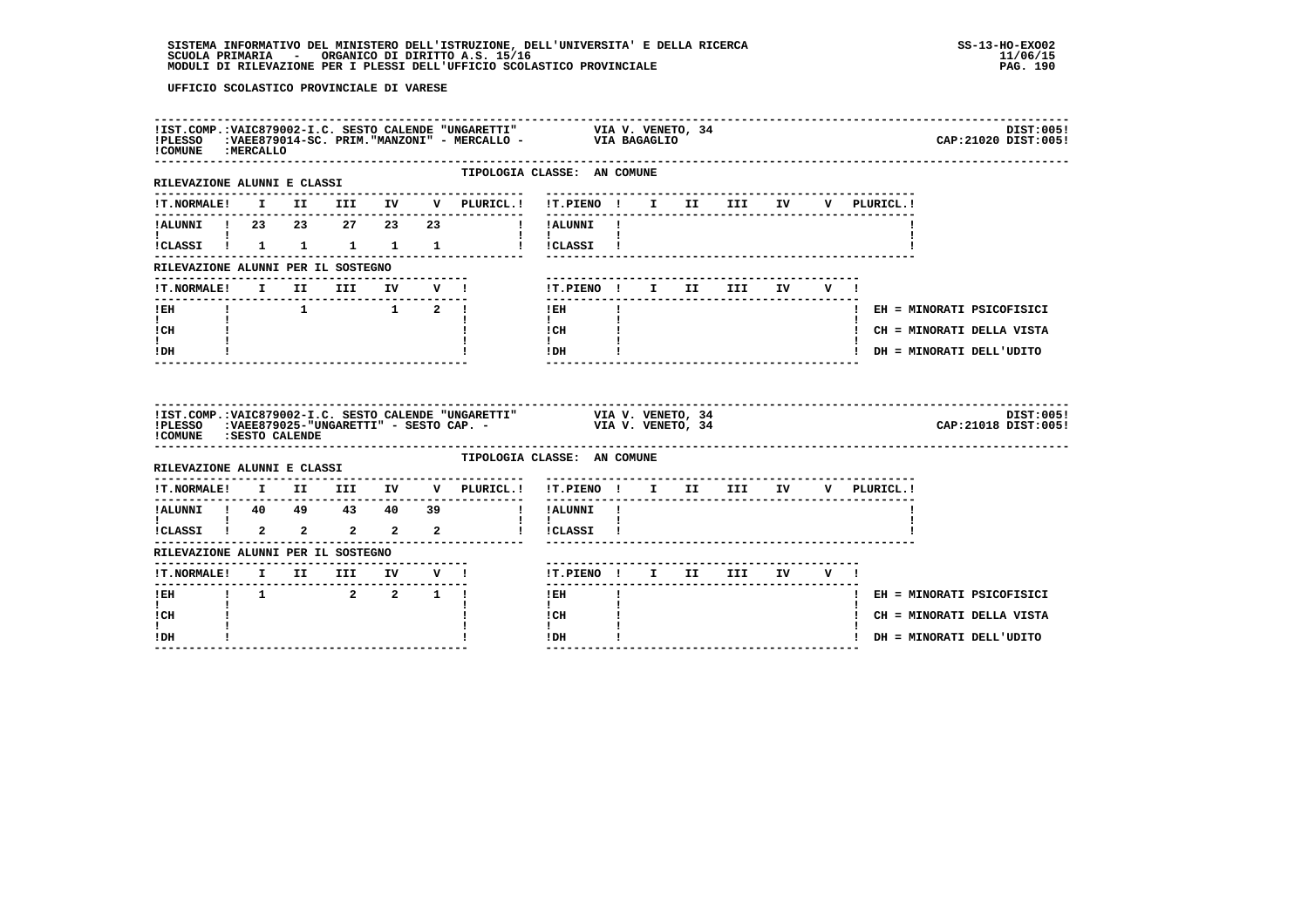| ! COMUNE : MERCALLO                                                          |  |                                                              |  |                             | !IST.COMP.:VAIC879002-I.C. SESTO CALENDE "UNGARETTI" VIA V. VENETO, 34<br>!PLESSO :VAEE879014-SC. PRIM."MANZONI" - MERCALLO - VIA BAGAGLIO |  |  |             | DIST:005!<br>CAP: 21020 DIST: 005! |
|------------------------------------------------------------------------------|--|--------------------------------------------------------------|--|-----------------------------|--------------------------------------------------------------------------------------------------------------------------------------------|--|--|-------------|------------------------------------|
| RILEVAZIONE ALUNNI E CLASSI                                                  |  |                                                              |  | --------------              | TIPOLOGIA CLASSE: AN COMUNE<br>-------------------------------                                                                             |  |  |             |                                    |
|                                                                              |  |                                                              |  |                             | !T.NORMALE! I II III IV V PLURICL.! !T.PIENO ! I II III IV                                                                                 |  |  | V PLURICL.! |                                    |
|                                                                              |  |                                                              |  |                             |                                                                                                                                            |  |  |             |                                    |
| $\mathbf{I}$ and $\mathbf{I}$ and $\mathbf{I}$                               |  |                                                              |  |                             | $\mathbf{I}$ and $\mathbf{I}$ and $\mathbf{I}$<br>!CLASSI ! 1 1 1 1 1 1 ! !CLASSI !                                                        |  |  |             |                                    |
| RILEVAZIONE ALUNNI PER IL SOSTEGNO                                           |  |                                                              |  |                             |                                                                                                                                            |  |  |             |                                    |
|                                                                              |  |                                                              |  | !T.NORMALE! I II III IV V ! | !T.PIENO! I II III IV V!                                                                                                                   |  |  |             |                                    |
| $!$ EH                                                                       |  | $1 \qquad \qquad 1 \qquad \qquad 1 \qquad \qquad 2 \qquad 1$ |  |                             | ---------------<br>$!$ EH<br>$\mathbf{I}$                                                                                                  |  |  |             | ! EH = MINORATI PSICOFISICI        |
| $\mathbf{I}$ and $\mathbf{I}$<br>! CH                                        |  |                                                              |  |                             | $\mathbf{I}$<br>! CH                                                                                                                       |  |  |             | ! CH = MINORATI DELLA VISTA        |
| ! DH                                                                         |  |                                                              |  |                             | $\mathbf{I}$<br>! DH                                                                                                                       |  |  |             | ! DH = MINORATI DELL'UDITO         |
|                                                                              |  |                                                              |  |                             |                                                                                                                                            |  |  |             |                                    |
| ! COMUNE : SESTO CALENDE                                                     |  |                                                              |  |                             | IIST.COMP.:VAIC879002-I.C. SESTO CALENDE "UNGARETTI" VIA V. VENETO, 34 PLESSO :VAEE879025-"UNGARETTI" - SESTO CAP. - VIA V. VENETO, 34     |  |  |             | DIST:005!<br>CAP: 21018 DIST: 005! |
| RILEVAZIONE ALUNNI E CLASSI                                                  |  |                                                              |  |                             | TIPOLOGIA CLASSE: AN COMUNE                                                                                                                |  |  |             |                                    |
|                                                                              |  |                                                              |  |                             | !T.NORMALE! I II III IV V PLURICL.! !T.PIENO ! I II III IV V PLURICL.!                                                                     |  |  |             |                                    |
|                                                                              |  |                                                              |  |                             | ! !ALUNNI !                                                                                                                                |  |  |             |                                    |
|                                                                              |  |                                                              |  |                             |                                                                                                                                            |  |  |             |                                    |
| RILEVAZIONE ALUNNI PER IL SOSTEGNO                                           |  |                                                              |  |                             |                                                                                                                                            |  |  |             |                                    |
|                                                                              |  |                                                              |  |                             | !T.PIENO! I II III IV V!                                                                                                                   |  |  |             |                                    |
| -----------<br>:T.NORMALE! I II III IV V !<br>!EH    !    1    2   2   1   ! |  |                                                              |  |                             | $!$ EH<br>$\mathbf{I}$                                                                                                                     |  |  |             | ! EH = MINORATI PSICOFISICI        |
| $\mathbf{I}$<br>! CH                                                         |  |                                                              |  |                             | $\mathbf{I}$<br>! CH<br>$\mathbf{I}$                                                                                                       |  |  |             | ! CH = MINORATI DELLA VISTA        |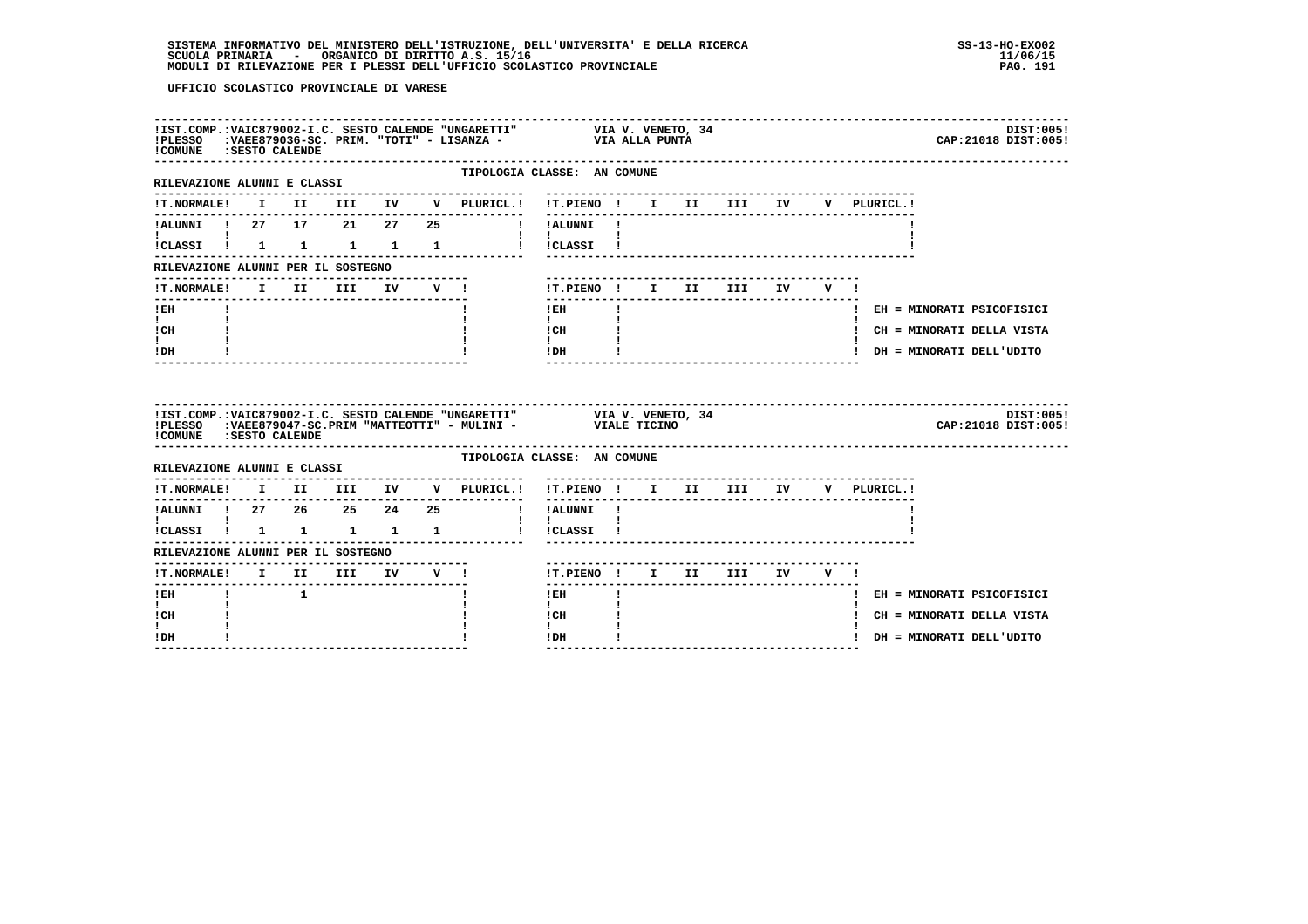| ! COMUNE : SESTO CALENDE                                       |  |  |  |                                                                                                                                           |  |                                     |  |  | DIST:005!<br>CAP: 21018 DIST: 005! |
|----------------------------------------------------------------|--|--|--|-------------------------------------------------------------------------------------------------------------------------------------------|--|-------------------------------------|--|--|------------------------------------|
| -------------------------------<br>RILEVAZIONE ALUNNI E CLASSI |  |  |  | TIPOLOGIA CLASSE: AN COMUNE<br>--------------------------                                                                                 |  |                                     |  |  |                                    |
|                                                                |  |  |  | !T.NORMALE! I II III IV V PLURICL.! !T.PIENO ! I II III IV V PLURICL.!                                                                    |  |                                     |  |  |                                    |
|                                                                |  |  |  | !ALUNNI ! 27 17 21 27 25 ! !ALUNNI !                                                                                                      |  |                                     |  |  |                                    |
| $\mathbf{I}$ and $\mathbf{I}$                                  |  |  |  | !CLASSI ! 1 1 1 1 1 1 ! !CLASSI !                                                                                                         |  |                                     |  |  |                                    |
| RILEVAZIONE ALUNNI PER IL SOSTEGNO                             |  |  |  |                                                                                                                                           |  |                                     |  |  |                                    |
|                                                                |  |  |  | !T.PIENO ! I II III IV V !                                                                                                                |  |                                     |  |  |                                    |
| ! EH                                                           |  |  |  | $!$ EH<br>$\mathbf{I}$                                                                                                                    |  |                                     |  |  | ! EH = MINORATI PSICOFISICI        |
| $\mathbf{I}$ and $\mathbf{I}$<br>! CH                          |  |  |  | $\mathbf{I}$<br>! CH                                                                                                                      |  |                                     |  |  | ! CH = MINORATI DELLA VISTA        |
| ! DH                                                           |  |  |  | $\mathbf{I}$<br>! DH                                                                                                                      |  | --------------------------------    |  |  | ! DH = MINORATI DELL'UDITO         |
| ! COMUNE : SESTO CALENDE                                       |  |  |  | !IST.COMP.:VAIC879002-I.C. SESTO CALENDE "UNGARETTI" VIA V. VENETO, 34<br>!PLESSO :VAEE879047-SC.PRIM "MATTEOTTI" - MULINI - VIALE TICINO |  |                                     |  |  | DIST:005!<br>CAP: 21018 DIST: 005! |
| RILEVAZIONE ALUNNI E CLASSI                                    |  |  |  | TIPOLOGIA CLASSE: AN COMUNE                                                                                                               |  |                                     |  |  |                                    |
|                                                                |  |  |  | !T.NORMALE! I II III IV V PLURICL.! !T.PIENO ! I II III IV V PLURICL.!                                                                    |  | ----------------------------------- |  |  |                                    |
|                                                                |  |  |  | !ALUNNI ! 27  26  25  24  25  !!!ALUNNI !                                                                                                 |  | ------------------------------      |  |  |                                    |
| $\mathbf{I}$ and $\mathbf{I}$ and $\mathbf{I}$                 |  |  |  | $\mathbf{1}$ $\mathbf{1}$<br>!CLASSI ! 1 1 1 1 1 1 ! !CLASSI !                                                                            |  |                                     |  |  |                                    |
| RILEVAZIONE ALUNNI PER IL SOSTEGNO                             |  |  |  |                                                                                                                                           |  |                                     |  |  |                                    |
| !T.NORMALE! I II III IV V !<br>-------                         |  |  |  | IT.PIENO ! I II III IV V !                                                                                                                |  |                                     |  |  |                                    |
| $1$ EH $1$ $1$                                                 |  |  |  | $!$ EH $\qquad$                                                                                                                           |  |                                     |  |  | ! EH = MINORATI PSICOFISICI        |
| $\mathbf{I}$<br>! CH                                           |  |  |  | $\mathbf{I}$<br>! CH                                                                                                                      |  |                                     |  |  | ! CH = MINORATI DELLA VISTA        |
| ! DH                                                           |  |  |  | ! DH                                                                                                                                      |  |                                     |  |  | ! DH = MINORATI DELL'UDITO         |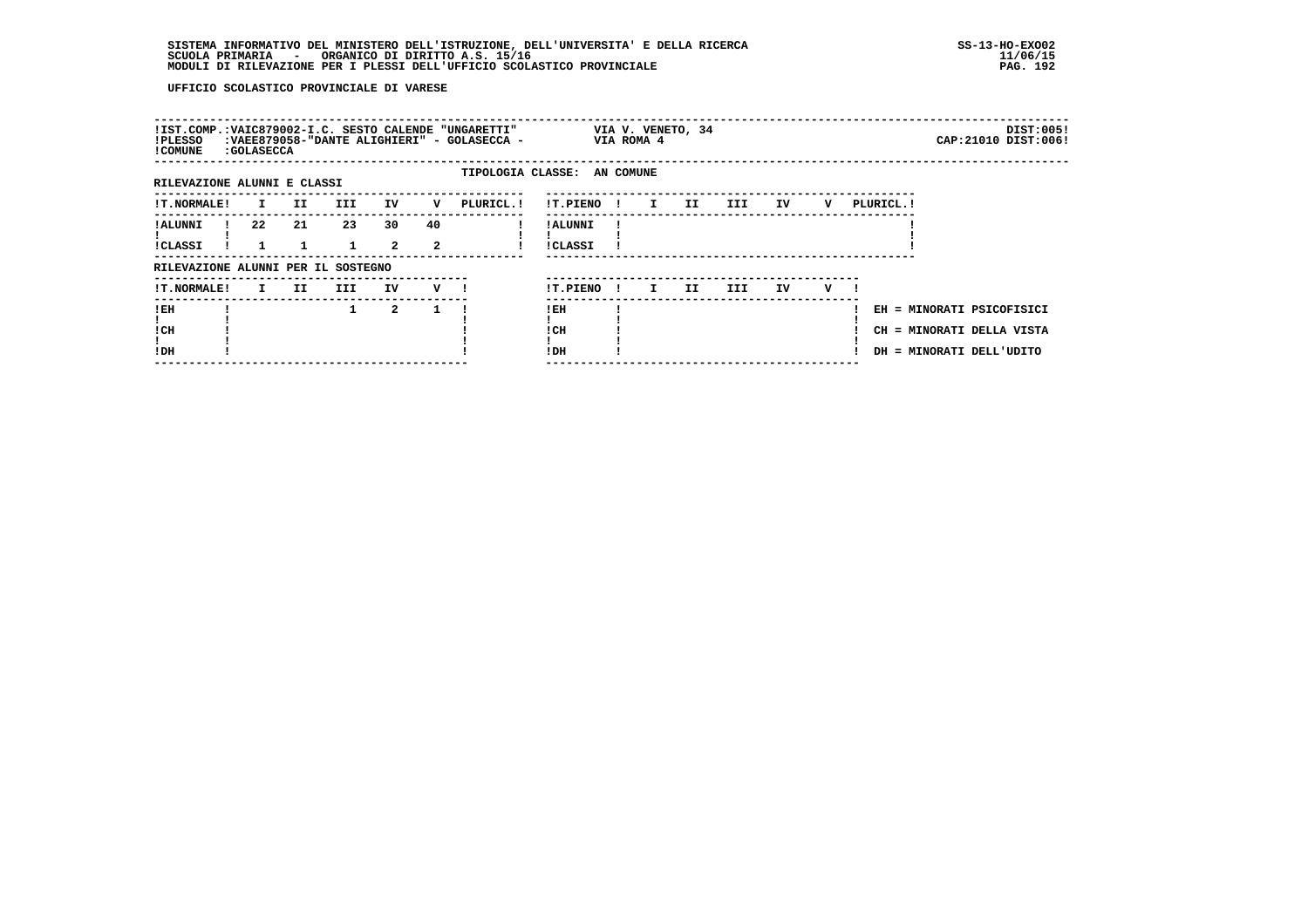| !IST.COMP.:VAIC879002-I.C. SESTO CALENDE "UNGARETTI"<br>!PLESSO<br>! COMUNE | : GOLASECCA  |     |              |                      |         | :VAEE879058-"DANTE ALIGHIERI" - GOLASECCA - |                             |              | VIA ROMA 4   | VIA V. VENETO, 34 |      |    |   |            | DIST:005!<br>CAP: 21010 DIST: 006!                                                 |
|-----------------------------------------------------------------------------|--------------|-----|--------------|----------------------|---------|---------------------------------------------|-----------------------------|--------------|--------------|-------------------|------|----|---|------------|------------------------------------------------------------------------------------|
| RILEVAZIONE ALUNNI E CLASSI                                                 |              |     |              |                      |         |                                             | TIPOLOGIA CLASSE: AN COMUNE |              |              |                   |      |    |   |            |                                                                                    |
| !T.NORMALE!                                                                 | I.           | II. | <b>III</b>   | IV                   | v       | PLURICL. !                                  | <b>!T.PIENO</b>             | $\mathbf{I}$ | $\mathbf{I}$ | II.               | III  | ΙV | v | PLURICL. ! |                                                                                    |
| <b>!ALUNNI</b><br><b>!CLASSI</b>                                            | 22           | 21  | 23           | 30<br>$\overline{2}$ | 40<br>2 |                                             | ! ALUNNI<br><b>!CLASSI</b>  |              |              |                   |      |    |   |            |                                                                                    |
| RILEVAZIONE ALUNNI PER IL SOSTEGNO                                          |              |     |              |                      |         |                                             |                             |              |              |                   |      |    |   |            |                                                                                    |
| !T.NORMALE!                                                                 | $\mathbf{I}$ | II  | III          | IV                   | v       |                                             | !T.PIENO                    | $\mathbf{I}$ | I.           | II.               | III. | IV | v |            |                                                                                    |
| !EH<br>! CH<br>!DH                                                          |              |     | $\mathbf{1}$ | $\overline{2}$       |         |                                             | ! EH<br>! CH<br>!DH         |              |              |                   |      |    |   |            | EH = MINORATI PSICOFISICI<br>CH = MINORATI DELLA VISTA<br>DH = MINORATI DELL'UDITO |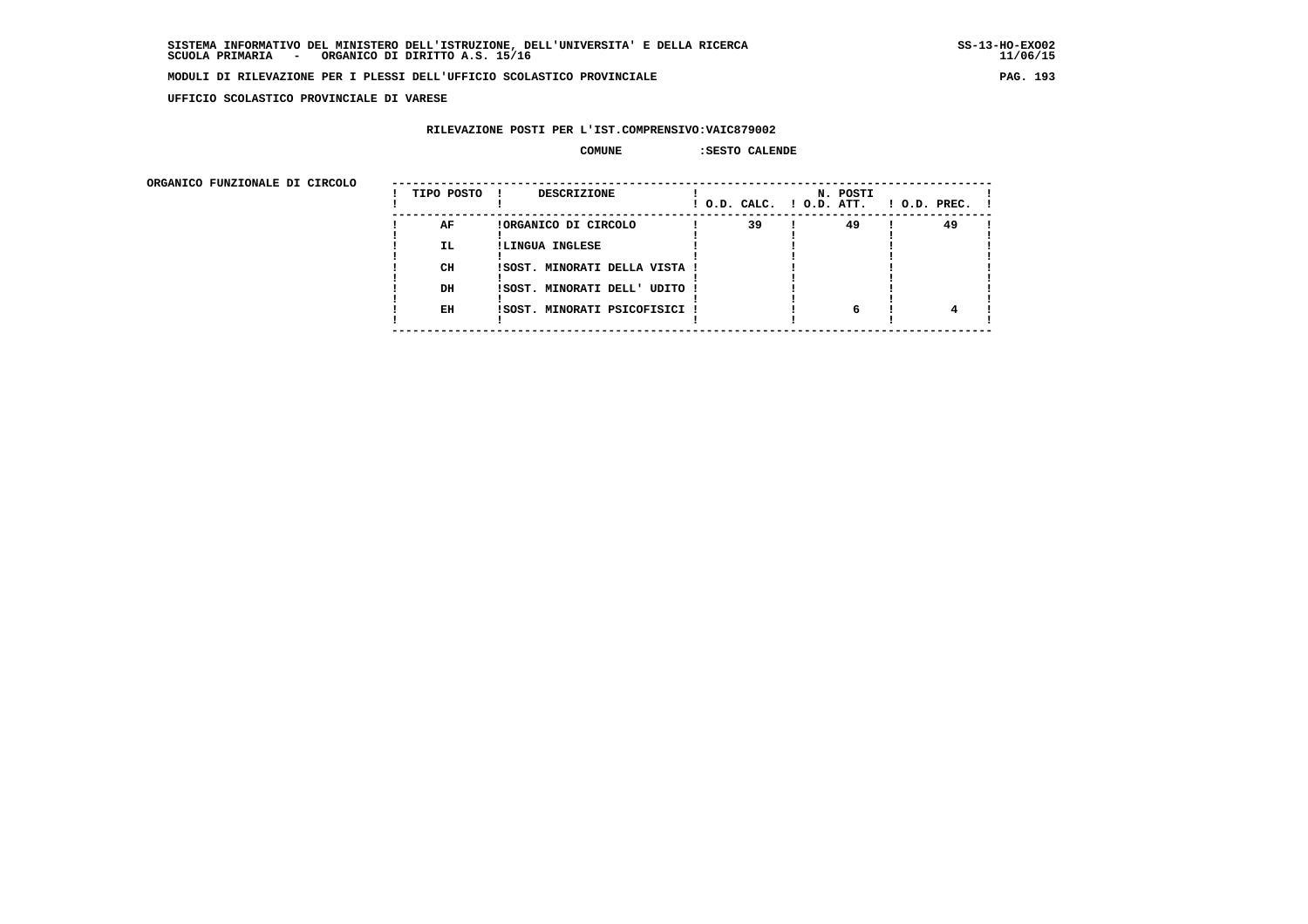**UFFICIO SCOLASTICO PROVINCIALE DI VARESE**

# **RILEVAZIONE POSTI PER L'IST.COMPRENSIVO:VAIC879002**

# **COMUNE :SESTO CALENDE**

 **ORGANICO FUNZIONALE DI CIRCOLO --------------------------------------------------------------------------------------**

| URGANICO FUNZIONALE DI CIRCOLO | TIPO POSTO | <b>DESCRIZIONE</b>            |    | N. POSTI<br>! O.D. CALC. ! O.D. ATT. | $1$ O.D. PREC. $1$ |
|--------------------------------|------------|-------------------------------|----|--------------------------------------|--------------------|
|                                | AF         | !ORGANICO DI CIRCOLO          | 39 | 49                                   | 49                 |
|                                | IL.        | !LINGUA INGLESE               |    |                                      |                    |
|                                | CH         | !SOST. MINORATI DELLA VISTA ! |    |                                      |                    |
|                                |            |                               |    |                                      |                    |
|                                | DH         | ISOST. MINORATI DELL' UDITO ! |    |                                      |                    |
|                                | EH         | ISOST. MINORATI PSICOFISICI ! |    |                                      |                    |
|                                |            |                               |    |                                      |                    |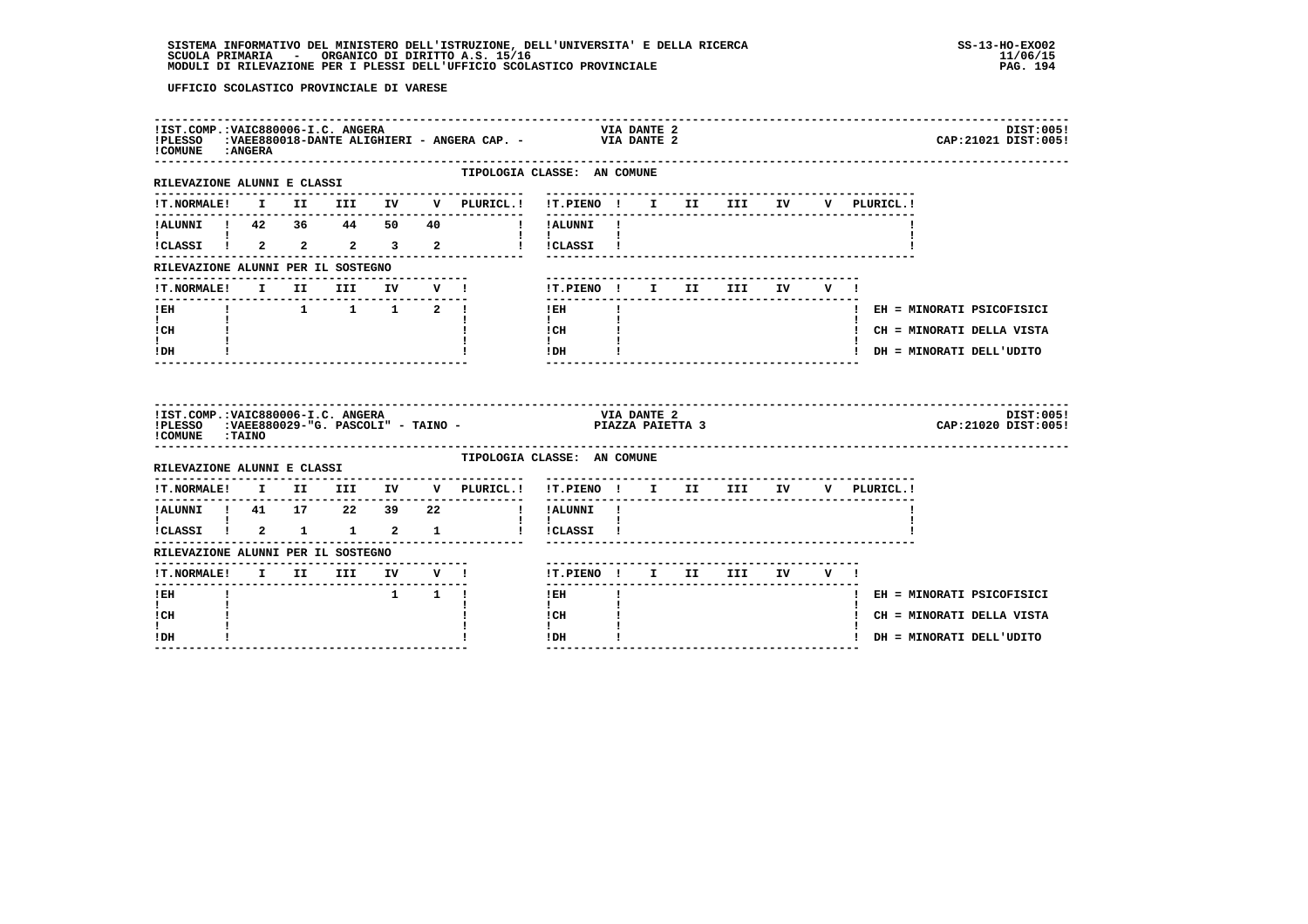| ! COMUNE : ANGERA                                                                                  |  |                                                                   |                     |                                                      |                                                                                                                                     | DIST:005!<br>CAP: 21021 DIST: 005! |
|----------------------------------------------------------------------------------------------------|--|-------------------------------------------------------------------|---------------------|------------------------------------------------------|-------------------------------------------------------------------------------------------------------------------------------------|------------------------------------|
| ---------------------<br>RILEVAZIONE ALUNNI E CLASSI                                               |  |                                                                   |                     |                                                      | TIPOLOGIA CLASSE: AN COMUNE                                                                                                         |                                    |
| <b>!T.NORMALE!</b>                                                                                 |  |                                                                   |                     |                                                      | I II III IV V PLURICL.! !T.PIENO ! I II III IV                                                                                      | V PLURICL.!                        |
| !ALUNNI ! 42 36 44 50 40                                                                           |  |                                                                   |                     | I IALUNNI I                                          |                                                                                                                                     |                                    |
| <b>I</b> and the state of the state of                                                             |  |                                                                   |                     | $1 \quad 1 \quad$<br>iCLASSI i 2 2 2 3 2 i iCLASSI i |                                                                                                                                     |                                    |
| RILEVAZIONE ALUNNI PER IL SOSTEGNO                                                                 |  |                                                                   |                     |                                                      |                                                                                                                                     |                                    |
| <b>!T.NORMALE!</b>                                                                                 |  | I II III                                                          | IV V !              |                                                      | !T.PIENO ! I II III                                                                                                                 | IV V !                             |
| $!$ EH                                                                                             |  | $\begin{array}{cccccccccccccc} 1 & 1 & 1 & 1 & 2 & 1 \end{array}$ |                     |                                                      | $!$ EH                                                                                                                              | ! EH = MINORATI PSICOFISICI        |
| $\mathbf{I}$ and $\mathbf{I}$<br>ICH                                                               |  |                                                                   |                     |                                                      | $\mathbf{1}$ and $\mathbf{1}$<br>$\begin{array}{ccc}\n\text{ICH} & & \text{!} \\ \text{!} & & \text{!} \\ \end{array}$              | ! CH = MINORATI DELLA VISTA        |
| $\mathbf{I}$<br>! DH                                                                               |  |                                                                   |                     |                                                      | $!$ DH                                                                                                                              | ! DH = MINORATI DELL'UDITO         |
|                                                                                                    |  |                                                                   |                     |                                                      |                                                                                                                                     |                                    |
|                                                                                                    |  |                                                                   |                     |                                                      | IIST.COMP.:VAIC880006-I.C. ANGERA<br>IPLESSO   :VAEE880029-"G. PASCOLI" - TAINO -                                  PIAZZA PAIETTA 3 | DIST:005!<br>CAP: 21020 DIST: 005! |
| !COMUNE : TAINO                                                                                    |  |                                                                   |                     |                                                      | TIPOLOGIA CLASSE: AN COMUNE                                                                                                         |                                    |
| RILEVAZIONE ALUNNI E CLASSI                                                                        |  | -----------------------                                           |                     | . _ _ _ _ _ _ _ _ _ _ _ _ _ _                        | !T.PIENO ! I II III IV                                                                                                              | V PLURICL.!                        |
| !ALUNNI ! 41 17 22 39 22                                                                           |  |                                                                   |                     | !T.NORMALE! I II III IV V PLURICL.!                  | . <u>.</u><br>! !ALUNNI !                                                                                                           |                                    |
| $\mathbf{I}$ and $\mathbf{I}$                                                                      |  |                                                                   |                     |                                                      | $\mathbf{I}$<br>! !CLASSI !                                                                                                         |                                    |
| $\overline{\text{i}}$ CLASSI $\overline{\text{i}}$ 2 1 1 2 1<br>RILEVAZIONE ALUNNI PER IL SOSTEGNO |  |                                                                   |                     |                                                      |                                                                                                                                     |                                    |
| <b>!T.NORMALE!</b>                                                                                 |  | -----------------------------                                     |                     |                                                      | !T.PIENO ! I II III IV V !                                                                                                          |                                    |
| ! EH                                                                                               |  |                                                                   | $1 \quad 1 \quad 1$ | I II III IV V !                                      | -------------------------------<br>--------<br>! EH                                                                                 | ! EH = MINORATI PSICOFISICI        |
| I.<br>! CH                                                                                         |  |                                                                   |                     |                                                      | $\mathbf{I}$<br>! CH                                                                                                                | ! CH = MINORATI DELLA VISTA        |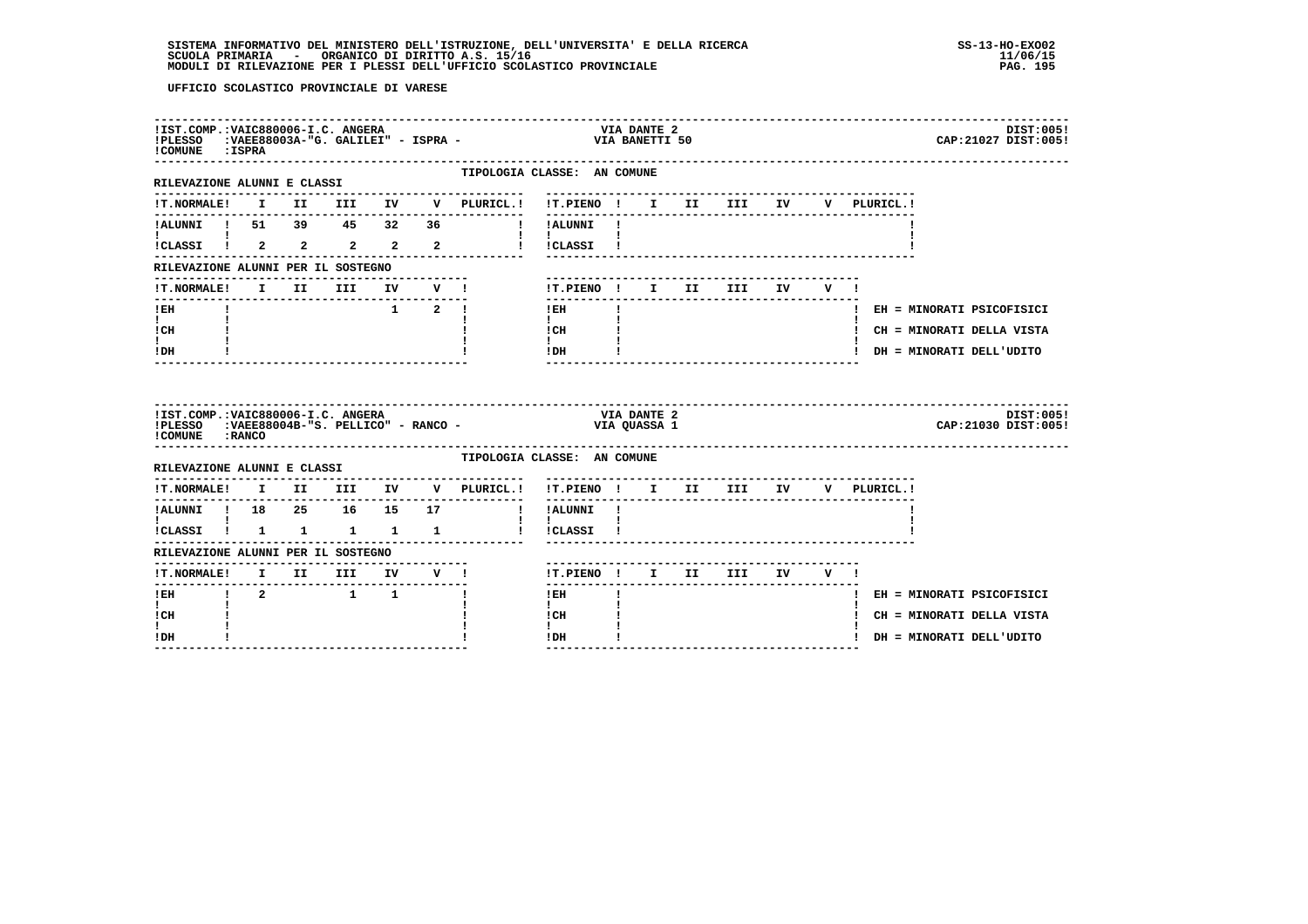| !COMUNE : ISPRA                                                 |         | !IST.COMP.: VAIC880006-I.C. ANGERA      |  | !PLESSO : VAEE88003A-"G. GALILEI" - ISPRA - | <b>VIA DANTE 2</b><br>DIST:005!<br>VIA BANETTI 50<br>CAP: 21027 DIST: 005!   |
|-----------------------------------------------------------------|---------|-----------------------------------------|--|---------------------------------------------|------------------------------------------------------------------------------|
| --------------------<br>RILEVAZIONE ALUNNI E CLASSI             |         |                                         |  |                                             | TIPOLOGIA CLASSE: AN COMUNE                                                  |
| <b>!T.NORMALE!</b>                                              |         |                                         |  |                                             | I II III IV V PLURICL.! !T.PIENO ! I II III IV<br>V PLURICL.!                |
| !ALUNNI ! 51 39 45 32 36                                        |         |                                         |  |                                             | --------<br>! !ALUNNI !                                                      |
| !CLASSI ! 2 2 2 2 2                                             |         |                                         |  |                                             | and the state of the state<br>I ICLASSI I                                    |
| RILEVAZIONE ALUNNI PER IL SOSTEGNO                              |         |                                         |  |                                             |                                                                              |
| !T.NORMALE!                                                     |         | I II III                                |  | IV V !                                      | !T.PIENO ! I II III<br>IV V !                                                |
| $!$ EH                                                          |         |                                         |  | $1 \quad 2 \quad 1$                         | ! EH<br>! EH = MINORATI PSICOFISICI                                          |
| $\mathbf{I}$ and $\mathbf{I}$<br>! CH                           |         |                                         |  |                                             | $\mathbf{I}$<br>! CH<br>! CH = MINORATI DELLA VISTA                          |
| I.<br>! DH                                                      |         |                                         |  |                                             | $\mathbf{I}$<br>! DH<br>! DH = MINORATI DELL'UDITO<br>---------------------- |
| !IST.COMP.:VAIC880006-I.C. ANGERA                               |         |                                         |  |                                             |                                                                              |
| ! COMUNE : RANCO                                                |         |                                         |  |                                             | <b>VIA DANTE 2</b><br>DIST:005!<br>CAP: 21030 DIST: 005!                     |
| RILEVAZIONE ALUNNI E CLASSI                                     |         |                                         |  |                                             | TIPOLOGIA CLASSE: AN COMUNE                                                  |
| <b>!T.NORMALE!</b>                                              |         |                                         |  | I II III IV V PLURICL.!                     | !T.PIENO ! I II III IV<br>V PLURICL.!                                        |
| ---------------<br>!ALUNNI ! 18  25  16  15  17                 |         |                                         |  | .                                           | ! !ALUNNI !                                                                  |
| <b>I</b> and the state of the state of<br>!CLASSI ! 1 1 1 1 1 1 |         |                                         |  |                                             | $\mathbf{I}$<br>! !CLASSI !                                                  |
| RILEVAZIONE ALUNNI PER IL SOSTEGNO                              |         |                                         |  |                                             |                                                                              |
| !T.NORMALE! I II III IV V !                                     |         |                                         |  |                                             | !T.PIENO ! I II III IV V !                                                   |
| --------------<br>$I$ EH                                        | $1 \t2$ | $\begin{array}{cccc} 1 & 1 \end{array}$ |  |                                             | -------<br>! EH<br>! EH = MINORATI PSICOFISICI                               |
| $\mathbf{I}$<br>! CH<br>L                                       |         |                                         |  |                                             | $\mathbf{I}$<br>! CH<br>! CH = MINORATI DELLA VISTA<br>$\mathbf{I}$          |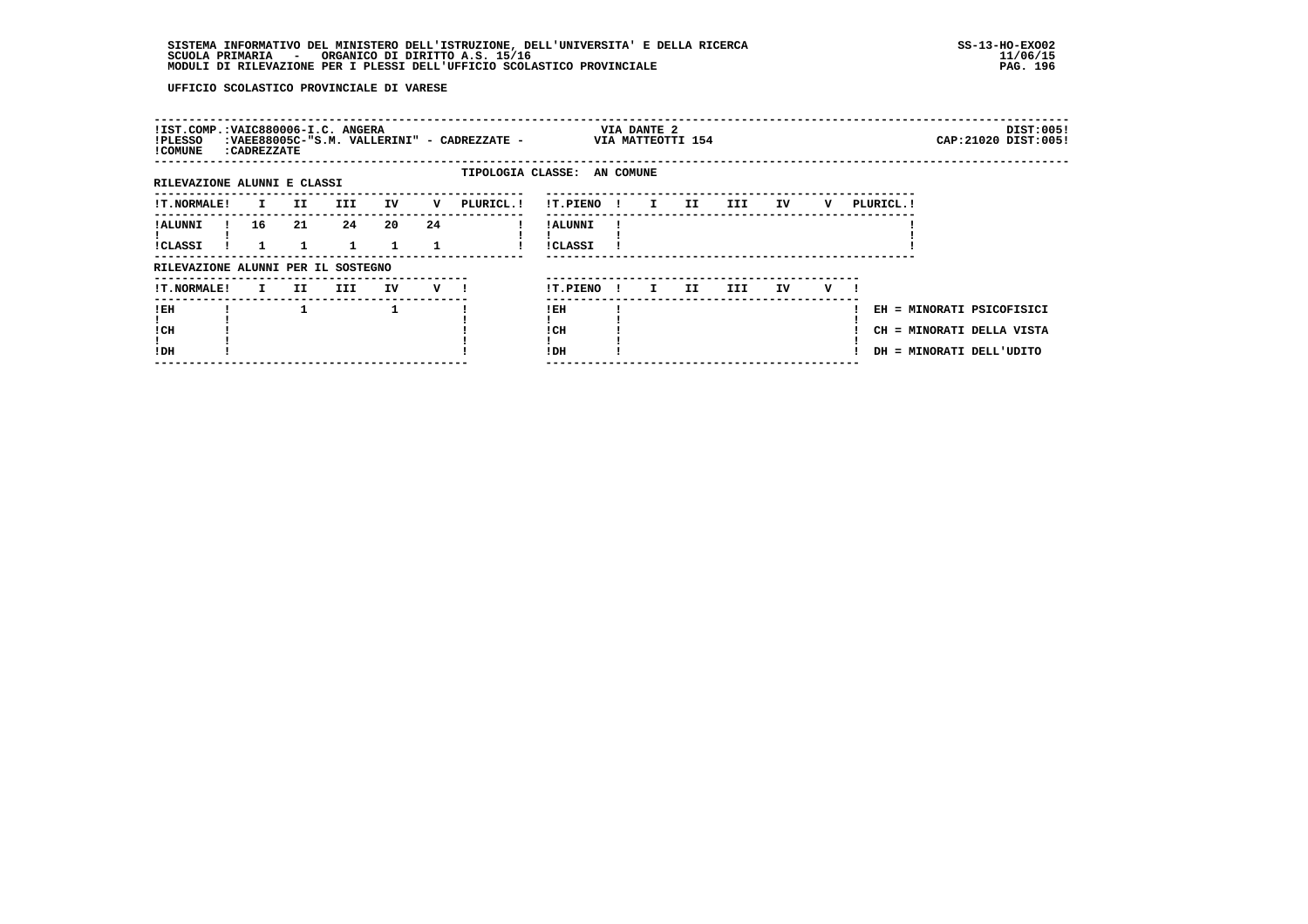| !IST.COMP.:VAIC880006-I.C. ANGERA<br>!PLESSO<br>! COMUNE | : CADREZZATE |     |                    |    |         | :VAEE88005C-"S.M. VALLERINI" - CADREZZATE - |                            |              | VIA DANTE 2<br>VIA MATTEOTTI 154 |     |      |    |   |            | DIST:005!<br>CAP: 21020 DIST: 005!                                                 |  |
|----------------------------------------------------------|--------------|-----|--------------------|----|---------|---------------------------------------------|----------------------------|--------------|----------------------------------|-----|------|----|---|------------|------------------------------------------------------------------------------------|--|
| RILEVAZIONE ALUNNI E CLASSI                              |              |     |                    |    |         | TIPOLOGIA CLASSE: AN COMUNE                 |                            |              |                                  |     |      |    |   |            |                                                                                    |  |
| !T.NORMALE!                                              | $\mathbf{I}$ | II. | III.               | IV | v       | PLURICL.!                                   | !T.PIENO!                  |              | $\mathbf{I}$                     | II. | III  | IV | v | PLURICL. ! |                                                                                    |  |
| ! ALUNNI<br>!CLASSI                                      | 16           | 21  | 24<br>$\mathbf{1}$ | 20 | 24      |                                             | ! ALUNNI<br><b>!CLASSI</b> |              |                                  |     |      |    |   |            |                                                                                    |  |
| RILEVAZIONE ALUNNI PER IL SOSTEGNO                       |              |     |                    |    |         |                                             |                            |              |                                  |     |      |    |   |            |                                                                                    |  |
| <b>!T.NORMALE!</b>                                       | $\mathbf{I}$ | II. | III                | IV | $V$ $l$ |                                             | !T.PIENO                   | $\mathbf{I}$ | I.                               | II. | III. | IV | v |            |                                                                                    |  |
| !EH<br>! CH<br>!DH                                       |              |     |                    | 1  |         |                                             | ! EH<br>! CH<br>! DH       |              |                                  |     |      |    |   |            | EH = MINORATI PSICOFISICI<br>CH = MINORATI DELLA VISTA<br>DH = MINORATI DELL'UDITO |  |